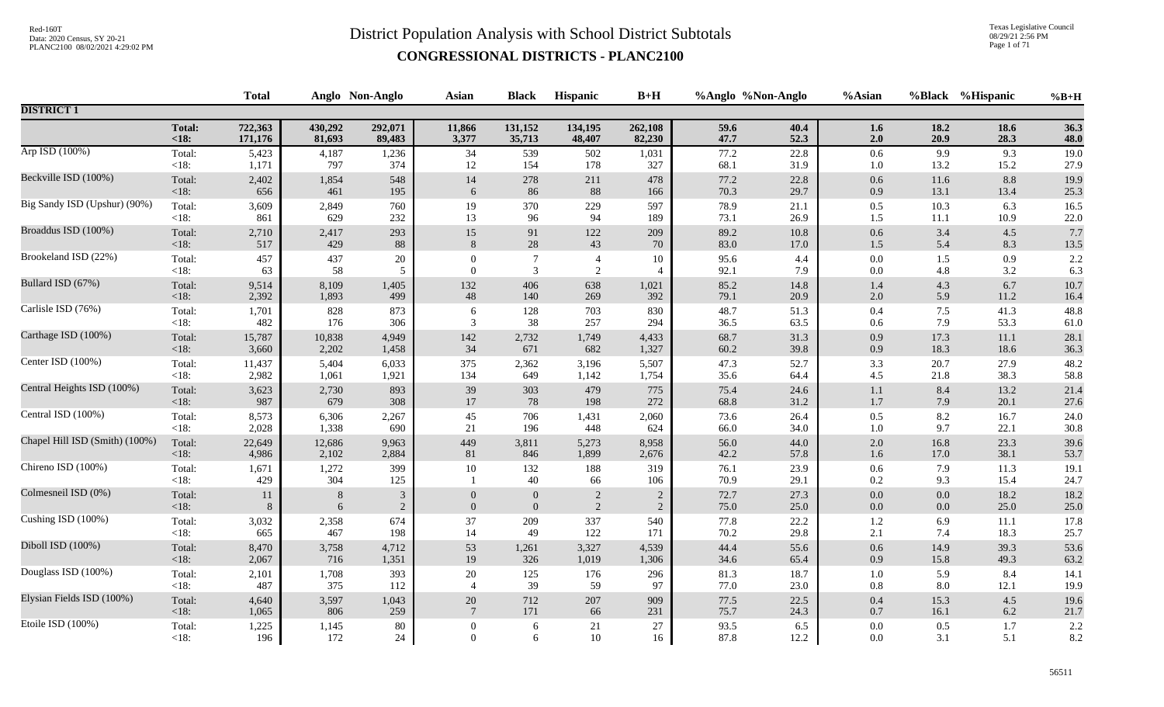Texas Legislative Council 08/29/21 2:56 PM Page 1 of 71

|                                |                | <b>Total</b> |              | Anglo Non-Anglo | <b>Asian</b>     | <b>Black</b>     | Hispanic       | $B+H$                    | %Anglo %Non-Anglo |              | %Asian     | %Black     | %Hispanic    | $%B+H$       |
|--------------------------------|----------------|--------------|--------------|-----------------|------------------|------------------|----------------|--------------------------|-------------------|--------------|------------|------------|--------------|--------------|
| <b>DISTRICT 1</b>              |                |              |              |                 |                  |                  |                |                          |                   |              |            |            |              |              |
|                                | <b>Total:</b>  | 722,363      | 430,292      | 292,071         | 11,866           | 131,152          | 134,195        | 262,108                  | 59.6              | 40.4         | 1.6        | 18.2       | 18.6         | 36.3         |
|                                | < 18:          | 171,176      | 81,693       | 89,483          | 3,377            | 35,713           | 48,407         | 82,230                   | 47.7              | 52.3         | 2.0        | 20.9       | 28.3         | 48.0         |
| Arp ISD (100%)                 | Total:         | 5,423        | 4,187        | 1,236           | 34               | 539              | 502            | 1,031                    | 77.2              | 22.8         | 0.6        | 9.9        | 9.3          | 19.0         |
|                                | $<18$ :        | 1,171        | 797          | 374             | 12               | 154              | 178            | 327                      | 68.1              | 31.9         | 1.0        | 13.2       | 15.2         | 27.9         |
| Beckville ISD (100%)           | Total:         | 2,402        | 1,854        | 548             | 14               | 278              | 211            | 478                      | 77.2              | 22.8         | 0.6        | 11.6       | 8.8          | 19.9         |
|                                | < 18:          | 656          | 461          | 195             | 6                | 86               | 88             | 166                      | 70.3              | 29.7         | 0.9        | 13.1       | 13.4         | 25.3         |
| Big Sandy ISD (Upshur) (90%)   | Total:         | 3,609        | 2,849        | 760             | 19               | 370              | 229            | 597                      | 78.9              | 21.1         | 0.5        | 10.3       | 6.3          | 16.5         |
|                                | $<18$ :        | 861          | 629          | 232             | 13               | 96               | 94             | 189                      | 73.1              | 26.9         | 1.5        | 11.1       | 10.9         | 22.0         |
| Broaddus ISD (100%)            | Total:         | 2,710        | 2,417        | 293             | $15\,$           | 91               | 122            | 209                      | 89.2              | 10.8         | 0.6        | 3.4        | 4.5          | 7.7          |
|                                | < 18:          | 517          | 429          | 88              | 8                | $28\,$           | 43             | 70                       | 83.0              | 17.0         | 1.5        | 5.4        | 8.3          | 13.5         |
| Brookeland ISD (22%)           | Total:         | 457          | 437          | 20              | $\theta$         | $\boldsymbol{7}$ | $\overline{4}$ | 10                       | 95.6              | 4.4          | $0.0\,$    | 1.5        | 0.9          | 2.2          |
|                                | <18:           | 63           | 58           | 5               | $\overline{0}$   | $\mathfrak{Z}$   | $\overline{2}$ | $\overline{\mathcal{L}}$ | 92.1              | 7.9          | 0.0        | 4.8        | 3.2          | 6.3          |
| Bullard ISD (67%)              | Total:         | 9,514        | 8,109        | 1,405           | 132              | 406              | 638            | 1,021                    | 85.2              | 14.8         | 1.4        | 4.3        | 6.7          | 10.7         |
|                                | <18:           | 2,392        | 1,893        | 499             | $\sqrt{48}$      | 140              | 269            | 392                      | 79.1              | 20.9         | 2.0        | 5.9        | 11.2         | 16.4         |
| Carlisle ISD (76%)             | Total:         | 1,701        | 828          | 873             | 6                | 128              | 703            | 830                      | 48.7              | 51.3         | $0.4\,$    | 7.5        | 41.3         | 48.8         |
|                                | $<18$ :        | 482          | 176          | 306             | 3                | 38               | 257            | 294                      | 36.5              | 63.5         | 0.6        | 7.9        | 53.3         | 61.0         |
| Carthage ISD (100%)            | Total:         | 15,787       | 10,838       | 4,949           | 142              | 2,732            | 1,749          | 4,433                    | 68.7              | 31.3         | 0.9        | 17.3       | 11.1         | 28.1         |
|                                | <18:           | 3,660        | 2,202        | 1,458           | 34               | 671              | 682            | 1,327                    | 60.2              | 39.8         | 0.9        | 18.3       | 18.6         | 36.3         |
| Center ISD (100%)              | Total:         | 11,437       | 5,404        | 6,033           | 375              | 2,362            | 3,196          | 5,507                    | 47.3              | 52.7         | 3.3        | 20.7       | 27.9         | 48.2         |
|                                | $<18$ :        | 2,982        | 1,061        | 1,921           | 134              | 649              | 1,142          | 1,754                    | 35.6              | 64.4         | 4.5        | 21.8       | 38.3         | 58.8         |
| Central Heights ISD (100%)     | Total:         | 3,623        | 2,730        | 893             | 39               | 303              | 479            | 775                      | 75.4              | 24.6         | 1.1        | 8.4        | 13.2         | 21.4         |
|                                | <18:           | 987          | 679          | 308             | 17               | 78               | 198            | 272                      | 68.8              | 31.2         | 1.7        | 7.9        | 20.1         | 27.6         |
| Central ISD (100%)             | Total:         | 8,573        | 6,306        | 2,267           | 45               | 706              | 1,431          | 2,060                    | 73.6              | 26.4         | 0.5        | 8.2        | 16.7         | 24.0         |
|                                | $<18$ :        | 2,028        | 1,338        | 690             | 21               | 196              | 448            | 624                      | 66.0              | 34.0         | 1.0        | 9.7        | 22.1         | 30.8         |
| Chapel Hill ISD (Smith) (100%) | Total:         | 22,649       | 12,686       | 9,963           | 449              | 3,811            | 5,273          | 8,958                    | 56.0              | 44.0         | 2.0        | 16.8       | 23.3         | 39.6         |
|                                | < 18:          | 4,986        | 2,102        | 2,884           | $81\,$           | 846              | 1,899          | 2,676                    | 42.2              | 57.8         | 1.6        | 17.0       | 38.1         | 53.7         |
| Chireno ISD (100%)             | Total:<br><18: | 1,671<br>429 | 1,272<br>304 | 399<br>125      | $10\,$           | 132<br>40        | 188<br>66      | 319<br>106               | 76.1<br>70.9      | 23.9<br>29.1 | 0.6<br>0.2 | 7.9<br>9.3 | 11.3<br>15.4 | 19.1<br>24.7 |
| Colmesneil ISD (0%)            | Total:         | 11           | 8            | $\mathfrak{Z}$  | $\mathbf{0}$     | $\boldsymbol{0}$ | $\sqrt{2}$     | $\overline{2}$           | 72.7              | 27.3         | 0.0        | 0.0        | 18.2         | 18.2         |
|                                | $<18$ :        | 8            | 6            | $\overline{2}$  | $\mathbf{0}$     | $\boldsymbol{0}$ | 2              | $\overline{2}$           | 75.0              | 25.0         | $0.0\,$    | $0.0\,$    | 25.0         | 25.0         |
| Cushing ISD (100%)             | Total:         | 3,032        | 2,358        | 674             | 37               | 209              | 337            | 540                      | 77.8              | 22.2         | 1.2        | 6.9        | $11.1$       | 17.8         |
|                                | < 18:          | 665          | 467          | 198             | 14               | 49               | 122            | 171                      | 70.2              | 29.8         | 2.1        | 7.4        | 18.3         | 25.7         |
| Diboll ISD (100%)              | Total:         | 8,470        | 3,758        | 4,712           | 53               | 1,261            | 3,327          | 4,539                    | 44.4              | 55.6         | 0.6        | 14.9       | 39.3         | 53.6         |
|                                | $<18$ :        | 2,067        | 716          | 1,351           | 19               | 326              | 1,019          | 1,306                    | 34.6              | 65.4         | 0.9        | 15.8       | 49.3         | 63.2         |
| Douglass ISD (100%)            | Total:         | 2,101        | 1,708        | 393             | $20\,$           | $125\,$          | 176            | 296                      | $81.3\,$          | 18.7         | 1.0        | 5.9        | 8.4          | 14.1         |
|                                | $<18$ :        | 487          | 375          | 112             | $\overline{4}$   | 39               | 59             | 97                       | 77.0              | 23.0         | 0.8        | 8.0        | 12.1         | 19.9         |
| Elysian Fields ISD (100%)      | Total:         | 4,640        | 3,597        | 1,043           | 20               | 712              | 207            | 909                      | 77.5              | 22.5         | $0.4\,$    | 15.3       | 4.5          | 19.6         |
|                                | $<18$ :        | 1,065        | 806          | 259             | $7\phantom{.0}$  | 171              | 66             | 231                      | 75.7              | 24.3         | 0.7        | 16.1       | 6.2          | 21.7         |
| Etoile ISD (100%)              | Total:         | 1,225        | 1,145        | 80              | $\boldsymbol{0}$ | 6                | 21             | 27                       | 93.5              | 6.5          | 0.0        | 0.5        | 1.7          | 2.2          |
|                                | $<18$ :        | 196          | 172          | 24              | $\overline{0}$   | 6                | 10             | 16                       | 87.8              | 12.2         | 0.0        | 3.1        | 5.1          | 8.2          |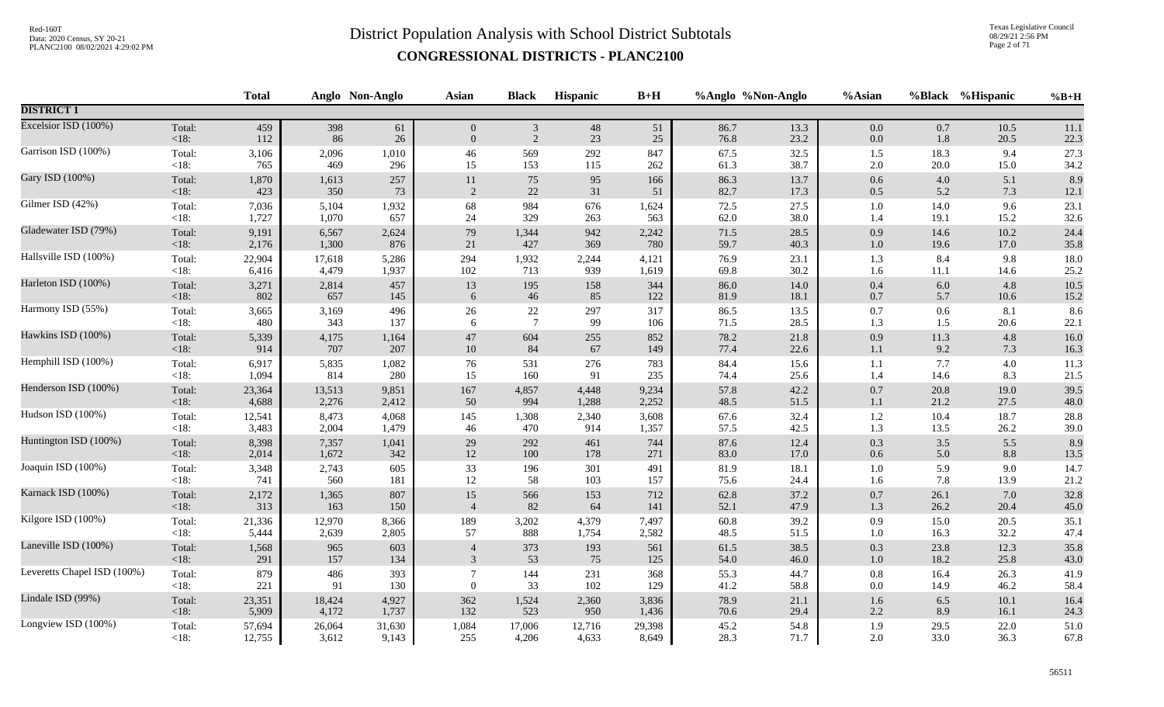Texas Legislative Council 08/29/21 2:56 PM Page 2 of 71

|                             |         | <b>Total</b> |        | Anglo Non-Anglo | <b>Asian</b>   | <b>Black</b>    | <b>Hispanic</b> | $B+H$  | %Anglo %Non-Anglo |      | %Asian  | %Black   | %Hispanic | $%B+H$   |
|-----------------------------|---------|--------------|--------|-----------------|----------------|-----------------|-----------------|--------|-------------------|------|---------|----------|-----------|----------|
| <b>DISTRICT 1</b>           |         |              |        |                 |                |                 |                 |        |                   |      |         |          |           |          |
| Excelsior ISD (100%)        | Total:  | 459          | 398    | 61              | $\overline{0}$ | $\mathfrak{Z}$  | $48\,$          | 51     | 86.7              | 13.3 | $0.0\,$ | $0.7\,$  | 10.5      | 11.1     |
|                             | $<18$ : | 112          | 86     | 26              | $\overline{0}$ | 2               | 23              | 25     | 76.8              | 23.2 | $0.0\,$ | 1.8      | 20.5      | 22.3     |
| Garrison ISD (100%)         | Total:  | 3,106        | 2,096  | 1,010           | 46             | 569             | 292             | 847    | 67.5              | 32.5 | 1.5     | 18.3     | 9.4       | 27.3     |
|                             | $<18$ : | 765          | 469    | 296             | 15             | 153             | 115             | 262    | 61.3              | 38.7 | $2.0\,$ | $20.0\,$ | 15.0      | 34.2     |
| Gary ISD (100%)             | Total:  | 1,870        | 1,613  | 257             | $11\,$         | 75              | 95              | 166    | 86.3              | 13.7 | $0.6\,$ | 4.0      | 5.1       | 8.9      |
|                             | < 18:   | 423          | 350    | 73              | 2              | 22              | 31              | 51     | 82.7              | 17.3 | 0.5     | 5.2      | 7.3       | 12.1     |
| Gilmer ISD (42%)            | Total:  | 7,036        | 5,104  | 1,932           | 68             | 984             | 676             | 1,624  | 72.5              | 27.5 | $1.0\,$ | 14.0     | 9.6       | 23.1     |
|                             | <18:    | 1,727        | 1,070  | 657             | 24             | 329             | 263             | 563    | 62.0              | 38.0 | 1.4     | 19.1     | 15.2      | 32.6     |
| Gladewater ISD (79%)        | Total:  | 9,191        | 6,567  | 2,624           | 79             | 1,344           | 942             | 2,242  | 71.5              | 28.5 | $0.9\,$ | 14.6     | 10.2      | 24.4     |
|                             | < 18:   | 2,176        | 1,300  | 876             | 21             | 427             | 369             | 780    | 59.7              | 40.3 | $1.0\,$ | 19.6     | 17.0      | 35.8     |
| Hallsville ISD (100%)       | Total:  | 22,904       | 17,618 | 5,286           | 294            | 1,932           | 2,244           | 4,121  | 76.9              | 23.1 | 1.3     | 8.4      | 9.8       | 18.0     |
|                             | $<18$ : | 6,416        | 4,479  | 1,937           | 102            | 713             | 939             | 1,619  | 69.8              | 30.2 | 1.6     | 11.1     | 14.6      | 25.2     |
| Harleton ISD (100%)         | Total:  | 3,271        | 2,814  | 457             | 13             | 195             | 158             | 344    | 86.0              | 14.0 | $0.4\,$ | 6.0      | 4.8       | 10.5     |
|                             | < 18:   | 802          | 657    | 145             | 6              | 46              | 85              | 122    | 81.9              | 18.1 | 0.7     | 5.7      | 10.6      | 15.2     |
| Harmony ISD (55%)           | Total:  | 3,665        | 3,169  | 496             | 26             | 22              | 297             | 317    | 86.5              | 13.5 | 0.7     | 0.6      | 8.1       | 8.6      |
|                             | $<18$ : | 480          | 343    | 137             | 6              | $7\phantom{.0}$ | 99              | 106    | 71.5              | 28.5 | 1.3     | 1.5      | 20.6      | 22.1     |
| Hawkins ISD (100%)          | Total:  | 5,339        | 4,175  | 1,164           | $47\,$         | 604             | 255             | 852    | 78.2              | 21.8 | $0.9\,$ | 11.3     | 4.8       | 16.0     |
|                             | < 18:   | 914          | 707    | 207             | $10\,$         | 84              | 67              | 149    | 77.4              | 22.6 | $1.1\,$ | 9.2      | 7.3       | 16.3     |
| Hemphill ISD (100%)         | Total:  | 6,917        | 5,835  | 1,082           | 76             | 531             | 276             | 783    | 84.4              | 15.6 | 1.1     | 7.7      | 4.0       | 11.3     |
|                             | $<18$ : | 1,094        | 814    | 280             | 15             | 160             | 91              | 235    | 74.4              | 25.6 | 1.4     | 14.6     | 8.3       | 21.5     |
| Henderson ISD (100%)        | Total:  | 23,364       | 13,513 | 9,851           | 167            | 4,857           | 4,448           | 9,234  | 57.8              | 42.2 | $0.7\,$ | 20.8     | 19.0      | 39.5     |
|                             | < 18:   | 4,688        | 2,276  | 2,412           | 50             | 994             | 1,288           | 2,252  | 48.5              | 51.5 | $1.1\,$ | 21.2     | 27.5      | 48.0     |
| Hudson ISD (100%)           | Total:  | 12,541       | 8,473  | 4,068           | 145            | 1,308           | 2,340           | 3,608  | 67.6              | 32.4 | $1.2\,$ | 10.4     | 18.7      | 28.8     |
|                             | $<18$ : | 3,483        | 2,004  | 1,479           | 46             | 470             | 914             | 1,357  | 57.5              | 42.5 | 1.3     | 13.5     | 26.2      | 39.0     |
| Huntington ISD (100%)       | Total:  | 8,398        | 7,357  | 1,041           | 29             | 292             | 461             | 744    | 87.6              | 12.4 | 0.3     | 3.5      | 5.5       | 8.9      |
|                             | < 18:   | 2,014        | 1,672  | 342             | $12\,$         | 100             | 178             | 271    | $83.0\,$          | 17.0 | $0.6\,$ | 5.0      | 8.8       | $13.5\,$ |
| Joaquin ISD (100%)          | Total:  | 3,348        | 2,743  | 605             | 33             | 196             | 301             | 491    | 81.9              | 18.1 | $1.0\,$ | 5.9      | 9.0       | 14.7     |
|                             | <18:    | 741          | 560    | 181             | 12             | 58              | 103             | 157    | 75.6              | 24.4 | 1.6     | 7.8      | 13.9      | 21.2     |
| Karnack ISD (100%)          | Total:  | 2,172        | 1,365  | 807             | $15\,$         | 566             | 153             | 712    | 62.8              | 37.2 | $0.7\,$ | 26.1     | 7.0       | 32.8     |
|                             | < 18:   | 313          | 163    | 150             | $\overline{4}$ | 82              | 64              | 141    | 52.1              | 47.9 | 1.3     | 26.2     | 20.4      | 45.0     |
| Kilgore ISD (100%)          | Total:  | 21,336       | 12,970 | 8,366           | 189            | 3,202           | 4,379           | 7,497  | $60.8\,$          | 39.2 | 0.9     | 15.0     | 20.5      | 35.1     |
|                             | <18:    | 5,444        | 2,639  | 2,805           | 57             | 888             | 1,754           | 2,582  | 48.5              | 51.5 | $1.0\,$ | 16.3     | 32.2      | 47.4     |
| Laneville ISD (100%)        | Total:  | 1,568        | 965    | 603             | $\overline{4}$ | 373             | 193             | 561    | 61.5              | 38.5 | 0.3     | 23.8     | 12.3      | 35.8     |
|                             | <18:    | 291          | 157    | 134             | 3              | 53              | 75              | 125    | 54.0              | 46.0 | $1.0\,$ | 18.2     | 25.8      | 43.0     |
| Leveretts Chapel ISD (100%) | Total:  | 879          | 486    | 393             | $\overline{7}$ | 144             | 231             | 368    | 55.3              | 44.7 | $0.8\,$ | 16.4     | 26.3      | 41.9     |
|                             | <18:    | 221          | 91     | 130             | $\theta$       | 33              | 102             | 129    | 41.2              | 58.8 | $0.0\,$ | 14.9     | 46.2      | 58.4     |
| Lindale ISD (99%)           | Total:  | 23,351       | 18,424 | 4,927           | 362            | 1,524           | 2,360           | 3,836  | 78.9              | 21.1 | $1.6\,$ | 6.5      | 10.1      | 16.4     |
|                             | $<18$ : | 5,909        | 4,172  | 1,737           | 132            | 523             | 950             | 1,436  | 70.6              | 29.4 | 2.2     | 8.9      | 16.1      | 24.3     |
| Longview ISD (100%)         | Total:  | 57,694       | 26,064 | 31,630          | 1,084          | 17,006          | 12,716          | 29,398 | 45.2              | 54.8 | 1.9     | 29.5     | 22.0      | 51.0     |
|                             | $<18$ : | 12,755       | 3,612  | 9,143           | 255            | 4,206           | 4,633           | 8,649  | 28.3              | 71.7 | 2.0     | 33.0     | 36.3      | 67.8     |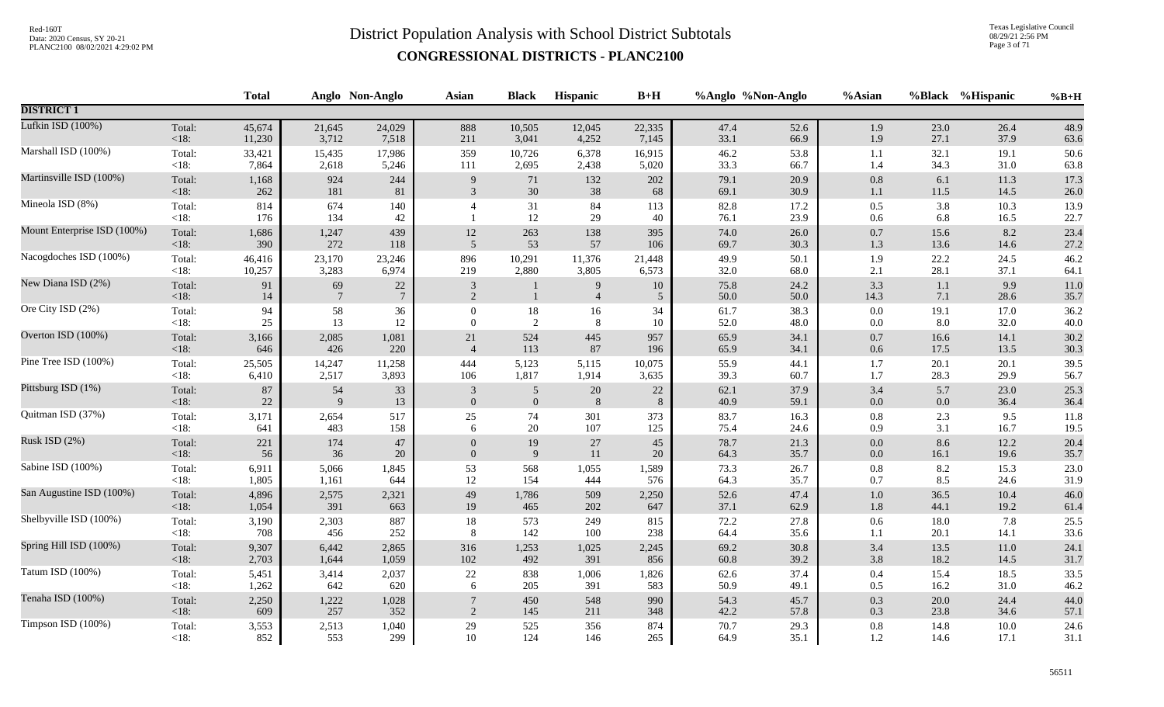Texas Legislative Council 08/29/21 2:56 PM Page 3 of 71

|                             |                 | <b>Total</b> |                       | Anglo Non-Anglo      | <b>Asian</b>                   | <b>Black</b>     | Hispanic            | $B+H$                |              | %Anglo %Non-Anglo | %Asian         |            | %Black %Hispanic | $%B+H$       |
|-----------------------------|-----------------|--------------|-----------------------|----------------------|--------------------------------|------------------|---------------------|----------------------|--------------|-------------------|----------------|------------|------------------|--------------|
| <b>DISTRICT 1</b>           |                 |              |                       |                      |                                |                  |                     |                      |              |                   |                |            |                  |              |
| Lufkin ISD (100%)           | Total:          | 45,674       | 21,645                | 24,029               | 888                            | 10,505           | 12,045              | 22,335               | 47.4         | 52.6              | 1.9            | 23.0       | 26.4             | 48.9         |
|                             | $<18$ :         | 11,230       | 3,712                 | 7,518                | 211                            | 3,041            | 4,252               | 7,145                | 33.1         | 66.9              | 1.9            | 27.1       | 37.9             | 63.6         |
| Marshall ISD (100%)         | Total:          | 33,421       | 15,435                | 17,986               | 359                            | 10,726           | 6,378               | 16,915               | 46.2         | 53.8              | 1.1            | 32.1       | 19.1             | 50.6         |
|                             | $<18$ :         | 7,864        | 2,618                 | 5,246                | 111                            | 2,695            | 2,438               | 5,020                | 33.3         | 66.7              | 1.4            | 34.3       | 31.0             | 63.8         |
| Martinsville ISD (100%)     | Total:          | 1,168        | 924                   | 244                  | 9                              | $71\,$           | 132                 | 202                  | 79.1         | 20.9              | $0.8\,$        | 6.1        | 11.3             | 17.3         |
|                             | $<18$ :         | 262          | 181                   | 81                   | 3                              | $30\,$           | 38                  | 68                   | 69.1         | 30.9              | $1.1\,$        | 11.5       | 14.5             | 26.0         |
| Mineola ISD (8%)            | Total:<br>< 18: | 814<br>176   | 674<br>134            | 140<br>42            | $\overline{4}$                 | 31<br>12         | 84<br>29            | 113<br>40            | 82.8<br>76.1 | 17.2<br>23.9      | 0.5<br>$0.6\,$ | 3.8<br>6.8 | 10.3<br>16.5     | 13.9<br>22.7 |
| Mount Enterprise ISD (100%) | Total:          | 1,686        | 1,247                 | 439                  | $12\,$                         | 263              | 138                 | 395                  | 74.0         | 26.0              | $0.7\,$        | 15.6       | 8.2              | 23.4         |
|                             | < 18:           | 390          | 272                   | 118                  | 5                              | 53               | 57                  | 106                  | 69.7         | 30.3              | $1.3$          | 13.6       | 14.6             | 27.2         |
| Nacogdoches ISD (100%)      | Total:          | 46,416       | 23,170                | 23,246               | 896                            | 10,291           | 11,376              | 21,448               | 49.9         | 50.1              | 1.9            | 22.2       | 24.5             | 46.2         |
|                             | $<18$ :         | 10,257       | 3,283                 | 6,974                | 219                            | 2,880            | 3,805               | 6,573                | 32.0         | 68.0              | $2.1$          | 28.1       | 37.1             | 64.1         |
| New Diana ISD (2%)          | Total:<br><18:  | 91<br>14     | 69<br>$7\phantom{.0}$ | 22<br>$\overline{7}$ | $\mathbf{3}$<br>$\overline{2}$ | $\mathbf{1}$     | 9<br>$\overline{4}$ | 10<br>$\mathfrak{S}$ | 75.8<br>50.0 | 24.2<br>50.0      | 3.3<br>14.3    | 1.1<br>7.1 | 9.9<br>28.6      | 11.0<br>35.7 |
| Ore City ISD (2%)           | Total:          | 94           | 58                    | 36                   | $\mathbf{0}$                   | $18\,$           | 16                  | 34                   | 61.7         | 38.3              | 0.0            | 19.1       | 17.0             | 36.2         |
|                             | $<18$ :         | 25           | 13                    | $12\,$               | $\Omega$                       | 2                | $\,8\,$             | 10                   | 52.0         | 48.0              | $0.0\,$        | 8.0        | 32.0             | 40.0         |
| Overton ISD (100%)          | Total:          | 3,166        | 2,085                 | 1,081                | $21\,$                         | 524              | 445                 | 957                  | 65.9         | 34.1              | $0.7\,$        | 16.6       | 14.1             | 30.2         |
|                             | <18:            | 646          | 426                   | 220                  | $\overline{4}$                 | 113              | 87                  | 196                  | 65.9         | 34.1              | $0.6\,$        | 17.5       | 13.5             | 30.3         |
| Pine Tree ISD (100%)        | Total:          | 25,505       | 14,247                | 11,258               | 444                            | 5,123            | 5,115               | 10,075               | 55.9         | 44.1              | 1.7            | 20.1       | 20.1             | 39.5         |
|                             | $<18$ :         | 6,410        | 2,517                 | 3,893                | 106                            | 1,817            | 1,914               | 3,635                | 39.3         | 60.7              | $1.7\,$        | 28.3       | 29.9             | 56.7         |
| Pittsburg ISD (1%)          | Total:          | 87           | 54                    | 33                   | $\mathfrak{Z}$                 | $\overline{5}$   | 20                  | 22                   | 62.1         | 37.9              | $3.4$          | 5.7        | 23.0             | 25.3         |
|                             | <18:            | $22\,$       | $\overline{9}$        | 13                   | $\boldsymbol{0}$               | $\boldsymbol{0}$ | $\,8\,$             | $\,8\,$              | 40.9         | 59.1              | 0.0            | $0.0\,$    | 36.4             | 36.4         |
| Quitman ISD (37%)           | Total:          | 3,171        | 2,654                 | 517                  | 25                             | 74               | 301                 | 373                  | 83.7         | 16.3              | $\rm 0.8$      | 2.3        | 9.5              | 11.8         |
|                             | $<18$ :         | 641          | 483                   | 158                  | 6                              | 20               | 107                 | 125                  | 75.4         | 24.6              | 0.9            | 3.1        | 16.7             | 19.5         |
| Rusk ISD (2%)               | Total:          | 221          | 174                   | 47                   | $\theta$                       | 19               | 27                  | 45                   | 78.7         | 21.3              | $0.0\,$        | 8.6        | 12.2             | 20.4         |
|                             | $<18$ :         | 56           | 36                    | $20\,$               | $\mathbf{0}$                   | $\overline{9}$   | 11                  | $20\,$               | 64.3         | 35.7              | $0.0\,$        | 16.1       | 19.6             | 35.7         |
| Sabine ISD (100%)           | Total:          | 6,911        | 5,066                 | 1,845                | 53                             | 568              | 1,055               | 1,589                | 73.3         | 26.7              | 0.8            | 8.2        | 15.3             | 23.0         |
|                             | $<18$ :         | 1,805        | 1,161                 | 644                  | $12\,$                         | 154              | 444                 | 576                  | 64.3         | 35.7              | $0.7\,$        | 8.5        | 24.6             | 31.9         |
| San Augustine ISD (100%)    | Total:          | 4,896        | 2,575                 | 2,321                | 49                             | 1,786            | 509                 | 2,250                | 52.6         | 47.4              | $1.0\,$        | 36.5       | 10.4             | 46.0         |
|                             | <18:            | 1,054        | 391                   | 663                  | 19                             | 465              | 202                 | 647                  | 37.1         | 62.9              | $1.8\,$        | 44.1       | 19.2             | 61.4         |
| Shelbyville ISD (100%)      | Total:          | 3,190        | 2,303                 | 887                  | 18                             | 573              | 249                 | 815                  | 72.2         | 27.8              | 0.6            | 18.0       | 7.8              | 25.5         |
|                             | $<18$ :         | 708          | 456                   | 252                  | 8                              | 142              | 100                 | 238                  | 64.4         | 35.6              | 1.1            | 20.1       | 14.1             | 33.6         |
| Spring Hill ISD (100%)      | Total:          | 9,307        | 6,442                 | 2,865                | 316                            | 1,253            | 1,025               | 2,245                | 69.2         | 30.8              | $3.4$          | 13.5       | 11.0             | 24.1         |
|                             | $<18$ :         | 2,703        | 1,644                 | 1,059                | 102                            | 492              | 391                 | 856                  | 60.8         | 39.2              | 3.8            | 18.2       | 14.5             | 31.7         |
| Tatum ISD (100%)            | Total:          | 5,451        | 3,414                 | 2,037                | 22                             | 838              | 1,006               | 1,826                | 62.6         | 37.4              | $0.4\,$        | 15.4       | 18.5             | 33.5         |
|                             | <18:            | 1,262        | 642                   | 620                  | 6                              | 205              | 391                 | 583                  | 50.9         | 49.1              | 0.5            | 16.2       | 31.0             | 46.2         |
| Tenaha ISD (100%)           | Total:          | 2,250        | 1,222                 | 1,028                | $\overline{7}$                 | 450              | 548                 | 990                  | 54.3         | 45.7              | 0.3            | 20.0       | 24.4             | 44.0         |
|                             | $<18$ :         | 609          | 257                   | 352                  | $\overline{2}$                 | 145              | 211                 | 348                  | 42.2         | 57.8              | $0.3\,$        | 23.8       | 34.6             | 57.1         |
| Timpson ISD (100%)          | Total:          | 3,553        | 2,513                 | 1,040                | 29                             | 525              | 356                 | 874                  | 70.7         | 29.3              | $0.8\,$        | 14.8       | 10.0             | 24.6         |
|                             | $<18$ :         | 852          | 553                   | 299                  | 10                             | 124              | 146                 | 265                  | 64.9         | 35.1              | $1.2\,$        | 14.6       | 17.1             | 31.1         |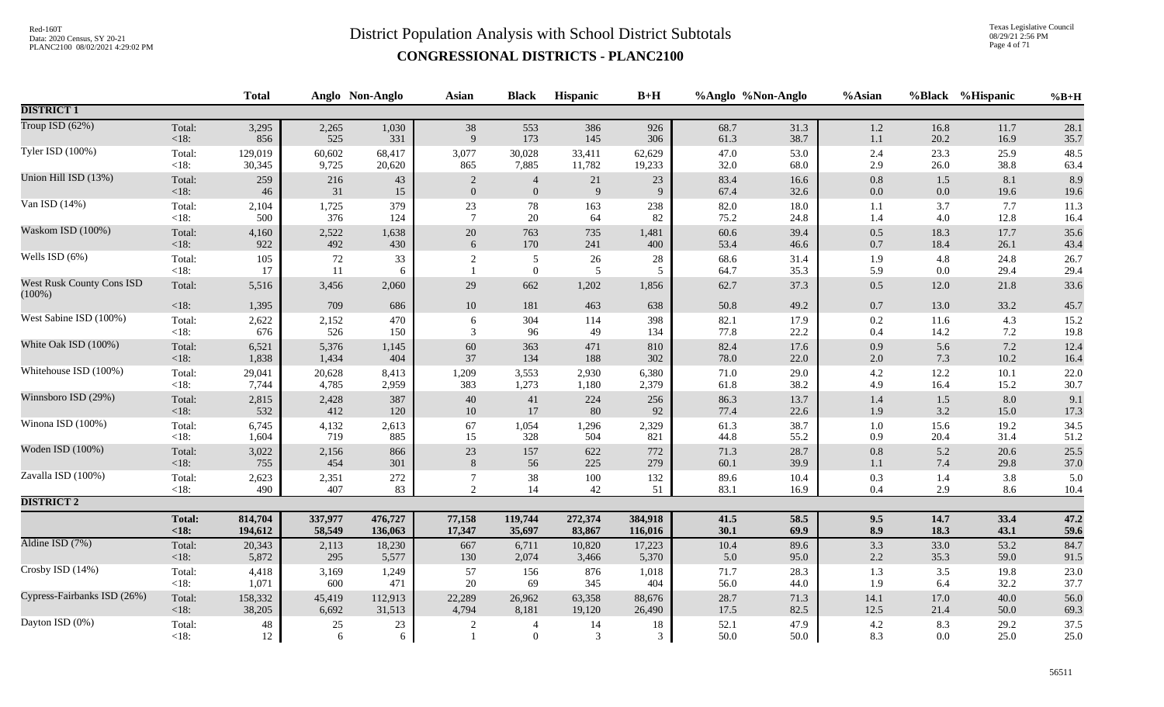Texas Legislative Council 08/29/21 2:56 PM Page 4 of 71

|                                               |                   | <b>Total</b>      |             | Anglo Non-Anglo | <b>Asian</b>     | <b>Black</b>                     | Hispanic       | $B+H$       | %Anglo %Non-Anglo |              | %Asian         |                | %Black %Hispanic | $%B+H$       |
|-----------------------------------------------|-------------------|-------------------|-------------|-----------------|------------------|----------------------------------|----------------|-------------|-------------------|--------------|----------------|----------------|------------------|--------------|
| <b>DISTRICT 1</b>                             |                   |                   |             |                 |                  |                                  |                |             |                   |              |                |                |                  |              |
| Troup ISD (62%)                               | Total:            | 3,295             | 2,265       | 1,030           | 38               | 553                              | 386            | 926         | 68.7              | 31.3         | $1.2\,$        | 16.8           | 11.7             | 28.1         |
|                                               | $<18$ :           | 856               | 525         | 331             | $\mathbf Q$      | 173                              | 145            | 306         | 61.3              | 38.7         | $1.1\,$        | 20.2           | 16.9             | 35.7         |
| Tyler ISD (100%)                              | Total:            | 129,019           | 60,602      | 68,417          | 3,077            | 30,028                           | 33,411         | 62,629      | 47.0              | 53.0         | 2.4            | 23.3           | 25.9             | 48.5         |
|                                               | $<18$ :           | 30,345            | 9,725       | 20,620          | 865              | 7,885                            | 11,782         | 19,233      | 32.0              | 68.0         | 2.9            | 26.0           | 38.8             | 63.4         |
| Union Hill ISD (13%)                          | Total:            | 259               | 216         | 43              | $\overline{c}$   | $\overline{4}$                   | 21             | 23          | 83.4              | 16.6         | $0.8\,$        | 1.5            | 8.1              | 8.9          |
|                                               | $<18$ :           | 46                | 31          | 15              | $\boldsymbol{0}$ | $\boldsymbol{0}$                 | $\overline{9}$ | 9           | 67.4              | 32.6         | $0.0\,$        | 0.0            | 19.6             | 19.6         |
| Van ISD (14%)                                 | Total:            | 2,104             | 1,725       | 379             | $23\,$           | 78                               | 163            | 238         | 82.0              | 18.0         | 1.1            | 3.7            | 7.7              | 11.3         |
|                                               | < 18:             | 500               | 376         | 124             | $7\phantom{.0}$  | 20                               | 64             | 82          | 75.2              | 24.8         | 1.4            | 4.0            | 12.8             | 16.4         |
| Waskom ISD (100%)                             | Total:            | 4,160             | 2,522       | 1,638           | $20\,$           | 763                              | 735            | 1,481       | 60.6              | 39.4         | $0.5\,$        | 18.3           | 17.7             | 35.6         |
|                                               | <18:              | 922               | 492         | 430             | $\sqrt{6}$       | 170                              | 241            | 400         | 53.4              | 46.6         | $0.7\,$        | 18.4           | 26.1             | 43.4         |
| Wells ISD (6%)                                | Total:<br><18:    | 105<br>17         | 72<br>11    | 33<br>6         | $\sqrt{2}$       | $\sqrt{5}$<br>$\mathbf{0}$       | 26<br>5        | $28\,$<br>5 | 68.6<br>64.7      | 31.4<br>35.3 | 1.9<br>5.9     | 4.8<br>0.0     | 24.8<br>29.4     | 26.7<br>29.4 |
| <b>West Rusk County Cons ISD</b><br>$(100\%)$ | Total:            | 5,516             | 3,456       | 2,060           | 29               | 662                              | 1,202          | 1,856       | 62.7              | 37.3         | 0.5            | 12.0           | 21.8             | 33.6         |
|                                               | $<18$ :           | 1,395             | 709         | 686             | 10               | 181                              | 463            | 638         | 50.8              | 49.2         | $0.7\,$        | 13.0           | 33.2             | 45.7         |
| West Sabine ISD (100%)                        | Total:            | 2,622             | 2,152       | 470             | 6                | 304                              | 114            | 398         | 82.1              | 17.9         | $0.2\,$        | 11.6           | 4.3              | 15.2         |
|                                               | < 18:             | 676               | 526         | 150             | 3                | 96                               | 49             | 134         | 77.8              | 22.2         | 0.4            | 14.2           | 7.2              | 19.8         |
| White Oak ISD (100%)                          | Total:            | 6,521             | 5,376       | 1,145           | 60               | 363                              | 471            | 810         | 82.4              | 17.6         | $0.9\,$        | 5.6            | 7.2              | 12.4         |
|                                               | <18:              | 1,838             | 1,434       | 404             | 37               | 134                              | 188            | 302         | 78.0              | 22.0         | $2.0\,$        | 7.3            | 10.2             | 16.4         |
| Whitehouse ISD (100%)                         | Total:            | 29,041            | 20,628      | 8,413           | 1,209            | 3,553                            | 2,930          | 6,380       | 71.0              | 29.0         | 4.2            | 12.2           | 10.1             | 22.0         |
|                                               | <18:              | 7,744             | 4,785       | 2,959           | 383              | 1,273                            | 1,180          | 2,379       | 61.8              | 38.2         | 4.9            | 16.4           | 15.2             | 30.7         |
| Winnsboro ISD (29%)                           | Total:            | 2,815             | 2,428       | 387             | 40               | 41                               | 224            | 256         | 86.3              | 13.7         | 1.4            | 1.5            | 8.0              | 9.1          |
|                                               | $<18$ :           | 532               | 412         | 120             | 10               | 17                               | 80             | 92          | 77.4              | 22.6         | 1.9            | 3.2            | 15.0             | 17.3         |
| Winona ISD (100%)                             | Total:            | 6,745             | 4,132       | 2,613           | 67               | 1,054                            | 1,296          | 2,329       | 61.3              | 38.7         | $1.0\,$        | 15.6           | 19.2             | 34.5         |
|                                               | <18:              | 1,604             | 719         | 885             | 15               | 328                              | 504            | 821         | 44.8              | 55.2         | 0.9            | 20.4           | 31.4             | 51.2         |
| Woden ISD (100%)                              | Total:            | 3,022             | 2,156       | 866             | $23\,$           | 157                              | 622            | 772         | 71.3              | 28.7         | $0.8\,$        | 5.2            | 20.6             | 25.5         |
|                                               | <18:              | 755               | 454         | 301             | 8                | 56                               | 225            | 279         | 60.1              | 39.9         | 1.1            | 7.4            | 29.8             | 37.0         |
| Zavalla ISD (100%)                            | Total:            | 2,623             | 2,351       | 272             | $\overline{7}$   | 38                               | 100            | 132         | 89.6              | 10.4         | 0.3            | 1.4            | 3.8              | 5.0          |
|                                               | <18:              | 490               | 407         | 83              | $\overline{2}$   | $14\,$                           | $42\,$         | 51          | 83.1              | 16.9         | $0.4\,$        | 2.9            | 8.6              | 10.4         |
| <b>DISTRICT 2</b>                             |                   |                   |             |                 |                  |                                  |                |             |                   |              |                |                |                  |              |
|                                               | <b>Total:</b>     | 814,704           | 337,977     | 476,727         | 77,158           | 119,744                          | 272,374        | 384,918     | 41.5              | 58.5         | 9.5            | 14.7           | 33.4             | 47.2         |
|                                               | < 18:             | 194,612           | 58,549      | 136,063         | 17,347           | 35,697                           | 83,867         | 116,016     | 30.1              | 69.9         | 8.9            | 18.3           | 43.1             | 59.6         |
| Aldine ISD (7%)                               | Total:            | 20,343            | 2,113       | 18,230          | 667              | 6,711                            | 10,820         | 17,223      | 10.4              | 89.6         | 3.3            | 33.0           | 53.2             | 84.7         |
|                                               | $<18$ :           | 5,872             | 295         | 5,577           | 130              | 2,074                            | 3,466          | 5,370       | 5.0               | 95.0         | $2.2\,$        | 35.3           | 59.0             | 91.5         |
| Crosby ISD (14%)                              | Total:            | 4,418             | 3,169       | 1,249           | 57               | 156                              | 876            | 1,018       | 71.7              | 28.3         | 1.3            | 3.5            | 19.8             | 23.0         |
|                                               | < 18:             | 1,071             | 600         | 471             | 20               | 69                               | 345            | 404         | 56.0              | 44.0         | 1.9            | 6.4            | 32.2             | 37.7         |
| Cypress-Fairbanks ISD (26%)                   | Total:            | 158,332           | 45,419      | 112,913         | 22,289           | 26,962                           | 63,358         | 88,676      | 28.7              | 71.3         | 14.1           | 17.0           | 40.0             | 56.0         |
|                                               | $<18$ :           | 38,205            | 6,692       | 31,513          | 4,794            | 8,181                            | 19,120         | 26,490      | 17.5              | 82.5         | 12.5           | 21.4           | 50.0             | 69.3         |
| Dayton ISD (0%)                               | Total:<br>$<18$ : | $\sqrt{48}$<br>12 | $25\,$<br>6 | 23<br>6         | $\overline{2}$   | $\overline{4}$<br>$\overline{0}$ | 14<br>3        | $18\,$<br>3 | 52.1<br>50.0      | 47.9<br>50.0 | $4.2\,$<br>8.3 | 8.3<br>$0.0\,$ | 29.2<br>25.0     | 37.5<br>25.0 |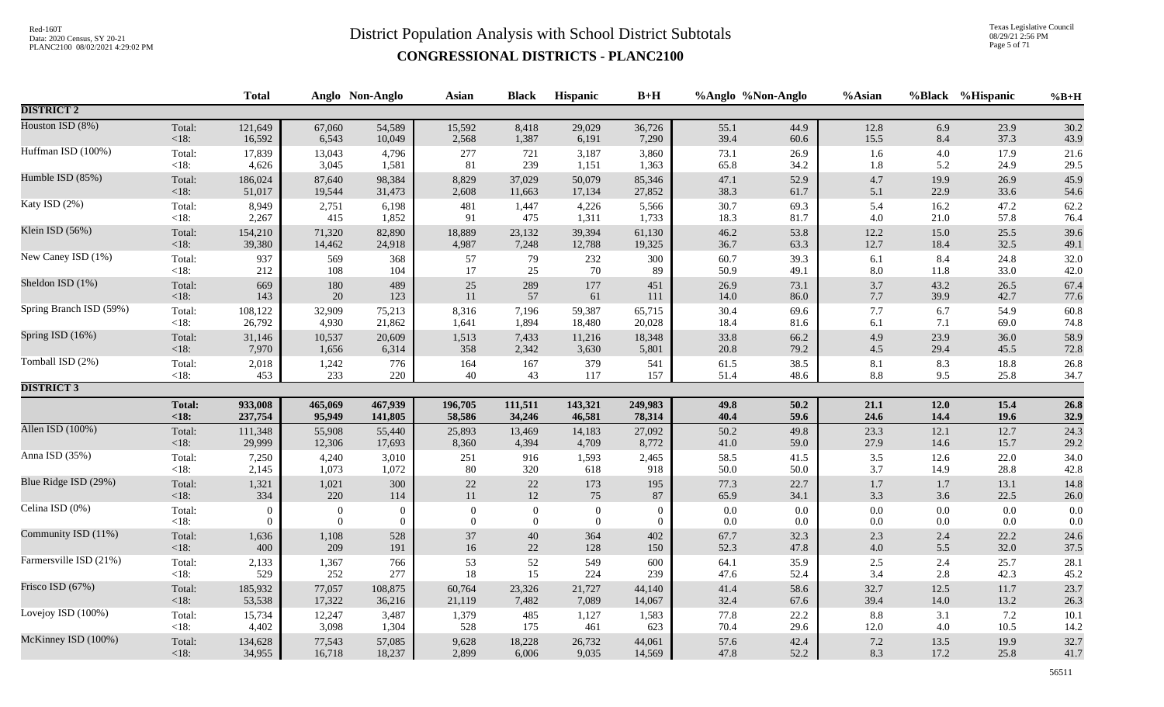Texas Legislative Council 08/29/21 2:56 PM Page 5 of 71

|                         |                    | <b>Total</b>   |                  | Anglo Non-Anglo | <b>Asian</b>     | <b>Black</b>     | Hispanic         | $B+H$      |              | %Anglo %Non-Anglo | %Asian            |            | %Black %Hispanic | $%B+H$       |
|-------------------------|--------------------|----------------|------------------|-----------------|------------------|------------------|------------------|------------|--------------|-------------------|-------------------|------------|------------------|--------------|
| <b>DISTRICT 2</b>       |                    |                |                  |                 |                  |                  |                  |            |              |                   |                   |            |                  |              |
| Houston ISD (8%)        | Total:             | 121,649        | 67,060           | 54,589          | 15,592           | 8,418            | 29,029           | 36,726     | 55.1         | 44.9              | 12.8              | 6.9        | 23.9             | 30.2         |
|                         | $<18$ :            | 16,592         | 6,543            | 10,049          | 2,568            | 1,387            | 6,191            | 7,290      | 39.4         | 60.6              | 15.5              | 8.4        | 37.3             | 43.9         |
| Huffman ISD (100%)      | Total:             | 17,839         | 13,043           | 4,796           | 277              | 721              | 3,187            | 3,860      | 73.1         | 26.9              | 1.6               | 4.0        | 17.9             | 21.6         |
|                         | <18:               | 4,626          | 3,045            | 1,581           | 81               | 239              | 1,151            | 1,363      | 65.8         | 34.2              | 1.8               | 5.2        | 24.9             | 29.5         |
| Humble ISD (85%)        | Total:             | 186,024        | 87,640           | 98,384          | 8,829            | 37,029           | 50,079           | 85,346     | 47.1         | 52.9              | 4.7               | 19.9       | 26.9             | 45.9         |
|                         | < 18:              | 51,017         | 19,544           | 31,473          | 2,608            | 11,663           | 17,134           | 27,852     | 38.3         | 61.7              | 5.1               | 22.9       | 33.6             | 54.6         |
| Katy ISD (2%)           | Total:             | 8,949          | 2,751            | 6,198           | 481              | 1,447            | 4,226            | 5,566      | 30.7         | 69.3              | 5.4               | 16.2       | 47.2             | 62.2         |
|                         | <18:               | 2,267          | 415              | 1,852           | 91               | 475              | 1,311            | 1,733      | 18.3         | 81.7              | 4.0               | 21.0       | 57.8             | 76.4         |
| Klein ISD (56%)         | Total:             | 154,210        | 71,320           | 82,890          | 18,889           | 23,132           | 39,394           | 61,130     | 46.2         | 53.8              | 12.2              | 15.0       | 25.5             | 39.6         |
|                         | < 18:              | 39,380         | 14,462           | 24,918          | 4,987            | 7,248            | 12,788           | 19,325     | 36.7         | 63.3              | 12.7              | 18.4       | 32.5             | 49.1         |
| New Caney ISD (1%)      | Total:             | 937            | 569              | 368             | 57               | 79               | 232              | 300        | 60.7         | 39.3              | 6.1               | 8.4        | 24.8             | 32.0         |
|                         | <18:               | 212            | 108              | 104             | 17               | 25               | 70               | 89         | 50.9         | 49.1              | 8.0               | 11.8       | 33.0             | 42.0         |
| Sheldon ISD (1%)        | Total:             | 669            | 180              | 489             | 25               | 289              | 177              | 451        | 26.9         | 73.1              | 3.7               | 43.2       | 26.5             | 67.4         |
|                         | $<18$ :            | 143            | 20               | 123             | 11               | 57               | 61               | 111        | 14.0         | 86.0              | $7.7\,$           | 39.9       | 42.7             | 77.6         |
| Spring Branch ISD (59%) | Total:             | 108,122        | 32,909           | 75,213          | 8,316            | 7,196            | 59,387           | 65,715     | 30.4         | 69.6              | 7.7               | 6.7        | 54.9             | 60.8         |
|                         | $< 18$ :           | 26,792         | 4,930            | 21,862          | 1,641            | 1,894            | 18,480           | 20,028     | 18.4         | 81.6              | 6.1               | 7.1        | 69.0             | 74.8         |
| Spring ISD (16%)        | Total:             | 31,146         | 10,537           | 20,609          | 1,513            | 7,433            | 11,216           | 18,348     | 33.8         | 66.2              | 4.9               | 23.9       | 36.0             | 58.9         |
|                         | $<18$ :            | 7,970          | 1,656            | 6,314           | 358              | 2,342            | 3,630            | 5,801      | 20.8         | 79.2              | $4.5\,$           | 29.4       | 45.5             | 72.8         |
| Tomball ISD (2%)        | Total:             | 2,018          | 1,242            | 776             | 164              | 167              | 379              | 541        | 61.5         | 38.5              | $8.1\,$           | 8.3        | 18.8             | 26.8         |
|                         | $<18$ :            | 453            | 233              | 220             | 40               | 43               | 117              | 157        | 51.4         | 48.6              | 8.8               | 9.5        | 25.8             | 34.7         |
| <b>DISTRICT 3</b>       |                    |                |                  |                 |                  |                  |                  |            |              |                   |                   |            |                  |              |
|                         | <b>Total:</b>      | 933,008        | 465,069          | 467,939         | 196,705          | 111,511          | 143,321          | 249,983    | 49.8         | 50.2              | 21.1              | 12.0       | 15.4             | 26.8         |
|                         | <18:               | 237,754        | 95,949           | 141,805         | 58,586           | 34,246           | 46,581           | 78,314     | 40.4         | 59.6              | 24.6              | 14.4       | 19.6             | 32.9         |
| Allen ISD (100%)        | Total:             | 111,348        | 55,908           | 55,440          | 25,893           | 13,469           | 14,183           | 27,092     | 50.2         | 49.8              | 23.3              | 12.1       | 12.7             | 24.3         |
|                         | < 18:              | 29,999         | 12,306           | 17,693          | 8,360            | 4,394            | 4,709            | 8,772      | 41.0         | 59.0              | 27.9              | 14.6       | 15.7             | 29.2         |
| Anna ISD (35%)          | Total:             | 7,250          | 4,240            | 3,010           | 251              | 916              | 1,593            | 2,465      | 58.5         | 41.5              | $3.5\,$           | 12.6       | 22.0             | 34.0         |
|                         | $< 18$ :           | 2,145          | 1,073            | 1,072           | $80\,$           | 320              | 618              | 918        | 50.0         | 50.0              | 3.7               | 14.9       | 28.8             | 42.8         |
| Blue Ridge ISD (29%)    | Total:             | 1,321          | 1,021            | 300             | $22\,$           | $22\,$           | 173              | 195        | 77.3         | 22.7              | $1.7\,$           | 1.7        | 13.1             | 14.8         |
|                         | $<18$ :            | 334            | 220              | 114             | $11\,$           | $12\,$           | 75               | 87         | 65.9         | 34.1              | 3.3               | 3.6        | 22.5             | 26.0         |
| Celina ISD (0%)         | Total:             | $\overline{0}$ | $\overline{0}$   | $\overline{0}$  | $\boldsymbol{0}$ | $\boldsymbol{0}$ | $\boldsymbol{0}$ | $\Omega$   | 0.0          | 0.0               | $0.0\,$           | $0.0\,$    | 0.0              | $0.0\,$      |
|                         | $< 18$ :           | $\Omega$       | $\boldsymbol{0}$ | $\mathbf{0}$    | $\overline{0}$   | $\mathbf{0}$     | $\overline{0}$   | $\Omega$   | 0.0          | $0.0\,$           | $0.0\,$           | $0.0\,$    | 0.0              | 0.0          |
| Community ISD (11%)     | Total:             | 1,636          | 1,108            | 528             | 37               | $40\,$           | 364              | 402        | 67.7         | 32.3              | 2.3               | 2.4        | 22.2             | 24.6         |
|                         | $<18$ :            | 400            | 209              | 191             | $16\,$           | 22               | 128              | 150        | 52.3         | 47.8              | $4.0\,$           | 5.5        | 32.0             | 37.5         |
| Farmersville ISD (21%)  | Total:<br>$< 18$ : | 2,133<br>529   | 1,367<br>252     | 766<br>277      | 53<br>18         | 52<br>15         | 549<br>224       | 600<br>239 | 64.1<br>47.6 | 35.9<br>52.4      | $\frac{2.5}{3.4}$ | 2.4<br>2.8 | 25.7<br>42.3     | 28.1<br>45.2 |
| Frisco ISD (67%)        | Total:             | 185,932        | 77,057           | 108,875         | 60,764           | 23,326           | 21,727           | 44,140     | 41.4         | 58.6              | 32.7              | 12.5       | 11.7             | 23.7         |
|                         | < 18:              | 53,538         | 17,322           | 36,216          | 21,119           | 7,482            | 7,089            | 14,067     | 32.4         | 67.6              | 39.4              | 14.0       | 13.2             | 26.3         |
| Lovejoy ISD (100%)      | Total:             | 15,734         | 12,247           | 3,487           | 1,379            | 485              | 1,127            | 1,583      | 77.8         | 22.2              | 8.8               | 3.1        | 7.2              | 10.1         |
|                         | <18:               | 4,402          | 3,098            | 1,304           | 528              | 175              | 461              | 623        | 70.4         | 29.6              | 12.0              | 4.0        | 10.5             | 14.2         |
| McKinney ISD (100%)     | Total:             | 134,628        | 77,543           | 57,085          | 9,628            | 18,228           | 26,732           | 44,061     | 57.6         | 42.4              | $7.2\,$           | 13.5       | 19.9             | 32.7         |
|                         | $<18$ :            | 34,955         | 16,718           | 18,237          | 2,899            | 6,006            | 9,035            | 14,569     | 47.8         | 52.2              | 8.3               | 17.2       | 25.8             | 41.7         |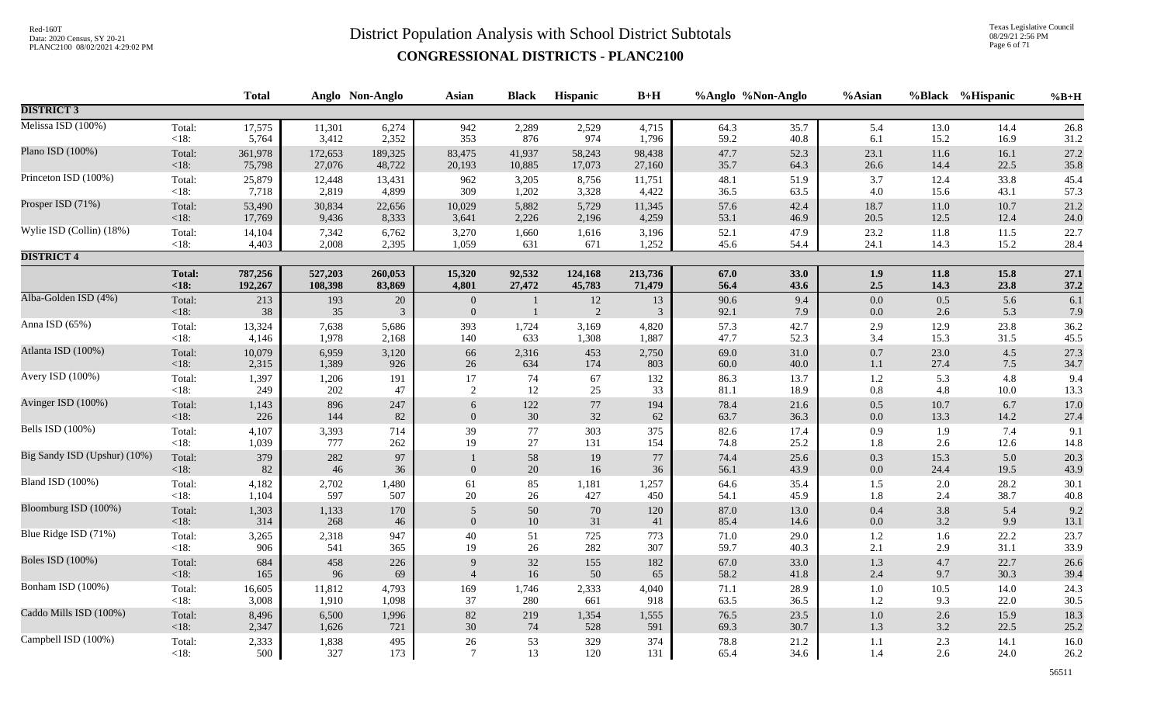Texas Legislative Council 08/29/21 2:56 PM Page 6 of 71

|                              |                 | <b>Total</b> |           | Anglo Non-Anglo | <b>Asian</b>                     | <b>Black</b> | Hispanic    | $B+H$    |              | %Anglo %Non-Anglo | %Asian             |              | %Black %Hispanic | $%B+H$       |
|------------------------------|-----------------|--------------|-----------|-----------------|----------------------------------|--------------|-------------|----------|--------------|-------------------|--------------------|--------------|------------------|--------------|
| <b>DISTRICT 3</b>            |                 |              |           |                 |                                  |              |             |          |              |                   |                    |              |                  |              |
| Melissa ISD (100%)           | Total:          | 17,575       | 11,301    | 6,274           | 942                              | 2,289        | 2,529       | 4,715    | 64.3         | 35.7              | 5.4                | 13.0         | 14.4             | 26.8         |
|                              | $<18$ :         | 5,764        | 3,412     | 2,352           | 353                              | 876          | 974         | 1,796    | 59.2         | 40.8              | 6.1                | 15.2         | 16.9             | 31.2         |
| Plano ISD (100%)             | Total:          | 361,978      | 172,653   | 189,325         | 83,475                           | 41,937       | 58,243      | 98,438   | 47.7         | 52.3              | 23.1               | 11.6         | 16.1             | 27.2         |
|                              | < 18:           | 75,798       | 27,076    | 48,722          | 20,193                           | 10,885       | 17,073      | 27,160   | 35.7         | 64.3              | 26.6               | 14.4         | 22.5             | 35.8         |
| Princeton ISD (100%)         | Total:          | 25,879       | 12,448    | 13,431          | 962                              | 3,205        | 8,756       | 11,751   | 48.1         | 51.9              | $3.7\,$            | 12.4         | 33.8             | 45.4         |
|                              | $<18$ :         | 7,718        | 2,819     | 4,899           | 309                              | 1,202        | 3,328       | 4,422    | 36.5         | 63.5              | 4.0                | 15.6         | 43.1             | 57.3         |
| Prosper ISD (71%)            | Total:          | 53,490       | 30,834    | 22,656          | 10,029                           | 5,882        | 5,729       | 11,345   | 57.6         | 42.4              | 18.7               | 11.0         | 10.7             | 21.2         |
|                              | < 18:           | 17,769       | 9,436     | 8,333           | 3,641                            | 2,226        | 2,196       | 4,259    | 53.1         | 46.9              | 20.5               | 12.5         | 12.4             | 24.0         |
| Wylie ISD (Collin) (18%)     | Total:          | 14,104       | 7,342     | 6,762           | 3,270                            | 1,660        | 1,616       | 3,196    | 52.1         | 47.9              | 23.2               | 11.8         | 11.5             | 22.7         |
|                              | $<18$ :         | 4,403        | 2,008     | 2,395           | 1,059                            | 631          | 671         | 1,252    | 45.6         | 54.4              | 24.1               | 14.3         | 15.2             | 28.4         |
| <b>DISTRICT 4</b>            |                 |              |           |                 |                                  |              |             |          |              |                   |                    |              |                  |              |
|                              | <b>Total:</b>   | 787,256      | 527,203   | 260,053         | 15,320                           | 92,532       | 124,168     | 213,736  | 67.0         | 33.0              | 1.9                | 11.8         | 15.8             | 27.1         |
|                              | < 18:           | 192,267      | 108,398   | 83,869          | 4,801                            | 27,472       | 45,783      | 71,479   | 56.4         | 43.6              | $2.5\,$            | 14.3         | 23.8             | 37.2         |
| Alba-Golden ISD (4%)         | Total:<br><18:  | 213<br>38    | 193<br>35 | $20\,$<br>3     | $\boldsymbol{0}$<br>$\mathbf{0}$ |              | $12\,$<br>2 | 13<br>3  | 90.6<br>92.1 | 9.4<br>7.9        | $0.0\,$<br>$0.0\,$ | 0.5<br>2.6   | 5.6<br>5.3       | 6.1<br>7.9   |
| Anna ISD (65%)               | Total:          | 13,324       | 7,638     | 5,686           | 393                              | 1,724        | 3,169       | 4,820    | 57.3         | 42.7              | $2.9\,$            | 12.9         | 23.8             | 36.2         |
|                              | <18:            | 4,146        | 1,978     | 2,168           | 140                              | 633          | 1,308       | 1,887    | 47.7         | 52.3              | 3.4                | 15.3         | 31.5             | 45.5         |
| Atlanta ISD (100%)           | Total:          | 10,079       | 6,959     | 3,120           | 66                               | 2,316        | 453         | 2,750    | 69.0         | 31.0              | $0.7\,$            | 23.0         | 4.5              | 27.3         |
|                              | < 18:           | 2,315        | 1,389     | 926             | $26\,$                           | 634          | 174         | 803      | 60.0         | 40.0              | $1.1\,$            | 27.4         | $7.5$            | 34.7         |
| Avery ISD (100%)             | Total:          | 1,397        | 1,206     | 191             | 17                               | 74           | 67          | 132      | 86.3         | 13.7              | 1.2                | 5.3          | 4.8              | 9.4          |
|                              | $<18$ :         | 249          | 202       | 47              | 2                                | 12           | 25          | 33       | 81.1         | 18.9              | $0.8\,$            | 4.8          | 10.0             | 13.3         |
| Avinger ISD (100%)           | Total:          | 1,143        | 896       | 247             | 6                                | $122\,$      | 77          | 194      | 78.4         | 21.6              | $0.5\,$            | $10.7\,$     | 6.7              | 17.0         |
|                              | < 18:           | 226          | 144       | 82              | $\mathbf{0}$                     | 30           | 32          | 62       | 63.7         | 36.3              | $0.0\,$            | 13.3         | 14.2             | 27.4         |
| Bells ISD (100%)             | Total:          | 4,107        | 3,393     | 714             | 39                               | $77\,$       | 303         | 375      | 82.6         | 17.4              | 0.9                | 1.9          | 7.4              | 9.1          |
|                              | $<18$ :         | 1,039        | 777       | 262             | 19                               | 27           | 131         | 154      | 74.8         | 25.2              | 1.8                | 2.6          | 12.6             | 14.8         |
| Big Sandy ISD (Upshur) (10%) | Total:<br>< 18: | 379<br>82    | 282<br>46 | 97<br>36        | $\mathbf{0}$                     | 58<br>$20\,$ | 19<br>16    | 77<br>36 | 74.4<br>56.1 | 25.6<br>43.9      | 0.3<br>$0.0\,$     | 15.3<br>24.4 | 5.0<br>19.5      | 20.3<br>43.9 |
| Bland ISD (100%)             | Total:          | 4,182        | 2,702     | 1,480           | 61                               | 85           | 1,181       | 1,257    | 64.6         | 35.4              | 1.5                | 2.0          | 28.2             | 30.1         |
|                              | < 18:           | 1,104        | 597       | 507             | 20                               | 26           | 427         | 450      | 54.1         | 45.9              | 1.8                | 2.4          | 38.7             | 40.8         |
| Bloomburg ISD (100%)         | Total:          | 1,303        | 1,133     | 170             | 5                                | $50\,$       | 70          | 120      | 87.0         | 13.0              | $0.4\,$            | 3.8          | 5.4              | 9.2          |
|                              | < 18:           | 314          | 268       | 46              | $\mathbf{0}$                     | $10\,$       | 31          | 41       | 85.4         | 14.6              | $0.0\,$            | 3.2          | 9.9              | 13.1         |
| Blue Ridge ISD (71%)         | Total:          | 3,265        | 2,318     | 947             | 40                               | 51           | 725         | 773      | 71.0         | 29.0              | $1.2\,$            | 1.6          | 22.2             | 23.7         |
|                              | < 18:           | 906          | 541       | 365             | 19                               | 26           | 282         | 307      | 59.7         | 40.3              | 2.1                | 2.9          | 31.1             | 33.9         |
| <b>Boles ISD</b> (100%)      | Total:          | 684          | 458       | 226             | 9                                | 32           | 155         | 182      | 67.0         | 33.0              | $1.3$              | 4.7          | 22.7             | 26.6         |
|                              | <18:            | 165          | 96        | 69              | $\overline{4}$                   | 16           | 50          | 65       | 58.2         | 41.8              | $2.4\,$            | 9.7          | 30.3             | 39.4         |
| Bonham ISD (100%)            | Total:          | 16,605       | 11,812    | 4,793           | 169                              | 1,746        | 2,333       | 4,040    | 71.1         | 28.9              | $1.0\,$            | 10.5         | 14.0             | 24.3         |
|                              | $<18$ :         | 3,008        | 1,910     | 1,098           | 37                               | 280          | 661         | 918      | 63.5         | 36.5              | $1.2\,$            | 9.3          | 22.0             | 30.5         |
| Caddo Mills ISD (100%)       | Total:          | 8,496        | 6,500     | 1,996           | 82                               | 219          | 1,354       | 1,555    | 76.5         | 23.5              | $1.0\,$            | 2.6          | 15.9             | 18.3         |
|                              | < 18:           | 2,347        | 1,626     | 721             | 30                               | 74           | 528         | 591      | 69.3         | 30.7              | $1.3\,$            | 3.2          | 22.5             | 25.2         |
| Campbell ISD (100%)          | Total:          | 2,333        | 1,838     | 495             | $26\,$                           | 53           | 329         | 374      | 78.8         | 21.2              | $1.1\,$            | 2.3          | 14.1             | 16.0         |
|                              | $<18$ :         | 500          | 327       | 173             | $\overline{7}$                   | 13           | 120         | 131      | 65.4         | 34.6              | 1.4                | 2.6          | 24.0             | 26.2         |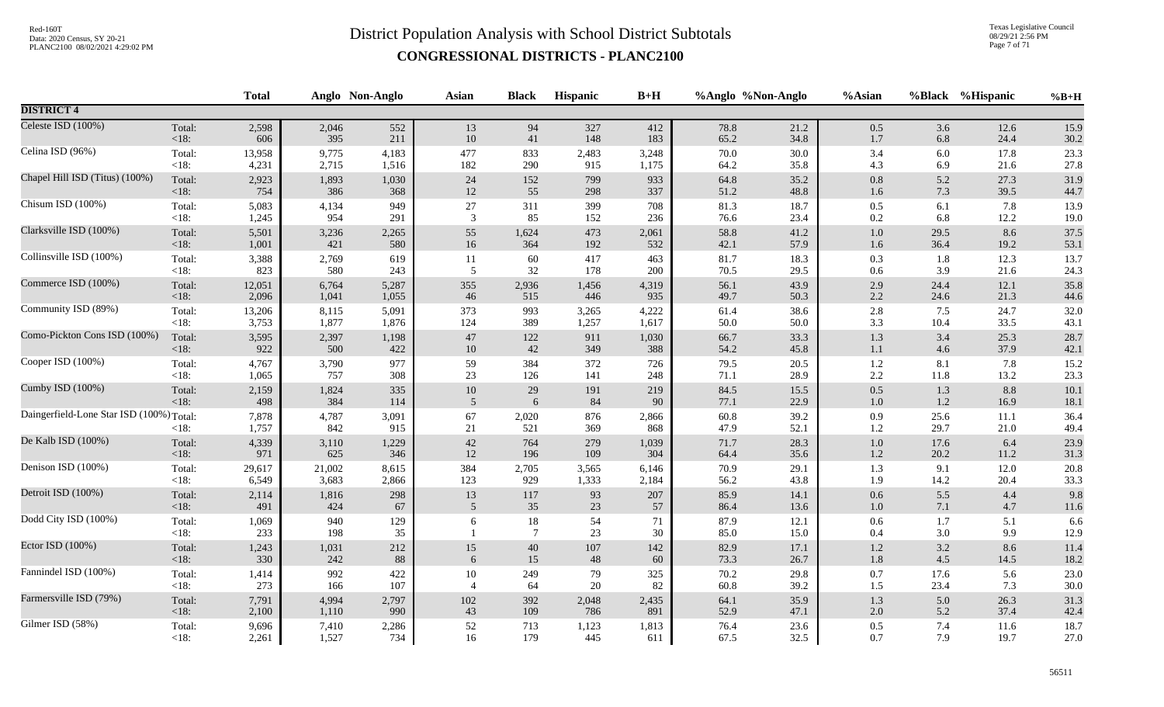Texas Legislative Council 08/29/21 2:56 PM Page 7 of 71

|                                          |                   | <b>Total</b>   |              | Anglo Non-Anglo | Asian          | <b>Black</b>          | <b>Hispanic</b> | $B+H$        |              | %Anglo %Non-Anglo | %Asian         |              | %Black %Hispanic | $%B+H$       |
|------------------------------------------|-------------------|----------------|--------------|-----------------|----------------|-----------------------|-----------------|--------------|--------------|-------------------|----------------|--------------|------------------|--------------|
| <b>DISTRICT 4</b>                        |                   |                |              |                 |                |                       |                 |              |              |                   |                |              |                  |              |
| Celeste ISD (100%)                       | Total:            | 2,598          | 2,046        | 552             | 13             | 94                    | 327             | 412          | 78.8         | 21.2              | $0.5\,$        | 3.6          | 12.6             | 15.9         |
|                                          | <18:              | 606            | 395          | 211             | 10             | 41                    | 148             | 183          | 65.2         | 34.8              | 1.7            | 6.8          | 24.4             | 30.2         |
| Celina ISD (96%)                         | Total:            | 13,958         | 9,775        | 4,183           | 477            | 833                   | 2,483           | 3,248        | 70.0         | 30.0              | 3.4            | 6.0          | 17.8             | 23.3         |
|                                          | $<18$ :           | 4,231          | 2,715        | 1,516           | 182            | 290                   | 915             | 1,175        | 64.2         | 35.8              | 4.3            | 6.9          | 21.6             | 27.8         |
| Chapel Hill ISD (Titus) (100%)           | Total:            | 2,923          | 1,893        | 1,030           | 24             | 152                   | 799             | 933          | 64.8         | 35.2              | $0.8\,$        | 5.2          | 27.3             | 31.9         |
|                                          | $<18$ :           | 754            | 386          | 368             | 12             | 55                    | 298             | 337          | 51.2         | 48.8              | 1.6            | 7.3          | 39.5             | 44.7         |
| Chisum ISD (100%)                        | Total:            | 5,083          | 4,134        | 949             | $27\,$         | 311                   | 399             | 708          | 81.3         | 18.7              | $0.5\,$        | 6.1          | 7.8              | 13.9         |
|                                          | $<18$ :           | 1,245          | 954          | 291             | 3              | 85                    | 152             | 236          | 76.6         | 23.4              | 0.2            | 6.8          | 12.2             | 19.0         |
| Clarksville ISD (100%)                   | Total:            | 5,501          | 3,236        | 2,265           | 55             | 1,624                 | 473             | 2,061        | 58.8         | 41.2              | $1.0\,$        | 29.5         | 8.6              | 37.5         |
|                                          | <18:              | 1,001          | 421          | 580             | 16             | 364                   | 192             | 532          | 42.1         | 57.9              | $1.6\,$        | 36.4         | 19.2             | 53.1         |
| Collinsville ISD (100%)                  | Total:            | 3,388          | 2,769        | 619             | $11\,$         | 60                    | 417             | 463          | 81.7         | 18.3              | 0.3            | 1.8          | 12.3             | 13.7         |
|                                          | $<18$ :           | 823            | 580          | 243             | 5              | 32                    | 178             | 200          | 70.5         | 29.5              | 0.6            | 3.9          | 21.6             | 24.3         |
| Commerce ISD (100%)                      | Total:            | 12,051         | 6,764        | 5,287           | 355            | 2,936                 | 1,456           | 4,319        | 56.1         | 43.9              | 2.9            | 24.4         | 12.1             | 35.8         |
|                                          | <18:              | 2,096          | 1,041        | 1,055           | 46             | 515                   | 446             | 935          | 49.7         | 50.3              | 2.2            | 24.6         | 21.3             | 44.6         |
| Community ISD (89%)                      | Total:            | 13,206         | 8,115        | 5,091           | 373            | 993                   | 3,265           | 4,222        | 61.4         | 38.6              | 2.8            | 7.5          | 24.7             | 32.0         |
|                                          | $<18$ :           | 3,753          | 1,877        | 1,876           | 124            | 389                   | 1,257           | 1,617        | 50.0         | 50.0              | 3.3            | 10.4         | 33.5             | 43.1         |
| Como-Pickton Cons ISD (100%)             | Total:            | 3,595          | 2,397        | 1,198           | $47\,$         | $122\,$               | 911             | 1,030        | 66.7         | 33.3              | $1.3\,$        | 3.4          | 25.3             | 28.7         |
|                                          | <18:              | 922            | 500          | 422             | $10\,$         | 42                    | 349             | 388          | 54.2         | 45.8              | $1.1\,$        | 4.6          | 37.9             | 42.1         |
| Cooper ISD (100%)                        | Total:            | 4,767          | 3,790        | 977             | 59             | 384                   | 372             | 726          | 79.5         | 20.5              | $1.2\,$        | 8.1          | 7.8              | 15.2         |
|                                          | $<18$ :           | 1,065          | 757          | 308             | 23             | 126                   | 141             | 248          | 71.1         | 28.9              | $2.2\,$        | 11.8         | 13.2             | 23.3         |
| Cumby ISD (100%)                         | Total:            | 2,159          | 1,824        | 335             | $10\,$         | 29                    | 191             | 219          | 84.5         | 15.5              | 0.5            | 1.3          | 8.8              | 10.1         |
|                                          | <18:              | 498            | 384          | 114             | 5              | 6                     | 84              | 90           | 77.1         | 22.9              | $1.0\,$        | 1.2          | 16.9             | 18.1         |
| Daingerfield-Lone Star ISD (100%) Total: | $<18$ :           | 7,878<br>1,757 | 4,787<br>842 | 3,091<br>915    | 67<br>21       | 2,020<br>521          | 876<br>369      | 2,866<br>868 | 60.8<br>47.9 | 39.2<br>52.1      | 0.9<br>1.2     | 25.6<br>29.7 | 11.1<br>21.0     | 36.4<br>49.4 |
| De Kalb ISD (100%)                       | Total:            | 4,339          | 3,110        | 1,229           | $42\,$         | 764                   | 279             | 1,039        | 71.7         | 28.3              | $1.0\,$        | 17.6         | 6.4              | 23.9         |
|                                          | <18:              | 971            | 625          | 346             | 12             | 196                   | 109             | 304          | 64.4         | 35.6              | $1.2\,$        | 20.2         | 11.2             | 31.3         |
| Denison ISD (100%)                       | Total:            | 29,617         | 21,002       | 8,615           | 384            | 2,705                 | 3,565           | 6,146        | 70.9         | 29.1              | 1.3            | 9.1          | 12.0             | 20.8         |
|                                          | $<18$ :           | 6,549          | 3,683        | 2,866           | 123            | 929                   | 1,333           | 2,184        | 56.2         | 43.8              | 1.9            | 14.2         | 20.4             | 33.3         |
| Detroit ISD (100%)                       | Total:            | 2,114          | 1,816        | 298             | 13             | 117                   | 93              | 207          | 85.9         | 14.1              | 0.6            | 5.5          | 4.4              | 9.8          |
|                                          | <18:              | 491            | 424          | 67              | 5              | 35                    | 23              | 57           | 86.4         | 13.6              | $1.0\,$        | 7.1          | 4.7              | 11.6         |
| Dodd City ISD (100%)                     | Total:<br>$<18$ : | 1,069<br>233   | 940<br>198   | 129<br>35       | 6              | 18<br>$7\phantom{.0}$ | 54<br>23        | 71<br>30     | 87.9<br>85.0 | 12.1<br>15.0      | $0.6\,$<br>0.4 | 1.7<br>3.0   | 5.1<br>9.9       | 6.6<br>12.9  |
| Ector ISD (100%)                         | Total:            | 1,243          | 1,031        | 212             | 15             | 40                    | 107             | 142          | 82.9         | 17.1              | 1.2            | 3.2          | 8.6              | 11.4         |
|                                          | <18:              | 330            | 242          | 88              | 6              | 15                    | 48              | 60           | 73.3         | 26.7              | 1.8            | 4.5          | 14.5             | 18.2         |
| Fannindel ISD (100%)                     | Total:            | 1,414          | 992          | 422             | $10\,$         | 249                   | 79              | 325          | 70.2         | 29.8              | 0.7            | 17.6         | 5.6              | 23.0         |
|                                          | $<18$ :           | 273            | 166          | 107             | $\overline{4}$ | 64                    | $20\,$          | 82           | 60.8         | 39.2              | 1.5            | 23.4         | 7.3              | $30.0\,$     |
| Farmersville ISD (79%)                   | Total:            | 7,791          | 4,994        | 2,797           | 102            | 392                   | 2,048           | 2,435        | 64.1         | 35.9              | $1.3$          | 5.0          | 26.3             | 31.3         |
|                                          | <18:              | 2,100          | 1,110        | 990             | 43             | 109                   | 786             | 891          | 52.9         | 47.1              | $2.0\,$        | 5.2          | 37.4             | 42.4         |
| Gilmer ISD (58%)                         | Total:            | 9,696          | 7,410        | 2,286           | 52             | 713                   | 1,123           | 1,813        | 76.4         | 23.6              | $0.5\,$        | 7.4          | 11.6             | 18.7         |
|                                          | $<18$ :           | 2,261          | 1,527        | 734             | 16             | 179                   | 445             | 611          | 67.5         | 32.5              | 0.7            | 7.9          | 19.7             | 27.0         |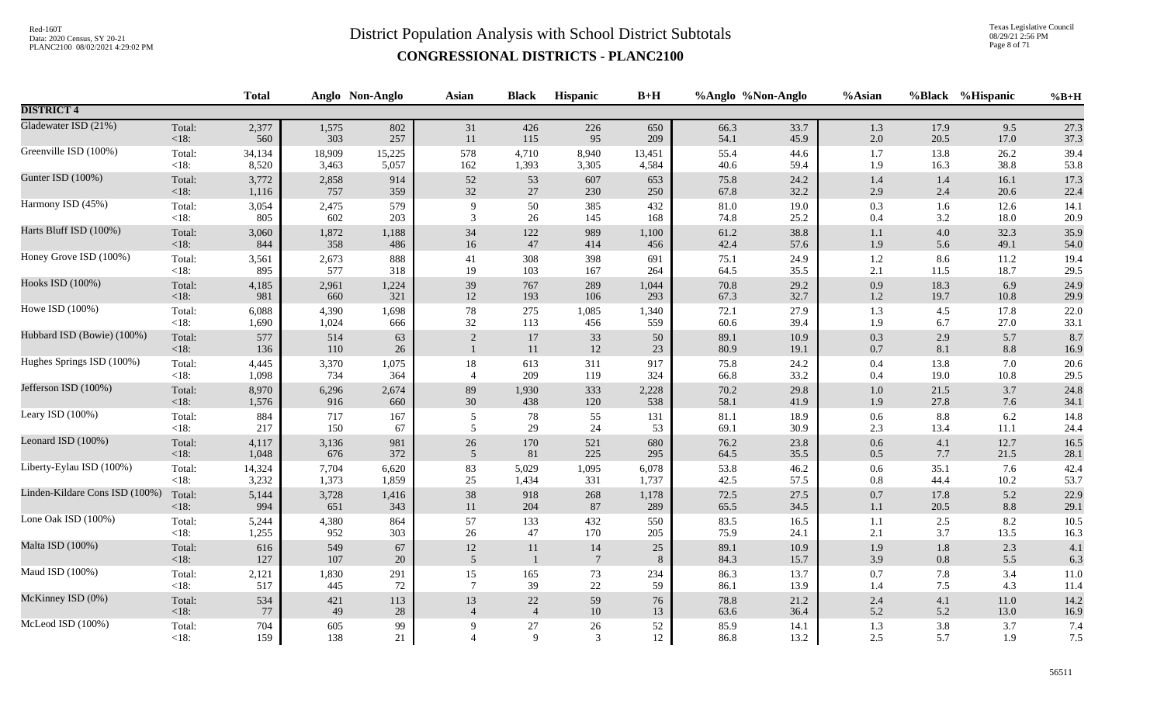Texas Legislative Council 08/29/21 2:56 PM Page 8 of 71

|                                |                | <b>Total</b> |            | Anglo Non-Anglo | Asian          | <b>Black</b>     | Hispanic        | $B+H$    |              | %Anglo %Non-Anglo | %Asian             |            | %Black %Hispanic | $%B+H$      |
|--------------------------------|----------------|--------------|------------|-----------------|----------------|------------------|-----------------|----------|--------------|-------------------|--------------------|------------|------------------|-------------|
| <b>DISTRICT 4</b>              |                |              |            |                 |                |                  |                 |          |              |                   |                    |            |                  |             |
| Gladewater ISD (21%)           | Total:         | 2,377        | 1,575      | 802             | 31             | 426              | 226             | 650      | 66.3         | 33.7              | 1.3                | 17.9       | 9.5              | 27.3        |
|                                | <18:           | 560          | 303        | 257             | 11             | 115              | 95              | 209      | 54.1         | 45.9              | $2.0\,$            | 20.5       | 17.0             | 37.3        |
| Greenville ISD (100%)          | Total:         | 34,134       | 18,909     | 15,225          | 578            | 4,710            | 8,940           | 13,451   | 55.4         | 44.6              | 1.7                | 13.8       | 26.2             | 39.4        |
|                                | <18:           | 8,520        | 3,463      | 5,057           | 162            | 1,393            | 3,305           | 4,584    | 40.6         | 59.4              | 1.9                | 16.3       | 38.8             | 53.8        |
| Gunter ISD (100%)              | Total:         | 3,772        | 2,858      | 914             | $52\,$         | 53               | 607             | 653      | 75.8         | 24.2              | 1.4                | 1.4        | 16.1             | 17.3        |
|                                | <18:           | 1,116        | 757        | 359             | 32             | 27               | 230             | 250      | 67.8         | 32.2              | $2.9\,$            | 2.4        | 20.6             | 22.4        |
| Harmony ISD (45%)              | Total:         | 3,054        | 2,475      | 579             | 9              | $50\,$           | 385             | 432      | 81.0         | 19.0              | 0.3                | 1.6        | 12.6             | 14.1        |
|                                | $<18$ :        | 805          | 602        | 203             | 3              | 26               | 145             | 168      | 74.8         | 25.2              | $0.4\,$            | 3.2        | 18.0             | 20.9        |
| Harts Bluff ISD (100%)         | Total:         | 3,060        | 1,872      | 1,188           | 34             | 122              | 989             | 1,100    | 61.2         | 38.8              | $1.1\,$            | 4.0        | 32.3             | 35.9        |
|                                | <18:           | 844          | 358        | 486             | $16\,$         | $47\,$           | 414             | 456      | 42.4         | 57.6              | 1.9                | 5.6        | 49.1             | 54.0        |
| Honey Grove ISD (100%)         | Total:         | 3,561        | 2,673      | 888             | 41             | 308              | 398             | 691      | 75.1         | 24.9              | $1.2\,$            | 8.6        | 11.2             | 19.4        |
|                                | $<18$ :        | 895          | 577        | 318             | 19             | 103              | 167             | 264      | 64.5         | 35.5              | 2.1                | 11.5       | 18.7             | 29.5        |
| Hooks ISD (100%)               | Total:         | 4,185        | 2,961      | 1,224           | 39             | 767              | 289             | 1,044    | 70.8         | 29.2              | $0.9\,$            | 18.3       | 6.9              | 24.9        |
|                                | <18:           | 981          | 660        | 321             | $12\,$         | 193              | 106             | 293      | 67.3         | 32.7              | $1.2\,$            | 19.7       | 10.8             | 29.9        |
| Howe ISD (100%)                | Total:         | 6,088        | 4,390      | 1,698           | 78             | 275              | 1,085           | 1,340    | 72.1         | 27.9              | 1.3                | 4.5        | 17.8             | 22.0        |
|                                | $<18$ :        | 1,690        | 1,024      | 666             | 32             | 113              | 456             | 559      | 60.6         | 39.4              | 1.9                | 6.7        | 27.0             | 33.1        |
| Hubbard ISD (Bowie) (100%)     | Total:<br><18: | 577<br>136   | 514<br>110 | 63<br>$26\,$    | $\sqrt{2}$     | $17\,$<br>$11\,$ | 33<br>12        | 50<br>23 | 89.1<br>80.9 | 10.9<br>19.1      | $0.3\,$<br>$0.7\,$ | 2.9<br>8.1 | 5.7<br>8.8       | 8.7<br>16.9 |
| Hughes Springs ISD (100%)      | Total:         | 4,445        | 3,370      | 1,075           | 18             | 613              | 311             | 917      | 75.8         | 24.2              | $0.4\,$            | 13.8       | 7.0              | 20.6        |
|                                | $<18$ :        | 1,098        | 734        | 364             | $\overline{4}$ | 209              | 119             | 324      | 66.8         | 33.2              | $0.4\,$            | 19.0       | 10.8             | 29.5        |
| Jefferson ISD (100%)           | Total:         | 8,970        | 6,296      | 2,674           | 89             | 1,930            | 333             | 2,228    | 70.2         | 29.8              | $1.0\,$            | 21.5       | 3.7              | 24.8        |
|                                | <18:           | 1,576        | 916        | 660             | $30\,$         | 438              | 120             | 538      | 58.1         | 41.9              | 1.9                | 27.8       | 7.6              | 34.1        |
| Leary ISD (100%)               | Total:         | 884          | 717        | 167             | 5              | 78               | 55              | 131      | 81.1         | 18.9              | 0.6                | 8.8        | 6.2              | 14.8        |
|                                | $<18$ :        | 217          | 150        | 67              | 5              | 29               | 24              | 53       | 69.1         | 30.9              | $2.3\,$            | 13.4       | 11.1             | 24.4        |
| Leonard ISD (100%)             | Total:         | 4,117        | 3,136      | 981             | $26\,$         | 170              | 521             | 680      | 76.2         | 23.8              | $0.6\,$            | 4.1        | 12.7             | 16.5        |
|                                | <18:           | 1,048        | 676        | 372             | 5              | 81               | 225             | 295      | 64.5         | 35.5              | $0.5\,$            | 7.7        | 21.5             | 28.1        |
| Liberty-Eylau ISD (100%)       | Total:         | 14,324       | 7,704      | 6,620           | 83             | 5,029            | 1,095           | 6,078    | 53.8         | 46.2              | $0.6\,$            | 35.1       | 7.6              | 42.4        |
|                                | $<18$ :        | 3,232        | 1,373      | 1,859           | 25             | 1,434            | 331             | 1,737    | 42.5         | 57.5              | $0.8\,$            | 44.4       | 10.2             | 53.7        |
| Linden-Kildare Cons ISD (100%) | Total:         | 5,144        | 3,728      | 1,416           | 38             | 918              | 268             | 1,178    | 72.5         | 27.5              | $0.7\,$            | 17.8       | 5.2              | 22.9        |
|                                | <18:           | 994          | 651        | 343             | $11\,$         | 204              | 87              | 289      | 65.5         | 34.5              | $1.1\,$            | 20.5       | 8.8              | 29.1        |
| Lone Oak ISD (100%)            | Total:         | 5,244        | 4,380      | 864             | 57             | 133              | 432             | 550      | 83.5         | 16.5              | 1.1                | 2.5        | 8.2              | 10.5        |
|                                | $<18$ :        | 1,255        | 952        | 303             | $26\,$         | 47               | 170             | 205      | 75.9         | 24.1              | $2.1\,$            | 3.7        | 13.5             | 16.3        |
| Malta ISD (100%)               | Total:         | 616          | 549        | 67              | $12\,$         | 11               | 14              | 25       | 89.1         | 10.9              | 1.9                | $1.8\,$    | 2.3              | 4.1         |
|                                | $<18$ :        | 127          | $107\,$    | $20\,$          | 5              | $\overline{1}$   | $7\phantom{.0}$ | $\,8\,$  | 84.3         | 15.7              | 3.9                | 0.8        | 5.5              | 6.3         |
| Maud ISD (100%)                | Total:         | 2,121        | 1,830      | 291             | 15             | 165              | 73              | 234      | 86.3         | 13.7              | $0.7\,$            | 7.8        | 3.4              | 11.0        |
|                                | $<18$ :        | 517          | 445        | $72\,$          | $\overline{7}$ | 39               | 22              | 59       | 86.1         | 13.9              | 1.4                | 7.5        | 4.3              | 11.4        |
| McKinney ISD (0%)              | Total:         | 534          | 421        | 113             | 13             | $22\,$           | 59              | 76       | 78.8         | 21.2              | 2.4                | 4.1        | 11.0             | 14.2        |
|                                | <18:           | 77           | 49         | $28\,$          | $\overline{4}$ | $\overline{4}$   | $10\,$          | 13       | 63.6         | 36.4              | 5.2                | 5.2        | 13.0             | 16.9        |
| McLeod ISD (100%)              | Total:         | 704          | 605        | 99              | 9              | 27               | $26\,$          | 52       | 85.9         | 14.1              | 1.3                | 3.8        | 3.7              | 7.4         |
|                                | $<18$ :        | 159          | 138        | 21              | $\overline{4}$ | 9                | 3               | 12       | 86.8         | 13.2              | 2.5                | 5.7        | 1.9              | 7.5         |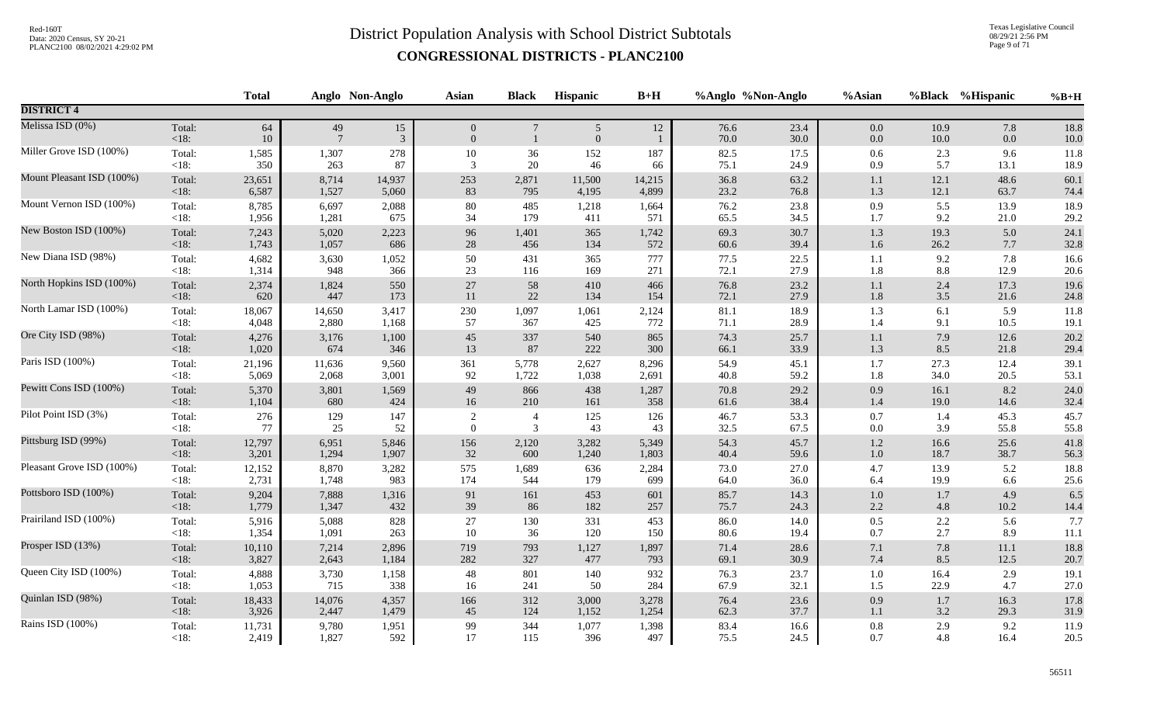Texas Legislative Council 08/29/21 2:56 PM Page 9 of 71

|                           |                 | <b>Total</b> |                       | Anglo Non-Anglo      | <b>Asian</b>                     | <b>Black</b>                    | <b>Hispanic</b>        | $B+H$  |              | %Anglo %Non-Anglo | %Asian             |              | %Black %Hispanic | $%B+H$           |
|---------------------------|-----------------|--------------|-----------------------|----------------------|----------------------------------|---------------------------------|------------------------|--------|--------------|-------------------|--------------------|--------------|------------------|------------------|
| <b>DISTRICT 4</b>         |                 |              |                       |                      |                                  |                                 |                        |        |              |                   |                    |              |                  |                  |
| Melissa ISD (0%)          | Total:<br>< 18: | 64<br>10     | 49<br>$7\phantom{.0}$ | 15<br>$\mathfrak{Z}$ | $\overline{0}$<br>$\overline{0}$ | $7\phantom{.0}$<br>$\mathbf{1}$ | $\sqrt{5}$<br>$\theta$ | 12     | 76.6<br>70.0 | 23.4<br>30.0      | $0.0\,$<br>$0.0\,$ | 10.9<br>10.0 | 7.8<br>0.0       | 18.8<br>$10.0\,$ |
| Miller Grove ISD (100%)   | Total:          | 1,585        | 1,307                 | 278                  | $10\,$                           | $36\,$                          | 152                    | 187    | 82.5         | 17.5              | $0.6\,$            | 2.3          | 9.6              | 11.8             |
|                           | $<18$ :         | 350          | 263                   | 87                   | 3                                | 20                              | 46                     | 66     | 75.1         | 24.9              | 0.9                | 5.7          | 13.1             | 18.9             |
| Mount Pleasant ISD (100%) | Total:          | 23,651       | 8,714                 | 14,937               | 253                              | 2,871                           | 11,500                 | 14,215 | 36.8         | 63.2              | $1.1\,$            | 12.1         | 48.6             | 60.1             |
|                           | < 18:           | 6,587        | 1,527                 | 5,060                | 83                               | 795                             | 4,195                  | 4,899  | 23.2         | 76.8              | 1.3                | 12.1         | 63.7             | 74.4             |
| Mount Vernon ISD (100%)   | Total:          | 8,785        | 6,697                 | 2,088                | 80                               | 485                             | 1,218                  | 1,664  | 76.2         | 23.8              | 0.9                | 5.5          | 13.9             | 18.9             |
|                           | $<18$ :         | 1,956        | 1,281                 | 675                  | 34                               | 179                             | 411                    | 571    | 65.5         | 34.5              | 1.7                | 9.2          | 21.0             | 29.2             |
| New Boston ISD (100%)     | Total:          | 7,243        | 5,020                 | 2,223                | 96                               | 1,401                           | 365                    | 1,742  | 69.3         | 30.7              | $1.3$              | 19.3         | 5.0              | 24.1             |
|                           | < 18:           | 1,743        | 1,057                 | 686                  | $28\,$                           | 456                             | 134                    | 572    | 60.6         | 39.4              | $1.6\,$            | 26.2         | 7.7              | 32.8             |
| New Diana ISD (98%)       | Total:          | 4,682        | 3,630                 | 1,052                | 50                               | 431                             | 365                    | 777    | 77.5         | 22.5              | 1.1                | 9.2          | 7.8              | 16.6             |
|                           | $<18$ :         | 1,314        | 948                   | 366                  | 23                               | 116                             | 169                    | 271    | 72.1         | 27.9              | 1.8                | 8.8          | 12.9             | 20.6             |
| North Hopkins ISD (100%)  | Total:          | 2,374        | 1,824                 | 550                  | $27\,$                           | 58                              | 410                    | 466    | 76.8         | 23.2              | $1.1\,$            | 2.4          | 17.3             | 19.6             |
|                           | < 18:           | 620          | 447                   | 173                  | 11                               | $22\,$                          | 134                    | 154    | 72.1         | 27.9              | 1.8                | 3.5          | 21.6             | 24.8             |
| North Lamar ISD (100%)    | Total:          | 18,067       | 14,650                | 3,417                | 230                              | 1,097                           | 1,061                  | 2,124  | 81.1         | 18.9              | 1.3                | 6.1          | 5.9              | 11.8             |
|                           | <18:            | 4,048        | 2,880                 | 1,168                | 57                               | 367                             | 425                    | 772    | 71.1         | 28.9              | 1.4                | 9.1          | 10.5             | 19.1             |
| Ore City ISD (98%)        | Total:          | 4,276        | 3,176                 | 1,100                | 45                               | 337                             | 540                    | 865    | 74.3         | 25.7              | $1.1\,$            | 7.9          | 12.6             | 20.2             |
|                           | < 18:           | 1,020        | 674                   | 346                  | 13                               | 87                              | 222                    | 300    | 66.1         | 33.9              | 1.3                | 8.5          | 21.8             | 29.4             |
| Paris ISD (100%)          | Total:          | 21,196       | 11,636                | 9,560                | 361                              | 5,778                           | 2,627                  | 8,296  | 54.9         | 45.1              | $1.7\,$            | 27.3         | 12.4             | 39.1             |
|                           | $<18$ :         | 5,069        | 2,068                 | 3,001                | 92                               | 1,722                           | 1,038                  | 2,691  | 40.8         | 59.2              | 1.8                | 34.0         | 20.5             | 53.1             |
| Pewitt Cons ISD (100%)    | Total:          | 5,370        | 3,801                 | 1,569                | 49                               | 866                             | 438                    | 1,287  | 70.8         | 29.2              | 0.9                | 16.1         | 8.2              | 24.0             |
|                           | $<18$ :         | 1,104        | 680                   | 424                  | 16                               | 210                             | 161                    | 358    | 61.6         | 38.4              | 1.4                | 19.0         | 14.6             | 32.4             |
| Pilot Point ISD (3%)      | Total:          | 276          | 129                   | 147                  | $\overline{2}$                   | $\overline{4}$                  | 125                    | 126    | 46.7         | 53.3              | $0.7\,$            | 1.4          | 45.3             | 45.7             |
|                           | < 18:           | 77           | 25                    | 52                   | $\overline{0}$                   | 3                               | 43                     | 43     | 32.5         | 67.5              | $0.0\,$            | 3.9          | 55.8             | 55.8             |
| Pittsburg ISD (99%)       | Total:          | 12,797       | 6,951                 | 5,846                | 156                              | 2,120                           | 3,282                  | 5,349  | 54.3         | 45.7              | $1.2\,$            | 16.6         | 25.6             | 41.8             |
|                           | < 18:           | 3,201        | 1,294                 | 1,907                | 32                               | 600                             | 1,240                  | 1,803  | 40.4         | 59.6              | $1.0\,$            | 18.7         | 38.7             | 56.3             |
| Pleasant Grove ISD (100%) | Total:          | 12,152       | 8,870                 | 3,282                | 575                              | 1,689                           | 636                    | 2,284  | 73.0         | 27.0              | 4.7                | 13.9         | 5.2              | 18.8             |
|                           | $<18$ :         | 2,731        | 1,748                 | 983                  | 174                              | 544                             | 179                    | 699    | 64.0         | 36.0              | 6.4                | 19.9         | 6.6              | 25.6             |
| Pottsboro ISD (100%)      | Total:          | 9,204        | 7,888                 | 1,316                | 91                               | 161                             | 453                    | 601    | 85.7         | 14.3              | $1.0\,$            | 1.7          | 4.9              | 6.5              |
|                           | <18:            | 1,779        | 1,347                 | 432                  | 39                               | 86                              | 182                    | 257    | 75.7         | 24.3              | $2.2\,$            | 4.8          | 10.2             | 14.4             |
| Prairiland ISD (100%)     | Total:          | 5,916        | 5,088                 | 828                  | 27                               | 130                             | 331                    | 453    | 86.0         | 14.0              | $0.5\,$            | $2.2\,$      | 5.6              | 7.7              |
|                           | $<18$ :         | 1,354        | 1,091                 | 263                  | 10                               | 36                              | 120                    | 150    | 80.6         | 19.4              | 0.7                | 2.7          | 8.9              | 11.1             |
| Prosper ISD (13%)         | Total:          | 10,110       | 7,214                 | 2,896                | 719                              | 793                             | 1,127                  | 1,897  | 71.4         | 28.6              | 7.1                | 7.8          | 11.1             | 18.8             |
|                           | < 18:           | 3,827        | 2,643                 | 1,184                | 282                              | 327                             | 477                    | 793    | 69.1         | 30.9              | $7.4\,$            | 8.5          | 12.5             | 20.7             |
| Queen City ISD (100%)     | Total:          | 4,888        | 3,730                 | 1,158                | 48                               | 801                             | 140                    | 932    | 76.3         | 23.7              | $1.0\,$            | 16.4         | 2.9              | 19.1             |
|                           | $<18$ :         | 1,053        | 715                   | 338                  | 16                               | 241                             | 50                     | 284    | 67.9         | 32.1              | 1.5                | 22.9         | 4.7              | $27.0\,$         |
| Quinlan ISD (98%)         | Total:          | 18,433       | 14,076                | 4,357                | 166                              | 312                             | 3,000                  | 3,278  | 76.4         | 23.6              | 0.9                | $1.7\,$      | 16.3             | 17.8             |
|                           | < 18:           | 3,926        | 2,447                 | 1,479                | 45                               | 124                             | 1,152                  | 1,254  | 62.3         | 37.7              | 1.1                | 3.2          | 29.3             | 31.9             |
| Rains ISD (100%)          | Total:          | 11,731       | 9,780                 | 1,951                | 99                               | 344                             | 1,077                  | 1,398  | 83.4         | 16.6              | $\rm 0.8$          | 2.9          | 9.2              | 11.9             |
|                           | $<18$ :         | 2,419        | 1,827                 | 592                  | 17                               | 115                             | 396                    | 497    | 75.5         | 24.5              | 0.7                | 4.8          | 16.4             | 20.5             |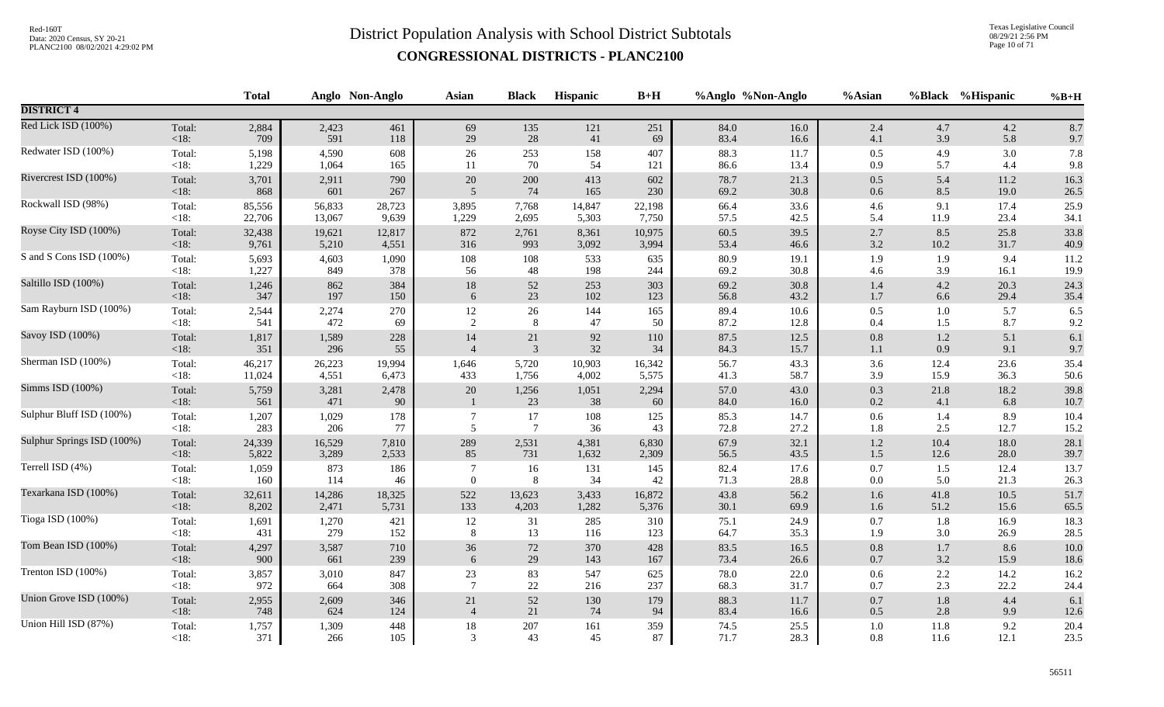Texas Legislative Council 08/29/21 2:56 PM Page 10 of 71

|                            |                 | <b>Total</b> |              | Anglo Non-Anglo | <b>Asian</b>   | <b>Black</b>             | <b>Hispanic</b> | $B+H$       | %Anglo %Non-Anglo |              | %Asian         | %Black      | %Hispanic    | $%B+H$       |
|----------------------------|-----------------|--------------|--------------|-----------------|----------------|--------------------------|-----------------|-------------|-------------------|--------------|----------------|-------------|--------------|--------------|
| <b>DISTRICT 4</b>          |                 |              |              |                 |                |                          |                 |             |                   |              |                |             |              |              |
| Red Lick ISD (100%)        | Total:          | 2,884        | 2,423        | 461             | 69             | 135                      | 121             | 251         | 84.0              | 16.0         | 2.4            | 4.7         | 4.2          | 8.7          |
|                            | $<18$ :         | 709          | 591          | 118             | 29             | 28                       | 41              | 69          | 83.4              | 16.6         | 4.1            | 3.9         | 5.8          | 9.7          |
| Redwater ISD (100%)        | Total:          | 5,198        | 4,590        | 608             | 26             | 253                      | 158             | 407         | 88.3              | 11.7         | $0.5\,$        | 4.9         | 3.0          | 7.8          |
|                            | $<18$ :         | 1,229        | 1,064        | 165             | 11             | 70                       | 54              | 121         | 86.6              | 13.4         | 0.9            | 5.7         | 4.4          | 9.8          |
| Rivercrest ISD (100%)      | Total:          | 3,701        | 2,911        | 790             | 20             | 200                      | 413             | 602         | 78.7              | 21.3         | $0.5\,$        | 5.4         | 11.2         | 16.3         |
|                            | $<18$ :         | 868          | 601          | 267             | 5              | 74                       | 165             | 230         | 69.2              | 30.8         | 0.6            | 8.5         | 19.0         | 26.5         |
| Rockwall ISD (98%)         | Total:          | 85,556       | 56,833       | 28,723          | 3,895          | 7,768                    | 14,847          | 22,198      | 66.4              | 33.6         | $4.6\,$        | 9.1         | 17.4         | 25.9         |
|                            | <18:            | 22,706       | 13,067       | 9,639           | 1,229          | 2,695                    | 5,303           | 7,750       | 57.5              | 42.5         | 5.4            | 11.9        | 23.4         | 34.1         |
| Royse City ISD (100%)      | Total:          | 32,438       | 19,621       | 12,817          | 872            | 2,761                    | 8,361           | 10,975      | 60.5              | 39.5         | 2.7            | 8.5         | 25.8         | 33.8         |
|                            | < 18:           | 9,761        | 5,210        | 4,551           | 316            | 993                      | 3,092           | 3,994       | 53.4              | 46.6         | $3.2\,$        | 10.2        | 31.7         | 40.9         |
| S and S Cons ISD (100%)    | Total:          | 5,693        | 4,603        | 1,090           | 108            | 108                      | 533             | 635         | 80.9              | 19.1         | 1.9            | 1.9         | 9.4          | 11.2         |
|                            | <18:            | 1,227        | 849          | 378             | 56             | 48                       | 198             | 244         | 69.2              | 30.8         | 4.6            | 3.9         | 16.1         | 19.9         |
| Saltillo ISD (100%)        | Total:          | 1,246        | 862          | 384             | $18\,$         | 52                       | 253             | 303         | 69.2              | 30.8         | $1.4\,$        | 4.2         | 20.3         | 24.3         |
|                            | < 18:           | 347          | 197          | 150             | 6              | 23                       | 102             | 123         | 56.8              | 43.2         | $1.7\,$        | 6.6         | 29.4         | 35.4         |
| Sam Rayburn ISD (100%)     | Total:          | 2,544        | 2,274        | 270             | 12             | 26                       | 144             | 165         | 89.4              | 10.6         | $0.5\,$        | $1.0\,$     | 5.7          | 6.5          |
|                            | $<18$ :         | 541          | 472          | 69              | 2              | 8                        | 47              | 50          | 87.2              | 12.8         | $0.4\,$        | 1.5         | 8.7          | 9.2          |
| Savoy ISD (100%)           | Total:          | 1,817        | 1,589        | 228             | 14             | 21                       | 92              | 110         | 87.5              | 12.5         | $0.8\,$        | $1.2\,$     | 5.1          | 6.1          |
|                            | < 18:           | 351          | 296          | 55              | $\overline{4}$ | $\overline{3}$           | 32              | 34          | 84.3              | 15.7         | $1.1\,$        | 0.9         | 9.1          | 9.7          |
| Sherman ISD (100%)         | Total:          | 46,217       | 26,223       | 19,994          | 1,646          | 5,720                    | 10,903          | 16,342      | 56.7              | 43.3         | 3.6            | 12.4        | 23.6         | 35.4         |
|                            | $<18$ :         | 11,024       | 4,551        | 6,473           | 433            | 1,756                    | 4,002           | 5,575       | 41.3              | 58.7         | 3.9            | 15.9        | 36.3         | 50.6         |
| Simms ISD (100%)           | Total:<br>< 18: | 5,759<br>561 | 3,281<br>471 | 2,478<br>90     | 20             | 1,256<br>23              | 1,051<br>38     | 2,294<br>60 | 57.0<br>84.0      | 43.0<br>16.0 | $0.3\,$<br>0.2 | 21.8<br>4.1 | 18.2<br>6.8  | 39.8<br>10.7 |
| Sulphur Bluff ISD (100%)   | Total:<br><18:  | 1,207<br>283 | 1,029<br>206 | 178<br>77       | 5              | $17\,$<br>$\overline{7}$ | $108\,$<br>36   | 125<br>43   | 85.3<br>72.8      | 14.7<br>27.2 | $0.6\,$<br>1.8 | 1.4<br>2.5  | 8.9<br>12.7  | 10.4<br>15.2 |
| Sulphur Springs ISD (100%) | Total:          | 24,339       | 16,529       | 7,810           | 289            | 2,531                    | 4,381           | 6,830       | 67.9              | 32.1         | $1.2\,$        | 10.4        | 18.0         | 28.1         |
|                            | < 18:           | 5,822        | 3,289        | 2,533           | 85             | 731                      | 1,632           | 2,309       | 56.5              | 43.5         | $1.5\,$        | 12.6        | 28.0         | 39.7         |
| Terrell ISD (4%)           | Total:<br><18:  | 1,059<br>160 | 873<br>114   | 186<br>46       | $\overline{0}$ | 16<br>8                  | 131<br>34       | 145<br>42   | 82.4<br>71.3      | 17.6<br>28.8 | 0.7<br>$0.0\,$ | 1.5<br>5.0  | 12.4<br>21.3 | 13.7<br>26.3 |
| Texarkana ISD (100%)       | Total:          | 32,611       | 14,286       | 18,325          | 522            | 13,623                   | 3,433           | 16,872      | 43.8              | 56.2         | $1.6\,$        | 41.8        | 10.5         | 51.7         |
|                            | < 18:           | 8,202        | 2,471        | 5,731           | 133            | 4,203                    | 1,282           | 5,376       | 30.1              | 69.9         | $1.6\,$        | 51.2        | 15.6         | 65.5         |
| Tioga ISD (100%)           | Total:          | 1,691        | 1,270        | 421             | 12             | 31                       | 285             | 310         | 75.1              | 24.9         | 0.7            | 1.8         | 16.9         | 18.3         |
|                            | <18:            | 431          | 279          | 152             | 8              | 13                       | 116             | 123         | 64.7              | 35.3         | 1.9            | 3.0         | 26.9         | 28.5         |
| Tom Bean ISD (100%)        | Total:          | 4,297        | 3,587        | 710             | 36             | 72                       | 370             | 428         | 83.5              | 16.5         | $0.8\,$        | 1.7         | 8.6          | $10.0\,$     |
|                            | < 18:           | 900          | 661          | 239             | 6              | 29                       | 143             | 167         | 73.4              | 26.6         | $0.7\,$        | 3.2         | 15.9         | 18.6         |
| Trenton ISD (100%)         | Total:          | 3,857        | 3,010        | 847             | 23             | 83                       | 547             | 625         | 78.0              | 22.0         | 0.6            | 2.2         | 14.2         | 16.2         |
|                            | <18:            | 972          | 664          | 308             | $\overline{7}$ | $22\,$                   | 216             | 237         | 68.3              | 31.7         | 0.7            | 2.3         | 22.2         | 24.4         |
| Union Grove ISD (100%)     | Total:          | 2,955        | 2,609        | 346             | 21             | 52                       | 130             | 179         | 88.3              | 11.7         | $0.7\,$        | 1.8         | 4.4          | 6.1          |
|                            | < 18:           | 748          | 624          | 124             | $\overline{4}$ | 21                       | 74              | 94          | 83.4              | 16.6         | 0.5            | 2.8         | 9.9          | 12.6         |
| Union Hill ISD (87%)       | Total:          | 1,757        | 1,309        | 448             | 18             | 207                      | 161             | 359         | 74.5              | 25.5         | $1.0\,$        | 11.8        | 9.2          | 20.4         |
|                            | $<18$ :         | 371          | 266          | 105             | 3              | 43                       | 45              | 87          | 71.7              | 28.3         | 0.8            | 11.6        | 12.1         | 23.5         |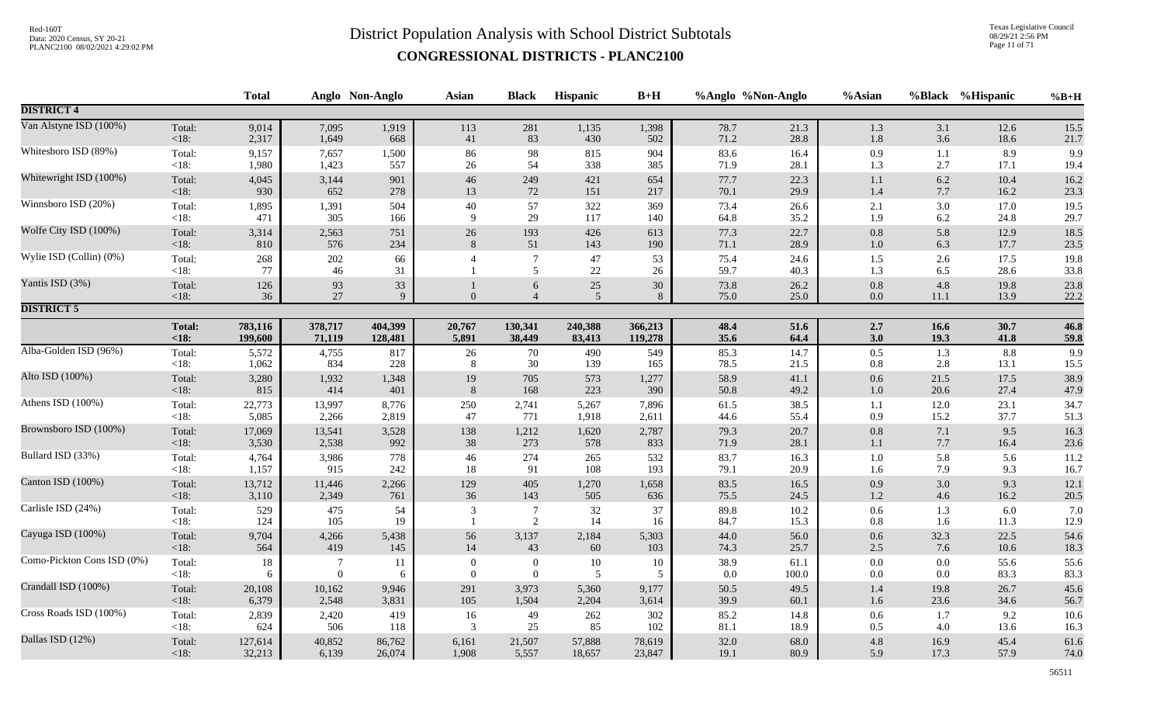Texas Legislative Council 08/29/21 2:56 PM Page 11 of 71

|                            |                 | <b>Total</b> |              | Anglo Non-Anglo | <b>Asian</b>   | <b>Black</b>                     | Hispanic     | $B+H$    |              | %Anglo %Non-Anglo | %Asian             |             | %Black %Hispanic | $%B+H$       |
|----------------------------|-----------------|--------------|--------------|-----------------|----------------|----------------------------------|--------------|----------|--------------|-------------------|--------------------|-------------|------------------|--------------|
| <b>DISTRICT 4</b>          |                 |              |              |                 |                |                                  |              |          |              |                   |                    |             |                  |              |
| Van Alstyne ISD (100%)     | Total:          | 9,014        | 7,095        | 1,919           | 113            | 281                              | 1,135        | 1,398    | 78.7         | 21.3              | 1.3                | 3.1         | 12.6             | 15.5         |
|                            | $<18$ :         | 2,317        | 1,649        | 668             | 41             | 83                               | 430          | 502      | 71.2         | 28.8              | $1.8\,$            | 3.6         | 18.6             | 21.7         |
| Whitesboro ISD (89%)       | Total:          | 9,157        | 7,657        | 1,500           | 86             | 98                               | 815          | 904      | 83.6         | 16.4              | $0.9\,$            | 1.1         | 8.9              | 9.9          |
|                            | <18:            | 1,980        | 1,423        | 557             | 26             | 54                               | 338          | 385      | 71.9         | 28.1              | 1.3                | 2.7         | 17.1             | 19.4         |
| Whitewright ISD (100%)     | Total:          | 4,045        | 3,144        | 901             | 46             | 249                              | 421          | 654      | 77.7         | 22.3              | 1.1                | 6.2         | 10.4             | 16.2         |
|                            | < 18:           | 930          | 652          | 278             | 13             | 72                               | 151          | 217      | 70.1         | 29.9              | 1.4                | 7.7         | 16.2             | 23.3         |
| Winnsboro ISD (20%)        | Total:          | 1,895        | 1,391        | 504             | $40\,$         | 57                               | 322          | 369      | 73.4         | 26.6              | $2.1\,$            | 3.0         | 17.0             | 19.5         |
|                            | $<18$ :         | 471          | 305          | 166             | $\mathbf Q$    | 29                               | 117          | 140      | 64.8         | 35.2              | 1.9                | 6.2         | 24.8             | 29.7         |
| Wolfe City ISD (100%)      | Total:          | 3,314        | 2,563        | 751             | $26\,$         | 193                              | 426          | 613      | 77.3         | 22.7              | $0.8\,$            | 5.8         | 12.9             | 18.5         |
|                            | <18:            | 810          | 576          | 234             | 8              | 51                               | 143          | 190      | 71.1         | 28.9              | $1.0\,$            | 6.3         | 17.7             | 23.5         |
| Wylie ISD (Collin) (0%)    | Total:<br>< 18: | 268<br>77    | 202<br>46    | 66<br>31        |                | $\overline{7}$<br>5              | 47<br>$22\,$ | 53<br>26 | 75.4<br>59.7 | 24.6<br>40.3      | 1.5<br>1.3         | 2.6<br>6.5  | 17.5<br>28.6     | 19.8<br>33.8 |
| Yantis ISD (3%)            | Total:<br><18:  | 126<br>36    | 93<br>27     | 33<br>9         |                | 6<br>$\overline{4}$              | $25\,$<br>5  | 30<br>8  | 73.8<br>75.0 | 26.2<br>25.0      | $0.8\,$<br>0.0     | 4.8<br>11.1 | 19.8<br>13.9     | 23.8<br>22.2 |
| <b>DISTRICT 5</b>          |                 |              |              |                 |                |                                  |              |          |              |                   |                    |             |                  |              |
|                            | <b>Total:</b>   | 783,116      | 378,717      | 404,399         | 20,767         | 130,341                          | 240,388      | 366,213  | 48.4         | 51.6              | 2.7                | 16.6        | 30.7             | 46.8         |
|                            | < 18:           | 199,600      | 71,119       | 128,481         | 5,891          | 38,449                           | 83,413       | 119,278  | 35.6         | 64.4              | 3.0                | 19.3        | 41.8             | 59.8         |
| Alba-Golden ISD (96%)      | Total:          | 5,572        | 4,755        | 817             | $26\,$         | 70                               | 490          | 549      | 85.3         | 14.7              | 0.5                | 1.3         | 8.8              | 9.9          |
|                            | $<18$ :         | 1,062        | 834          | 228             | 8              | 30                               | 139          | 165      | 78.5         | 21.5              | $0.8\,$            | 2.8         | 13.1             | 15.5         |
| Alto ISD (100%)            | Total:          | 3,280        | 1,932        | 1,348           | 19             | 705                              | 573          | 1,277    | 58.9         | 41.1              | 0.6                | 21.5        | 17.5             | 38.9         |
|                            | $<18$ :         | 815          | 414          | 401             | 8              | 168                              | 223          | 390      | 50.8         | 49.2              | $1.0\,$            | 20.6        | 27.4             | 47.9         |
| Athens ISD (100%)          | Total:          | 22,773       | 13,997       | 8,776           | 250            | 2,741                            | 5,267        | 7,896    | 61.5         | 38.5              | 1.1                | 12.0        | 23.1             | 34.7         |
|                            | $<18$ :         | 5,085        | 2,266        | 2,819           | 47             | 771                              | 1,918        | 2,611    | 44.6         | 55.4              | 0.9                | 15.2        | 37.7             | 51.3         |
| Brownsboro ISD (100%)      | Total:          | 17,069       | 13,541       | 3,528           | 138            | 1,212                            | 1,620        | 2,787    | 79.3         | 20.7              | $0.8\,$            | 7.1         | 9.5              | 16.3         |
|                            | $<18$ :         | 3,530        | 2,538        | 992             | 38             | 273                              | 578          | 833      | 71.9         | 28.1              | 1.1                | 7.7         | 16.4             | 23.6         |
| Bullard ISD (33%)          | Total:          | 4,764        | 3,986        | 778             | 46             | 274                              | 265          | 532      | 83.7         | 16.3              | 1.0                | 5.8         | 5.6              | 11.2         |
|                            | < 18:           | 1,157        | 915          | 242             | 18             | 91                               | 108          | 193      | 79.1         | 20.9              | 1.6                | 7.9         | 9.3              | 16.7         |
| Canton ISD (100%)          | Total:          | 13,712       | 11,446       | 2,266           | 129            | 405                              | 1,270        | 1,658    | 83.5         | 16.5              | 0.9                | 3.0         | 9.3              | 12.1         |
|                            | < 18:           | 3,110        | 2,349        | 761             | 36             | 143                              | 505          | 636      | 75.5         | 24.5              | $1.2\,$            | 4.6         | 16.2             | 20.5         |
| Carlisle ISD (24%)         | Total:<br><18:  | 529<br>124   | 475<br>105   | 54<br>19        | 3              | $\overline{7}$<br>$\overline{2}$ | $32\,$<br>14 | 37<br>16 | 89.8<br>84.7 | $10.2\,$<br>15.3  | $0.6\,$<br>$0.8\,$ | 1.3<br>1.6  | 6.0<br>11.3      | 7.0<br>12.9  |
| Cayuga ISD (100%)          | Total:          | 9,704        | 4,266        | 5,438           | 56             | 3,137                            | 2,184        | 5,303    | 44.0         | 56.0              | 0.6                | 32.3        | 22.5             | 54.6         |
|                            | <18:            | 564          | 419          | 145             | 14             | 43                               | 60           | 103      | 74.3         | 25.7              | $2.5$              | 7.6         | 10.6             | 18.3         |
| Como-Pickton Cons ISD (0%) | Total:          | 18           | 7            | 11              | $\overline{0}$ | $\boldsymbol{0}$                 | $10\,$       | 10       | 38.9         | 61.1              | $0.0\,$            | $0.0\,$     | 55.6             | 55.6         |
|                            | < 18:           | 6            | $\mathbf{0}$ | 6               | $\theta$       | $\overline{0}$                   | 5            | 5        | 0.0          | 100.0             | 0.0                | $0.0\,$     | 83.3             | 83.3         |
| Crandall ISD (100%)        | Total:          | 20,108       | 10,162       | 9,946           | 291            | 3,973                            | 5,360        | 9,177    | 50.5         | 49.5              | 1.4                | 19.8        | 26.7             | 45.6         |
|                            | <18:            | 6,379        | 2,548        | 3,831           | 105            | 1,504                            | 2,204        | 3,614    | 39.9         | 60.1              | 1.6                | 23.6        | 34.6             | 56.7         |
| Cross Roads ISD (100%)     | Total:          | 2,839        | 2,420        | 419             | 16             | 49                               | 262          | 302      | 85.2         | 14.8              | 0.6                | 1.7         | 9.2              | 10.6         |
|                            | <18:            | 624          | 506          | 118             | 3              | 25                               | 85           | 102      | 81.1         | 18.9              | 0.5                | 4.0         | 13.6             | 16.3         |
| Dallas ISD (12%)           | Total:          | 127,614      | 40,852       | 86,762          | 6,161          | 21,507                           | 57,888       | 78,619   | 32.0         | 68.0              | $4.8\,$            | 16.9        | 45.4             | 61.6         |
|                            | $<18$ :         | 32,213       | 6,139        | 26,074          | 1,908          | 5,557                            | 18,657       | 23,847   | 19.1         | 80.9              | 5.9                | 17.3        | 57.9             | 74.0         |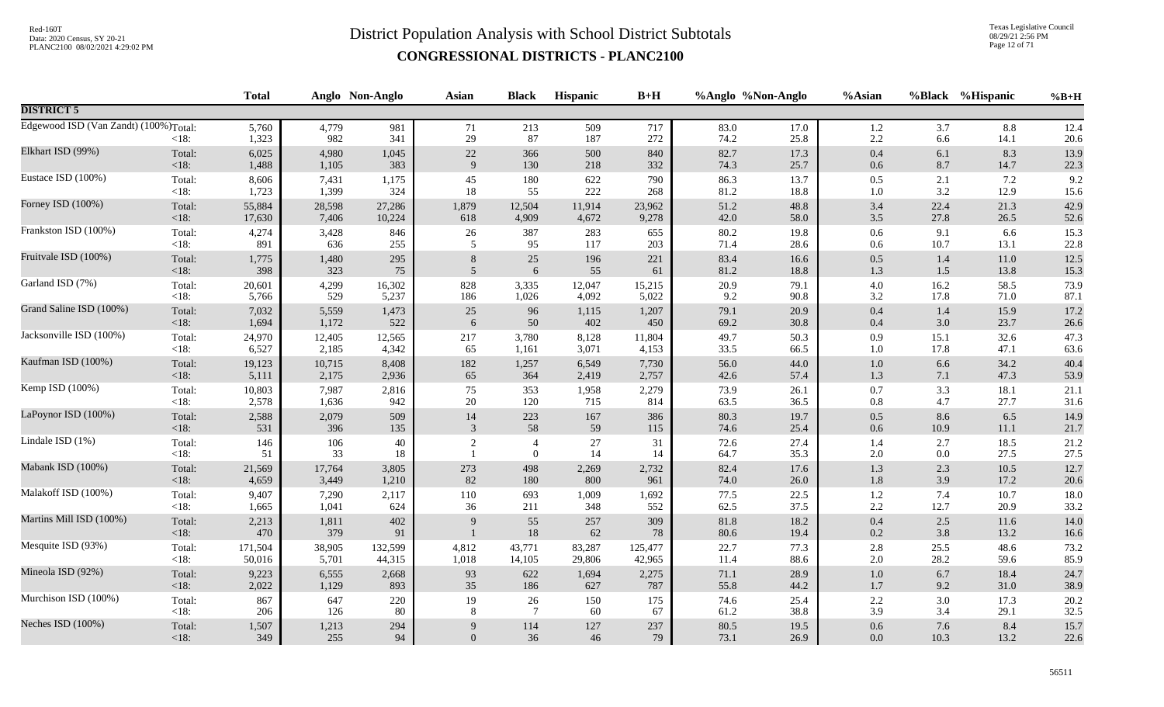Texas Legislative Council 08/29/21 2:56 PM Page 12 of 71

|                                                    |                   | <b>Total</b>   |              | Anglo Non-Anglo | <b>Asian</b>   | <b>Black</b>                       | <b>Hispanic</b> | $B+H$      | %Anglo %Non-Anglo |              | %Asian     |                | %Black %Hispanic | $%B+H$       |
|----------------------------------------------------|-------------------|----------------|--------------|-----------------|----------------|------------------------------------|-----------------|------------|-------------------|--------------|------------|----------------|------------------|--------------|
| <b>DISTRICT 5</b>                                  |                   |                |              |                 |                |                                    |                 |            |                   |              |            |                |                  |              |
| Edgewood ISD (Van Zandt) (100%) <sub>Total</sub> : | $<18$ :           | 5,760<br>1,323 | 4,779<br>982 | 981<br>341      | 71<br>29       | 213<br>87                          | 509<br>187      | 717<br>272 | 83.0<br>74.2      | 17.0<br>25.8 | 1.2<br>2.2 | 3.7<br>6.6     | 8.8<br>14.1      | 12.4<br>20.6 |
| Elkhart ISD (99%)                                  | Total:            | 6,025          | 4,980        | 1,045           | $22\,$         | 366                                | 500             | 840        | 82.7              | 17.3         | 0.4        | 6.1            | 8.3              | 13.9         |
|                                                    | <18:              | 1,488          | 1,105        | 383             | 9              | 130                                | 218             | 332        | 74.3              | 25.7         | 0.6        | 8.7            | 14.7             | 22.3         |
| Eustace ISD (100%)                                 | Total:            | 8,606          | 7,431        | 1,175           | 45             | 180                                | 622             | 790        | 86.3              | 13.7         | 0.5        | 2.1            | 7.2              | 9.2          |
|                                                    | $<18$ :           | 1,723          | 1,399        | 324             | 18             | 55                                 | 222             | 268        | 81.2              | 18.8         | $1.0\,$    | 3.2            | 12.9             | 15.6         |
| Forney ISD (100%)                                  | Total:            | 55,884         | 28,598       | 27,286          | 1,879          | 12,504                             | 11,914          | 23,962     | 51.2              | 48.8         | 3.4        | 22.4           | 21.3             | 42.9         |
|                                                    | <18:              | 17,630         | 7,406        | 10,224          | 618            | 4,909                              | 4,672           | 9,278      | 42.0              | 58.0         | $3.5\,$    | 27.8           | 26.5             | 52.6         |
| Frankston ISD (100%)                               | Total:            | 4,274          | 3,428        | 846             | $26\,$         | 387                                | 283             | 655        | 80.2              | 19.8         | $0.6\,$    | 9.1            | 6.6              | 15.3         |
|                                                    | $<18$ :           | 891            | 636          | 255             | 5              | 95                                 | 117             | 203        | 71.4              | 28.6         | 0.6        | 10.7           | 13.1             | 22.8         |
| Fruitvale ISD (100%)                               | Total:            | 1,775          | 1,480        | 295             | 8              | 25                                 | 196             | 221        | 83.4              | 16.6         | $0.5\,$    | 1.4            | 11.0             | 12.5         |
|                                                    | $<18$ :           | 398            | 323          | $75\,$          | 5              | 6                                  | 55              | 61         | 81.2              | 18.8         | $1.3\,$    | 1.5            | 13.8             | 15.3         |
| Garland ISD (7%)                                   | Total:            | 20,601         | 4,299        | 16,302          | 828            | 3,335                              | 12,047          | 15,215     | 20.9              | 79.1         | $4.0\,$    | 16.2           | 58.5             | 73.9         |
|                                                    | < 18:             | 5,766          | 529          | 5,237           | 186            | 1,026                              | 4,092           | 5,022      | 9.2               | 90.8         | 3.2        | 17.8           | 71.0             | 87.1         |
| Grand Saline ISD (100%)                            | Total:            | 7,032          | 5,559        | 1,473           | 25             | 96                                 | 1,115           | 1,207      | 79.1              | 20.9         | 0.4        | 1.4            | 15.9             | 17.2         |
|                                                    | <18:              | 1,694          | 1,172        | 522             | 6              | 50                                 | 402             | 450        | 69.2              | 30.8         | 0.4        | 3.0            | 23.7             | 26.6         |
| Jacksonville ISD (100%)                            | Total:            | 24,970         | 12,405       | 12,565          | 217            | 3,780                              | 8,128           | 11,804     | 49.7              | 50.3         | 0.9        | 15.1           | 32.6             | 47.3         |
|                                                    | $<18$ :           | 6,527          | 2,185        | 4,342           | 65             | 1,161                              | 3,071           | 4,153      | 33.5              | 66.5         | 1.0        | 17.8           | 47.1             | 63.6         |
| Kaufman ISD (100%)                                 | Total:            | 19,123         | 10,715       | 8,408           | 182            | 1,257                              | 6,549           | 7,730      | 56.0              | 44.0         | $1.0\,$    | 6.6            | 34.2             | 40.4         |
|                                                    | $<18$ :           | 5,111          | 2,175        | 2,936           | 65             | 364                                | 2,419           | 2,757      | 42.6              | 57.4         | 1.3        | 7.1            | 47.3             | 53.9         |
| Kemp ISD (100%)                                    | Total:            | 10,803         | 7,987        | 2,816           | 75             | 353                                | 1,958           | 2,279      | 73.9              | 26.1         | 0.7        | 3.3            | 18.1             | 21.1         |
|                                                    | <18:              | 2,578          | 1,636        | 942             | 20             | 120                                | 715             | 814        | 63.5              | 36.5         | $0.8\,$    | 4.7            | 27.7             | 31.6         |
| LaPoynor ISD (100%)                                | Total:            | 2,588          | 2,079        | 509             | 14             | 223                                | 167             | 386        | 80.3              | 19.7         | $0.5\,$    | 8.6            | 6.5              | 14.9         |
|                                                    | $<18$ :           | 531            | 396          | 135             | 3              | 58                                 | 59              | 115        | 74.6              | 25.4         | 0.6        | 10.9           | 11.1             | 21.7         |
| Lindale ISD (1%)                                   | Total:<br>$<18$ : | 146<br>51      | 106<br>33    | 40<br>18        | $\overline{c}$ | $\overline{4}$<br>$\boldsymbol{0}$ | $27\,$<br>14    | 31<br>14   | 72.6<br>64.7      | 27.4<br>35.3 | 1.4<br>2.0 | 2.7<br>$0.0\,$ | 18.5<br>27.5     | 21.2<br>27.5 |
| Mabank ISD (100%)                                  | Total:            | 21,569         | 17,764       | 3,805           | 273            | 498                                | 2,269           | 2,732      | 82.4              | 17.6         | 1.3        | 2.3            | 10.5             | 12.7         |
|                                                    | <18:              | 4,659          | 3,449        | 1,210           | 82             | 180                                | 800             | 961        | 74.0              | 26.0         | 1.8        | 3.9            | 17.2             | 20.6         |
| Malakoff ISD (100%)                                | Total:            | 9,407          | 7,290        | 2,117           | 110            | 693                                | 1,009           | 1,692      | 77.5              | 22.5         | 1.2        | 7.4            | 10.7             | 18.0         |
|                                                    | $<18$ :           | 1,665          | 1,041        | 624             | 36             | 211                                | 348             | 552        | 62.5              | 37.5         | 2.2        | 12.7           | 20.9             | 33.2         |
| Martins Mill ISD (100%)                            | Total:<br><18:    | 2,213<br>470   | 1,811<br>379 | 402<br>91       | 9              | 55<br>18                           | 257<br>62       | 309<br>78  | 81.8<br>80.6      | 18.2<br>19.4 | 0.4<br>0.2 | 2.5<br>3.8     | 11.6<br>13.2     | 14.0<br>16.6 |
| Mesquite ISD (93%)                                 | Total:            | 171,504        | 38,905       | 132,599         | 4,812          | 43,771                             | 83,287          | 125,477    | 22.7              | 77.3         | 2.8        | 25.5           | 48.6             | 73.2         |
|                                                    | <18:              | 50,016         | 5,701        | 44,315          | 1,018          | 14,105                             | 29,806          | 42,965     | 11.4              | 88.6         | 2.0        | 28.2           | 59.6             | 85.9         |
| Mineola ISD (92%)                                  | Total:            | 9,223          | 6,555        | 2,668           | 93             | 622                                | 1,694           | 2,275      | 71.1              | 28.9         | $1.0\,$    | 6.7            | 18.4             | 24.7         |
|                                                    | $<18$ :           | 2,022          | 1,129        | 893             | 35             | 186                                | 627             | 787        | 55.8              | 44.2         | 1.7        | 9.2            | 31.0             | 38.9         |
| Murchison ISD (100%)                               | Total:            | 867            | 647          | 220             | 19             | 26                                 | 150             | 175        | 74.6              | 25.4         | $2.2\,$    | 3.0            | 17.3             | 20.2         |
|                                                    | $<18$ :           | 206            | 126          | 80              | 8              | $7\phantom{.0}$                    | 60              | 67         | 61.2              | 38.8         | 3.9        | 3.4            | 29.1             | 32.5         |
| Neches ISD (100%)                                  | Total:            | 1,507          | 1,213        | 294             | $\mathbf{Q}$   | 114                                | $127\,$         | 237        | 80.5              | 19.5         | $0.6\,$    | 7.6            | 8.4              | 15.7         |
|                                                    | $<18$ :           | 349            | 255          | 94              | $\Omega$       | 36                                 | 46              | 79         | 73.1              | 26.9         | 0.0        | 10.3           | 13.2             | 22.6         |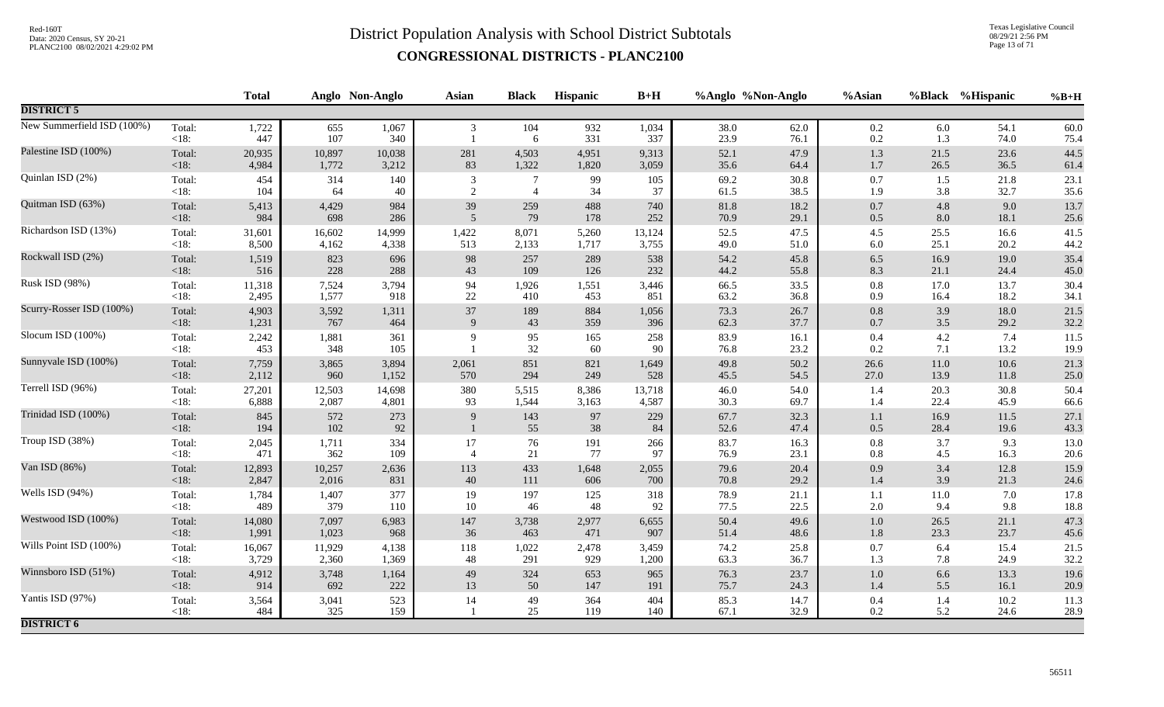Texas Legislative Council 08/29/21 2:56 PM Page 13 of 71

|                            |                   | <b>Total</b> |              | Anglo Non-Anglo | <b>Asian</b>   | <b>Black</b>   | <b>Hispanic</b> | $B+H$        |              | %Anglo %Non-Anglo | %Asian             |              | %Black %Hispanic | $%B+H$       |
|----------------------------|-------------------|--------------|--------------|-----------------|----------------|----------------|-----------------|--------------|--------------|-------------------|--------------------|--------------|------------------|--------------|
| <b>DISTRICT 5</b>          |                   |              |              |                 |                |                |                 |              |              |                   |                    |              |                  |              |
| New Summerfield ISD (100%) | Total:<br><18:    | 1,722<br>447 | 655<br>107   | 1,067<br>340    | 3              | 104<br>6       | 932<br>331      | 1,034<br>337 | 38.0<br>23.9 | 62.0<br>76.1      | $0.2\,$<br>0.2     | 6.0<br>1.3   | 54.1<br>74.0     | 60.0<br>75.4 |
| Palestine ISD (100%)       | Total:            | 20,935       | 10,897       | 10,038          | 281            | 4,503          | 4,951           | 9,313        | 52.1         | 47.9              | $1.3$              | 21.5         | 23.6             | 44.5         |
|                            | $<18$ :           | 4,984        | 1,772        | 3,212           | 83             | 1,322          | 1,820           | 3,059        | 35.6         | 64.4              | 1.7                | 26.5         | 36.5             | 61.4         |
| Quinlan ISD (2%)           | Total:            | 454          | 314          | 140             | 3              | $\overline{7}$ | 99              | 105          | 69.2         | $30.8\,$          | $0.7\,$            | 1.5          | 21.8             | 23.1         |
|                            | $<18$ :           | 104          | 64           | 40              | $\overline{2}$ | $\overline{4}$ | 34              | 37           | 61.5         | 38.5              | 1.9                | 3.8          | 32.7             | 35.6         |
| Quitman ISD (63%)          | Total:            | 5,413        | 4,429        | 984             | 39             | 259            | 488             | 740          | 81.8         | 18.2              | $0.7\,$            | 4.8          | 9.0              | 13.7         |
|                            | < 18:             | 984          | 698          | 286             | 5              | 79             | 178             | 252          | 70.9         | 29.1              | $0.5\,$            | 8.0          | 18.1             | 25.6         |
| Richardson ISD (13%)       | Total:            | 31,601       | 16,602       | 14,999          | 1,422          | 8,071          | 5,260           | 13,124       | 52.5         | 47.5              | $4.5\,$            | 25.5         | 16.6             | 41.5         |
|                            | $<18$ :           | 8,500        | 4,162        | 4,338           | 513            | 2,133          | 1,717           | 3,755        | 49.0         | 51.0              | $6.0\,$            | 25.1         | 20.2             | 44.2         |
| Rockwall ISD (2%)          | Total:            | 1,519        | 823          | 696             | 98             | 257            | 289             | 538          | 54.2         | 45.8              | $6.5\,$            | 16.9         | 19.0             | 35.4         |
|                            | < 18:             | 516          | 228          | 288             | 43             | 109            | 126             | 232          | 44.2         | 55.8              | 8.3                | 21.1         | 24.4             | 45.0         |
| Rusk ISD (98%)             | Total:            | 11,318       | 7,524        | 3,794           | 94             | 1,926          | 1,551           | 3,446        | 66.5         | 33.5              | $0.8\,$            | 17.0         | 13.7             | 30.4         |
|                            | <18:              | 2,495        | 1,577        | 918             | $22\,$         | 410            | 453             | 851          | 63.2         | 36.8              | 0.9                | 16.4         | 18.2             | 34.1         |
| Scurry-Rosser ISD (100%)   | Total:            | 4,903        | 3,592        | 1,311           | 37             | 189            | 884             | 1,056        | 73.3         | 26.7              | $0.8\,$            | 3.9          | 18.0             | 21.5         |
|                            | < 18:             | 1,231        | 767          | 464             | 9              | 43             | 359             | 396          | 62.3         | 37.7              | $0.7\,$            | 3.5          | 29.2             | 32.2         |
| Slocum ISD (100%)          | Total:<br>$<18$ : | 2,242<br>453 | 1,881<br>348 | 361<br>105      | $\mathbf{Q}$   | 95<br>$32\,$   | 165<br>60       | 258<br>90    | 83.9<br>76.8 | 16.1<br>23.2      | $0.4\,$<br>0.2     | 4.2<br>7.1   | 7.4<br>13.2      | 11.5<br>19.9 |
| Sunnyvale ISD (100%)       | Total:            | 7,759        | 3,865        | 3,894           | 2,061          | 851            | 821             | 1,649        | 49.8         | 50.2              | 26.6               | 11.0         | 10.6             | 21.3         |
|                            | $<18$ :           | 2,112        | 960          | 1,152           | 570            | 294            | 249             | 528          | 45.5         | 54.5              | 27.0               | 13.9         | 11.8             | 25.0         |
| Terrell ISD (96%)          | Total:            | 27,201       | 12,503       | 14,698          | 380            | 5,515          | 8,386           | 13,718       | 46.0         | 54.0              | 1.4                | 20.3         | 30.8             | 50.4         |
|                            | $<18$ :           | 6,888        | 2,087        | 4,801           | 93             | 1,544          | 3,163           | 4,587        | 30.3         | 69.7              | 1.4                | 22.4         | 45.9             | 66.6         |
| Trinidad ISD (100%)        | Total:<br>$<18$ : | 845<br>194   | 572<br>102   | 273<br>92       | 9              | 143<br>55      | 97<br>38        | 229<br>84    | 67.7<br>52.6 | 32.3<br>47.4      | $1.1\,$<br>$0.5\,$ | 16.9<br>28.4 | 11.5<br>19.6     | 27.1<br>43.3 |
| Troup ISD (38%)            | Total:            | 2,045        | 1,711        | 334             | 17             | 76             | 191             | 266          | 83.7         | 16.3              | $0.8\,$            | 3.7          | 9.3              | $13.0\,$     |
|                            | <18:              | 471          | 362          | 109             | $\overline{4}$ | $21\,$         | 77              | 97           | 76.9         | 23.1              | 0.8                | 4.5          | 16.3             | $20.6\,$     |
| Van ISD (86%)              | Total:            | 12,893       | 10,257       | 2,636           | 113            | 433            | 1,648           | 2,055        | 79.6         | 20.4              | 0.9                | 3.4          | 12.8             | 15.9         |
|                            | < 18:             | 2,847        | 2,016        | 831             | 40             | 111            | 606             | 700          | 70.8         | 29.2              | 1.4                | 3.9          | 21.3             | 24.6         |
| Wells ISD (94%)            | Total:            | 1,784        | 1,407        | 377             | 19             | 197            | 125             | 318          | 78.9         | 21.1              | 1.1                | 11.0         | 7.0              | 17.8         |
|                            | $<18$ :           | 489          | 379          | 110             | 10             | 46             | 48              | 92           | 77.5         | 22.5              | $2.0\,$            | 9.4          | 9.8              | 18.8         |
| Westwood ISD (100%)        | Total:            | 14,080       | 7,097        | 6,983           | 147            | 3,738          | 2,977           | 6,655        | 50.4         | 49.6              | $1.0\,$            | 26.5         | 21.1             | 47.3         |
|                            | < 18:             | 1,991        | 1,023        | 968             | 36             | 463            | 471             | 907          | 51.4         | 48.6              | 1.8                | 23.3         | 23.7             | 45.6         |
| Wills Point ISD (100%)     | Total:            | 16,067       | 11,929       | 4,138           | 118            | 1,022          | 2,478           | 3,459        | 74.2         | 25.8              | $0.7\,$            | 6.4          | 15.4             | 21.5         |
|                            | $<18$ :           | 3,729        | 2,360        | 1,369           | 48             | 291            | 929             | 1,200        | 63.3         | 36.7              | 1.3                | 7.8          | 24.9             | 32.2         |
| Winnsboro ISD (51%)        | Total:            | 4,912        | 3,748        | 1,164           | 49             | 324            | 653             | 965          | 76.3         | 23.7              | $1.0\,$            | 6.6          | 13.3             | 19.6         |
|                            | < 18:             | 914          | 692          | 222             | 13             | 50             | 147             | 191          | 75.7         | 24.3              | 1.4                | 5.5          | 16.1             | 20.9         |
| Yantis ISD (97%)           | Total:<br><18:    | 3,564<br>484 | 3,041<br>325 | 523<br>159      | 14             | 49<br>25       | 364<br>119      | 404<br>140   | 85.3<br>67.1 | 14.7<br>32.9      | 0.4<br>$0.2\,$     | 1.4<br>5.2   | 10.2<br>24.6     | 11.3<br>28.9 |
| <b>DISTRICT 6</b>          |                   |              |              |                 |                |                |                 |              |              |                   |                    |              |                  |              |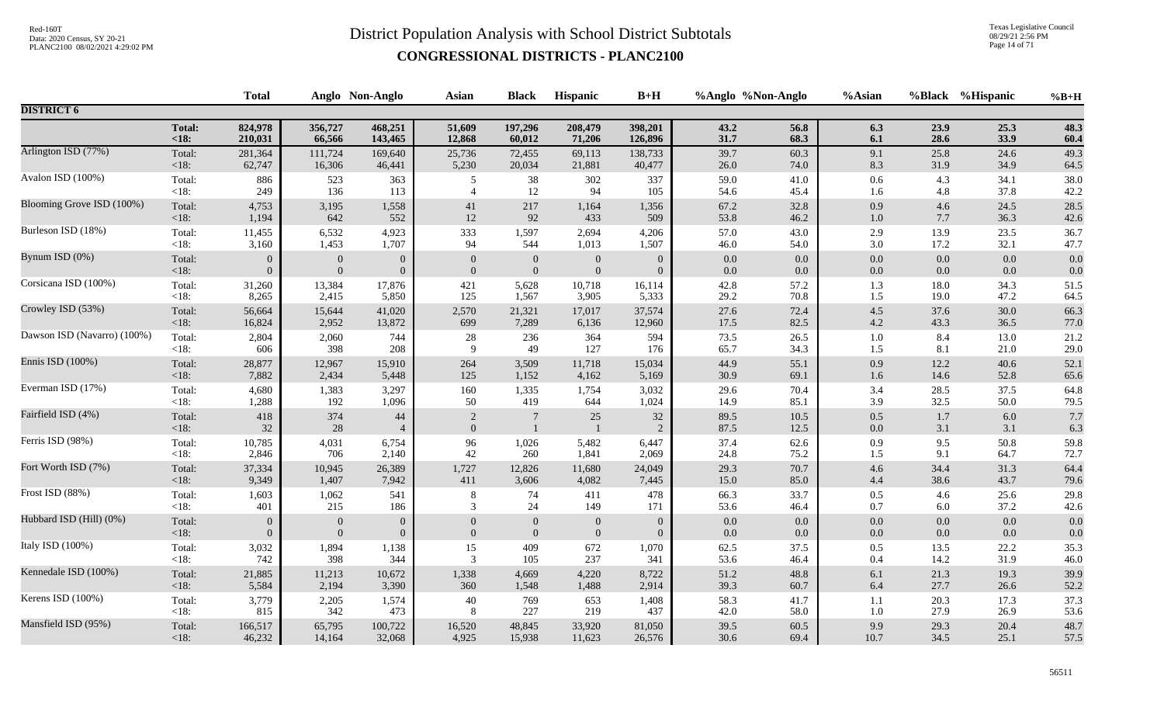Texas Legislative Council 08/29/21 2:56 PM Page 14 of 71

|                             |                   | <b>Total</b>   |              | Anglo Non-Anglo      | <b>Asian</b>                     | <b>Black</b>                   | <b>Hispanic</b> | $B+H$          | %Anglo %Non-Anglo |              | %Asian     |            | %Black %Hispanic | $%B+H$     |
|-----------------------------|-------------------|----------------|--------------|----------------------|----------------------------------|--------------------------------|-----------------|----------------|-------------------|--------------|------------|------------|------------------|------------|
| <b>DISTRICT 6</b>           |                   |                |              |                      |                                  |                                |                 |                |                   |              |            |            |                  |            |
|                             | <b>Total:</b>     | 824,978        | 356,727      | 468,251              | 51,609                           | 197,296                        | 208,479         | 398,201        | 43.2              | 56.8         | 6.3        | 23.9       | 25.3             | 48.3       |
|                             | < 18:             | 210,031        | 66,566       | 143,465              | 12,868                           | 60,012                         | 71,206          | 126,896        | 31.7              | 68.3         | 6.1        | 28.6       | 33.9             | 60.4       |
| Arlington ISD (77%)         | Total:            | 281,364        | 111,724      | 169,640              | 25,736                           | 72,455                         | 69,113          | 138,733        | 39.7              | 60.3         | 9.1        | 25.8       | 24.6             | 49.3       |
|                             | <18:              | 62,747         | 16,306       | 46,441               | 5,230                            | 20,034                         | 21,881          | 40,477         | 26.0              | 74.0         | 8.3        | 31.9       | 34.9             | 64.5       |
| Avalon ISD (100%)           | Total:            | 886            | 523          | 363                  | 5                                | 38                             | 302             | 337            | 59.0              | 41.0         | $0.6\,$    | 4.3        | 34.1             | 38.0       |
|                             | $<18$ :           | 249            | 136          | 113                  | $\overline{4}$                   | 12                             | 94              | 105            | 54.6              | 45.4         | 1.6        | 4.8        | 37.8             | 42.2       |
| Blooming Grove ISD (100%)   | Total:            | 4,753          | 3,195        | 1,558                | 41                               | 217                            | 1,164           | 1,356          | 67.2              | 32.8         | 0.9        | 4.6        | 24.5             | 28.5       |
|                             | <18:              | 1,194          | 642          | 552                  | 12                               | 92                             | 433             | 509            | 53.8              | 46.2         | $1.0\,$    | 7.7        | 36.3             | 42.6       |
| Burleson ISD (18%)          | Total:            | 11,455         | 6,532        | 4,923                | 333                              | 1,597                          | 2,694           | 4,206          | 57.0              | 43.0         | 2.9        | 13.9       | 23.5             | 36.7       |
|                             | < 18:             | 3,160          | 1,453        | 1,707                | 94                               | 544                            | 1,013           | 1,507          | 46.0              | 54.0         | 3.0        | 17.2       | 32.1             | 47.7       |
| Bynum ISD (0%)              | Total:            | $\overline{0}$ | $\mathbf{0}$ | $\overline{0}$       | $\mathbf{0}$                     | $\mathbf{0}$                   | $\overline{0}$  | $\overline{0}$ | $0.0\,$           | $0.0\,$      | $0.0\,$    | 0.0        | 0.0              | 0.0        |
|                             | <18:              | $\overline{0}$ | $\mathbf{0}$ | $\overline{0}$       | $\mathbf{0}$                     | $\overline{0}$                 | $\overline{0}$  | $\overline{0}$ | 0.0               | $0.0\,$      | $0.0\,$    | 0.0        | 0.0              | 0.0        |
| Corsicana ISD (100%)        | Total:            | 31,260         | 13,384       | 17,876               | 421                              | 5,628                          | 10,718          | 16,114         | 42.8              | 57.2         | 1.3        | 18.0       | 34.3             | 51.5       |
|                             | $<18$ :           | 8,265          | 2,415        | 5,850                | 125                              | 1,567                          | 3,905           | 5,333          | 29.2              | 70.8         | 1.5        | 19.0       | 47.2             | 64.5       |
| Crowley ISD (53%)           | Total:            | 56,664         | 15,644       | 41,020               | 2,570                            | 21,321                         | 17,017          | 37,574         | 27.6              | 72.4         | $4.5\,$    | 37.6       | 30.0             | 66.3       |
|                             | <18:              | 16,824         | 2,952        | 13,872               | 699                              | 7,289                          | 6,136           | 12,960         | 17.5              | 82.5         | $4.2\,$    | 43.3       | 36.5             | 77.0       |
| Dawson ISD (Navarro) (100%) | Total:            | 2,804          | 2,060        | 744                  | 28                               | 236                            | 364             | 594            | 73.5              | 26.5         | 1.0        | 8.4        | 13.0             | 21.2       |
|                             | < 18:             | 606            | 398          | 208                  | 9                                | 49                             | 127             | 176            | 65.7              | 34.3         | $1.5\,$    | 8.1        | 21.0             | 29.0       |
| Ennis ISD (100%)            | Total:            | 28,877         | 12,967       | 15,910               | 264                              | 3,509                          | 11,718          | 15,034         | 44.9              | 55.1         | 0.9        | 12.2       | 40.6             | 52.1       |
|                             | <18:              | 7,882          | 2,434        | 5,448                | 125                              | 1,152                          | 4,162           | 5,169          | 30.9              | 69.1         | $1.6\,$    | 14.6       | 52.8             | 65.6       |
| Everman ISD (17%)           | Total:            | 4,680          | 1,383        | 3,297                | 160                              | 1,335                          | 1,754           | 3,032          | 29.6              | 70.4         | 3.4        | 28.5       | 37.5             | 64.8       |
|                             | $<18$ :           | 1,288          | 192          | 1,096                | 50                               | 419                            | 644             | 1,024          | 14.9              | 85.1         | 3.9        | 32.5       | 50.0             | 79.5       |
| Fairfield ISD (4%)          | Total:<br>$<18$ : | 418<br>32      | 374<br>28    | 44<br>$\overline{4}$ | $\overline{2}$<br>$\overline{0}$ | $\overline{7}$<br>$\mathbf{1}$ | 25              | 32<br>2        | 89.5<br>87.5      | 10.5<br>12.5 | 0.5<br>0.0 | 1.7<br>3.1 | 6.0<br>3.1       | 7.7<br>6.3 |
| Ferris ISD (98%)            | Total:            | 10,785         | 4,031        | 6,754                | 96                               | 1,026                          | 5,482           | 6,447          | 37.4              | 62.6         | 0.9        | 9.5        | 50.8             | 59.8       |
|                             | < 18:             | 2,846          | 706          | 2,140                | 42                               | 260                            | 1,841           | 2,069          | 24.8              | 75.2         | $1.5\,$    | 9.1        | 64.7             | 72.7       |
| Fort Worth ISD (7%)         | Total:            | 37,334         | 10,945       | 26,389               | 1,727                            | 12,826                         | 11,680          | 24,049         | 29.3              | 70.7         | $4.6\,$    | 34.4       | 31.3             | 64.4       |
|                             | $<18$ :           | 9,349          | 1,407        | 7,942                | 411                              | 3,606                          | 4,082           | 7,445          | 15.0              | 85.0         | 4.4        | 38.6       | 43.7             | 79.6       |
| Frost ISD (88%)             | Total:            | 1,603          | 1,062        | 541                  | $\,8\,$                          | 74                             | 411             | 478            | 66.3              | 33.7         | 0.5        | 4.6        | 25.6             | 29.8       |
|                             | $<18$ :           | 401            | 215          | 186                  | 3                                | 24                             | 149             | 171            | 53.6              | 46.4         | 0.7        | 6.0        | 37.2             | 42.6       |
| Hubbard ISD (Hill) (0%)     | Total:            | $\overline{0}$ | $\mathbf{0}$ | $\overline{0}$       | $\overline{0}$                   | $\overline{0}$                 | $\mathbf{0}$    | $\overline{0}$ | $0.0\,$           | 0.0          | $0.0\,$    | 0.0        | 0.0              | 0.0        |
|                             | < 18:             | $\overline{0}$ | $\mathbf{0}$ | $\overline{0}$       | $\mathbf{0}$                     | $\boldsymbol{0}$               | $\overline{0}$  | $\theta$       | 0.0               | $0.0\,$      | 0.0        | 0.0        | 0.0              | 0.0        |
| Italy ISD (100%)            | Total:            | 3,032          | 1,894        | 1,138                | 15                               | 409                            | 672             | 1,070          | 62.5              | 37.5         | 0.5        | 13.5       | 22.2             | 35.3       |
|                             | $<18$ :           | 742            | 398          | 344                  | 3                                | 105                            | 237             | 341            | 53.6              | 46.4         | 0.4        | 14.2       | 31.9             | 46.0       |
| Kennedale ISD (100%)        | Total:            | 21,885         | 11,213       | 10,672               | 1,338                            | 4,669                          | 4,220           | 8,722          | 51.2              | 48.8         | 6.1        | 21.3       | 19.3             | 39.9       |
|                             | <18:              | 5,584          | 2,194        | 3,390                | 360                              | 1,548                          | 1,488           | 2,914          | 39.3              | 60.7         | 6.4        | 27.7       | 26.6             | 52.2       |
| Kerens ISD (100%)           | Total:            | 3,779          | 2,205        | 1,574                | 40                               | 769                            | 653             | 1,408          | 58.3              | 41.7         | 1.1        | 20.3       | 17.3             | 37.3       |
|                             | $<18$ :           | 815            | 342          | 473                  | 8                                | 227                            | 219             | 437            | 42.0              | 58.0         | $1.0\,$    | 27.9       | 26.9             | 53.6       |
| Mansfield ISD (95%)         | Total:            | 166,517        | 65,795       | 100,722              | 16,520                           | 48,845                         | 33,920          | 81,050         | 39.5              | 60.5         | 9.9        | 29.3       | 20.4             | 48.7       |
|                             | $<18$ :           | 46,232         | 14,164       | 32,068               | 4,925                            | 15,938                         | 11,623          | 26,576         | 30.6              | 69.4         | 10.7       | 34.5       | 25.1             | 57.5       |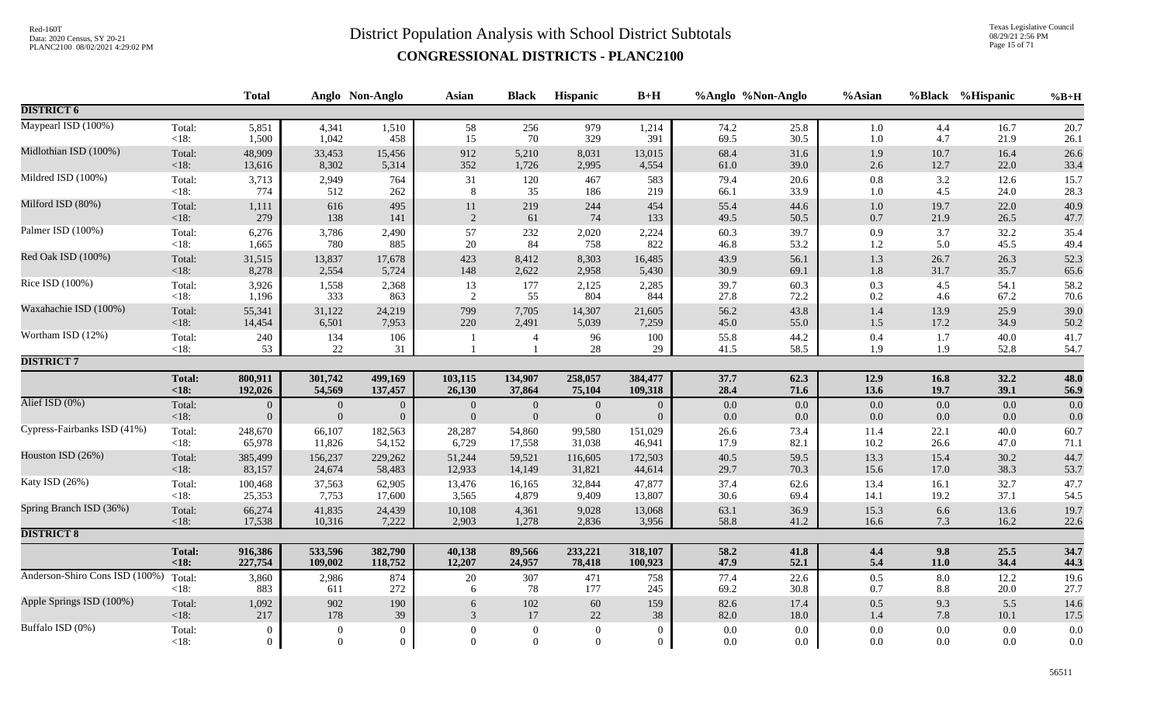Texas Legislative Council 08/29/21 2:56 PM Page 15 of 71

|                                |                | <b>Total</b>   |                  | Anglo Non-Anglo | <b>Asian</b>   | <b>Black</b>     | Hispanic         | $B+H$          |              | %Anglo %Non-Anglo | %Asian         |            | %Black %Hispanic | $%B+H$       |
|--------------------------------|----------------|----------------|------------------|-----------------|----------------|------------------|------------------|----------------|--------------|-------------------|----------------|------------|------------------|--------------|
| <b>DISTRICT 6</b>              |                |                |                  |                 |                |                  |                  |                |              |                   |                |            |                  |              |
| Maypearl ISD (100%)            | Total:         | 5,851          | 4,341            | 1,510           | 58             | 256              | 979              | 1,214          | 74.2         | 25.8              | 1.0            | 4.4        | 16.7             | 20.7         |
|                                | $<18$ :        | 1,500          | 1,042            | 458             | 15             | 70               | 329              | 391            | 69.5         | 30.5              | 1.0            | 4.7        | 21.9             | 26.1         |
| Midlothian ISD (100%)          | Total:         | 48,909         | 33,453           | 15,456          | 912            | 5,210            | 8,031            | 13,015         | 68.4         | 31.6              | 1.9            | 10.7       | 16.4             | 26.6         |
|                                | <18:           | 13,616         | 8,302            | 5,314           | 352            | 1,726            | 2,995            | 4,554          | 61.0         | 39.0              | $2.6\,$        | 12.7       | 22.0             | 33.4         |
| Mildred ISD (100%)             | Total:         | 3,713          | 2,949            | 764             | 31             | 120              | 467              | 583            | 79.4         | 20.6              | $0.8\,$        | 3.2        | 12.6             | 15.7         |
|                                | $<18$ :        | 774            | 512              | 262             | 8              | 35               | 186              | 219            | 66.1         | 33.9              | 1.0            | 4.5        | 24.0             | 28.3         |
| Milford ISD (80%)              | Total:         | 1,111          | 616              | 495             | $11\,$         | 219              | 244              | 454            | 55.4         | 44.6              | $1.0\,$        | 19.7       | 22.0             | 40.9         |
|                                | $<18$ :        | 279            | 138              | 141             | $\sqrt{2}$     | 61               | 74               | 133            | 49.5         | 50.5              | $0.7\,$        | 21.9       | 26.5             | 47.7         |
| Palmer ISD (100%)              | Total:         | 6,276          | 3,786            | 2,490           | 57             | 232              | 2,020            | 2,224          | 60.3         | 39.7              | 0.9            | 3.7        | 32.2             | 35.4         |
|                                | $<18$ :        | 1,665          | 780              | 885             | 20             | 84               | 758              | 822            | 46.8         | 53.2              | $1.2\,$        | 5.0        | 45.5             | 49.4         |
| Red Oak ISD (100%)             | Total:         | 31,515         | 13,837           | 17,678          | 423            | 8,412            | 8,303            | 16,485         | 43.9         | 56.1              | 1.3            | 26.7       | 26.3             | 52.3         |
|                                | <18:           | 8,278          | 2,554            | 5,724           | 148            | 2,622            | 2,958            | 5,430          | 30.9         | 69.1              | $1.8\,$        | 31.7       | 35.7             | 65.6         |
| Rice ISD (100%)                | Total:         | 3,926          | 1,558            | 2,368           | 13             | 177              | 2,125            | 2,285          | 39.7         | 60.3              | 0.3            | 4.5        | 54.1             | 58.2         |
|                                | $<18$ :        | 1,196          | 333              | 863             | 2              | 55               | 804              | 844            | 27.8         | 72.2              | 0.2            | 4.6        | 67.2             | 70.6         |
| Waxahachie ISD (100%)          | Total:         | 55,341         | 31,122           | 24,219          | 799            | 7,705            | 14,307           | 21,605         | 56.2         | 43.8              | 1.4            | 13.9       | 25.9             | 39.0         |
|                                | <18:           | 14,454         | 6,501            | 7,953           | 220            | 2,491            | 5,039            | 7,259          | 45.0         | 55.0              | 1.5            | 17.2       | 34.9             | 50.2         |
| Wortham ISD (12%)              | Total:<br><18: | 240<br>53      | 134<br>22        | 106<br>31       |                | $\overline{4}$   | 96<br>28         | 100<br>29      | 55.8<br>41.5 | 44.2<br>58.5      | $0.4\,$<br>1.9 | 1.7<br>1.9 | 40.0<br>52.8     | 41.7<br>54.7 |
| <b>DISTRICT 7</b>              |                |                |                  |                 |                |                  |                  |                |              |                   |                |            |                  |              |
|                                | <b>Total:</b>  | 800,911        | 301,742          | 499,169         | 103,115        | 134,907          | 258,057          | 384,477        | 37.7         | 62.3              | 12.9           | 16.8       | 32.2             | 48.0         |
|                                | $18:$          | 192,026        | 54,569           | 137,457         | 26,130         | 37,864           | 75,104           | 109,318        | 28.4         | 71.6              | 13.6           | 19.7       | 39.1             | 56.9         |
| Alief ISD (0%)                 | Total:         | $\overline{0}$ | $\boldsymbol{0}$ | $\mathbf{0}$    | $\mathbf{0}$   | $\mathbf{0}$     | $\mathbf{0}$     | $\overline{0}$ | 0.0          | $0.0\,$           | $0.0\,$        | 0.0        | 0.0              | 0.0          |
|                                | $<18$ :        | $\overline{0}$ | $\boldsymbol{0}$ | $\overline{0}$  | $\overline{0}$ | $\boldsymbol{0}$ | $\boldsymbol{0}$ | $\overline{0}$ | 0.0          | 0.0               | $0.0\,$        | 0.0        | 0.0              | 0.0          |
| Cypress-Fairbanks ISD (41%)    | Total:         | 248,670        | 66,107           | 182,563         | 28,287         | 54,860           | 99,580           | 151,029        | 26.6         | 73.4              | 11.4           | 22.1       | 40.0             | 60.7         |
|                                | $<18$ :        | 65,978         | 11,826           | 54,152          | 6,729          | 17,558           | 31,038           | 46,941         | 17.9         | 82.1              | 10.2           | 26.6       | 47.0             | 71.1         |
| Houston ISD (26%)              | Total:         | 385,499        | 156,237          | 229,262         | 51,244         | 59,521           | 116,605          | 172,503        | 40.5         | 59.5              | 13.3           | 15.4       | 30.2             | 44.7         |
|                                | <18:           | 83,157         | 24,674           | 58,483          | 12,933         | 14,149           | 31,821           | 44,614         | 29.7         | 70.3              | 15.6           | 17.0       | 38.3             | 53.7         |
| Katy ISD (26%)                 | Total:         | 100,468        | 37,563           | 62,905          | 13,476         | 16,165           | 32,844           | 47,877         | 37.4         | 62.6              | 13.4           | 16.1       | 32.7             | 47.7         |
|                                | $<18$ :        | 25,353         | 7,753            | 17,600          | 3,565          | 4,879            | 9,409            | 13,807         | 30.6         | 69.4              | 14.1           | 19.2       | 37.1             | 54.5         |
| Spring Branch ISD (36%)        | Total:         | 66,274         | 41,835           | 24,439          | 10,108         | 4,361            | 9,028            | 13,068         | 63.1         | 36.9              | 15.3           | 6.6        | 13.6             | 19.7         |
|                                | $<18$ :        | 17,538         | 10,316           | 7,222           | 2,903          | 1,278            | 2,836            | 3,956          | 58.8         | 41.2              | 16.6           | 7.3        | 16.2             | 22.6         |
| <b>DISTRICT 8</b>              |                |                |                  |                 |                |                  |                  |                |              |                   |                |            |                  |              |
|                                | <b>Total:</b>  | 916,386        | 533,596          | 382,790         | 40,138         | 89,566           | 233,221          | 318,107        | 58.2         | 41.8              | 4.4            | 9.8        | 25.5             | 34.7         |
|                                | $18:$          | 227,754        | 109,002          | 118,752         | 12,207         | 24,957           | 78,418           | 100,923        | 47.9         | 52.1              | 5.4            | 11.0       | 34.4             | 44.3         |
| Anderson-Shiro Cons ISD (100%) | Total:         | 3,860          | 2,986            | 874             | $20\,$         | 307              | 471              | 758            | 77.4         | 22.6              | 0.5            | 8.0        | 12.2             | 19.6         |
|                                | $<18$ :        | 883            | 611              | 272             | 6              | 78               | 177              | 245            | 69.2         | 30.8              | 0.7            | 8.8        | 20.0             | 27.7         |
| Apple Springs ISD (100%)       | Total:         | 1,092          | 902              | 190             | 6              | $102\,$          | 60               | 159            | 82.6         | 17.4              | $0.5\,$        | 9.3        | 5.5              | 14.6         |
|                                | <18:           | 217            | 178              | 39              | 3              | 17               | 22               | 38             | 82.0         | 18.0              | $1.4\,$        | 7.8        | 10.1             | 17.5         |
| Buffalo ISD (0%)               | Total:         | $\overline{0}$ | $\mathbf{0}$     | $\theta$        | $\Omega$       | $\mathbf{0}$     | $\overline{0}$   | $\overline{0}$ | 0.0          | 0.0               | 0.0            | 0.0        | 0.0              | $0.0\,$      |
|                                | $<18$ :        | $\theta$       | $\overline{0}$   | $\overline{0}$  | $\Omega$       | $\overline{0}$   | $\overline{0}$   | $\overline{0}$ | 0.0          | 0.0               | 0.0            | $0.0\,$    | 0.0              | $0.0\,$      |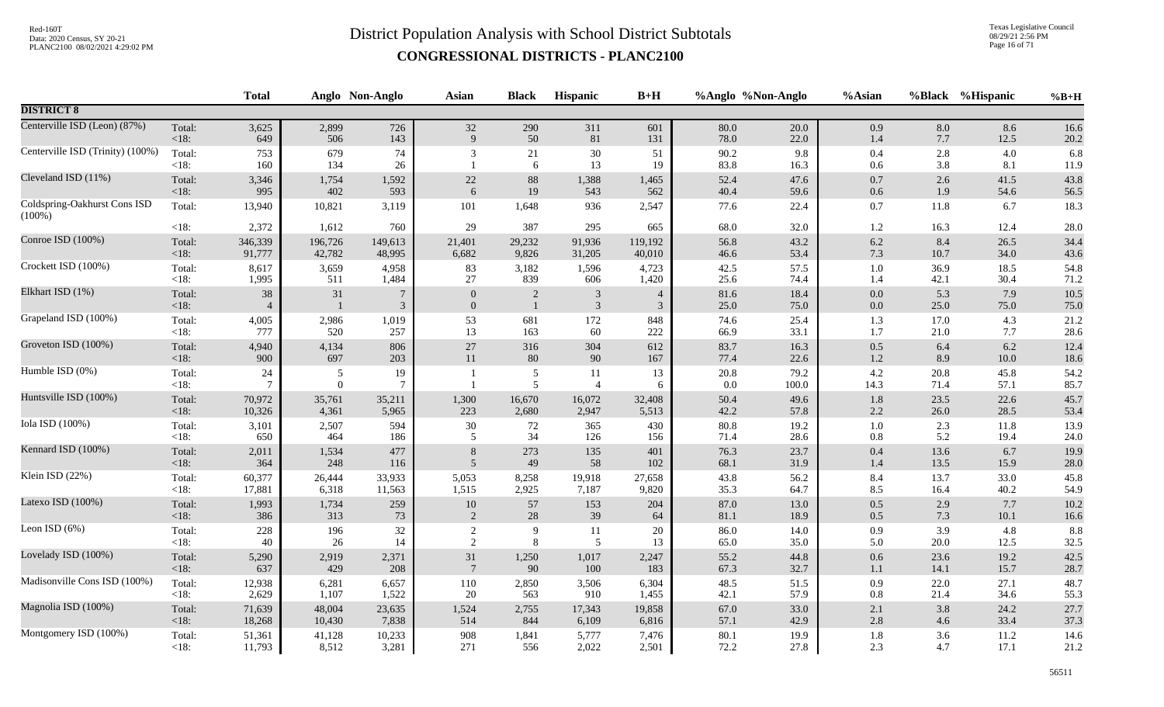Texas Legislative Council 08/29/21 2:56 PM Page 16 of 71

|                                           |                   | <b>Total</b>         |                     | Anglo Non-Anglo          | <b>Asian</b>               | <b>Black</b>               | <b>Hispanic</b>      | $B+H$               |              | %Anglo %Non-Anglo | %Asian         |              | %Black %Hispanic | $%B+H$       |
|-------------------------------------------|-------------------|----------------------|---------------------|--------------------------|----------------------------|----------------------------|----------------------|---------------------|--------------|-------------------|----------------|--------------|------------------|--------------|
| <b>DISTRICT 8</b>                         |                   |                      |                     |                          |                            |                            |                      |                     |              |                   |                |              |                  |              |
| Centerville ISD (Leon) (87%)              | Total:            | 3,625                | 2,899               | 726                      | 32                         | 290                        | 311                  | 601                 | 80.0         | 20.0              | 0.9            | 8.0          | 8.6              | 16.6         |
|                                           | $< 18$ :          | 649                  | 506                 | 143                      | 9                          | 50                         | 81                   | 131                 | 78.0         | 22.0              | 1.4            | 7.7          | 12.5             | 20.2         |
| Centerville ISD (Trinity) (100%)          | Total:<br>$<18$ : | 753<br>160           | 679<br>134          | 74<br>26                 | 3                          | 21<br>6                    | 30<br>13             | 51<br>19            | 90.2<br>83.8 | 9.8<br>16.3       | $0.4\,$<br>0.6 | 2.8<br>3.8   | 4.0<br>8.1       | 6.8<br>11.9  |
| Cleveland ISD (11%)                       | Total:            | 3,346                | 1,754               | 1,592                    | $22\,$                     | $88\,$                     | 1,388                | 1,465               | 52.4         | 47.6              | $0.7\,$        | 2.6          | 41.5             | 43.8         |
|                                           | < 18:             | 995                  | 402                 | 593                      | 6                          | 19                         | 543                  | 562                 | 40.4         | 59.6              | 0.6            | 1.9          | 54.6             | 56.5         |
| Coldspring-Oakhurst Cons ISD<br>$(100\%)$ | Total:            | 13,940               | 10,821              | 3,119                    | 101                        | 1,648                      | 936                  | 2,547               | 77.6         | 22.4              | $0.7\,$        | 11.8         | 6.7              | 18.3         |
|                                           | < 18:             | 2,372                | 1,612               | 760                      | 29                         | 387                        | 295                  | 665                 | 68.0         | 32.0              | $1.2\,$        | 16.3         | 12.4             | 28.0         |
| Conroe ISD (100%)                         | Total:            | 346,339              | 196,726             | 149,613                  | 21,401                     | 29,232                     | 91,936               | 119,192             | 56.8         | 43.2              | 6.2            | 8.4          | 26.5             | 34.4         |
|                                           | <18:              | 91,777               | 42,782              | 48,995                   | 6,682                      | 9,826                      | 31,205               | 40,010              | 46.6         | 53.4              | $7.3\,$        | 10.7         | 34.0             | 43.6         |
| Crockett ISD (100%)                       | Total:            | 8,617                | 3,659               | 4,958                    | 83                         | 3,182                      | 1,596                | 4,723               | 42.5         | 57.5              | $1.0\,$        | 36.9         | 18.5             | 54.8         |
|                                           | <18:              | 1,995                | 511                 | 1,484                    | $27\,$                     | 839                        | 606                  | 1,420               | 25.6         | 74.4              | 1.4            | 42.1         | 30.4             | 71.2         |
| Elkhart ISD (1%)                          | Total:<br>$<18$ : | 38<br>$\overline{4}$ | 31                  | $\tau$<br>$\mathfrak{Z}$ | $\theta$<br>$\overline{0}$ | $\sqrt{2}$<br>$\mathbf{1}$ | $\sqrt{3}$<br>3      | $\overline{4}$<br>3 | 81.6<br>25.0 | 18.4<br>75.0      | $0.0\,$<br>0.0 | 5.3<br>25.0  | 7.9<br>75.0      | 10.5<br>75.0 |
| Grapeland ISD (100%)                      | Total:            | 4,005                | 2,986               | 1,019                    | 53                         | 681                        | 172                  | 848                 | 74.6         | 25.4              | 1.3            | 17.0         | 4.3              | 21.2         |
|                                           | $<18$ :           | 777                  | 520                 | 257                      | 13                         | 163                        | 60                   | 222                 | 66.9         | 33.1              | 1.7            | 21.0         | 7.7              | 28.6         |
| Groveton ISD (100%)                       | Total:            | 4,940                | 4,134               | 806                      | 27                         | 316                        | 304                  | 612                 | 83.7         | 16.3              | $0.5\,$        | 6.4          | 6.2              | 12.4         |
|                                           | $<18$ :           | 900                  | 697                 | 203                      | 11                         | 80                         | 90                   | 167                 | 77.4         | 22.6              | 1.2            | 8.9          | 10.0             | 18.6         |
| Humble ISD (0%)                           | Total:<br>$<18$ : | 24                   | 5<br>$\overline{0}$ | 19<br>$\tau$             |                            | $\sqrt{5}$<br>5            | 11<br>$\overline{4}$ | 13<br>6             | 20.8<br>0.0  | 79.2<br>100.0     | 4.2<br>14.3    | 20.8<br>71.4 | 45.8<br>57.1     | 54.2<br>85.7 |
| Huntsville ISD (100%)                     | Total:            | 70,972               | 35,761              | 35,211                   | 1,300                      | 16,670                     | 16,072               | 32,408              | 50.4         | 49.6              | $1.8\,$        | 23.5         | 22.6             | 45.7         |
|                                           | $<18$ :           | 10,326               | 4,361               | 5,965                    | 223                        | 2,680                      | 2,947                | 5,513               | 42.2         | 57.8              | 2.2            | 26.0         | 28.5             | 53.4         |
| Iola ISD (100%)                           | Total:            | 3,101                | 2,507               | 594                      | $30\,$                     | 72                         | 365                  | 430                 | 80.8         | 19.2              | $1.0\,$        | 2.3          | 11.8             | 13.9         |
|                                           | $<18$ :           | 650                  | 464                 | 186                      | 5                          | 34                         | 126                  | 156                 | 71.4         | 28.6              | $0.8\,$        | 5.2          | 19.4             | 24.0         |
| Kennard ISD (100%)                        | Total:            | 2,011                | 1,534               | 477                      | 8                          | 273                        | 135                  | 401                 | 76.3         | 23.7              | 0.4            | 13.6         | 6.7              | 19.9         |
|                                           | $<18$ :           | 364                  | 248                 | 116                      | $\overline{5}$             | 49                         | 58                   | 102                 | 68.1         | 31.9              | 1.4            | 13.5         | 15.9             | 28.0         |
| Klein ISD (22%)                           | Total:            | 60,377               | 26,444              | 33,933                   | 5,053                      | 8,258                      | 19,918               | 27,658              | 43.8         | 56.2              | 8.4            | 13.7         | 33.0             | 45.8         |
|                                           | <18:              | 17,881               | 6,318               | 11,563                   | 1,515                      | 2,925                      | 7,187                | 9,820               | 35.3         | 64.7              | 8.5            | 16.4         | 40.2             | 54.9         |
| Latexo ISD (100%)                         | Total:            | 1,993                | 1,734               | 259                      | $10\,$                     | 57                         | 153                  | 204                 | 87.0         | 13.0              | $0.5\,$        | 2.9          | 7.7              | 10.2         |
|                                           | $<18$ :           | 386                  | 313                 | 73                       | 2                          | 28                         | 39                   | 64                  | 81.1         | 18.9              | 0.5            | 7.3          | 10.1             | 16.6         |
| Leon ISD $(6%)$                           | Total:            | 228                  | 196                 | 32                       | $\sqrt{2}$                 | $\overline{9}$             | 11                   | 20                  | 86.0         | 14.0              | 0.9            | 3.9          | 4.8              | 8.8          |
|                                           | $<18$ :           | 40                   | 26                  | 14                       | 2                          | 8                          | 5                    | 13                  | 65.0         | 35.0              | 5.0            | 20.0         | 12.5             | 32.5         |
| Lovelady ISD (100%)                       | Total:            | 5,290                | 2,919               | 2,371                    | 31                         | 1,250                      | 1,017                | 2,247               | 55.2         | 44.8              | 0.6            | 23.6         | 19.2             | 42.5         |
|                                           | $<18$ :           | 637                  | 429                 | 208                      | $7\phantom{.0}$            | 90                         | 100                  | 183                 | 67.3         | 32.7              | 1.1            | 14.1         | 15.7             | 28.7         |
| Madisonville Cons ISD (100%)              | Total:            | 12,938               | 6,281               | 6,657                    | 110                        | 2,850                      | 3,506                | 6,304               | 48.5         | 51.5              | 0.9            | 22.0         | 27.1             | 48.7         |
|                                           | $<18$ :           | 2,629                | 1,107               | 1,522                    | 20                         | 563                        | 910                  | 1,455               | 42.1         | 57.9              | $0.8\,$        | 21.4         | 34.6             | 55.3         |
| Magnolia ISD (100%)                       | Total:            | 71,639               | 48,004              | 23,635                   | 1,524                      | 2,755                      | 17,343               | 19,858              | 67.0         | 33.0              | 2.1            | 3.8          | 24.2             | 27.7         |
|                                           | $<18$ :           | 18,268               | 10,430              | 7,838                    | 514                        | 844                        | 6,109                | 6,816               | 57.1         | 42.9              | 2.8            | 4.6          | 33.4             | 37.3         |
| Montgomery ISD (100%)                     | Total:            | 51,361               | 41,128              | 10,233                   | 908                        | 1,841                      | 5,777                | 7,476               | 80.1         | 19.9              | $1.8\,$        | 3.6          | 11.2             | 14.6         |
|                                           | <18:              | 11,793               | 8,512               | 3,281                    | 271                        | 556                        | 2,022                | 2,501               | 72.2         | 27.8              | 2.3            | 4.7          | 17.1             | 21.2         |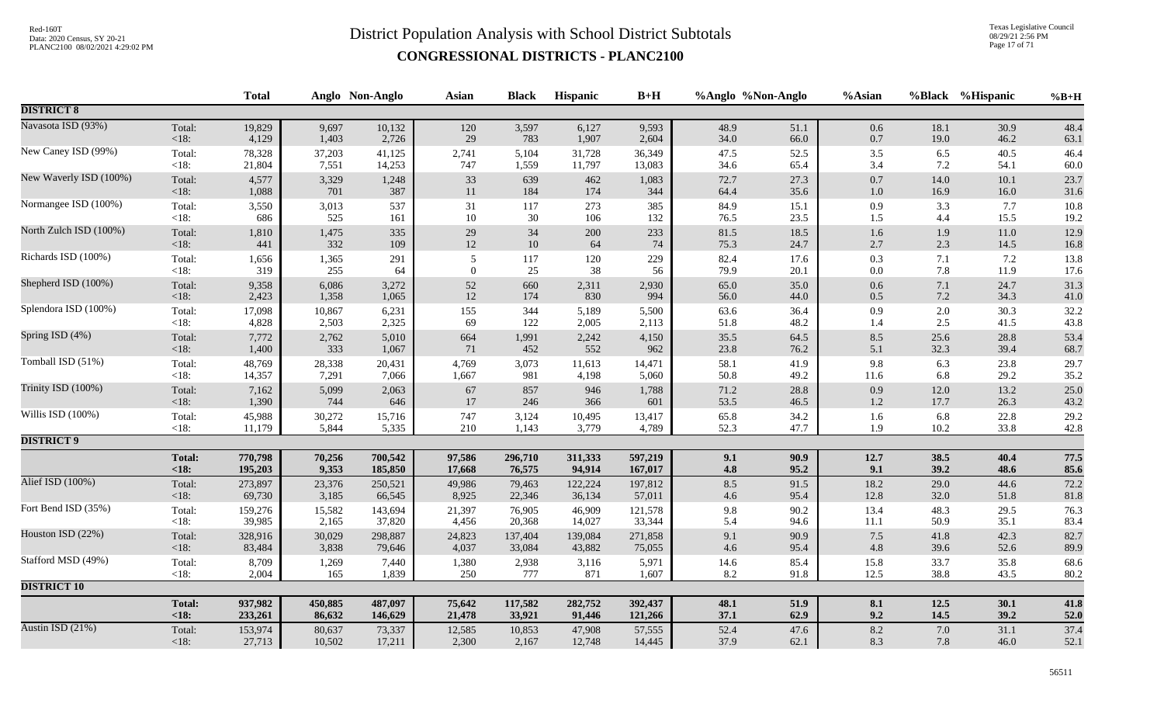Texas Legislative Council 08/29/21 2:56 PM Page 17 of 71

|                        |               | <b>Total</b> |         | Anglo Non-Anglo | <b>Asian</b>   | <b>Black</b> | Hispanic | $B+H$   | %Anglo %Non-Anglo |      | %Asian   |         | %Black %Hispanic | $%B+H$   |
|------------------------|---------------|--------------|---------|-----------------|----------------|--------------|----------|---------|-------------------|------|----------|---------|------------------|----------|
| <b>DISTRICT 8</b>      |               |              |         |                 |                |              |          |         |                   |      |          |         |                  |          |
| Navasota ISD (93%)     | Total:        | 19,829       | 9,697   | 10,132          | 120            | 3,597        | 6,127    | 9,593   | 48.9              | 51.1 | $0.6\,$  | 18.1    | 30.9             | 48.4     |
|                        | $<18$ :       | 4,129        | 1,403   | 2,726           | 29             | 783          | 1,907    | 2,604   | 34.0              | 66.0 | $0.7\,$  | 19.0    | 46.2             | 63.1     |
| New Caney ISD (99%)    | Total:        | 78,328       | 37,203  | 41,125          | 2,741          | 5,104        | 31,728   | 36,349  | 47.5              | 52.5 | $3.5$    | 6.5     | 40.5             | 46.4     |
|                        | $<18$ :       | 21,804       | 7,551   | 14,253          | 747            | 1,559        | 11,797   | 13,083  | 34.6              | 65.4 | 3.4      | 7.2     | 54.1             | 60.0     |
| New Waverly ISD (100%) | Total:        | 4,577        | 3,329   | 1,248           | 33             | 639          | 462      | 1,083   | 72.7              | 27.3 | 0.7      | 14.0    | 10.1             | 23.7     |
|                        | < 18:         | 1,088        | 701     | 387             | 11             | 184          | 174      | 344     | 64.4              | 35.6 | 1.0      | 16.9    | 16.0             | 31.6     |
| Normangee ISD (100%)   | Total:        | 3,550        | 3,013   | 537             | 31             | 117          | 273      | 385     | 84.9              | 15.1 | 0.9      | 3.3     | 7.7              | 10.8     |
|                        | <18:          | 686          | 525     | 161             | $10\,$         | $30\,$       | 106      | 132     | 76.5              | 23.5 | 1.5      | 4.4     | 15.5             | 19.2     |
| North Zulch ISD (100%) | Total:        | 1,810        | 1,475   | 335             | $29\,$         | 34           | $200\,$  | 233     | 81.5              | 18.5 | 1.6      | 1.9     | $11.0\,$         | 12.9     |
|                        | < 18:         | 441          | 332     | 109             | $12\,$         | $10\,$       | 64       | 74      | 75.3              | 24.7 | 2.7      | 2.3     | 14.5             | $16.8\,$ |
| Richards ISD (100%)    | Total:        | 1,656        | 1,365   | 291             | 5              | 117          | 120      | 229     | 82.4              | 17.6 | 0.3      | 7.1     | 7.2              | 13.8     |
|                        | $<18$ :       | 319          | 255     | 64              | $\overline{0}$ | 25           | 38       | 56      | 79.9              | 20.1 | 0.0      | 7.8     | 11.9             | 17.6     |
| Shepherd ISD (100%)    | Total:        | 9,358        | 6,086   | 3,272           | 52             | 660          | 2,311    | 2,930   | 65.0              | 35.0 | $0.6\,$  | 7.1     | 24.7             | 31.3     |
|                        | <18:          | 2,423        | 1,358   | 1,065           | $12\,$         | 174          | 830      | 994     | 56.0              | 44.0 | $0.5\,$  | $7.2\,$ | 34.3             | 41.0     |
| Splendora ISD (100%)   | Total:        | 17,098       | 10,867  | 6,231           | 155            | 344          | 5,189    | 5,500   | 63.6              | 36.4 | 0.9      | 2.0     | 30.3             | 32.2     |
|                        | <18:          | 4,828        | 2,503   | 2,325           | 69             | 122          | 2,005    | 2,113   | 51.8              | 48.2 | 1.4      | 2.5     | 41.5             | 43.8     |
| Spring ISD (4%)        | Total:        | 7,772        | 2,762   | 5,010           | 664            | 1,991        | 2,242    | 4,150   | 35.5              | 64.5 | 8.5      | 25.6    | 28.8             | 53.4     |
|                        | <18:          | 1,400        | 333     | 1,067           | 71             | 452          | 552      | 962     | 23.8              | 76.2 | 5.1      | 32.3    | 39.4             | 68.7     |
| Tomball ISD (51%)      | Total:        | 48,769       | 28,338  | 20,431          | 4,769          | 3,073        | 11,613   | 14,471  | 58.1              | 41.9 | 9.8      | 6.3     | 23.8             | 29.7     |
|                        | <18:          | 14,357       | 7,291   | 7,066           | 1,667          | 981          | 4,198    | 5,060   | 50.8              | 49.2 | 11.6     | 6.8     | 29.2             | 35.2     |
| Trinity ISD (100%)     | Total:        | 7,162        | 5,099   | 2,063           | 67             | 857          | 946      | 1,788   | 71.2              | 28.8 | 0.9      | 12.0    | 13.2             | 25.0     |
|                        | $<18$ :       | 1,390        | 744     | 646             | 17             | 246          | 366      | 601     | 53.5              | 46.5 | 1.2      | 17.7    | 26.3             | 43.2     |
| Willis ISD (100%)      | Total:        | 45,988       | 30,272  | 15,716          | 747            | 3,124        | 10,495   | 13,417  | 65.8              | 34.2 | 1.6      | 6.8     | 22.8             | 29.2     |
|                        | $<18$ :       | 11,179       | 5,844   | 5,335           | 210            | 1,143        | 3,779    | 4,789   | 52.3              | 47.7 | 1.9      | 10.2    | 33.8             | 42.8     |
| <b>DISTRICT 9</b>      |               |              |         |                 |                |              |          |         |                   |      |          |         |                  |          |
|                        | <b>Total:</b> | 770,798      | 70,256  | 700,542         | 97,586         | 296,710      | 311,333  | 597,219 | 9.1               | 90.9 | 12.7     | 38.5    | 40.4             | 77.5     |
|                        | < 18:         | 195,203      | 9,353   | 185,850         | 17,668         | 76,575       | 94,914   | 167,017 | 4.8               | 95.2 | 9.1      | 39.2    | 48.6             | 85.6     |
| Alief ISD (100%)       | Total:        | 273,897      | 23,376  | 250,521         | 49,986         | 79,463       | 122,224  | 197,812 | 8.5               | 91.5 | 18.2     | 29.0    | 44.6             | 72.2     |
|                        | <18:          | 69,730       | 3,185   | 66,545          | 8,925          | 22,346       | 36,134   | 57,011  | 4.6               | 95.4 | 12.8     | 32.0    | 51.8             | 81.8     |
| Fort Bend ISD (35%)    | Total:        | 159,276      | 15,582  | 143,694         | 21,397         | 76,905       | 46,909   | 121,578 | 9.8               | 90.2 | 13.4     | 48.3    | 29.5             | 76.3     |
|                        | $<18$ :       | 39,985       | 2,165   | 37,820          | 4,456          | 20,368       | 14,027   | 33,344  | 5.4               | 94.6 | $11.1\,$ | 50.9    | 35.1             | 83.4     |
| Houston ISD (22%)      | Total:        | 328,916      | 30,029  | 298,887         | 24,823         | 137,404      | 139,084  | 271,858 | 9.1               | 90.9 | $7.5$    | 41.8    | 42.3             | 82.7     |
|                        | <18:          | 83,484       | 3,838   | 79,646          | 4,037          | 33,084       | 43,882   | 75,055  | 4.6               | 95.4 | 4.8      | 39.6    | 52.6             | 89.9     |
| Stafford MSD (49%)     | Total:        | 8,709        | 1,269   | 7,440           | 1,380          | 2,938        | 3,116    | 5,971   | 14.6              | 85.4 | 15.8     | 33.7    | 35.8             | 68.6     |
|                        | <18:          | 2,004        | 165     | 1,839           | 250            | 777          | 871      | 1,607   | 8.2               | 91.8 | 12.5     | 38.8    | 43.5             | 80.2     |
| <b>DISTRICT 10</b>     |               |              |         |                 |                |              |          |         |                   |      |          |         |                  |          |
|                        | <b>Total:</b> | 937,982      | 450,885 | 487,097         | 75,642         | 117,582      | 282,752  | 392,437 | 48.1              | 51.9 | 8.1      | 12.5    | 30.1             | 41.8     |
|                        | < 18:         | 233,261      | 86,632  | 146,629         | 21,478         | 33,921       | 91,446   | 121,266 | 37.1              | 62.9 | 9.2      | 14.5    | 39.2             | 52.0     |
| Austin ISD (21%)       | Total:        | 153,974      | 80,637  | 73,337          | 12,585         | 10,853       | 47,908   | 57,555  | 52.4              | 47.6 | 8.2      | 7.0     | 31.1             | 37.4     |
|                        | $<18$ :       | 27,713       | 10,502  | 17,211          | 2,300          | 2,167        | 12,748   | 14,445  | 37.9              | 62.1 | 8.3      | 7.8     | 46.0             | 52.1     |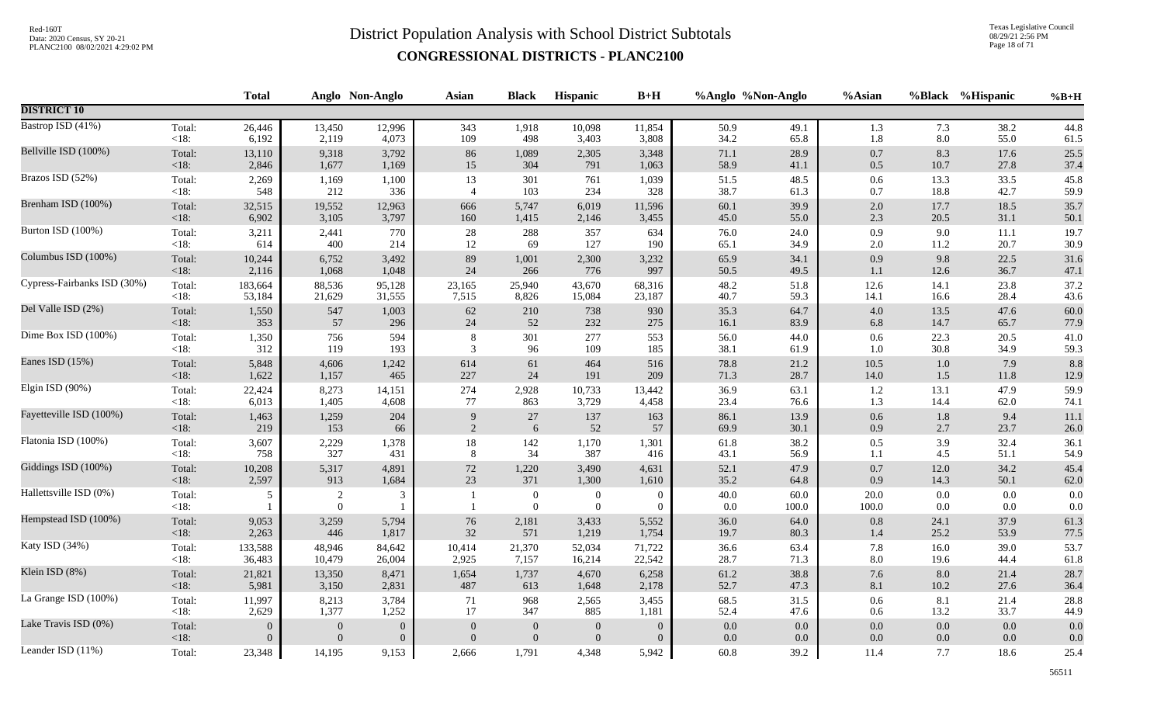Texas Legislative Council 08/29/21 2:56 PM Page 18 of 71

|                             |                   | <b>Total</b>   |                            | Anglo Non-Anglo  | <b>Asian</b>   | <b>Black</b>                         | Hispanic                         | $B+H$                            |             | %Anglo %Non-Anglo | %Asian        |            | %Black %Hispanic | $%B+H$     |
|-----------------------------|-------------------|----------------|----------------------------|------------------|----------------|--------------------------------------|----------------------------------|----------------------------------|-------------|-------------------|---------------|------------|------------------|------------|
| <b>DISTRICT 10</b>          |                   |                |                            |                  |                |                                      |                                  |                                  |             |                   |               |            |                  |            |
| Bastrop ISD (41%)           | Total:            | 26,446         | 13,450                     | 12,996           | 343            | 1,918                                | 10,098                           | 11,854                           | 50.9        | 49.1              | 1.3           | 7.3        | 38.2             | 44.8       |
|                             | $<18$ :           | 6,192          | 2,119                      | 4,073            | 109            | 498                                  | 3,403                            | 3,808                            | 34.2        | 65.8              | 1.8           | 8.0        | 55.0             | 61.5       |
| Bellville ISD (100%)        | Total:            | 13,110         | 9,318                      | 3,792            | 86             | 1,089                                | 2,305                            | 3,348                            | 71.1        | 28.9              | $0.7\,$       | 8.3        | 17.6             | 25.5       |
|                             | $<18$ :           | 2,846          | 1,677                      | 1,169            | 15             | 304                                  | 791                              | 1,063                            | 58.9        | 41.1              | $0.5\,$       | 10.7       | 27.8             | 37.4       |
| Brazos ISD (52%)            | Total:            | 2,269          | 1,169                      | 1,100            | 13             | 301                                  | 761                              | 1,039                            | 51.5        | 48.5              | 0.6           | 13.3       | 33.5             | 45.8       |
|                             | $<18$ :           | 548            | 212                        | 336              | $\overline{4}$ | 103                                  | 234                              | 328                              | 38.7        | 61.3              | 0.7           | 18.8       | 42.7             | 59.9       |
| Brenham ISD (100%)          | Total:            | 32,515         | 19,552                     | 12,963           | 666            | 5,747                                | 6,019                            | 11,596                           | 60.1        | 39.9              | $2.0\,$       | 17.7       | 18.5             | 35.7       |
|                             | < 18:             | 6,902          | 3,105                      | 3,797            | 160            | 1,415                                | 2,146                            | 3,455                            | 45.0        | 55.0              | $2.3\,$       | 20.5       | 31.1             | 50.1       |
| Burton ISD (100%)           | Total:            | 3,211          | 2,441                      | 770              | 28             | 288                                  | 357                              | 634                              | 76.0        | 24.0              | 0.9           | 9.0        | 11.1             | 19.7       |
|                             | $<18$ :           | 614            | 400                        | 214              | 12             | 69                                   | 127                              | 190                              | 65.1        | 34.9              | $2.0\,$       | 11.2       | 20.7             | 30.9       |
| Columbus ISD (100%)         | Total:            | 10,244         | 6,752                      | 3,492            | 89             | 1,001                                | 2,300                            | 3,232                            | 65.9        | 34.1              | $0.9\,$       | 9.8        | 22.5             | 31.6       |
|                             | $<18$ :           | 2,116          | 1,068                      | 1,048            | 24             | 266                                  | 776                              | 997                              | 50.5        | 49.5              | 1.1           | 12.6       | 36.7             | 47.1       |
| Cypress-Fairbanks ISD (30%) | Total:            | 183,664        | 88,536                     | 95,128           | 23,165         | 25,940                               | 43,670                           | 68,316                           | 48.2        | 51.8              | 12.6          | 14.1       | 23.8             | 37.2       |
|                             | <18:              | 53,184         | 21,629                     | 31,555           | 7,515          | 8,826                                | 15,084                           | 23,187                           | 40.7        | 59.3              | 14.1          | 16.6       | 28.4             | 43.6       |
| Del Valle ISD (2%)          | Total:            | 1,550          | 547                        | 1,003            | $62\,$         | 210                                  | 738                              | 930                              | 35.3        | 64.7              | $4.0\,$       | 13.5       | 47.6             | 60.0       |
|                             | $<18$ :           | 353            | 57                         | 296              | 24             | $52\,$                               | 232                              | 275                              | 16.1        | 83.9              | 6.8           | 14.7       | 65.7             | 77.9       |
| Dime Box ISD (100%)         | Total:            | 1,350          | 756                        | 594              | 8              | 301                                  | 277                              | 553                              | 56.0        | 44.0              | $0.6\,$       | 22.3       | 20.5             | 41.0       |
|                             | $<18$ :           | 312            | 119                        | 193              | 3              | 96                                   | 109                              | 185                              | 38.1        | 61.9              | 1.0           | 30.8       | 34.9             | 59.3       |
| Eanes ISD (15%)             | Total:            | 5,848          | 4,606                      | 1,242            | 614            | 61                                   | 464                              | 516                              | 78.8        | 21.2              | 10.5          | 1.0        | 7.9              | 8.8        |
|                             | $<18$ :           | 1,622          | 1,157                      | 465              | 227            | 24                                   | 191                              | 209                              | 71.3        | 28.7              | 14.0          | 1.5        | 11.8             | 12.9       |
| Elgin ISD (90%)             | Total:            | 22,424         | 8,273                      | 14,151           | 274            | 2,928                                | 10,733                           | 13,442                           | 36.9        | 63.1              | 1.2           | 13.1       | 47.9             | 59.9       |
|                             | $<18$ :           | 6,013          | 1,405                      | 4,608            | 77             | 863                                  | 3,729                            | 4,458                            | 23.4        | 76.6              | 1.3           | 14.4       | 62.0             | 74.1       |
| Fayetteville ISD (100%)     | Total:            | 1,463          | 1,259                      | 204              | 9              | $27\,$                               | 137                              | 163                              | 86.1        | 13.9              | 0.6           | 1.8        | 9.4              | 11.1       |
|                             | < 18:             | 219            | 153                        | 66               | $\sqrt{2}$     | 6                                    | 52                               | 57                               | 69.9        | 30.1              | 0.9           | 2.7        | 23.7             | 26.0       |
| Flatonia ISD (100%)         | Total:            | 3,607          | 2,229                      | 1,378            | 18             | 142                                  | 1,170                            | 1,301                            | 61.8        | 38.2              | 0.5           | 3.9        | 32.4             | 36.1       |
|                             | $<18$ :           | 758            | 327                        | 431              | 8              | 34                                   | 387                              | 416                              | 43.1        | 56.9              | 1.1           | 4.5        | 51.1             | 54.9       |
| Giddings ISD (100%)         | Total:            | 10,208         | 5,317                      | 4,891            | 72             | 1,220                                | 3,490                            | 4,631                            | 52.1        | 47.9              | $0.7\,$       | 12.0       | 34.2             | 45.4       |
|                             | < 18:             | 2,597          | 913                        | 1,684            | 23             | 371                                  | 1,300                            | 1,610                            | 35.2        | 64.8              | 0.9           | 14.3       | 50.1             | 62.0       |
| Hallettsville ISD (0%)      | Total:<br>$<18$ : | 5              | $\sqrt{2}$<br>$\mathbf{0}$ | 3                |                | $\boldsymbol{0}$<br>$\boldsymbol{0}$ | $\boldsymbol{0}$<br>$\mathbf{0}$ | $\overline{0}$<br>$\overline{0}$ | 40.0<br>0.0 | 60.0<br>100.0     | 20.0<br>100.0 | 0.0<br>0.0 | 0.0<br>0.0       | 0.0<br>0.0 |
| Hempstead ISD (100%)        | Total:            | 9,053          | 3,259                      | 5,794            | 76             | 2,181                                | 3,433                            | 5,552                            | 36.0        | 64.0              | $0.8\,$       | 24.1       | 37.9             | 61.3       |
|                             | <18:              | 2,263          | 446                        | 1,817            | $32\,$         | 571                                  | 1,219                            | 1,754                            | 19.7        | 80.3              | 1.4           | 25.2       | 53.9             | 77.5       |
| Katy ISD (34%)              | Total:            | 133,588        | 48,946                     | 84,642           | 10,414         | 21,370                               | 52,034                           | 71,722                           | 36.6        | 63.4              | 7.8           | 16.0       | 39.0             | 53.7       |
|                             | $<18$ :           | 36,483         | 10,479                     | 26,004           | 2,925          | 7,157                                | 16,214                           | 22,542                           | 28.7        | 71.3              | $8.0\,$       | 19.6       | 44.4             | 61.8       |
| Klein ISD (8%)              | Total:            | 21,821         | 13,350                     | 8,471            | 1,654          | 1,737                                | 4,670                            | 6,258                            | 61.2        | 38.8              | $7.6\,$       | 8.0        | 21.4             | 28.7       |
|                             | $<18$ :           | 5,981          | 3,150                      | 2,831            | 487            | 613                                  | 1,648                            | 2,178                            | 52.7        | 47.3              | 8.1           | 10.2       | 27.6             | 36.4       |
| La Grange ISD (100%)        | Total:            | 11,997         | 8,213                      | 3,784            | 71             | 968                                  | 2,565                            | 3,455                            | 68.5        | 31.5              | $0.6\,$       | 8.1        | 21.4             | 28.8       |
|                             | $<18$ :           | 2,629          | 1,377                      | 1,252            | 17             | 347                                  | 885                              | 1,181                            | 52.4        | 47.6              | $0.6\,$       | 13.2       | 33.7             | 44.9       |
| Lake Travis ISD (0%)        | Total:            | $\overline{0}$ | $\boldsymbol{0}$           | $\boldsymbol{0}$ | $\overline{0}$ | $\mathbf{0}$                         | $\mathbf{0}$                     | $\overline{0}$                   | 0.0         | $0.0\,$           | $0.0\,$       | 0.0        | 0.0              | 0.0        |
|                             | $<18$ :           | $\Omega$       | $\overline{0}$             | $\overline{0}$   | $\Omega$       | $\mathbf{0}$                         | $\overline{0}$                   | $\overline{0}$                   | 0.0         | 0.0               | 0.0           | 0.0        | $0.0\,$          | 0.0        |
| Leander ISD (11%)           | Total:            | 23,348         | 14,195                     | 9,153            | 2,666          | 1,791                                | 4,348                            | 5,942                            | 60.8        | 39.2              | 11.4          | 7.7        | 18.6             | 25.4       |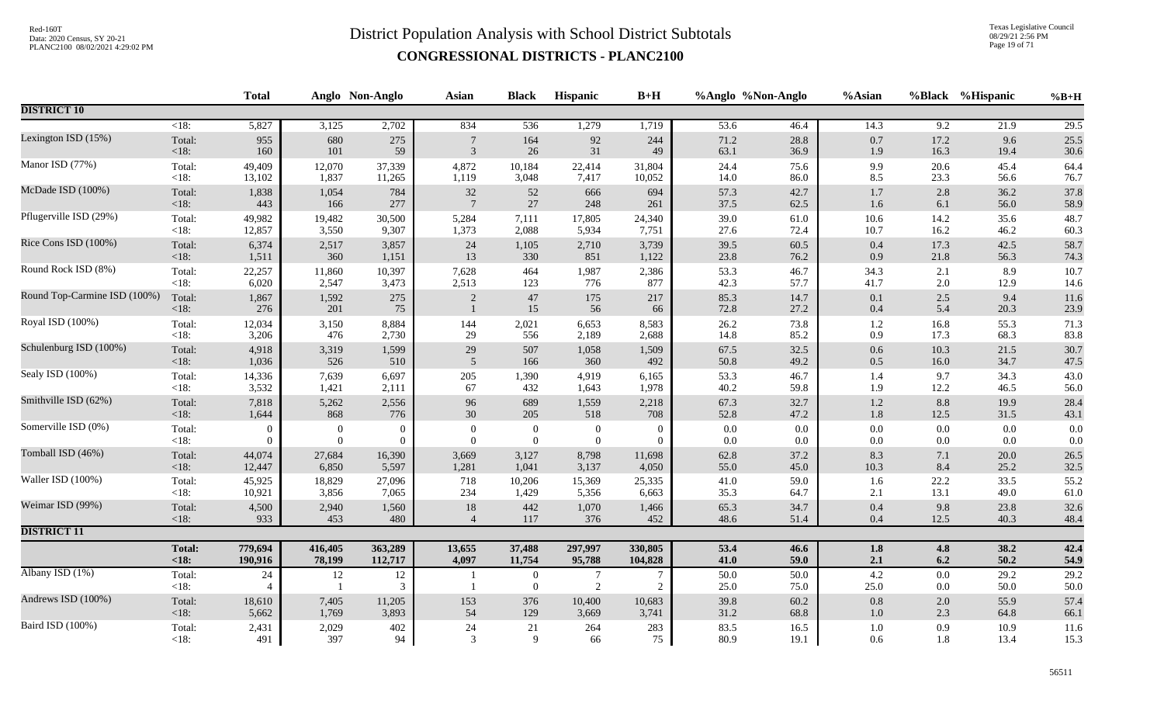Texas Legislative Council 08/29/21 2:56 PM Page 19 of 71

|                              |                    | <b>Total</b>             |              | Anglo Non-Anglo | <b>Asian</b>    | <b>Black</b>                       | Hispanic            | $B+H$          |              | %Anglo %Non-Anglo | %Asian          |                  | %Black %Hispanic | $%B+H$       |
|------------------------------|--------------------|--------------------------|--------------|-----------------|-----------------|------------------------------------|---------------------|----------------|--------------|-------------------|-----------------|------------------|------------------|--------------|
| <b>DISTRICT 10</b>           |                    |                          |              |                 |                 |                                    |                     |                |              |                   |                 |                  |                  |              |
|                              | $\overline{<}18$ : | 5,827                    | 3,125        | 2,702           | 834             | $\overline{536}$                   | 1,279               | 1,719          | 53.6         | 46.4              | 14.3            | $\overline{9.2}$ | 21.9             | 29.5         |
| Lexington ISD (15%)          | Total:             | 955                      | 680          | 275             | $\overline{7}$  | 164                                | $\mathbf{92}$       | 244            | 71.2         | 28.8              | $0.7\,$         | 17.2             | 9.6              | 25.5         |
|                              | < 18:              | 160                      | 101          | 59              | $\mathfrak{Z}$  | 26                                 | 31                  | 49             | 63.1         | 36.9              | 1.9             | 16.3             | 19.4             | 30.6         |
| Manor ISD (77%)              | Total:             | 49,409                   | 12,070       | 37,339          | 4,872           | 10,184                             | 22,414              | 31,804         | 24.4         | 75.6              | 9.9             | 20.6             | 45.4             | 64.4         |
|                              | $<18$ :            | 13,102                   | 1,837        | 11,265          | 1,119           | 3,048                              | 7,417               | 10,052         | 14.0         | 86.0              | 8.5             | 23.3             | 56.6             | 76.7         |
| McDade ISD (100%)            | Total:             | 1,838                    | 1,054        | 784             | 32              | 52                                 | 666                 | 694            | 57.3         | 42.7              | $1.7\,$         | 2.8              | 36.2             | 37.8         |
|                              | $<18$ :            | 443                      | 166          | 277             | $7\phantom{.0}$ | 27                                 | 248                 | 261            | 37.5         | 62.5              | 1.6             | 6.1              | 56.0             | 58.9         |
| Pflugerville ISD (29%)       | Total:             | 49,982                   | 19,482       | 30,500          | 5,284           | 7,111                              | 17,805              | 24,340         | 39.0         | 61.0              | $10.6\,$        | 14.2             | 35.6             | 48.7         |
|                              | <18:               | 12,857                   | 3,550        | 9,307           | 1,373           | 2,088                              | 5,934               | 7,751          | 27.6         | 72.4              | 10.7            | 16.2             | 46.2             | 60.3         |
| Rice Cons ISD (100%)         | Total:             | 6,374                    | 2,517        | 3,857           | 24              | 1,105                              | 2,710               | 3,739          | 39.5         | 60.5              | $0.4\,$         | 17.3             | 42.5             | 58.7         |
|                              | $<18$ :            | 1,511                    | 360          | 1,151           | 13              | 330                                | 851                 | 1,122          | 23.8         | 76.2              | 0.9             | 21.8             | 56.3             | 74.3         |
| Round Rock ISD (8%)          | Total:             | 22,257                   | 11,860       | 10,397          | 7,628           | 464                                | 1,987               | 2,386          | 53.3         | 46.7              | 34.3            | 2.1              | 8.9              | 10.7         |
|                              | $<18$ :            | 6,020                    | 2,547        | 3,473           | 2,513           | 123                                | 776                 | 877            | 42.3         | 57.7              | 41.7            | 2.0              | 12.9             | 14.6         |
| Round Top-Carmine ISD (100%) | Total:<br>< 18:    | 1,867<br>276             | 1,592<br>201 | 275<br>75       | 2               | 47<br>15                           | 175<br>56           | 217<br>66      | 85.3<br>72.8 | 14.7<br>27.2      | 0.1<br>$0.4\,$  | 2.5<br>5.4       | 9.4<br>20.3      | 11.6<br>23.9 |
| Royal ISD (100%)             | Total:             | 12,034                   | 3,150        | 8,884           | 144             | 2,021                              | 6,653               | 8,583          | 26.2         | 73.8              | $1.2\,$         | 16.8             | 55.3             | 71.3         |
|                              | $<18$ :            | 3,206                    | 476          | 2,730           | 29              | 556                                | 2,189               | 2,688          | 14.8         | 85.2              | 0.9             | 17.3             | 68.3             | 83.8         |
| Schulenburg ISD (100%)       | Total:             | 4,918                    | 3,319        | 1,599           | 29              | 507                                | 1,058               | 1,509          | 67.5         | 32.5              | $0.6\,$         | 10.3             | 21.5             | 30.7         |
|                              | $<18$ :            | 1,036                    | 526          | 510             | $\overline{5}$  | 166                                | 360                 | 492            | 50.8         | 49.2              | $0.5\,$         | 16.0             | 34.7             | 47.5         |
| Sealy ISD (100%)             | Total:             | 14,336                   | 7,639        | 6,697           | 205             | 1,390                              | 4,919               | 6,165          | 53.3         | 46.7              | 1.4             | 9.7              | 34.3             | 43.0         |
|                              | $<18$ :            | 3,532                    | 1,421        | 2,111           | 67              | 432                                | 1,643               | 1,978          | 40.2         | 59.8              | 1.9             | 12.2             | 46.5             | 56.0         |
| Smithville ISD (62%)         | Total:             | 7,818                    | 5,262        | 2,556           | 96              | 689                                | 1,559               | 2,218          | 67.3         | 32.7              | $1.2\,$         | 8.8              | 19.9             | 28.4         |
|                              | < 18:              | 1,644                    | 868          | 776             | 30              | 205                                | 518                 | 708            | 52.8         | 47.2              | $1.8\,$         | 12.5             | 31.5             | 43.1         |
| Somerville ISD (0%)          | Total:             | $\Omega$                 | $\mathbf{0}$ | $\overline{0}$  | $\Omega$        | $\boldsymbol{0}$                   | $\boldsymbol{0}$    | $\overline{0}$ | 0.0          | $0.0\,$           | $0.0\,$         | 0.0              | 0.0              | $0.0\,$      |
|                              | <18:               | $\Omega$                 | $\theta$     | $\overline{0}$  | $\theta$        | $\overline{0}$                     | $\overline{0}$      | $\overline{0}$ | 0.0          | $0.0\,$           | $0.0\,$         | 0.0              | 0.0              | 0.0          |
| Tomball ISD (46%)            | Total:             | 44,074                   | 27,684       | 16,390          | 3,669           | 3,127                              | 8,798               | 11,698         | 62.8         | 37.2              | 8.3             | 7.1              | $20.0\,$         | 26.5         |
|                              | $<18$ :            | 12,447                   | 6,850        | 5,597           | 1,281           | 1,041                              | 3,137               | 4,050          | 55.0         | 45.0              | 10.3            | 8.4              | 25.2             | 32.5         |
| Waller ISD (100%)            | Total:             | 45,925                   | 18,829       | 27,096          | 718             | 10,206                             | 15,369              | 25,335         | 41.0         | 59.0              | 1.6             | 22.2             | 33.5             | 55.2         |
|                              | $<18$ :            | 10,921                   | 3,856        | 7,065           | 234             | 1,429                              | 5,356               | 6,663          | 35.3         | 64.7              | 2.1             | 13.1             | 49.0             | 61.0         |
| Weimar ISD (99%)             | Total:             | 4,500                    | 2,940        | 1,560           | $18\,$          | 442                                | 1,070               | 1,466          | 65.3         | 34.7              | $0.4\,$         | 9.8              | 23.8             | 32.6         |
|                              | $<18$ :            | 933                      | 453          | 480             | $\overline{4}$  | 117                                | 376                 | 452            | 48.6         | 51.4              | 0.4             | 12.5             | 40.3             | 48.4         |
| <b>DISTRICT 11</b>           |                    |                          |              |                 |                 |                                    |                     |                |              |                   |                 |                  |                  |              |
|                              | <b>Total:</b>      | 779,694                  | 416,405      | 363,289         | 13,655          | 37,488                             | 297,997             | 330,805        | 53.4         | 46.6              | $1.8\,$         | 4.8              | 38.2             | 42.4         |
|                              | < 18:              | 190,916                  | 78,199       | 112,717         | 4,097           | 11,754                             | 95,788              | 104,828        | 41.0         | 59.0              | 2.1             | 6.2              | 50.2             | 54.9         |
| Albany ISD (1%)              | Total:<br><18:     | $24\,$<br>$\overline{4}$ | 12           | 12<br>3         |                 | $\boldsymbol{0}$<br>$\overline{0}$ | $\overline{7}$<br>2 | $\overline{2}$ | 50.0<br>25.0 | 50.0<br>75.0      | $4.2\,$<br>25.0 | 0.0<br>0.0       | 29.2<br>50.0     | 29.2<br>50.0 |
| Andrews ISD (100%)           | Total:             | 18,610                   | 7,405        | 11,205          | 153             | 376                                | 10,400              | 10,683         | 39.8         | 60.2              | $0.8\,$         | 2.0              | 55.9             | 57.4         |
|                              | $<18$ :            | 5,662                    | 1,769        | 3,893           | 54              | 129                                | 3,669               | 3,741          | 31.2         | 68.8              | 1.0             | 2.3              | 64.8             | 66.1         |
| Baird ISD (100%)             | Total:             | 2,431                    | 2,029        | 402             | 24              | 21                                 | 264                 | 283            | 83.5         | 16.5              | $1.0\,$         | 0.9              | 10.9             | 11.6         |
|                              | <18:               | 491                      | 397          | 94              | 3               | 9                                  | 66                  | 75             | 80.9         | 19.1              | 0.6             | 1.8              | 13.4             | 15.3         |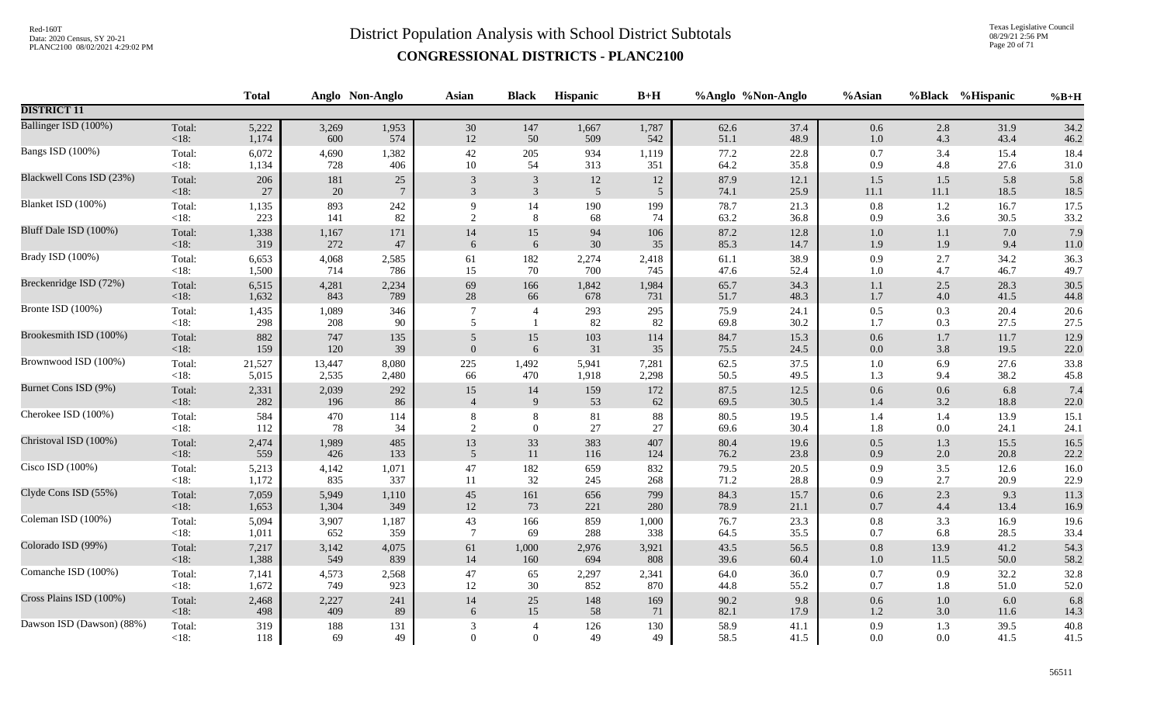Texas Legislative Council 08/29/21 2:56 PM Page 20 of 71

|                           |         | <b>Total</b> |        | Anglo Non-Anglo | Asian            | <b>Black</b>   | <b>Hispanic</b> | $B+H$          |      | %Anglo %Non-Anglo | %Asian   |         | %Black %Hispanic | $%B+H$   |
|---------------------------|---------|--------------|--------|-----------------|------------------|----------------|-----------------|----------------|------|-------------------|----------|---------|------------------|----------|
| <b>DISTRICT 11</b>        |         |              |        |                 |                  |                |                 |                |      |                   |          |         |                  |          |
| Ballinger ISD (100%)      | Total:  | 5,222        | 3,269  | 1,953           | 30               | 147            | 1,667           | 1,787          | 62.6 | 37.4              | $0.6\,$  | 2.8     | 31.9             | 34.2     |
|                           | <18:    | 1,174        | 600    | 574             | $12\,$           | 50             | 509             | 542            | 51.1 | 48.9              | $1.0\,$  | 4.3     | 43.4             | 46.2     |
| Bangs ISD (100%)          | Total:  | 6,072        | 4,690  | 1,382           | $42\,$           | 205            | 934             | 1,119          | 77.2 | 22.8              | $0.7\,$  | 3.4     | 15.4             | 18.4     |
|                           | <18:    | 1,134        | 728    | 406             | $10\,$           | 54             | 313             | 351            | 64.2 | 35.8              | 0.9      | 4.8     | 27.6             | 31.0     |
| Blackwell Cons ISD (23%)  | Total:  | 206          | 181    | $25\,$          | $\overline{3}$   | 3              | 12              | 12             | 87.9 | 12.1              | $1.5$    | 1.5     | 5.8              | 5.8      |
|                           | <18:    | $27\,$       | $20\,$ | $\overline{7}$  | 3                | $\mathbf{3}$   | $\sqrt{5}$      | $\overline{5}$ | 74.1 | 25.9              | $11.1\,$ | 11.1    | 18.5             | 18.5     |
| Blanket ISD (100%)        | Total:  | 1,135        | 893    | 242             | 9                | 14             | 190             | 199            | 78.7 | 21.3              | $0.8\,$  | $1.2\,$ | 16.7             | 17.5     |
|                           | $<18$ : | 223          | 141    | 82              | 2                | 8              | 68              | 74             | 63.2 | 36.8              | 0.9      | 3.6     | 30.5             | 33.2     |
| Bluff Dale ISD (100%)     | Total:  | 1,338        | 1,167  | 171             | $14\,$           | $15\,$         | 94              | 106            | 87.2 | 12.8              | $1.0\,$  | $1.1\,$ | 7.0              | 7.9      |
|                           | <18:    | 319          | 272    | $47\,$          | 6                | 6              | $30\,$          | 35             | 85.3 | 14.7              | 1.9      | 1.9     | 9.4              | $11.0\,$ |
| Brady ISD (100%)          | Total:  | 6,653        | 4,068  | 2,585           | 61               | 182            | 2,274           | 2,418          | 61.1 | 38.9              | 0.9      | 2.7     | 34.2             | 36.3     |
|                           | $<18$ : | 1,500        | 714    | 786             | 15               | 70             | 700             | 745            | 47.6 | 52.4              | $1.0\,$  | 4.7     | 46.7             | 49.7     |
| Breckenridge ISD (72%)    | Total:  | 6,515        | 4,281  | 2,234           | 69               | 166            | 1,842           | 1,984          | 65.7 | 34.3              | 1.1      | 2.5     | 28.3             | 30.5     |
|                           | <18:    | 1,632        | 843    | 789             | $28\,$           | 66             | 678             | 731            | 51.7 | 48.3              | $1.7\,$  | 4.0     | 41.5             | 44.8     |
| Bronte ISD (100%)         | Total:  | 1,435        | 1,089  | 346             | $\overline{7}$   | $\overline{4}$ | 293             | 295            | 75.9 | 24.1              | $0.5\,$  | 0.3     | 20.4             | 20.6     |
|                           | <18:    | 298          | 208    | 90              | 5                | $\overline{1}$ | 82              | 82             | 69.8 | 30.2              | 1.7      | 0.3     | 27.5             | 27.5     |
| Brookesmith ISD (100%)    | Total:  | 882          | 747    | 135             | $\sqrt{5}$       | 15             | 103             | 114            | 84.7 | 15.3              | $0.6\,$  | $1.7\,$ | 11.7             | 12.9     |
|                           | <18:    | 159          | 120    | 39              | $\boldsymbol{0}$ | $\sqrt{6}$     | $31\,$          | 35             | 75.5 | 24.5              | $0.0\,$  | 3.8     | 19.5             | 22.0     |
| Brownwood ISD (100%)      | Total:  | 21,527       | 13,447 | 8,080           | 225              | 1,492          | 5,941           | 7,281          | 62.5 | 37.5              | $1.0\,$  | 6.9     | 27.6             | 33.8     |
|                           | $<18$ : | 5,015        | 2,535  | 2,480           | 66               | 470            | 1,918           | 2,298          | 50.5 | 49.5              | 1.3      | 9.4     | 38.2             | 45.8     |
| Burnet Cons ISD (9%)      | Total:  | 2,331        | 2,039  | 292             | 15               | 14             | 159             | 172            | 87.5 | 12.5              | $0.6\,$  | $0.6\,$ | 6.8              | 7.4      |
|                           | <18:    | 282          | 196    | 86              | $\overline{4}$   | $\overline{9}$ | 53              | 62             | 69.5 | 30.5              | 1.4      | 3.2     | 18.8             | 22.0     |
| Cherokee ISD (100%)       | Total:  | 584          | 470    | 114             | 8                | $\,$ 8 $\,$    | 81              | 88             | 80.5 | 19.5              | 1.4      | 1.4     | 13.9             | 15.1     |
|                           | $<18$ : | 112          | 78     | 34              | 2                | $\mathbf{0}$   | 27              | 27             | 69.6 | 30.4              | 1.8      | 0.0     | 24.1             | 24.1     |
| Christoval ISD (100%)     | Total:  | 2,474        | 1,989  | 485             | 13               | $33\,$         | 383             | 407            | 80.4 | 19.6              | $0.5\,$  | 1.3     | 15.5             | 16.5     |
|                           | <18:    | 559          | 426    | 133             | 5                | $11\,$         | 116             | 124            | 76.2 | 23.8              | $0.9\,$  | 2.0     | 20.8             | 22.2     |
| Cisco ISD (100%)          | Total:  | 5,213        | 4,142  | 1,071           | $47\,$           | 182            | 659             | 832            | 79.5 | 20.5              | 0.9      | 3.5     | 12.6             | 16.0     |
|                           | $<18$ : | 1,172        | 835    | 337             | 11               | $32\,$         | 245             | 268            | 71.2 | 28.8              | 0.9      | 2.7     | 20.9             | 22.9     |
| Clyde Cons ISD (55%)      | Total:  | 7,059        | 5,949  | 1,110           | $45\,$           | 161            | 656             | 799            | 84.3 | 15.7              | $0.6\,$  | 2.3     | 9.3              | 11.3     |
|                           | <18:    | 1,653        | 1,304  | 349             | $12\,$           | 73             | 221             | 280            | 78.9 | 21.1              | $0.7\,$  | 4.4     | 13.4             | 16.9     |
| Coleman ISD (100%)        | Total:  | 5,094        | 3,907  | 1,187           | 43               | 166            | 859             | 1,000          | 76.7 | 23.3              | $0.8\,$  | 3.3     | 16.9             | 19.6     |
|                           | $<18$ : | 1,011        | 652    | 359             | $\overline{7}$   | 69             | 288             | 338            | 64.5 | 35.5              | 0.7      | 6.8     | 28.5             | 33.4     |
| Colorado ISD (99%)        | Total:  | 7,217        | 3,142  | 4,075           | 61               | 1,000          | 2,976           | 3,921          | 43.5 | 56.5              | $0.8\,$  | 13.9    | 41.2             | 54.3     |
|                           | $<18$ : | 1,388        | 549    | 839             | $14\,$           | 160            | 694             | 808            | 39.6 | 60.4              | $1.0\,$  | 11.5    | 50.0             | 58.2     |
| Comanche ISD (100%)       | Total:  | 7,141        | 4,573  | 2,568           | $47\,$           | 65             | 2,297           | 2,341          | 64.0 | 36.0              | $0.7\,$  | 0.9     | 32.2             | 32.8     |
|                           | $<18$ : | 1,672        | 749    | 923             | 12               | 30             | 852             | 870            | 44.8 | 55.2              | 0.7      | 1.8     | 51.0             | $52.0\,$ |
| Cross Plains ISD (100%)   | Total:  | 2,468        | 2,227  | 241             | 14               | 25             | 148             | 169            | 90.2 | 9.8               | 0.6      | 1.0     | 6.0              | 6.8      |
|                           | <18:    | 498          | 409    | 89              | 6                | 15             | 58              | 71             | 82.1 | 17.9              | $1.2\,$  | 3.0     | 11.6             | 14.3     |
| Dawson ISD (Dawson) (88%) | Total:  | 319          | 188    | 131             | 3                | $\overline{4}$ | 126             | 130            | 58.9 | 41.1              | 0.9      | 1.3     | 39.5             | 40.8     |
|                           | $<18$ : | 118          | 69     | 49              | $\Omega$         | $\overline{0}$ | 49              | 49             | 58.5 | 41.5              | 0.0      | $0.0\,$ | 41.5             | 41.5     |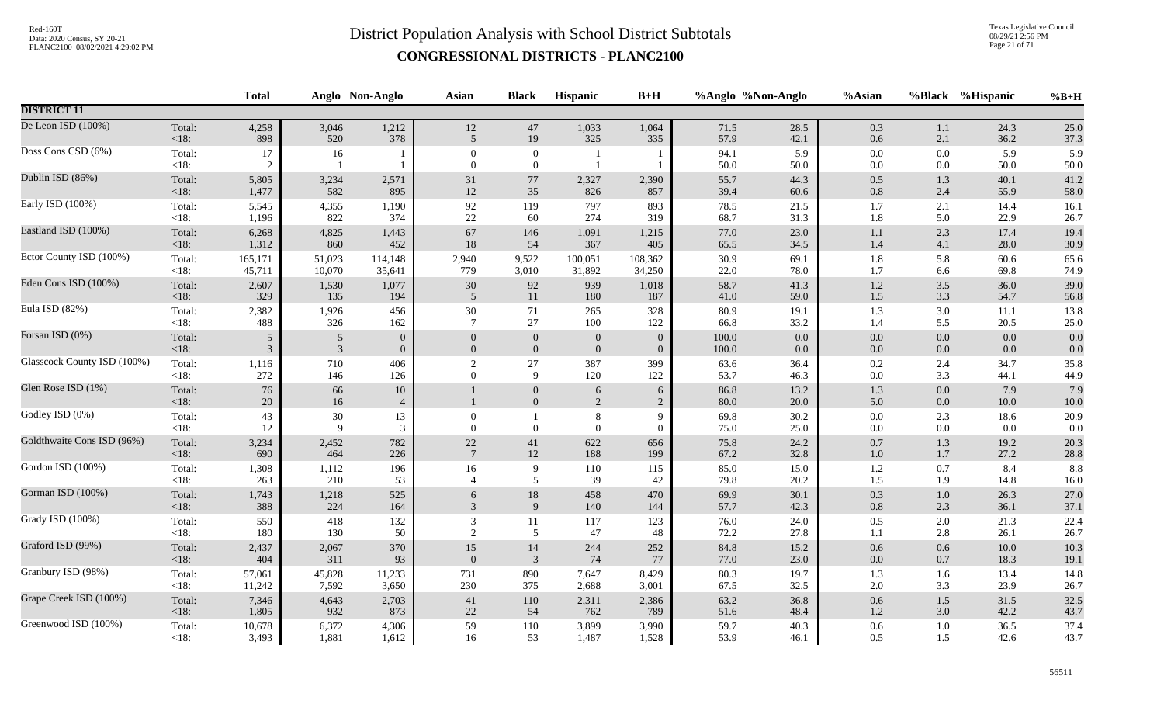Texas Legislative Council 08/29/21 2:56 PM Page 21 of 71

|                             |                   | <b>Total</b>         |                      | Anglo Non-Anglo      | <b>Asian</b>         | <b>Black</b>                       | <b>Hispanic</b>  | $B+H$               | %Anglo %Non-Anglo |              | %Asian             | %Black             | %Hispanic       | $%B+H$          |
|-----------------------------|-------------------|----------------------|----------------------|----------------------|----------------------|------------------------------------|------------------|---------------------|-------------------|--------------|--------------------|--------------------|-----------------|-----------------|
| <b>DISTRICT 11</b>          |                   |                      |                      |                      |                      |                                    |                  |                     |                   |              |                    |                    |                 |                 |
| De Leon ISD (100%)          | Total:            | 4,258                | 3,046                | 1,212                | $12\,$               | 47                                 | 1,033            | 1,064               | 71.5              | 28.5         | $0.3\,$            | $1.1\,$            | 24.3            | 25.0            |
|                             | $<18$ :           | 898                  | 520                  | 378                  | 5                    | 19                                 | 325              | 335                 | 57.9              | 42.1         | 0.6                | 2.1                | 36.2            | 37.3            |
| Doss Cons CSD (6%)          | Total:<br>$<18$ : | 17<br>$\overline{2}$ | 16<br>$\overline{1}$ |                      | $\Omega$<br>$\theta$ | $\boldsymbol{0}$<br>$\overline{0}$ |                  |                     | 94.1<br>50.0      | 5.9<br>50.0  | $0.0\,$<br>$0.0\,$ | 0.0<br>0.0         | 5.9<br>50.0     | 5.9<br>50.0     |
| Dublin ISD (86%)            | Total:            | 5,805                | 3,234                | 2,571                | $31\,$               | $77\,$                             | 2,327            | 2,390               | 55.7              | 44.3         | $0.5\,$            | $1.3$              | 40.1            | 41.2            |
|                             | $<18$ :           | 1,477                | 582                  | 895                  | $12\,$               | 35                                 | 826              | 857                 | 39.4              | 60.6         | 0.8                | 2.4                | 55.9            | 58.0            |
| Early ISD (100%)            | Total:            | 5,545                | 4,355                | 1,190                | 92                   | 119                                | 797              | 893                 | 78.5              | 21.5         | 1.7                | 2.1                | 14.4            | 16.1            |
|                             | <18:              | 1,196                | 822                  | 374                  | 22                   | 60                                 | 274              | 319                 | 68.7              | 31.3         | 1.8                | 5.0                | 22.9            | 26.7            |
| Eastland ISD (100%)         | Total:            | 6,268                | 4,825                | 1,443                | 67                   | 146                                | 1,091            | 1,215               | 77.0              | 23.0         | $1.1\,$            | 2.3                | 17.4            | 19.4            |
|                             | < 18:             | 1,312                | 860                  | 452                  | 18                   | 54                                 | 367              | 405                 | 65.5              | 34.5         | $1.4\,$            | 4.1                | 28.0            | 30.9            |
| Ector County ISD (100%)     | Total:            | 165,171              | 51,023               | 114,148              | 2,940                | 9,522                              | 100,051          | 108,362             | 30.9              | 69.1         | 1.8                | 5.8                | 60.6            | 65.6            |
|                             | $<18$ :           | 45,711               | 10,070               | 35,641               | 779                  | 3,010                              | 31,892           | 34,250              | 22.0              | 78.0         | 1.7                | 6.6                | 69.8            | 74.9            |
| Eden Cons ISD (100%)        | Total:            | 2,607                | 1,530                | 1,077                | $30\,$               | 92                                 | 939              | 1,018               | 58.7              | 41.3         | $1.2\,$            | 3.5                | 36.0            | 39.0            |
|                             | < 18:             | 329                  | 135                  | 194                  | $\sqrt{5}$           | 11                                 | 180              | 187                 | 41.0              | 59.0         | $1.5$              | 3.3                | 54.7            | 56.8            |
| Eula ISD (82%)              | Total:            | 2,382                | 1,926                | 456                  | 30                   | 71                                 | 265              | 328                 | 80.9              | 19.1         | 1.3                | 3.0                | 11.1            | 13.8            |
|                             | $<18$ :           | 488                  | 326                  | 162                  | $\tau$               | 27                                 | 100              | 122                 | 66.8              | 33.2         | 1.4                | 5.5                | 20.5            | 25.0            |
| Forsan ISD (0%)             | Total:            | 5                    | 5                    | $\mathbf{0}$         | $\mathbf{0}$         | $\boldsymbol{0}$                   | $\boldsymbol{0}$ | $\overline{0}$      | $100.0\,$         | 0.0          | $0.0\,$            | $0.0\,$            | 0.0             | 0.0             |
|                             | < 18:             | 3                    | $\mathfrak{Z}$       | $\boldsymbol{0}$     | $\overline{0}$       | $\boldsymbol{0}$                   | $\overline{0}$   | $\overline{0}$      | 100.0             | $0.0\,$      | $0.0\,$            | $0.0\,$            | 0.0             | 0.0             |
| Glasscock County ISD (100%) | Total:            | 1,116                | 710                  | 406                  | $\sqrt{2}$           | 27                                 | 387              | 399                 | 63.6              | 36.4         | $0.2\,$            | 2.4                | 34.7            | 35.8            |
|                             | $<18$ :           | 272                  | 146                  | 126                  | $\Omega$             | $\overline{9}$                     | 120              | 122                 | 53.7              | 46.3         | $0.0\,$            | 3.3                | 44.1            | 44.9            |
| Glen Rose ISD (1%)          | Total:<br>< 18:   | 76<br>20             | 66<br>16             | 10<br>$\overline{4}$ |                      | $\mathbf{0}$<br>$\boldsymbol{0}$   | 6<br>$\sqrt{2}$  | 6<br>$\overline{c}$ | 86.8<br>80.0      | 13.2<br>20.0 | 1.3<br>5.0         | $0.0\,$<br>$0.0\,$ | 7.9<br>$10.0\,$ | 7.9<br>$10.0\,$ |
| Godley ISD (0%)             | Total:<br>$<18$ : | 43<br>12             | 30<br>9              | 13<br>3              | $\theta$<br>$\theta$ | $\overline{0}$                     | 8<br>$\Omega$    | 9<br>$\Omega$       | 69.8<br>75.0      | 30.2<br>25.0 | $0.0\,$<br>0.0     | 2.3<br>$0.0\,$     | 18.6<br>0.0     | 20.9<br>0.0     |
| Goldthwaite Cons ISD (96%)  | Total:            | 3,234                | 2,452                | 782                  | $22\,$               | 41                                 | 622              | 656                 | 75.8              | 24.2         | $0.7\,$            | $1.3\,$            | 19.2            | 20.3            |
|                             | < 18:             | 690                  | 464                  | 226                  | $7\phantom{.0}$      | 12                                 | 188              | 199                 | 67.2              | 32.8         | $1.0\,$            | 1.7                | 27.2            | 28.8            |
| Gordon ISD (100%)           | Total:            | 1,308                | 1,112                | 196                  | 16                   | 9                                  | $110\,$          | 115                 | 85.0              | 15.0         | $1.2\,$            | 0.7                | 8.4             | 8.8             |
|                             | <18:              | 263                  | 210                  | 53                   | $\overline{4}$       | 5                                  | 39               | 42                  | 79.8              | 20.2         | 1.5                | 1.9                | 14.8            | 16.0            |
| Gorman ISD (100%)           | Total:            | 1,743                | 1,218                | 525                  | 6                    | 18                                 | 458              | 470                 | 69.9              | 30.1         | 0.3                | $1.0\,$            | 26.3            | 27.0            |
|                             | < 18:             | 388                  | 224                  | 164                  | 3                    | $\overline{9}$                     | 140              | 144                 | 57.7              | 42.3         | $0.8\,$            | 2.3                | 36.1            | 37.1            |
| Grady ISD (100%)            | Total:            | 550                  | 418                  | 132                  | $\overline{3}$       | 11                                 | 117              | 123                 | 76.0              | 24.0         | 0.5                | 2.0                | 21.3            | 22.4            |
|                             | <18:              | 180                  | 130                  | 50                   | $\overline{2}$       | 5                                  | 47               | 48                  | 72.2              | 27.8         | 1.1                | 2.8                | 26.1            | 26.7            |
| Graford ISD (99%)           | Total:            | 2,437                | 2,067                | 370                  | 15                   | 14                                 | 244              | 252                 | 84.8              | 15.2         | 0.6                | 0.6                | 10.0            | 10.3            |
|                             | < 18:             | 404                  | 311                  | 93                   | $\overline{0}$       | $\overline{3}$                     | 74               | 77                  | 77.0              | 23.0         | $0.0\,$            | 0.7                | 18.3            | 19.1            |
| Granbury ISD (98%)          | Total:            | 57,061               | 45,828               | 11,233               | 731                  | 890                                | 7,647            | 8,429               | 80.3              | 19.7         | 1.3                | 1.6                | 13.4            | 14.8            |
|                             | <18:              | 11,242               | 7,592                | 3,650                | 230                  | 375                                | 2,688            | 3,001               | 67.5              | 32.5         | $2.0\,$            | 3.3                | 23.9            | 26.7            |
| Grape Creek ISD (100%)      | Total:            | 7,346                | 4,643                | 2,703                | $41\,$               | 110                                | 2,311            | 2,386               | 63.2              | 36.8         | $0.6\,$            | 1.5                | 31.5            | 32.5            |
|                             | < 18:             | 1,805                | 932                  | 873                  | 22                   | 54                                 | 762              | 789                 | 51.6              | 48.4         | $1.2\,$            | 3.0                | 42.2            | 43.7            |
| Greenwood ISD (100%)        | Total:            | 10,678               | 6,372                | 4,306                | 59                   | 110                                | 3,899            | 3,990               | 59.7              | 40.3         | 0.6                | 1.0                | 36.5            | 37.4            |
|                             | $<18$ :           | 3,493                | 1,881                | 1,612                | 16                   | 53                                 | 1,487            | 1,528               | 53.9              | 46.1         | 0.5                | 1.5                | 42.6            | 43.7            |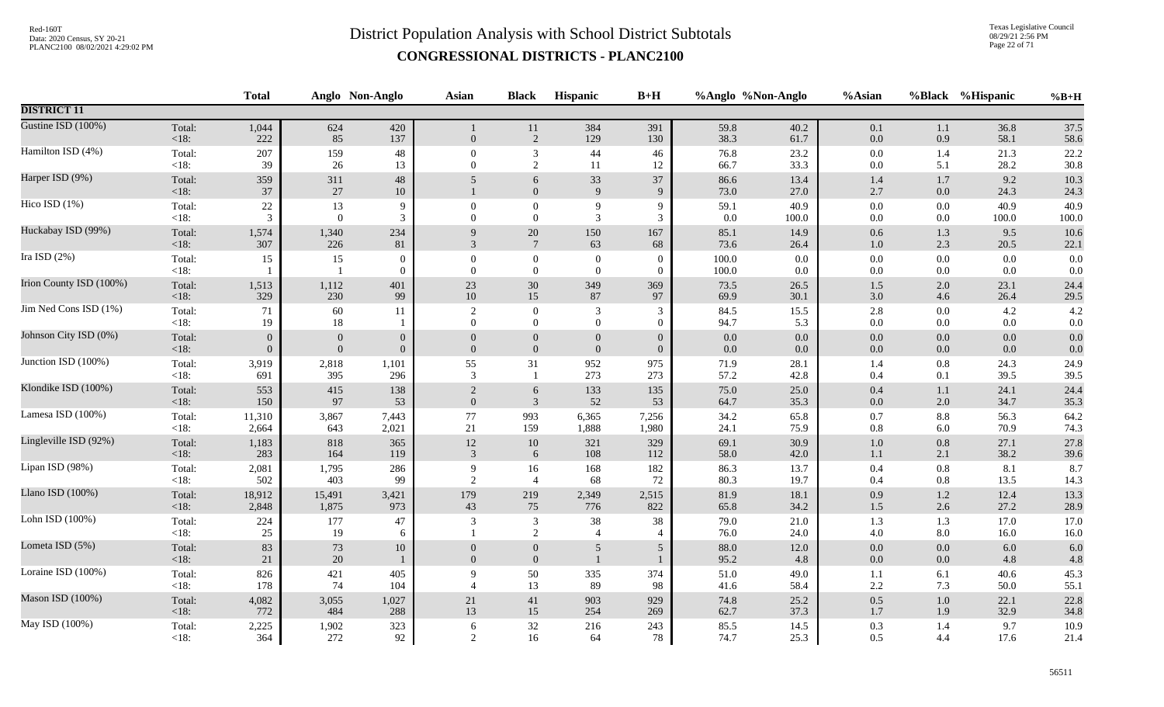Texas Legislative Council 08/29/21 2:56 PM Page 22 of 71

|                         |                   | <b>Total</b>   |                  | Anglo Non-Anglo          | <b>Asian</b>               | <b>Black</b>                       | Hispanic                             | $B+H$                      |                | %Anglo %Non-Anglo  | %Asian             |            | %Black %Hispanic | $%B+H$       |
|-------------------------|-------------------|----------------|------------------|--------------------------|----------------------------|------------------------------------|--------------------------------------|----------------------------|----------------|--------------------|--------------------|------------|------------------|--------------|
| <b>DISTRICT 11</b>      |                   |                |                  |                          |                            |                                    |                                      |                            |                |                    |                    |            |                  |              |
| Gustine ISD (100%)      | Total:<br>$<18$ : | 1,044<br>222   | 624<br>85        | 420<br>137               | $\overline{0}$             | $11\,$<br>2                        | 384<br>129                           | 391<br>130                 | 59.8<br>38.3   | 40.2<br>61.7       | $0.1\,$<br>0.0     | 1.1<br>0.9 | 36.8<br>58.1     | 37.5<br>58.6 |
| Hamilton ISD (4%)       | Total:            | 207            | 159              | $\sqrt{48}$              | $\mathbf{0}$               | $\sqrt{3}$                         | $44$                                 | 46                         | 76.8           | 23.2               | $0.0\,$            | 1.4        | 21.3             | 22.2         |
|                         | $<18$ :           | 39             | 26               | 13                       | $\overline{0}$             | $\overline{2}$                     | 11                                   | 12                         | 66.7           | 33.3               | $0.0\,$            | 5.1        | 28.2             | 30.8         |
| Harper ISD (9%)         | Total:<br>$<18$ : | 359<br>37      | 311<br>27        | 48<br>10                 | 5                          | 6<br>$\boldsymbol{0}$              | $33\,$<br>9                          | 37<br>9                    | 86.6<br>73.0   | 13.4<br>27.0       | 1.4<br>2.7         | 1.7<br>0.0 | 9.2<br>24.3      | 10.3<br>24.3 |
| Hico ISD (1%)           | Total:            | $22\,$         | 13               | 9                        | $\theta$                   | $\boldsymbol{0}$                   | 9                                    | 9                          | 59.1           | 40.9               | 0.0                | 0.0        | 40.9             | 40.9         |
|                         | $<18$ :           | 3              | $\overline{0}$   | 3                        | $\Omega$                   | $\mathbf{0}$                       | 3                                    | 3                          | 0.0            | 100.0              | $0.0\,$            | 0.0        | 100.0            | 100.0        |
| Huckabay ISD (99%)      | Total:            | 1,574          | 1,340            | 234                      | 9                          | $20\,$                             | 150                                  | 167                        | 85.1           | 14.9               | 0.6                | 1.3        | 9.5              | 10.6         |
|                         | < 18:             | 307            | 226              | 81                       | 3                          | $7\phantom{.0}$                    | 63                                   | 68                         | 73.6           | 26.4               | 1.0                | 2.3        | 20.5             | 22.1         |
| Ira ISD $(2%)$          | Total:<br><18:    | 15             | 15               | $\mathbf{0}$<br>$\theta$ | $\theta$<br>$\Omega$       | $\boldsymbol{0}$<br>$\overline{0}$ | $\boldsymbol{0}$<br>$\boldsymbol{0}$ | $\Omega$<br>$\overline{0}$ | 100.0<br>100.0 | $0.0\,$<br>$0.0\,$ | $0.0\,$<br>$0.0\,$ | 0.0<br>0.0 | 0.0<br>0.0       | 0.0<br>0.0   |
| Irion County ISD (100%) | Total:            | 1,513          | 1,112            | 401                      | 23                         | $30\,$                             | 349                                  | 369                        | 73.5           | 26.5               | $1.5$              | 2.0        | 23.1             | 24.4         |
|                         | <18:              | 329            | 230              | 99                       | $10\,$                     | 15                                 | 87                                   | 97                         | 69.9           | 30.1               | 3.0                | 4.6        | 26.4             | 29.5         |
| Jim Ned Cons ISD (1%)   | Total:            | 71             | 60               | 11                       | $\overline{2}$             | $\mathbf{0}$                       | 3                                    | 3                          | 84.5           | 15.5               | 2.8                | 0.0        | 4.2              | 4.2          |
|                         | <18:              | 19             | 18               | -1                       | $\Omega$                   | $\mathbf{0}$                       | $\overline{0}$                       | $\mathbf{0}$               | 94.7           | 5.3                | $0.0\,$            | 0.0        | 0.0              | $0.0\,$      |
| Johnson City ISD (0%)   | Total:            | $\theta$       | $\mathbf{0}$     | $\mathbf{0}$             | $\theta$                   | $\boldsymbol{0}$                   | $\mathbf{0}$                         | $\overline{0}$             | $0.0\,$        | $0.0\,$            | $0.0\,$            | 0.0        | 0.0              | 0.0          |
|                         | <18:              | $\overline{0}$ | $\boldsymbol{0}$ | $\mathbf{0}$             | $\overline{0}$             | $\boldsymbol{0}$                   | $\boldsymbol{0}$                     | $\overline{0}$             | 0.0            | $0.0\,$            | $0.0\,$            | $0.0\,$    | 0.0              | 0.0          |
| Junction ISD (100%)     | Total:            | 3,919          | 2,818            | 1,101                    | 55                         | 31                                 | 952                                  | 975                        | 71.9           | 28.1               | 1.4                | 0.8        | 24.3             | 24.9         |
|                         | <18:              | 691            | 395              | 296                      | 3                          | $\mathbf{1}$                       | 273                                  | 273                        | 57.2           | 42.8               | 0.4                | 0.1        | 39.5             | 39.5         |
| Klondike ISD (100%)     | Total:            | 553            | 415              | 138                      | 2                          | 6                                  | 133                                  | 135                        | 75.0           | 25.0               | 0.4                | 1.1        | 24.1             | 24.4         |
|                         | <18:              | 150            | 97               | 53                       | $\mathbf{0}$               | $\overline{3}$                     | 52                                   | 53                         | 64.7           | 35.3               | $0.0\,$            | 2.0        | 34.7             | 35.3         |
| Lamesa ISD (100%)       | Total:            | 11,310         | 3,867            | 7,443                    | 77                         | 993                                | 6,365                                | 7,256                      | 34.2           | 65.8               | $0.7\,$            | 8.8        | 56.3             | 64.2         |
|                         | <18:              | 2,664          | 643              | 2,021                    | 21                         | 159                                | 1,888                                | 1,980                      | 24.1           | 75.9               | $0.8\,$            | 6.0        | 70.9             | 74.3         |
| Lingleville ISD (92%)   | Total:            | 1,183          | 818              | 365                      | $12\,$                     | $10\,$                             | 321                                  | 329                        | 69.1           | 30.9               | $1.0\,$            | 0.8        | 27.1             | 27.8         |
|                         | <18:              | 283            | 164              | 119                      | 3                          | 6                                  | 108                                  | 112                        | 58.0           | 42.0               | $1.1\,$            | 2.1        | 38.2             | 39.6         |
| Lipan ISD (98%)         | Total:            | 2,081          | 1,795            | 286                      | 9                          | 16                                 | 168                                  | 182                        | 86.3           | 13.7               | $0.4\,$            | 0.8        | 8.1              | 8.7          |
|                         | $<18$ :           | 502            | 403              | 99                       | $\overline{2}$             | $\overline{4}$                     | 68                                   | 72                         | 80.3           | 19.7               | 0.4                | $0.8\,$    | 13.5             | 14.3         |
| Llano ISD (100%)        | Total:            | 18,912         | 15,491           | 3,421                    | 179                        | 219                                | 2,349                                | 2,515                      | 81.9           | 18.1               | 0.9                | $1.2\,$    | 12.4             | 13.3         |
|                         | <18:              | 2,848          | 1,875            | 973                      | 43                         | 75                                 | 776                                  | 822                        | 65.8           | 34.2               | $1.5\,$            | 2.6        | 27.2             | 28.9         |
| Lohn ISD (100%)         | Total:<br>< 18:   | 224<br>25      | 177<br>19        | 47<br>6                  | 3                          | $\overline{\mathbf{3}}$<br>2       | $38\,$<br>$\overline{4}$             | 38<br>$\overline{4}$       | 79.0<br>76.0   | 21.0<br>24.0       | 1.3<br>$4.0\,$     | 1.3<br>8.0 | 17.0<br>16.0     | 17.0<br>16.0 |
| Lometa ISD (5%)         | Total:<br><18:    | $83\,$<br>21   | 73<br>20         | $10\,$<br>$\mathbf{1}$   | $\Omega$<br>$\overline{0}$ | $\overline{0}$<br>$\boldsymbol{0}$ | 5<br>$\mathbf{1}$                    | 5                          | 88.0<br>95.2   | 12.0<br>4.8        | 0.0<br>$0.0\,$     | 0.0<br>0.0 | 6.0<br>4.8       | 6.0<br>4.8   |
| Loraine ISD (100%)      | Total:<br>$<18$ : | 826<br>178     | 421<br>74        | 405<br>104               | 9                          | 50<br>13                           | 335<br>89                            | 374<br>98                  | 51.0<br>41.6   | 49.0<br>58.4       | $1.1\,$<br>2.2     | 6.1<br>7.3 | 40.6<br>50.0     | 45.3<br>55.1 |
| Mason ISD (100%)        | Total:            | 4,082          | 3,055            | 1,027                    | 21                         | 41                                 | 903                                  | 929                        | 74.8           | 25.2               | $0.5\,$            | $1.0\,$    | 22.1             | 22.8         |
|                         | $<18$ :           | 772            | 484              | 288                      | 13                         | 15                                 | 254                                  | 269                        | 62.7           | 37.3               | 1.7                | 1.9        | 32.9             | 34.8         |
| May ISD (100%)          | Total:            | 2,225          | 1,902            | 323                      | 6                          | $32\,$                             | 216                                  | 243                        | 85.5           | 14.5               | 0.3                | 1.4        | 9.7              | 10.9         |
|                         | $<18$ :           | 364            | 272              | 92                       | 2                          | 16                                 | 64                                   | 78                         | 74.7           | 25.3               | 0.5                | 4.4        | 17.6             | 21.4         |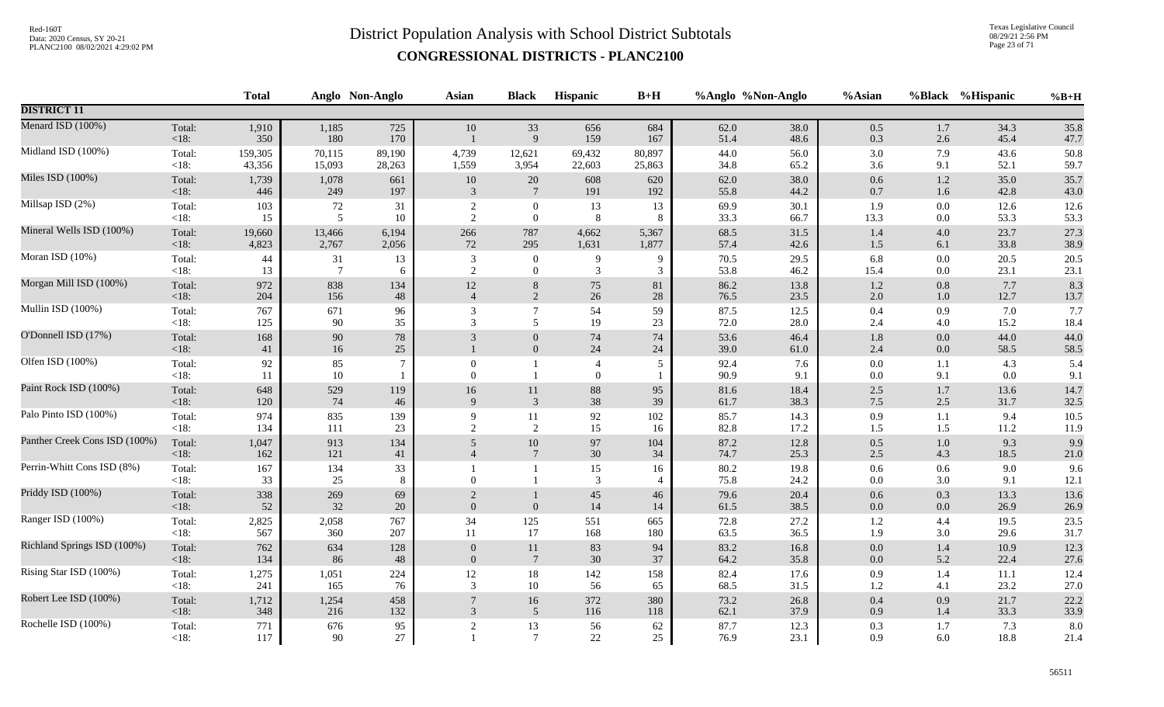Texas Legislative Council 08/29/21 2:56 PM Page 23 of 71

|                               |                   | <b>Total</b> |                 | Anglo Non-Anglo  | Asian                | <b>Black</b>                         | Hispanic                           | $B+H$                |              | %Anglo %Non-Anglo | %Asian         |                | %Black %Hispanic | $%B+H$       |
|-------------------------------|-------------------|--------------|-----------------|------------------|----------------------|--------------------------------------|------------------------------------|----------------------|--------------|-------------------|----------------|----------------|------------------|--------------|
| <b>DISTRICT 11</b>            |                   |              |                 |                  |                      |                                      |                                    |                      |              |                   |                |                |                  |              |
| Menard ISD (100%)             | Total:<br>$<18$ : | 1,910<br>350 | 1,185<br>180    | 725<br>170       | 10                   | 33<br>9                              | 656<br>159                         | 684<br>167           | 62.0<br>51.4 | 38.0<br>48.6      | 0.5<br>0.3     | 1.7<br>2.6     | 34.3<br>45.4     | 35.8<br>47.7 |
| Midland ISD (100%)            | Total:            | 159,305      | 70,115          | 89,190           | 4,739                | 12,621                               | 69,432                             | 80,897               | 44.0         | 56.0              | $3.0\,$        | 7.9            | 43.6             | 50.8         |
|                               | $<18$ :           | 43,356       | 15,093          | 28,263           | 1,559                | 3,954                                | 22,603                             | 25,863               | 34.8         | 65.2              | $3.6\,$        | 9.1            | 52.1             | 59.7         |
| Miles ISD (100%)              | Total:            | 1,739        | 1,078           | 661              | 10                   | $20\,$                               | 608                                | 620                  | 62.0         | 38.0              | 0.6            | $1.2\,$        | 35.0             | 35.7         |
|                               | $<18$ :           | 446          | 249             | 197              | 3                    | $7\phantom{.0}$                      | 191                                | 192                  | 55.8         | 44.2              | $0.7\,$        | 1.6            | 42.8             | 43.0         |
| Millsap ISD (2%)              | Total:            | 103          | 72              | 31               | $\overline{2}$       | $\boldsymbol{0}$                     | 13                                 | 13                   | 69.9         | 30.1              | 1.9            | 0.0            | 12.6             | 12.6         |
|                               | $<18$ :           | 15           | 5               | 10               | 2                    | $\overline{0}$                       | 8                                  | 8                    | 33.3         | 66.7              | 13.3           | 0.0            | 53.3             | 53.3         |
| Mineral Wells ISD (100%)      | Total:            | 19,660       | 13,466          | 6,194            | 266                  | 787                                  | 4,662                              | 5,367                | 68.5         | 31.5              | $1.4\,$        | 4.0            | 23.7             | 27.3         |
|                               | <18:              | 4,823        | 2,767           | 2,056            | 72                   | 295                                  | 1,631                              | 1,877                | 57.4         | 42.6              | $1.5\,$        | 6.1            | 33.8             | 38.9         |
| Moran ISD (10%)               | Total:            | 44           | 31              | 13               | 3                    | $\boldsymbol{0}$                     | 9                                  | 9                    | 70.5         | 29.5              | 6.8            | 0.0            | 20.5             | 20.5         |
|                               | <18:              | 13           | $7\phantom{.0}$ | 6                | 2                    | $\mathbf{0}$                         | 3                                  | 3                    | 53.8         | 46.2              | 15.4           | 0.0            | 23.1             | 23.1         |
| Morgan Mill ISD (100%)        | Total:            | 972          | 838             | 134              | 12                   | $\,8\,$                              | 75                                 | 81                   | 86.2         | 13.8              | $1.2\,$        | $0.8\,$        | 7.7              | 8.3          |
|                               | <18:              | 204          | 156             | 48               | $\overline{4}$       | 2                                    | $26\,$                             | $28\,$               | 76.5         | 23.5              | 2.0            | 1.0            | 12.7             | 13.7         |
| Mullin ISD (100%)             | Total:            | 767          | 671             | 96               | 3                    | $\tau$                               | 54                                 | 59                   | 87.5         | 12.5              | 0.4            | 0.9            | 7.0              | 7.7          |
|                               | $<18$ :           | 125          | 90              | 35               | 3                    | 5                                    | 19                                 | 23                   | 72.0         | 28.0              | 2.4            | 4.0            | 15.2             | 18.4         |
| O'Donnell ISD (17%)           | Total:<br><18:    | 168<br>41    | 90<br>16        | $78\,$<br>$25\,$ | 3                    | $\boldsymbol{0}$<br>$\boldsymbol{0}$ | 74<br>$24\,$                       | 74<br>24             | 53.6<br>39.0 | 46.4<br>61.0      | $1.8\,$<br>2.4 | 0.0<br>$0.0\,$ | 44.0<br>58.5     | 44.0<br>58.5 |
| Olfen ISD (100%)              | Total:<br><18:    | 92<br>11     | 85<br>10        | 7                | $\theta$<br>$\Omega$ | 1<br>$\mathbf{1}$                    | $\overline{4}$<br>$\boldsymbol{0}$ | 5                    | 92.4<br>90.9 | 7.6<br>9.1        | 0.0<br>0.0     | 1.1<br>9.1     | 4.3<br>0.0       | 5.4<br>9.1   |
| Paint Rock ISD (100%)         | Total:            | 648          | 529             | 119              | 16                   | 11                                   | $88\,$                             | 95                   | 81.6         | 18.4              | $2.5\,$        | $1.7\,$        | 13.6             | 14.7         |
|                               | <18:              | 120          | 74              | 46               | 9                    | $\mathbf{3}$                         | 38                                 | 39                   | 61.7         | 38.3              | 7.5            | 2.5            | 31.7             | 32.5         |
| Palo Pinto ISD (100%)         | Total:            | 974          | 835             | 139              | 9                    | 11                                   | 92                                 | 102                  | 85.7         | 14.3              | 0.9            | 1.1            | 9.4              | 10.5         |
|                               | <18:              | 134          | 111             | 23               | 2                    | 2                                    | 15                                 | 16                   | 82.8         | 17.2              | 1.5            | 1.5            | 11.2             | 11.9         |
| Panther Creek Cons ISD (100%) | Total:            | 1,047        | 913             | 134              | 5                    | $10\,$                               | 97                                 | 104                  | 87.2         | 12.8              | $0.5\,$        | 1.0            | 9.3              | 9.9          |
|                               | < 18:             | 162          | 121             | 41               | $\overline{4}$       | $7\phantom{.0}$                      | 30                                 | 34                   | 74.7         | 25.3              | $2.5\,$        | 4.3            | 18.5             | 21.0         |
| Perrin-Whitt Cons ISD (8%)    | Total:<br><18:    | 167<br>33    | 134<br>25       | 33<br>8          | $\Omega$             | $\mathbf{1}$                         | 15<br>3                            | 16<br>$\overline{4}$ | 80.2<br>75.8 | 19.8<br>24.2      | 0.6<br>0.0     | 0.6<br>3.0     | 9.0<br>9.1       | 9.6<br>12.1  |
| Priddy ISD (100%)             | Total:            | 338          | 269             | 69               | 2                    | 1                                    | 45                                 | 46                   | 79.6         | 20.4              | 0.6            | 0.3            | 13.3             | 13.6         |
|                               | <18:              | 52           | 32              | $20\,$           | $\mathbf{0}$         | $\mathbf{0}$                         | $14\,$                             | 14                   | 61.5         | 38.5              | $0.0\,$        | $0.0\,$        | 26.9             | 26.9         |
| Ranger ISD (100%)             | Total:            | 2,825        | 2,058           | 767              | 34                   | 125                                  | 551                                | 665                  | 72.8         | 27.2              | 1.2            | 4.4            | 19.5             | 23.5         |
|                               | <18:              | 567          | 360             | 207              | 11                   | 17                                   | 168                                | 180                  | 63.5         | 36.5              | 1.9            | 3.0            | 29.6             | 31.7         |
| Richland Springs ISD (100%)   | Total:            | 762          | 634             | 128              | $\theta$             | 11                                   | 83                                 | 94                   | 83.2         | 16.8              | $0.0\,$        | 1.4            | 10.9             | 12.3         |
|                               | <18:              | 134          | 86              | 48               | $\overline{0}$       | $\overline{7}$                       | $30\,$                             | 37                   | 64.2         | 35.8              | $0.0\,$        | 5.2            | 22.4             | 27.6         |
| Rising Star ISD (100%)        | Total:            | 1,275        | 1,051           | 224              | $12\,$               | 18                                   | 142                                | 158                  | 82.4         | 17.6              | 0.9            | 1.4            | 11.1             | 12.4         |
|                               | $<18$ :           | 241          | 165             | 76               | 3                    | $10\,$                               | 56                                 | 65                   | 68.5         | 31.5              | 1.2            | 4.1            | 23.2             | 27.0         |
| Robert Lee ISD (100%)         | Total:            | 1,712        | 1,254           | 458              | $7\phantom{.0}$      | 16                                   | 372                                | 380                  | 73.2         | 26.8              | 0.4            | 0.9            | 21.7             | 22.2         |
|                               | <18:              | 348          | 216             | 132              | 3                    | $\overline{5}$                       | 116                                | 118                  | 62.1         | 37.9              | 0.9            | 1.4            | 33.3             | 33.9         |
| Rochelle ISD (100%)           | Total:<br>$<18$ : | 771<br>117   | 676<br>90       | 95<br>$27\,$     | 2                    | 13<br>$7\phantom{.0}$                | 56<br>$22\,$                       | 62<br>25             | 87.7<br>76.9 | 12.3<br>23.1      | 0.3<br>0.9     | 1.7<br>6.0     | 7.3<br>18.8      | 8.0<br>21.4  |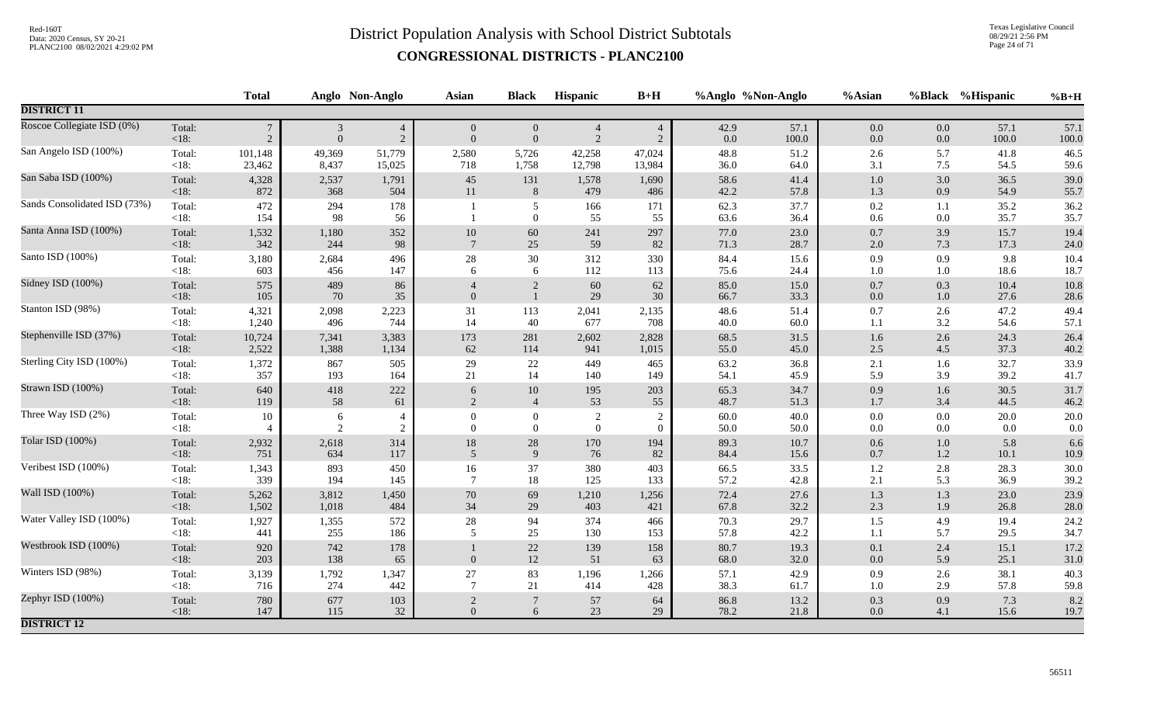Texas Legislative Council 08/29/21 2:56 PM Page 24 of 71

|                              |                   | <b>Total</b>   |                     | Anglo Non-Anglo              | <b>Asian</b>             | <b>Black</b>                       | <b>Hispanic</b>                | $B+H$                      |              | %Anglo %Non-Anglo | %Asian         | <b>%Black</b>  | %Hispanic    | $%B+H$       |
|------------------------------|-------------------|----------------|---------------------|------------------------------|--------------------------|------------------------------------|--------------------------------|----------------------------|--------------|-------------------|----------------|----------------|--------------|--------------|
| <b>DISTRICT 11</b>           |                   |                |                     |                              |                          |                                    |                                |                            |              |                   |                |                |              |              |
| Roscoe Collegiate ISD (0%)   | Total:            | $\overline{7}$ | $\sqrt{3}$          | $\overline{4}$               | $\overline{0}$           | $\overline{0}$                     | $\overline{4}$                 | $\overline{4}$             | 42.9         | 57.1              | $0.0\,$        | 0.0            | 57.1         | 57.1         |
|                              | <18:              | $\overline{2}$ | $\overline{0}$      | $\overline{2}$               | $\overline{0}$           | $\mathbf{0}$                       | $\overline{2}$                 | $\overline{2}$             | 0.0          | 100.0             | $0.0\,$        | $0.0\,$        | 100.0        | 100.0        |
| San Angelo ISD (100%)        | Total:            | 101,148        | 49,369              | 51,779                       | 2,580                    | 5,726                              | 42,258                         | 47,024                     | 48.8         | 51.2              | 2.6            | 5.7            | 41.8         | 46.5         |
|                              | <18:              | 23,462         | 8,437               | 15,025                       | 718                      | 1,758                              | 12,798                         | 13,984                     | 36.0         | 64.0              | 3.1            | 7.5            | 54.5         | 59.6         |
| San Saba ISD (100%)          | Total:            | 4,328          | 2,537               | 1,791                        | 45                       | 131                                | 1,578                          | 1,690                      | 58.6         | 41.4              | $1.0$          | 3.0            | 36.5         | 39.0         |
|                              | <18:              | 872            | 368                 | 504                          | 11                       | 8                                  | 479                            | 486                        | 42.2         | 57.8              | 1.3            | 0.9            | 54.9         | 55.7         |
| Sands Consolidated ISD (73%) | Total:<br>$<18$ : | 472<br>154     | 294<br>98           | 178<br>56                    |                          | 5<br>$\mathbf{0}$                  | 166<br>55                      | 171<br>55                  | 62.3<br>63.6 | 37.7<br>36.4      | 0.2<br>0.6     | 1.1<br>$0.0\,$ | 35.2<br>35.7 | 36.2<br>35.7 |
| Santa Anna ISD (100%)        | Total:            | 1,532          | 1,180               | 352                          | $10\,$                   | $60\,$                             | 241                            | 297                        | 77.0         | 23.0              | 0.7            | 3.9            | 15.7         | 19.4         |
|                              | < 18:             | 342            | 244                 | 98                           | $7\phantom{.0}$          | 25                                 | 59                             | 82                         | 71.3         | 28.7              | 2.0            | 7.3            | 17.3         | 24.0         |
| Santo ISD (100%)             | Total:            | 3,180          | 2,684               | 496                          | $28\,$                   | $30\,$                             | 312                            | 330                        | 84.4         | 15.6              | 0.9            | 0.9            | 9.8          | 10.4         |
|                              | $<18$ :           | 603            | 456                 | 147                          | 6                        | 6                                  | 112                            | 113                        | 75.6         | 24.4              | 1.0            | $1.0\,$        | 18.6         | 18.7         |
| Sidney ISD (100%)            | Total:<br>< 18:   | 575<br>105     | 489<br>70           | 86<br>35                     | $\overline{0}$           | $\sqrt{2}$<br>$\mathbf{1}$         | $60\,$<br>29                   | 62<br>30                   | 85.0<br>66.7 | 15.0<br>33.3      | 0.7<br>0.0     | 0.3<br>$1.0\,$ | 10.4<br>27.6 | 10.8<br>28.6 |
| Stanton ISD (98%)            | Total:            | 4,321          | 2,098               | 2,223                        | 31                       | 113                                | 2,041                          | 2,135                      | 48.6         | 51.4              | 0.7            | 2.6            | 47.2         | 49.4         |
|                              | $<18$ :           | 1,240          | 496                 | 744                          | 14                       | 40                                 | 677                            | 708                        | 40.0         | 60.0              | 1.1            | 3.2            | 54.6         | 57.1         |
| Stephenville ISD (37%)       | Total:            | 10,724         | 7,341               | 3,383                        | 173                      | 281                                | 2,602                          | 2,828                      | 68.5         | 31.5              | 1.6            | 2.6            | 24.3         | 26.4         |
|                              | <18:              | 2,522          | 1,388               | 1,134                        | 62                       | 114                                | 941                            | 1,015                      | 55.0         | 45.0              | 2.5            | 4.5            | 37.3         | 40.2         |
| Sterling City ISD (100%)     | Total:            | 1,372          | 867                 | 505                          | 29                       | 22                                 | 449                            | 465                        | 63.2         | 36.8              | 2.1            | 1.6            | 32.7         | 33.9         |
|                              | $<18$ :           | 357            | 193                 | 164                          | 21                       | 14                                 | 140                            | 149                        | 54.1         | 45.9              | 5.9            | 3.9            | 39.2         | 41.7         |
| Strawn ISD (100%)            | Total:            | 640            | 418                 | 222                          | 6                        | $10\,$                             | 195                            | 203                        | 65.3         | 34.7              | 0.9            | 1.6            | 30.5         | 31.7         |
|                              | < 18:             | 119            | 58                  | 61                           | $\overline{2}$           | $\overline{4}$                     | 53                             | 55                         | 48.7         | 51.3              | $1.7$          | 3.4            | 44.5         | 46.2         |
| Three Way ISD (2%)           | Total:<br>$<18$ : | 10             | 6<br>$\overline{2}$ | $\overline{a}$<br>$\sqrt{2}$ | $\mathbf{0}$<br>$\theta$ | $\boldsymbol{0}$<br>$\overline{0}$ | $\sqrt{2}$<br>$\boldsymbol{0}$ | $\overline{2}$<br>$\Omega$ | 60.0<br>50.0 | 40.0<br>50.0      | $0.0\,$<br>0.0 | 0.0<br>0.0     | 20.0<br>0.0  | 20.0<br>0.0  |
| Tolar ISD (100%)             | Total:            | 2,932          | 2,618               | 314                          | $18\,$                   | 28                                 | 170                            | 194                        | 89.3         | 10.7              | 0.6            | $1.0\,$        | 5.8          | 6.6          |
|                              | <18:              | 751            | 634                 | 117                          | $\overline{5}$           | $\overline{9}$                     | 76                             | 82                         | 84.4         | 15.6              | 0.7            | $1.2\,$        | 10.1         | 10.9         |
| Veribest ISD (100%)          | Total:            | 1,343          | 893                 | 450                          | $16\,$                   | $37\,$                             | 380                            | 403                        | 66.5         | 33.5              | 1.2            | $2.8\,$        | 28.3         | 30.0         |
|                              | <18:              | 339            | 194                 | 145                          | $\overline{7}$           | 18                                 | 125                            | 133                        | 57.2         | 42.8              | 2.1            | 5.3            | 36.9         | 39.2         |
| Wall ISD (100%)              | Total:            | 5,262          | 3,812               | 1,450                        | $70\,$                   | 69                                 | 1,210                          | 1,256                      | 72.4         | 27.6              | 1.3            | 1.3            | 23.0         | 23.9         |
|                              | <18:              | 1,502          | 1,018               | 484                          | 34                       | 29                                 | 403                            | 421                        | 67.8         | 32.2              | 2.3            | 1.9            | 26.8         | 28.0         |
| Water Valley ISD (100%)      | Total:            | 1,927          | 1,355               | 572                          | $28\,$                   | 94                                 | 374                            | 466                        | 70.3         | 29.7              | 1.5            | 4.9            | 19.4         | 24.2         |
|                              | $<18$ :           | 441            | 255                 | 186                          | 5                        | 25                                 | 130                            | 153                        | 57.8         | 42.2              | 1.1            | 5.7            | 29.5         | 34.7         |
| Westbrook ISD (100%)         | Total:<br>< 18:   | 920<br>203     | 742<br>138          | 178<br>65                    | $\mathbf{0}$             | 22<br>12                           | 139<br>51                      | 158<br>63                  | 80.7<br>68.0 | 19.3<br>32.0      | 0.1<br>0.0     | 2.4<br>5.9     | 15.1<br>25.1 | 17.2<br>31.0 |
| Winters ISD (98%)            | Total:            | 3,139          | 1,792               | 1,347                        | 27                       | 83                                 | 1,196                          | 1,266                      | 57.1         | 42.9              | 0.9            | 2.6            | 38.1         | 40.3         |
|                              | $<18$ :           | 716            | 274                 | 442                          | $\overline{7}$           | 21                                 | 414                            | 428                        | 38.3         | 61.7              | 1.0            | 2.9            | 57.8         | 59.8         |
| Zephyr ISD (100%)            | Total:            | 780            | 677                 | 103                          | $\sqrt{2}$               | $\overline{7}$                     | 57                             | 64                         | 86.8         | 13.2              | 0.3            | 0.9            | 7.3          | 8.2          |
|                              | <18:              | 147            | 115                 | 32                           | $\overline{0}$           | 6                                  | 23                             | 29                         | 78.2         | 21.8              | 0.0            | 4.1            | 15.6         | 19.7         |
| <b>DISTRICT 12</b>           |                   |                |                     |                              |                          |                                    |                                |                            |              |                   |                |                |              |              |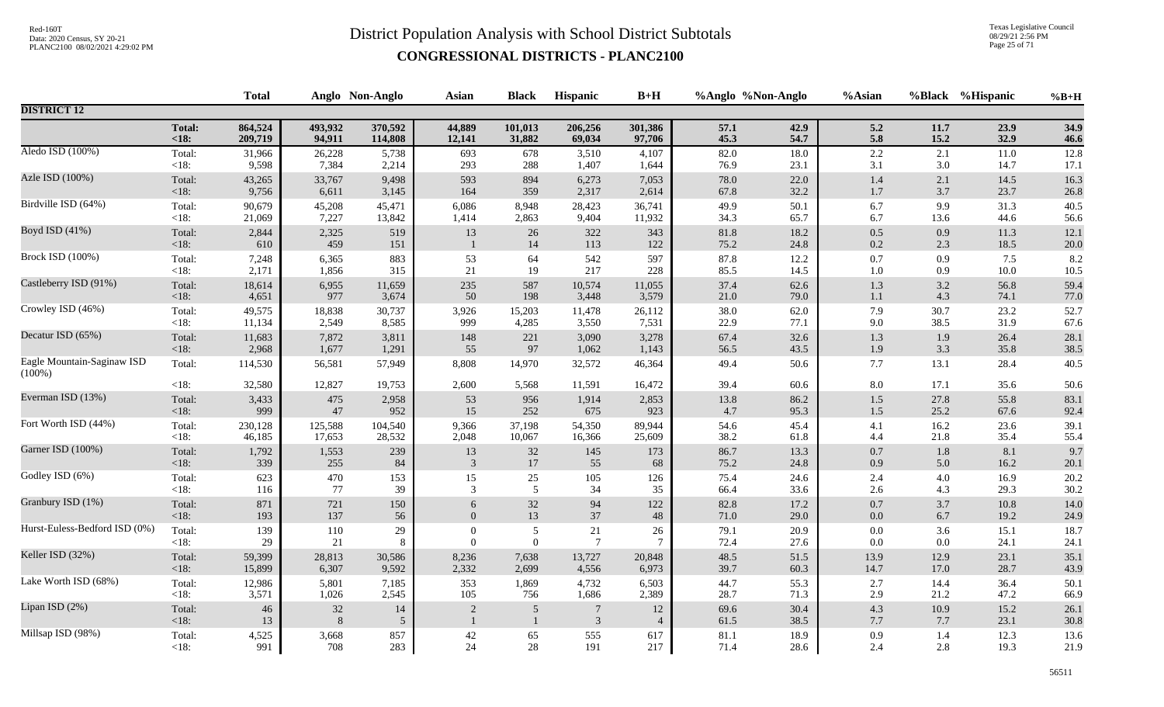Texas Legislative Council 08/29/21 2:56 PM Page 25 of 71

|                                         |                   | <b>Total</b> |              | Anglo Non-Anglo | <b>Asian</b>     | <b>Black</b>                   | Hispanic        | $B+H$                | %Anglo %Non-Anglo |              | %Asian         |             | %Black %Hispanic | $%B+H$           |
|-----------------------------------------|-------------------|--------------|--------------|-----------------|------------------|--------------------------------|-----------------|----------------------|-------------------|--------------|----------------|-------------|------------------|------------------|
| <b>DISTRICT 12</b>                      |                   |              |              |                 |                  |                                |                 |                      |                   |              |                |             |                  |                  |
|                                         | <b>Total:</b>     | 864,524      | 493,932      | 370,592         | 44,889           | 101,013                        | 206,256         | 301,386              | 57.1              | 42.9         | 5.2            | 11.7        | 23.9             | 34.9             |
|                                         | < 18:             | 209,719      | 94,911       | 114,808         | 12,141           | 31,882                         | 69,034          | 97,706               | 45.3              | 54.7         | 5.8            | 15.2        | 32.9             | 46.6             |
| Aledo ISD (100%)                        | Total:            | 31,966       | 26,228       | 5,738           | 693              | 678                            | 3,510           | 4,107                | 82.0              | 18.0         | $2.2\,$        | 2.1         | 11.0             | 12.8             |
|                                         | $<18$ :           | 9,598        | 7,384        | 2,214           | 293              | 288                            | 1,407           | 1,644                | 76.9              | 23.1         | 3.1            | $3.0\,$     | 14.7             | 17.1             |
| Azle ISD (100%)                         | Total:            | 43,265       | 33,767       | 9,498           | 593              | 894                            | 6,273           | 7,053                | 78.0              | 22.0         | $1.4\,$        | 2.1         | 14.5             | 16.3             |
|                                         | $<18$ :           | 9,756        | 6,611        | 3,145           | 164              | 359                            | 2,317           | 2,614                | 67.8              | 32.2         | $1.7\,$        | 3.7         | 23.7             | 26.8             |
| Birdville ISD (64%)                     | Total:            | 90,679       | 45,208       | 45,471          | 6,086            | 8,948                          | 28,423          | 36,741               | 49.9              | 50.1         | 6.7            | 9.9         | 31.3             | 40.5             |
|                                         | < 18:             | 21,069       | 7,227        | 13,842          | 1,414            | 2,863                          | 9,404           | 11,932               | 34.3              | 65.7         | 6.7            | 13.6        | 44.6             | 56.6             |
| Boyd ISD (41%)                          | Total:<br>< 18:   | 2,844<br>610 | 2,325<br>459 | 519<br>151      | 13               | 26<br>14                       | 322<br>113      | 343<br>122           | 81.8<br>75.2      | 18.2<br>24.8 | 0.5<br>$0.2\,$ | 0.9<br>2.3  | 11.3<br>18.5     | 12.1<br>$20.0\,$ |
| Brock ISD (100%)                        | Total:            | 7,248        | 6,365        | 883             | 53               | 64                             | 542             | 597                  | 87.8              | 12.2         | $0.7\,$        | 0.9         | 7.5              | 8.2              |
|                                         | $<18$ :           | 2,171        | 1,856        | 315             | 21               | 19                             | 217             | 228                  | 85.5              | 14.5         | $1.0\,$        | 0.9         | 10.0             | $10.5\,$         |
| Castleberry ISD (91%)                   | Total:            | 18,614       | 6,955        | 11,659          | 235              | 587                            | 10,574          | 11,055               | 37.4              | 62.6         | 1.3            | 3.2         | 56.8             | 59.4             |
|                                         | < 18:             | 4,651        | 977          | 3,674           | 50               | 198                            | 3,448           | 3,579                | 21.0              | 79.0         | $1.1\,$        | 4.3         | 74.1             | 77.0             |
| Crowley ISD (46%)                       | Total:            | 49,575       | 18,838       | 30,737          | 3,926            | 15,203                         | 11,478          | 26,112               | 38.0              | 62.0         | 7.9            | 30.7        | 23.2             | 52.7             |
|                                         | < 18:             | 11,134       | 2,549        | 8,585           | 999              | 4,285                          | 3,550           | 7,531                | 22.9              | 77.1         | 9.0            | 38.5        | 31.9             | 67.6             |
| Decatur ISD (65%)                       | Total:            | 11,683       | 7,872        | 3,811           | 148              | 221                            | 3,090           | 3,278                | 67.4              | 32.6         | $1.3\,$        | 1.9         | 26.4             | 28.1             |
|                                         | < 18:             | 2,968        | 1,677        | 1,291           | 55               | 97                             | 1,062           | 1,143                | 56.5              | 43.5         | 1.9            | 3.3         | 35.8             | 38.5             |
| Eagle Mountain-Saginaw ISD<br>$(100\%)$ | Total:            | 114,530      | 56,581       | 57,949          | 8,808            | 14,970                         | 32,572          | 46,364               | 49.4              | 50.6         | 7.7            | 13.1        | 28.4             | 40.5             |
|                                         | < 18:             | 32,580       | 12,827       | 19,753          | 2,600            | 5,568                          | 11,591          | 16,472               | 39.4              | 60.6         | 8.0            | 17.1        | 35.6             | 50.6             |
| Everman ISD (13%)                       | Total:            | 3,433        | 475          | 2,958           | 53               | 956                            | 1,914           | 2,853                | 13.8              | 86.2         | $1.5\,$        | 27.8        | 55.8             | 83.1             |
|                                         | < 18:             | 999          | $47\,$       | 952             | 15               | 252                            | 675             | 923                  | 4.7               | 95.3         | $1.5\,$        | 25.2        | 67.6             | 92.4             |
| Fort Worth ISD (44%)                    | Total:            | 230,128      | 125,588      | 104,540         | 9,366            | 37,198                         | 54,350          | 89,944               | 54.6              | 45.4         | 4.1            | 16.2        | 23.6             | 39.1             |
|                                         | $<18$ :           | 46,185       | 17,653       | 28,532          | 2,048            | 10,067                         | 16,366          | 25,609               | 38.2              | 61.8         | 4.4            | 21.8        | 35.4             | 55.4             |
| Garner ISD (100%)                       | Total:            | 1,792        | 1,553        | 239             | 13               | $32\,$                         | 145             | 173                  | 86.7              | 13.3         | $0.7\,$        | 1.8         | 8.1              | 9.7              |
|                                         | < 18:             | 339          | 255          | 84              | 3                | $17\,$                         | 55              | 68                   | 75.2              | 24.8         | 0.9            | 5.0         | 16.2             | 20.1             |
| Godley ISD (6%)                         | Total:            | 623          | 470          | 153             | 15               | 25                             | 105             | 126                  | 75.4              | 24.6         | 2.4            | 4.0         | 16.9             | 20.2             |
|                                         | $<18$ :           | 116          | 77           | 39              | 3                | 5                              | 34              | 35                   | 66.4              | 33.6         | 2.6            | 4.3         | 29.3             | 30.2             |
| Granbury ISD (1%)                       | Total:            | 871          | 721          | 150             | $6\,$            | $32\,$                         | 94              | 122                  | 82.8              | 17.2         | $0.7\,$        | 3.7         | 10.8             | 14.0             |
|                                         | < 18:             | 193          | 137          | 56              | $\boldsymbol{0}$ | 13                             | $37\,$          | $\sqrt{48}$          | 71.0              | 29.0         | $0.0\,$        | 6.7         | 19.2             | 24.9             |
| Hurst-Euless-Bedford ISD (0%)           | Total:            | 139          | 110          | 29              | $\overline{0}$   | $\overline{5}$                 | $21\,$          | 26                   | 79.1              | 20.9         | $0.0\,$        | 3.6         | 15.1             | 18.7             |
|                                         | $<18$ :           | 29           | 21           | 8               | $\overline{0}$   | $\mathbf{0}$                   | $7\phantom{.0}$ | $\tau$               | 72.4              | 27.6         | $0.0\,$        | $0.0\,$     | 24.1             | 24.1             |
| Keller ISD (32%)                        | Total:            | 59,399       | 28,813       | 30,586          | 8,236            | 7,638                          | 13,727          | 20,848               | 48.5              | 51.5         | 13.9           | 12.9        | 23.1             | 35.1             |
|                                         | $<18$ :           | 15,899       | 6,307        | 9,592           | 2,332            | 2,699                          | 4,556           | 6,973                | 39.7              | 60.3         | 14.7           | 17.0        | 28.7             | 43.9             |
| Lake Worth ISD (68%)                    | Total:            | 12,986       | 5,801        | 7,185           | 353              | 1,869                          | 4,732           | 6,503                | 44.7              | 55.3         | 2.7            | 14.4        | 36.4             | 50.1             |
|                                         | $<18$ :           | 3,571        | 1,026        | 2,545           | 105              | 756                            | 1,686           | 2,389                | 28.7              | 71.3         | $2.9\,$        | 21.2        | 47.2             | 66.9             |
| Lipan ISD (2%)                          | Total:<br>$<18$ : | 46<br>13     | 32<br>8      | 14<br>5         | $\overline{2}$   | $\overline{5}$<br>$\mathbf{1}$ | 7<br>3          | 12<br>$\overline{4}$ | 69.6<br>61.5      | 30.4<br>38.5 | 4.3<br>$7.7\,$ | 10.9<br>7.7 | 15.2<br>23.1     | 26.1<br>30.8     |
| Millsap ISD (98%)                       | Total:            | 4,525        | 3,668        | 857             | 42               | 65                             | 555             | 617                  | 81.1              | 18.9         | 0.9            | 1.4         | 12.3             | 13.6             |
|                                         | <18:              | 991          | 708          | 283             | 24               | 28                             | 191             | 217                  | 71.4              | 28.6         | 2.4            | 2.8         | 19.3             | 21.9             |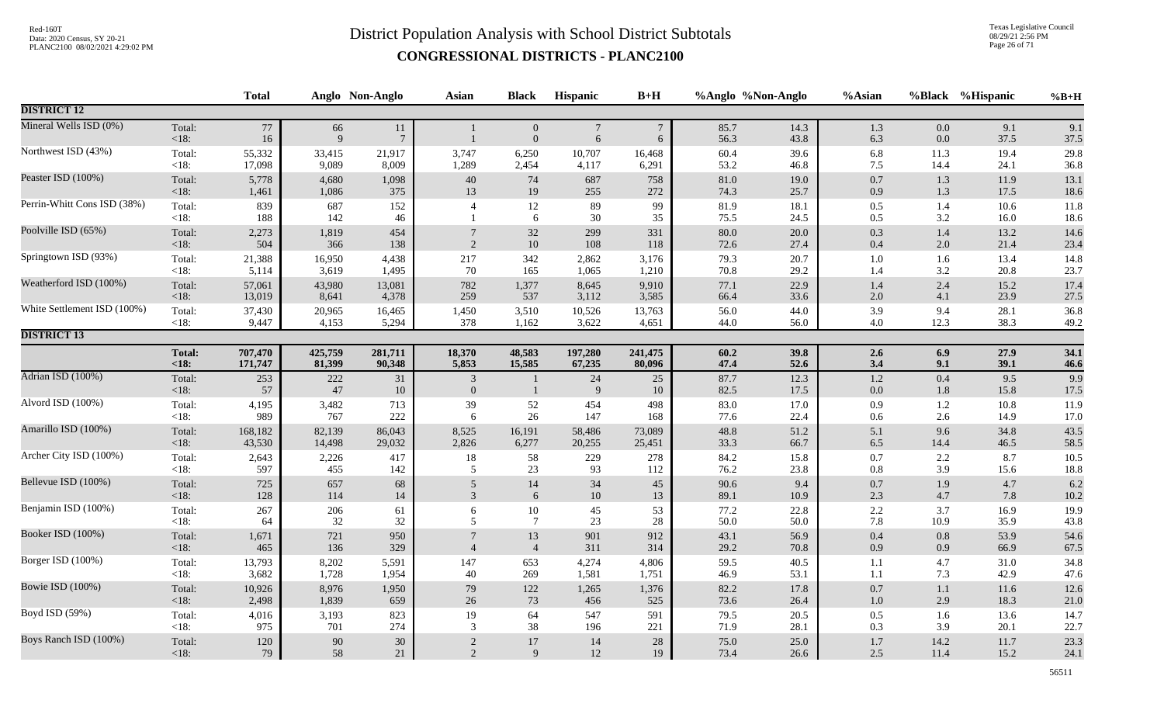Texas Legislative Council 08/29/21 2:56 PM Page 26 of 71

|                             |                   | <b>Total</b> |                      | Anglo Non-Anglo      | <b>Asian</b>                   | <b>Black</b>                         | Hispanic                            | $B+H$                          |              | %Anglo %Non-Anglo | %Asian         |                    | %Black %Hispanic | $%B+H$       |
|-----------------------------|-------------------|--------------|----------------------|----------------------|--------------------------------|--------------------------------------|-------------------------------------|--------------------------------|--------------|-------------------|----------------|--------------------|------------------|--------------|
| <b>DISTRICT 12</b>          |                   |              |                      |                      |                                |                                      |                                     |                                |              |                   |                |                    |                  |              |
| Mineral Wells ISD (0%)      | Total:<br><18:    | $77\,$<br>16 | 66<br>$\overline{Q}$ | 11<br>$\overline{7}$ | $\mathbf{1}$                   | $\boldsymbol{0}$<br>$\boldsymbol{0}$ | $7\phantom{.0}$<br>$\boldsymbol{6}$ | $\boldsymbol{7}$<br>$\sqrt{6}$ | 85.7<br>56.3 | 14.3<br>43.8      | $1.3\,$<br>6.3 | 0.0<br>0.0         | 9.1<br>37.5      | 9.1<br>37.5  |
| Northwest ISD (43%)         | Total:            | 55,332       | 33,415               | 21,917               | 3,747                          | 6,250                                | 10,707                              | 16,468                         | 60.4         | 39.6              | 6.8            | 11.3               | 19.4             | 29.8         |
|                             | $<18$ :           | 17,098       | 9,089                | 8,009                | 1,289                          | 2,454                                | 4,117                               | 6,291                          | 53.2         | 46.8              | 7.5            | 14.4               | 24.1             | 36.8         |
| Peaster ISD (100%)          | Total:            | 5,778        | 4,680                | 1,098                | $40\,$                         | 74                                   | 687                                 | 758                            | 81.0         | 19.0              | 0.7            | 1.3                | 11.9             | 13.1         |
|                             | $<18$ :           | 1,461        | 1,086                | 375                  | 13                             | 19                                   | 255                                 | 272                            | 74.3         | 25.7              | 0.9            | 1.3                | 17.5             | 18.6         |
| Perrin-Whitt Cons ISD (38%) | Total:<br>$<18$ : | 839<br>188   | 687<br>142           | 152<br>46            | $\overline{4}$                 | 12<br>6                              | 89<br>30                            | 99<br>35                       | 81.9<br>75.5 | 18.1<br>24.5      | 0.5<br>0.5     | 1.4<br>3.2         | 10.6<br>16.0     | 11.8<br>18.6 |
| Poolville ISD (65%)         | Total:            | 2,273        | 1,819                | 454                  | $\overline{7}$                 | $32\,$                               | 299                                 | 331                            | 80.0         | 20.0              | 0.3            | $1.4\,$            | 13.2             | 14.6         |
|                             | <18:              | 504          | 366                  | 138                  | $\overline{2}$                 | $10\,$                               | 108                                 | 118                            | 72.6         | 27.4              | $0.4\,$        | $2.0\,$            | 21.4             | 23.4         |
| Springtown ISD (93%)        | Total:            | 21,388       | 16,950               | 4,438                | 217                            | 342                                  | 2,862                               | 3,176                          | 79.3         | 20.7              | $1.0\,$        | 1.6                | 13.4             | 14.8         |
|                             | $<18$ :           | 5,114        | 3,619                | 1,495                | 70                             | 165                                  | 1,065                               | 1,210                          | 70.8         | 29.2              | 1.4            | 3.2                | 20.8             | 23.7         |
| Weatherford ISD (100%)      | Total:            | 57,061       | 43,980               | 13,081               | 782                            | 1,377                                | 8,645                               | 9,910                          | 77.1         | 22.9              | $1.4\,$        | 2.4                | 15.2             | 17.4         |
|                             | <18:              | 13,019       | 8,641                | 4,378                | 259                            | 537                                  | 3,112                               | 3,585                          | 66.4         | 33.6              | $2.0\,$        | 4.1                | 23.9             | 27.5         |
| White Settlement ISD (100%) | Total:            | 37,430       | 20,965               | 16,465               | 1,450                          | 3,510                                | 10,526                              | 13,763                         | 56.0         | 44.0              | 3.9            | 9.4                | 28.1             | 36.8         |
|                             | $<18$ :           | 9,447        | 4,153                | 5,294                | 378                            | 1,162                                | 3,622                               | 4,651                          | 44.0         | 56.0              | 4.0            | 12.3               | 38.3             | 49.2         |
| <b>DISTRICT 13</b>          |                   |              |                      |                      |                                |                                      |                                     |                                |              |                   |                |                    |                  |              |
|                             | <b>Total:</b>     | 707,470      | 425,759              | 281,711              | 18,370                         | 48,583                               | 197,280                             | 241,475                        | 60.2         | 39.8              | 2.6            | 6.9                | 27.9             | 34.1         |
|                             | $18:$             | 171,747      | 81,399               | 90,348               | 5,853                          | 15,585                               | 67,235                              | 80,096                         | 47.4         | 52.6              | 3.4            | 9.1                | 39.1             | 46.6         |
| Adrian ISD (100%)           | Total:<br>$<18$ : | 253<br>57    | 222<br>47            | 31<br>10             | $\mathfrak{Z}$<br>$\mathbf{0}$ | $\mathbf{1}$                         | 24<br>9                             | 25<br>10                       | 87.7<br>82.5 | 12.3<br>17.5      | 1.2<br>$0.0\,$ | $0.4\,$<br>$1.8\,$ | 9.5<br>15.8      | 9.9<br>17.5  |
| Alvord ISD (100%)           | Total:<br>$<18$ : | 4,195<br>989 | 3,482<br>767         | 713<br>222           | 39<br>6                        | $\frac{52}{26}$                      | 454<br>147                          | 498<br>168                     | 83.0<br>77.6 | 17.0<br>22.4      | 0.9<br>0.6     | 1.2<br>2.6         | 10.8<br>14.9     | 11.9<br>17.0 |
| Amarillo ISD (100%)         | Total:            | 168,182      | 82,139               | 86,043               | 8,525                          | 16,191                               | 58,486                              | 73,089                         | 48.8         | 51.2              | 5.1            | 9.6                | 34.8             | 43.5         |
|                             | $<18$ :           | 43,530       | 14,498               | 29,032               | 2,826                          | 6,277                                | 20,255                              | 25,451                         | 33.3         | 66.7              | $6.5\,$        | 14.4               | 46.5             | 58.5         |
| Archer City ISD (100%)      | Total:            | 2,643        | 2,226                | 417                  | 18                             | 58                                   | 229                                 | 278                            | 84.2         | 15.8              | $0.7\,$        | 2.2                | 8.7              | 10.5         |
|                             | $<18$ :           | 597          | 455                  | 142                  | 5                              | 23                                   | 93                                  | 112                            | 76.2         | 23.8              | 0.8            | 3.9                | 15.6             | $18.8\,$     |
| Bellevue ISD (100%)         | Total:            | 725          | 657                  | 68                   | $\sqrt{5}$                     | $14\,$                               | 34                                  | 45                             | 90.6         | 9.4               | 0.7            | 1.9                | 4.7              | 6.2          |
|                             | $<18$ :           | 128          | 114                  | 14                   | $\overline{3}$                 | 6                                    | 10                                  | 13                             | 89.1         | 10.9              | 2.3            | 4.7                | 7.8              | $10.2\,$     |
| Benjamin ISD (100%)         | Total:            | 267          | 206                  | 61                   | $6\,$                          | $10\,$                               | 45                                  | 53                             | 77.2         | 22.8              | $2.2\,$        | 3.7                | 16.9             | 19.9         |
|                             | $<18$ :           | 64           | 32                   | 32                   | 5                              | $\tau$                               | 23                                  | 28                             | 50.0         | 50.0              | 7.8            | 10.9               | 35.9             | 43.8         |
| Booker ISD (100%)           | Total:            | 1,671        | 721                  | 950                  | $\overline{7}$                 | 13                                   | 901                                 | 912                            | 43.1         | 56.9              | $0.4\,$        | $0.8\,$            | 53.9             | 54.6         |
|                             | <18:              | 465          | 136                  | 329                  | $\overline{4}$                 | $\overline{4}$                       | 311                                 | 314                            | 29.2         | 70.8              | 0.9            | 0.9                | 66.9             | 67.5         |
| Borger ISD (100%)           | Total:            | 13,793       | 8,202                | 5,591                | 147                            | 653                                  | 4,274                               | 4,806                          | 59.5         | 40.5              | 1.1            | 4.7                | 31.0             | 34.8         |
|                             | $<18$ :           | 3,682        | 1,728                | 1,954                | 40                             | 269                                  | 1,581                               | 1,751                          | 46.9         | 53.1              | 1.1            | 7.3                | 42.9             | 47.6         |
| Bowie ISD (100%)            | Total:            | 10,926       | 8,976                | 1,950                | $79\,$                         | $122\,$                              | 1,265                               | 1,376                          | 82.2         | 17.8              | $0.7\,$        | $1.1\,$            | 11.6             | 12.6         |
|                             | <18:              | 2,498        | 1,839                | 659                  | $26\,$                         | 73                                   | 456                                 | 525                            | 73.6         | 26.4              | $1.0\,$        | 2.9                | 18.3             | 21.0         |
| Boyd ISD (59%)              | Total:            | 4,016        | 3,193                | 823                  | 19                             | 64                                   | 547                                 | 591                            | 79.5         | 20.5              | $0.5\,$        | 1.6                | 13.6             | 14.7         |
|                             | $<18$ :           | 975          | 701                  | 274                  | 3                              | 38                                   | 196                                 | 221                            | 71.9         | 28.1              | 0.3            | 3.9                | 20.1             | 22.7         |
| Boys Ranch ISD (100%)       | Total:            | 120          | $90\,$               | $30\,$               | $\sqrt{2}$                     | $17\,$                               | 14                                  | 28                             | 75.0         | 25.0              | $1.7\,$        | 14.2               | 11.7             | 23.3         |
|                             | $<18$ :           | 79           | 58                   | 21                   | 2                              | 9                                    | $12\,$                              | 19                             | 73.4         | 26.6              | 2.5            | 11.4               | 15.2             | 24.1         |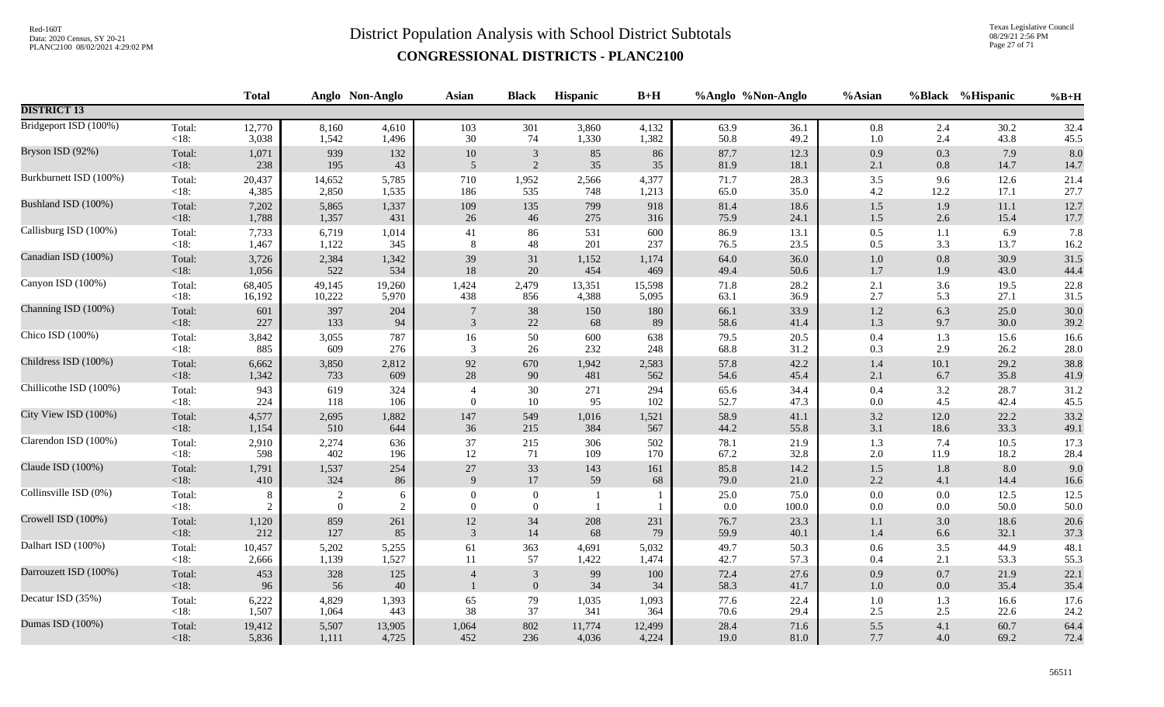Texas Legislative Council 08/29/21 2:56 PM Page 27 of 71

|                        |                | <b>Total</b>        |                   | Anglo Non-Anglo | <b>Asian</b>               | <b>Black</b>                       | <b>Hispanic</b>                | $B+H$     |              | %Anglo %Non-Anglo | %Asian             |            | %Black %Hispanic | $%B+H$           |
|------------------------|----------------|---------------------|-------------------|-----------------|----------------------------|------------------------------------|--------------------------------|-----------|--------------|-------------------|--------------------|------------|------------------|------------------|
| <b>DISTRICT 13</b>     |                |                     |                   |                 |                            |                                    |                                |           |              |                   |                    |            |                  |                  |
| Bridgeport ISD (100%)  | Total:         | 12,770              | 8,160             | 4,610           | 103                        | 301                                | 3,860                          | 4,132     | 63.9         | 36.1              | $0.8\,$            | 2.4        | 30.2             | 32.4             |
|                        | <18:           | 3,038               | 1,542             | 1,496           | $30\,$                     | 74                                 | 1,330                          | 1,382     | 50.8         | 49.2              | $1.0\,$            | 2.4        | 43.8             | 45.5             |
| Bryson ISD (92%)       | Total:         | 1,071               | 939               | 132             | $10\,$                     | $\mathbf{3}$                       | 85                             | 86        | 87.7         | 12.3              | $0.9\,$            | 0.3        | 7.9              | 8.0              |
|                        | <18:           | 238                 | 195               | 43              | 5                          | 2                                  | 35                             | $35\,$    | 81.9         | 18.1              | 2.1                | $0.8\,$    | 14.7             | 14.7             |
| Burkburnett ISD (100%) | Total:         | 20,437              | 14,652            | 5,785           | 710                        | 1,952                              | 2,566                          | 4,377     | 71.7         | 28.3              | $3.5$              | 9.6        | 12.6             | 21.4             |
|                        | $<18$ :        | 4,385               | 2,850             | 1,535           | 186                        | 535                                | 748                            | 1,213     | 65.0         | 35.0              | $4.2\,$            | 12.2       | 17.1             | 27.7             |
| Bushland ISD (100%)    | Total:         | 7,202               | 5,865             | 1,337           | 109                        | 135                                | 799                            | 918       | 81.4         | 18.6              | $1.5\,$            | 1.9        | 11.1             | 12.7             |
|                        | <18:           | 1,788               | 1,357             | 431             | $26\,$                     | 46                                 | 275                            | 316       | 75.9         | 24.1              | $1.5\,$            | 2.6        | 15.4             | 17.7             |
| Callisburg ISD (100%)  | Total:         | 7,733               | 6,719             | 1,014           | $41\,$                     | 86                                 | 531                            | 600       | 86.9         | 13.1              | $0.5\,$            | 1.1        | 6.9              | 7.8              |
|                        | $<18$ :        | 1,467               | 1,122             | 345             | 8                          | 48                                 | 201                            | 237       | 76.5         | 23.5              | 0.5                | 3.3        | 13.7             | 16.2             |
| Canadian ISD (100%)    | Total:         | 3,726               | 2,384             | 1,342           | 39                         | 31                                 | 1,152                          | 1,174     | 64.0         | 36.0              | $1.0\,$            | 0.8        | 30.9             | 31.5             |
|                        | $<18$ :        | 1,056               | 522               | 534             | $18\,$                     | $20\,$                             | 454                            | 469       | 49.4         | 50.6              | $1.7\,$            | 1.9        | 43.0             | 44.4             |
| Canyon ISD (100%)      | Total:         | 68,405              | 49,145            | 19,260          | 1,424                      | 2,479                              | 13,351                         | 15,598    | 71.8         | 28.2              | 2.1                | 3.6        | 19.5             | 22.8             |
|                        | $<18$ :        | 16,192              | 10,222            | 5,970           | 438                        | 856                                | 4,388                          | 5,095     | 63.1         | 36.9              | $2.7\,$            | 5.3        | 27.1             | 31.5             |
| Channing ISD (100%)    | Total:         | 601                 | 397               | 204             | $7\phantom{.0}$            | 38                                 | 150                            | 180       | 66.1         | 33.9              | $1.2\,$            | 6.3        | 25.0             | 30.0             |
|                        | <18:           | 227                 | 133               | 94              | 3                          | 22                                 | 68                             | 89        | 58.6         | 41.4              | 1.3                | 9.7        | 30.0             | 39.2             |
| Chico ISD (100%)       | Total:         | 3,842               | 3,055             | 787             | 16                         | $50\,$                             | 600                            | 638       | 79.5         | 20.5              | $0.4\,$            | 1.3        | 15.6             | 16.6             |
|                        | $<18$ :        | 885                 | 609               | 276             | 3                          | 26                                 | 232                            | 248       | 68.8         | 31.2              | 0.3                | 2.9        | 26.2             | $28.0\,$         |
| Childress ISD (100%)   | Total:         | 6,662               | 3,850             | 2,812           | 92                         | 670                                | 1,942                          | 2,583     | 57.8         | 42.2              | 1.4                | 10.1       | 29.2             | 38.8             |
|                        | <18:           | 1,342               | 733               | 609             | 28                         | 90                                 | 481                            | 562       | 54.6         | 45.4              | 2.1                | 6.7        | 35.8             | 41.9             |
| Chillicothe ISD (100%) | Total:         | 943                 | 619               | 324             | $\overline{4}$             | 30                                 | 271                            | 294       | 65.6         | 34.4              | $0.4\,$            | 3.2        | 28.7             | 31.2             |
|                        | $<18$ :        | 224                 | 118               | 106             | $\overline{0}$             | $10\,$                             | 95                             | 102       | 52.7         | 47.3              | 0.0                | 4.5        | 42.4             | 45.5             |
| City View ISD (100%)   | Total:         | 4,577               | 2,695             | 1,882           | 147                        | 549                                | 1,016                          | 1,521     | 58.9         | 41.1              | $3.2\,$            | 12.0       | 22.2             | 33.2             |
|                        | <18:           | 1,154               | 510               | 644             | 36                         | 215                                | 384                            | 567       | 44.2         | 55.8              | 3.1                | 18.6       | 33.3             | 49.1             |
| Clarendon ISD (100%)   | Total:         | 2,910               | 2,274             | 636             | 37                         | 215                                | 306                            | 502       | 78.1         | 21.9              | 1.3                | 7.4        | 10.5             | 17.3             |
|                        | <18:           | 598                 | 402               | 196             | 12                         | 71                                 | 109                            | 170       | 67.2         | 32.8              | $2.0\,$            | 11.9       | 18.2             | 28.4             |
| Claude ISD (100%)      | Total:         | 1,791               | 1,537             | 254             | $27\,$                     | $33\,$                             | 143                            | 161       | 85.8         | 14.2              | 1.5                | $1.8\,$    | 8.0              | 9.0              |
|                        | $<18$ :        | 410                 | 324               | 86              | $\mathbf{Q}$               | 17                                 | 59                             | 68        | 79.0         | 21.0              | 2.2                | 4.1        | 14.4             | $16.6\,$         |
| Collinsville ISD (0%)  | Total:<br><18: | 8<br>$\overline{2}$ | 2<br>$\mathbf{0}$ | 6<br>$\sqrt{2}$ | $\Omega$<br>$\overline{0}$ | $\boldsymbol{0}$<br>$\overline{0}$ | $\mathbf{1}$<br>$\overline{1}$ |           | 25.0<br>0.0  | 75.0<br>100.0     | $0.0\,$<br>$0.0\,$ | 0.0<br>0.0 | 12.5<br>50.0     | 12.5<br>$50.0\,$ |
| Crowell ISD (100%)     | Total:         | 1,120               | 859               | 261             | 12                         | 34                                 | 208                            | 231       | 76.7         | 23.3              | 1.1                | 3.0        | 18.6             | 20.6             |
|                        | <18:           | 212                 | 127               | 85              | 3                          | $14$                               | 68                             | 79        | 59.9         | 40.1              | 1.4                | 6.6        | 32.1             | 37.3             |
| Dalhart ISD (100%)     | Total:         | 10,457              | 5,202             | 5,255           | 61                         | 363                                | 4,691                          | 5,032     | 49.7         | 50.3              | $0.6\,$            | 3.5        | 44.9             | 48.1             |
|                        | $<18$ :        | 2,666               | 1,139             | 1,527           | 11                         | 57                                 | 1,422                          | 1,474     | 42.7         | 57.3              | 0.4                | 2.1        | 53.3             | 55.3             |
| Darrouzett ISD (100%)  | Total:<br><18: | 453<br>96           | 328<br>56         | 125<br>40       | $\overline{4}$             | $\mathfrak{Z}$<br>$\mathbf{0}$     | 99<br>34                       | 100<br>34 | 72.4<br>58.3 | 27.6<br>41.7      | $0.9\,$<br>$1.0\,$ | 0.7<br>0.0 | 21.9<br>35.4     | 22.1<br>35.4     |
| Decatur ISD (35%)      | Total:         | 6,222               | 4,829             | 1,393           | 65                         | 79                                 | 1,035                          | 1,093     | 77.6         | 22.4              | $1.0\,$            | 1.3        | 16.6             | 17.6             |
|                        | $<18$ :        | 1,507               | 1,064             | 443             | 38                         | 37                                 | 341                            | 364       | 70.6         | 29.4              | $2.5\,$            | 2.5        | 22.6             | 24.2             |
| Dumas ISD (100%)       | Total:         | 19,412              | 5,507             | 13,905          | 1,064                      | 802                                | 11,774                         | 12,499    | 28.4         | 71.6              | 5.5                | 4.1        | 60.7             | 64.4             |
|                        | $<18$ :        | 5,836               | 1,111             | 4,725           | 452                        | 236                                | 4,036                          | 4,224     | 19.0         | $81.0\,$          | $7.7\,$            | 4.0        | 69.2             | 72.4             |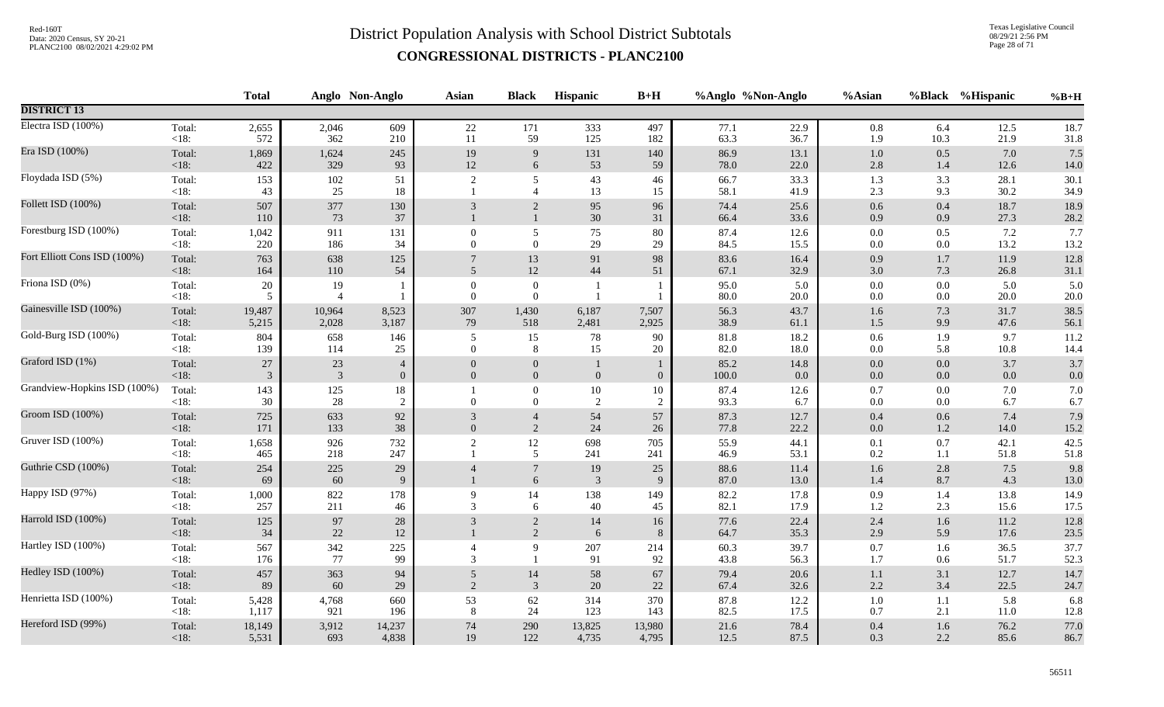Texas Legislative Council 08/29/21 2:56 PM Page 28 of 71

|                              |                   | <b>Total</b>    |                      | Anglo Non-Anglo                | <b>Asian</b>               | <b>Black</b>                         | Hispanic                     | $B+H$                |               | %Anglo %Non-Anglo | %Asian             |                | %Black %Hispanic | $%B+H$       |
|------------------------------|-------------------|-----------------|----------------------|--------------------------------|----------------------------|--------------------------------------|------------------------------|----------------------|---------------|-------------------|--------------------|----------------|------------------|--------------|
| <b>DISTRICT 13</b>           |                   |                 |                      |                                |                            |                                      |                              |                      |               |                   |                    |                |                  |              |
| Electra ISD (100%)           | Total:<br>$<18$ : | 2,655<br>572    | 2,046<br>362         | 609<br>210                     | 22<br>11                   | 171<br>59                            | 333<br>125                   | 497<br>182           | 77.1<br>63.3  | 22.9<br>36.7      | $0.8\,$<br>1.9     | 6.4<br>10.3    | 12.5<br>21.9     | 18.7<br>31.8 |
| Era ISD (100%)               | Total:<br>$<18$ : | 1,869<br>422    | 1,624<br>329         | 245<br>93                      | 19<br>12                   | 9<br>6                               | 131<br>53                    | 140<br>59            | 86.9<br>78.0  | 13.1<br>22.0      | $1.0\,$<br>$2.8\,$ | 0.5<br>1.4     | 7.0<br>12.6      | 7.5<br>14.0  |
| Floydada ISD (5%)            | Total:<br>$<18$ : | 153<br>43       | 102<br>25            | 51<br>18                       | $\overline{2}$             | 5<br>$\overline{4}$                  | 43<br>13                     | 46<br>15             | 66.7<br>58.1  | 33.3<br>41.9      | 1.3<br>$2.3\,$     | 3.3<br>9.3     | 28.1<br>30.2     | 30.1<br>34.9 |
| Follett ISD (100%)           | Total:<br>< 18:   | 507<br>110      | 377<br>73            | 130<br>37                      | 3                          | $\overline{2}$<br>$\mathbf{1}$       | 95<br>30                     | 96<br>31             | 74.4<br>66.4  | 25.6<br>33.6      | 0.6<br>$0.9\,$     | 0.4<br>0.9     | 18.7<br>27.3     | 18.9<br>28.2 |
| Forestburg ISD (100%)        | Total:<br>$<18$ : | 1,042<br>220    | 911<br>186           | 131<br>34                      | $\theta$<br>$\overline{0}$ | $\mathfrak{S}$<br>$\mathbf{0}$       | 75<br>29                     | 80<br>29             | 87.4<br>84.5  | 12.6<br>15.5      | $0.0\,$<br>$0.0\,$ | 0.5<br>0.0     | 7.2<br>13.2      | 7.7<br>13.2  |
| Fort Elliott Cons ISD (100%) | Total:<br>$<18$ : | 763<br>164      | 638<br>110           | 125<br>54                      | 5                          | 13<br>12                             | 91<br>44                     | 98<br>51             | 83.6<br>67.1  | 16.4<br>32.9      | 0.9<br>3.0         | 1.7<br>7.3     | 11.9<br>26.8     | 12.8<br>31.1 |
| Friona ISD (0%)              | Total:<br>$<18$ : | $20\,$<br>5     | 19<br>$\overline{4}$ |                                | $\theta$<br>$\Omega$       | $\boldsymbol{0}$<br>$\mathbf{0}$     | $\mathbf{1}$<br>$\mathbf{1}$ |                      | 95.0<br>80.0  | 5.0<br>20.0       | $0.0\,$<br>0.0     | 0.0<br>0.0     | 5.0<br>20.0      | 5.0<br>20.0  |
| Gainesville ISD (100%)       | Total:<br>$<18$ : | 19,487<br>5,215 | 10,964<br>2,028      | 8,523<br>3,187                 | 307<br>79                  | 1,430<br>518                         | 6,187<br>2,481               | 7,507<br>2,925       | 56.3<br>38.9  | 43.7<br>61.1      | 1.6<br>1.5         | 7.3<br>9.9     | 31.7<br>47.6     | 38.5<br>56.1 |
| Gold-Burg ISD (100%)         | Total:<br>$<18$ : | 804<br>139      | 658<br>114           | 146<br>25                      | 5<br>$\Omega$              | 15<br>$\,8\,$                        | 78<br>15                     | 90<br>20             | 81.8<br>82.0  | 18.2<br>18.0      | $0.6\,$<br>$0.0\,$ | 1.9<br>5.8     | 9.7<br>10.8      | 11.2<br>14.4 |
| Graford ISD (1%)             | Total:<br>$<18$ : | 27<br>3         | 23<br>$\mathbf{3}$   | $\overline{4}$<br>$\mathbf{0}$ | $\overline{0}$<br>$\theta$ | $\boldsymbol{0}$<br>$\boldsymbol{0}$ | $\boldsymbol{0}$             | $\boldsymbol{0}$     | 85.2<br>100.0 | 14.8<br>0.0       | $0.0\,$<br>$0.0\,$ | 0.0<br>$0.0\,$ | 3.7<br>0.0       | 3.7<br>0.0   |
| Grandview-Hopkins ISD (100%) | Total:<br>$<18$ : | 143<br>30       | 125<br>28            | 18<br>$\sqrt{2}$               | $\theta$                   | $\boldsymbol{0}$<br>$\mathbf{0}$     | 10<br>$\overline{c}$         | 10<br>$\overline{2}$ | 87.4<br>93.3  | 12.6<br>6.7       | 0.7<br>$0.0\,$     | $0.0\,$<br>0.0 | 7.0<br>6.7       | 7.0<br>6.7   |
| Groom ISD (100%)             | Total:<br>$<18$ : | 725<br>171      | 633<br>133           | 92<br>38                       | 3<br>$\Omega$              | $\overline{4}$<br>$\sqrt{2}$         | 54<br>24                     | 57<br>26             | 87.3<br>77.8  | 12.7<br>22.2      | $0.4\,$<br>$0.0\,$ | 0.6<br>1.2     | 7.4<br>14.0      | 7.9<br>15.2  |
| Gruver ISD (100%)            | Total:<br>$<18$ : | 1,658<br>465    | 926<br>218           | 732<br>247                     | $\overline{2}$             | $12\,$<br>5                          | 698<br>241                   | 705<br>241           | 55.9<br>46.9  | 44.1<br>53.1      | 0.1<br>$0.2\,$     | 0.7<br>1.1     | 42.1<br>51.8     | 42.5<br>51.8 |
| Guthrie CSD (100%)           | Total:<br>$<18$ : | 254<br>69       | 225<br>60            | 29<br>9                        | $\overline{4}$             | $\boldsymbol{7}$<br>6                | 19<br>3                      | 25<br>9              | 88.6<br>87.0  | 11.4<br>13.0      | 1.6<br>1.4         | 2.8<br>8.7     | 7.5<br>4.3       | 9.8<br>13.0  |
| Happy ISD (97%)              | Total:<br><18:    | 1,000<br>257    | 822<br>211           | 178<br>46                      | 9<br>3                     | 14<br>6                              | 138<br>40                    | 149<br>45            | 82.2<br>82.1  | 17.8<br>17.9      | 0.9<br>1.2         | 1.4<br>2.3     | 13.8<br>15.6     | 14.9<br>17.5 |
| Harrold ISD (100%)           | Total:<br>$<18$ : | 125<br>34       | 97<br>22             | 28<br>12                       | 3                          | $\sqrt{2}$<br>2                      | 14<br>6                      | 16<br>8              | 77.6<br>64.7  | 22.4<br>35.3      | 2.4<br>2.9         | 1.6<br>5.9     | 11.2<br>17.6     | 12.8<br>23.5 |
| Hartley ISD (100%)           | Total:<br>$<18$ : | 567<br>176      | 342<br>77            | 225<br>99                      | $\overline{4}$<br>3        | 9<br>$\mathbf{1}$                    | 207<br>91                    | 214<br>92            | 60.3<br>43.8  | 39.7<br>56.3      | $0.7\,$<br>$1.7\,$ | 1.6<br>0.6     | 36.5<br>51.7     | 37.7<br>52.3 |
| Hedley ISD (100%)            | Total:<br>$<18$ : | 457<br>89       | 363<br>60            | 94<br>29                       | 5<br>2                     | 14<br>$\overline{3}$                 | 58<br>$20\,$                 | 67<br>$22\,$         | 79.4<br>67.4  | 20.6<br>32.6      | 1.1<br>2.2         | 3.1<br>3.4     | 12.7<br>22.5     | 14.7<br>24.7 |
| Henrietta ISD (100%)         | Total:<br>$<18$ : | 5,428<br>1,117  | 4,768<br>921         | 660<br>196                     | 53<br>8                    | 62<br>24                             | 314<br>123                   | 370<br>143           | 87.8<br>82.5  | 12.2<br>17.5      | $1.0\,$<br>$0.7\,$ | 1.1<br>2.1     | 5.8<br>11.0      | 6.8<br>12.8  |
| Hereford ISD (99%)           | Total:<br>$<18$ : | 18,149<br>5,531 | 3,912<br>693         | 14,237<br>4,838                | $74\,$<br>19               | 290<br>122                           | 13,825<br>4,735              | 13,980<br>4,795      | 21.6<br>12.5  | 78.4<br>87.5      | $0.4\,$<br>0.3     | 1.6<br>2.2     | 76.2<br>85.6     | 77.0<br>86.7 |
|                              |                   |                 |                      |                                |                            |                                      |                              |                      |               |                   |                    |                |                  |              |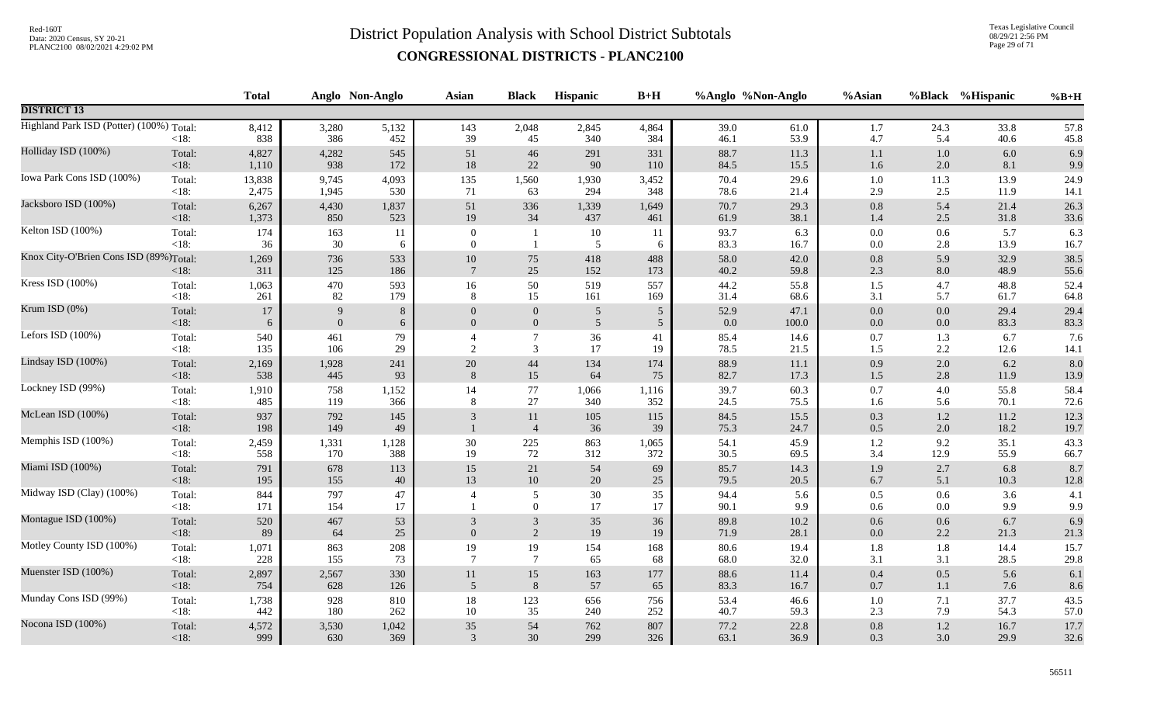Texas Legislative Council 08/29/21 2:56 PM Page 29 of 71

|                                          |                   | <b>Total</b> |              | Anglo Non-Anglo | Asian                     | <b>Black</b>         | Hispanic       | $B+H$          | %Anglo %Non-Anglo |              | %Asian     | %Black             | %Hispanic    | $%B+H$       |
|------------------------------------------|-------------------|--------------|--------------|-----------------|---------------------------|----------------------|----------------|----------------|-------------------|--------------|------------|--------------------|--------------|--------------|
| <b>DISTRICT 13</b>                       |                   |              |              |                 |                           |                      |                |                |                   |              |            |                    |              |              |
| Highland Park ISD (Potter) (100%) Total: | $<18$ :           | 8,412<br>838 | 3,280<br>386 | 5,132<br>452    | 143<br>39                 | 2,048<br>45          | 2,845<br>340   | 4,864<br>384   | 39.0<br>46.1      | 61.0<br>53.9 | 1.7<br>4.7 | 24.3<br>5.4        | 33.8<br>40.6 | 57.8<br>45.8 |
| Holliday ISD (100%)                      | Total:            | 4,827        | 4,282        | 545             | 51                        | 46                   | 291            | 331            | 88.7              | 11.3         | 1.1        | 1.0                | 6.0          | 6.9          |
|                                          | <18:              | 1,110        | 938          | 172             | $18\,$                    | $22\,$               | 90             | 110            | 84.5              | 15.5         | 1.6        | 2.0                | 8.1          | 9.9          |
| Iowa Park Cons ISD (100%)                | Total:            | 13,838       | 9,745        | 4,093           | 135                       | 1,560                | 1,930          | 3,452          | 70.4              | 29.6         | 1.0        | 11.3               | 13.9         | 24.9         |
|                                          | $<18$ :           | 2,475        | 1,945        | 530             | 71                        | 63                   | 294            | 348            | 78.6              | 21.4         | 2.9        | 2.5                | 11.9         | 14.1         |
| Jacksboro ISD (100%)                     | Total:            | 6,267        | 4,430        | 1,837           | 51                        | 336                  | 1,339          | 1,649          | 70.7              | 29.3         | 0.8        | 5.4                | 21.4         | 26.3         |
|                                          | <18:              | 1,373        | 850          | 523             | 19                        | 34                   | 437            | 461            | 61.9              | 38.1         | 1.4        | 2.5                | 31.8         | 33.6         |
| Kelton ISD (100%)                        | Total:            | 174          | 163          | 11              | $\mathbf{0}$              | $\mathbf{1}$         | 10             | -11            | 93.7              | 6.3          | 0.0        | 0.6                | 5.7          | 6.3          |
|                                          | $<18$ :           | 36           | 30           | 6               | $\theta$                  | $\mathbf{1}$         | 5              | 6              | 83.3              | 16.7         | 0.0        | 2.8                | 13.9         | 16.7         |
| Knox City-O'Brien Cons ISD (89%)Total:   | < 18:             | 1,269<br>311 | 736<br>125   | 533<br>186      | $10\,$<br>$7\phantom{.0}$ | 75<br>25             | 418<br>152     | 488<br>173     | 58.0<br>40.2      | 42.0<br>59.8 | 0.8<br>2.3 | 5.9<br>$8.0\,$     | 32.9<br>48.9 | 38.5<br>55.6 |
| Kress ISD (100%)                         | Total:            | 1,063        | 470          | 593             | $16\,$                    | 50                   | 519            | 557            | 44.2              | 55.8         | 1.5        | 4.7                | 48.8         | 52.4         |
|                                          | $<18$ :           | 261          | 82           | 179             | 8                         | 15                   | 161            | 169            | 31.4              | 68.6         | 3.1        | 5.7                | 61.7         | 64.8         |
| Krum ISD $(0\%)$                         | Total:            | $17\,$       | 9            | $8\,$           | $\theta$                  | $\boldsymbol{0}$     | $\overline{5}$ | $\mathfrak{S}$ | 52.9              | 47.1         | $0.0\,$    | $0.0\,$            | 29.4         | 29.4         |
|                                          | <18:              | 6            | $\Omega$     | 6               | $\Omega$                  | $\mathbf{0}$         | 5              | 5 <sup>5</sup> | 0.0               | 100.0        | 0.0        | 0.0                | 83.3         | 83.3         |
| Lefors ISD (100%)                        | Total:            | 540          | 461          | 79              | $\overline{4}$            | $\boldsymbol{7}$     | 36             | 41             | 85.4              | 14.6         | 0.7        | 1.3                | 6.7          | 7.6          |
|                                          | $<18$ :           | 135          | 106          | 29              | 2                         | $\mathfrak{Z}$       | 17             | 19             | 78.5              | 21.5         | 1.5        | 2.2                | 12.6         | 14.1         |
| Lindsay ISD (100%)                       | Total:            | 2,169        | 1,928        | 241             | $20\,$                    | 44                   | 134            | 174            | 88.9              | $11.1\,$     | 0.9        | 2.0                | 6.2          | 8.0          |
|                                          | <18:              | 538          | 445          | 93              | 8                         | 15                   | 64             | 75             | 82.7              | 17.3         | $1.5\,$    | 2.8                | 11.9         | 13.9         |
| Lockney ISD (99%)                        | Total:            | 1,910        | 758          | 1,152           | 14                        | 77                   | 1,066          | 1,116          | 39.7              | 60.3         | 0.7        | $4.0\,$            | 55.8         | 58.4         |
|                                          | $<18$ :           | 485          | 119          | 366             | 8                         | 27                   | 340            | 352            | 24.5              | 75.5         | 1.6        | 5.6                | 70.1         | 72.6         |
| McLean ISD (100%)                        | Total:<br><18:    | 937<br>198   | 792<br>149   | 145<br>49       | 3                         | 11<br>$\overline{4}$ | 105<br>36      | 115<br>39      | 84.5<br>75.3      | 15.5<br>24.7 | 0.3<br>0.5 | $1.2\,$<br>$2.0\,$ | 11.2<br>18.2 | 12.3<br>19.7 |
| Memphis ISD (100%)                       | Total:            | 2,459        | 1,331        | 1,128           | 30                        | 225                  | 863            | 1,065          | 54.1              | 45.9         | 1.2        | 9.2                | 35.1         | 43.3         |
|                                          | $<18$ :           | 558          | 170          | 388             | 19                        | 72                   | 312            | 372            | 30.5              | 69.5         | 3.4        | 12.9               | 55.9         | 66.7         |
| Miami ISD (100%)                         | Total:            | 791          | 678          | 113             | 15                        | 21                   | 54             | 69             | 85.7              | 14.3         | 1.9        | 2.7                | 6.8          | 8.7          |
|                                          | <18:              | 195          | 155          | 40              | 13                        | 10                   | 20             | 25             | 79.5              | 20.5         | 6.7        | 5.1                | 10.3         | 12.8         |
| Midway ISD (Clay) (100%)                 | Total:<br>$<18$ : | 844<br>171   | 797<br>154   | 47<br>17        | $\overline{4}$            | 5<br>$\overline{0}$  | 30<br>17       | 35<br>17       | 94.4<br>90.1      | 5.6<br>9.9   | 0.5<br>0.6 | 0.6<br>0.0         | 3.6<br>9.9   | 4.1<br>9.9   |
| Montague ISD (100%)                      | Total:            | 520          | 467          | 53              | 3                         | $\mathfrak{Z}$       | 35             | 36             | 89.8              | 10.2         | 0.6        | 0.6                | 6.7          | 6.9          |
|                                          | $<18$ :           | 89           | 64           | 25              | $\theta$                  | 2                    | 19             | 19             | 71.9              | 28.1         | 0.0        | 2.2                | 21.3         | 21.3         |
| Motley County ISD (100%)                 | Total:            | 1,071        | 863          | $208\,$         | 19                        | 19                   | 154            | 168            | 80.6              | 19.4         | 1.8        | 1.8                | 14.4         | 15.7         |
|                                          | $<18$ :           | 228          | 155          | 73              | $\overline{7}$            | $7\phantom{.0}$      | 65             | 68             | 68.0              | 32.0         | 3.1        | 3.1                | 28.5         | 29.8         |
| Muenster ISD (100%)                      | Total:            | 2,897        | 2,567        | 330             | 11                        | $15\,$               | 163            | 177            | 88.6              | 11.4         | $0.4\,$    | $0.5\,$            | 5.6          | 6.1          |
|                                          | $<18$ :           | 754          | 628          | 126             | 5                         | $8\phantom{1}$       | 57             | 65             | 83.3              | 16.7         | 0.7        | 1.1                | 7.6          | 8.6          |
| Munday Cons ISD (99%)                    | Total:            | 1,738        | 928          | 810             | 18                        | 123                  | 656            | 756            | 53.4              | 46.6         | 1.0        | 7.1                | 37.7         | 43.5         |
|                                          | $<18$ :           | 442          | 180          | 262             | 10                        | 35                   | 240            | 252            | 40.7              | 59.3         | 2.3        | 7.9                | 54.3         | 57.0         |
| Nocona ISD (100%)                        | Total:            | 4,572        | 3,530        | 1,042           | $35\,$                    | 54                   | 762            | 807            | 77.2              | 22.8         | 0.8        | $1.2\,$            | 16.7         | 17.7         |
|                                          | $<18$ :           | 999          | 630          | 369             | 3                         | 30                   | 299            | 326            | 63.1              | 36.9         | 0.3        | 3.0                | 29.9         | 32.6         |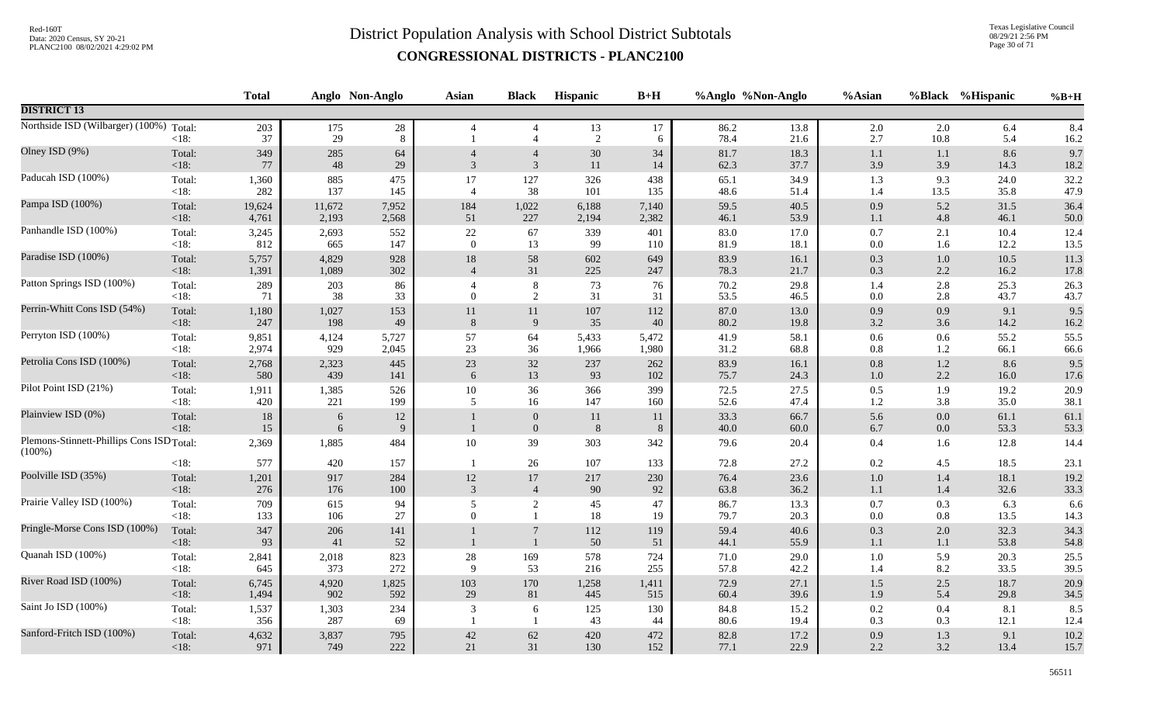Texas Legislative Council 08/29/21 2:56 PM Page 30 of 71

|                                                                    |                         | <b>Total</b>       |                    | Anglo Non-Anglo  | Asian          | <b>Black</b>                     | <b>Hispanic</b>  | $B+H$            |                      | %Anglo %Non-Anglo    | %Asian                |                       | %Black %Hispanic     | $%B+H$               |
|--------------------------------------------------------------------|-------------------------|--------------------|--------------------|------------------|----------------|----------------------------------|------------------|------------------|----------------------|----------------------|-----------------------|-----------------------|----------------------|----------------------|
| <b>DISTRICT 13</b>                                                 |                         |                    |                    |                  |                |                                  |                  |                  |                      |                      |                       |                       |                      |                      |
| Northside ISD (Wilbarger) (100%)                                   | Total:<br>$<18$ :       | 203<br>37          | 175<br>29          | $28\,$<br>8      | $\overline{4}$ | $\overline{4}$<br>$\overline{4}$ | 13<br>2          | 17<br>6          | 86.2<br>78.4         | 13.8<br>21.6         | 2.0<br>2.7            | 2.0<br>10.8           | 6.4<br>5.4           | 8.4<br>16.2          |
| Olney ISD (9%)                                                     | Total:                  | 349                | 285                | 64               | $\overline{4}$ | $\overline{4}$                   | $30\,$           | 34               | 81.7                 | 18.3                 | 1.1                   | 1.1                   | 8.6                  | 9.7                  |
|                                                                    | <18:                    | 77                 | 48                 | 29               | 3              | $\mathbf{3}$                     | 11               | 14               | 62.3                 | 37.7                 | 3.9                   | 3.9                   | 14.3                 | 18.2                 |
| Paducah ISD (100%)                                                 | Total:                  | 1,360              | 885                | 475              | 17             | 127                              | 326              | 438              | 65.1                 | 34.9                 | 1.3                   | 9.3                   | 24.0                 | 32.2                 |
|                                                                    | $<18$ :                 | 282                | 137                | 145              | $\overline{4}$ | 38                               | 101              | 135              | 48.6                 | 51.4                 | 1.4                   | 13.5                  | 35.8                 | 47.9                 |
| Pampa ISD (100%)                                                   | Total:                  | 19,624             | 11,672             | 7,952            | 184            | 1,022                            | 6,188            | 7,140            | 59.5                 | 40.5                 | 0.9                   | 5.2                   | 31.5                 | 36.4                 |
|                                                                    | <18:                    | 4,761              | 2,193              | 2,568            | 51             | 227                              | 2,194            | 2,382            | 46.1                 | 53.9                 | 1.1                   | 4.8                   | 46.1                 | 50.0                 |
| Panhandle ISD (100%)                                               | Total:                  | 3,245              | 2,693              | 552              | 22             | 67                               | 339              | 401              | 83.0                 | 17.0                 | $0.7\,$               | 2.1                   | 10.4                 | 12.4                 |
|                                                                    | <18:                    | 812                | 665                | 147              | $\overline{0}$ | 13                               | 99               | 110              | 81.9                 | 18.1                 | $0.0\,$               | 1.6                   | 12.2                 | 13.5                 |
| Paradise ISD (100%)                                                | Total:                  | 5,757              | 4,829              | 928              | 18             | 58                               | 602              | 649              | 83.9                 | 16.1                 | $0.3\,$               | $1.0\,$               | 10.5                 | 11.3                 |
|                                                                    | <18:                    | 1,391              | 1,089              | 302              | $\overline{4}$ | 31                               | 225              | 247              | 78.3                 | 21.7                 | $0.3\,$               | 2.2                   | 16.2                 | 17.8                 |
| Patton Springs ISD (100%)                                          | Total:<br>< 18:         | 289<br>71          | 203<br>38          | 86<br>33         | $\theta$       | $8\,$<br>2                       | 73<br>31         | 76<br>31         | 70.2<br>53.5         | 29.8<br>46.5         | 1.4<br>$0.0\,$        | 2.8<br>2.8            | 25.3<br>43.7         | 26.3<br>43.7         |
| Perrin-Whitt Cons ISD (54%)                                        | Total:                  | 1,180              | 1,027              | 153              | 11             | 11                               | $107\,$          | 112              | 87.0                 | 13.0                 | $0.9\,$               | 0.9                   | 9.1                  | 9.5                  |
|                                                                    | $<18$ :                 | 247                | 198                | 49               | 8              | $\overline{9}$                   | 35               | 40               | 80.2                 | 19.8                 | 3.2                   | 3.6                   | 14.2                 | 16.2                 |
| Perryton ISD (100%)                                                | Total:                  | 9,851              | 4,124              | 5,727            | 57             | 64                               | 5,433            | 5,472            | 41.9                 | 58.1                 | $0.6\,$               | 0.6                   | 55.2                 | 55.5                 |
|                                                                    | <18:                    | 2,974              | 929                | 2,045            | 23             | 36                               | 1,966            | 1,980            | 31.2                 | 68.8                 | $0.8\,$               | 1.2                   | 66.1                 | 66.6                 |
| Petrolia Cons ISD (100%)                                           | Total:                  | 2,768              | 2,323              | 445              | $23\,$         | $32\,$                           | 237              | 262              | 83.9                 | 16.1                 | $0.8\,$               | $1.2\,$               | 8.6                  | 9.5                  |
|                                                                    | <18:                    | 580                | 439                | 141              | 6              | 13                               | 93               | 102              | 75.7                 | 24.3                 | $1.0\,$               | 2.2                   | 16.0                 | 17.6                 |
| Pilot Point ISD (21%)                                              | Total:                  | 1,911              | 1,385              | 526              | 10             | 36                               | 366              | 399              | 72.5                 | 27.5                 | 0.5                   | 1.9                   | 19.2                 | 20.9                 |
|                                                                    | <18:                    | 420                | 221                | 199              | 5              | 16                               | 147              | 160              | 52.6                 | 47.4                 | $1.2\,$               | 3.8                   | 35.0                 | 38.1                 |
| Plainview ISD (0%)                                                 | Total:<br><18:          | 18<br>15           | 6<br>6             | 12<br>9          |                | $\mathbf{0}$<br>$\boldsymbol{0}$ | 11<br>$\,8\,$    | 11<br>8          | 33.3<br>40.0         | 66.7<br>60.0         | 5.6<br>$6.7\,$        | 0.0<br>0.0            | 61.1<br>53.3         | 61.1<br>53.3         |
| Plemons-Stinnett-Phillips Cons ISD <sub>Total</sub> :<br>$(100\%)$ |                         | 2,369              | 1,885              | 484              | 10             | 39                               | 303              | 342              | 79.6                 | 20.4                 | 0.4                   | 1.6                   | 12.8                 | 14.4                 |
| Poolville ISD (35%)                                                | $<18$ :<br>Total:       | 577<br>1,201       | 420<br>917         | 157<br>284       | $12\,$         | 26<br>$17\,$                     | 107<br>217       | 133<br>230       | 72.8<br>76.4         | 27.2<br>23.6         | $0.2\,$<br>$1.0\,$    | 4.5<br>$1.4\,$        | 18.5<br>18.1         | 23.1<br>19.2         |
| Prairie Valley ISD (100%)                                          | < 18:                   | 276                | 176                | 100              | $\mathfrak{Z}$ | $\overline{4}$                   | 90               | 92               | 63.8                 | 36.2                 | 1.1                   | 1.4                   | 32.6                 | 33.3                 |
|                                                                    | Total:                  | 709                | 615                | 94               | 5              | 2                                | 45               | 47               | 86.7                 | 13.3                 | $0.7\,$               | 0.3                   | 6.3                  | 6.6                  |
| Pringle-Morse Cons ISD (100%)                                      | $<18$ :<br>Total:       | 133<br>347         | 106<br>206         | 27<br>141        | $\mathbf{0}$   | $\mathbf{1}$<br>$\overline{7}$   | 18<br>112        | 19<br>119        | 79.7<br>59.4         | 20.3<br>40.6         | $0.0\,$<br>$0.3\,$    | 0.8<br>$2.0\,$        | 13.5<br>32.3         | 14.3<br>34.3         |
| Quanah ISD (100%)                                                  | < 18:<br>Total:<br><18: | 93<br>2,841<br>645 | 41<br>2,018<br>373 | 52<br>823<br>272 | 28<br>9        | $\mathbf{1}$<br>169<br>53        | 50<br>578<br>216 | 51<br>724<br>255 | 44.1<br>71.0<br>57.8 | 55.9<br>29.0<br>42.2 | 1.1<br>$1.0\,$<br>1.4 | $1.1\,$<br>5.9<br>8.2 | 53.8<br>20.3<br>33.5 | 54.8<br>25.5<br>39.5 |
| River Road ISD (100%)                                              | Total:                  | 6,745              | 4,920              | 1,825            | 103            | $170\,$                          | 1,258            | 1,411            | 72.9                 | 27.1                 | $1.5\,$               | 2.5                   | 18.7                 | 20.9                 |
|                                                                    | <18:                    | 1,494              | 902                | 592              | 29             | 81                               | 445              | 515              | 60.4                 | 39.6                 | 1.9                   | 5.4                   | 29.8                 | 34.5                 |
| Saint Jo ISD (100%)                                                | Total:<br><18:          | 1,537<br>356       | 1,303<br>287       | 234<br>69        | 3              | 6<br>$\overline{1}$              | 125<br>43        | 130<br>44        | 84.8<br>80.6         | 15.2<br>19.4         | $0.2\,$<br>0.3        | 0.4<br>0.3            | 8.1<br>12.1          | 8.5<br>12.4          |
| Sanford-Fritch ISD (100%)                                          | Total:                  | 4,632              | 3,837              | 795              | $42\,$         | 62                               | 420              | 472              | 82.8                 | 17.2                 | $0.9\,$               | 1.3                   | 9.1                  | 10.2                 |
|                                                                    | $<18$ :                 | 971                | 749                | 222              | 21             | 31                               | 130              | 152              | 77.1                 | 22.9                 | 2.2                   | 3.2                   | 13.4                 | 15.7                 |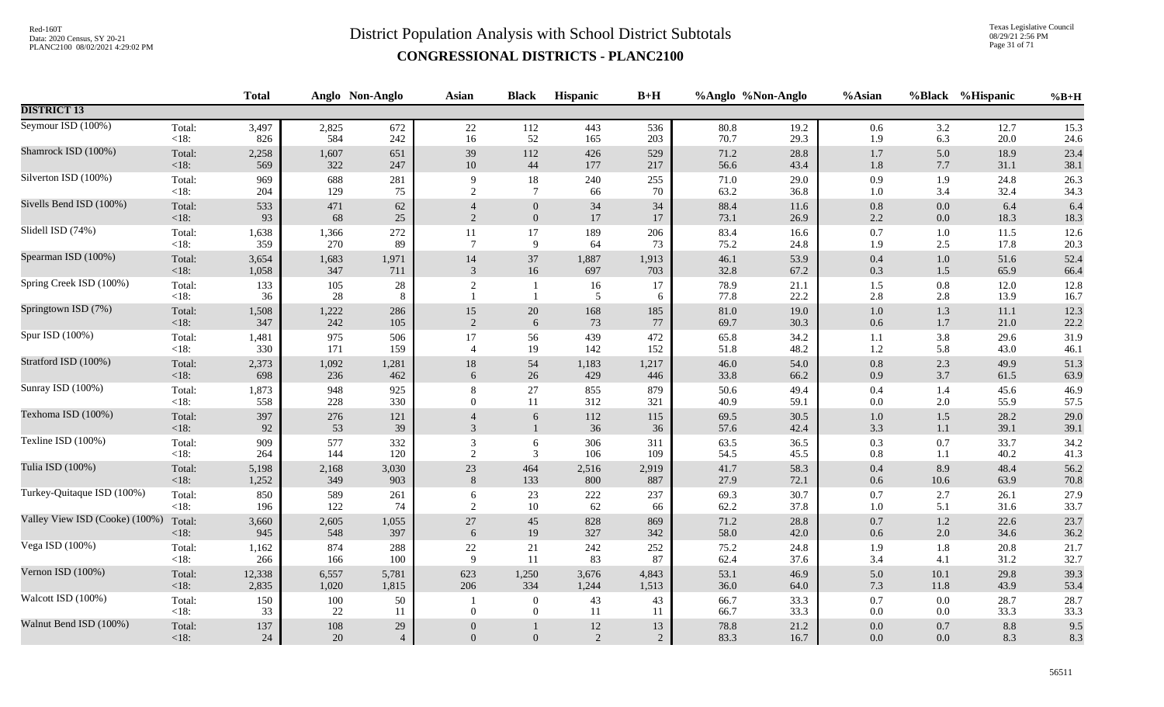Texas Legislative Council 08/29/21 2:56 PM Page 31 of 71

|                                |                   | <b>Total</b> |               | Anglo Non-Anglo          | Asian                       | <b>Black</b>                       | <b>Hispanic</b> | $B+H$                |              | %Anglo %Non-Anglo | %Asian             | <b>%Black</b>      | %Hispanic    | $%B+H$       |
|--------------------------------|-------------------|--------------|---------------|--------------------------|-----------------------------|------------------------------------|-----------------|----------------------|--------------|-------------------|--------------------|--------------------|--------------|--------------|
| <b>DISTRICT 13</b>             |                   |              |               |                          |                             |                                    |                 |                      |              |                   |                    |                    |              |              |
| Seymour ISD (100%)             | Total:            | 3,497        | 2,825         | 672                      | 22                          | 112                                | 443             | 536                  | 80.8         | 19.2              | 0.6                | 3.2                | 12.7         | 15.3         |
|                                | <18:              | 826          | 584           | 242                      | 16                          | 52                                 | 165             | 203                  | 70.7         | 29.3              | 1.9                | 6.3                | 20.0         | 24.6         |
| Shamrock ISD (100%)            | Total:            | 2,258        | 1,607         | 651                      | 39                          | 112                                | 426             | 529                  | 71.2         | 28.8              | 1.7                | 5.0                | 18.9         | 23.4         |
|                                | <18:              | 569          | 322           | 247                      | 10                          | 44                                 | 177             | 217                  | 56.6         | 43.4              | 1.8                | 7.7                | 31.1         | 38.1         |
| Silverton ISD (100%)           | Total:            | 969          | 688           | 281                      | 9                           | 18                                 | 240             | 255                  | 71.0         | 29.0              | 0.9                | 1.9                | 24.8         | 26.3         |
|                                | <18:              | 204          | 129           | 75                       | 2                           | $\tau$                             | 66              | 70                   | 63.2         | 36.8              | $1.0\,$            | 3.4                | 32.4         | 34.3         |
| Sivells Bend ISD (100%)        | Total:            | 533          | 471           | 62                       | $\overline{4}$              | $\boldsymbol{0}$                   | 34              | 34                   | 88.4         | 11.6              | $0.8\,$            | $0.0\,$            | 6.4          | 6.4          |
|                                | < 18:             | 93           | 68            | 25                       | $\mathcal{D}_{\mathcal{L}}$ | $\mathbf{0}$                       | 17              | 17                   | 73.1         | 26.9              | 2.2                | $0.0\,$            | 18.3         | 18.3         |
| Slidell ISD (74%)              | Total:            | 1,638        | 1,366         | 272                      | 11                          | 17                                 | 189             | 206                  | 83.4         | 16.6              | $0.7\,$            | 1.0                | 11.5         | 12.6         |
|                                | < 18:             | 359          | 270           | 89                       | $\overline{7}$              | 9                                  | 64              | 73                   | 75.2         | 24.8              | 1.9                | 2.5                | 17.8         | 20.3         |
| Spearman ISD (100%)            | Total:            | 3,654        | 1,683         | 1,971                    | 14                          | 37                                 | 1,887           | 1,913                | 46.1         | 53.9              | $0.4\,$            | $1.0\,$            | 51.6         | 52.4         |
|                                | <18:              | 1,058        | 347           | 711                      | 3                           | 16                                 | 697             | 703                  | 32.8         | 67.2              | $0.3\,$            | 1.5                | 65.9         | 66.4         |
| Spring Creek ISD (100%)        | Total:<br>< 18:   | 133<br>36    | 105<br>28     | 28<br>8                  | $\boldsymbol{2}$            | -1<br>$\overline{1}$               | 16<br>5         | 17<br>6              | 78.9<br>77.8 | 21.1<br>22.2      | $1.5$<br>2.8       | 0.8<br>2.8         | 12.0<br>13.9 | 12.8<br>16.7 |
| Springtown ISD (7%)            | Total:            | 1,508        | 1,222         | 286                      | 15                          | $20\,$                             | 168             | 185                  | 81.0         | 19.0              | $1.0\,$            | $1.3\,$            | 11.1         | 12.3         |
|                                | $<18$ :           | 347          | 242           | 105                      | $\overline{2}$              | 6                                  | 73              | 77                   | 69.7         | 30.3              | $0.6\,$            | $1.7$              | 21.0         | 22.2         |
| Spur ISD (100%)                | Total:            | 1,481        | 975           | 506                      | 17                          | 56                                 | 439             | 472                  | 65.8         | 34.2              | 1.1                | 3.8                | 29.6         | 31.9         |
|                                | < 18:             | 330          | 171           | 159                      | $\overline{4}$              | 19                                 | 142             | 152                  | 51.8         | 48.2              | 1.2                | 5.8                | 43.0         | 46.1         |
| Stratford ISD (100%)           | Total:            | 2,373        | 1,092         | 1,281                    | 18                          | 54                                 | 1,183           | 1,217                | 46.0         | 54.0              | $0.8\,$            | 2.3                | 49.9         | 51.3         |
|                                | < 18:             | 698          | 236           | 462                      | 6                           | 26                                 | 429             | 446                  | 33.8         | 66.2              | 0.9                | 3.7                | 61.5         | 63.9         |
| Sunray ISD (100%)              | Total:            | 1,873        | 948           | 925                      | 8                           | $27\,$                             | 855             | 879                  | 50.6         | 49.4              | 0.4                | 1.4                | 45.6         | 46.9         |
|                                | $<18$ :           | 558          | 228           | 330                      | $\theta$                    | 11                                 | 312             | 321                  | 40.9         | 59.1              | $0.0\,$            | 2.0                | 55.9         | 57.5         |
| Texhoma ISD (100%)             | Total:<br><18:    | 397<br>92    | 276<br>53     | 121<br>39                | 3                           | $\sqrt{6}$<br>$\mathbf{1}$         | 112<br>36       | 115<br>36            | 69.5<br>57.6 | 30.5<br>42.4      | $1.0\,$<br>3.3     | $1.5$<br>$1.1\,$   | 28.2<br>39.1 | 29.0<br>39.1 |
| Texline ISD (100%)             | Total:            | 909          | 577           | 332                      | 3                           | 6                                  | 306             | 311                  | 63.5         | 36.5              | $0.3\,$            | 0.7                | 33.7         | 34.2         |
|                                | < 18:             | 264          | 144           | 120                      | $\overline{2}$              | 3                                  | 106             | 109                  | 54.5         | 45.5              | $\rm 0.8$          | 1.1                | 40.2         | 41.3         |
| Tulia ISD (100%)               | Total:            | 5,198        | 2,168         | 3,030                    | 23                          | 464                                | 2,516           | 2,919                | 41.7         | 58.3              | $0.4\,$            | 8.9                | 48.4         | 56.2         |
|                                | <18:              | 1,252        | 349           | 903                      | 8                           | 133                                | 800             | 887                  | 27.9         | 72.1              | 0.6                | 10.6               | 63.9         | 70.8         |
| Turkey-Quitaque ISD (100%)     | Total:            | 850          | 589           | 261                      | 6                           | 23                                 | $222\,$         | 237                  | 69.3         | 30.7              | 0.7                | 2.7                | 26.1         | 27.9         |
|                                | $<18$ :           | 196          | 122           | 74                       | 2                           | 10                                 | 62              | 66                   | 62.2         | 37.8              | 1.0                | 5.1                | 31.6         | 33.7         |
| Valley View ISD (Cooke) (100%) | Total:            | 3,660        | 2,605         | 1,055                    | $27\,$                      | $45\,$                             | 828             | 869                  | 71.2         | 28.8              | $0.7\,$            | $1.2\,$            | 22.6         | 23.7         |
|                                | <18:              | 945          | 548           | 397                      | 6                           | 19                                 | 327             | 342                  | 58.0         | 42.0              | $0.6\,$            | $2.0\,$            | 34.6         | 36.2         |
| Vega ISD (100%)                | Total:            | 1,162        | 874           | 288                      | $22\,$                      | $21\,$                             | 242             | 252                  | 75.2         | 24.8              | 1.9                | 1.8                | 20.8         | 21.7         |
|                                | <18:              | 266          | 166           | 100                      | 9                           | 11                                 | 83              | 87                   | 62.4         | 37.6              | 3.4                | 4.1                | 31.2         | 32.7         |
| Vernon ISD (100%)              | Total:            | 12,338       | 6,557         | 5,781                    | 623                         | 1,250                              | 3,676           | 4,843                | 53.1         | 46.9              | 5.0                | 10.1               | 29.8         | 39.3         |
|                                | $<18$ :           | 2,835        | 1,020         | 1,815                    | 206                         | 334                                | 1,244           | 1,513                | 36.0         | 64.0              | 7.3                | 11.8               | 43.9         | 53.4         |
| Walcott ISD (100%)             | Total:<br><18:    | 150<br>33    | 100<br>22     | 50<br>11                 | $\theta$                    | $\boldsymbol{0}$<br>$\overline{0}$ | 43<br>11        | 43<br>11             | 66.7<br>66.7 | 33.3<br>33.3      | $0.7\,$<br>$0.0\,$ | $0.0\,$<br>$0.0\,$ | 28.7<br>33.3 | 28.7<br>33.3 |
| Walnut Bend ISD (100%)         | Total:<br>$<18$ : | 137<br>24    | $108\,$<br>20 | $29\,$<br>$\overline{4}$ | $\Omega$                    | $\overline{0}$                     | $12\,$<br>2     | 13<br>$\overline{2}$ | 78.8<br>83.3 | 21.2<br>16.7      | $0.0\,$<br>0.0     | 0.7<br>0.0         | 8.8<br>8.3   | 9.5<br>8.3   |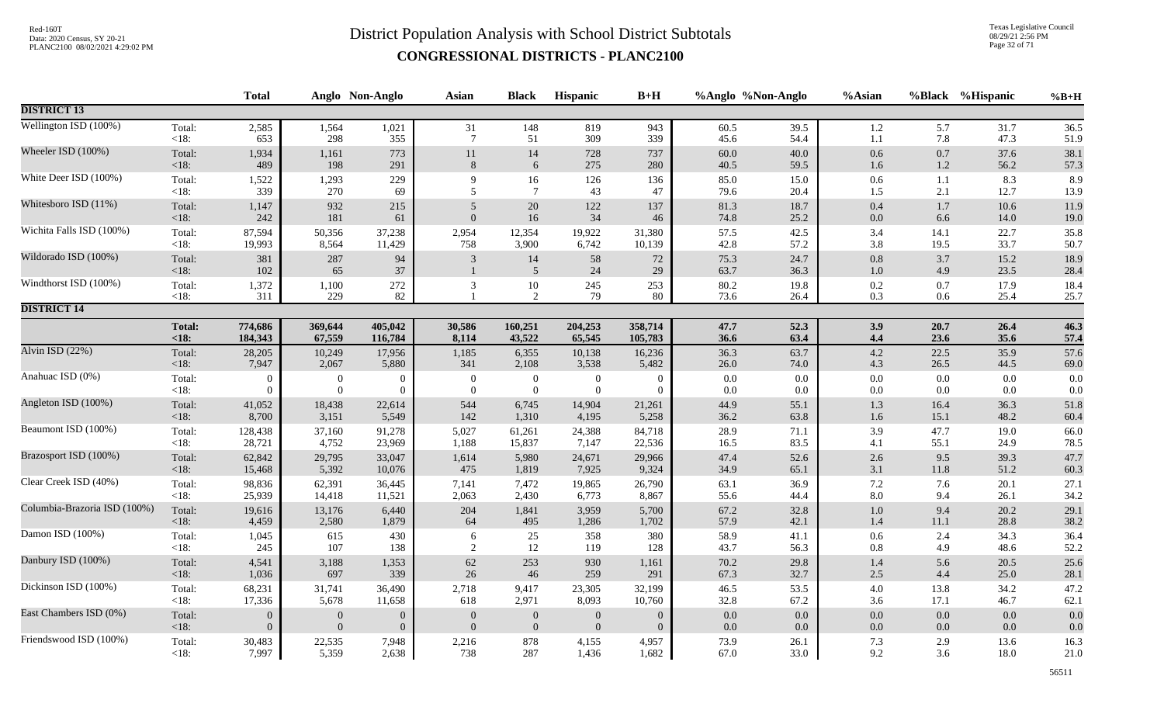Texas Legislative Council 08/29/21 2:56 PM Page 32 of 71

|                              |                   | <b>Total</b>     |                | Anglo Non-Anglo | <b>Asian</b>     | <b>Black</b>         | Hispanic         | $B+H$          | %Anglo %Non-Anglo |              | %Asian         |            | %Black %Hispanic | $%B+H$       |
|------------------------------|-------------------|------------------|----------------|-----------------|------------------|----------------------|------------------|----------------|-------------------|--------------|----------------|------------|------------------|--------------|
| <b>DISTRICT 13</b>           |                   |                  |                |                 |                  |                      |                  |                |                   |              |                |            |                  |              |
| Wellington ISD (100%)        | Total:            | 2,585            | 1,564          | 1,021           | 31               | 148                  | 819              | 943            | 60.5              | 39.5         | $1.2\,$        | 5.7        | 31.7             | 36.5         |
|                              | $<18$ :           | 653              | 298            | 355             | $7\phantom{.0}$  | 51                   | 309              | 339            | 45.6              | 54.4         | $1.1\,$        | 7.8        | 47.3             | 51.9         |
| Wheeler ISD (100%)           | Total:            | 1,934            | 1,161          | 773             | 11               | 14                   | 728              | 737            | 60.0              | 40.0         | $0.6\,$        | 0.7        | 37.6             | 38.1         |
|                              | $<18$ :           | 489              | 198            | 291             | $8\,$            | 6                    | 275              | 280            | 40.5              | 59.5         | 1.6            | $1.2\,$    | 56.2             | 57.3         |
| White Deer ISD (100%)        | Total:            | 1,522            | 1,293          | 229             | 9                | 16                   | 126              | 136            | 85.0              | 15.0         | $0.6\,$        | 1.1        | 8.3              | 8.9          |
|                              | $<18$ :           | 339              | 270            | 69              | 5                | $\overline{7}$       | 43               | 47             | 79.6              | 20.4         | 1.5            | 2.1        | 12.7             | 13.9         |
| Whitesboro ISD (11%)         | Total:            | 1,147            | 932            | 215             | $\sqrt{5}$       | $20\,$               | 122              | 137            | 81.3              | 18.7         | $0.4\,$        | 1.7        | 10.6             | 11.9         |
|                              | $<18$ :           | 242              | 181            | 61              | $\overline{0}$   | $16\,$               | 34               | 46             | 74.8              | 25.2         | $0.0\,$        | 6.6        | 14.0             | 19.0         |
| Wichita Falls ISD (100%)     | Total:            | 87,594           | 50,356         | 37,238          | 2,954            | 12,354               | 19,922           | 31,380         | 57.5              | 42.5         | 3.4            | 14.1       | 22.7             | 35.8         |
|                              | $<18$ :           | 19,993           | 8,564          | 11,429          | 758              | 3,900                | 6,742            | 10,139         | 42.8              | 57.2         | 3.8            | 19.5       | 33.7             | 50.7         |
| Wildorado ISD (100%)         | Total:<br>$<18$ : | 381<br>102       | 287<br>65      | 94<br>37        | 3                | 14<br>$\overline{5}$ | 58<br>24         | 72<br>29       | 75.3<br>63.7      | 24.7<br>36.3 | 0.8<br>$1.0\,$ | 3.7<br>4.9 | 15.2<br>23.5     | 18.9<br>28.4 |
| Windthorst ISD (100%)        | Total:<br><18:    | 1,372<br>311     | 1,100<br>229   | $272\,$<br>82   | 3                | $10\,$<br>2          | 245<br>79        | 253<br>80      | $80.2\,$<br>73.6  | 19.8<br>26.4 | $0.2\,$<br>0.3 | 0.7<br>0.6 | 17.9<br>25.4     | 18.4<br>25.7 |
| <b>DISTRICT 14</b>           |                   |                  |                |                 |                  |                      |                  |                |                   |              |                |            |                  |              |
|                              | <b>Total:</b>     | 774,686          | 369,644        | 405,042         | 30,586           | 160,251              | 204,253          | 358,714        | 47.7              | 52.3         | 3.9            | 20.7       | 26.4             | 46.3         |
|                              | < 18:             | 184,343          | 67,559         | 116,784         | 8,114            | 43,522               | 65,545           | 105,783        | 36.6              | 63.4         | 4.4            | 23.6       | 35.6             | 57.4         |
| Alvin ISD $(22%)$            | Total:            | 28,205           | 10,249         | 17,956          | 1,185            | 6,355                | 10,138           | 16,236         | 36.3              | 63.7         | 4.2            | 22.5       | 35.9             | 57.6         |
|                              | <18:              | 7,947            | 2,067          | 5,880           | 341              | 2,108                | 3,538            | 5,482          | 26.0              | 74.0         | 4.3            | 26.5       | 44.5             | 69.0         |
| Anahuac ISD (0%)             | Total:            | $\overline{0}$   | $\overline{0}$ | $\overline{0}$  | $\overline{0}$   | $\boldsymbol{0}$     | $\boldsymbol{0}$ | $\overline{0}$ | $0.0\,$           | 0.0          | $0.0\,$        | $0.0\,$    | 0.0              | 0.0          |
|                              | $<18$ :           | $\overline{0}$   | $\theta$       | $\Omega$        | $\overline{0}$   | $\mathbf{0}$         | $\overline{0}$   | $\overline{0}$ | 0.0               | 0.0          | $0.0\,$        | 0.0        | 0.0              | 0.0          |
| Angleton ISD (100%)          | Total:            | 41,052           | 18,438         | 22,614          | 544              | 6,745                | 14,904           | 21,261         | 44.9              | 55.1         | $1.3\,$        | 16.4       | 36.3             | 51.8         |
|                              | $<18$ :           | 8,700            | 3,151          | 5,549           | 142              | 1,310                | 4,195            | 5,258          | 36.2              | 63.8         | $1.6\,$        | 15.1       | 48.2             | 60.4         |
| Beaumont ISD (100%)          | Total:            | 128,438          | 37,160         | 91,278          | 5,027            | 61,261               | 24,388           | 84,718         | 28.9              | 71.1         | 3.9            | 47.7       | 19.0             | 66.0         |
|                              | $<18$ :           | 28,721           | 4,752          | 23,969          | 1,188            | 15,837               | 7,147            | 22,536         | 16.5              | 83.5         | 4.1            | 55.1       | 24.9             | 78.5         |
| Brazosport ISD (100%)        | Total:            | 62,842           | 29,795         | 33,047          | 1,614            | 5,980                | 24,671           | 29,966         | 47.4              | 52.6         | $2.6\,$        | 9.5        | 39.3             | 47.7         |
|                              | $<18$ :           | 15,468           | 5,392          | 10,076          | 475              | 1,819                | 7,925            | 9,324          | 34.9              | 65.1         | 3.1            | 11.8       | 51.2             | 60.3         |
| Clear Creek ISD (40%)        | Total:            | 98,836           | 62,391         | 36,445          | 7,141            | 7,472                | 19,865           | 26,790         | 63.1              | 36.9         | $7.2\,$        | 7.6        | 20.1             | 27.1         |
|                              | $<18$ :           | 25,939           | 14,418         | 11,521          | 2,063            | 2,430                | 6,773            | 8,867          | 55.6              | 44.4         | $8.0\,$        | 9.4        | 26.1             | 34.2         |
| Columbia-Brazoria ISD (100%) | Total:            | 19,616           | 13,176         | 6,440           | 204              | 1,841                | 3,959            | 5,700          | 67.2              | 32.8         | $1.0\,$        | 9.4        | 20.2             | 29.1         |
|                              | $<18$ :           | 4,459            | 2,580          | 1,879           | 64               | 495                  | 1,286            | 1,702          | 57.9              | 42.1         | $1.4\,$        | 11.1       | 28.8             | 38.2         |
| Damon ISD (100%)             | Total:            | 1,045            | 615            | 430             | 6                | 25                   | 358              | 380            | 58.9              | 41.1         | 0.6            | 2.4        | 34.3             | 36.4         |
|                              | <18:              | 245              | 107            | 138             | $\sqrt{2}$       | 12                   | 119              | 128            | 43.7              | 56.3         | 0.8            | 4.9        | 48.6             | 52.2         |
| Danbury ISD (100%)           | Total:            | 4,541            | 3,188          | 1,353           | 62               | 253                  | 930              | 1,161          | 70.2              | 29.8         | 1.4            | 5.6        | 20.5             | 25.6         |
|                              | $<18$ :           | 1,036            | 697            | 339             | 26               | 46                   | 259              | 291            | 67.3              | 32.7         | $2.5\,$        | 4.4        | 25.0             | 28.1         |
| Dickinson ISD (100%)         | Total:            | 68,231           | 31,741         | 36,490          | 2,718            | 9,417                | 23,305           | 32,199         | 46.5              | 53.5         | $4.0\,$        | 13.8       | 34.2             | 47.2         |
|                              | $<18$ :           | 17,336           | 5,678          | 11,658          | 618              | 2,971                | 8,093            | 10,760         | 32.8              | 67.2         | 3.6            | 17.1       | 46.7             | 62.1         |
| East Chambers ISD (0%)       | Total:            | $\boldsymbol{0}$ | $\overline{0}$ | $\overline{0}$  | $\boldsymbol{0}$ | $\boldsymbol{0}$     | $\boldsymbol{0}$ | $\theta$       | 0.0               | 0.0          | $0.0\,$        | 0.0        | 0.0              | 0.0          |
|                              | $<18$ :           | $\overline{0}$   | $\overline{0}$ | $\Omega$        | $\mathbf{0}$     | $\mathbf{0}$         | $\boldsymbol{0}$ | $\overline{0}$ | $0.0\,$           | 0.0          | $0.0\,$        | $0.0\,$    | 0.0              | 0.0          |
| Friendswood ISD (100%)       | Total:            | 30,483           | 22,535         | 7,948           | 2,216            | 878                  | 4,155            | 4,957          | 73.9              | 26.1         | 7.3            | 2.9        | 13.6             | 16.3         |
|                              | <18:              | 7,997            | 5,359          | 2,638           | 738              | 287                  | 1,436            | 1,682          | 67.0              | 33.0         | 9.2            | 3.6        | 18.0             | 21.0         |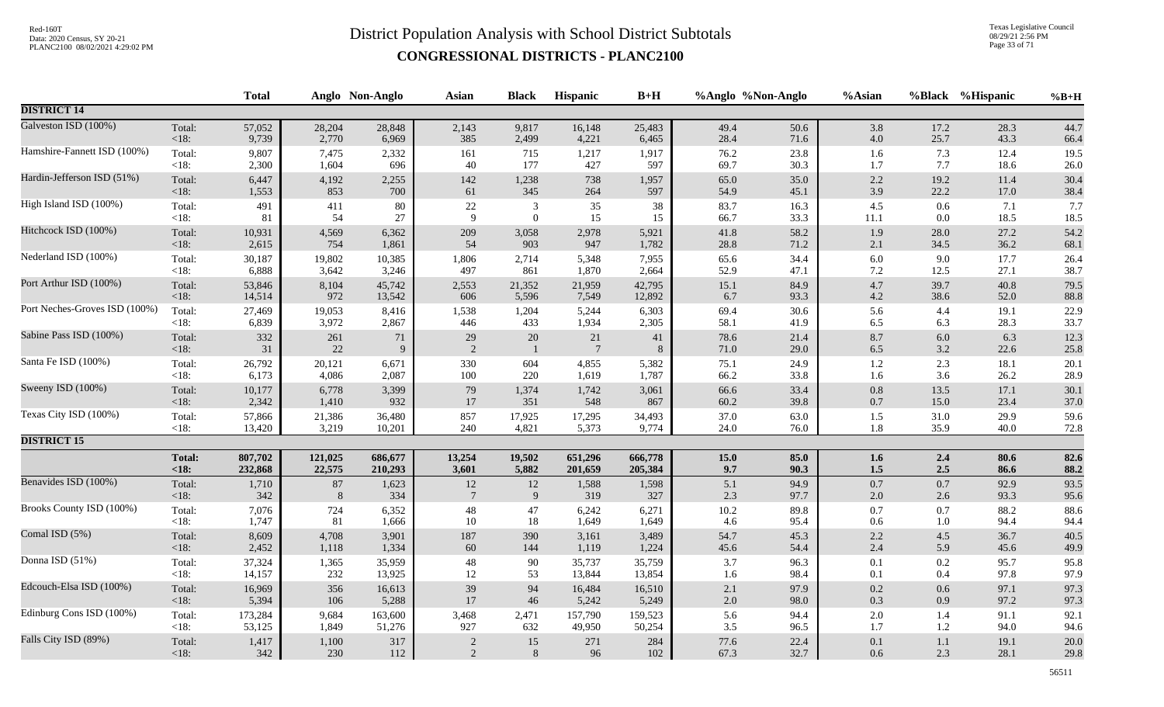Texas Legislative Council 08/29/21 2:56 PM Page 33 of 71

|                               |               | <b>Total</b> |         | Anglo Non-Anglo | <b>Asian</b>    | <b>Black</b>     | Hispanic       | $B+H$   |         | %Anglo %Non-Anglo | %Asian   |         | %Black %Hispanic | $%B+H$ |
|-------------------------------|---------------|--------------|---------|-----------------|-----------------|------------------|----------------|---------|---------|-------------------|----------|---------|------------------|--------|
| <b>DISTRICT 14</b>            |               |              |         |                 |                 |                  |                |         |         |                   |          |         |                  |        |
| Galveston ISD (100%)          | Total:        | 57,052       | 28,204  | 28,848          | 2,143           | 9,817            | 16,148         | 25,483  | 49.4    | 50.6              | 3.8      | 17.2    | 28.3             | 44.7   |
|                               | $<18$ :       | 9,739        | 2,770   | 6,969           | 385             | 2,499            | 4,221          | 6,465   | 28.4    | 71.6              | 4.0      | 25.7    | 43.3             | 66.4   |
| Hamshire-Fannett ISD (100%)   | Total:        | 9,807        | 7,475   | 2,332           | 161             | 715              | 1,217          | 1,917   | 76.2    | 23.8              | 1.6      | 7.3     | 12.4             | 19.5   |
|                               | $<18$ :       | 2,300        | 1,604   | 696             | 40              | 177              | 427            | 597     | 69.7    | 30.3              | 1.7      | 7.7     | 18.6             | 26.0   |
| Hardin-Jefferson ISD (51%)    | Total:        | 6,447        | 4,192   | 2,255           | 142             | 1,238            | 738            | 1,957   | 65.0    | 35.0              | 2.2      | 19.2    | 11.4             | 30.4   |
|                               | $<18$ :       | 1,553        | 853     | 700             | 61              | 345              | 264            | 597     | 54.9    | 45.1              | 3.9      | 22.2    | 17.0             | 38.4   |
| High Island ISD (100%)        | Total:        | 491          | 411     | 80              | $22\,$          | $\mathbf{3}$     | $35\,$         | 38      | 83.7    | 16.3              | $4.5\,$  | 0.6     | 7.1              | 7.7    |
|                               | $<18$ :       | 81           | 54      | 27              | 9               | $\boldsymbol{0}$ | 15             | 15      | 66.7    | 33.3              | $11.1\,$ | $0.0\,$ | 18.5             | 18.5   |
| Hitchcock ISD (100%)          | Total:        | 10,931       | 4,569   | 6,362           | 209             | 3,058            | 2,978          | 5,921   | 41.8    | 58.2              | $1.9\,$  | 28.0    | 27.2             | 54.2   |
|                               | $<18$ :       | 2,615        | 754     | 1,861           | 54              | 903              | 947            | 1,782   | 28.8    | 71.2              | $2.1\,$  | 34.5    | 36.2             | 68.1   |
| Nederland ISD (100%)          | Total:        | 30,187       | 19,802  | 10,385          | 1,806           | 2,714            | 5,348          | 7,955   | 65.6    | 34.4              | $6.0\,$  | 9.0     | 17.7             | 26.4   |
|                               | <18:          | 6,888        | 3,642   | 3,246           | 497             | 861              | 1,870          | 2,664   | 52.9    | 47.1              | 7.2      | 12.5    | 27.1             | 38.7   |
| Port Arthur ISD (100%)        | Total:        | 53,846       | 8,104   | 45,742          | 2,553           | 21,352           | 21,959         | 42,795  | 15.1    | 84.9              | 4.7      | 39.7    | 40.8             | 79.5   |
|                               | <18:          | 14,514       | 972     | 13,542          | 606             | 5,596            | 7,549          | 12,892  | 6.7     | 93.3              | $4.2\,$  | 38.6    | 52.0             | 88.8   |
| Port Neches-Groves ISD (100%) | Total:        | 27,469       | 19,053  | 8,416           | 1,538           | 1,204            | 5,244          | 6,303   | 69.4    | 30.6              | 5.6      | 4.4     | 19.1             | 22.9   |
|                               | <18:          | 6,839        | 3,972   | 2,867           | 446             | 433              | 1,934          | 2,305   | 58.1    | 41.9              | 6.5      | 6.3     | 28.3             | 33.7   |
| Sabine Pass ISD (100%)        | Total:        | 332          | 261     | 71              | 29              | 20               | 21             | 41      | 78.6    | 21.4              | 8.7      | $6.0\,$ | 6.3              | 12.3   |
|                               | $<18$ :       | 31           | 22      | 9               | $\overline{2}$  | $\overline{1}$   | $\overline{7}$ | 8       | 71.0    | 29.0              | 6.5      | 3.2     | 22.6             | 25.8   |
| Santa Fe ISD (100%)           | Total:        | 26,792       | 20,121  | 6,671           | 330             | 604              | 4,855          | 5,382   | 75.1    | 24.9              | $1.2\,$  | 2.3     | 18.1             | 20.1   |
|                               | <18:          | 6,173        | 4,086   | 2,087           | 100             | 220              | 1,619          | 1,787   | 66.2    | 33.8              | 1.6      | 3.6     | 26.2             | 28.9   |
| Sweeny ISD (100%)             | Total:        | 10,177       | 6,778   | 3,399           | 79              | 1,374            | 1,742          | 3,061   | 66.6    | 33.4              | $0.8\,$  | 13.5    | 17.1             | 30.1   |
|                               | $<18$ :       | 2,342        | 1,410   | 932             | 17              | 351              | 548            | 867     | 60.2    | 39.8              | $0.7\,$  | 15.0    | 23.4             | 37.0   |
| Texas City ISD (100%)         | Total:        | 57,866       | 21,386  | 36,480          | 857             | 17,925           | 17,295         | 34,493  | 37.0    | 63.0              | 1.5      | 31.0    | 29.9             | 59.6   |
|                               | $<18$ :       | 13,420       | 3,219   | 10,201          | 240             | 4,821            | 5,373          | 9,774   | 24.0    | 76.0              | $1.8\,$  | 35.9    | 40.0             | 72.8   |
| <b>DISTRICT 15</b>            |               |              |         |                 |                 |                  |                |         |         |                   |          |         |                  |        |
|                               | <b>Total:</b> | 807,702      | 121,025 | 686,677         | 13,254          | 19,502           | 651,296        | 666,778 | 15.0    | 85.0              | 1.6      | 2.4     | 80.6             | 82.6   |
|                               | $<18$ :       | 232,868      | 22,575  | 210,293         | 3,601           | 5,882            | 201,659        | 205,384 | 9.7     | 90.3              | 1.5      | 2.5     | 86.6             | 88.2   |
| Benavides ISD (100%)          | Total:        | 1,710        | $87\,$  | 1,623           | $12\,$          | 12               | 1,588          | 1,598   | 5.1     | 94.9              | 0.7      | $0.7\,$ | 92.9             | 93.5   |
|                               | $<18$ :       | 342          | 8       | 334             | $7\phantom{.0}$ | $\overline{9}$   | 319            | 327     | 2.3     | 97.7              | 2.0      | 2.6     | 93.3             | 95.6   |
| Brooks County ISD (100%)      | Total:        | 7,076        | 724     | 6,352           | $\sqrt{48}$     | 47               | 6,242          | 6,271   | 10.2    | 89.8              | $0.7\,$  | 0.7     | 88.2             | 88.6   |
|                               | <18:          | 1,747        | 81      | 1,666           | 10              | 18               | 1,649          | 1,649   | 4.6     | 95.4              | $0.6\,$  | $1.0\,$ | 94.4             | 94.4   |
| Comal ISD (5%)                | Total:        | 8,609        | 4,708   | 3,901           | 187             | 390              | 3,161          | 3,489   | 54.7    | 45.3              | $2.2\,$  | 4.5     | 36.7             | 40.5   |
|                               | $<18$ :       | 2,452        | 1,118   | 1,334           | 60              | 144              | 1,119          | 1,224   | 45.6    | 54.4              | 2.4      | 5.9     | 45.6             | 49.9   |
| Donna ISD (51%)               | Total:        | 37,324       | 1,365   | 35,959          | $\sqrt{48}$     | 90               | 35,737         | 35,759  | 3.7     | 96.3              | $0.1\,$  | $0.2\,$ | 95.7             | 95.8   |
|                               | $<18$ :       | 14,157       | 232     | 13,925          | $12\,$          | 53               | 13,844         | 13,854  | 1.6     | 98.4              | 0.1      | 0.4     | 97.8             | 97.9   |
| Edcouch-Elsa ISD (100%)       | Total:        | 16,969       | 356     | 16,613          | 39              | 94               | 16,484         | 16,510  | 2.1     | 97.9              | 0.2      | 0.6     | 97.1             | 97.3   |
|                               | <18:          | 5,394        | 106     | 5,288           | 17              | $46\,$           | 5,242          | 5,249   | $2.0\,$ | 98.0              | $0.3\,$  | 0.9     | 97.2             | 97.3   |
| Edinburg Cons ISD (100%)      | Total:        | 173,284      | 9,684   | 163,600         | 3,468           | 2,471            | 157,790        | 159,523 | 5.6     | 94.4              | $2.0\,$  | 1.4     | 91.1             | 92.1   |
|                               | < 18:         | 53,125       | 1,849   | 51,276          | 927             | 632              | 49,950         | 50,254  | 3.5     | 96.5              | 1.7      | 1.2     | 94.0             | 94.6   |
| Falls City ISD (89%)          | Total:        | 1,417        | 1,100   | 317             | $\sqrt{2}$      | 15               | 271            | 284     | 77.6    | 22.4              | $0.1\,$  | 1.1     | 19.1             | 20.0   |
|                               | $<18$ :       | 342          | 230     | 112             | 2               | 8                | 96             | 102     | 67.3    | 32.7              | 0.6      | 2.3     | 28.1             | 29.8   |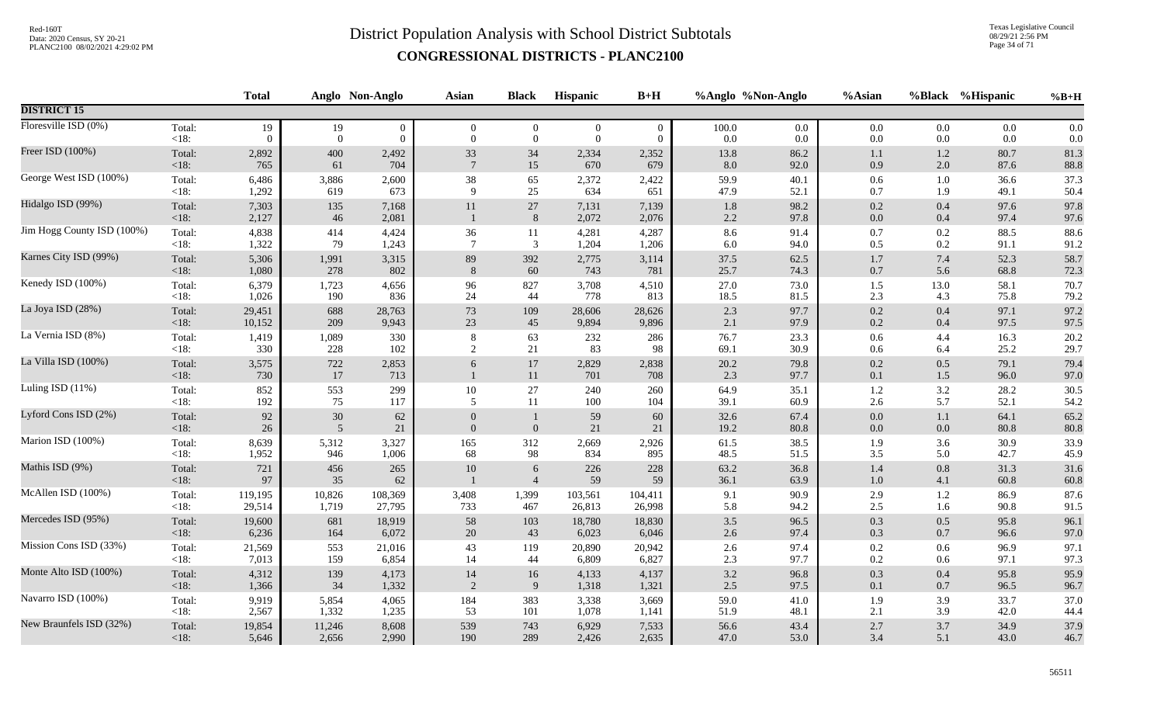Texas Legislative Council 08/29/21 2:56 PM Page 34 of 71

| <b>DISTRICT 15</b><br>Floresville ISD (0%)<br>Total:<br>19<br>19<br>$\boldsymbol{0}$<br>$\overline{0}$<br>$\overline{0}$<br>$\boldsymbol{0}$<br>$\mathbf{0}$<br>100.0<br>0.0<br>$0.0\,$<br>$0.0\,$<br>0.0<br>0.0<br>< 18:<br>$\overline{0}$<br>$\mathbf{0}$<br>$\boldsymbol{0}$<br>$\boldsymbol{0}$<br>$\mathbf{0}$<br>0.0<br>$0.0\,$<br>$0.0\,$<br>0.0<br>0.0<br>0.0<br>$\Omega$<br>$\overline{0}$<br>Freer ISD (100%)<br>81.3<br>Total:<br>2,892<br>400<br>2,492<br>33<br>34<br>2,334<br>2,352<br>13.8<br>86.2<br>1.2<br>80.7<br>1.1<br>765<br>670<br>88.8<br><18:<br>61<br>704<br>$7\phantom{.0}$<br>15<br>679<br>8.0<br>92.0<br>0.9<br>2.0<br>87.6<br>George West ISD (100%)<br>38<br>59.9<br>37.3<br>Total:<br>6,486<br>3,886<br>2,600<br>65<br>2,372<br>2,422<br>40.1<br>0.6<br>1.0<br>36.6<br>50.4<br>< 18:<br>1,292<br>619<br>$\mathbf Q$<br>25<br>634<br>47.9<br>0.7<br>1.9<br>49.1<br>673<br>651<br>52.1<br>Hidalgo ISD (99%)<br>97.8<br>7,303<br>$27\,$<br>1.8<br>98.2<br>0.2<br>Total:<br>135<br>7,168<br>11<br>7,131<br>7,139<br>0.4<br>97.6<br>2,127<br>2,072<br>$2.2\,$<br>97.6<br>< 18:<br>46<br>2,081<br>8<br>2,076<br>97.8<br>$0.0\,$<br>97.4<br>0.4<br>Jim Hogg County ISD (100%)<br>4,838<br>36<br>8.6<br>$0.7\,$<br>0.2<br>88.6<br>Total:<br>414<br>4,424<br>11<br>4,281<br>4,287<br>91.4<br>88.5<br>1,322<br>$\overline{7}$<br>$\mathfrak{Z}$<br>91.2<br>79<br>1,204<br>6.0<br>94.0<br>$0.5\,$<br>0.2<br>$<18$ :<br>1,243<br>1,206<br>91.1<br>Karnes City ISD (99%)<br>89<br>58.7<br>Total:<br>5,306<br>1,991<br>392<br>2,775<br>37.5<br>62.5<br>$1.7\,$<br>7.4<br>52.3<br>3,315<br>3,114<br>278<br>802<br>8<br>60<br>743<br>25.7<br>$0.7\,$<br>68.8<br>72.3<br><18:<br>1,080<br>781<br>74.3<br>5.6<br>Kenedy ISD (100%)<br>6,379<br>96<br>27.0<br>73.0<br>70.7<br>Total:<br>1,723<br>4,656<br>827<br>3,708<br>4,510<br>$1.5$<br>13.0<br>58.1<br>778<br>18.5<br>2.3<br>79.2<br>< 18:<br>1,026<br>190<br>836<br>24<br>44<br>813<br>81.5<br>4.3<br>75.8<br>La Joya ISD (28%)<br>97.2<br>73<br>2.3<br>$0.2\,$<br>97.1<br>Total:<br>29,451<br>688<br>28,606<br>97.7<br>0.4<br>28,763<br>109<br>28,626<br>97.5<br>209<br>23<br>45<br>$0.2\,$<br>97.5<br><18:<br>10,152<br>9,943<br>9,894<br>9,896<br>2.1<br>97.9<br>0.4<br>La Vernia ISD (8%)<br>76.7<br>20.2<br>Total:<br>1,419<br>1,089<br>232<br>286<br>23.3<br>$0.6\,$<br>4.4<br>16.3<br>330<br>8<br>63<br>330<br>29.7<br><18:<br>228<br>2<br>$21\,$<br>83<br>69.1<br>30.9<br>25.2<br>102<br>98<br>$0.6\,$<br>6.4<br>La Villa ISD (100%)<br>Total:<br>3,575<br>$722\,$<br>$17\,$<br>2,829<br>20.2<br>79.8<br>$0.2\,$<br>0.5<br>79.1<br>79.4<br>2,853<br>6<br>2,838<br>17<br>2.3<br>97.0<br>$<18$ :<br>730<br>713<br>11<br>701<br>97.7<br>$0.1\,$<br>$1.5\,$<br>96.0<br>708<br>Luling ISD (11%)<br>30.5<br>Total:<br>852<br>553<br>299<br>$10\,$<br>27<br>64.9<br>35.1<br>$1.2\,$<br>$3.2\,$<br>28.2<br>240<br>260<br>192<br>5.7<br>$<18$ :<br>75<br>5<br>11<br>100<br>39.1<br>60.9<br>2.6<br>52.1<br>54.2<br>117<br>104<br>Lyford Cons ISD (2%)<br>$92\,$<br>$30\,$<br>65.2<br>Total:<br>59<br>32.6<br>$0.0\,$<br>$1.1\,$<br>64.1<br>62<br>60<br>67.4<br>80.8<br>$<18$ :<br>$26\,$<br>$21\,$<br>$\boldsymbol{0}$<br>21<br>19.2<br>80.8<br>80.8<br>5<br>$\overline{0}$<br>21<br>0.0<br>$0.0\,$<br>Marion ISD (100%)<br>165<br>61.5<br>33.9<br>Total:<br>8,639<br>5,312<br>3,327<br>312<br>2,669<br>2,926<br>38.5<br>1.9<br>3.6<br>30.9<br>1,952<br>68<br>$<18$ :<br>946<br>1,006<br>98<br>834<br>48.5<br>$3.5$<br>42.7<br>45.9<br>895<br>51.5<br>5.0<br>Mathis ISD (9%)<br>63.2<br>Total:<br>721<br>10<br>228<br>36.8<br>$1.4\,$<br>0.8<br>31.3<br>31.6<br>456<br>265<br>6<br>226<br>< 18:<br>35<br>59<br>97<br>62<br>$\overline{4}$<br>59<br>36.1<br>$1.0\,$<br>60.8<br>60.8<br>63.9<br>4.1<br>McAllen ISD (100%)<br>87.6<br>Total:<br>119,195<br>10,826<br>108,369<br>3,408<br>1,399<br>103,561<br>104,411<br>9.1<br>90.9<br>2.9<br>1.2<br>86.9<br>$<18$ :<br>29,514<br>1,719<br>27,795<br>733<br>467<br>26,998<br>5.8<br>94.2<br>$2.5\,$<br>90.8<br>91.5<br>26,813<br>1.6<br>Mercedes ISD (95%)<br>96.1<br>58<br>$3.5$<br>$0.3\,$<br>Total:<br>19,600<br>681<br>18,919<br>103<br>18,780<br>18,830<br>96.5<br>0.5<br>95.8<br>6,236<br>20<br>97.0<br>$<18$ :<br>164<br>6,072<br>43<br>6,023<br>2.6<br>97.4<br>0.3<br>0.7<br>96.6<br>6,046<br>Mission Cons ISD (33%)<br>43<br>97.4<br>97.1<br>Total:<br>21,569<br>553<br>21,016<br>119<br>20,890<br>20,942<br>$2.6\,$<br>$0.2\,$<br>0.6<br>96.9<br>7,013<br>6,809<br>6,827<br>$2.3\,$<br>97.1<br>97.3<br><18:<br>159<br>6,854<br>14<br>44<br>97.7<br>$0.2\,$<br>0.6<br>Monte Alto ISD (100%)<br>95.9<br>Total:<br>4,312<br>139<br>14<br>$3.2\,$<br>96.8<br>$0.3\,$<br>$0.4\,$<br>95.8<br>4,173<br>16<br>4,133<br>4,137<br>2.5<br>1,366<br>34<br>2<br>9<br>96.7<br>$<18$ :<br>1,332<br>1,318<br>97.5<br>$0.1\,$<br>96.5<br>1,321<br>0.7<br>Navarro ISD (100%)<br>37.0<br>Total:<br>9,919<br>5,854<br>4,065<br>184<br>383<br>3,338<br>59.0<br>41.0<br>1.9<br>33.7<br>3,669<br>3.9<br>2,567<br>1,332<br>53<br>101<br>1,078<br>51.9<br>2.1<br>3.9<br>42.0<br>44.4<br>$<18$ :<br>1,235<br>48.1<br>1,141<br>New Braunfels ISD (32%)<br>539<br>37.9<br>Total:<br>19,854<br>11,246<br>743<br>6,929<br>56.6<br>43.4<br>$2.7\,$<br>3.7<br>34.9<br>8,608<br>7,533<br>$<18$ : |  | <b>Total</b> |       | Anglo Non-Anglo | Asian | <b>Black</b> | Hispanic | $B+H$ |      | %Anglo %Non-Anglo | %Asian |     | %Black %Hispanic | $%B+H$ |
|---------------------------------------------------------------------------------------------------------------------------------------------------------------------------------------------------------------------------------------------------------------------------------------------------------------------------------------------------------------------------------------------------------------------------------------------------------------------------------------------------------------------------------------------------------------------------------------------------------------------------------------------------------------------------------------------------------------------------------------------------------------------------------------------------------------------------------------------------------------------------------------------------------------------------------------------------------------------------------------------------------------------------------------------------------------------------------------------------------------------------------------------------------------------------------------------------------------------------------------------------------------------------------------------------------------------------------------------------------------------------------------------------------------------------------------------------------------------------------------------------------------------------------------------------------------------------------------------------------------------------------------------------------------------------------------------------------------------------------------------------------------------------------------------------------------------------------------------------------------------------------------------------------------------------------------------------------------------------------------------------------------------------------------------------------------------------------------------------------------------------------------------------------------------------------------------------------------------------------------------------------------------------------------------------------------------------------------------------------------------------------------------------------------------------------------------------------------------------------------------------------------------------------------------------------------------------------------------------------------------------------------------------------------------------------------------------------------------------------------------------------------------------------------------------------------------------------------------------------------------------------------------------------------------------------------------------------------------------------------------------------------------------------------------------------------------------------------------------------------------------------------------------------------------------------------------------------------------------------------------------------------------------------------------------------------------------------------------------------------------------------------------------------------------------------------------------------------------------------------------------------------------------------------------------------------------------------------------------------------------------------------------------------------------------------------------------------------------------------------------------------------------------------------------------------------------------------------------------------------------------------------------------------------------------------------------------------------------------------------------------------------------------------------------------------------------------------------------------------------------------------------------------------------------------------------------------------------------------------------------------------------------------------------------------------------------------------------------------------------------------------------------------------------------------------------------------------------------------------------------------------------------------------------------------------------------------------------------------------------------------------------------------------------------------------------------------------------------------------------------------------------------------------------------------------------------------------------------------------------------------------------------------------------------------------------------------------------------------------------------------------------------------------------------------------------------------------------------------------------------------------------------------------------------------------------------------------------------------------------------------------------------------------------|--|--------------|-------|-----------------|-------|--------------|----------|-------|------|-------------------|--------|-----|------------------|--------|
|                                                                                                                                                                                                                                                                                                                                                                                                                                                                                                                                                                                                                                                                                                                                                                                                                                                                                                                                                                                                                                                                                                                                                                                                                                                                                                                                                                                                                                                                                                                                                                                                                                                                                                                                                                                                                                                                                                                                                                                                                                                                                                                                                                                                                                                                                                                                                                                                                                                                                                                                                                                                                                                                                                                                                                                                                                                                                                                                                                                                                                                                                                                                                                                                                                                                                                                                                                                                                                                                                                                                                                                                                                                                                                                                                                                                                                                                                                                                                                                                                                                                                                                                                                                                                                                                                                                                                                                                                                                                                                                                                                                                                                                                                                                                                                                                                                                                                                                                                                                                                                                                                                                                                                                                                                                                                       |  |              |       |                 |       |              |          |       |      |                   |        |     |                  |        |
|                                                                                                                                                                                                                                                                                                                                                                                                                                                                                                                                                                                                                                                                                                                                                                                                                                                                                                                                                                                                                                                                                                                                                                                                                                                                                                                                                                                                                                                                                                                                                                                                                                                                                                                                                                                                                                                                                                                                                                                                                                                                                                                                                                                                                                                                                                                                                                                                                                                                                                                                                                                                                                                                                                                                                                                                                                                                                                                                                                                                                                                                                                                                                                                                                                                                                                                                                                                                                                                                                                                                                                                                                                                                                                                                                                                                                                                                                                                                                                                                                                                                                                                                                                                                                                                                                                                                                                                                                                                                                                                                                                                                                                                                                                                                                                                                                                                                                                                                                                                                                                                                                                                                                                                                                                                                                       |  |              |       |                 |       |              |          |       |      |                   |        |     |                  |        |
|                                                                                                                                                                                                                                                                                                                                                                                                                                                                                                                                                                                                                                                                                                                                                                                                                                                                                                                                                                                                                                                                                                                                                                                                                                                                                                                                                                                                                                                                                                                                                                                                                                                                                                                                                                                                                                                                                                                                                                                                                                                                                                                                                                                                                                                                                                                                                                                                                                                                                                                                                                                                                                                                                                                                                                                                                                                                                                                                                                                                                                                                                                                                                                                                                                                                                                                                                                                                                                                                                                                                                                                                                                                                                                                                                                                                                                                                                                                                                                                                                                                                                                                                                                                                                                                                                                                                                                                                                                                                                                                                                                                                                                                                                                                                                                                                                                                                                                                                                                                                                                                                                                                                                                                                                                                                                       |  |              |       |                 |       |              |          |       |      |                   |        |     |                  |        |
|                                                                                                                                                                                                                                                                                                                                                                                                                                                                                                                                                                                                                                                                                                                                                                                                                                                                                                                                                                                                                                                                                                                                                                                                                                                                                                                                                                                                                                                                                                                                                                                                                                                                                                                                                                                                                                                                                                                                                                                                                                                                                                                                                                                                                                                                                                                                                                                                                                                                                                                                                                                                                                                                                                                                                                                                                                                                                                                                                                                                                                                                                                                                                                                                                                                                                                                                                                                                                                                                                                                                                                                                                                                                                                                                                                                                                                                                                                                                                                                                                                                                                                                                                                                                                                                                                                                                                                                                                                                                                                                                                                                                                                                                                                                                                                                                                                                                                                                                                                                                                                                                                                                                                                                                                                                                                       |  |              |       |                 |       |              |          |       |      |                   |        |     |                  |        |
|                                                                                                                                                                                                                                                                                                                                                                                                                                                                                                                                                                                                                                                                                                                                                                                                                                                                                                                                                                                                                                                                                                                                                                                                                                                                                                                                                                                                                                                                                                                                                                                                                                                                                                                                                                                                                                                                                                                                                                                                                                                                                                                                                                                                                                                                                                                                                                                                                                                                                                                                                                                                                                                                                                                                                                                                                                                                                                                                                                                                                                                                                                                                                                                                                                                                                                                                                                                                                                                                                                                                                                                                                                                                                                                                                                                                                                                                                                                                                                                                                                                                                                                                                                                                                                                                                                                                                                                                                                                                                                                                                                                                                                                                                                                                                                                                                                                                                                                                                                                                                                                                                                                                                                                                                                                                                       |  |              |       |                 |       |              |          |       |      |                   |        |     |                  |        |
|                                                                                                                                                                                                                                                                                                                                                                                                                                                                                                                                                                                                                                                                                                                                                                                                                                                                                                                                                                                                                                                                                                                                                                                                                                                                                                                                                                                                                                                                                                                                                                                                                                                                                                                                                                                                                                                                                                                                                                                                                                                                                                                                                                                                                                                                                                                                                                                                                                                                                                                                                                                                                                                                                                                                                                                                                                                                                                                                                                                                                                                                                                                                                                                                                                                                                                                                                                                                                                                                                                                                                                                                                                                                                                                                                                                                                                                                                                                                                                                                                                                                                                                                                                                                                                                                                                                                                                                                                                                                                                                                                                                                                                                                                                                                                                                                                                                                                                                                                                                                                                                                                                                                                                                                                                                                                       |  |              |       |                 |       |              |          |       |      |                   |        |     |                  |        |
|                                                                                                                                                                                                                                                                                                                                                                                                                                                                                                                                                                                                                                                                                                                                                                                                                                                                                                                                                                                                                                                                                                                                                                                                                                                                                                                                                                                                                                                                                                                                                                                                                                                                                                                                                                                                                                                                                                                                                                                                                                                                                                                                                                                                                                                                                                                                                                                                                                                                                                                                                                                                                                                                                                                                                                                                                                                                                                                                                                                                                                                                                                                                                                                                                                                                                                                                                                                                                                                                                                                                                                                                                                                                                                                                                                                                                                                                                                                                                                                                                                                                                                                                                                                                                                                                                                                                                                                                                                                                                                                                                                                                                                                                                                                                                                                                                                                                                                                                                                                                                                                                                                                                                                                                                                                                                       |  |              |       |                 |       |              |          |       |      |                   |        |     |                  |        |
|                                                                                                                                                                                                                                                                                                                                                                                                                                                                                                                                                                                                                                                                                                                                                                                                                                                                                                                                                                                                                                                                                                                                                                                                                                                                                                                                                                                                                                                                                                                                                                                                                                                                                                                                                                                                                                                                                                                                                                                                                                                                                                                                                                                                                                                                                                                                                                                                                                                                                                                                                                                                                                                                                                                                                                                                                                                                                                                                                                                                                                                                                                                                                                                                                                                                                                                                                                                                                                                                                                                                                                                                                                                                                                                                                                                                                                                                                                                                                                                                                                                                                                                                                                                                                                                                                                                                                                                                                                                                                                                                                                                                                                                                                                                                                                                                                                                                                                                                                                                                                                                                                                                                                                                                                                                                                       |  |              |       |                 |       |              |          |       |      |                   |        |     |                  |        |
|                                                                                                                                                                                                                                                                                                                                                                                                                                                                                                                                                                                                                                                                                                                                                                                                                                                                                                                                                                                                                                                                                                                                                                                                                                                                                                                                                                                                                                                                                                                                                                                                                                                                                                                                                                                                                                                                                                                                                                                                                                                                                                                                                                                                                                                                                                                                                                                                                                                                                                                                                                                                                                                                                                                                                                                                                                                                                                                                                                                                                                                                                                                                                                                                                                                                                                                                                                                                                                                                                                                                                                                                                                                                                                                                                                                                                                                                                                                                                                                                                                                                                                                                                                                                                                                                                                                                                                                                                                                                                                                                                                                                                                                                                                                                                                                                                                                                                                                                                                                                                                                                                                                                                                                                                                                                                       |  |              |       |                 |       |              |          |       |      |                   |        |     |                  |        |
|                                                                                                                                                                                                                                                                                                                                                                                                                                                                                                                                                                                                                                                                                                                                                                                                                                                                                                                                                                                                                                                                                                                                                                                                                                                                                                                                                                                                                                                                                                                                                                                                                                                                                                                                                                                                                                                                                                                                                                                                                                                                                                                                                                                                                                                                                                                                                                                                                                                                                                                                                                                                                                                                                                                                                                                                                                                                                                                                                                                                                                                                                                                                                                                                                                                                                                                                                                                                                                                                                                                                                                                                                                                                                                                                                                                                                                                                                                                                                                                                                                                                                                                                                                                                                                                                                                                                                                                                                                                                                                                                                                                                                                                                                                                                                                                                                                                                                                                                                                                                                                                                                                                                                                                                                                                                                       |  |              |       |                 |       |              |          |       |      |                   |        |     |                  |        |
|                                                                                                                                                                                                                                                                                                                                                                                                                                                                                                                                                                                                                                                                                                                                                                                                                                                                                                                                                                                                                                                                                                                                                                                                                                                                                                                                                                                                                                                                                                                                                                                                                                                                                                                                                                                                                                                                                                                                                                                                                                                                                                                                                                                                                                                                                                                                                                                                                                                                                                                                                                                                                                                                                                                                                                                                                                                                                                                                                                                                                                                                                                                                                                                                                                                                                                                                                                                                                                                                                                                                                                                                                                                                                                                                                                                                                                                                                                                                                                                                                                                                                                                                                                                                                                                                                                                                                                                                                                                                                                                                                                                                                                                                                                                                                                                                                                                                                                                                                                                                                                                                                                                                                                                                                                                                                       |  |              |       |                 |       |              |          |       |      |                   |        |     |                  |        |
|                                                                                                                                                                                                                                                                                                                                                                                                                                                                                                                                                                                                                                                                                                                                                                                                                                                                                                                                                                                                                                                                                                                                                                                                                                                                                                                                                                                                                                                                                                                                                                                                                                                                                                                                                                                                                                                                                                                                                                                                                                                                                                                                                                                                                                                                                                                                                                                                                                                                                                                                                                                                                                                                                                                                                                                                                                                                                                                                                                                                                                                                                                                                                                                                                                                                                                                                                                                                                                                                                                                                                                                                                                                                                                                                                                                                                                                                                                                                                                                                                                                                                                                                                                                                                                                                                                                                                                                                                                                                                                                                                                                                                                                                                                                                                                                                                                                                                                                                                                                                                                                                                                                                                                                                                                                                                       |  |              |       |                 |       |              |          |       |      |                   |        |     |                  |        |
|                                                                                                                                                                                                                                                                                                                                                                                                                                                                                                                                                                                                                                                                                                                                                                                                                                                                                                                                                                                                                                                                                                                                                                                                                                                                                                                                                                                                                                                                                                                                                                                                                                                                                                                                                                                                                                                                                                                                                                                                                                                                                                                                                                                                                                                                                                                                                                                                                                                                                                                                                                                                                                                                                                                                                                                                                                                                                                                                                                                                                                                                                                                                                                                                                                                                                                                                                                                                                                                                                                                                                                                                                                                                                                                                                                                                                                                                                                                                                                                                                                                                                                                                                                                                                                                                                                                                                                                                                                                                                                                                                                                                                                                                                                                                                                                                                                                                                                                                                                                                                                                                                                                                                                                                                                                                                       |  |              |       |                 |       |              |          |       |      |                   |        |     |                  |        |
|                                                                                                                                                                                                                                                                                                                                                                                                                                                                                                                                                                                                                                                                                                                                                                                                                                                                                                                                                                                                                                                                                                                                                                                                                                                                                                                                                                                                                                                                                                                                                                                                                                                                                                                                                                                                                                                                                                                                                                                                                                                                                                                                                                                                                                                                                                                                                                                                                                                                                                                                                                                                                                                                                                                                                                                                                                                                                                                                                                                                                                                                                                                                                                                                                                                                                                                                                                                                                                                                                                                                                                                                                                                                                                                                                                                                                                                                                                                                                                                                                                                                                                                                                                                                                                                                                                                                                                                                                                                                                                                                                                                                                                                                                                                                                                                                                                                                                                                                                                                                                                                                                                                                                                                                                                                                                       |  |              |       |                 |       |              |          |       |      |                   |        |     |                  |        |
|                                                                                                                                                                                                                                                                                                                                                                                                                                                                                                                                                                                                                                                                                                                                                                                                                                                                                                                                                                                                                                                                                                                                                                                                                                                                                                                                                                                                                                                                                                                                                                                                                                                                                                                                                                                                                                                                                                                                                                                                                                                                                                                                                                                                                                                                                                                                                                                                                                                                                                                                                                                                                                                                                                                                                                                                                                                                                                                                                                                                                                                                                                                                                                                                                                                                                                                                                                                                                                                                                                                                                                                                                                                                                                                                                                                                                                                                                                                                                                                                                                                                                                                                                                                                                                                                                                                                                                                                                                                                                                                                                                                                                                                                                                                                                                                                                                                                                                                                                                                                                                                                                                                                                                                                                                                                                       |  |              |       |                 |       |              |          |       |      |                   |        |     |                  |        |
|                                                                                                                                                                                                                                                                                                                                                                                                                                                                                                                                                                                                                                                                                                                                                                                                                                                                                                                                                                                                                                                                                                                                                                                                                                                                                                                                                                                                                                                                                                                                                                                                                                                                                                                                                                                                                                                                                                                                                                                                                                                                                                                                                                                                                                                                                                                                                                                                                                                                                                                                                                                                                                                                                                                                                                                                                                                                                                                                                                                                                                                                                                                                                                                                                                                                                                                                                                                                                                                                                                                                                                                                                                                                                                                                                                                                                                                                                                                                                                                                                                                                                                                                                                                                                                                                                                                                                                                                                                                                                                                                                                                                                                                                                                                                                                                                                                                                                                                                                                                                                                                                                                                                                                                                                                                                                       |  |              |       |                 |       |              |          |       |      |                   |        |     |                  |        |
|                                                                                                                                                                                                                                                                                                                                                                                                                                                                                                                                                                                                                                                                                                                                                                                                                                                                                                                                                                                                                                                                                                                                                                                                                                                                                                                                                                                                                                                                                                                                                                                                                                                                                                                                                                                                                                                                                                                                                                                                                                                                                                                                                                                                                                                                                                                                                                                                                                                                                                                                                                                                                                                                                                                                                                                                                                                                                                                                                                                                                                                                                                                                                                                                                                                                                                                                                                                                                                                                                                                                                                                                                                                                                                                                                                                                                                                                                                                                                                                                                                                                                                                                                                                                                                                                                                                                                                                                                                                                                                                                                                                                                                                                                                                                                                                                                                                                                                                                                                                                                                                                                                                                                                                                                                                                                       |  |              |       |                 |       |              |          |       |      |                   |        |     |                  |        |
|                                                                                                                                                                                                                                                                                                                                                                                                                                                                                                                                                                                                                                                                                                                                                                                                                                                                                                                                                                                                                                                                                                                                                                                                                                                                                                                                                                                                                                                                                                                                                                                                                                                                                                                                                                                                                                                                                                                                                                                                                                                                                                                                                                                                                                                                                                                                                                                                                                                                                                                                                                                                                                                                                                                                                                                                                                                                                                                                                                                                                                                                                                                                                                                                                                                                                                                                                                                                                                                                                                                                                                                                                                                                                                                                                                                                                                                                                                                                                                                                                                                                                                                                                                                                                                                                                                                                                                                                                                                                                                                                                                                                                                                                                                                                                                                                                                                                                                                                                                                                                                                                                                                                                                                                                                                                                       |  |              |       |                 |       |              |          |       |      |                   |        |     |                  |        |
|                                                                                                                                                                                                                                                                                                                                                                                                                                                                                                                                                                                                                                                                                                                                                                                                                                                                                                                                                                                                                                                                                                                                                                                                                                                                                                                                                                                                                                                                                                                                                                                                                                                                                                                                                                                                                                                                                                                                                                                                                                                                                                                                                                                                                                                                                                                                                                                                                                                                                                                                                                                                                                                                                                                                                                                                                                                                                                                                                                                                                                                                                                                                                                                                                                                                                                                                                                                                                                                                                                                                                                                                                                                                                                                                                                                                                                                                                                                                                                                                                                                                                                                                                                                                                                                                                                                                                                                                                                                                                                                                                                                                                                                                                                                                                                                                                                                                                                                                                                                                                                                                                                                                                                                                                                                                                       |  |              |       |                 |       |              |          |       |      |                   |        |     |                  |        |
|                                                                                                                                                                                                                                                                                                                                                                                                                                                                                                                                                                                                                                                                                                                                                                                                                                                                                                                                                                                                                                                                                                                                                                                                                                                                                                                                                                                                                                                                                                                                                                                                                                                                                                                                                                                                                                                                                                                                                                                                                                                                                                                                                                                                                                                                                                                                                                                                                                                                                                                                                                                                                                                                                                                                                                                                                                                                                                                                                                                                                                                                                                                                                                                                                                                                                                                                                                                                                                                                                                                                                                                                                                                                                                                                                                                                                                                                                                                                                                                                                                                                                                                                                                                                                                                                                                                                                                                                                                                                                                                                                                                                                                                                                                                                                                                                                                                                                                                                                                                                                                                                                                                                                                                                                                                                                       |  |              |       |                 |       |              |          |       |      |                   |        |     |                  |        |
|                                                                                                                                                                                                                                                                                                                                                                                                                                                                                                                                                                                                                                                                                                                                                                                                                                                                                                                                                                                                                                                                                                                                                                                                                                                                                                                                                                                                                                                                                                                                                                                                                                                                                                                                                                                                                                                                                                                                                                                                                                                                                                                                                                                                                                                                                                                                                                                                                                                                                                                                                                                                                                                                                                                                                                                                                                                                                                                                                                                                                                                                                                                                                                                                                                                                                                                                                                                                                                                                                                                                                                                                                                                                                                                                                                                                                                                                                                                                                                                                                                                                                                                                                                                                                                                                                                                                                                                                                                                                                                                                                                                                                                                                                                                                                                                                                                                                                                                                                                                                                                                                                                                                                                                                                                                                                       |  | 5,646        | 2,656 | 2,990           | 190   | 289          | 2,426    | 2,635 | 47.0 | 53.0              | 3.4    | 5.1 | 43.0             | 46.7   |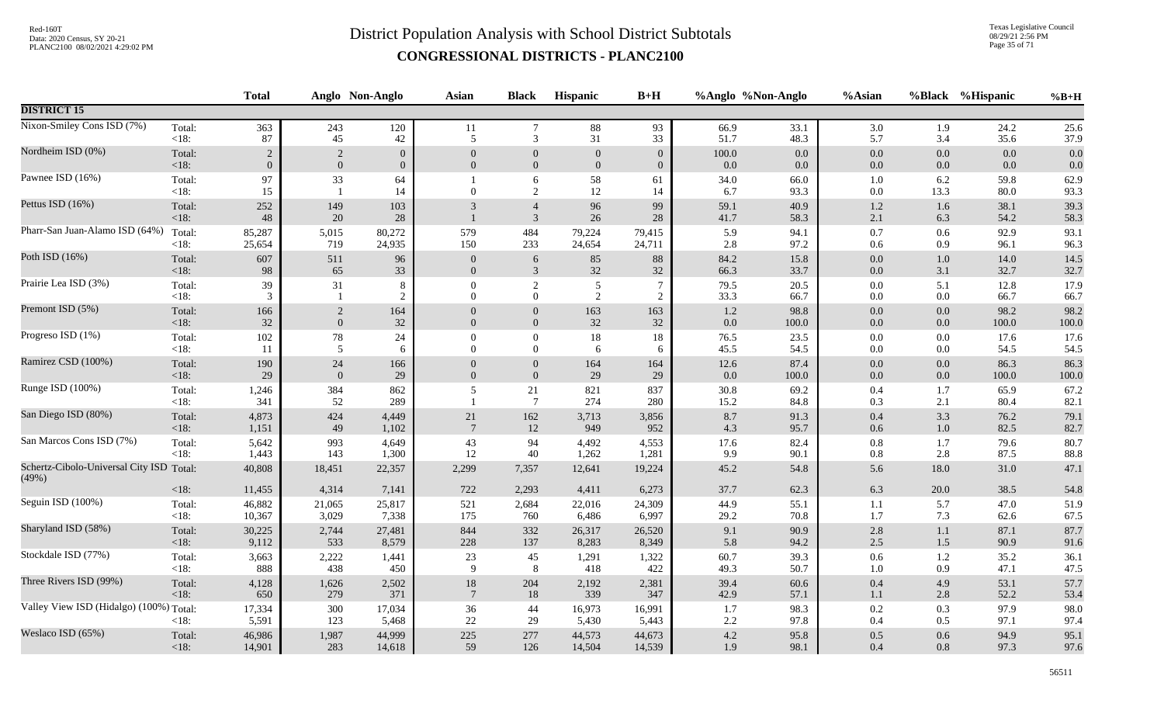Texas Legislative Council 08/29/21 2:56 PM Page 35 of 71

|                                                   |                 | <b>Total</b>    |                      | Anglo Non-Anglo | Asian            | <b>Black</b>                     | <b>Hispanic</b> | $B+H$           |              | %Anglo %Non-Anglo | %Asian             |                | %Black %Hispanic | $%B+H$       |
|---------------------------------------------------|-----------------|-----------------|----------------------|-----------------|------------------|----------------------------------|-----------------|-----------------|--------------|-------------------|--------------------|----------------|------------------|--------------|
| <b>DISTRICT 15</b>                                |                 |                 |                      |                 |                  |                                  |                 |                 |              |                   |                    |                |                  |              |
| Nixon-Smiley Cons ISD (7%)                        | Total:          | 363             | 243                  | 120             | 11               | $\overline{7}$                   | 88              | 93              | 66.9         | 33.1              | 3.0                | 1.9            | 24.2             | 25.6         |
|                                                   | $<18$ :         | 87              | 45                   | 42              | 5                | 3                                | 31              | 33              | 51.7         | 48.3              | 5.7                | 3.4            | 35.6             | 37.9         |
| Nordheim ISD (0%)                                 | Total:          | $\overline{2}$  | 2                    | $\mathbf{0}$    | $\overline{0}$   | $\mathbf{0}$                     | $\mathbf{0}$    | $\overline{0}$  | 100.0        | 0.0               | $0.0\,$            | 0.0            | 0.0              | 0.0          |
|                                                   | <18:            | $\overline{0}$  | $\mathbf{0}$         | $\overline{0}$  | $\mathbf{0}$     | $\boldsymbol{0}$                 | $\mathbf{0}$    | $\overline{0}$  | 0.0          | 0.0               | $0.0\,$            | $0.0\,$        | 0.0              | 0.0          |
| Pawnee ISD (16%)                                  | Total:<br>< 18: | 97<br>15        | 33<br>$\overline{1}$ | 64<br>14        | $\Omega$         | 6<br>2                           | 58<br>12        | 61<br>14        | 34.0<br>6.7  | 66.0<br>93.3      | $1.0\,$<br>$0.0\,$ | 6.2<br>13.3    | 59.8<br>80.0     | 62.9<br>93.3 |
| Pettus ISD (16%)                                  | Total:<br>< 18: | 252<br>48       | 149<br>20            | 103<br>28       | 3                | $\overline{4}$<br>$\mathfrak{Z}$ | 96<br>26        | 99<br>$28\,$    | 59.1<br>41.7 | 40.9<br>58.3      | $1.2\,$<br>2.1     | $1.6\,$<br>6.3 | 38.1<br>54.2     | 39.3<br>58.3 |
| Pharr-San Juan-Alamo ISD (64%)                    | Total:          | 85,287          | 5,015                | 80,272          | 579              | 484                              | 79,224          | 79,415          | 5.9          | 94.1              | $0.7\,$            | 0.6            | 92.9             | 93.1         |
|                                                   | <18:            | 25,654          | 719                  | 24,935          | 150              | 233                              | 24,654          | 24,711          | 2.8          | 97.2              | 0.6                | 0.9            | 96.1             | 96.3         |
| Poth ISD (16%)                                    | Total:          | 607             | 511                  | 96              | $\boldsymbol{0}$ | 6                                | 85              | 88              | 84.2         | 15.8              | $0.0\,$            | $1.0\,$        | 14.0             | 14.5         |
|                                                   | <18:            | 98              | 65                   | 33              | $\mathbf{0}$     | $\mathfrak{Z}$                   | $32\,$          | $32\,$          | 66.3         | 33.7              | 0.0                | 3.1            | 32.7             | 32.7         |
| Prairie Lea ISD (3%)                              | Total:          | 39              | 31                   | 8               | $\theta$         | 2                                | 5               | $\overline{7}$  | 79.5         | 20.5              | $0.0\,$            | 5.1            | 12.8             | 17.9         |
|                                                   | < 18:           | 3               | $\overline{1}$       | $\overline{2}$  | $\theta$         | $\overline{0}$                   | 2               | $\overline{2}$  | 33.3         | 66.7              | $0.0\,$            | 0.0            | 66.7             | 66.7         |
| Premont ISD (5%)                                  | Total:          | 166             | $\sqrt{2}$           | 164             | $\Omega$         | $\boldsymbol{0}$                 | 163             | 163             | $1.2\,$      | 98.8              | $0.0\,$            | $0.0\,$        | 98.2             | 98.2         |
|                                                   | $<18$ :         | 32              | $\mathbf{0}$         | 32              | $\overline{0}$   | $\mathbf{0}$                     | 32              | 32              | 0.0          | 100.0             | 0.0                | $0.0\,$        | 100.0            | 100.0        |
| Progreso ISD (1%)                                 | Total:          | 102             | $78\,$               | 24              | $\theta$         | $\boldsymbol{0}$                 | $18\,$          | 18              | 76.5         | 23.5              | $0.0\,$            | 0.0            | 17.6             | 17.6         |
|                                                   | <18:            | 11              | 5                    | 6               | $\overline{0}$   | $\overline{0}$                   | 6               | 6               | 45.5         | 54.5              | $0.0\,$            | $0.0\,$        | 54.5             | 54.5         |
| Ramirez CSD (100%)                                | Total:          | 190             | $24\,$               | 166             | $\Omega$         | $\mathbf{0}$                     | 164             | 164             | 12.6         | 87.4              | $0.0\,$            | $0.0\,$        | 86.3             | 86.3         |
|                                                   | <18:            | 29              | $\overline{0}$       | 29              | $\mathbf{0}$     | $\boldsymbol{0}$                 | 29              | 29              | 0.0          | $100.0\,$         | $0.0\,$            | $0.0\,$        | 100.0            | 100.0        |
| Runge ISD (100%)                                  | Total:<br><18:  | 1,246<br>341    | 384<br>52            | 862<br>289      | 5                | 21<br>$\overline{7}$             | 821<br>274      | 837<br>280      | 30.8<br>15.2 | 69.2<br>84.8      | 0.4<br>0.3         | 1.7<br>2.1     | 65.9<br>80.4     | 67.2<br>82.1 |
| San Diego ISD (80%)                               | Total:          | 4,873           | 424                  | 4,449           | $21\,$           | $162\,$                          | 3,713           | 3,856           | 8.7          | 91.3              | $0.4\,$            | 3.3            | 76.2             | 79.1         |
|                                                   | <18:            | 1,151           | 49                   | 1,102           | $7\phantom{.0}$  | 12                               | 949             | 952             | 4.3          | 95.7              | $0.6\,$            | 1.0            | 82.5             | 82.7         |
| San Marcos Cons ISD (7%)                          | Total:          | 5,642           | 993                  | 4,649           | 43               | 94                               | 4,492           | 4,553           | 17.6         | 82.4              | $0.8\,$            | 1.7            | 79.6             | 80.7         |
|                                                   | < 18:           | 1,443           | 143                  | 1,300           | 12               | 40                               | 1,262           | 1,281           | 9.9          | 90.1              | $0.8\,$            | 2.8            | 87.5             | 88.8         |
| Schertz-Cibolo-Universal City ISD Total:<br>(49%) |                 | 40,808          | 18,451               | 22,357          | 2,299            | 7,357                            | 12,641          | 19,224          | 45.2         | 54.8              | 5.6                | 18.0           | 31.0             | 47.1         |
|                                                   | $<18$ :         | 11,455          | 4,314                | 7,141           | 722              | 2,293                            | 4,411           | 6,273           | 37.7         | 62.3              | 6.3                | 20.0           | 38.5             | 54.8         |
| Seguin ISD (100%)                                 | Total:          | 46,882          | 21,065               | 25,817          | 521              | 2,684                            | 22,016          | 24,309          | 44.9         | 55.1              | 1.1                | 5.7            | 47.0             | 51.9         |
|                                                   | <18:            | 10,367          | 3,029                | 7,338           | 175              | 760                              | 6,486           | 6,997           | 29.2         | 70.8              | 1.7                | 7.3            | 62.6             | 67.5         |
| Sharyland ISD (58%)                               | Total:          | 30,225          | 2,744                | 27,481          | 844              | 332                              | 26,317          | 26,520          | 9.1          | 90.9              | $2.8\,$            | $1.1\,$        | 87.1             | 87.7         |
|                                                   | <18:            | 9,112           | 533                  | 8,579           | 228              | 137                              | 8,283           | 8,349           | 5.8          | 94.2              | 2.5                | 1.5            | 90.9             | 91.6         |
| Stockdale ISD (77%)                               | Total:          | 3,663           | 2,222                | 1,441           | 23               | 45                               | 1,291           | 1,322           | 60.7         | 39.3              | $0.6\,$            | 1.2            | 35.2             | 36.1         |
|                                                   | <18:            | 888             | 438                  | 450             | 9                | 8                                | 418             | 422             | 49.3         | 50.7              | $1.0\,$            | 0.9            | 47.1             | 47.5         |
| Three Rivers ISD (99%)                            | Total:          | 4,128           | 1,626                | 2,502           | $18\,$           | 204                              | 2,192           | 2,381           | 39.4         | 60.6              | $0.4\,$            | 4.9            | 53.1             | 57.7         |
|                                                   | $<18$ :         | 650             | 279                  | 371             | $7\phantom{.0}$  | 18                               | 339             | 347             | 42.9         | 57.1              | 1.1                | 2.8            | 52.2             | 53.4         |
| Valley View ISD (Hidalgo) (100%) Total:           | $<18$ :         | 17,334<br>5,591 | 300<br>123           | 17,034<br>5,468 | 36<br>22         | 44<br>29                         | 16,973<br>5,430 | 16,991<br>5,443 | 1.7<br>2.2   | 98.3<br>97.8      | $0.2\,$<br>0.4     | 0.3<br>0.5     | 97.9<br>97.1     | 98.0<br>97.4 |
| Weslaco ISD (65%)                                 | Total:          | 46,986          | 1,987                | 44,999          | 225              | 277                              | 44,573          | 44,673          | $4.2\,$      | 95.8              | $0.5\,$            | 0.6            | 94.9             | 95.1         |
|                                                   | $<18$ :         | 14,901          | 283                  | 14,618          | 59               | 126                              | 14,504          | 14,539          | 1.9          | 98.1              | 0.4                | $0.8\,$        | 97.3             | 97.6         |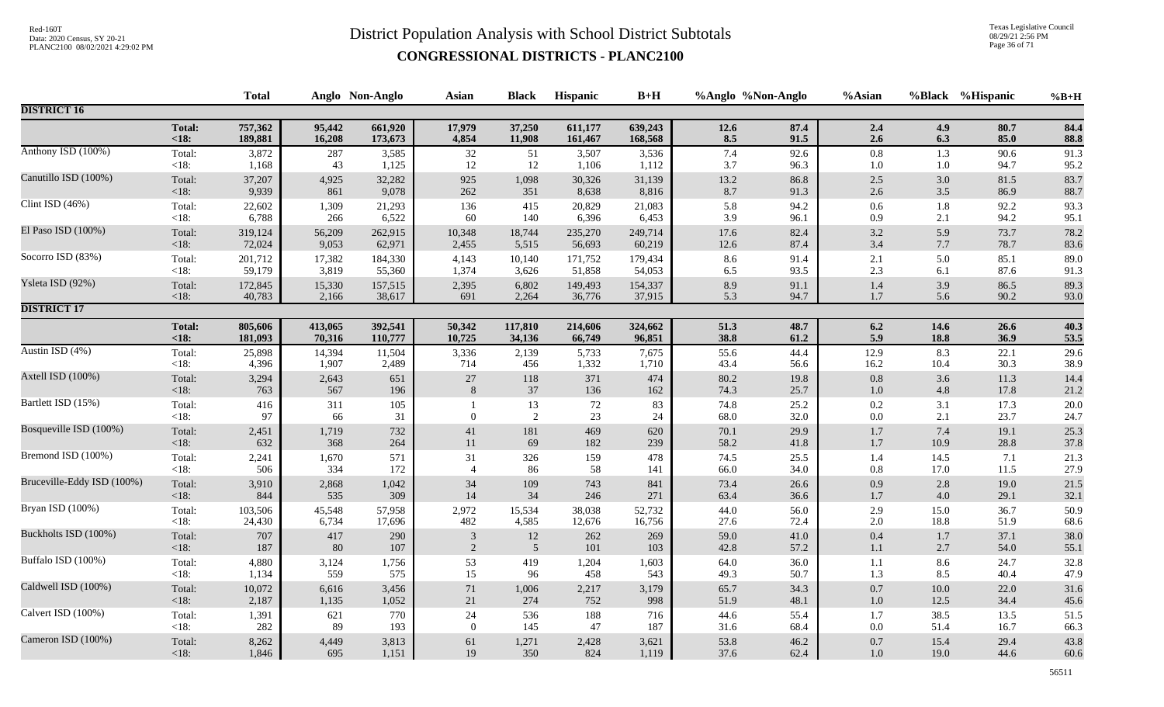Texas Legislative Council 08/29/21 2:56 PM Page 36 of 71

|                            |                   | <b>Total</b> |           | Anglo Non-Anglo | <b>Asian</b>   | <b>Black</b>         | Hispanic | $B+H$    | %Anglo %Non-Anglo |              | %Asian             |            | %Black %Hispanic | $%B+H$       |
|----------------------------|-------------------|--------------|-----------|-----------------|----------------|----------------------|----------|----------|-------------------|--------------|--------------------|------------|------------------|--------------|
| <b>DISTRICT 16</b>         |                   |              |           |                 |                |                      |          |          |                   |              |                    |            |                  |              |
|                            | <b>Total:</b>     | 757,362      | 95,442    | 661,920         | 17,979         | 37,250               | 611,177  | 639,243  | 12.6              | 87.4         | 2.4                | 4.9        | 80.7             | 84.4         |
|                            | <18:              | 189,881      | 16,208    | 173,673         | 4,854          | 11,908               | 161,467  | 168,568  | 8.5               | 91.5         | 2.6                | 6.3        | 85.0             | 88.8         |
| Anthony ISD (100%)         | Total:            | 3,872        | 287       | 3,585           | 32             | 51                   | 3,507    | 3,536    | 7.4               | 92.6         | $0.8\,$            | 1.3        | 90.6             | 91.3         |
|                            | <18:              | 1,168        | 43        | 1,125           | 12             | 12                   | 1,106    | 1,112    | 3.7               | 96.3         | $1.0\,$            | $1.0\,$    | 94.7             | 95.2         |
| Canutillo ISD (100%)       | Total:            | 37,207       | 4,925     | 32,282          | 925            | 1,098                | 30,326   | 31,139   | 13.2              | 86.8         | $2.5\,$            | 3.0        | 81.5             | 83.7         |
|                            | $<18$ :           | 9,939        | 861       | 9,078           | 262            | 351                  | 8,638    | 8,816    | 8.7               | 91.3         | $2.6\,$            | 3.5        | 86.9             | 88.7         |
| Clint ISD (46%)            | Total:            | 22,602       | 1,309     | 21,293          | 136            | 415                  | 20,829   | 21,083   | 5.8               | 94.2         | $0.6\,$            | 1.8        | 92.2             | 93.3         |
|                            | $<18$ :           | 6,788        | 266       | 6,522           | 60             | 140                  | 6,396    | 6,453    | 3.9               | 96.1         | 0.9                | 2.1        | 94.2             | 95.1         |
| El Paso ISD (100%)         | Total:            | 319,124      | 56,209    | 262,915         | 10,348         | 18,744               | 235,270  | 249,714  | 17.6              | 82.4         | $3.2\,$            | 5.9        | 73.7             | 78.2         |
|                            | $<18$ :           | 72,024       | 9,053     | 62,971          | 2,455          | 5,515                | 56,693   | 60,219   | 12.6              | 87.4         | $3.4\,$            | 7.7        | 78.7             | 83.6         |
| Socorro ISD (83%)          | Total:            | 201,712      | 17,382    | 184,330         | 4,143          | 10,140               | 171,752  | 179,434  | 8.6               | 91.4         | 2.1                | 5.0        | 85.1             | 89.0         |
|                            | $<18$ :           | 59,179       | 3,819     | 55,360          | 1,374          | 3,626                | 51,858   | 54,053   | 6.5               | 93.5         | 2.3                | 6.1        | 87.6             | 91.3         |
| Ysleta ISD (92%)           | Total:            | 172,845      | 15,330    | 157,515         | 2,395          | 6,802                | 149,493  | 154,337  | 8.9               | 91.1         | $1.4\,$            | 3.9        | 86.5             | 89.3         |
|                            | $<18$ :           | 40,783       | 2,166     | 38,617          | 691            | 2,264                | 36,776   | 37,915   | 5.3               | 94.7         | 1.7                | 5.6        | 90.2             | 93.0         |
| <b>DISTRICT 17</b>         |                   |              |           |                 |                |                      |          |          |                   |              |                    |            |                  |              |
|                            | <b>Total:</b>     | 805,606      | 413,065   | 392,541         | 50,342         | 117,810              | 214,606  | 324,662  | 51.3              | 48.7         | 6.2                | 14.6       | 26.6             | 40.3         |
|                            | $<18$ :           | 181,093      | 70,316    | 110,777         | 10,725         | 34,136               | 66,749   | 96,851   | 38.8              | 61.2         | 5.9                | 18.8       | 36.9             | 53.5         |
| Austin ISD (4%)            | Total:            | 25,898       | 14,394    | 11,504          | 3,336          | 2,139                | 5,733    | 7,675    | 55.6              | 44.4         | 12.9               | 8.3        | 22.1             | 29.6         |
|                            | $<18$ :           | 4,396        | 1,907     | 2,489           | 714            | 456                  | 1,332    | 1,710    | 43.4              | 56.6         | 16.2               | 10.4       | 30.3             | 38.9         |
| Axtell ISD (100%)          | Total:            | 3,294        | 2,643     | 651             | $27\,$         | 118                  | 371      | 474      | 80.2              | 19.8         | $0.8\,$            | 3.6        | 11.3             | 14.4         |
|                            | $<18$ :           | 763          | 567       | 196             | 8              | 37                   | 136      | 162      | 74.3              | 25.7         | $1.0\,$            | 4.8        | 17.8             | 21.2         |
| Bartlett ISD (15%)         | Total:<br>$<18$ : | 416<br>97    | 311<br>66 | 105<br>31       | $\Omega$       | 13<br>$\overline{2}$ | 72<br>23 | 83<br>24 | 74.8<br>68.0      | 25.2<br>32.0 | $0.2\,$<br>$0.0\,$ | 3.1<br>2.1 | 17.3<br>23.7     | 20.0<br>24.7 |
| Bosqueville ISD (100%)     | Total:            | 2,451        | 1,719     | 732             | 41             | 181                  | 469      | 620      | 70.1              | 29.9         | $1.7\,$            | 7.4        | 19.1             | 25.3         |
|                            | $<18$ :           | 632          | 368       | 264             | 11             | 69                   | 182      | 239      | 58.2              | 41.8         | 1.7                | 10.9       | 28.8             | 37.8         |
| Bremond ISD (100%)         | Total:            | 2,241        | 1,670     | 571             | 31             | 326                  | 159      | 478      | 74.5              | 25.5         | 1.4                | 14.5       | 7.1              | 21.3         |
|                            | $<18$ :           | 506          | 334       | 172             | $\overline{4}$ | 86                   | 58       | 141      | 66.0              | 34.0         | $0.8\,$            | 17.0       | 11.5             | 27.9         |
| Bruceville-Eddy ISD (100%) | Total:            | 3,910        | 2,868     | 1,042           | 34             | 109                  | 743      | 841      | 73.4              | 26.6         | 0.9                | 2.8        | 19.0             | 21.5         |
|                            | $<18$ :           | 844          | 535       | 309             | 14             | 34                   | 246      | 271      | 63.4              | 36.6         | $1.7$              | 4.0        | 29.1             | 32.1         |
| Bryan ISD (100%)           | Total:            | 103,506      | 45,548    | 57,958          | 2,972          | 15,534               | 38,038   | 52,732   | 44.0              | 56.0         | 2.9                | 15.0       | 36.7             | 50.9         |
|                            | $<18$ :           | 24,430       | 6,734     | 17,696          | 482            | 4,585                | 12,676   | 16,756   | 27.6              | 72.4         | 2.0                | 18.8       | 51.9             | 68.6         |
| Buckholts ISD (100%)       | Total:            | 707          | 417       | 290             | $\sqrt{3}$     | $12\,$               | 262      | 269      | 59.0              | 41.0         | $0.4\,$            | $1.7\,$    | 37.1             | 38.0         |
|                            | $<18$ :           | 187          | 80        | 107             | $\overline{2}$ | $\overline{5}$       | 101      | 103      | 42.8              | 57.2         | $1.1\,$            | 2.7        | 54.0             | 55.1         |
| Buffalo ISD (100%)         | Total:            | 4,880        | 3,124     | 1,756           | 53             | 419                  | 1,204    | 1,603    | 64.0              | 36.0         | $1.1\,$            | 8.6        | 24.7             | 32.8         |
|                            | $<18$ :           | 1,134        | 559       | 575             | 15             | 96                   | 458      | 543      | 49.3              | 50.7         | 1.3                | 8.5        | 40.4             | 47.9         |
| Caldwell ISD (100%)        | Total:            | 10,072       | 6,616     | 3,456           | $71\,$         | 1,006                | 2,217    | 3,179    | 65.7              | 34.3         | $0.7\,$            | $10.0$     | 22.0             | 31.6         |
|                            | $<18$ :           | 2,187        | 1,135     | 1,052           | 21             | 274                  | 752      | 998      | 51.9              | 48.1         | $1.0\,$            | 12.5       | 34.4             | 45.6         |
| Calvert ISD (100%)         | Total:            | 1,391        | 621       | 770             | 24             | 536                  | 188      | 716      | 44.6              | 55.4         | $1.7\,$            | 38.5       | 13.5             | 51.5         |
|                            | $<18$ :           | 282          | 89        | 193             | $\overline{0}$ | 145                  | 47       | 187      | 31.6              | 68.4         | $0.0\,$            | 51.4       | 16.7             | 66.3         |
| Cameron ISD (100%)         | Total:            | 8,262        | 4,449     | 3,813           | 61             | 1,271                | 2,428    | 3,621    | 53.8              | 46.2         | $0.7\,$            | 15.4       | 29.4             | 43.8         |
|                            | $<18$ :           | 1,846        | 695       | 1,151           | 19             | 350                  | 824      | 1,119    | 37.6              | 62.4         | $1.0\,$            | 19.0       | 44.6             | 60.6         |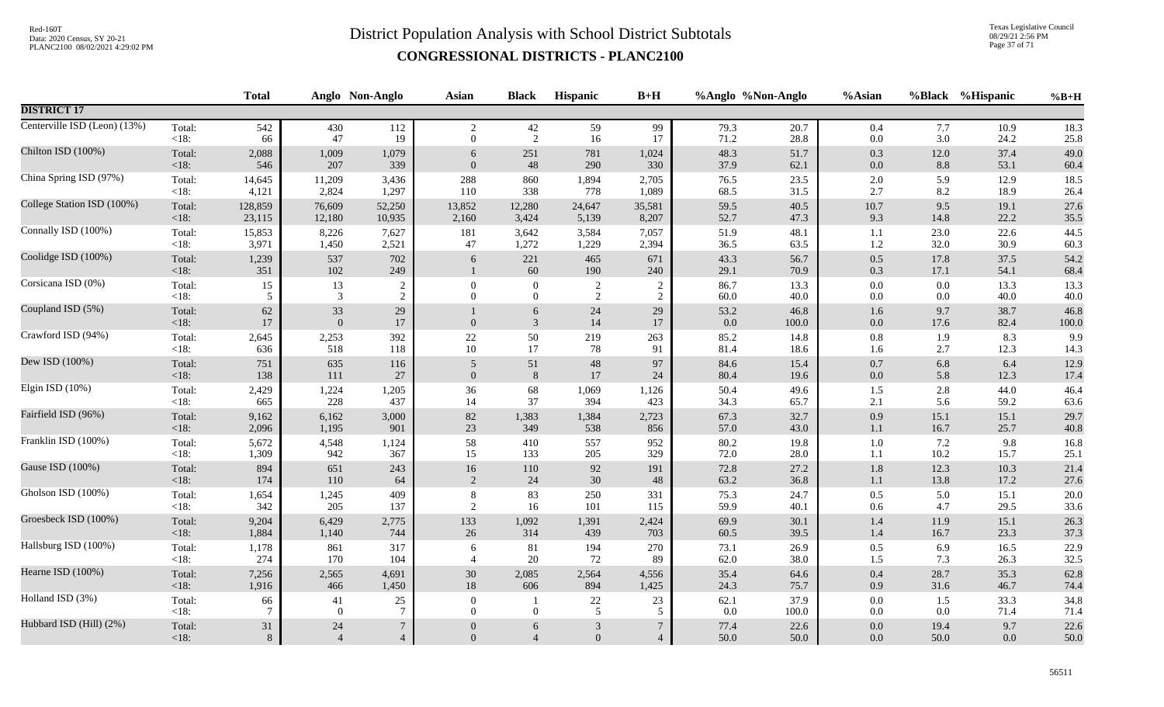Texas Legislative Council 08/29/21 2:56 PM Page 37 of 71

|                 | <b>Total</b>                                    |                                       |                                 | <b>Asian</b>                                              | <b>Black</b>        | <b>Hispanic</b>                  | $B+H$                              |                                |                                      | %Asian                                                    |                                                |                                                                                                                                               | $%B+H$                                                                       |
|-----------------|-------------------------------------------------|---------------------------------------|---------------------------------|-----------------------------------------------------------|---------------------|----------------------------------|------------------------------------|--------------------------------|--------------------------------------|-----------------------------------------------------------|------------------------------------------------|-----------------------------------------------------------------------------------------------------------------------------------------------|------------------------------------------------------------------------------|
|                 |                                                 |                                       |                                 |                                                           |                     |                                  |                                    |                                |                                      |                                                           |                                                |                                                                                                                                               |                                                                              |
| Total:          | 542                                             | 430<br>47                             | 112<br>19                       | $\overline{2}$<br>$\overline{0}$                          | 42                  | 59                               | 99<br>17                           | 79.3                           | 20.7                                 | 0.4                                                       |                                                | 10.9                                                                                                                                          | 18.3<br>$25.8\,$                                                             |
| Total:          | 2,088                                           | 1,009                                 | 1,079                           | 6<br>$\overline{0}$                                       | 251                 | 781                              | 1,024                              | 48.3                           | 51.7                                 | 0.3                                                       |                                                | 37.4                                                                                                                                          | 49.0<br>60.4                                                                 |
| Total:          | 14,645                                          | 11,209                                | 3,436                           | 288                                                       | 860                 | 1,894                            | 2,705                              | 76.5                           | 23.5                                 | 2.0                                                       | 5.9                                            | 12.9                                                                                                                                          | 18.5<br>26.4                                                                 |
| Total:          | 128,859                                         | 76,609                                | 52,250                          | 13,852                                                    | 12,280              | 24,647                           | 35,581                             | 59.5                           | 40.5                                 | $10.7\,$                                                  |                                                | 19.1<br>22.2                                                                                                                                  | 27.6<br>35.5                                                                 |
| Total:          | 15,853                                          | 8,226                                 | 7,627                           | 181<br>47                                                 | 3,642               | 3,584                            | 7,057                              | 51.9                           | 48.1                                 | 1.1                                                       | 23.0                                           | 22.6<br>30.9                                                                                                                                  | 44.5<br>60.3                                                                 |
| Total:<br>< 18: | 1,239<br>351                                    | 537<br>102                            | 702                             | 6                                                         | 221<br>60           | 465<br>190                       | 671<br>240                         | 43.3<br>29.1                   | 56.7<br>70.9                         | $0.5\,$                                                   | 17.1                                           | 37.5<br>54.1                                                                                                                                  | 54.2<br>68.4                                                                 |
| Total:          | 15                                              | 13                                    | $\boldsymbol{2}$                | $\overline{0}$                                            | $\boldsymbol{0}$    | $\overline{c}$                   | $\overline{2}$                     | 86.7                           | 13.3                                 | $0.0\,$                                                   | 0.0                                            | 13.3                                                                                                                                          | 13.3                                                                         |
| $<18$ :         | 5                                               | 3                                     | $\overline{2}$                  | $\Omega$                                                  | $\overline{0}$      | 2                                | $\overline{2}$                     | 60.0                           | 40.0                                 | 0.0                                                       |                                                | 40.0                                                                                                                                          | 40.0                                                                         |
| Total:<br>< 18: | 62<br>17                                        | 33<br>$\mathbf{0}$                    | $29\,$<br>$17\,$                | $\Omega$                                                  | 6<br>$\mathfrak{Z}$ | $24\,$<br>14                     | 29<br>17                           | 53.2<br>0.0                    | 46.8<br>100.0                        | 1.6<br>$0.0\,$                                            | 9.7                                            | 38.7<br>82.4                                                                                                                                  | 46.8<br>100.0                                                                |
| Total:          | 2,645                                           | 2,253                                 | 392                             | 22                                                        | 50                  | 219                              | 263                                | 85.2                           | 14.8                                 | $0.8\,$                                                   | 1.9                                            | 8.3                                                                                                                                           | 9.9                                                                          |
| $<18$ :         | 636                                             | 518                                   | 118                             | $10\,$                                                    | 17                  | 78                               | 91                                 | 81.4                           | 18.6                                 | 1.6                                                       | 2.7                                            | 12.3                                                                                                                                          | 14.3                                                                         |
| Total:          | 751                                             | 635                                   | 116                             | 5                                                         | 51                  | 48                               | 97                                 | 84.6                           | 15.4                                 | $0.7\,$                                                   | 6.8                                            | 6.4                                                                                                                                           | 12.9                                                                         |
| < 18:           | 138                                             | 111                                   | 27                              | $\mathbf{0}$                                              | $8\phantom{.}8$     | 17                               | 24                                 | 80.4                           | 19.6                                 | $0.0\,$                                                   |                                                | 12.3                                                                                                                                          | 17.4                                                                         |
| Total:          | 2,429                                           | 1,224                                 | 1,205                           | 36                                                        | 68                  | 1,069                            | 1,126                              | 50.4                           | 49.6                                 | $1.5\,$                                                   |                                                | 44.0                                                                                                                                          | 46.4                                                                         |
| $<18$ :         | 665                                             | 228                                   | 437                             | 14                                                        | 37                  | 394                              | 423                                | 34.3                           | 65.7                                 | 2.1                                                       |                                                | 59.2                                                                                                                                          | 63.6                                                                         |
| Total:          | 9,162                                           | 6,162                                 | 3,000                           | 82                                                        | 1,383               | 1,384                            | 2,723                              | 67.3                           | 32.7                                 | 0.9                                                       | 15.1                                           | 15.1                                                                                                                                          | 29.7                                                                         |
| <18:            | 2,096                                           | 1,195                                 | 901                             | 23                                                        | 349                 | 538                              | 856                                | 57.0                           | 43.0                                 | $1.1\,$                                                   | 16.7                                           | 25.7                                                                                                                                          | 40.8                                                                         |
| Total:          | 5,672                                           | 4,548                                 | 1,124                           | 58                                                        | 410                 | 557                              | 952                                | 80.2                           | 19.8                                 | $1.0\,$                                                   |                                                | 9.8                                                                                                                                           | 16.8                                                                         |
| $<18$ :         | 1,309                                           | 942                                   | 367                             | 15                                                        | 133                 | 205                              | 329                                | 72.0                           | 28.0                                 | 1.1                                                       |                                                | 15.7                                                                                                                                          | 25.1                                                                         |
| Total:          | 894                                             | 651                                   | 243                             | 16                                                        | 110                 | 92                               | 191                                | 72.8                           | 27.2                                 | 1.8                                                       |                                                | 10.3                                                                                                                                          | 21.4                                                                         |
| $<18$ :         | 174                                             | 110                                   | 64                              | 2                                                         | 24                  | 30                               | 48                                 | 63.2                           | 36.8                                 | 1.1                                                       |                                                | 17.2                                                                                                                                          | 27.6                                                                         |
| Total:          | 1,654                                           | 1,245                                 | 409                             | 8                                                         | 83                  | 250                              | 331                                | 75.3                           | 24.7                                 | 0.5                                                       | 4.7                                            | 15.1                                                                                                                                          | 20.0                                                                         |
| <18:            | 342                                             | 205                                   | 137                             | 2                                                         | 16                  | 101                              | 115                                | 59.9                           | 40.1                                 | 0.6                                                       |                                                | 29.5                                                                                                                                          | 33.6                                                                         |
| Total:          | 9,204                                           | 6,429                                 | 2,775                           | 133                                                       | 1,092               | 1,391                            | 2,424                              | 69.9                           | 30.1                                 | $1.4\,$                                                   | 11.9                                           | 15.1                                                                                                                                          | 26.3                                                                         |
| <18:            | 1,884                                           | 1,140                                 | 744                             | 26                                                        | 314                 | 439                              | 703                                | 60.5                           | 39.5                                 | 1.4                                                       | 16.7                                           | 23.3                                                                                                                                          | 37.3                                                                         |
| Total:          | 1,178                                           | 861                                   | 317                             | 6                                                         | 81                  | 194                              | 270                                | 73.1                           | 26.9                                 | 0.5                                                       |                                                | 16.5                                                                                                                                          | 22.9                                                                         |
| $<18$ :         | 274                                             | 170                                   | 104                             | $\overline{4}$                                            | $20\,$              | 72                               | 89                                 | 62.0                           | 38.0                                 | 1.5                                                       |                                                | 26.3                                                                                                                                          | 32.5                                                                         |
| Total:          | 7,256                                           | 2,565                                 | 4,691                           | $30\,$                                                    | 2,085               | 2,564                            | 4,556                              | 35.4                           | 64.6                                 | $0.4\,$                                                   | 28.7                                           | 35.3                                                                                                                                          | 62.8                                                                         |
| $<18$ :         | 1,916                                           | 466                                   | 1,450                           | 18                                                        | 606                 | 894                              | 1,425                              | 24.3                           | 75.7                                 | 0.9                                                       |                                                | 46.7                                                                                                                                          | 74.4                                                                         |
| Total:          | 66                                              | 41                                    | 25                              | $\overline{0}$                                            | -1                  | 22                               | 23                                 | 62.1                           | 37.9                                 | $0.0\,$                                                   |                                                | 33.3                                                                                                                                          | 34.8                                                                         |
| <18:            | 7                                               | $\overline{0}$                        | $\overline{7}$                  | $\overline{0}$                                            | $\overline{0}$      | 5                                | 5                                  | 0.0                            | 100.0                                | $0.0\,$                                                   |                                                | 71.4                                                                                                                                          | 71.4                                                                         |
| Total:          | 31                                              | $24\,$                                | $\boldsymbol{7}$                | $\overline{0}$                                            | 6                   | $\mathfrak{Z}$                   | $7\phantom{.0}$                    | 77.4                           | 22.6                                 | $0.0\,$                                                   | 19.4                                           | 9.7                                                                                                                                           | 22.6                                                                         |
| $<18$ :         | 8                                               | $\overline{4}$                        | $\overline{4}$                  | $\Omega$                                                  | $\overline{4}$      | $\overline{0}$                   | $\overline{4}$                     | 50.0                           | 50.0                                 | 0.0                                                       | 50.0                                           | 0.0                                                                                                                                           | 50.0                                                                         |
|                 | $<18$ :<br>< 18:<br>$<18$ :<br>< 18:<br>$<18$ : | 66<br>546<br>4,121<br>23,115<br>3,971 | 207<br>2,824<br>12,180<br>1,450 | Anglo Non-Anglo<br>339<br>1,297<br>10,935<br>2,521<br>249 | 110<br>2,160        | 2<br>48<br>338<br>3,424<br>1,272 | 16<br>290<br>778<br>5,139<br>1,229 | 330<br>1,089<br>8,207<br>2,394 | 71.2<br>37.9<br>68.5<br>52.7<br>36.5 | %Anglo %Non-Anglo<br>28.8<br>62.1<br>31.5<br>47.3<br>63.5 | $0.0\,$<br>$0.0\,$<br>2.7<br>9.3<br>1.2<br>0.3 | 3.0<br>12.0<br>8.2<br>9.5<br>32.0<br>17.8<br>0.0<br>17.6<br>5.8<br>2.8<br>5.6<br>7.2<br>$10.2\,$<br>12.3<br>13.8<br>5.0<br>6.9<br>31.6<br>0.0 | %Black %Hispanic<br>7.7<br>24.2<br>8.8<br>53.1<br>18.9<br>14.8<br>7.3<br>1.5 |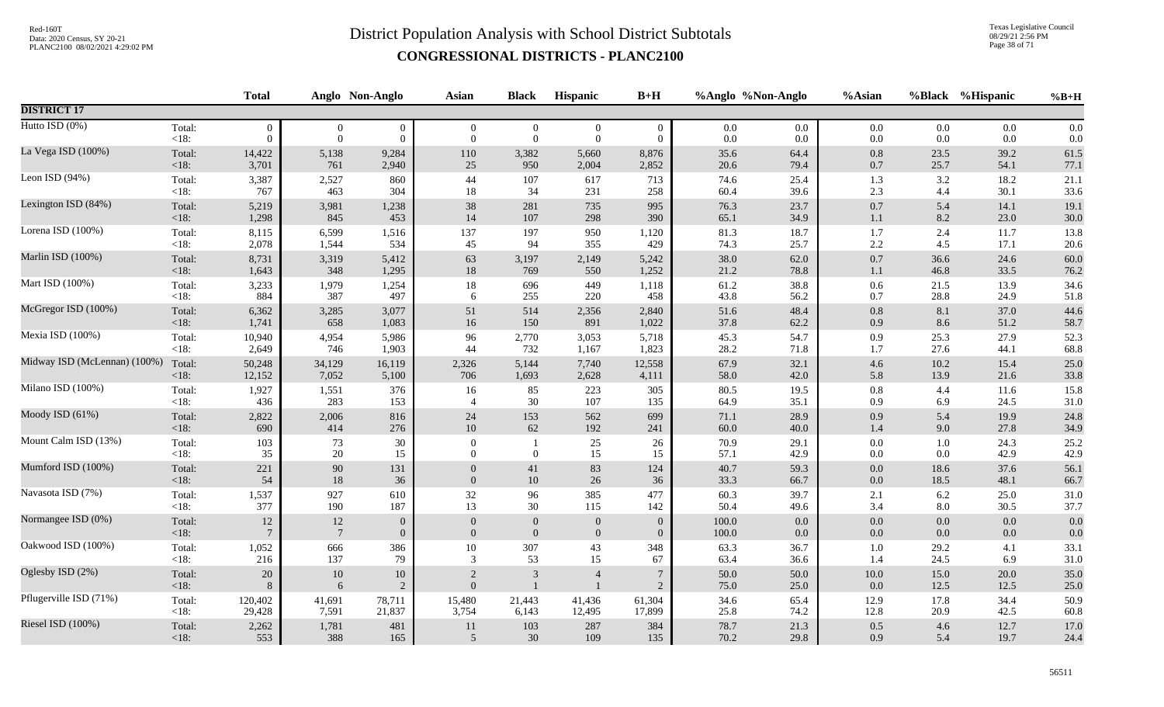Texas Legislative Council 08/29/21 2:56 PM Page 38 of 71

|                              |         | <b>Total</b>    |                 | Anglo Non-Anglo  | <b>Asian</b>   | <b>Black</b>     | Hispanic       | $B+H$          |       | %Anglo %Non-Anglo | %Asian   |         | %Black %Hispanic | $%B+H$   |
|------------------------------|---------|-----------------|-----------------|------------------|----------------|------------------|----------------|----------------|-------|-------------------|----------|---------|------------------|----------|
| <b>DISTRICT 17</b>           |         |                 |                 |                  |                |                  |                |                |       |                   |          |         |                  |          |
| Hutto ISD (0%)               | Total:  | $\overline{0}$  | $\overline{0}$  | $\boldsymbol{0}$ | $\overline{0}$ | $\overline{0}$   | $\overline{0}$ | $\mathbf{0}$   | 0.0   | 0.0               | 0.0      | $0.0\,$ | 0.0              | 0.0      |
|                              | <18:    | $\Omega$        | $\overline{0}$  | $\mathbf{0}$     | $\overline{0}$ | $\boldsymbol{0}$ | $\mathbf{0}$   | $\overline{0}$ | 0.0   | $0.0\,$           | $0.0\,$  | 0.0     | 0.0              | 0.0      |
| La Vega ISD (100%)           | Total:  | 14,422          | 5,138           | 9,284            | 110            | 3,382            | 5,660          | 8,876          | 35.6  | 64.4              | $0.8\,$  | 23.5    | 39.2             | 61.5     |
|                              | <18:    | 3,701           | 761             | 2,940            | 25             | 950              | 2,004          | 2,852          | 20.6  | 79.4              | $0.7\,$  | 25.7    | 54.1             | 77.1     |
| Leon ISD (94%)               | Total:  | 3,387           | 2,527           | 860              | 44             | 107              | 617            | 713            | 74.6  | 25.4              | 1.3      | 3.2     | 18.2             | 21.1     |
|                              | < 18:   | 767             | 463             | 304              | 18             | 34               | 231            | 258            | 60.4  | 39.6              | 2.3      | 4.4     | 30.1             | 33.6     |
| Lexington ISD (84%)          | Total:  | 5,219           | 3,981           | 1,238            | 38             | 281              | 735            | 995            | 76.3  | 23.7              | $0.7\,$  | 5.4     | 14.1             | 19.1     |
|                              | <18:    | 1,298           | 845             | 453              | 14             | 107              | 298            | 390            | 65.1  | 34.9              | $1.1\,$  | 8.2     | 23.0             | 30.0     |
| Lorena ISD (100%)            | Total:  | 8,115           | 6,599           | 1,516            | 137            | 197              | 950            | 1,120          | 81.3  | 18.7              | 1.7      | 2.4     | 11.7             | 13.8     |
|                              | $<18$ : | 2,078           | 1,544           | 534              | 45             | 94               | 355            | 429            | 74.3  | 25.7              | $2.2\,$  | 4.5     | 17.1             | 20.6     |
| Marlin ISD (100%)            | Total:  | 8,731           | 3,319           | 5,412            | 63             | 3,197            | 2,149          | 5,242          | 38.0  | 62.0              | $0.7\,$  | 36.6    | 24.6             | 60.0     |
|                              | < 18:   | 1,643           | 348             | 1,295            | $18\,$         | 769              | 550            | 1,252          | 21.2  | 78.8              | 1.1      | 46.8    | 33.5             | 76.2     |
| Mart ISD (100%)              | Total:  | 3,233           | 1,979           | 1,254            | 18             | 696              | 449            | 1,118          | 61.2  | 38.8              | $0.6\,$  | 21.5    | 13.9             | 34.6     |
|                              | < 18:   | 884             | 387             | 497              | 6              | 255              | 220            | 458            | 43.8  | 56.2              | 0.7      | 28.8    | 24.9             | 51.8     |
| McGregor ISD (100%)          | Total:  | 6,362           | 3,285           | 3,077            | 51             | 514              | 2,356          | 2,840          | 51.6  | 48.4              | $0.8\,$  | 8.1     | 37.0             | 44.6     |
|                              | <18:    | 1,741           | 658             | 1,083            | 16             | 150              | 891            | 1,022          | 37.8  | 62.2              | 0.9      | 8.6     | 51.2             | 58.7     |
| Mexia ISD (100%)             | Total:  | 10,940          | 4,954           | 5,986            | 96             | 2,770            | 3,053          | 5,718          | 45.3  | 54.7              | 0.9      | 25.3    | 27.9             | 52.3     |
|                              | < 18:   | 2,649           | 746             | 1,903            | 44             | 732              | 1,167          | 1,823          | 28.2  | 71.8              | 1.7      | 27.6    | 44.1             | 68.8     |
| Midway ISD (McLennan) (100%) | Total:  | 50,248          | 34,129          | 16,119           | 2,326          | 5,144            | 7,740          | 12,558         | 67.9  | 32.1              | $4.6\,$  | 10.2    | 15.4             | 25.0     |
|                              | $<18$ : | 12,152          | 7,052           | 5,100            | 706            | 1,693            | 2,628          | 4,111          | 58.0  | 42.0              | 5.8      | 13.9    | 21.6             | 33.8     |
| Milano ISD (100%)            | Total:  | 1,927           | 1,551           | 376              | 16             | 85               | 223            | 305            | 80.5  | 19.5              | $0.8\,$  | 4.4     | 11.6             | 15.8     |
|                              | $<18$ : | 436             | 283             | 153              | $\overline{4}$ | 30               | 107            | 135            | 64.9  | 35.1              | 0.9      | 6.9     | 24.5             | $31.0\,$ |
| Moody ISD (61%)              | Total:  | 2,822           | 2,006           | 816              | 24             | 153              | 562            | 699            | 71.1  | 28.9              | 0.9      | 5.4     | 19.9             | 24.8     |
|                              | <18:    | 690             | 414             | 276              | $10\,$         | 62               | 192            | 241            | 60.0  | 40.0              | 1.4      | 9.0     | 27.8             | 34.9     |
| Mount Calm ISD (13%)         | Total:  | 103             | 73              | 30               | $\mathbf{0}$   | -1               | 25             | 26             | 70.9  | 29.1              | $0.0\,$  | 1.0     | 24.3             | 25.2     |
|                              | $<18$ : | 35              | 20              | 15               | $\overline{0}$ | $\mathbf{0}$     | 15             | 15             | 57.1  | 42.9              | $0.0\,$  | $0.0\,$ | 42.9             | 42.9     |
| Mumford ISD (100%)           | Total:  | 221             | $90\,$          | 131              | $\overline{0}$ | $41\,$           | 83             | 124            | 40.7  | 59.3              | 0.0      | 18.6    | 37.6             | 56.1     |
|                              | <18:    | 54              | $18\,$          | 36               | $\Omega$       | 10               | 26             | 36             | 33.3  | 66.7              | $0.0\,$  | 18.5    | 48.1             | 66.7     |
| Navasota ISD (7%)            | Total:  | 1,537           | 927             | 610              | 32             | 96               | 385            | 477            | 60.3  | 39.7              | 2.1      | 6.2     | 25.0             | 31.0     |
|                              | $<18$ : | 377             | 190             | 187              | 13             | 30               | 115            | 142            | 50.4  | 49.6              | 3.4      | 8.0     | 30.5             | 37.7     |
| Normangee ISD (0%)           | Total:  | 12              | 12              | $\overline{0}$   | $\overline{0}$ | $\theta$         | $\mathbf{0}$   | $\mathbf{0}$   | 100.0 | 0.0               | $0.0\,$  | 0.0     | 0.0              | 0.0      |
|                              | $<18$ : | $7\phantom{.0}$ | $7\phantom{.0}$ | $\overline{0}$   | $\overline{0}$ | $\mathbf{0}$     | $\mathbf{0}$   | $\overline{0}$ | 100.0 | 0.0               | 0.0      | 0.0     | 0.0              | 0.0      |
| Oakwood ISD (100%)           | Total:  | 1,052           | 666             | 386              | 10             | 307              | 43             | 348            | 63.3  | 36.7              | $1.0\,$  | 29.2    | 4.1              | 33.1     |
|                              | $<18$ : | 216             | 137             | 79               | 3              | 53               | 15             | 67             | 63.4  | 36.6              | 1.4      | 24.5    | 6.9              | 31.0     |
| Oglesby ISD (2%)             | Total:  | 20              | $10\,$          | $10\,$           | $\sqrt{2}$     | $\overline{3}$   | $\overline{4}$ | $\overline{7}$ | 50.0  | 50.0              | $10.0\,$ | 15.0    | 20.0             | 35.0     |
|                              | $<18$ : | 8               | 6               | $\overline{2}$   | $\Omega$       | $\mathbf{1}$     | $\overline{1}$ | $\overline{2}$ | 75.0  | 25.0              | 0.0      | 12.5    | 12.5             | 25.0     |
| Pflugerville ISD (71%)       | Total:  | 120,402         | 41,691          | 78,711           | 15,480         | 21,443           | 41,436         | 61,304         | 34.6  | 65.4              | 12.9     | 17.8    | 34.4             | 50.9     |
|                              | $<18$ : | 29,428          | 7,591           | 21,837           | 3,754          | 6,143            | 12,495         | 17,899         | 25.8  | 74.2              | 12.8     | 20.9    | 42.5             | 60.8     |
| Riesel ISD (100%)            | Total:  | 2,262           | 1,781           | 481              | 11             | 103              | 287            | 384            | 78.7  | 21.3              | $0.5\,$  | 4.6     | 12.7             | 17.0     |
|                              | $<18$ : | 553             | 388             | 165              | $\overline{5}$ | $30\,$           | 109            | 135            | 70.2  | 29.8              | 0.9      | 5.4     | 19.7             | 24.4     |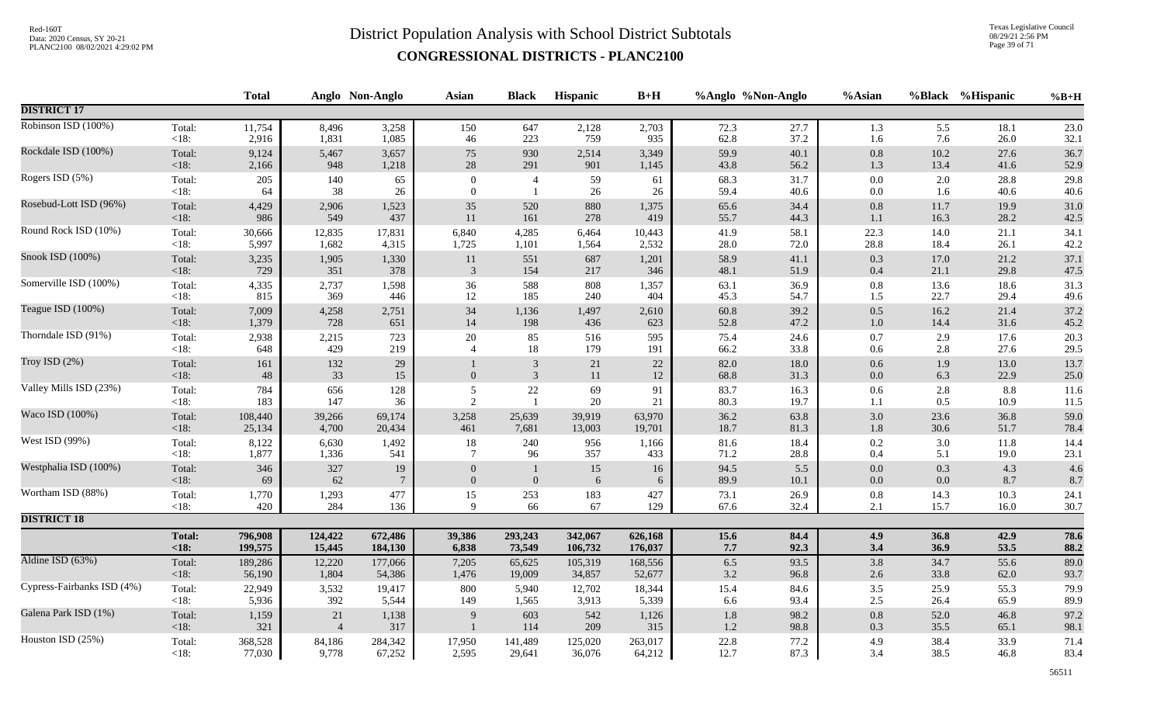Texas Legislative Council 08/29/21 2:56 PM Page 39 of 71

|                            |                | <b>Total</b> |                      | Anglo Non-Anglo       | <b>Asian</b>                   | <b>Black</b>                     | Hispanic   | $B+H$        |              | %Anglo %Non-Anglo | %Asian             |              | %Black %Hispanic | $%B+H$       |
|----------------------------|----------------|--------------|----------------------|-----------------------|--------------------------------|----------------------------------|------------|--------------|--------------|-------------------|--------------------|--------------|------------------|--------------|
| <b>DISTRICT 17</b>         |                |              |                      |                       |                                |                                  |            |              |              |                   |                    |              |                  |              |
| Robinson ISD (100%)        | Total:         | 11,754       | 8,496                | 3,258                 | 150                            | 647                              | 2,128      | 2,703        | 72.3         | 27.7              | 1.3                | 5.5          | 18.1             | 23.0         |
|                            | $<18$ :        | 2,916        | 1,831                | 1,085                 | 46                             | 223                              | 759        | 935          | 62.8         | 37.2              | 1.6                | 7.6          | 26.0             | 32.1         |
| Rockdale ISD (100%)        | Total:         | 9,124        | 5,467                | 3,657                 | $75\,$                         | 930                              | 2,514      | 3,349        | 59.9         | 40.1              | $0.8\,$            | 10.2         | 27.6             | 36.7         |
|                            | <18:           | 2,166        | 948                  | 1,218                 | $28\,$                         | 291                              | 901        | 1,145        | 43.8         | 56.2              | 1.3                | 13.4         | 41.6             | 52.9         |
| Rogers ISD (5%)            | Total:         | 205          | 140                  | 65                    | $\Omega$                       | $\overline{4}$                   | 59         | 61           | 68.3         | 31.7              | $0.0\,$            | 2.0          | 28.8             | 29.8         |
|                            | <18:           | 64           | 38                   | 26                    | $\overline{0}$                 | -1                               | 26         | 26           | 59.4         | 40.6              | $0.0\,$            | 1.6          | 40.6             | 40.6         |
| Rosebud-Lott ISD (96%)     | Total:         | 4,429        | 2,906                | 1,523                 | $35\,$                         | 520                              | 880        | 1,375        | 65.6         | 34.4              | $\rm 0.8$          | 11.7         | 19.9             | 31.0         |
|                            | $<18$ :        | 986          | 549                  | 437                   | 11                             | 161                              | 278        | 419          | 55.7         | 44.3              | $1.1\,$            | 16.3         | 28.2             | 42.5         |
| Round Rock ISD (10%)       | Total:         | 30,666       | 12,835               | 17,831                | 6,840                          | 4,285                            | 6,464      | 10,443       | 41.9         | 58.1              | 22.3               | 14.0         | 21.1             | 34.1         |
|                            | $<18$ :        | 5,997        | 1,682                | 4,315                 | 1,725                          | 1,101                            | 1,564      | 2,532        | 28.0         | 72.0              | 28.8               | 18.4         | 26.1             | 42.2         |
| Snook ISD (100%)           | Total:         | 3,235        | 1,905                | 1,330                 | 11                             | 551                              | 687        | 1,201        | 58.9         | 41.1              | 0.3                | 17.0         | 21.2             | 37.1         |
|                            | <18:           | 729          | 351                  | 378                   | $\mathbf{3}$                   | 154                              | 217        | 346          | 48.1         | 51.9              | $0.4\,$            | 21.1         | 29.8             | 47.5         |
| Somerville ISD (100%)      | Total:         | 4,335        | 2,737                | 1,598                 | 36                             | 588                              | 808        | 1,357        | 63.1         | 36.9              | $0.8\,$            | 13.6         | 18.6             | 31.3         |
|                            | <18:           | 815          | 369                  | 446                   | 12                             | 185                              | 240        | 404          | 45.3         | 54.7              | 1.5                | 22.7         | 29.4             | 49.6         |
| Teague ISD (100%)          | Total:         | 7,009        | 4,258                | 2,751                 | 34                             | 1,136                            | 1,497      | 2,610        | 60.8         | 39.2              | $0.5\,$            | 16.2         | 21.4             | 37.2         |
|                            | $<18$ :        | 1,379        | 728                  | 651                   | 14                             | 198                              | 436        | 623          | 52.8         | 47.2              | $1.0\,$            | 14.4         | 31.6             | 45.2         |
| Thorndale ISD (91%)        | Total:         | 2,938        | 2,215                | 723                   | $20\,$                         | 85                               | 516        | 595          | 75.4         | 24.6              | $0.7\,$            | 2.9          | 17.6             | 20.3         |
|                            | $<18$ :        | 648          | 429                  | 219                   | $\overline{4}$                 | $18\,$                           | 179        | 191          | 66.2         | 33.8              | $0.6\,$            | 2.8          | 27.6             | 29.5         |
| Troy ISD $(2%)$            | Total:<br><18: | 161<br>48    | 132<br>33            | 29<br>15              | $\overline{0}$                 | $\mathfrak{Z}$<br>$\mathfrak{Z}$ | 21<br>11   | $22\,$<br>12 | 82.0<br>68.8 | 18.0<br>31.3      | 0.6<br>$0.0\,$     | 1.9<br>6.3   | 13.0<br>22.9     | 13.7<br>25.0 |
| Valley Mills ISD (23%)     | Total:         | 784          | 656                  | 128                   | 5                              | $22\,$                           | 69         | 91           | 83.7         | 16.3              | $0.6\,$            | 2.8          | 8.8              | 11.6         |
|                            | $<18$ :        | 183          | 147                  | 36                    | $\overline{2}$                 | $\overline{1}$                   | 20         | 21           | 80.3         | 19.7              | 1.1                | 0.5          | 10.9             | 11.5         |
| Waco ISD (100%)            | Total:         | 108,440      | 39,266               | 69,174                | 3,258                          | 25,639                           | 39,919     | 63,970       | 36.2         | 63.8              | 3.0                | 23.6         | 36.8             | 59.0         |
|                            | <18:           | 25,134       | 4,700                | 20,434                | 461                            | 7,681                            | 13,003     | 19,701       | 18.7         | 81.3              | $1.8\,$            | 30.6         | 51.7             | 78.4         |
| West ISD (99%)             | Total:         | 8,122        | 6,630                | 1,492                 | $18\,$                         | 240                              | 956        | 1,166        | 81.6         | 18.4              | 0.2                | 3.0          | 11.8             | 14.4         |
|                            | $<18$ :        | 1,877        | 1,336                | 541                   | $7\phantom{.0}$                | 96                               | 357        | 433          | 71.2         | 28.8              | $0.4\,$            | 5.1          | 19.0             | 23.1         |
| Westphalia ISD (100%)      | Total:<br><18: | 346<br>69    | 327<br>62            | 19<br>$7\phantom{.0}$ | $\overline{0}$<br>$\mathbf{0}$ | $\mathbf{0}$                     | 15<br>6    | 16<br>6      | 94.5<br>89.9 | 5.5<br>10.1       | $0.0\,$<br>$0.0\,$ | 0.3<br>0.0   | 4.3<br>8.7       | 4.6<br>8.7   |
| Wortham ISD (88%)          | Total:         | 1,770        | 1,293                | 477                   | 15                             | 253                              | 183        | 427          | 73.1         | 26.9              | $0.8\,$            | 14.3         | 10.3             | 24.1         |
|                            | $<18$ :        | 420          | 284                  | 136                   | 9                              | 66                               | 67         | 129          | 67.6         | 32.4              | 2.1                | 15.7         | 16.0             | 30.7         |
| <b>DISTRICT 18</b>         |                |              |                      |                       |                                |                                  |            |              |              |                   |                    |              |                  |              |
|                            | <b>Total:</b>  | 796,908      | 124,422              | 672,486               | 39,386                         | 293,243                          | 342,067    | 626,168      | 15.6         | 84.4              | 4.9                | 36.8         | 42.9             | 78.6         |
|                            | < 18:          | 199,575      | 15,445               | 184,130               | 6,838                          | 73,549                           | 106,732    | 176,037      | $7.7\,$      | 92.3              | 3.4                | 36.9         | 53.5             | 88.2         |
| Aldine ISD (63%)           | Total:         | 189,286      | 12,220               | 177,066               | 7,205                          | 65,625                           | 105,319    | 168,556      | 6.5          | 93.5              | 3.8                | 34.7         | 55.6             | 89.0         |
|                            | <18:           | 56,190       | 1,804                | 54,386                | 1,476                          | 19,009                           | 34,857     | 52,677       | $3.2\,$      | 96.8              | $2.6\,$            | 33.8         | 62.0             | 93.7         |
| Cypress-Fairbanks ISD (4%) | Total:         | 22,949       | 3,532                | 19,417                | 800                            | 5,940                            | 12,702     | 18,344       | 15.4         | 84.6              | $3.5$              | 25.9         | 55.3             | 79.9         |
|                            | < 18:          | 5,936        | 392                  | 5,544                 | 149                            | 1,565                            | 3,913      | 5,339        | 6.6          | 93.4              | $2.5\,$            | 26.4         | 65.9             | 89.9         |
| Galena Park ISD (1%)       | Total:<br><18: | 1,159<br>321 | 21<br>$\overline{4}$ | 1,138<br>317          | 9                              | 603<br>114                       | 542<br>209 | 1,126<br>315 | 1.8<br>1.2   | 98.2<br>98.8      | $0.8\,$<br>$0.3\,$ | 52.0<br>35.5 | 46.8<br>65.1     | 97.2<br>98.1 |
| Houston ISD (25%)          | Total:         | 368,528      | 84,186               | 284,342               | 17,950                         | 141,489                          | 125,020    | 263,017      | 22.8         | 77.2              | 4.9                | 38.4         | 33.9             | 71.4         |
|                            | < 18:          | 77,030       | 9,778                | 67,252                | 2,595                          | 29,641                           | 36,076     | 64,212       | 12.7         | 87.3              | 3.4                | 38.5         | 46.8             | 83.4         |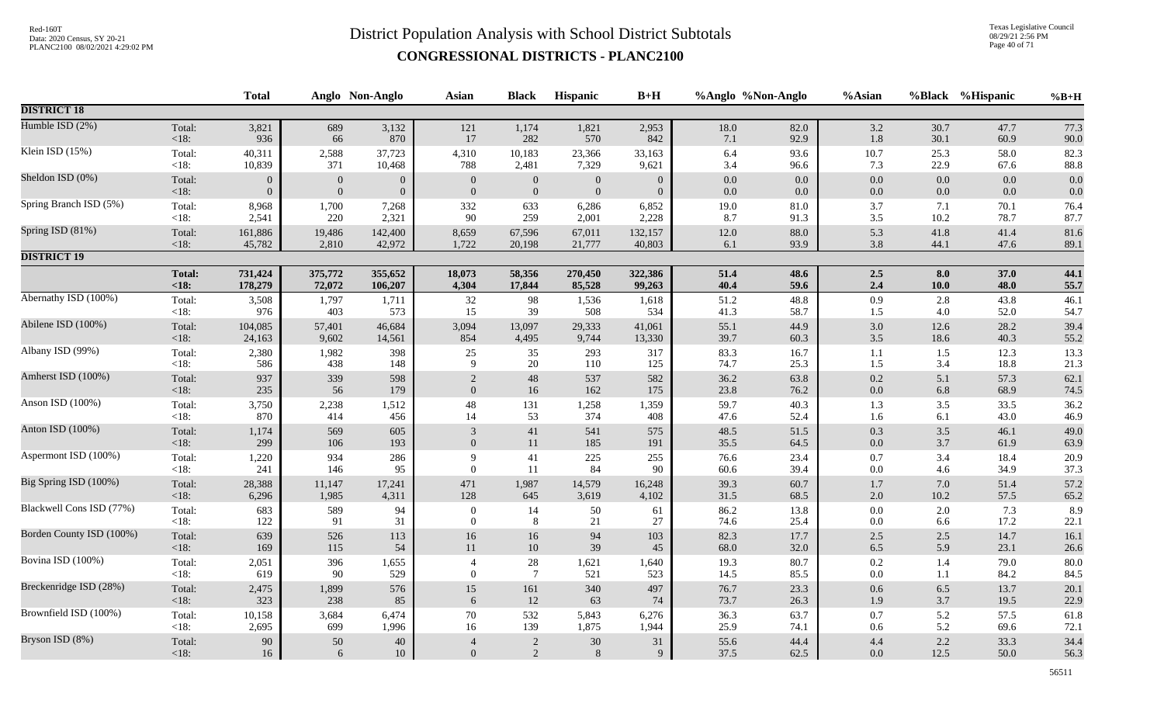Texas Legislative Council 08/29/21 2:56 PM Page 40 of 71

|                          |                   | <b>Total</b>   |                  | Anglo Non-Anglo  | <b>Asian</b>     | <b>Black</b>          | Hispanic       | $B+H$          |              | %Anglo %Non-Anglo | %Asian             |             | %Black %Hispanic | $%B+H$       |
|--------------------------|-------------------|----------------|------------------|------------------|------------------|-----------------------|----------------|----------------|--------------|-------------------|--------------------|-------------|------------------|--------------|
| <b>DISTRICT 18</b>       |                   |                |                  |                  |                  |                       |                |                |              |                   |                    |             |                  |              |
| Humble ISD (2%)          | Total:            | 3,821          | 689              | 3,132            | 121              | 1,174                 | 1,821          | 2,953          | $18.0\,$     | 82.0              | $3.2\,$            | 30.7        | 47.7             | 77.3         |
|                          | $<18$ :           | 936            | 66               | 870              | 17               | 282                   | 570            | 842            | 7.1          | 92.9              | 1.8                | 30.1        | 60.9             | 90.0         |
| Klein ISD (15%)          | Total:            | 40,311         | 2,588            | 37,723           | 4,310            | 10,183                | 23,366         | 33,163         | 6.4          | 93.6              | 10.7               | 25.3        | 58.0             | 82.3         |
|                          | < 18:             | 10,839         | 371              | 10,468           | 788              | 2,481                 | 7,329          | 9,621          | 3.4          | 96.6              | 7.3                | 22.9        | 67.6             | 88.8         |
| Sheldon ISD (0%)         | Total:            | $\overline{0}$ | $\boldsymbol{0}$ | $\boldsymbol{0}$ | $\overline{0}$   | $\mathbf{0}$          | $\overline{0}$ | $\overline{0}$ | $0.0\,$      | $0.0\,$           | $0.0\,$            | 0.0         | 0.0              | 0.0          |
|                          | < 18:             | $\Omega$       | $\mathbf{0}$     | $\overline{0}$   | $\overline{0}$   | $\boldsymbol{0}$      | $\mathbf{0}$   | $\overline{0}$ | $0.0\,$      | 0.0               | $0.0\,$            | 0.0         | 0.0              | 0.0          |
| Spring Branch ISD (5%)   | Total:<br>< 18:   | 8,968<br>2,541 | 1,700<br>220     | 7,268<br>2,321   | 332<br>90        | 633<br>259            | 6,286<br>2,001 | 6,852<br>2,228 | 19.0<br>8.7  | $81.0\,$<br>91.3  | 3.7<br>3.5         | 7.1<br>10.2 | 70.1<br>78.7     | 76.4<br>87.7 |
| Spring ISD (81%)         | Total:            | 161,886        | 19,486           | 142,400          | 8,659            | 67,596                | 67,011         | 132,157        | $12.0\,$     | 88.0              | 5.3                | 41.8        | 41.4             | 81.6         |
|                          | <18:              | 45,782         | 2,810            | 42,972           | 1,722            | 20,198                | 21,777         | 40,803         | $6.1\,$      | 93.9              | 3.8                | 44.1        | 47.6             | 89.1         |
| <b>DISTRICT 19</b>       |                   |                |                  |                  |                  |                       |                |                |              |                   |                    |             |                  |              |
|                          | <b>Total:</b>     | 731,424        | 375,772          | 355,652          | 18,073           | 58,356                | 270,450        | 322,386        | 51.4         | 48.6              | $2.5\,$            | 8.0         | 37.0             | 44.1         |
|                          | < 18:             | 178,279        | 72,072           | 106,207          | 4,304            | 17,844                | 85,528         | 99,263         | 40.4         | 59.6              | 2.4                | $10.0$      | 48.0             | 55.7         |
| Abernathy ISD (100%)     | Total:            | 3,508          | 1,797            | 1,711            | $32\,$           | 98                    | 1,536          | 1,618          | 51.2         | 48.8              | $0.9\,$            | 2.8         | 43.8             | 46.1         |
|                          | <18:              | 976            | 403              | 573              | 15               | 39                    | 508            | 534            | 41.3         | 58.7              | $1.5\,$            | 4.0         | 52.0             | 54.7         |
| Abilene ISD (100%)       | Total:            | 104,085        | 57,401           | 46,684           | 3,094            | 13,097                | 29,333         | 41,061         | 55.1         | 44.9              | $3.0\,$            | 12.6        | 28.2             | 39.4         |
|                          | <18:              | 24,163         | 9,602            | 14,561           | 854              | 4,495                 | 9,744          | 13,330         | 39.7         | 60.3              | $3.5\,$            | 18.6        | 40.3             | 55.2         |
| Albany ISD (99%)         | Total:            | 2,380          | 1,982            | 398              | 25               | 35                    | 293            | 317            | 83.3         | 16.7              | 1.1                | 1.5         | 12.3             | 13.3         |
|                          | <18:              | 586            | 438              | 148              | 9                | 20                    | 110            | 125            | 74.7         | 25.3              | 1.5                | 3.4         | 18.8             | 21.3         |
| Amherst ISD (100%)       | Total:            | 937            | 339              | 598              | 2                | 48                    | 537            | 582            | 36.2         | 63.8              | $0.2\,$            | 5.1         | 57.3             | 62.1         |
|                          | <18:              | 235            | 56               | 179              | $\overline{0}$   | 16                    | 162            | 175            | 23.8         | 76.2              | $0.0\,$            | 6.8         | 68.9             | 74.5         |
| Anson ISD (100%)         | Total:            | 3,750          | 2,238            | 1,512            | $\sqrt{48}$      | 131                   | 1,258          | 1,359          | 59.7         | 40.3              | 1.3                | 3.5         | 33.5             | 36.2         |
|                          | $<18$ :           | 870            | 414              | 456              | 14               | 53                    | 374            | 408            | 47.6         | 52.4              | 1.6                | 6.1         | 43.0             | 46.9         |
| Anton ISD (100%)         | Total:            | 1,174          | 569              | 605              | $\mathfrak{Z}$   | 41                    | 541            | 575            | 48.5         | 51.5              | $0.3\,$            | 3.5         | 46.1             | 49.0         |
|                          | <18:              | 299            | 106              | 193              | $\overline{0}$   | $11\,$                | 185            | 191            | 35.5         | 64.5              | $0.0\,$            | 3.7         | 61.9             | 63.9         |
| Aspermont ISD (100%)     | Total:            | 1,220          | 934              | 286              | 9                | 41                    | 225            | 255            | 76.6         | 23.4              | $0.7\,$            | 3.4         | 18.4             | 20.9         |
|                          | $<18$ :           | 241            | 146              | 95               | $\theta$         | 11                    | 84             | 90             | $60.6\,$     | 39.4              | 0.0                | 4.6         | 34.9             | 37.3         |
| Big Spring ISD (100%)    | Total:            | 28,388         | 11,147           | 17,241           | 471              | 1,987                 | 14,579         | 16,248         | 39.3         | 60.7              | $1.7\,$            | 7.0         | 51.4             | 57.2         |
|                          | $<18$ :           | 6,296          | 1,985            | 4,311            | 128              | 645                   | 3,619          | 4,102          | $31.5\,$     | 68.5              | $2.0\,$            | $10.2\,$    | 57.5             | 65.2         |
| Blackwell Cons ISD (77%) | Total:            | 683            | 589              | 94               | $\boldsymbol{0}$ | 14                    | 50             | 61             | 86.2         | 13.8              | $0.0\,$            | 2.0         | 7.3              | 8.9          |
|                          | $<18$ :           | 122            | 91               | 31               | $\overline{0}$   | 8                     | 21             | 27             | 74.6         | 25.4              | $0.0\,$            | 6.6         | 17.2             | 22.1         |
| Borden County ISD (100%) | Total:            | 639            | 526              | 113              | $16\,$           | 16                    | 94             | 103            | 82.3         | 17.7              | $2.5\,$            | 2.5         | 14.7             | 16.1         |
|                          | < 18:             | 169            | 115              | 54               | $11\,$           | $10\,$                | 39             | 45             | 68.0         | 32.0              | 6.5                | 5.9         | 23.1             | 26.6         |
| Bovina ISD (100%)        | Total:<br>$<18$ : | 2,051<br>619   | 396<br>90        | 1,655<br>529     | $\overline{0}$   | 28<br>$7\phantom{.0}$ | 1,621<br>521   | 1,640<br>523   | 19.3<br>14.5 | 80.7<br>85.5      | $0.2\,$<br>$0.0\,$ | 1.4<br>1.1  | 79.0<br>84.2     | 80.0<br>84.5 |
| Breckenridge ISD (28%)   | Total:            | 2,475          | 1,899            | 576              | 15               | $161\,$               | 340            | 497            | 76.7         | 23.3              | $0.6\,$            | 6.5         | 13.7             | 20.1         |
|                          | <18:              | 323            | 238              | 85               | 6                | 12                    | 63             | 74             | 73.7         | 26.3              | 1.9                | 3.7         | 19.5             | 22.9         |
| Brownfield ISD (100%)    | Total:            | 10,158         | 3,684            | 6,474            | $70\,$           | 532                   | 5,843          | 6,276          | 36.3         | 63.7              | 0.7                | 5.2         | 57.5             | 61.8         |
|                          | <18:              | 2,695          | 699              | 1,996            | 16               | 139                   | 1,875          | 1,944          | 25.9         | 74.1              | 0.6                | 5.2         | 69.6             | 72.1         |
| Bryson ISD (8%)          | Total:            | 90             | $50\,$           | $40\,$           | $\overline{4}$   | $\sqrt{2}$            | 30             | 31             | 55.6         | 44.4              | 4.4                | 2.2         | 33.3             | 34.4         |
|                          | <18:              | 16             | $\sqrt{6}$       | 10               | $\mathbf{0}$     | $\sqrt{2}$            | 8              | 9              | 37.5         | 62.5              | $0.0\,$            | 12.5        | 50.0             | 56.3         |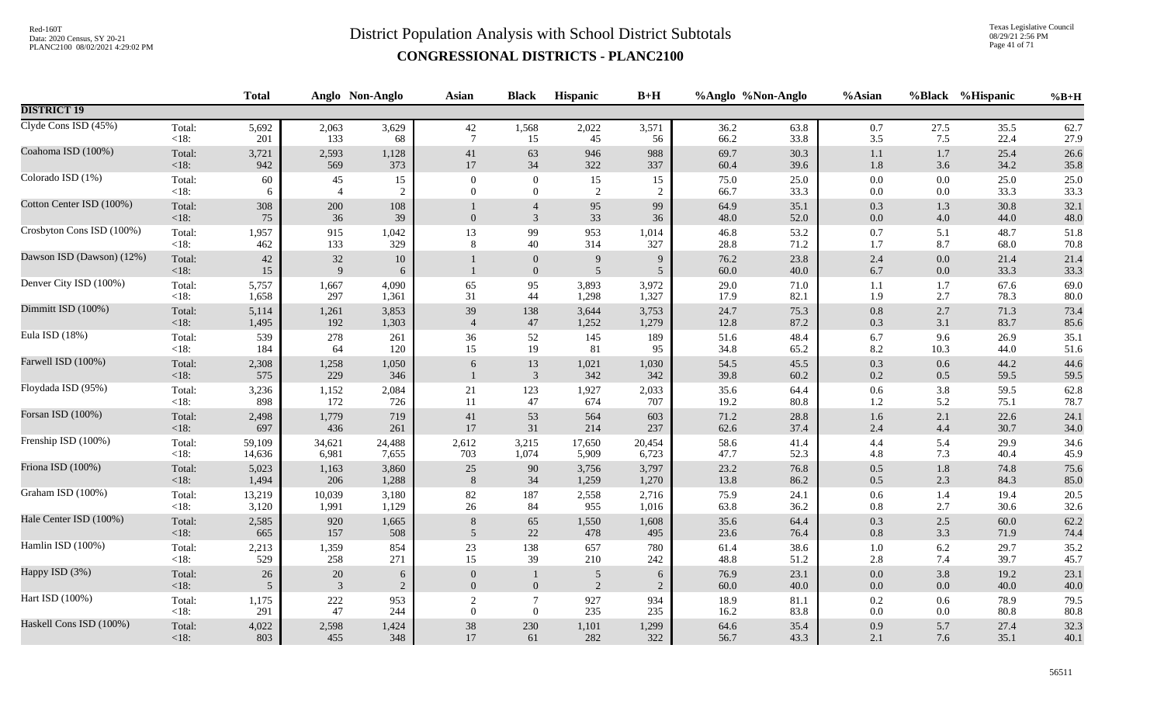Texas Legislative Council 08/29/21 2:56 PM Page 41 of 71

|                           |                 | <b>Total</b> |                          | Anglo Non-Anglo | <b>Asian</b>     | <b>Black</b>                     | <b>Hispanic</b>     | $B+H$               | %Anglo %Non-Anglo |              | %Asian         | <b>%Black</b>      | %Hispanic    | $%B+H$       |
|---------------------------|-----------------|--------------|--------------------------|-----------------|------------------|----------------------------------|---------------------|---------------------|-------------------|--------------|----------------|--------------------|--------------|--------------|
| <b>DISTRICT 19</b>        |                 |              |                          |                 |                  |                                  |                     |                     |                   |              |                |                    |              |              |
| Clyde Cons ISD (45%)      | Total:          | 5,692        | 2,063                    | 3,629           | 42               | 1,568                            | 2,022               | 3,571               | 36.2              | 63.8         | $0.7\,$        | 27.5               | 35.5         | 62.7         |
|                           | $<18$ :         | 201          | 133                      | 68              | $7\phantom{.0}$  | 15                               | 45                  | 56                  | 66.2              | 33.8         | 3.5            | 7.5                | 22.4         | 27.9         |
| Coahoma ISD (100%)        | Total:          | 3,721        | 2,593                    | 1,128           | 41               | 63                               | 946                 | 988                 | 69.7              | 30.3         | 1.1            | 1.7                | 25.4         | 26.6         |
|                           | <18:            | 942          | 569                      | 373             | 17               | 34                               | 322                 | 337                 | 60.4              | 39.6         | $1.8\,$        | 3.6                | 34.2         | 35.8         |
| Colorado ISD (1%)         | Total:          | 60           | 45                       | 15              | $\overline{0}$   | $\overline{0}$                   | 15                  | 15                  | 75.0              | 25.0         | $0.0\,$        | 0.0                | 25.0         | 25.0         |
|                           | $<18$ :         | -6           | $\overline{4}$           | $\overline{2}$  | $\theta$         | $\overline{0}$                   | 2                   | $\overline{2}$      | 66.7              | 33.3         | 0.0            | $0.0\,$            | 33.3         | 33.3         |
| Cotton Center ISD (100%)  | Total:<br><18:  | 308<br>75    | 200<br>36                | 108<br>39       | $\Omega$         | $\overline{4}$<br>3              | 95<br>33            | 99<br>36            | 64.9<br>48.0      | 35.1<br>52.0 | 0.3<br>$0.0\,$ | 1.3<br>4.0         | 30.8<br>44.0 | 32.1<br>48.0 |
| Crosbyton Cons ISD (100%) | Total:          | 1,957        | 915                      | 1,042           | 13               | 99                               | 953                 | 1,014               | 46.8              | 53.2         | 0.7            | 5.1                | 48.7         | 51.8         |
|                           | $<18$ :         | 462          | 133                      | 329             | 8                | 40                               | 314                 | 327                 | 28.8              | 71.2         | 1.7            | 8.7                | 68.0         | 70.8         |
| Dawson ISD (Dawson) (12%) | Total:<br>< 18: | 42<br>$15\,$ | $32\,$<br>$\overline{9}$ | $10\,$<br>6     |                  | $\boldsymbol{0}$<br>$\mathbf{0}$ | 9<br>$\overline{5}$ | 9<br>$\mathfrak{S}$ | 76.2<br>$60.0\,$  | 23.8<br>40.0 | 2.4<br>6.7     | $0.0\,$<br>$0.0\,$ | 21.4<br>33.3 | 21.4<br>33.3 |
| Denver City ISD (100%)    | Total:          | 5,757        | 1,667                    | 4,090           | 65               | 95                               | 3,893               | 3,972               | 29.0              | 71.0         | $1.1\,$        | 1.7                | 67.6         | 69.0         |
|                           | $<18$ :         | 1,658        | 297                      | 1,361           | 31               | 44                               | 1,298               | 1,327               | 17.9              | 82.1         | 1.9            | 2.7                | 78.3         | 80.0         |
| Dimmitt ISD (100%)        | Total:          | 5,114        | 1,261                    | 3,853           | 39               | 138                              | 3,644               | 3,753               | 24.7              | 75.3         | 0.8            | 2.7                | 71.3         | 73.4         |
|                           | <18:            | 1,495        | 192                      | 1,303           | $\overline{4}$   | 47                               | 1,252               | 1,279               | 12.8              | 87.2         | $0.3\,$        | 3.1                | 83.7         | 85.6         |
| Eula ISD (18%)            | Total:          | 539          | 278                      | 261             | 36               | 52                               | 145                 | 189                 | 51.6              | 48.4         | 6.7            | 9.6                | 26.9         | 35.1         |
|                           | $<18$ :         | 184          | 64                       | 120             | 15               | 19                               | 81                  | 95                  | 34.8              | 65.2         | 8.2            | 10.3               | 44.0         | 51.6         |
| Farwell ISD (100%)        | Total:<br><18:  | 2,308<br>575 | 1,258<br>229             | 1,050<br>346    | 6                | 13<br>$\mathfrak{Z}$             | 1,021<br>342        | 1,030<br>342        | 54.5<br>39.8      | 45.5<br>60.2 | 0.3<br>$0.2\,$ | 0.6<br>0.5         | 44.2<br>59.5 | 44.6<br>59.5 |
| Floydada ISD (95%)        | Total:          | 3,236        | 1,152                    | 2,084           | 21               | 123                              | 1,927               | 2,033               | 35.6              | 64.4         | $0.6\,$        | 3.8                | 59.5         | 62.8         |
|                           | $<18$ :         | 898          | 172                      | 726             | 11               | 47                               | 674                 | 707                 | 19.2              | 80.8         | 1.2            | 5.2                | 75.1         | 78.7         |
| Forsan ISD (100%)         | Total:          | 2,498        | 1,779                    | 719             | 41               | 53                               | 564                 | 603                 | 71.2              | 28.8         | $1.6\,$        | 2.1                | 22.6         | 24.1         |
|                           | <18:            | 697          | 436                      | 261             | 17               | 31                               | 214                 | 237                 | 62.6              | 37.4         | 2.4            | 4.4                | 30.7         | 34.0         |
| Frenship ISD (100%)       | Total:          | 59,109       | 34,621                   | 24,488          | 2,612            | 3,215                            | 17,650              | 20,454              | 58.6              | 41.4         | 4.4            | 5.4                | 29.9         | 34.6         |
|                           | $<18$ :         | 14,636       | 6,981                    | 7,655           | 703              | 1,074                            | 5,909               | 6,723               | 47.7              | 52.3         | 4.8            | 7.3                | 40.4         | 45.9         |
| Friona ISD (100%)         | Total:          | 5,023        | 1,163                    | 3,860           | 25               | $90\,$                           | 3,756               | 3,797               | 23.2              | 76.8         | 0.5            | $1.8\,$            | 74.8         | 75.6         |
|                           | <18:            | 1,494        | 206                      | 1,288           | 8                | 34                               | 1,259               | 1,270               | 13.8              | 86.2         | 0.5            | 2.3                | 84.3         | 85.0         |
| Graham ISD (100%)         | Total:          | 13,219       | 10,039                   | 3,180           | 82               | 187                              | 2,558               | 2,716               | 75.9              | 24.1         | $0.6\,$        | 1.4                | 19.4         | 20.5         |
|                           | $<18$ :         | 3,120        | 1,991                    | 1,129           | $26\,$           | 84                               | 955                 | 1,016               | 63.8              | 36.2         | 0.8            | 2.7                | 30.6         | 32.6         |
| Hale Center ISD (100%)    | Total:          | 2,585        | 920                      | 1,665           | 8                | 65                               | 1,550               | 1,608               | 35.6              | 64.4         | 0.3            | 2.5                | 60.0         | 62.2         |
|                           | <18:            | 665          | 157                      | 508             | 5                | $22\,$                           | 478                 | 495                 | 23.6              | 76.4         | $0.8\,$        | 3.3                | 71.9         | 74.4         |
| Hamlin ISD (100%)         | Total:          | 2,213        | 1,359                    | 854             | $23\,$           | 138                              | 657                 | 780                 | 61.4              | 38.6         | $1.0\,$        | 6.2                | 29.7         | 35.2         |
|                           | <18:            | 529          | 258                      | 271             | 15               | 39                               | 210                 | 242                 | 48.8              | 51.2         | $2.8\,$        | 7.4                | 39.7         | 45.7         |
| Happy ISD (3%)            | Total:          | $26\,$       | $20\,$                   | 6               | $\overline{0}$   | $\mathbf{1}$                     | 5                   | 6                   | 76.9              | 23.1         | $0.0\,$        | 3.8                | 19.2         | 23.1         |
|                           | $<18$ :         | 5            | 3                        | $\overline{c}$  | $\Omega$         | $\overline{0}$                   | $\overline{2}$      | $\overline{2}$      | 60.0              | 40.0         | $0.0\,$        | 0.0                | 40.0         | 40.0         |
| Hart ISD (100%)           | Total:          | 1,175        | $222\,$                  | 953             | $\boldsymbol{2}$ | $\overline{7}$                   | 927                 | 934                 | 18.9              | $81.1\,$     | $0.2\,$        | 0.6                | 78.9         | 79.5         |
|                           | $<18$ :         | 291          | 47                       | 244             | $\overline{0}$   | $\mathbf{0}$                     | 235                 | 235                 | 16.2              | 83.8         | 0.0            | $0.0\,$            | 80.8         | 80.8         |
| Haskell Cons ISD (100%)   | Total:          | 4,022        | 2,598                    | 1,424           | $38\,$           | $230\,$                          | 1,101               | 1,299               | 64.6              | 35.4         | 0.9            | 5.7                | 27.4         | 32.3         |
|                           | $<18$ :         | 803          | 455                      | 348             | 17               | 61                               | 282                 | 322                 | 56.7              | 43.3         | 2.1            | 7.6                | 35.1         | 40.1         |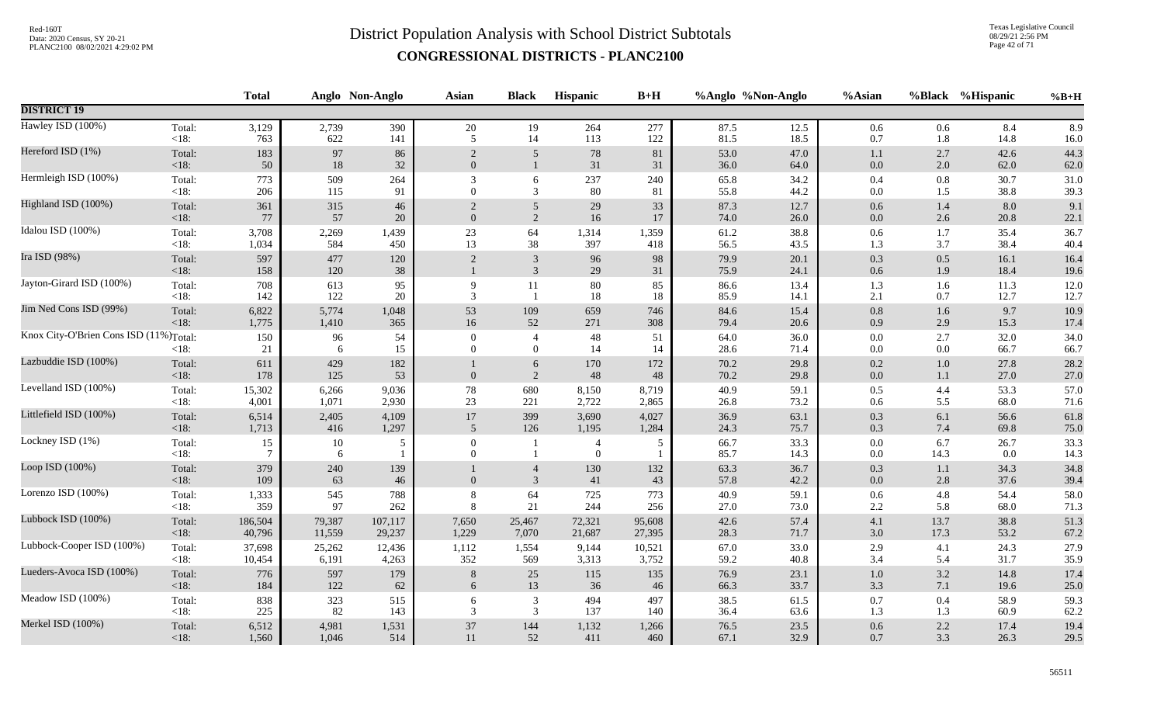Texas Legislative Council 08/29/21 2:56 PM Page 42 of 71

|                                        |                   | <b>Total</b> |                | Anglo Non-Anglo | <b>Asian</b>             | <b>Black</b>                     | Hispanic                         | $B+H$     |              | %Anglo %Non-Anglo | %Asian             |             | %Black %Hispanic | $%B+H$       |
|----------------------------------------|-------------------|--------------|----------------|-----------------|--------------------------|----------------------------------|----------------------------------|-----------|--------------|-------------------|--------------------|-------------|------------------|--------------|
| <b>DISTRICT 19</b>                     |                   |              |                |                 |                          |                                  |                                  |           |              |                   |                    |             |                  |              |
| Hawley ISD (100%)                      | Total:            | 3,129        | 2,739          | 390             | $20\,$                   | 19                               | 264                              | 277       | 87.5         | 12.5              | 0.6                | 0.6         | 8.4              | 8.9          |
|                                        | $<18$ :           | 763          | 622            | 141             | 5                        | 14                               | 113                              | 122       | 81.5         | 18.5              | $0.7\,$            | 1.8         | 14.8             | 16.0         |
| Hereford ISD (1%)                      | Total:            | 183          | 97             | 86              | $\overline{2}$           | 5                                | 78                               | 81        | 53.0         | 47.0              | 1.1                | 2.7         | 42.6             | 44.3         |
|                                        | <18:              | 50           | 18             | 32              | $\overline{0}$           | $\mathbf{1}$                     | 31                               | 31        | 36.0         | 64.0              | $0.0\,$            | 2.0         | 62.0             | 62.0         |
| Hermleigh ISD (100%)                   | Total:            | 773          | 509            | 264             | 3                        | 6                                | 237                              | 240       | 65.8         | 34.2              | 0.4                | 0.8         | 30.7             | 31.0         |
|                                        | $<18$ :           | 206          | 115            | 91              | $\theta$                 | 3                                | 80                               | 81        | 55.8         | 44.2              | $0.0\,$            | 1.5         | 38.8             | 39.3         |
| Highland ISD (100%)                    | Total:            | 361          | 315            | 46              | $\overline{2}$           | $\overline{5}$                   | 29                               | 33        | 87.3         | 12.7              | 0.6                | 1.4         | 8.0              | 9.1          |
|                                        | <18:              | 77           | 57             | 20              | $\overline{0}$           | 2                                | 16                               | 17        | 74.0         | 26.0              | $0.0\,$            | 2.6         | 20.8             | 22.1         |
| Idalou ISD (100%)                      | Total:            | 3,708        | 2,269          | 1,439           | $23\,$                   | 64                               | 1,314                            | 1,359     | 61.2         | 38.8              | 0.6                | 1.7         | 35.4             | 36.7         |
|                                        | $<18$ :           | 1,034        | 584            | 450             | 13                       | 38                               | 397                              | 418       | 56.5         | 43.5              | 1.3                | 3.7         | 38.4             | 40.4         |
| Ira ISD (98%)                          | Total:<br>$<18$ : | 597<br>158   | 477<br>$120\,$ | 120<br>38       | $\sqrt{2}$               | $\mathfrak{Z}$<br>$\overline{3}$ | 96<br>29                         | 98<br>31  | 79.9<br>75.9 | 20.1<br>24.1      | $0.3\,$<br>$0.6\,$ | 0.5<br>1.9  | 16.1<br>18.4     | 16.4<br>19.6 |
| Jayton-Girard ISD (100%)               | Total:<br><18:    | 708<br>142   | 613<br>122     | 95<br>20        | 9<br>3                   | 11                               | $80\,$<br>18                     | 85<br>18  | 86.6<br>85.9 | 13.4<br>14.1      | 1.3<br>2.1         | 1.6<br>0.7  | 11.3<br>12.7     | 12.0<br>12.7 |
| Jim Ned Cons ISD (99%)                 | Total:            | 6,822        | 5,774          | 1,048           | 53                       | 109                              | 659                              | 746       | 84.6         | 15.4              | $0.8\,$            | 1.6         | 9.7              | 10.9         |
|                                        | $<18$ :           | 1,775        | 1,410          | 365             | 16                       | 52                               | 271                              | 308       | 79.4         | 20.6              | $0.9\,$            | 2.9         | 15.3             | 17.4         |
| Knox City-O'Brien Cons ISD (11%)Total: | $<18$ :           | 150<br>21    | 96<br>6        | 54<br>15        | $\mathbf{0}$<br>$\Omega$ | $\overline{4}$<br>$\overline{0}$ | 48<br>14                         | 51<br>14  | 64.0<br>28.6 | 36.0<br>71.4      | $0.0\,$<br>$0.0\,$ | 2.7<br>0.0  | 32.0<br>66.7     | 34.0<br>66.7 |
| Lazbuddie ISD (100%)                   | Total:<br>$<18$ : | 611<br>178   | 429<br>125     | 182<br>53       | $\mathbf{0}$             | 6<br>2                           | 170<br>48                        | 172<br>48 | 70.2<br>70.2 | 29.8<br>29.8      | 0.2<br>$0.0\,$     | 1.0<br>1.1  | 27.8<br>27.0     | 28.2<br>27.0 |
| Levelland ISD (100%)                   | Total:            | 15,302       | 6,266          | 9,036           | 78                       | 680                              | 8,150                            | 8,719     | 40.9         | 59.1              | $0.5\,$            | 4.4         | 53.3             | 57.0         |
|                                        | $<18$ :           | 4,001        | 1,071          | 2,930           | 23                       | 221                              | 2,722                            | 2,865     | 26.8         | 73.2              | 0.6                | 5.5         | 68.0             | 71.6         |
| Littlefield ISD (100%)                 | Total:            | 6,514        | 2,405          | 4,109           | $17\,$                   | 399                              | 3,690                            | 4,027     | 36.9         | 63.1              | $0.3\,$            | 6.1         | 56.6             | 61.8         |
|                                        | $<18$ :           | 1,713        | 416            | 1,297           | 5                        | 126                              | 1,195                            | 1,284     | 24.3         | 75.7              | 0.3                | 7.4         | 69.8             | 75.0         |
| Lockney ISD (1%)                       | Total:<br>$<18$ : | 15           | 10<br>6        | 5               | $\mathbf{0}$<br>$\Omega$ |                                  | $\overline{4}$<br>$\overline{0}$ | 5         | 66.7<br>85.7 | 33.3<br>14.3      | $0.0\,$<br>$0.0\,$ | 6.7<br>14.3 | 26.7<br>0.0      | 33.3<br>14.3 |
| Loop ISD (100%)                        | Total:<br>$<18$ : | 379<br>109   | 240<br>63      | 139<br>46       | $\theta$                 | $\overline{4}$<br>$\overline{3}$ | 130<br>41                        | 132<br>43 | 63.3<br>57.8 | 36.7<br>42.2      | 0.3<br>$0.0\,$     | 1.1<br>2.8  | 34.3<br>37.6     | 34.8<br>39.4 |
| Lorenzo ISD (100%)                     | Total:            | 1,333        | 545            | 788             | 8                        | 64                               | 725                              | 773       | 40.9         | 59.1              | 0.6                | 4.8         | 54.4             | 58.0         |
|                                        | $<18$ :           | 359          | 97             | 262             | 8                        | 21                               | 244                              | 256       | 27.0         | 73.0              | $2.2\,$            | 5.8         | 68.0             | 71.3         |
| Lubbock ISD (100%)                     | Total:            | 186,504      | 79,387         | 107,117         | 7,650                    | 25,467                           | 72,321                           | 95,608    | 42.6         | 57.4              | 4.1                | 13.7        | 38.8             | 51.3         |
|                                        | $<18$ :           | 40,796       | 11,559         | 29,237          | 1,229                    | 7,070                            | 21,687                           | 27,395    | 28.3         | 71.7              | $3.0\,$            | 17.3        | 53.2             | 67.2         |
| Lubbock-Cooper ISD (100%)              | Total:            | 37,698       | 25,262         | 12,436          | 1,112                    | 1,554                            | 9,144                            | 10,521    | 67.0         | 33.0              | 2.9                | 4.1         | 24.3             | 27.9         |
|                                        | $<18$ :           | 10,454       | 6,191          | 4,263           | 352                      | 569                              | 3,313                            | 3,752     | 59.2         | 40.8              | 3.4                | 5.4         | 31.7             | 35.9         |
| Lueders-Avoca ISD (100%)               | Total:            | 776          | 597            | 179             | 8                        | $25\,$                           | 115                              | 135       | 76.9         | 23.1              | $1.0\,$            | 3.2         | 14.8             | 17.4         |
|                                        | $<18$ :           | 184          | 122            | 62              | 6                        | 13                               | 36                               | 46        | 66.3         | 33.7              | 3.3                | 7.1         | 19.6             | 25.0         |
| Meadow ISD (100%)                      | Total:            | 838          | 323            | 515             | 6                        | $\mathfrak{Z}$                   | 494                              | 497       | 38.5         | 61.5              | $0.7\,$            | 0.4         | 58.9             | 59.3         |
|                                        | $<18$ :           | 225          | 82             | 143             | 3                        | 3                                | 137                              | 140       | 36.4         | 63.6              | 1.3                | 1.3         | 60.9             | 62.2         |
| Merkel ISD (100%)                      | Total:            | 6,512        | 4,981          | 1,531           | $37\,$                   | 144                              | 1,132                            | 1,266     | 76.5         | 23.5              | $0.6\,$            | 2.2         | 17.4             | 19.4         |
|                                        | $<18$ :           | 1,560        | 1,046          | 514             | 11                       | 52                               | 411                              | 460       | 67.1         | 32.9              | 0.7                | 3.3         | 26.3             | 29.5         |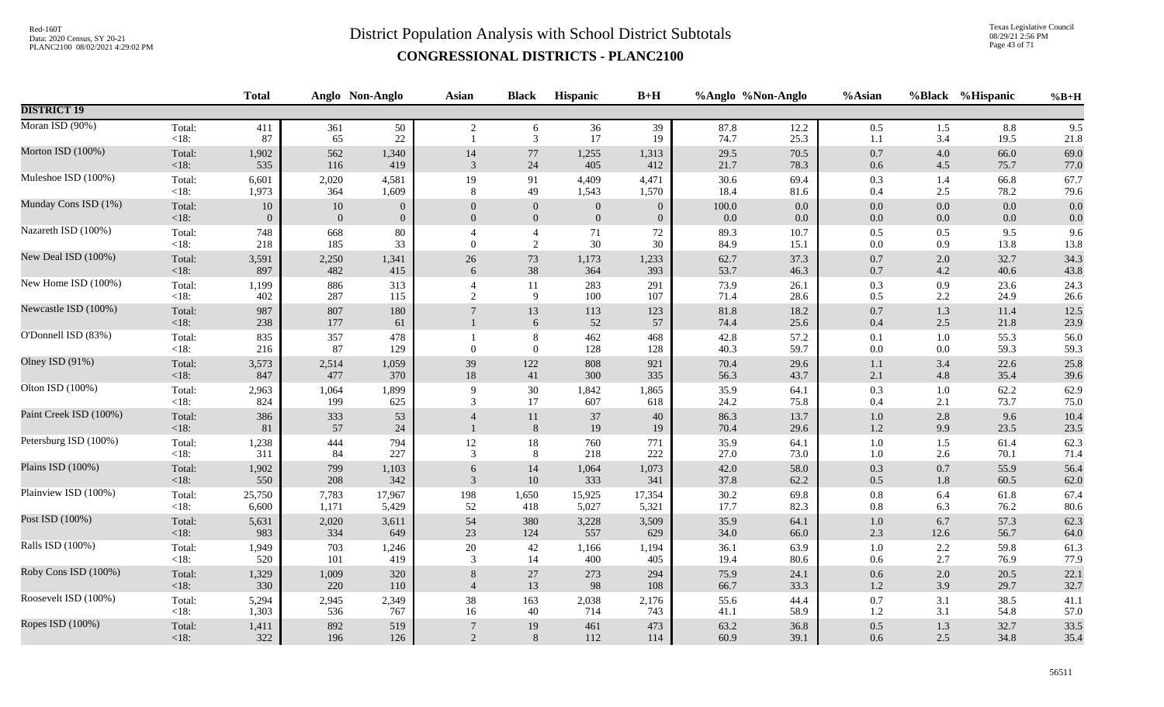Texas Legislative Council 08/29/21 2:56 PM Page 43 of 71

|                   | <b>Total</b>                                                   |                                                      |                                                          | Asian                                                                        | <b>Black</b>                | Hispanic                                                  | $B+H$                                           |                                                           |                                                     | %Asian                                                                   |                                                               |                                 | $%B+H$                                                                                                     |
|-------------------|----------------------------------------------------------------|------------------------------------------------------|----------------------------------------------------------|------------------------------------------------------------------------------|-----------------------------|-----------------------------------------------------------|-------------------------------------------------|-----------------------------------------------------------|-----------------------------------------------------|--------------------------------------------------------------------------|---------------------------------------------------------------|---------------------------------|------------------------------------------------------------------------------------------------------------|
|                   |                                                                |                                                      |                                                          |                                                                              |                             |                                                           |                                                 |                                                           |                                                     |                                                                          |                                                               |                                 |                                                                                                            |
| Total:<br><18:    | 411<br>87                                                      | 361<br>65                                            | 50<br>$22\,$                                             | $\overline{2}$                                                               | 6<br>$\mathfrak{Z}$         | 36<br>17                                                  | 39<br>19                                        | 87.8<br>74.7                                              | 12.2<br>25.3                                        | 0.5<br>$1.1\,$                                                           | 3.4                                                           | 8.8<br>19.5                     | 9.5<br>21.8                                                                                                |
| Total:            | 1,902                                                          | 562                                                  | 1,340                                                    | 14                                                                           | 77                          | 1,255                                                     | 1,313                                           | 29.5                                                      | 70.5                                                | $0.7\,$                                                                  | 4.0                                                           | 66.0                            | 69.0<br>77.0                                                                                               |
| Total:            | 6,601                                                          | 2,020                                                | 4,581                                                    | 19                                                                           | 91                          | 4,409                                                     | 4,471                                           | 30.6                                                      | 69.4                                                | 0.3                                                                      | 1.4                                                           | 66.8                            | 67.7<br>79.6                                                                                               |
| Total:            | $10\,$                                                         | $10\,$                                               | $\mathbf{0}$                                             | $\Omega$                                                                     | $\boldsymbol{0}$            | $\boldsymbol{0}$                                          | $\Omega$                                        | $100.0\,$                                                 | $0.0\,$                                             | $0.0\,$                                                                  | 0.0                                                           | 0.0                             | 0.0<br>0.0                                                                                                 |
| Total:            | 748                                                            | 668                                                  | $80\,$                                                   | $\theta$                                                                     | $\overline{4}$              | 71                                                        | $72\,$                                          | 89.3                                                      | 10.7                                                | $0.5\,$                                                                  | 0.5                                                           | 9.5                             | 9.6<br>13.8                                                                                                |
| Total:            | 3,591                                                          | 2,250                                                | 1,341                                                    | $26\,$                                                                       | 73                          | 1,173                                                     | 1,233                                           | 62.7                                                      | 37.3                                                | $0.7\,$                                                                  | 2.0                                                           | 32.7                            | 34.3<br>43.8                                                                                               |
| Total:            | 1,199                                                          | 886                                                  | 313                                                      | $\overline{4}$<br>$\overline{2}$                                             | 11<br>9                     | 283<br>100                                                | 291                                             | 73.9                                                      | 26.1                                                | 0.3                                                                      | 0.9                                                           | 23.6                            | 24.3<br>26.6                                                                                               |
| Total:            | 987                                                            | 807                                                  | 180<br>61                                                |                                                                              | 13                          | 113                                                       | 123<br>57                                       | 81.8                                                      | 18.2                                                | $0.7\,$                                                                  | 1.3                                                           | 11.4                            | 12.5<br>23.9                                                                                               |
| Total:<br>< 18:   | 835<br>216                                                     | 357<br>87                                            | 478<br>129                                               | $\theta$                                                                     | $\,8\,$<br>$\boldsymbol{0}$ | 462<br>128                                                | 468<br>128                                      | 42.8<br>40.3                                              | 57.2<br>59.7                                        | $0.1\,$<br>0.0                                                           | $1.0\,$<br>0.0                                                | 55.3<br>59.3                    | 56.0<br>59.3                                                                                               |
| Total:<br>$<18$ : | 3,573<br>847                                                   | 2,514<br>477                                         | 1,059<br>370                                             | 39<br>$18\,$                                                                 | 122<br>41                   | 808<br>300                                                | 921<br>335                                      | 70.4<br>56.3                                              | 29.6<br>43.7                                        | $1.1\,$<br>2.1                                                           | 3.4<br>4.8                                                    | 22.6<br>35.4                    | 25.8<br>39.6                                                                                               |
| Total:<br><18:    | 2,963<br>824                                                   | 1,064<br>199                                         | 1,899                                                    | 9<br>3                                                                       | 30<br>17                    | 1,842<br>607                                              | 1,865                                           | 35.9<br>24.2                                              | 64.1<br>75.8                                        | 0.3<br>0.4                                                               | 1.0<br>2.1                                                    | 62.2<br>73.7                    | 62.9<br>75.0                                                                                               |
| Total:<br>$<18$ : | 386<br>81                                                      | 333<br>57                                            | 53<br>24                                                 |                                                                              | 11<br>8                     | 37<br>19                                                  | 40<br>19                                        | 86.3<br>70.4                                              | 13.7<br>29.6                                        | $1.0\,$<br>$1.2\,$                                                       | 2.8<br>9.9                                                    | 9.6<br>23.5                     | 10.4<br>23.5                                                                                               |
| Total:<br>$<18$ : | 1,238<br>311                                                   | 444<br>84                                            | 794<br>227                                               | $12\,$<br>3                                                                  | $18\,$<br>8                 | 760<br>218                                                | 771<br>222                                      | 35.9<br>27.0                                              | 64.1<br>73.0                                        | $1.0\,$<br>1.0                                                           |                                                               | 61.4<br>70.1                    | 62.3<br>71.4                                                                                               |
| Total:<br><18:    | 1,902<br>550                                                   | 799<br>208                                           | 1,103<br>342                                             | 6<br>3                                                                       | 14<br>10                    | 1,064<br>333                                              | 1,073<br>341                                    | 42.0<br>37.8                                              | 58.0<br>62.2                                        | $0.3\,$<br>0.5                                                           | 0.7<br>1.8                                                    | 55.9<br>60.5                    | 56.4<br>62.0                                                                                               |
| Total:<br>$<18$ : | 25,750<br>6,600                                                | 7,783<br>1,171                                       | 17,967<br>5,429                                          | 198<br>52                                                                    | 1,650<br>418                | 15,925<br>5,027                                           | 17,354<br>5,321                                 | 30.2<br>17.7                                              | 69.8<br>82.3                                        | $0.8\,$<br>$0.8\,$                                                       | 6.4<br>6.3                                                    | 61.8<br>76.2                    | 67.4<br>80.6                                                                                               |
| Total:<br>$<18$ : | 5,631<br>983                                                   | 2,020<br>334                                         | 3,611<br>649                                             | 54<br>23                                                                     | 380<br>124                  | 3,228<br>557                                              | 3,509<br>629                                    | 35.9<br>34.0                                              | 64.1<br>66.0                                        | $1.0\,$<br>$2.3\,$                                                       | 6.7<br>12.6                                                   | 57.3<br>56.7                    | 62.3<br>64.0                                                                                               |
| Total:<br><18:    | 1,949<br>520                                                   | 703<br>101                                           | 1,246<br>419                                             | $20\,$<br>3                                                                  | 42<br>14                    | 1,166<br>400                                              | 1,194<br>405                                    | 36.1<br>19.4                                              | 63.9<br>80.6                                        | $1.0\,$<br>$0.6\,$                                                       | 2.2<br>2.7                                                    | 59.8<br>76.9                    | 61.3<br>77.9                                                                                               |
| Total:<br>$<18$ : | 1,329<br>330                                                   | 1,009<br>220                                         | 320<br>110                                               | 8<br>$\overline{4}$                                                          | $27\,$<br>13                | 273<br>98                                                 | 294<br>108                                      | 75.9<br>66.7                                              | 24.1<br>33.3                                        | 0.6<br>1.2                                                               | 2.0<br>3.9                                                    | 20.5<br>29.7                    | 22.1<br>32.7                                                                                               |
| Total:<br>$<18$ : | 5,294<br>1,303                                                 | 2,945<br>536                                         | 2,349<br>767                                             | 38<br>16                                                                     | 163<br>40                   | 2,038<br>714                                              | 2,176<br>743                                    | 55.6<br>41.1                                              | 44.4<br>58.9                                        | 0.7<br>1.2                                                               | 3.1<br>3.1                                                    | 38.5<br>54.8                    | 41.1<br>57.0                                                                                               |
| Total:<br>$<18$ : | 1,411<br>322                                                   | 892<br>196                                           | 519<br>126                                               | $7\phantom{.0}$<br>2                                                         | 19<br>$8\phantom{1}$        | 461<br>112                                                | 473<br>114                                      | 63.2<br>60.9                                              | 36.8<br>39.1                                        | $0.5\,$<br>0.6                                                           | $1.3\,$<br>2.5                                                | 32.7<br>34.8                    | 33.5<br>35.4                                                                                               |
|                   | <18:<br>$<18$ :<br><18:<br><18:<br>$<18$ :<br>$<18$ :<br>< 18: | 535<br>1,973<br>$\Omega$<br>218<br>897<br>402<br>238 | 116<br>364<br>$\overline{0}$<br>185<br>482<br>287<br>177 | Anglo Non-Anglo<br>419<br>1,609<br>$\overline{0}$<br>33<br>415<br>115<br>625 | 3<br>8<br>$\theta$<br>6     | 24<br>49<br>$\mathbf{0}$<br>$\overline{2}$<br>$38\,$<br>6 | 405<br>1,543<br>$\mathbf{0}$<br>30<br>364<br>52 | 412<br>1,570<br>$\overline{0}$<br>30<br>393<br>107<br>618 | 21.7<br>18.4<br>0.0<br>84.9<br>53.7<br>71.4<br>74.4 | %Anglo %Non-Anglo<br>78.3<br>81.6<br>0.0<br>15.1<br>46.3<br>28.6<br>25.6 | $0.6\,$<br>0.4<br>$0.0\,$<br>$0.0\,$<br>$0.7\,$<br>0.5<br>0.4 | 2.5<br>0.0<br>0.9<br>2.2<br>2.5 | %Black %Hispanic<br>1.5<br>4.5<br>75.7<br>78.2<br>0.0<br>13.8<br>4.2<br>40.6<br>24.9<br>21.8<br>1.5<br>2.6 |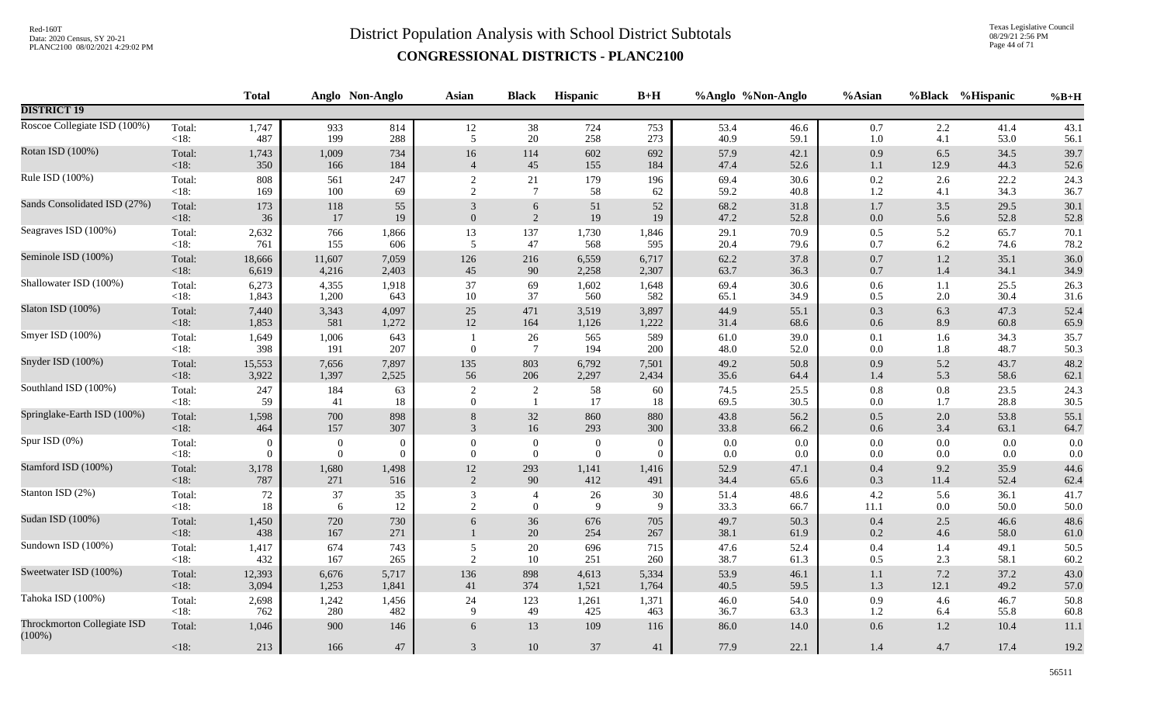Texas Legislative Council 08/29/21 2:56 PM Page 44 of 71

|                                          |                | <b>Total</b>   |                  | Anglo Non-Anglo  | <b>Asian</b>   | <b>Black</b>          | <b>Hispanic</b> | $B+H$      |              | %Anglo %Non-Anglo | %Asian         |            | %Black %Hispanic | $%B+H$       |
|------------------------------------------|----------------|----------------|------------------|------------------|----------------|-----------------------|-----------------|------------|--------------|-------------------|----------------|------------|------------------|--------------|
| <b>DISTRICT 19</b>                       |                |                |                  |                  |                |                       |                 |            |              |                   |                |            |                  |              |
| Roscoe Collegiate ISD (100%)             | Total:         | 1,747          | 933              | 814              | $12\,$         | 38                    | 724             | 753        | 53.4         | 46.6              | $0.7\,$        | 2.2        | 41.4             | 43.1         |
|                                          | <18:           | 487            | 199              | 288              | 5              | 20                    | 258             | 273        | 40.9         | 59.1              | $1.0\,$        | 4.1        | 53.0             | 56.1         |
| Rotan ISD (100%)                         | Total:         | 1,743          | 1,009            | 734              | 16             | 114                   | 602             | 692        | 57.9         | 42.1              | 0.9            | 6.5        | 34.5             | 39.7         |
|                                          | <18:           | 350            | 166              | 184              | $\overline{4}$ | 45                    | 155             | 184        | 47.4         | 52.6              | 1.1            | 12.9       | 44.3             | 52.6         |
| Rule ISD (100%)                          | Total:         | 808            | 561              | 247              | 2              | 21                    | 179             | 196        | 69.4         | 30.6              | $0.2\,$        | 2.6        | 22.2             | 24.3         |
|                                          | $<18$ :        | 169            | 100              | 69               | 2              | $\overline{7}$        | 58              | 62         | 59.2         | 40.8              | 1.2            | 4.1        | 34.3             | 36.7         |
| Sands Consolidated ISD (27%)             | Total:         | 173            | 118              | 55               | 3              | 6                     | 51              | 52         | 68.2         | 31.8              | $1.7\,$        | 3.5        | 29.5             | 30.1         |
|                                          | $<18$ :        | 36             | 17               | 19               | $\mathbf{0}$   | $\overline{2}$        | 19              | 19         | 47.2         | 52.8              | $0.0\,$        | 5.6        | 52.8             | 52.8         |
| Seagraves ISD (100%)                     | Total:         | 2,632          | 766              | 1,866            | 13             | 137                   | 1,730           | 1,846      | 29.1         | 70.9              | $0.5\,$        | 5.2        | 65.7             | 70.1         |
|                                          | $<18$ :        | 761            | 155              | 606              | 5              | 47                    | 568             | 595        | 20.4         | 79.6              | 0.7            | 6.2        | 74.6             | 78.2         |
| Seminole ISD (100%)                      | Total:         | 18,666         | 11,607           | 7,059            | 126            | 216                   | 6,559           | 6,717      | 62.2         | 37.8              | $0.7\,$        | $1.2\,$    | 35.1             | 36.0         |
|                                          | <18:           | 6,619          | 4,216            | 2,403            | 45             | 90                    | 2,258           | 2,307      | 63.7         | 36.3              | 0.7            | 1.4        | 34.1             | 34.9         |
| Shallowater ISD (100%)                   | Total:         | 6,273          | 4,355            | 1,918            | 37             | 69                    | 1,602           | 1,648      | 69.4         | 30.6              | $0.6\,$        | 1.1        | 25.5             | 26.3         |
|                                          | <18:           | 1,843          | 1,200            | 643              | 10             | 37                    | 560             | 582        | 65.1         | 34.9              | 0.5            | 2.0        | 30.4             | 31.6         |
| Slaton ISD (100%)                        | Total:         | 7,440          | 3,343            | 4,097            | $25\,$         | 471                   | 3,519           | 3,897      | 44.9         | 55.1              | 0.3            | 6.3        | 47.3             | 52.4         |
|                                          | <18:           | 1,853          | 581              | 1,272            | $12\,$         | 164                   | 1,126           | 1,222      | 31.4         | 68.6              | $0.6\,$        | 8.9        | 60.8             | 65.9         |
| Smyer ISD (100%)                         | Total:<br><18: | 1,649<br>398   | 1,006<br>191     | 643<br>207       | $\Omega$       | 26<br>$7\phantom{.0}$ | 565<br>194      | 589<br>200 | 61.0<br>48.0 | 39.0<br>52.0      | 0.1<br>0.0     | 1.6<br>1.8 | 34.3<br>48.7     | 35.7<br>50.3 |
| Snyder ISD (100%)                        | Total:         | 15,553         | 7,656            | 7,897            | 135            | 803                   | 6,792           | 7,501      | 49.2         | 50.8              | 0.9            | 5.2        | 43.7             | 48.2         |
|                                          | <18:           | 3,922          | 1,397            | 2,525            | 56             | 206                   | 2,297           | 2,434      | 35.6         | 64.4              | 1.4            | 5.3        | 58.6             | 62.1         |
| Southland ISD (100%)                     | Total:         | 247            | 184              | 63               | $\overline{2}$ | $\overline{2}$        | 58              | 60         | 74.5         | 25.5              | $0.8\,$        | 0.8        | 23.5             | 24.3         |
|                                          | $<18$ :        | 59             | 41               | 18               | $\theta$       | -1                    | 17              | 18         | 69.5         | 30.5              | $0.0\,$        | 1.7        | 28.8             | 30.5         |
| Springlake-Earth ISD (100%)              | Total:         | 1,598          | 700              | 898              | $8\phantom{1}$ | 32                    | 860             | 880        | 43.8         | 56.2              | $0.5\,$        | 2.0        | 53.8             | 55.1         |
|                                          | <18:           | 464            | 157              | 307              | 3              | $16\,$                | 293             | 300        | 33.8         | 66.2              | $0.6\,$        | 3.4        | 63.1             | 64.7         |
| Spur ISD (0%)                            | Total:         | $\overline{0}$ | $\boldsymbol{0}$ | $\boldsymbol{0}$ | $\overline{0}$ | $\boldsymbol{0}$      | $\overline{0}$  | $\Omega$   | $0.0\,$      | 0.0               | 0.0            | 0.0        | 0.0              | $0.0\,$      |
|                                          | <18:           | $\Omega$       | $\mathbf{0}$     | $\mathbf{0}$     | $\mathbf{0}$   | $\mathbf{0}$          | $\theta$        | $\Omega$   | 0.0          | $0.0\,$           | 0.0            | 0.0        | 0.0              | 0.0          |
| Stamford ISD (100%)                      | Total:         | 3,178          | 1,680            | 1,498            | $12\,$         | 293                   | 1,141           | 1,416      | 52.9         | 47.1              | 0.4            | 9.2        | 35.9             | 44.6         |
|                                          | $<18$ :        | 787            | 271              | 516              | 2              | 90                    | 412             | 491        | 34.4         | 65.6              | 0.3            | 11.4       | 52.4             | 62.4         |
| Stanton ISD (2%)                         | Total:         | 72             | 37               | 35               | 3              | $\overline{4}$        | 26              | 30         | 51.4         | 48.6              | 4.2            | 5.6        | 36.1             | 41.7         |
|                                          | $<18$ :        | 18             | 6                | 12               | $\overline{2}$ | $\overline{0}$        | 9               | 9          | 33.3         | 66.7              | 11.1           | 0.0        | 50.0             | 50.0         |
| Sudan ISD (100%)                         | Total:<br><18: | 1,450<br>438   | 720<br>167       | 730<br>271       | 6              | 36<br>$20\,$          | 676<br>254      | 705<br>267 | 49.7<br>38.1 | 50.3<br>61.9      | $0.4\,$<br>0.2 | 2.5<br>4.6 | 46.6<br>58.0     | 48.6<br>61.0 |
| Sundown ISD (100%)                       | Total:         | 1,417          | 674              | 743              | $\sqrt{5}$     | 20                    | 696             | 715        | 47.6         | 52.4              | 0.4            | 1.4        | 49.1             | 50.5         |
|                                          | <18:           | 432            | 167              | 265              | $\overline{2}$ | 10                    | 251             | 260        | 38.7         | 61.3              | 0.5            | 2.3        | 58.1             | 60.2         |
| Sweetwater ISD (100%)                    | Total:         | 12,393         | 6,676            | 5,717            | 136            | 898                   | 4,613           | 5,334      | 53.9         | 46.1              | $1.1\,$        | $7.2\,$    | 37.2             | 43.0         |
|                                          | <18:           | 3,094          | 1,253            | 1,841            | 41             | 374                   | 1,521           | 1,764      | 40.5         | 59.5              | 1.3            | 12.1       | 49.2             | 57.0         |
| Tahoka ISD (100%)                        | Total:         | 2,698          | 1,242            | 1,456            | 24             | 123                   | 1,261           | 1,371      | 46.0         | 54.0              | 0.9            | 4.6        | 46.7             | 50.8         |
|                                          | $<18$ :        | 762            | 280              | 482              | 9              | 49                    | 425             | 463        | 36.7         | 63.3              | 1.2            | 6.4        | 55.8             | 60.8         |
| Throckmorton Collegiate ISD<br>$(100\%)$ | Total:         | 1,046          | 900              | 146              | 6              | 13                    | 109             | 116        | 86.0         | 14.0              | $0.6\,$        | 1.2        | 10.4             | 11.1         |
|                                          | $<18$ :        | 213            | 166              | 47               | $\mathfrak{Z}$ | 10                    | 37              | 41         | 77.9         | 22.1              | 1.4            | 4.7        | 17.4             | 19.2         |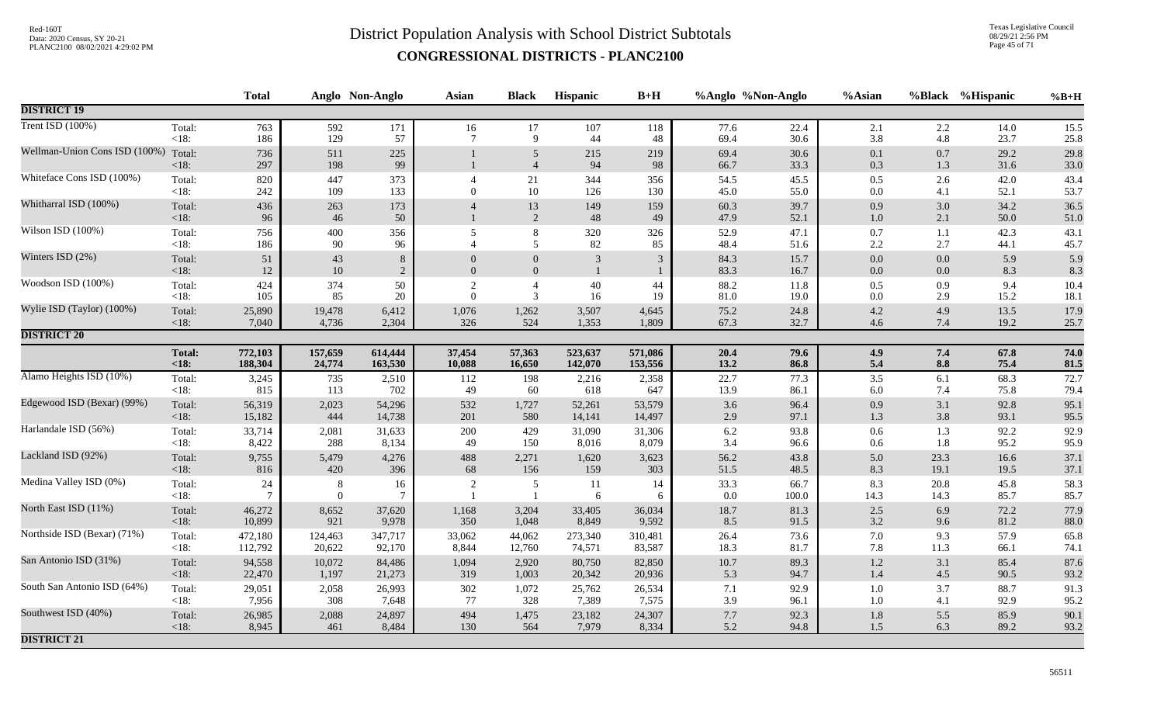Texas Legislative Council 08/29/21 2:56 PM Page 45 of 71

|                               |                   | <b>Total</b>             |                     | Anglo Non-Anglo      | <b>Asian</b>   | <b>Black</b>                     | Hispanic       | $B+H$        |              | %Anglo %Non-Anglo | %Asian             |              | %Black %Hispanic | $%B+H$       |
|-------------------------------|-------------------|--------------------------|---------------------|----------------------|----------------|----------------------------------|----------------|--------------|--------------|-------------------|--------------------|--------------|------------------|--------------|
| <b>DISTRICT 19</b>            |                   |                          |                     |                      |                |                                  |                |              |              |                   |                    |              |                  |              |
| Trent ISD (100%)              | Total:            | 763                      | 592                 | 171                  | 16             | 17                               | 107            | 118          | 77.6         | 22.4              | 2.1                | 2.2          | 14.0             | 15.5         |
|                               | $<18$ :           | 186                      | 129                 | 57                   | $\overline{7}$ | 9                                | 44             | 48           | 69.4         | 30.6              | 3.8                | 4.8          | 23.7             | 25.8         |
| Wellman-Union Cons ISD (100%) | Total:<br>< 18:   | 736<br>297               | 511<br>198          | 225<br>99            |                | $\overline{5}$<br>$\overline{4}$ | 215<br>94      | 219<br>98    | 69.4<br>66.7 | 30.6<br>33.3      | $0.1\,$<br>0.3     | 0.7<br>1.3   | 29.2<br>31.6     | 29.8<br>33.0 |
| Whiteface Cons ISD (100%)     | Total:<br>$<18$ : | 820<br>242               | 447<br>109          | 373<br>133           | $\Omega$       | $21\,$<br>$10\,$                 | 344<br>126     | 356<br>130   | 54.5<br>45.0 | 45.5<br>55.0      | $0.5\,$<br>0.0     | 2.6<br>4.1   | 42.0<br>52.1     | 43.4<br>53.7 |
| Whitharral ISD (100%)         | Total:<br>< 18:   | 436<br>96                | 263<br>46           | 173<br>50            |                | 13<br>2                          | 149<br>48      | 159<br>49    | 60.3<br>47.9 | 39.7<br>52.1      | 0.9<br>$1.0\,$     | 3.0<br>2.1   | 34.2<br>50.0     | 36.5<br>51.0 |
| Wilson ISD (100%)             | Total:<br>$<18$ : | 756<br>186               | 400<br>90           | 356<br>96            | 5              | $\,8\,$<br>5                     | 320<br>82      | 326<br>85    | 52.9<br>48.4 | 47.1<br>51.6      | $0.7\,$<br>$2.2\,$ | 1.1<br>2.7   | 42.3<br>44.1     | 43.1<br>45.7 |
| Winters ISD (2%)              | Total:            | 51                       | 43                  | $8\,$                | $\Omega$       | $\mathbf{0}$                     | 3              | 3            | 84.3         | 15.7              | $0.0\,$            | 0.0          | 5.9              | 5.9          |
|                               | $<18$ :           | 12                       | $10\,$              | 2                    | $\overline{0}$ | $\mathbf{0}$                     | $\mathbf{1}$   | $\mathbf{1}$ | 83.3         | 16.7              | $0.0\,$            | 0.0          | 8.3              | 8.3          |
| Woodson ISD (100%)            | Total:            | 424                      | 374                 | 50                   | 2              | $\overline{4}$                   | 40             | 44           | 88.2         | 11.8              | $0.5\,$            | 0.9          | 9.4              | 10.4         |
|                               | $<18$ :           | 105                      | 85                  | 20                   | $\Omega$       | 3                                | 16             | 19           | 81.0         | 19.0              | 0.0                | 2.9          | 15.2             | 18.1         |
| Wylie ISD (Taylor) (100%)     | Total:            | 25,890                   | 19,478              | 6,412                | 1,076          | 1,262                            | 3,507          | 4,645        | 75.2         | 24.8              | $4.2\,$            | 4.9          | 13.5             | 17.9         |
|                               | $<18$ :           | 7,040                    | 4,736               | 2,304                | 326            | 524                              | 1,353          | 1,809        | 67.3         | 32.7              | 4.6                | 7.4          | 19.2             | 25.7         |
| <b>DISTRICT 20</b>            |                   |                          |                     |                      |                |                                  |                |              |              |                   |                    |              |                  |              |
|                               | Total:            | 772,103                  | 157,659             | 614,444              | 37,454         | 57,363                           | 523,637        | 571,086      | 20.4         | 79.6              | 4.9                | 7.4          | 67.8             | 74.0         |
|                               | < 18:             | 188,304                  | 24,774              | 163,530              | 10,088         | 16,650                           | 142,070        | 153,556      | 13.2         | 86.8              | 5.4                | 8.8          | 75.4             | 81.5         |
| Alamo Heights ISD (10%)       | Total:            | 3,245                    | 735                 | 2,510                | 112            | 198                              | 2,216          | 2,358        | 22.7         | 77.3              | $3.5\,$            | 6.1          | 68.3             | 72.7         |
|                               | <18:              | 815                      | 113                 | 702                  | 49             | 60                               | 618            | 647          | 13.9         | 86.1              | $6.0\,$            | 7.4          | 75.8             | 79.4         |
| Edgewood ISD (Bexar) (99%)    | Total:            | 56,319                   | 2,023               | 54,296               | 532            | 1,727                            | 52,261         | 53,579       | $3.6\,$      | 96.4              | 0.9                | 3.1          | 92.8             | 95.1         |
|                               | < 18:             | 15,182                   | 444                 | 14,738               | 201            | 580                              | 14,141         | 14,497       | 2.9          | 97.1              | 1.3                | 3.8          | 93.1             | 95.5         |
| Harlandale ISD (56%)          | Total:            | 33,714                   | 2,081               | 31,633               | 200            | 429                              | 31,090         | 31,306       | $6.2\,$      | 93.8              | $0.6\,$            | 1.3          | 92.2             | 92.9         |
|                               | $<18$ :           | 8,422                    | 288                 | 8,134                | 49             | 150                              | 8,016          | 8,079        | 3.4          | 96.6              | 0.6                | $1.8\,$      | 95.2             | 95.9         |
| Lackland ISD (92%)            | Total:            | 9,755                    | 5,479               | 4,276                | 488            | 2,271                            | 1,620          | 3,623        | 56.2         | 43.8              | $5.0\,$            | 23.3         | 16.6             | 37.1         |
|                               | $<18$ :           | 816                      | 420                 | 396                  | 68             | 156                              | 159            | 303          | 51.5         | 48.5              | $8.3\,$            | 19.1         | 19.5             | 37.1         |
| Medina Valley ISD (0%)        | Total:<br><18:    | $24\,$<br>$\overline{7}$ | $\,8\,$<br>$\theta$ | 16<br>$\overline{7}$ | $\overline{2}$ | 5<br>$\overline{1}$              | <b>11</b><br>6 | 14<br>6      | 33.3<br>0.0  | 66.7<br>100.0     | 8.3<br>14.3        | 20.8<br>14.3 | 45.8<br>85.7     | 58.3<br>85.7 |
| North East ISD (11%)          | Total:            | 46,272                   | 8,652               | 37,620               | 1,168          | 3,204                            | 33,405         | 36,034       | $18.7\,$     | 81.3              | $2.5\,$            | 6.9          | 72.2             | 77.9         |
|                               | < 18:             | 10,899                   | 921                 | 9,978                | 350            | 1,048                            | 8,849          | 9,592        | 8.5          | 91.5              | 3.2                | 9.6          | 81.2             | 88.0         |
| Northside ISD (Bexar) (71%)   | Total:            | 472,180                  | 124,463             | 347,717              | 33,062         | 44,062                           | 273,340        | 310,481      | 26.4         | 73.6              | $7.0\,$            | 9.3          | 57.9             | 65.8         |
|                               | $<18$ :           | 112,792                  | 20,622              | 92,170               | 8,844          | 12,760                           | 74,571         | 83,587       | 18.3         | 81.7              | 7.8                | 11.3         | 66.1             | 74.1         |
| San Antonio ISD (31%)         | Total:            | 94,558                   | 10,072              | 84,486               | 1,094          | 2,920                            | 80,750         | 82,850       | $10.7\,$     | 89.3              | $1.2\,$            | 3.1          | 85.4             | 87.6         |
|                               | < 18:             | 22,470                   | 1,197               | 21,273               | 319            | 1,003                            | 20,342         | 20,936       | 5.3          | 94.7              | 1.4                | 4.5          | 90.5             | 93.2         |
| South San Antonio ISD (64%)   | Total:            | 29,051                   | 2,058               | 26,993               | 302            | 1,072                            | 25,762         | 26,534       | 7.1          | 92.9              | $1.0\,$            | 3.7          | 88.7             | 91.3         |
|                               | <18:              | 7,956                    | 308                 | 7,648                | 77             | 328                              | 7,389          | 7,575        | 3.9          | 96.1              | 1.0                | 4.1          | 92.9             | 95.2         |
| Southwest ISD (40%)           | Total:            | 26,985                   | 2,088               | 24,897               | 494            | 1,475                            | 23,182         | 24,307       | $7.7\,$      | 92.3              | $1.8\,$            | 5.5          | 85.9             | 90.1         |
|                               | < 18:             | 8,945                    | 461                 | 8,484                | 130            | 564                              | 7,979          | 8,334        | 5.2          | 94.8              | 1.5                | 6.3          | 89.2             | 93.2         |
| <b>DISTRICT 21</b>            |                   |                          |                     |                      |                |                                  |                |              |              |                   |                    |              |                  |              |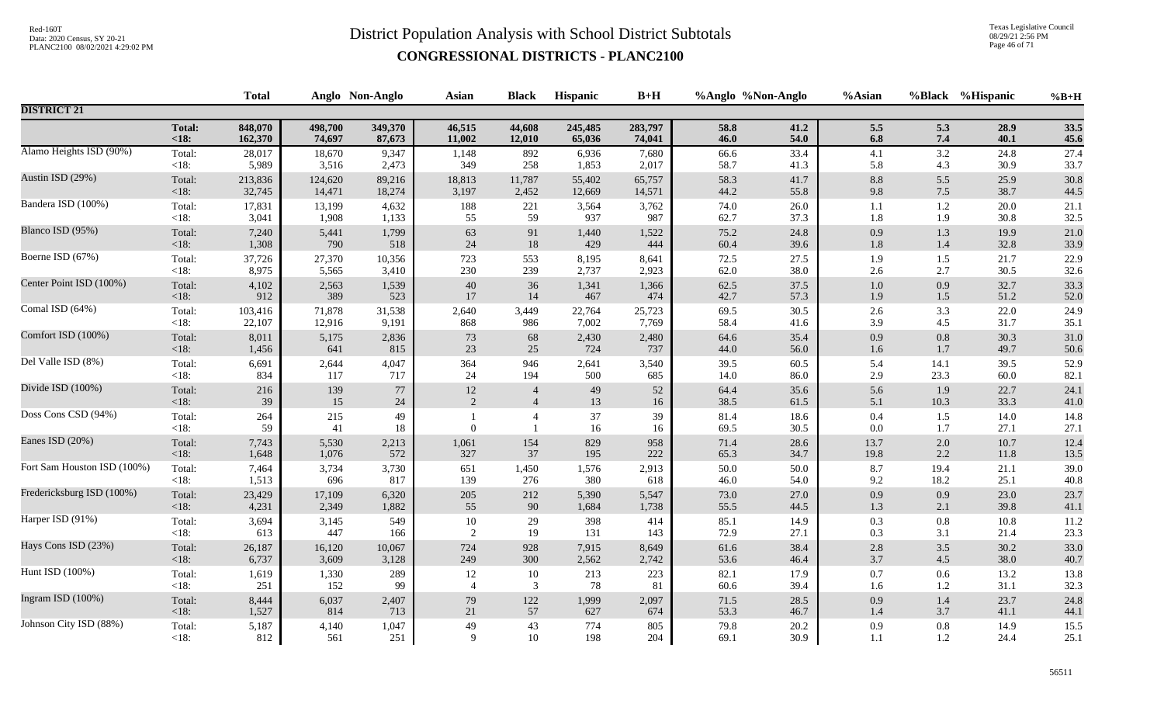Texas Legislative Council 08/29/21 2:56 PM Page 46 of 71

|                             |                   | <b>Total</b> |           | Anglo Non-Anglo | <b>Asian</b>   | <b>Black</b>   | Hispanic     | $B+H$    | %Anglo %Non-Anglo |              | %Asian             |            | %Black %Hispanic | $%B+H$       |
|-----------------------------|-------------------|--------------|-----------|-----------------|----------------|----------------|--------------|----------|-------------------|--------------|--------------------|------------|------------------|--------------|
| <b>DISTRICT 21</b>          |                   |              |           |                 |                |                |              |          |                   |              |                    |            |                  |              |
|                             | <b>Total:</b>     | 848,070      | 498,700   | 349,370         | 46,515         | 44,608         | 245,485      | 283,797  | 58.8              | 41.2         | $5.5\,$            | 5.3        | 28.9             | 33.5         |
|                             | $18:$             | 162,370      | 74,697    | 87,673          | 11,002         | 12,010         | 65,036       | 74,041   | 46.0              | 54.0         | $\boldsymbol{6.8}$ | 7.4        | 40.1             | 45.6         |
| Alamo Heights ISD (90%)     | Total:            | 28,017       | 18,670    | 9,347           | 1,148          | 892            | 6,936        | 7,680    | 66.6              | 33.4         | 4.1                | 3.2        | 24.8             | 27.4         |
|                             | $<18$ :           | 5,989        | 3,516     | 2,473           | 349            | 258            | 1,853        | 2,017    | 58.7              | 41.3         | 5.8                | 4.3        | 30.9             | 33.7         |
| Austin ISD (29%)            | Total:            | 213,836      | 124,620   | 89,216          | 18,813         | 11,787         | 55,402       | 65,757   | 58.3              | 41.7         | $8.8\,$            | 5.5        | 25.9             | 30.8         |
|                             | <18:              | 32,745       | 14,471    | 18,274          | 3,197          | 2,452          | 12,669       | 14,571   | 44.2              | 55.8         | 9.8                | 7.5        | 38.7             | 44.5         |
| Bandera ISD (100%)          | Total:            | 17,831       | 13,199    | 4,632           | 188            | 221            | 3,564        | 3,762    | 74.0              | 26.0         | 1.1                | $1.2\,$    | 20.0             | 21.1         |
|                             | $<18$ :           | 3,041        | 1,908     | 1,133           | 55             | 59             | 937          | 987      | 62.7              | 37.3         | 1.8                | 1.9        | 30.8             | 32.5         |
| Blanco ISD (95%)            | Total:            | 7,240        | 5,441     | 1,799           | 63             | $\rm 91$       | 1,440        | 1,522    | 75.2              | 24.8         | 0.9                | $1.3\,$    | 19.9             | 21.0         |
|                             | <18:              | 1,308        | 790       | 518             | $24\,$         | $18\,$         | 429          | 444      | 60.4              | 39.6         | $1.8\,$            | $1.4\,$    | 32.8             | 33.9         |
| Boerne ISD (67%)            | Total:            | 37,726       | 27,370    | 10,356          | 723            | 553            | 8,195        | 8,641    | 72.5              | 27.5         | 1.9                | 1.5        | 21.7             | 22.9         |
|                             | < 18:             | 8,975        | 5,565     | 3,410           | 230            | 239            | 2,737        | 2,923    | 62.0              | 38.0         | $2.6\,$            | 2.7        | 30.5             | 32.6         |
| Center Point ISD (100%)     | Total:            | 4,102        | 2,563     | 1,539           | $40\,$         | 36             | 1,341        | 1,366    | 62.5              | 37.5         | $1.0\,$            | 0.9        | 32.7             | 33.3         |
|                             | <18:              | 912          | 389       | 523             | 17             | 14             | 467          | 474      | 42.7              | 57.3         | 1.9                | 1.5        | 51.2             | 52.0         |
| Comal ISD (64%)             | Total:            | 103,416      | 71,878    | 31,538          | 2,640          | 3,449          | 22,764       | 25,723   | 69.5              | 30.5         | 2.6                | 3.3        | 22.0             | 24.9         |
|                             | <18:              | 22,107       | 12,916    | 9,191           | 868            | 986            | 7,002        | 7,769    | 58.4              | 41.6         | 3.9                | 4.5        | 31.7             | 35.1         |
| Comfort ISD (100%)          | Total:            | 8,011        | 5,175     | 2,836           | 73             | 68             | 2,430        | 2,480    | 64.6              | 35.4         | 0.9                | $0.8\,$    | 30.3             | 31.0         |
|                             | <18:              | 1,456        | 641       | 815             | 23             | 25             | 724          | 737      | 44.0              | 56.0         | $1.6\,$            | 1.7        | 49.7             | 50.6         |
| Del Valle ISD (8%)          | Total:            | 6,691        | 2,644     | 4,047           | 364            | 946            | 2,641        | 3,540    | 39.5              | 60.5         | 5.4                | 14.1       | 39.5             | 52.9         |
|                             | <18:              | 834          | 117       | 717             | 24             | 194            | 500          | 685      | 14.0              | 86.0         | 2.9                | 23.3       | 60.0             | 82.1         |
| Divide ISD (100%)           | Total:            | 216          | 139       | 77              | 12             | $\overline{4}$ | 49           | 52       | 64.4              | 35.6         | 5.6                | 1.9        | 22.7             | 24.1         |
|                             | $<18$ :           | 39           | 15        | 24              | 2              | $\overline{4}$ | 13           | 16       | 38.5              | 61.5         | 5.1                | 10.3       | 33.3             | 41.0         |
| Doss Cons CSD (94%)         | Total:<br>$<18$ : | 264<br>59    | 215<br>41 | 49<br>18        | $\Omega$       | $\overline{4}$ | $37\,$<br>16 | 39<br>16 | 81.4<br>69.5      | 18.6<br>30.5 | $0.4\,$<br>0.0     | 1.5<br>1.7 | 14.0<br>27.1     | 14.8<br>27.1 |
| Eanes ISD (20%)             | Total:            | 7,743        | 5,530     | 2,213           | 1,061          | 154            | 829          | 958      | 71.4              | 28.6         | 13.7               | $2.0\,$    | 10.7             | 12.4         |
|                             | <18:              | 1,648        | 1,076     | 572             | 327            | 37             | 195          | 222      | 65.3              | 34.7         | 19.8               | 2.2        | 11.8             | 13.5         |
| Fort Sam Houston ISD (100%) | Total:            | 7,464        | 3,734     | 3,730           | 651            | 1,450          | 1,576        | 2,913    | 50.0              | 50.0         | $8.7\,$            | 19.4       | 21.1             | 39.0         |
|                             | $<18$ :           | 1,513        | 696       | 817             | 139            | 276            | 380          | 618      | 46.0              | 54.0         | 9.2                | 18.2       | 25.1             | 40.8         |
| Fredericksburg ISD (100%)   | Total:            | 23,429       | 17,109    | 6,320           | 205            | 212            | 5,390        | 5,547    | 73.0              | 27.0         | 0.9                | 0.9        | 23.0             | 23.7         |
|                             | <18:              | 4,231        | 2,349     | 1,882           | 55             | 90             | 1,684        | 1,738    | 55.5              | 44.5         | 1.3                | 2.1        | 39.8             | 41.1         |
| Harper ISD (91%)            | Total:            | 3,694        | 3,145     | 549             | 10             | 29             | 398          | 414      | 85.1              | 14.9         | 0.3                | 0.8        | 10.8             | 11.2         |
|                             | $<18$ :           | 613          | 447       | 166             | 2              | 19             | 131          | 143      | 72.9              | 27.1         | 0.3                | 3.1        | 21.4             | 23.3         |
| Hays Cons ISD (23%)         | Total:            | 26,187       | 16,120    | 10,067          | 724            | 928            | 7,915        | 8,649    | 61.6              | 38.4         | 2.8                | 3.5        | 30.2             | 33.0         |
|                             | $<18$ :           | 6,737        | 3,609     | 3,128           | 249            | 300            | 2,562        | 2,742    | 53.6              | 46.4         | 3.7                | 4.5        | 38.0             | 40.7         |
| Hunt ISD (100%)             | Total:            | 1,619        | 1,330     | 289             | 12             | 10             | 213          | 223      | 82.1              | 17.9         | $0.7\,$            | 0.6        | 13.2             | 13.8         |
|                             | $<18$ :           | 251          | 152       | 99              | $\overline{4}$ | 3              | 78           | 81       | 60.6              | 39.4         | 1.6                | 1.2        | 31.1             | 32.3         |
| Ingram ISD (100%)           | Total:            | 8,444        | 6,037     | 2,407           | $79\,$         | 122            | 1,999        | 2,097    | 71.5              | 28.5         | 0.9                | 1.4        | 23.7             | 24.8         |
|                             | <18:              | 1,527        | 814       | 713             | 21             | 57             | 627          | 674      | 53.3              | 46.7         | 1.4                | 3.7        | 41.1             | 44.1         |
| Johnson City ISD (88%)      | Total:            | 5,187        | 4,140     | 1,047           | 49             | 43             | 774          | 805      | 79.8              | 20.2         | 0.9                | 0.8        | 14.9             | 15.5         |
|                             | $<18$ :           | 812          | 561       | 251             | 9              | 10             | 198          | 204      | 69.1              | 30.9         | 1.1                | 1.2        | 24.4             | 25.1         |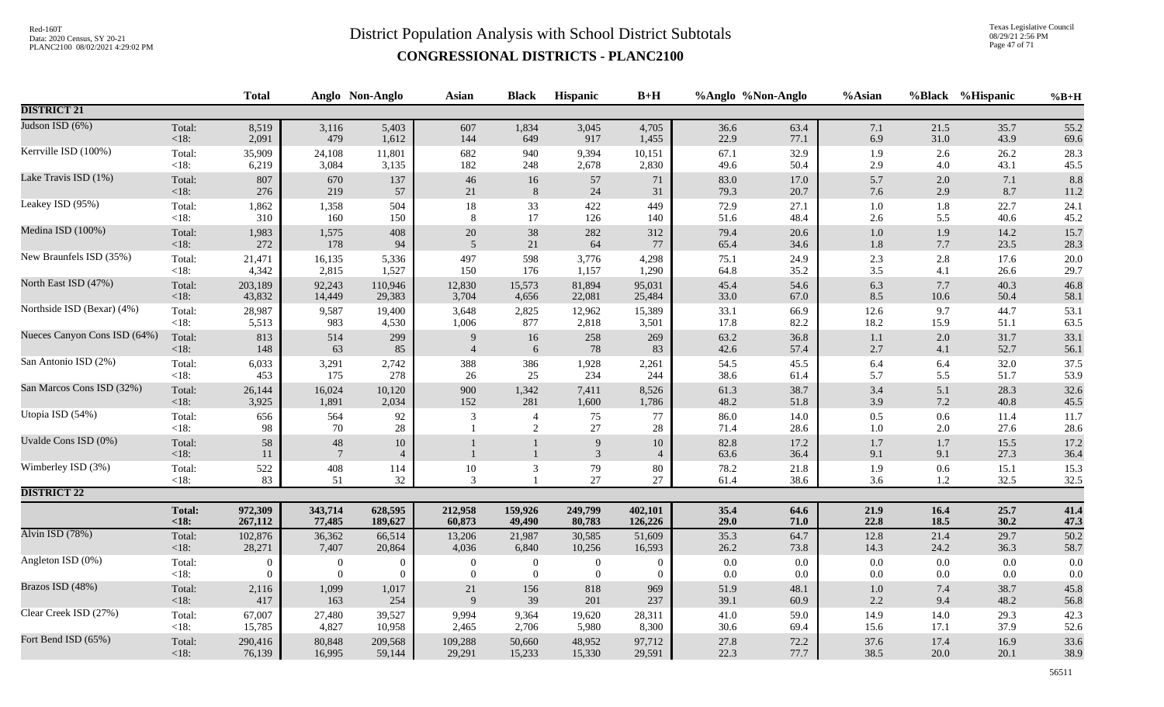Texas Legislative Council 08/29/21 2:56 PM Page 47 of 71

|                              |                   | <b>Total</b>   |                               | Anglo Non-Anglo          | <b>Asian</b>     | <b>Black</b>                     | Hispanic            | $B+H$                | %Anglo %Non-Anglo |              | %Asian             |            | %Black %Hispanic | $%B+H$       |
|------------------------------|-------------------|----------------|-------------------------------|--------------------------|------------------|----------------------------------|---------------------|----------------------|-------------------|--------------|--------------------|------------|------------------|--------------|
| <b>DISTRICT 21</b>           |                   |                |                               |                          |                  |                                  |                     |                      |                   |              |                    |            |                  |              |
| Judson ISD (6%)              | Total:            | 8,519          | 3,116                         | 5,403                    | 607              | 1,834                            | 3,045               | 4,705                | 36.6              | 63.4         | 7.1                | 21.5       | 35.7             | 55.2         |
|                              | <18:              | 2,091          | 479                           | 1,612                    | 144              | 649                              | 917                 | 1,455                | 22.9              | 77.1         | 6.9                | 31.0       | 43.9             | 69.6         |
| Kerrville ISD (100%)         | Total:            | 35,909         | 24,108                        | 11,801                   | 682              | 940                              | 9,394               | 10,151               | 67.1              | 32.9         | 1.9                | 2.6        | 26.2             | 28.3         |
|                              | $<18$ :           | 6,219          | 3,084                         | 3,135                    | 182              | 248                              | 2,678               | 2,830                | 49.6              | 50.4         | 2.9                | 4.0        | 43.1             | 45.5         |
| Lake Travis ISD (1%)         | Total:            | 807            | 670                           | 137                      | 46               | 16                               | 57                  | 71                   | 83.0              | 17.0         | 5.7                | 2.0        | 7.1              | 8.8          |
|                              | <18:              | 276            | 219                           | 57                       | 21               | $\,8\,$                          | 24                  | 31                   | 79.3              | 20.7         | 7.6                | 2.9        | 8.7              | 11.2         |
| Leakey ISD (95%)             | Total:            | 1,862          | 1,358                         | 504                      | $18\,$           | 33                               | 422                 | 449                  | 72.9              | 27.1         | $1.0\,$            | 1.8        | 22.7             | 24.1         |
|                              | $<18$ :           | 310            | 160                           | 150                      | 8                | $17\,$                           | 126                 | 140                  | 51.6              | 48.4         | $2.6\,$            | 5.5        | 40.6             | 45.2         |
| Medina ISD (100%)            | Total:            | 1,983          | 1,575                         | 408                      | $20\,$           | $38\,$                           | 282                 | 312                  | 79.4              | 20.6         | $1.0\,$            | 1.9        | 14.2             | 15.7         |
|                              | < 18:             | 272            | 178                           | 94                       | 5                | 21                               | 64                  | 77                   | 65.4              | 34.6         | $1.8\,$            | 7.7        | 23.5             | 28.3         |
| New Braunfels ISD (35%)      | Total:            | 21,471         | 16,135                        | 5,336                    | 497              | 598                              | 3,776               | 4,298                | 75.1              | 24.9         | $2.3\,$            | 2.8        | 17.6             | 20.0         |
|                              | < 18:             | 4,342          | 2,815                         | 1,527                    | 150              | 176                              | 1,157               | 1,290                | 64.8              | 35.2         | 3.5                | 4.1        | 26.6             | 29.7         |
| North East ISD (47%)         | Total:            | 203,189        | 92,243                        | 110,946                  | 12,830           | 15,573                           | 81,894              | 95,031               | 45.4              | 54.6         | 6.3                | 7.7        | 40.3             | 46.8         |
|                              | $<18$ :           | 43,832         | 14,449                        | 29,383                   | 3,704            | 4,656                            | 22,081              | 25,484               | $33.0\,$          | 67.0         | 8.5                | $10.6\,$   | 50.4             | 58.1         |
| Northside ISD (Bexar) (4%)   | Total:            | 28,987         | 9,587                         | 19,400                   | 3,648            | 2,825                            | 12,962              | 15,389               | 33.1              | 66.9         | 12.6               | 9.7        | 44.7             | 53.1         |
|                              | $<18$ :           | 5,513          | 983                           | 4,530                    | 1,006            | 877                              | 2,818               | 3,501                | 17.8              | 82.2         | 18.2               | 15.9       | 51.1             | 63.5         |
| Nueces Canyon Cons ISD (64%) | Total:            | 813            | 514                           | 299                      | 9                | $16\,$                           | 258                 | 269                  | 63.2              | 36.8         | $1.1\,$            | 2.0        | 31.7             | 33.1         |
|                              | < 18:             | 148            | 63                            | 85                       | $\overline{4}$   | 6                                | 78                  | 83                   | 42.6              | 57.4         | 2.7                | 4.1        | 52.7             | 56.1         |
| San Antonio ISD (2%)         | Total:            | 6,033          | 3,291                         | 2,742                    | 388              | 386                              | 1,928               | 2,261                | 54.5              | 45.5         | 6.4                | 6.4        | 32.0             | 37.5         |
|                              | $<18$ :           | 453            | 175                           | 278                      | 26               | 25                               | 234                 | 244                  | 38.6              | 61.4         | 5.7                | 5.5        | 51.7             | 53.9         |
| San Marcos Cons ISD (32%)    | Total:            | 26,144         | 16,024                        | 10,120                   | 900              | 1,342                            | 7,411               | 8,526                | 61.3              | 38.7         | $3.4\,$            | 5.1        | 28.3             | 32.6         |
|                              | $<18$ :           | 3,925          | 1,891                         | 2,034                    | 152              | 281                              | 1,600               | 1,786                | 48.2              | 51.8         | 3.9                | $7.2\,$    | 40.8             | 45.5         |
| Utopia ISD (54%)             | Total:<br>$<18$ : | 656<br>98      | 564<br>70                     | 92<br>$28\,$             | $\mathfrak{Z}$   | $\overline{4}$<br>$\overline{2}$ | 75<br>$27\,$        | 77<br>28             | 86.0<br>71.4      | 14.0<br>28.6 | $0.5\,$<br>$1.0\,$ | 0.6<br>2.0 | 11.4<br>27.6     | 11.7<br>28.6 |
| Uvalde Cons ISD (0%)         | Total:<br><18:    | 58<br>11       | $\sqrt{48}$<br>$\overline{7}$ | $10\,$<br>$\overline{4}$ |                  | $\mathbf{1}$<br>$\mathbf{1}$     | 9<br>$\mathfrak{Z}$ | 10<br>$\overline{4}$ | 82.8<br>63.6      | 17.2<br>36.4 | $1.7\,$<br>9.1     | 1.7<br>9.1 | 15.5<br>27.3     | 17.2<br>36.4 |
| Wimberley ISD (3%)           | Total:            | 522            | 408                           | 114                      | $10\,$           | $\mathfrak{Z}$                   | 79                  | 80                   | 78.2              | 21.8         | 1.9                | 0.6        | 15.1             | 15.3         |
|                              | $<18$ :           | 83             | 51                            | 32                       | 3                | -1                               | 27                  | 27                   | 61.4              | 38.6         | 3.6                | 1.2        | 32.5             | 32.5         |
| <b>DISTRICT 22</b>           |                   |                |                               |                          |                  |                                  |                     |                      |                   |              |                    |            |                  |              |
|                              | <b>Total:</b>     | 972,309        | 343,714                       | 628,595                  | 212,958          | 159,926                          | 249,799             | 402,101              | 35.4              | 64.6         | 21.9               | 16.4       | 25.7             | 41.4         |
|                              | <18:              | 267,112        | 77,485                        | 189,627                  | 60,873           | 49,490                           | 80,783              | 126,226              | 29.0              | 71.0         | 22.8               | 18.5       | 30.2             | 47.3         |
| Alvin ISD (78%)              | Total:            | 102,876        | 36,362                        | 66,514                   | 13,206           | 21,987                           | 30,585              | 51,609               | 35.3              | 64.7         | 12.8               | 21.4       | 29.7             | 50.2         |
|                              | $<18$ :           | 28,271         | 7,407                         | 20,864                   | 4,036            | 6,840                            | 10,256              | 16,593               | 26.2              | 73.8         | 14.3               | 24.2       | 36.3             | 58.7         |
| Angleton ISD (0%)            | Total:            | $\overline{0}$ | $\boldsymbol{0}$              | $\overline{0}$           | $\boldsymbol{0}$ | $\boldsymbol{0}$                 | $\boldsymbol{0}$    | $\overline{0}$       | $0.0\,$           | 0.0          | $0.0\,$            | 0.0        | 0.0              | 0.0          |
|                              | < 18:             | $\Omega$       | $\overline{0}$                | $\theta$                 | $\boldsymbol{0}$ | $\boldsymbol{0}$                 | $\overline{0}$      | $\Omega$             | 0.0               | 0.0          | 0.0                | 0.0        | 0.0              | 0.0          |
| Brazos ISD (48%)             | Total:            | 2,116          | 1,099                         | 1,017                    | $21\,$           | 156                              | 818                 | 969                  | 51.9              | 48.1         | $1.0\,$            | 7.4        | 38.7             | 45.8         |
|                              | $<18$ :           | 417            | 163                           | 254                      | 9                | 39                               | 201                 | 237                  | 39.1              | 60.9         | $2.2\,$            | 9.4        | 48.2             | 56.8         |
| Clear Creek ISD (27%)        | Total:            | 67,007         | 27,480                        | 39,527                   | 9,994            | 9,364                            | 19,620              | 28,311               | 41.0              | 59.0         | 14.9               | 14.0       | 29.3             | 42.3         |
|                              | <18:              | 15,785         | 4,827                         | 10,958                   | 2,465            | 2,706                            | 5,980               | 8,300                | $30.6\,$          | 69.4         | 15.6               | 17.1       | 37.9             | 52.6         |
| Fort Bend ISD (65%)          | Total:            | 290,416        | 80,848                        | 209,568                  | 109,288          | 50,660                           | 48,952              | 97,712               | 27.8              | 72.2         | 37.6               | 17.4       | 16.9             | 33.6         |
|                              | $<18$ :           | 76,139         | 16,995                        | 59,144                   | 29,291           | 15,233                           | 15,330              | 29,591               | 22.3              | 77.7         | 38.5               | 20.0       | 20.1             | 38.9         |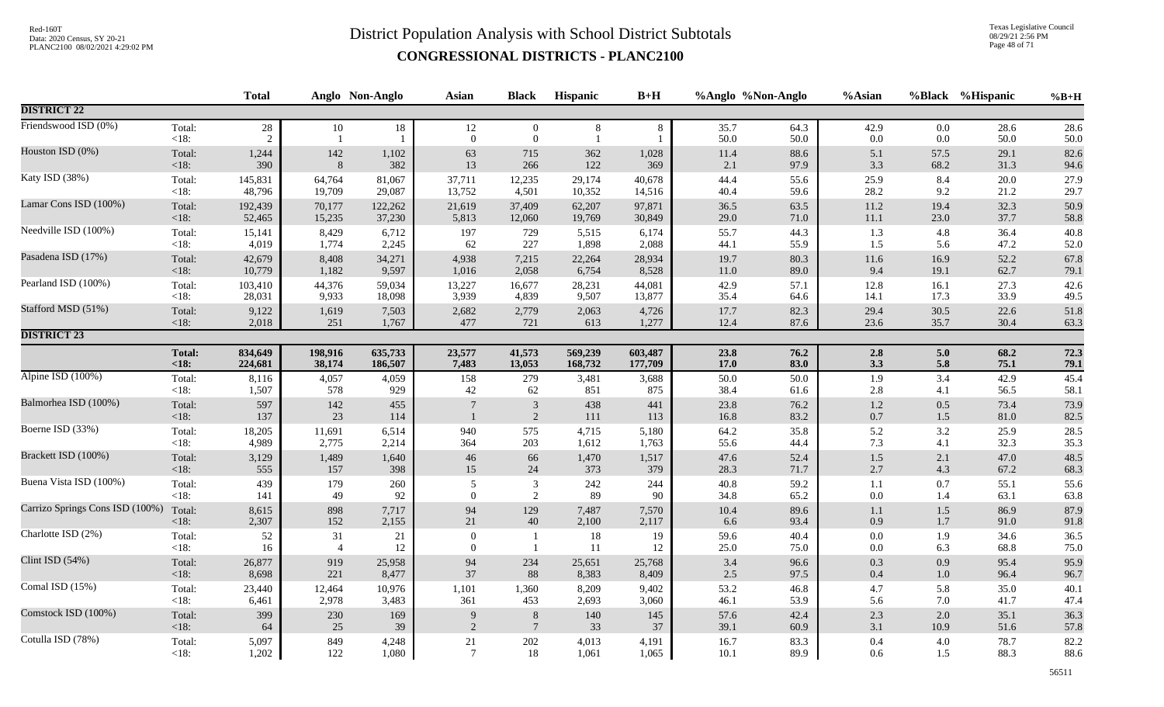Texas Legislative Council 08/29/21 2:56 PM Page 48 of 71

|                                 |                   | <b>Total</b>             |                      | Anglo Non-Anglo | <b>Asian</b>       | <b>Black</b>                       | Hispanic   | $B+H$      |              | %Anglo %Non-Anglo | %Asian             |            | %Black %Hispanic | $%B+H$       |
|---------------------------------|-------------------|--------------------------|----------------------|-----------------|--------------------|------------------------------------|------------|------------|--------------|-------------------|--------------------|------------|------------------|--------------|
| <b>DISTRICT 22</b>              |                   |                          |                      |                 |                    |                                    |            |            |              |                   |                    |            |                  |              |
| Friendswood ISD (0%)            | Total:<br>$<18$ : | $28\,$<br>$\overline{2}$ | 10<br>$\overline{1}$ | 18              | 12<br>$\mathbf{0}$ | $\overline{0}$<br>$\boldsymbol{0}$ | 8          | 8          | 35.7<br>50.0 | 64.3<br>50.0      | 42.9<br>0.0        | 0.0<br>0.0 | 28.6<br>50.0     | 28.6<br>50.0 |
| Houston ISD (0%)                | Total:            | 1,244                    | $142\,$              | 1,102           | 63                 | 715                                | 362        | 1,028      | 11.4         | 88.6              | 5.1                | 57.5       | 29.1             | 82.6         |
|                                 | $<18$ :           | 390                      | $\boldsymbol{8}$     | 382             | 13                 | 266                                | 122        | 369        | 2.1          | 97.9              | 3.3                | 68.2       | 31.3             | 94.6         |
| Katy ISD (38%)                  | Total:            | 145,831                  | 64,764               | 81,067          | 37,711             | 12,235                             | 29,174     | 40,678     | 44.4         | 55.6              | 25.9               | 8.4        | 20.0             | 27.9         |
|                                 | <18:              | 48,796                   | 19,709               | 29,087          | 13,752             | 4,501                              | 10,352     | 14,516     | 40.4         | 59.6              | 28.2               | 9.2        | 21.2             | 29.7         |
| Lamar Cons ISD (100%)           | Total:            | 192,439                  | 70,177               | 122,262         | 21,619             | 37,409                             | 62,207     | 97,871     | 36.5         | 63.5              | 11.2               | 19.4       | 32.3             | 50.9         |
|                                 | $<18$ :           | 52,465                   | 15,235               | 37,230          | 5,813              | 12,060                             | 19,769     | 30,849     | 29.0         | 71.0              | $11.1\,$           | 23.0       | 37.7             | 58.8         |
| Needville ISD (100%)            | Total:            | 15,141                   | 8,429                | 6,712           | 197                | 729                                | 5,515      | 6,174      | 55.7         | 44.3              | 1.3                | 4.8        | 36.4             | 40.8         |
|                                 | $<18$ :           | 4,019                    | 1,774                | 2,245           | 62                 | 227                                | 1,898      | 2,088      | 44.1         | 55.9              | 1.5                | 5.6        | 47.2             | 52.0         |
| Pasadena ISD (17%)              | Total:            | 42,679                   | 8,408                | 34,271          | 4,938              | 7,215                              | 22,264     | 28,934     | 19.7         | 80.3              | 11.6               | 16.9       | 52.2             | 67.8         |
|                                 | $<18$ :           | 10,779                   | 1,182                | 9,597           | 1,016              | 2,058                              | 6,754      | 8,528      | 11.0         | 89.0              | 9.4                | 19.1       | 62.7             | 79.1         |
| Pearland ISD (100%)             | Total:            | 103,410                  | 44,376               | 59,034          | 13,227             | 16,677                             | 28,231     | 44,081     | 42.9         | 57.1              | 12.8               | 16.1       | 27.3             | 42.6         |
|                                 | $<18$ :           | 28,031                   | 9,933                | 18,098          | 3,939              | 4,839                              | 9,507      | 13,877     | 35.4         | 64.6              | 14.1               | 17.3       | 33.9             | 49.5         |
| Stafford MSD (51%)              | Total:            | 9,122                    | 1,619                | 7,503           | 2,682              | 2,779                              | 2,063      | 4,726      | 17.7         | 82.3              | 29.4               | 30.5       | 22.6             | 51.8         |
|                                 | $<18$ :           | 2,018                    | 251                  | 1,767           | 477                | $721\,$                            | 613        | 1,277      | 12.4         | 87.6              | 23.6               | 35.7       | 30.4             | 63.3         |
| <b>DISTRICT 23</b>              |                   |                          |                      |                 |                    |                                    |            |            |              |                   |                    |            |                  |              |
|                                 | <b>Total:</b>     | 834,649                  | 198,916              | 635,733         | 23,577             | 41,573                             | 569,239    | 603,487    | 23.8         | 76.2              | 2.8                | 5.0        | 68.2             | 72.3         |
|                                 | < 18:             | 224,681                  | 38,174               | 186,507         | 7,483              | 13,053                             | 168,732    | 177,709    | 17.0         | 83.0              | 3.3                | 5.8        | 75.1             | 79.1         |
| Alpine ISD (100%)               | Total:            | 8,116                    | 4,057                | 4,059           | 158                | 279                                | 3,481      | 3,688      | 50.0         | 50.0              | 1.9                | 3.4        | 42.9             | 45.4         |
|                                 | $<18$ :           | 1,507                    | 578                  | 929             | 42                 | 62                                 | 851        | 875        | 38.4         | 61.6              | 2.8                | 4.1        | 56.5             | 58.1         |
| Balmorhea ISD (100%)            | Total:<br>$<18$ : | 597<br>137               | 142<br>23            | 455<br>114      | $\overline{7}$     | $\mathbf{3}$<br>$\overline{2}$     | 438<br>111 | 441<br>113 | 23.8<br>16.8 | 76.2<br>83.2      | $1.2\,$<br>$0.7\,$ | 0.5<br>1.5 | 73.4<br>81.0     | 73.9<br>82.5 |
| Boerne ISD (33%)                | Total:            | 18,205                   | 11,691               | 6,514           | 940                | 575                                | 4,715      | 5,180      | 64.2         | 35.8              | 5.2                | 3.2        | 25.9             | 28.5         |
|                                 | $<18$ :           | 4,989                    | 2,775                | 2,214           | 364                | 203                                | 1,612      | 1,763      | 55.6         | 44.4              | 7.3                | 4.1        | 32.3             | 35.3         |
| Brackett ISD (100%)             | Total:            | 3,129                    | 1,489                | 1,640           | $46\,$             | 66                                 | 1,470      | 1,517      | 47.6         | 52.4              | $1.5\,$            | 2.1        | 47.0             | 48.5         |
|                                 | $<18$ :           | 555                      | 157                  | 398             | 15                 | 24                                 | 373        | 379        | 28.3         | 71.7              | $2.7\,$            | 4.3        | 67.2             | 68.3         |
| Buena Vista ISD (100%)          | Total:            | 439                      | 179                  | 260             | 5                  | $\mathfrak{Z}$                     | 242        | 244        | 40.8         | 59.2              | 1.1                | 0.7        | 55.1             | 55.6         |
|                                 | $<18$ :           | 141                      | 49                   | 92              | $\overline{0}$     | 2                                  | 89         | 90         | 34.8         | 65.2              | $0.0\,$            | 1.4        | 63.1             | 63.8         |
| Carrizo Springs Cons ISD (100%) | Total:            | 8,615                    | 898                  | 7,717           | 94                 | 129                                | 7,487      | 7,570      | 10.4         | 89.6              | $1.1\,$            | $1.5\,$    | 86.9             | 87.9         |
|                                 | $<18$ :           | 2,307                    | 152                  | 2,155           | $21\,$             | 40                                 | 2,100      | 2,117      | 6.6          | 93.4              | 0.9                | $1.7\,$    | 91.0             | 91.8         |
| Charlotte ISD (2%)              | Total:            | 52                       | 31                   | 21              | $\mathbf{0}$       | $\mathbf{1}$                       | 18         | 19         | 59.6         | 40.4              | $0.0\,$            | 1.9        | 34.6             | 36.5         |
|                                 | $<18$ :           | 16                       | $\overline{4}$       | 12              | $\mathbf{0}$       | $\mathbf{1}$                       | 11         | 12         | 25.0         | 75.0              | $0.0\,$            | 6.3        | 68.8             | 75.0         |
| Clint ISD (54%)                 | Total:            | 26,877                   | 919                  | 25,958          | 94                 | 234                                | 25,651     | 25,768     | 3.4          | 96.6              | $0.3\,$            | 0.9        | 95.4             | 95.9         |
|                                 | $<18$ :           | 8,698                    | 221                  | 8,477           | 37                 | 88                                 | 8,383      | 8,409      | 2.5          | 97.5              | $0.4\,$            | 1.0        | 96.4             | 96.7         |
| Comal ISD (15%)                 | Total:            | 23,440                   | 12,464               | 10,976          | 1,101              | 1,360                              | 8,209      | 9,402      | 53.2         | 46.8              | 4.7                | 5.8        | 35.0             | 40.1         |
|                                 | $<18$ :           | 6,461                    | 2,978                | 3,483           | 361                | 453                                | 2,693      | 3,060      | 46.1         | 53.9              | 5.6                | 7.0        | 41.7             | 47.4         |
| Comstock ISD (100%)             | Total:            | 399                      | 230                  | 169             | 9                  | $8\phantom{.}$                     | 140        | 145        | 57.6         | 42.4              | $2.3\,$            | 2.0        | 35.1             | 36.3         |
|                                 | $<18$ :           | 64                       | 25                   | 39              | $\overline{2}$     | $7\phantom{.0}$                    | 33         | 37         | 39.1         | 60.9              | 3.1                | 10.9       | 51.6             | 57.8         |
| Cotulla ISD (78%)               | Total:            | 5,097                    | 849                  | 4,248           | $21\,$             | 202                                | 4,013      | 4,191      | 16.7         | 83.3              | $0.4\,$            | 4.0        | 78.7             | 82.2         |
|                                 | <18:              | 1,202                    | 122                  | 1,080           | $\overline{7}$     | 18                                 | 1,061      | 1,065      | 10.1         | 89.9              | 0.6                | 1.5        | 88.3             | 88.6         |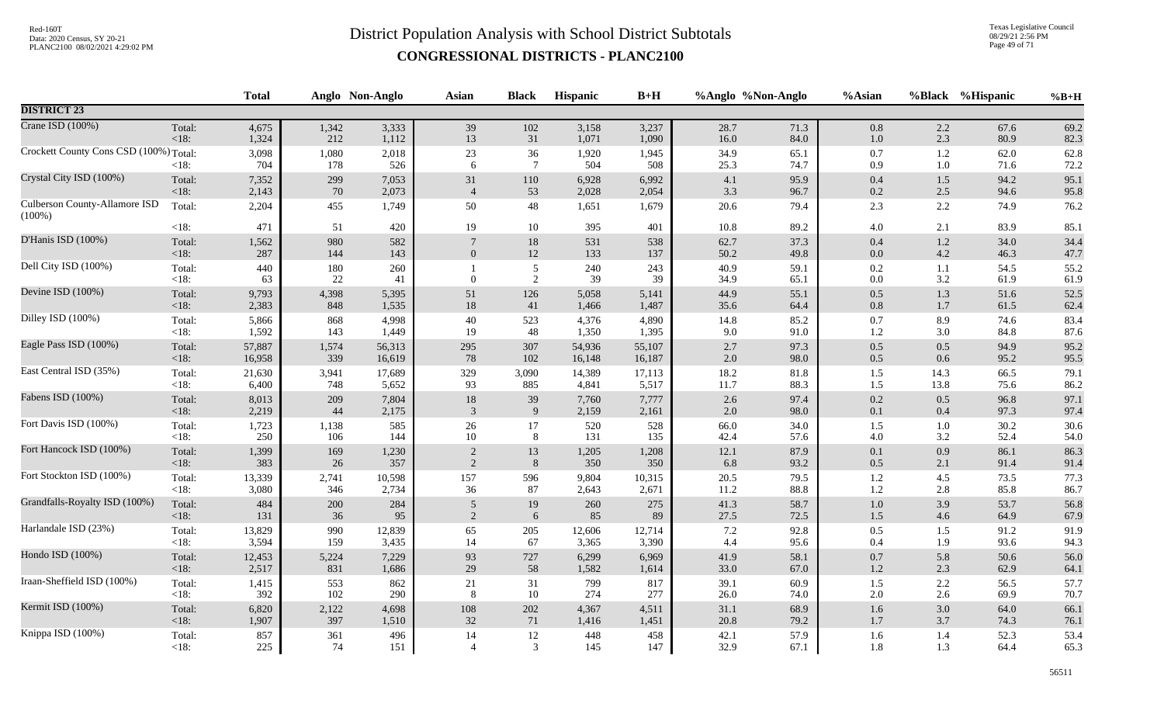Texas Legislative Council 08/29/21 2:56 PM Page 49 of 71

|                                            |                   | <b>Total</b> |               | Anglo Non-Anglo | Asian          | <b>Black</b>                     | Hispanic     | $B+H$        |              | %Anglo %Non-Anglo | %Asian             |                    | %Black %Hispanic | $%B+H$       |
|--------------------------------------------|-------------------|--------------|---------------|-----------------|----------------|----------------------------------|--------------|--------------|--------------|-------------------|--------------------|--------------------|------------------|--------------|
| <b>DISTRICT 23</b>                         |                   |              |               |                 |                |                                  |              |              |              |                   |                    |                    |                  |              |
| Crane ISD (100%)                           | Total:            | 4,675        | 1,342         | 3,333           | 39             | 102                              | 3,158        | 3,237        | 28.7         | 71.3              | $0.8\,$            | 2.2                | 67.6             | 69.2         |
|                                            | $<18$ :           | 1,324        | 212           | 1,112           | 13             | 31                               | 1,071        | 1,090        | 16.0         | 84.0              | 1.0                | 2.3                | 80.9             | 82.3         |
| Crockett County Cons CSD (100%) Total:     | <18:              | 3,098<br>704 | 1,080<br>178  | 2,018<br>526    | 23<br>6        | $36\,$<br>$\overline{7}$         | 1,920<br>504 | 1,945<br>508 | 34.9<br>25.3 | 65.1<br>74.7      | $0.7\,$<br>0.9     | $1.2\,$<br>$1.0\,$ | 62.0<br>71.6     | 62.8<br>72.2 |
| Crystal City ISD (100%)                    | Total:            | 7,352        | 299           | 7,053           | 31             | 110                              | 6,928        | 6,992        | 4.1          | 95.9              | 0.4                | 1.5                | 94.2             | 95.1         |
|                                            | < 18:             | 2,143        | 70            | 2,073           | $\overline{4}$ | 53                               | 2,028        | 2,054        | 3.3          | 96.7              | $0.2\,$            | 2.5                | 94.6             | 95.8         |
| Culberson County-Allamore ISD<br>$(100\%)$ | Total:            | 2,204        | 455           | 1,749           | 50             | 48                               | 1,651        | 1,679        | 20.6         | 79.4              | 2.3                | 2.2                | 74.9             | 76.2         |
|                                            | $<18$ :           | 471          | 51            | 420             | 19             | 10                               | 395          | 401          | 10.8         | 89.2              | $4.0\,$            | 2.1                | 83.9             | 85.1         |
| D'Hanis ISD (100%)                         | Total:            | 1,562        | 980           | 582             | $\overline{7}$ | $18\,$                           | 531          | 538          | 62.7         | 37.3              | $0.4\,$            | $1.2\,$            | 34.0             | 34.4         |
|                                            | $<18$ :           | 287          | 144           | 143             | $\overline{0}$ | $12\,$                           | 133          | 137          | 50.2         | 49.8              | $0.0\,$            | 4.2                | 46.3             | 47.7         |
| Dell City ISD (100%)                       | Total:<br>$<18$ : | 440<br>63    | 180<br>$22\,$ | 260<br>41       | $\overline{0}$ | $\mathfrak{S}$<br>$\overline{2}$ | 240<br>39    | 243<br>39    | 40.9<br>34.9 | 59.1<br>65.1      | $0.2\,$<br>$0.0\,$ | 1.1<br>3.2         | 54.5<br>61.9     | 55.2<br>61.9 |
| Devine ISD (100%)                          | Total:            | 9,793        | 4,398         | 5,395           | 51             | 126                              | 5,058        | 5,141        | 44.9         | 55.1              | $0.5\,$            | 1.3                | 51.6             | 52.5         |
|                                            | $<18$ :           | 2,383        | 848           | 1,535           | $18\,$         | 41                               | 1,466        | 1,487        | 35.6         | 64.4              | $0.8\,$            | 1.7                | 61.5             | 62.4         |
| Dilley ISD (100%)                          | Total:            | 5,866        | 868           | 4,998           | $40\,$         | 523                              | 4,376        | 4,890        | 14.8         | 85.2              | $0.7\,$            | 8.9                | 74.6             | 83.4         |
|                                            | <18:              | 1,592        | 143           | 1,449           | 19             | 48                               | 1,350        | 1,395        | 9.0          | 91.0              | 1.2                | 3.0                | 84.8             | 87.6         |
| Eagle Pass ISD (100%)                      | Total:            | 57,887       | 1,574         | 56,313          | 295            | 307                              | 54,936       | 55,107       | 2.7          | 97.3              | $0.5\,$            | 0.5                | 94.9             | 95.2         |
|                                            | $<18$ :           | 16,958       | 339           | 16,619          | 78             | 102                              | 16,148       | 16,187       | 2.0          | 98.0              | 0.5                | 0.6                | 95.2             | 95.5         |
| East Central ISD (35%)                     | Total:            | 21,630       | 3,941         | 17,689          | 329            | 3,090                            | 14,389       | 17,113       | 18.2         | 81.8              | $1.5\,$            | 14.3               | 66.5             | 79.1         |
|                                            | $<18$ :           | 6,400        | 748           | 5,652           | 93             | 885                              | 4,841        | 5,517        | 11.7         | 88.3              | 1.5                | 13.8               | 75.6             | 86.2         |
| Fabens ISD (100%)                          | Total:            | 8,013        | 209           | 7,804           | $18\,$         | 39                               | 7,760        | 7,777        | $2.6\,$      | 97.4              | $0.2\,$            | 0.5                | 96.8             | 97.1         |
|                                            | $<18$ :           | 2,219        | 44            | 2,175           | 3              | 9                                | 2,159        | 2,161        | 2.0          | 98.0              | 0.1                | 0.4                | 97.3             | 97.4         |
| Fort Davis ISD (100%)                      | Total:            | 1,723        | 1,138         | 585             | 26             | 17                               | 520          | 528          | 66.0         | 34.0              | 1.5                | 1.0                | 30.2             | 30.6         |
|                                            | $<18$ :           | 250          | 106           | 144             | $10\,$         | 8                                | 131          | 135          | 42.4         | 57.6              | $4.0\,$            | 3.2                | 52.4             | 54.0         |
| Fort Hancock ISD (100%)                    | Total:            | 1,399        | 169           | 1,230           | $\overline{2}$ | 13                               | 1,205        | 1,208        | $12.1\,$     | 87.9              | $0.1\,$            | 0.9                | 86.1             | 86.3         |
|                                            | $<18$ :           | 383          | 26            | 357             | 2              | 8                                | 350          | 350          | 6.8          | 93.2              | 0.5                | 2.1                | 91.4             | 91.4         |
| Fort Stockton ISD (100%)                   | Total:            | 13,339       | 2,741         | 10,598          | 157            | 596                              | 9,804        | 10,315       | 20.5         | 79.5              | 1.2                | 4.5                | 73.5             | 77.3         |
|                                            | $<18$ :           | 3,080        | 346           | 2,734           | 36             | 87                               | 2,643        | 2,671        | 11.2         | $88.8\,$          | $1.2\,$            | 2.8                | 85.8             | 86.7         |
| Grandfalls-Royalty ISD (100%)              | Total:            | 484          | 200           | 284             | 5              | 19                               | 260          | 275          | 41.3         | 58.7              | $1.0\,$            | 3.9                | 53.7             | 56.8         |
|                                            | $<18$ :           | 131          | 36            | 95              | 2              | 6                                | 85           | 89           | 27.5         | 72.5              | 1.5                | 4.6                | 64.9             | 67.9         |
| Harlandale ISD (23%)                       | Total:            | 13,829       | 990           | 12,839          | 65             | $205\,$                          | 12,606       | 12,714       | $7.2\,$      | 92.8              | $0.5\,$            | 1.5                | 91.2             | 91.9         |
|                                            | <18:              | 3,594        | 159           | 3,435           | 14             | 67                               | 3,365        | 3,390        | 4.4          | 95.6              | 0.4                | 1.9                | 93.6             | 94.3         |
| Hondo ISD (100%)                           | Total:            | 12,453       | 5,224         | 7,229           | 93             | 727                              | 6,299        | 6,969        | 41.9         | 58.1              | $0.7\,$            | 5.8                | 50.6             | 56.0         |
|                                            | $<18$ :           | 2,517        | 831           | 1,686           | 29             | 58                               | 1,582        | 1,614        | 33.0         | 67.0              | $1.2\,$            | 2.3                | 62.9             | 64.1         |
| Iraan-Sheffield ISD (100%)                 | Total:            | 1,415        | 553           | 862             | $21\,$         | 31                               | 799          | 817          | 39.1         | 60.9              | 1.5                | $2.2\,$            | 56.5             | 57.7         |
|                                            | <18:              | 392          | 102           | 290             | 8              | 10                               | 274          | 277          | 26.0         | 74.0              | $2.0\,$            | 2.6                | 69.9             | 70.7         |
| Kermit ISD (100%)                          | Total:            | 6,820        | 2,122         | 4,698           | 108            | $202\,$                          | 4,367        | 4,511        | 31.1         | 68.9              | $1.6\,$            | 3.0                | 64.0             | 66.1         |
|                                            | $<18$ :           | 1,907        | 397           | 1,510           | 32             | 71                               | 1,416        | 1,451        | 20.8         | 79.2              | 1.7                | 3.7                | 74.3             | 76.1         |
| Knippa ISD (100%)                          | Total:            | 857          | 361           | 496             | 14             | 12                               | 448          | 458          | 42.1         | 57.9              | 1.6                | 1.4                | 52.3             | 53.4         |
|                                            | <18:              | 225          | 74            | 151             | $\overline{4}$ | 3                                | 145          | 147          | 32.9         | 67.1              | 1.8                | 1.3                | 64.4             | 65.3         |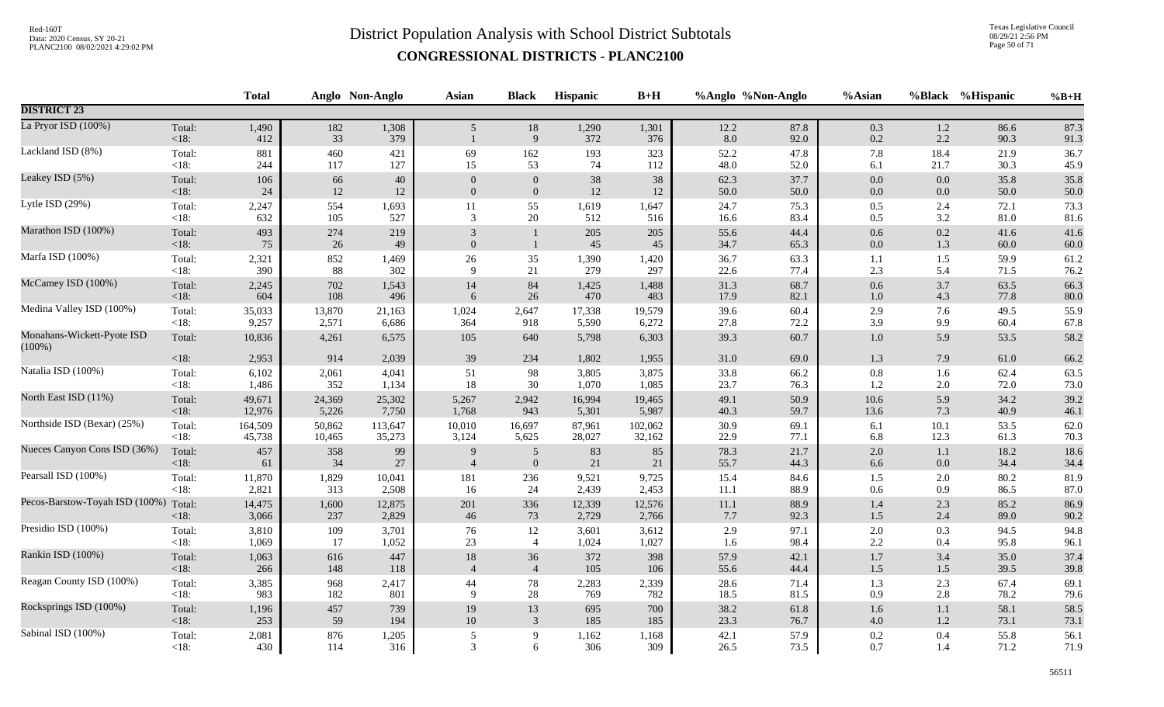Texas Legislative Council 08/29/21 2:56 PM Page 50 of 71

|                                         |                   | <b>Total</b> |           | Anglo Non-Anglo | Asian          | <b>Black</b>     | <b>Hispanic</b> | $B+H$        |             | %Anglo %Non-Anglo | %Asian     |                | %Black %Hispanic | $%B+H$       |
|-----------------------------------------|-------------------|--------------|-----------|-----------------|----------------|------------------|-----------------|--------------|-------------|-------------------|------------|----------------|------------------|--------------|
| <b>DISTRICT 23</b>                      |                   |              |           |                 |                |                  |                 |              |             |                   |            |                |                  |              |
| La Pryor ISD (100%)                     | Total:<br>$<18$ : | 1,490<br>412 | 182<br>33 | 1,308<br>379    | 5 <sup>5</sup> | 18<br>9          | 1,290<br>372    | 1,301<br>376 | 12.2<br>8.0 | 87.8<br>92.0      | 0.3<br>0.2 | $1.2\,$<br>2.2 | 86.6<br>90.3     | 87.3<br>91.3 |
| Lackland ISD (8%)                       | Total:            | 881          | 460       | 421             | 69             | 162              | 193             | 323          | 52.2        | 47.8              | $7.8\,$    | 18.4           | 21.9             | 36.7         |
|                                         | $<18$ :           | 244          | 117       | 127             | 15             | 53               | 74              | 112          | 48.0        | 52.0              | 6.1        | 21.7           | 30.3             | 45.9         |
| Leakey ISD (5%)                         | Total:            | 106          | 66        | 40              | $\Omega$       | $\theta$         | 38              | 38           | 62.3        | 37.7              | 0.0        | 0.0            | 35.8             | 35.8         |
|                                         | $<18$ :           | 24           | 12        | 12              | $\Omega$       | $\mathbf{0}$     | $12\,$          | 12           | 50.0        | 50.0              | $0.0\,$    | 0.0            | 50.0             | 50.0         |
| Lytle ISD (29%)                         | Total:            | 2,247        | 554       | 1,693           | 11             | 55               | 1,619           | 1,647        | 24.7        | 75.3              | 0.5        | 2.4            | 72.1             | 73.3         |
|                                         | $<18$ :           | 632          | 105       | 527             | 3              | 20               | 512             | 516          | 16.6        | 83.4              | 0.5        | 3.2            | 81.0             | 81.6         |
| Marathon ISD (100%)                     | Total:            | 493          | 274       | 219             | 3              | $\mathbf{1}$     | 205             | 205          | 55.6        | 44.4              | $0.6\,$    | 0.2            | 41.6             | 41.6         |
|                                         | $<18$ :           | 75           | 26        | 49              | $\mathbf{0}$   | $\mathbf{1}$     | 45              | 45           | 34.7        | 65.3              | $0.0\,$    | 1.3            | 60.0             | 60.0         |
| Marfa ISD (100%)                        | Total:            | 2,321        | 852       | 1,469           | $26\,$         | 35               | 1,390           | 1,420        | 36.7        | 63.3              | 1.1        | 1.5            | 59.9             | 61.2         |
|                                         | $<18$ :           | 390          | 88        | 302             | 9              | 21               | 279             | 297          | 22.6        | 77.4              | 2.3        | 5.4            | 71.5             | 76.2         |
| McCamey ISD (100%)                      | Total:            | 2,245        | 702       | 1,543           | 14             | 84               | 1,425           | 1,488        | 31.3        | 68.7              | 0.6        | 3.7            | 63.5             | 66.3         |
|                                         | $<18$ :           | 604          | 108       | 496             | 6              | 26               | 470             | 483          | 17.9        | 82.1              | 1.0        | 4.3            | 77.8             | 80.0         |
| Medina Valley ISD (100%)                | Total:            | 35,033       | 13,870    | 21,163          | 1,024          | 2,647            | 17,338          | 19,579       | 39.6        | 60.4              | 2.9        | 7.6            | 49.5             | 55.9         |
|                                         | <18:              | 9,257        | 2,571     | 6,686           | 364            | 918              | 5,590           | 6,272        | 27.8        | 72.2              | 3.9        | 9.9            | 60.4             | 67.8         |
| Monahans-Wickett-Pyote ISD<br>$(100\%)$ | Total:            | 10,836       | 4,261     | 6,575           | 105            | 640              | 5,798           | 6,303        | 39.3        | 60.7              | $1.0\,$    | 5.9            | 53.5             | 58.2         |
|                                         | $<18$ :           | 2,953        | 914       | 2,039           | 39             | 234              | 1,802           | 1,955        | 31.0        | 69.0              | $1.3\,$    | 7.9            | 61.0             | 66.2         |
| Natalia ISD (100%)                      | Total:            | 6,102        | 2,061     | 4,041           | 51             | 98               | 3,805           | 3,875        | 33.8        | 66.2              | $0.8\,$    | 1.6            | 62.4             | 63.5         |
|                                         | $<18$ :           | 1,486        | 352       | 1,134           | 18             | 30               | 1,070           | 1,085        | 23.7        | 76.3              | 1.2        | 2.0            | 72.0             | 73.0         |
| North East ISD (11%)                    | Total:            | 49,671       | 24,369    | 25,302          | 5,267          | 2,942            | 16,994          | 19,465       | 49.1        | 50.9              | 10.6       | 5.9            | 34.2             | 39.2         |
|                                         | < 18:             | 12,976       | 5,226     | 7,750           | 1,768          | 943              | 5,301           | 5,987        | 40.3        | 59.7              | 13.6       | 7.3            | 40.9             | 46.1         |
| Northside ISD (Bexar) (25%)             | Total:            | 164,509      | 50,862    | 113,647         | 10,010         | 16,697           | 87,961          | 102,062      | 30.9        | 69.1              | 6.1        | 10.1           | 53.5             | 62.0         |
|                                         | $<18$ :           | 45,738       | 10,465    | 35,273          | 3,124          | 5,625            | 28,027          | 32,162       | 22.9        | 77.1              | 6.8        | 12.3           | 61.3             | 70.3         |
| Nueces Canyon Cons ISD (36%)            | Total:            | 457          | 358       | 99              | $\mathbf Q$    | $\overline{5}$   | 83              | 85           | 78.3        | 21.7              | $2.0\,$    | 1.1            | 18.2             | 18.6         |
|                                         | $<18$ :           | 61           | 34        | 27              | $\overline{4}$ | $\boldsymbol{0}$ | 21              | 21           | 55.7        | 44.3              | 6.6        | 0.0            | 34.4             | 34.4         |
| Pearsall ISD (100%)                     | Total:            | 11,870       | 1,829     | 10,041          | 181            | 236              | 9,521           | 9,725        | 15.4        | 84.6              | 1.5        | 2.0            | 80.2             | 81.9         |
|                                         | $<18$ :           | 2,821        | 313       | 2,508           | 16             | 24               | 2,439           | 2,453        | 11.1        | 88.9              | $0.6\,$    | 0.9            | 86.5             | 87.0         |
| Pecos-Barstow-Toyah ISD (100%)          | Total:            | 14,475       | 1,600     | 12,875          | 201            | 336              | 12,339          | 12,576       | $11.1\,$    | 88.9              | 1.4        | 2.3            | 85.2             | 86.9         |
|                                         | < 18:             | 3,066        | 237       | 2,829           | 46             | 73               | 2,729           | 2,766        | 7.7         | 92.3              | $1.5$      | 2.4            | 89.0             | 90.2         |
| Presidio ISD (100%)                     | Total:            | 3,810        | 109       | 3,701           | 76             | 12               | 3,601           | 3,612        | 2.9         | 97.1              | 2.0        | 0.3            | 94.5             | 94.8         |
|                                         | $<18$ :           | 1,069        | 17        | 1,052           | 23             | $\overline{4}$   | 1,024           | 1,027        | 1.6         | 98.4              | 2.2        | 0.4            | 95.8             | 96.1         |
| Rankin ISD (100%)                       | Total:            | 1,063        | 616       | 447             | 18             | 36               | 372             | 398          | 57.9        | 42.1              | $1.7\,$    | 3.4            | 35.0             | 37.4         |
|                                         | $<18$ :           | 266          | 148       | 118             | $\overline{4}$ | $\overline{4}$   | 105             | 106          | 55.6        | 44.4              | $1.5\,$    | $1.5$          | 39.5             | 39.8         |
| Reagan County ISD (100%)                | Total:            | 3,385        | 968       | 2,417           | 44             | 78               | 2,283           | 2,339        | 28.6        | 71.4              | 1.3        | 2.3            | 67.4             | 69.1         |
|                                         | <18:              | 983          | 182       | 801             | 9              | 28               | 769             | 782          | 18.5        | 81.5              | 0.9        | 2.8            | 78.2             | 79.6         |
| Rocksprings ISD (100%)                  | Total:            | 1,196        | 457       | 739             | 19             | 13               | 695             | 700          | 38.2        | 61.8              | $1.6\,$    | 1.1            | 58.1             | 58.5         |
|                                         | $<18$ :           | 253          | 59        | 194             | 10             | $\overline{3}$   | 185             | 185          | 23.3        | 76.7              | $4.0\,$    | 1.2            | 73.1             | 73.1         |
| Sabinal ISD (100%)                      | Total:            | 2,081        | 876       | 1,205           | 5              | 9                | 1,162           | 1,168        | 42.1        | 57.9              | $0.2\,$    | 0.4            | 55.8             | 56.1         |
|                                         | $<18$ :           | 430          | 114       | 316             | 3              | 6                | 306             | 309          | 26.5        | 73.5              | 0.7        | 1.4            | 71.2             | 71.9         |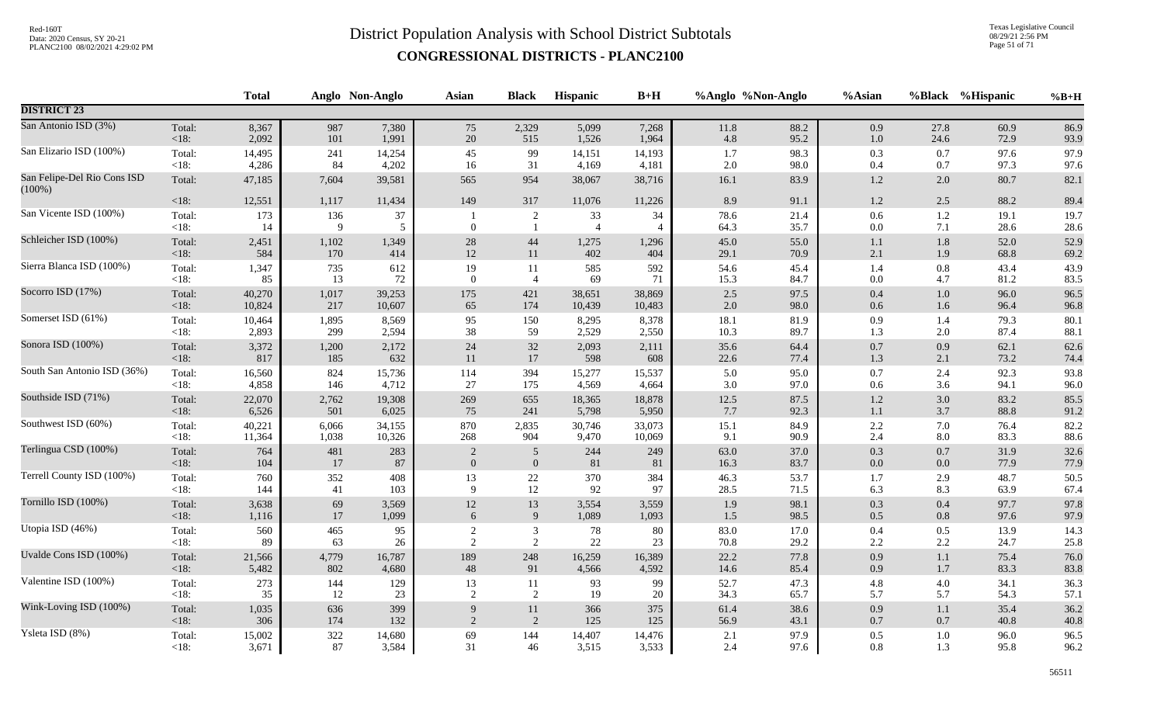Texas Legislative Council 08/29/21 2:56 PM Page 51 of 71

|                                          |                   | <b>Total</b> |          | Anglo Non-Anglo | Asian          | <b>Black</b>         | Hispanic             | $B+H$                |              | %Anglo %Non-Anglo | %Asian             |                | %Black %Hispanic | $%B+H$       |
|------------------------------------------|-------------------|--------------|----------|-----------------|----------------|----------------------|----------------------|----------------------|--------------|-------------------|--------------------|----------------|------------------|--------------|
| <b>DISTRICT 23</b>                       |                   |              |          |                 |                |                      |                      |                      |              |                   |                    |                |                  |              |
| San Antonio ISD (3%)                     | Total:            | 8,367        | 987      | 7,380           | 75             | 2,329                | 5,099                | 7,268                | $11.8\,$     | 88.2              | 0.9                | 27.8           | 60.9             | 86.9         |
|                                          | $<18$ :           | 2,092        | 101      | 1,991           | 20             | 515                  | 1,526                | 1,964                | 4.8          | 95.2              | 1.0                | 24.6           | 72.9             | 93.9         |
| San Elizario ISD (100%)                  | Total:            | 14,495       | 241      | 14,254          | 45             | 99                   | 14,151               | 14,193               | 1.7          | 98.3              | 0.3                | 0.7            | 97.6             | 97.9         |
|                                          | $<18$ :           | 4,286        | 84       | 4,202           | 16             | 31                   | 4,169                | 4,181                | 2.0          | 98.0              | 0.4                | 0.7            | 97.3             | 97.6         |
| San Felipe-Del Rio Cons ISD<br>$(100\%)$ | Total:            | 47,185       | 7,604    | 39,581          | 565            | 954                  | 38,067               | 38,716               | 16.1         | 83.9              | 1.2                | 2.0            | 80.7             | 82.1         |
|                                          | $<18$ :           | 12,551       | 1,117    | 11,434          | 149            | 317                  | 11,076               | 11,226               | 8.9          | 91.1              | $1.2\,$            | 2.5            | 88.2             | 89.4         |
| San Vicente ISD (100%)                   | Total:<br>$<18$ : | 173<br>14    | 136<br>9 | $37\,$<br>5     | $\mathbf{0}$   | $\overline{c}$<br>-1 | 33<br>$\overline{4}$ | 34<br>$\overline{4}$ | 78.6<br>64.3 | 21.4<br>35.7      | $0.6\,$<br>$0.0\,$ | $1.2\,$<br>7.1 | 19.1<br>28.6     | 19.7<br>28.6 |
| Schleicher ISD (100%)                    | Total:            | 2,451        | 1,102    | 1,349           | $28\,$         | 44                   | 1,275                | 1,296                | 45.0         | 55.0              | $1.1\,$            | $1.8\,$        | 52.0             | 52.9         |
|                                          | <18:              | 584          | 170      | 414             | $12\,$         | 11                   | 402                  | 404                  | 29.1         | 70.9              | 2.1                | 1.9            | 68.8             | 69.2         |
| Sierra Blanca ISD (100%)                 | Total:            | 1,347        | 735      | 612             | 19             | 11                   | 585                  | 592                  | 54.6         | 45.4              | 1.4                | 0.8            | 43.4             | 43.9         |
|                                          | $<18$ :           | 85           | 13       | $72\,$          | $\overline{0}$ | $\overline{4}$       | 69                   | 71                   | 15.3         | 84.7              | $0.0\,$            | 4.7            | 81.2             | 83.5         |
| Socorro ISD (17%)                        | Total:            | 40,270       | 1,017    | 39,253          | 175            | 421                  | 38,651               | 38,869               | 2.5          | 97.5              | $0.4\,$            | $1.0\,$        | 96.0             | 96.5         |
|                                          | $<18$ :           | 10,824       | 217      | 10,607          | 65             | 174                  | 10,439               | 10,483               | 2.0          | 98.0              | 0.6                | 1.6            | 96.4             | 96.8         |
| Somerset ISD (61%)                       | Total:            | 10,464       | 1,895    | 8,569           | 95             | 150                  | 8,295                | 8,378                | 18.1         | 81.9              | 0.9                | 1.4            | 79.3             | 80.1         |
|                                          | $<18$ :           | 2,893        | 299      | 2,594           | 38             | 59                   | 2,529                | 2,550                | 10.3         | 89.7              | 1.3                | 2.0            | 87.4             | 88.1         |
| Sonora ISD (100%)                        | Total:            | 3,372        | 1,200    | 2,172           | 24             | 32                   | 2,093                | 2,111                | 35.6         | 64.4              | $0.7\,$            | 0.9            | 62.1             | 62.6         |
|                                          | <18:              | 817          | 185      | 632             | 11             | 17                   | 598                  | 608                  | 22.6         | 77.4              | $1.3$              | 2.1            | 73.2             | 74.4         |
| South San Antonio ISD (36%)              | Total:            | 16,560       | 824      | 15,736          | 114            | 394                  | 15,277               | 15,537               | 5.0          | 95.0              | $0.7\,$            | 2.4            | 92.3             | 93.8         |
|                                          | <18:              | 4,858        | 146      | 4,712           | 27             | 175                  | 4,569                | 4,664                | 3.0          | 97.0              | $0.6\,$            | 3.6            | 94.1             | 96.0         |
| Southside ISD (71%)                      | Total:            | 22,070       | 2,762    | 19,308          | 269            | 655                  | 18,365               | 18,878               | 12.5         | 87.5              | $1.2\,$            | 3.0            | 83.2             | 85.5         |
|                                          | <18:              | 6,526        | 501      | 6,025           | 75             | 241                  | 5,798                | 5,950                | 7.7          | 92.3              | $1.1\,$            | 3.7            | 88.8             | 91.2         |
| Southwest ISD (60%)                      | Total:            | 40,221       | 6,066    | 34,155          | 870            | 2,835                | 30,746               | 33,073               | 15.1         | 84.9              | $2.2\,$            | 7.0            | 76.4             | 82.2         |
|                                          | <18:              | 11,364       | 1,038    | 10,326          | 268            | 904                  | 9,470                | 10,069               | 9.1          | 90.9              | 2.4                | 8.0            | 83.3             | 88.6         |
| Terlingua CSD (100%)                     | Total:            | 764          | 481      | 283             | 2              | $\overline{5}$       | 244                  | 249                  | 63.0         | 37.0              | $0.3\,$            | 0.7            | 31.9             | 32.6         |
|                                          | <18:              | 104          | 17       | 87              | $\overline{0}$ | $\mathbf{0}$         | 81                   | 81                   | 16.3         | 83.7              | 0.0                | 0.0            | 77.9             | 77.9         |
| Terrell County ISD (100%)                | Total:            | 760          | 352      | 408             | 13             | $22\,$               | 370                  | 384                  | 46.3         | 53.7              | 1.7                | 2.9            | 48.7             | 50.5         |
|                                          | <18:              | 144          | 41       | 103             | $\mathbf{Q}$   | 12                   | 92                   | 97                   | 28.5         | 71.5              | 6.3                | 8.3            | 63.9             | 67.4         |
| Tornillo ISD (100%)                      | Total:            | 3,638        | 69       | 3,569           | $12\,$         | 13                   | 3,554                | 3,559                | 1.9          | 98.1              | $0.3\,$            | 0.4            | 97.7             | 97.8         |
|                                          | < 18:             | 1,116        | 17       | 1,099           | 6              | 9                    | 1,089                | 1,093                | 1.5          | 98.5              | 0.5                | 0.8            | 97.6             | 97.9         |
| Utopia ISD (46%)                         | Total:            | 560          | 465      | 95              | 2              | 3                    | 78                   | 80                   | 83.0         | 17.0              | 0.4                | 0.5            | 13.9             | 14.3         |
|                                          | < 18:             | 89           | 63       | 26              | 2              | 2                    | 22                   | 23                   | 70.8         | 29.2              | 2.2                | 2.2            | 24.7             | 25.8         |
| Uvalde Cons ISD (100%)                   | Total:            | 21,566       | 4,779    | 16,787          | 189            | 248                  | 16,259               | 16,389               | 22.2         | 77.8              | 0.9                | 1.1            | 75.4             | 76.0         |
|                                          | <18:              | 5,482        | 802      | 4,680           | 48             | 91                   | 4,566                | 4,592                | 14.6         | 85.4              | 0.9                | 1.7            | 83.3             | 83.8         |
| Valentine ISD (100%)                     | Total:            | 273          | 144      | 129             | 13             | 11                   | 93                   | 99                   | 52.7         | 47.3              | $4.8\,$            | 4.0            | 34.1             | 36.3         |
|                                          | < 18:             | 35           | 12       | 23              | $\sqrt{2}$     | 2                    | 19                   | $20\,$               | 34.3         | 65.7              | 5.7                | 5.7            | 54.3             | 57.1         |
| Wink-Loving ISD (100%)                   | Total:            | 1,035        | 636      | 399             | 9              | 11                   | 366                  | 375                  | 61.4         | 38.6              | 0.9                | 1.1            | 35.4             | 36.2         |
|                                          | < 18:             | 306          | 174      | 132             | $\overline{2}$ | 2                    | 125                  | 125                  | 56.9         | 43.1              | $0.7\,$            | 0.7            | 40.8             | 40.8         |
| Ysleta ISD (8%)                          | Total:            | 15,002       | $322\,$  | 14,680          | 69             | 144                  | 14,407               | 14,476               | 2.1          | 97.9              | $0.5\,$            | 1.0            | 96.0             | 96.5         |
|                                          | $<18$ :           | 3,671        | 87       | 3,584           | 31             | 46                   | 3,515                | 3,533                | 2.4          | 97.6              | 0.8                | 1.3            | 95.8             | 96.2         |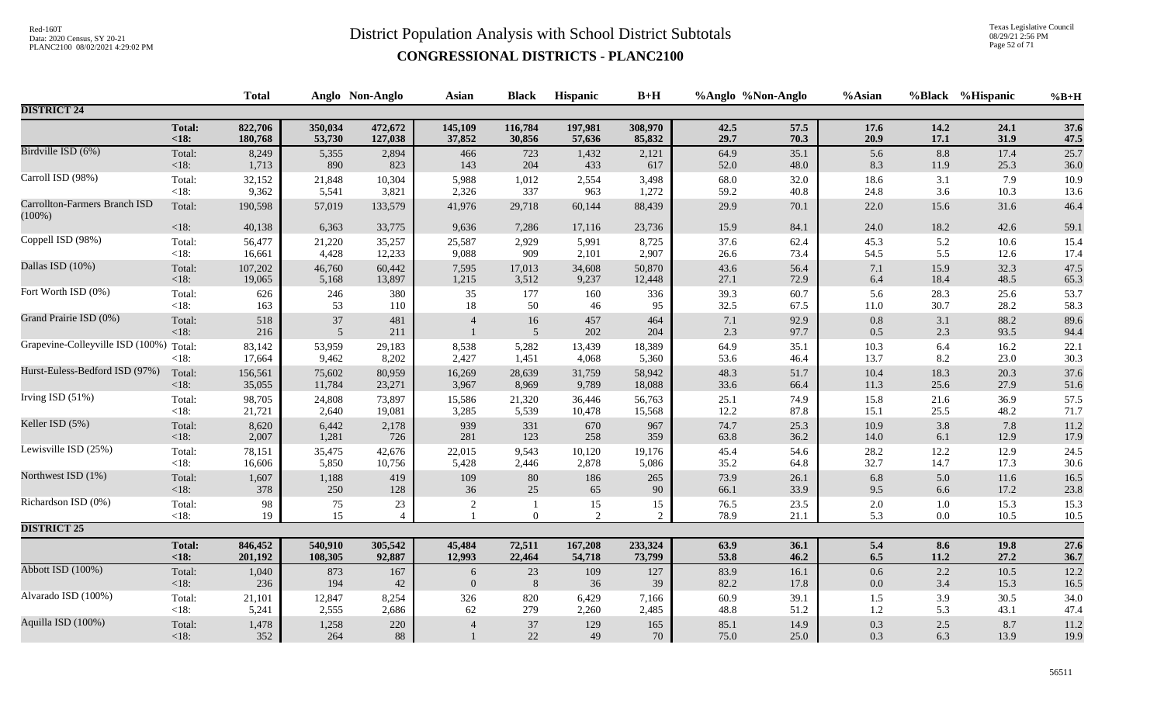Texas Legislative Council 08/29/21 2:56 PM Page 52 of 71

|                                            |                   | <b>Total</b> |                          | Anglo Non-Anglo          | <b>Asian</b>   | <b>Black</b>                   | Hispanic   | $B+H$                | %Anglo %Non-Anglo |              | %Asian         |                | %Black %Hispanic | $%B+H$            |
|--------------------------------------------|-------------------|--------------|--------------------------|--------------------------|----------------|--------------------------------|------------|----------------------|-------------------|--------------|----------------|----------------|------------------|-------------------|
| <b>DISTRICT 24</b>                         |                   |              |                          |                          |                |                                |            |                      |                   |              |                |                |                  |                   |
|                                            | <b>Total:</b>     | 822,706      | 350,034                  | 472,672                  | 145,109        | 116,784                        | 197,981    | 308,970              | 42.5              | 57.5         | 17.6           | 14.2           | 24.1             | 37.6              |
|                                            | $18$              | 180,768      | 53,730                   | 127,038                  | 37,852         | 30,856                         | 57,636     | 85,832               | 29.7              | 70.3         | 20.9           | 17.1           | 31.9             | 47.5              |
| Birdville ISD (6%)                         | Total:            | 8,249        | 5,355                    | 2,894                    | 466            | 723                            | 1,432      | 2,121                | 64.9              | 35.1         | 5.6            | 8.8            | 17.4             | $\overline{25.7}$ |
|                                            | <18:              | 1,713        | 890                      | 823                      | 143            | 204                            | 433        | 617                  | 52.0              | 48.0         | 8.3            | 11.9           | 25.3             | 36.0              |
| Carroll ISD (98%)                          | Total:            | 32,152       | 21,848                   | 10,304                   | 5,988          | 1,012                          | 2,554      | 3,498                | 68.0              | 32.0         | 18.6           | 3.1            | 7.9              | 10.9              |
|                                            | $<18$ :           | 9,362        | 5,541                    | 3,821                    | 2,326          | 337                            | 963        | 1,272                | 59.2              | 40.8         | 24.8           | 3.6            | 10.3             | 13.6              |
| Carrollton-Farmers Branch ISD<br>$(100\%)$ | Total:            | 190,598      | 57,019                   | 133,579                  | 41,976         | 29,718                         | 60,144     | 88,439               | 29.9              | 70.1         | 22.0           | 15.6           | 31.6             | 46.4              |
|                                            | $<18$ :           | 40,138       | 6,363                    | 33,775                   | 9,636          | 7,286                          | 17,116     | 23,736               | 15.9              | 84.1         | 24.0           | 18.2           | 42.6             | 59.1              |
| Coppell ISD (98%)                          | Total:            | 56,477       | 21,220                   | 35,257                   | 25,587         | 2,929                          | 5,991      | 8,725                | 37.6              | 62.4         | 45.3           | 5.2            | 10.6             | 15.4              |
|                                            | $<18$ :           | 16,661       | 4,428                    | 12,233                   | 9,088          | 909                            | 2,101      | 2,907                | 26.6              | 73.4         | 54.5           | 5.5            | 12.6             | 17.4              |
| Dallas ISD (10%)                           | Total:            | 107,202      | 46,760                   | 60,442                   | 7,595          | 17,013                         | 34,608     | 50,870               | 43.6              | 56.4         | $7.1\,$        | 15.9           | 32.3             | 47.5              |
|                                            | <18:              | 19,065       | 5,168                    | 13,897                   | 1,215          | 3,512                          | 9,237      | 12,448               | 27.1              | 72.9         | 6.4            | 18.4           | 48.5             | 65.3              |
| Fort Worth ISD (0%)                        | Total:            | 626          | 246                      | 380                      | 35             | 177                            | 160        | 336                  | 39.3              | 60.7         | 5.6            | 28.3           | 25.6             | 53.7              |
|                                            | $<18$ :           | 163          | 53                       | 110                      | 18             | 50                             | 46         | 95                   | 32.5              | 67.5         | $11.0\,$       | 30.7           | 28.2             | 58.3              |
| Grand Prairie ISD (0%)                     | Total:<br><18:    | 518<br>216   | $37\,$<br>$\overline{5}$ | 481<br>211               | $\overline{4}$ | $16\,$<br>$\overline{5}$       | 457<br>202 | 464<br>204           | 7.1<br>2.3        | 92.9<br>97.7 | $0.8\,$<br>0.5 | 3.1<br>2.3     | 88.2<br>93.5     | 89.6<br>94.4      |
| Grapevine-Colleyville ISD (100%)           | Total:            | 83,142       | 53,959                   | 29,183                   | 8,538          | 5,282                          | 13,439     | 18,389               | 64.9              | 35.1         | 10.3           | 6.4            | 16.2             | 22.1              |
|                                            | $<18$ :           | 17,664       | 9,462                    | 8,202                    | 2,427          | 1,451                          | 4,068      | 5,360                | 53.6              | 46.4         | 13.7           | 8.2            | 23.0             | 30.3              |
| Hurst-Euless-Bedford ISD (97%)             | Total:            | 156,561      | 75,602                   | 80,959                   | 16,269         | 28,639                         | 31,759     | 58,942               | 48.3              | 51.7         | $10.4\,$       | 18.3           | 20.3             | 37.6              |
|                                            | < 18:             | 35,055       | 11,784                   | 23,271                   | 3,967          | 8,969                          | 9,789      | 18,088               | 33.6              | 66.4         | 11.3           | 25.6           | 27.9             | 51.6              |
| Irving ISD (51%)                           | Total:            | 98,705       | 24,808                   | 73,897                   | 15,586         | 21,320                         | 36,446     | 56,763               | 25.1              | 74.9         | 15.8           | 21.6           | 36.9             | 57.5              |
|                                            | <18:              | 21,721       | 2,640                    | 19,081                   | 3,285          | 5,539                          | 10,478     | 15,568               | 12.2              | 87.8         | 15.1           | 25.5           | 48.2             | 71.7              |
| Keller ISD (5%)                            | Total:            | 8,620        | 6,442                    | 2,178                    | 939            | 331                            | 670        | 967                  | 74.7              | 25.3         | 10.9           | 3.8            | 7.8              | 11.2              |
|                                            | < 18:             | 2,007        | 1,281                    | 726                      | 281            | 123                            | 258        | 359                  | 63.8              | 36.2         | $14.0\,$       | 6.1            | 12.9             | 17.9              |
| Lewisville ISD (25%)                       | Total:            | 78,151       | 35,475                   | 42,676                   | 22,015         | 9,543                          | 10,120     | 19,176               | 45.4              | 54.6         | 28.2           | 12.2           | 12.9             | 24.5              |
|                                            | <18:              | 16,606       | 5,850                    | 10,756                   | 5,428          | 2,446                          | 2,878      | 5,086                | 35.2              | 64.8         | 32.7           | 14.7           | 17.3             | 30.6              |
| Northwest ISD (1%)                         | Total:            | 1,607        | 1,188                    | 419                      | 109            | $80\,$                         | 186        | 265                  | 73.9              | 26.1         | $6.8\,$        | 5.0            | 11.6             | 16.5              |
|                                            | <18:              | 378          | 250                      | 128                      | 36             | 25                             | 65         | 90                   | 66.1              | 33.9         | 9.5            | 6.6            | 17.2             | 23.8              |
| Richardson ISD (0%)                        | Total:<br>< 18:   | 98<br>19     | 75<br>15                 | $23\,$<br>$\overline{4}$ | 2              | $\mathbf{1}$<br>$\overline{0}$ | 15<br>2    | 15<br>$\overline{2}$ | 76.5<br>78.9      | 23.5<br>21.1 | $2.0\,$<br>5.3 | 1.0<br>$0.0\,$ | 15.3<br>10.5     | 15.3<br>$10.5\,$  |
| <b>DISTRICT 25</b>                         |                   |              |                          |                          |                |                                |            |                      |                   |              |                |                |                  |                   |
|                                            | <b>Total:</b>     | 846,452      | 540,910                  | 305,542                  | 45,484         | 72,511                         | 167,208    | 233,324              | 63.9              | 36.1         | $5.4$          | 8.6            | 19.8             | 27.6              |
|                                            | < 18:             | 201,192      | 108,305                  | 92,887                   | 12,993         | 22,464                         | 54,718     | 73,799               | 53.8              | 46.2         | $6.5\,$        | 11.2           | 27.2             | 36.7              |
| Abbott ISD (100%)                          | Total:            | 1,040        | 873                      | 167                      | 6              | $23\,$                         | 109        | 127                  | 83.9              | 16.1         | $0.6\,$        | 2.2            | $10.5\,$         | 12.2              |
|                                            | <18:              | 236          | 194                      | 42                       | $\overline{0}$ | 8                              | 36         | 39                   | 82.2              | 17.8         | $0.0\,$        | 3.4            | 15.3             | 16.5              |
| Alvarado ISD (100%)                        | Total:            | 21,101       | 12,847                   | 8,254                    | 326            | 820                            | 6,429      | 7,166                | 60.9              | 39.1         | 1.5            | 3.9            | 30.5             | 34.0              |
|                                            | <18:              | 5,241        | 2,555                    | 2,686                    | 62             | 279                            | 2,260      | 2,485                | 48.8              | 51.2         | 1.2            | 5.3            | 43.1             | 47.4              |
| Aquilla ISD (100%)                         | Total:<br>$<18$ : | 1,478<br>352 | 1,258<br>264             | 220<br>88                |                | $37\,$<br>22                   | 129<br>49  | 165<br>70            | 85.1<br>75.0      | 14.9<br>25.0 | 0.3<br>0.3     | 2.5<br>6.3     | 8.7<br>13.9      | 11.2<br>19.9      |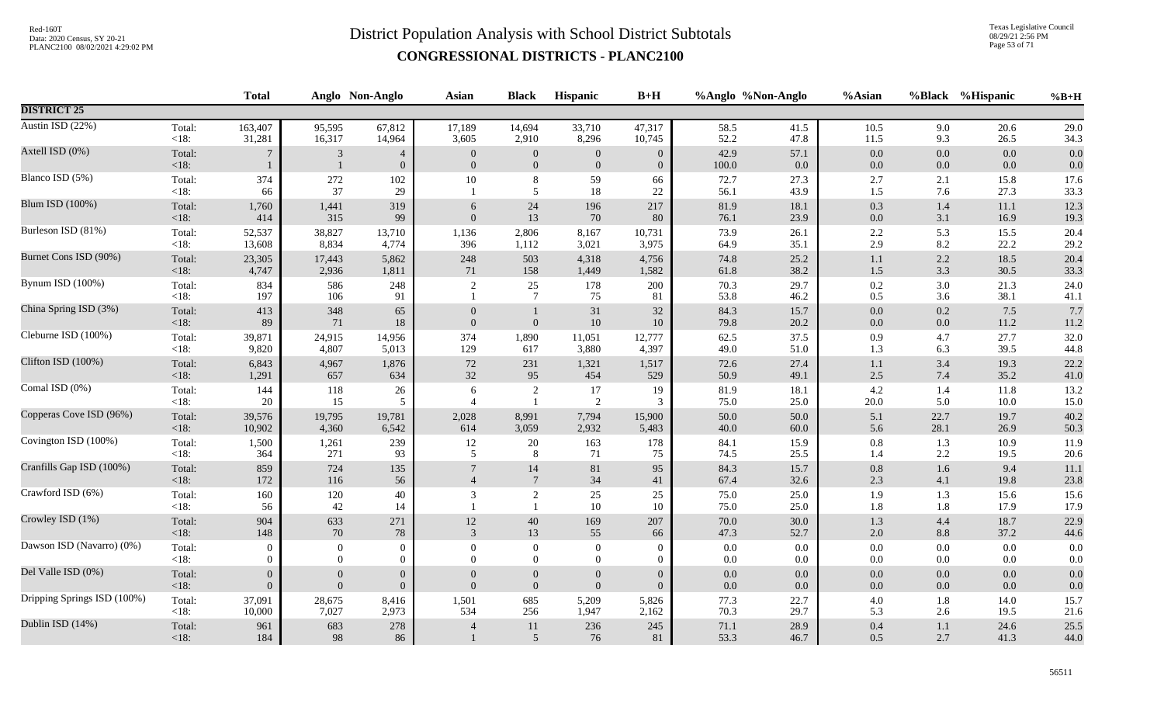Texas Legislative Council 08/29/21 2:56 PM Page 53 of 71

|                             |                   | <b>Total</b>                   |                                    | Anglo Non-Anglo                    | Asian                            | <b>Black</b>                         | Hispanic                     | $B+H$                            |                | %Anglo %Non-Anglo | %Asian             |                | %Black %Hispanic | $%B+H$       |
|-----------------------------|-------------------|--------------------------------|------------------------------------|------------------------------------|----------------------------------|--------------------------------------|------------------------------|----------------------------------|----------------|-------------------|--------------------|----------------|------------------|--------------|
| <b>DISTRICT 25</b>          |                   |                                |                                    |                                    |                                  |                                      |                              |                                  |                |                   |                    |                |                  |              |
| Austin ISD (22%)            | Total:            | 163,407                        | 95,595                             | 67,812                             | 17,189                           | 14,694                               | 33,710                       | 47,317                           | 58.5           | 41.5              | 10.5               | 9.0            | 20.6             | 29.0         |
|                             | <18:              | 31,281                         | 16,317                             | 14,964                             | 3,605                            | 2,910                                | 8,296                        | 10,745                           | 52.2           | 47.8              | 11.5               | 9.3            | 26.5             | 34.3         |
| Axtell ISD (0%)             | Total:<br>< 18:   | 7                              | 3<br>$\overline{1}$                | $\overline{4}$<br>$\boldsymbol{0}$ | $\overline{0}$<br>$\overline{0}$ | $\boldsymbol{0}$<br>$\boldsymbol{0}$ | $\mathbf{0}$<br>$\mathbf{0}$ | $\overline{0}$<br>$\overline{0}$ | 42.9<br>100.0  | 57.1<br>0.0       | $0.0\,$<br>$0.0\,$ | 0.0<br>$0.0\,$ | 0.0<br>0.0       | 0.0<br>0.0   |
| Blanco ISD (5%)             | Total:<br>< 18:   | 374<br>66                      | 272<br>37                          | 102<br>29                          | $10\,$                           | $\,8\,$<br>5                         | 59<br>$18\,$                 | 66<br>22                         | 72.7<br>56.1   | 27.3<br>43.9      | 2.7<br>1.5         | 2.1<br>7.6     | 15.8<br>27.3     | 17.6<br>33.3 |
| Blum ISD (100%)             | Total:            | 1,760                          | 1,441                              | 319                                | 6                                | $24\,$                               | 196                          | 217                              | 81.9           | 18.1              | 0.3                | 1.4            | 11.1             | 12.3         |
|                             | <18:              | 414                            | 315                                | 99                                 | $\overline{0}$                   | 13                                   | 70                           | 80                               | 76.1           | 23.9              | $0.0\,$            | 3.1            | 16.9             | 19.3         |
| Burleson ISD (81%)          | Total:            | 52,537                         | 38,827                             | 13,710                             | 1,136                            | 2,806                                | 8,167                        | 10,731                           | 73.9           | 26.1              | $2.2\,$            | 5.3            | 15.5             | 20.4         |
|                             | $<18$ :           | 13,608                         | 8,834                              | 4,774                              | 396                              | 1,112                                | 3,021                        | 3,975                            | 64.9           | 35.1              | 2.9                | 8.2            | 22.2             | 29.2         |
| Burnet Cons ISD (90%)       | Total:            | 23,305                         | 17,443                             | 5,862                              | 248                              | 503                                  | 4,318                        | 4,756                            | 74.8           | 25.2              | $1.1\,$            | 2.2            | 18.5             | 20.4         |
|                             | $<18$ :           | 4,747                          | 2,936                              | 1,811                              | 71                               | 158                                  | 1,449                        | 1,582                            | 61.8           | 38.2              | $1.5\,$            | 3.3            | 30.5             | 33.3         |
| Bynum ISD (100%)            | Total:<br>< 18:   | 834<br>197                     | 586<br>106                         | 248<br>91                          | $\overline{2}$                   | 25<br>$7\phantom{.0}$                | 178<br>75                    | 200<br>81                        | 70.3<br>53.8   | 29.7<br>46.2      | 0.2<br>0.5         | $3.0\,$<br>3.6 | 21.3<br>38.1     | 24.0<br>41.1 |
| China Spring ISD (3%)       | Total:<br>$<18$ : | 413<br>89                      | 348<br>71                          | 65<br>18                           | $\Omega$<br>$\Omega$             | $\boldsymbol{0}$                     | 31<br>$10\,$                 | 32<br>10                         | 84.3<br>79.8   | 15.7<br>20.2      | $0.0\,$<br>$0.0\,$ | 0.2<br>0.0     | 7.5<br>11.2      | 7.7<br>11.2  |
| Cleburne ISD (100%)         | Total:            | 39,871                         | 24,915                             | 14,956                             | 374                              | 1,890                                | 11,051                       | 12,777                           | 62.5           | 37.5              | 0.9                | 4.7            | 27.7             | 32.0         |
|                             | <18:              | 9,820                          | 4,807                              | 5,013                              | 129                              | 617                                  | 3,880                        | 4,397                            | 49.0           | 51.0              | 1.3                | 6.3            | 39.5             | 44.8         |
| Clifton ISD (100%)          | Total:            | 6,843                          | 4,967                              | 1,876                              | 72                               | 231                                  | 1,321                        | 1,517                            | 72.6           | 27.4              | $1.1\,$            | 3.4            | 19.3             | 22.2         |
|                             | $<18$ :           | 1,291                          | 657                                | 634                                | 32                               | 95                                   | 454                          | 529                              | 50.9           | 49.1              | $2.5\,$            | 7.4            | 35.2             | 41.0         |
| Comal ISD (0%)              | Total:            | 144                            | 118                                | 26                                 | 6                                | $\overline{c}$                       | 17                           | 19                               | 81.9           | 18.1              | $4.2\,$            | 1.4            | 11.8             | 13.2         |
|                             | < 18:             | 20                             | 15                                 | 5                                  | $\overline{4}$                   | $\overline{1}$                       | $\sqrt{2}$                   | 3                                | 75.0           | 25.0              | 20.0               | 5.0            | 10.0             | 15.0         |
| Copperas Cove ISD (96%)     | Total:            | 39,576                         | 19,795                             | 19,781                             | 2,028                            | 8,991                                | 7,794                        | 15,900                           | 50.0           | 50.0              | 5.1                | 22.7           | 19.7             | 40.2         |
|                             | $<18$ :           | 10,902                         | 4,360                              | 6,542                              | 614                              | 3,059                                | 2,932                        | 5,483                            | 40.0           | 60.0              | 5.6                | 28.1           | 26.9             | 50.3         |
| Covington ISD (100%)        | Total:            | 1,500                          | 1,261                              | 239                                | 12                               | 20                                   | 163                          | 178                              | 84.1           | 15.9              | $0.8\,$            | 1.3            | 10.9             | 11.9         |
|                             | $<18$ :           | 364                            | 271                                | 93                                 | 5                                | 8                                    | 71                           | 75                               | 74.5           | 25.5              | 1.4                | 2.2            | 19.5             | 20.6         |
| Cranfills Gap ISD (100%)    | Total:            | 859                            | 724                                | 135                                | $7\phantom{.0}$                  | 14                                   | 81                           | 95                               | 84.3           | 15.7              | $0.8\,$            | 1.6            | 9.4              | 11.1         |
|                             | $<18$ :           | 172                            | 116                                | 56                                 | $\overline{4}$                   | $7\phantom{.0}$                      | 34                           | 41                               | 67.4           | 32.6              | 2.3                | 4.1            | 19.8             | 23.8         |
| Crawford ISD (6%)           | Total:<br>$<18$ : | 160<br>56                      | 120<br>42                          | 40<br>14                           | 3                                | 2<br>$\overline{1}$                  | 25<br>10                     | 25<br>10                         | 75.0<br>75.0   | 25.0<br>25.0      | 1.9<br>1.8         | 1.3<br>1.8     | 15.6<br>17.9     | 15.6<br>17.9 |
| Crowley ISD (1%)            | Total:            | 904                            | 633                                | 271                                | 12                               | $40\,$                               | 169                          | 207                              | 70.0           | 30.0              | 1.3                | 4.4            | 18.7             | 22.9         |
|                             | $<18$ :           | 148                            | 70                                 | 78                                 | 3                                | 13                                   | 55                           | 66                               | 47.3           | 52.7              | $2.0\,$            | 8.8            | 37.2             | 44.6         |
| Dawson ISD (Navarro) (0%)   | Total:            | $\theta$                       | $\overline{0}$                     | $\overline{0}$                     | $\Omega$                         | $\mathbf{0}$                         | $\mathbf{0}$                 | $\Omega$                         | $0.0\,$        | $0.0\,$           | $0.0\,$            | 0.0            | 0.0              | 0.0          |
|                             | < 18:             | $\Omega$                       | $\overline{0}$                     | $\mathbf{0}$                       | $\Omega$                         | $\overline{0}$                       | $\mathbf{0}$                 | $\Omega$                         | 0.0            | $0.0\,$           | $0.0\,$            | 0.0            | $0.0\,$          | 0.0          |
| Del Valle ISD (0%)          | Total:<br>$<18$ : | $\mathbf{0}$<br>$\overline{0}$ | $\boldsymbol{0}$<br>$\overline{0}$ | $\mathbf{0}$<br>$\Omega$           | $\Omega$                         | $\boldsymbol{0}$<br>$\mathbf{0}$     | $\boldsymbol{0}$<br>$\theta$ | $\Omega$<br>$\Omega$             | $0.0\,$<br>0.0 | 0.0<br>0.0        | $0.0\,$<br>0.0     | 0.0<br>0.0     | $0.0\,$<br>0.0   | 0.0<br>0.0   |
| Dripping Springs ISD (100%) | Total:            | 37,091                         | 28,675                             | 8,416                              | 1,501                            | 685                                  | 5,209                        | 5,826                            | 77.3           | 22.7              | $4.0\,$            | 1.8            | 14.0             | 15.7         |
|                             | $<18$ :           | 10,000                         | 7,027                              | 2,973                              | 534                              | 256                                  | 1,947                        | 2,162                            | 70.3           | 29.7              | 5.3                | 2.6            | 19.5             | 21.6         |
| Dublin ISD (14%)            | Total:<br>$<18$ : | 961<br>184                     | 683<br>98                          | 278<br>86                          | $\overline{4}$                   | 11<br>$\overline{5}$                 | 236<br>76                    | 245<br>81                        | 71.1<br>53.3   | 28.9<br>46.7      | $0.4\,$<br>0.5     | 1.1<br>2.7     | 24.6<br>41.3     | 25.5<br>44.0 |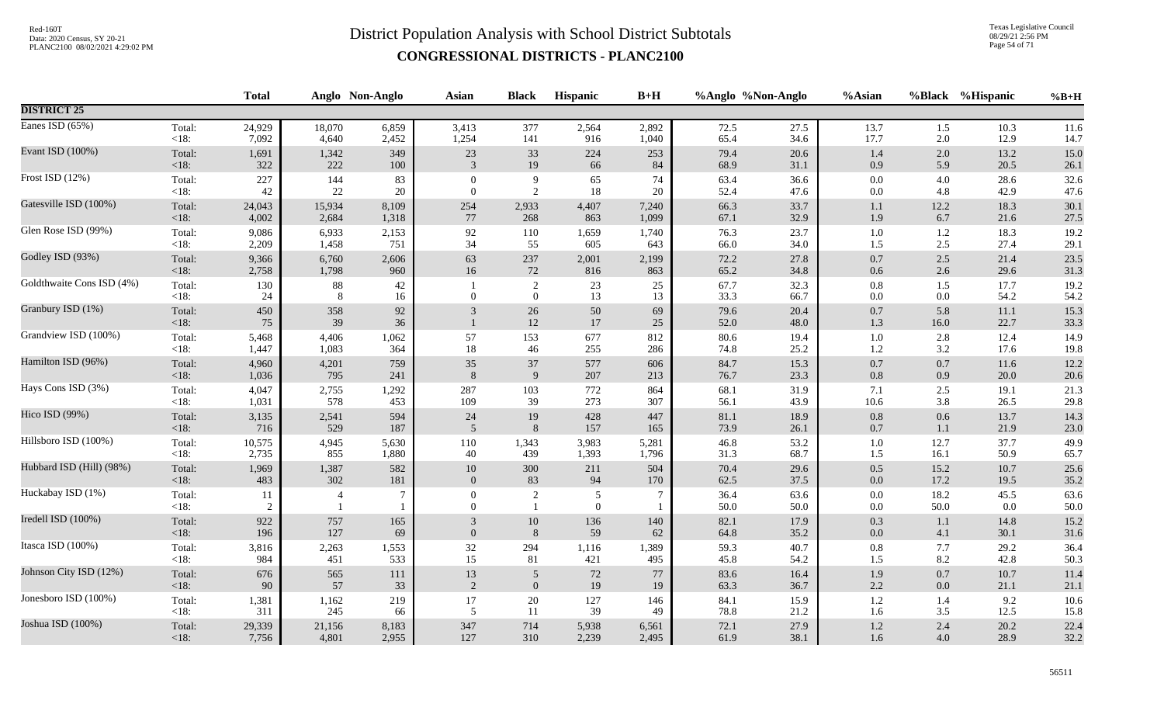Texas Legislative Council 08/29/21 2:56 PM Page 54 of 71

|                           |                   | <b>Total</b> |                | Anglo Non-Anglo | <b>Asian</b>               | <b>Black</b>                     | Hispanic              | $B+H$    |              | %Anglo %Non-Anglo | %Asian         |              | %Black %Hispanic | $%B+H$       |
|---------------------------|-------------------|--------------|----------------|-----------------|----------------------------|----------------------------------|-----------------------|----------|--------------|-------------------|----------------|--------------|------------------|--------------|
| <b>DISTRICT 25</b>        |                   |              |                |                 |                            |                                  |                       |          |              |                   |                |              |                  |              |
| Eanes ISD $(65%)$         | Total:            | 24,929       | 18,070         | 6,859           | 3,413                      | 377                              | 2,564                 | 2,892    | 72.5         | 27.5              | 13.7           | 1.5          | 10.3             | 11.6         |
|                           | <18:              | 7,092        | 4,640          | 2,452           | 1,254                      | 141                              | 916                   | 1,040    | 65.4         | 34.6              | 17.7           | 2.0          | 12.9             | 14.7         |
| Evant ISD (100%)          | Total:            | 1,691        | 1,342          | 349             | 23                         | 33                               | 224                   | 253      | 79.4         | 20.6              | 1.4            | 2.0          | 13.2             | 15.0         |
|                           | <18:              | 322          | 222            | 100             | 3                          | 19                               | 66                    | 84       | 68.9         | 31.1              | 0.9            | 5.9          | 20.5             | 26.1         |
| Frost ISD (12%)           | Total:            | 227          | 144            | 83              | $\theta$                   | 9                                | 65                    | 74       | 63.4         | 36.6              | $0.0\,$        | 4.0          | 28.6             | 32.6         |
|                           | < 18:             | 42           | 22             | 20              | $\Omega$                   | 2                                | $18\,$                | 20       | 52.4         | 47.6              | 0.0            | 4.8          | 42.9             | 47.6         |
| Gatesville ISD (100%)     | Total:            | 24,043       | 15,934         | 8,109           | 254                        | 2,933                            | 4,407                 | 7,240    | 66.3         | 33.7              | $1.1\,$        | 12.2         | 18.3             | 30.1         |
|                           | <18:              | 4,002        | 2,684          | 1,318           | 77                         | 268                              | 863                   | 1,099    | 67.1         | 32.9              | 1.9            | 6.7          | 21.6             | 27.5         |
| Glen Rose ISD (99%)       | Total:            | 9,086        | 6,933          | 2,153           | 92                         | 110                              | 1,659                 | 1,740    | 76.3         | 23.7              | 1.0            | $1.2\,$      | 18.3             | 19.2         |
|                           | $<18$ :           | 2,209        | 1,458          | 751             | 34                         | 55                               | 605                   | 643      | 66.0         | 34.0              | 1.5            | 2.5          | 27.4             | 29.1         |
| Godley ISD (93%)          | Total:            | 9,366        | 6,760          | 2,606           | 63                         | 237                              | 2,001                 | 2,199    | 72.2         | 27.8              | $0.7\,$        | 2.5          | 21.4             | 23.5         |
|                           | <18:              | 2,758        | 1,798          | 960             | 16                         | 72                               | 816                   | 863      | 65.2         | 34.8              | $0.6\,$        | 2.6          | 29.6             | 31.3         |
| Goldthwaite Cons ISD (4%) | Total:<br>< 18:   | 130<br>24    | $88\,$<br>8    | 42<br>16        | $\overline{0}$             | $\sqrt{2}$<br>$\mathbf{0}$       | 23<br>13              | 25<br>13 | 67.7<br>33.3 | 32.3<br>66.7      | $0.8\,$<br>0.0 | 1.5<br>0.0   | 17.7<br>54.2     | 19.2<br>54.2 |
| Granbury ISD (1%)         | Total:<br>< 18:   | 450<br>75    | 358<br>39      | 92<br>36        | 3                          | $26\,$<br>12                     | $50\,$<br>17          | 69<br>25 | 79.6<br>52.0 | 20.4<br>48.0      | $0.7\,$<br>1.3 | 5.8<br>16.0  | $11.1\,$<br>22.7 | 15.3<br>33.3 |
| Grandview ISD (100%)      | Total:            | 5,468        | 4,406          | 1,062           | 57                         | 153                              | 677                   | 812      | 80.6         | 19.4              | $1.0\,$        | 2.8          | 12.4             | 14.9         |
|                           | <18:              | 1,447        | 1,083          | 364             | $18\,$                     | $46\,$                           | 255                   | 286      | 74.8         | 25.2              | $1.2\,$        | 3.2          | 17.6             | 19.8         |
| Hamilton ISD (96%)        | Total:            | 4,960        | 4,201          | 759             | 35                         | 37                               | 577                   | 606      | 84.7         | 15.3              | $0.7\,$        | 0.7          | 11.6             | 12.2         |
|                           | $<18$ :           | 1,036        | 795            | 241             | 8                          | $\overline{9}$                   | 207                   | 213      | 76.7         | 23.3              | $0.8\,$        | 0.9          | 20.0             | 20.6         |
| Hays Cons ISD (3%)        | Total:            | 4,047        | 2,755          | 1,292           | 287                        | 103                              | 772                   | 864      | 68.1         | 31.9              | 7.1            | 2.5          | 19.1             | 21.3         |
|                           | <18:              | 1,031        | 578            | 453             | 109                        | 39                               | 273                   | 307      | 56.1         | 43.9              | 10.6           | 3.8          | 26.5             | 29.8         |
| Hico ISD (99%)            | Total:            | 3,135        | 2,541          | 594             | 24                         | 19                               | 428                   | 447      | 81.1         | 18.9              | $0.8\,$        | 0.6          | 13.7             | 14.3         |
|                           | $<18$ :           | 716          | 529            | 187             | 5                          | 8                                | 157                   | 165      | 73.9         | 26.1              | 0.7            | 1.1          | 21.9             | 23.0         |
| Hillsboro ISD (100%)      | Total:            | 10,575       | 4,945          | 5,630           | 110                        | 1,343                            | 3,983                 | 5,281    | 46.8         | 53.2              | $1.0\,$        | 12.7         | 37.7             | 49.9         |
|                           | $<18$ :           | 2,735        | 855            | 1,880           | 40                         | 439                              | 1,393                 | 1,796    | 31.3         | 68.7              | 1.5            | 16.1         | 50.9             | 65.7         |
| Hubbard ISD (Hill) (98%)  | Total:            | 1,969        | 1,387          | 582             | $10\,$                     | 300                              | 211                   | 504      | 70.4         | 29.6              | $0.5\,$        | 15.2         | 10.7             | 25.6         |
|                           | $<18$ :           | 483          | 302            | 181             | $\Omega$                   | 83                               | 94                    | 170      | 62.5         | 37.5              | 0.0            | 17.2         | 19.5             | 35.2         |
| Huckabay ISD (1%)         | Total:<br>$<18$ : | 11<br>2      | $\overline{4}$ | 7               | $\overline{0}$<br>$\Omega$ | $\overline{c}$<br>$\overline{1}$ | 5<br>$\boldsymbol{0}$ |          | 36.4<br>50.0 | 63.6<br>50.0      | $0.0\,$<br>0.0 | 18.2<br>50.0 | 45.5<br>0.0      | 63.6<br>50.0 |
| Iredell ISD (100%)        | Total:            | 922          | 757            | 165             | 3                          | 10                               | 136                   | 140      | 82.1         | 17.9              | 0.3            | 1.1          | 14.8             | 15.2         |
|                           | $<18$ :           | 196          | 127            | 69              | $\Omega$                   | 8                                | 59                    | 62       | 64.8         | 35.2              | 0.0            | 4.1          | 30.1             | 31.6         |
| Itasca ISD (100%)         | Total:            | 3,816        | 2,263          | 1,553           | $32\,$                     | 294                              | 1,116                 | 1,389    | 59.3         | 40.7              | $0.8\,$        | 7.7          | 29.2             | 36.4         |
|                           | $<18$ :           | 984          | 451            | 533             | 15                         | 81                               | 421                   | 495      | 45.8         | 54.2              | 1.5            | 8.2          | 42.8             | 50.3         |
| Johnson City ISD (12%)    | Total:            | 676          | 565            | 111             | $13\,$                     | $\sqrt{5}$                       | $72\,$                | $77\,$   | 83.6         | 16.4              | 1.9            | 0.7          | 10.7             | 11.4         |
|                           | $<18$ :           | 90           | 57             | 33              | 2                          | $\mathbf{0}$                     | 19                    | 19       | 63.3         | 36.7              | 2.2            | 0.0          | 21.1             | 21.1         |
| Jonesboro ISD (100%)      | Total:            | 1,381        | 1,162          | 219             | 17                         | $20\,$                           | 127                   | 146      | 84.1         | 15.9              | $1.2\,$        | 1.4          | 9.2              | 10.6         |
|                           | $<18$ :           | 311          | 245            | 66              | 5                          | 11                               | 39                    | 49       | 78.8         | 21.2              | 1.6            | 3.5          | 12.5             | 15.8         |
| Joshua ISD (100%)         | Total:            | 29,339       | 21,156         | 8,183           | 347                        | 714                              | 5,938                 | 6,561    | 72.1         | 27.9              | $1.2\,$        | 2.4          | 20.2             | 22.4         |
|                           | $<18$ :           | 7,756        | 4,801          | 2,955           | 127                        | 310                              | 2,239                 | 2,495    | 61.9         | 38.1              | $1.6\,$        | 4.0          | 28.9             | 32.2         |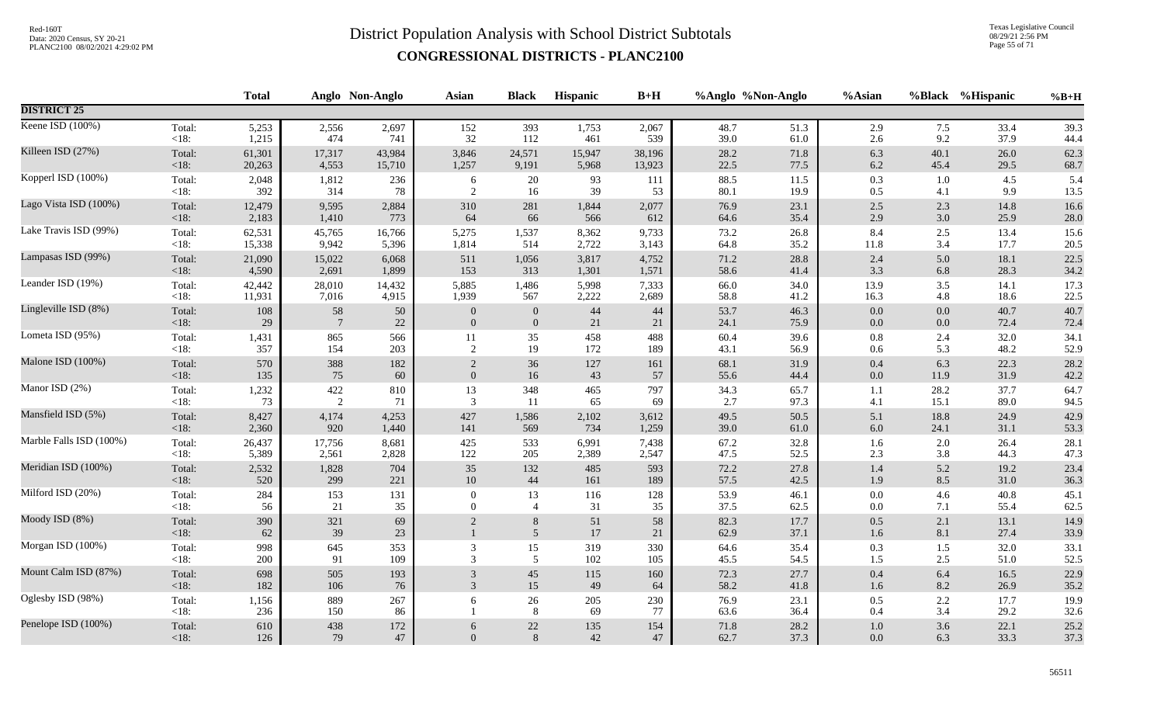Texas Legislative Council 08/29/21 2:56 PM Page 55 of 71

|                         |                   | <b>Total</b> |            | Anglo Non-Anglo | <b>Asian</b>   | <b>Black</b>        | <b>Hispanic</b> | $B+H$     |              | %Anglo %Non-Anglo | %Asian         |            | %Black %Hispanic | $%B+H$       |
|-------------------------|-------------------|--------------|------------|-----------------|----------------|---------------------|-----------------|-----------|--------------|-------------------|----------------|------------|------------------|--------------|
| <b>DISTRICT 25</b>      |                   |              |            |                 |                |                     |                 |           |              |                   |                |            |                  |              |
| Keene ISD (100%)        | Total:            | 5,253        | 2,556      | 2,697           | 152            | 393                 | 1,753           | 2,067     | 48.7         | 51.3              | 2.9            | 7.5        | 33.4             | 39.3         |
|                         | $<18$ :           | 1,215        | 474        | 741             | 32             | 112                 | 461             | 539       | 39.0         | 61.0              | 2.6            | 9.2        | 37.9             | 44.4         |
| Killeen ISD (27%)       | Total:            | 61,301       | 17,317     | 43,984          | 3,846          | 24,571              | 15,947          | 38,196    | 28.2         | 71.8              | 6.3            | 40.1       | 26.0             | 62.3         |
|                         | <18:              | 20,263       | 4,553      | 15,710          | 1,257          | 9,191               | 5,968           | 13,923    | 22.5         | 77.5              | $6.2\,$        | 45.4       | 29.5             | 68.7         |
| Kopperl ISD (100%)      | Total:            | 2,048        | 1,812      | 236             | 6              | 20                  | 93              | 111       | 88.5         | 11.5              | 0.3            | 1.0        | 4.5              | 5.4          |
|                         | $<18$ :           | 392          | 314        | 78              | 2              | 16                  | 39              | 53        | 80.1         | 19.9              | 0.5            | 4.1        | 9.9              | 13.5         |
| Lago Vista ISD (100%)   | Total:            | 12,479       | 9,595      | 2,884           | 310            | 281                 | 1,844           | 2,077     | 76.9         | 23.1              | $2.5\,$        | 2.3        | 14.8             | 16.6         |
|                         | <18:              | 2,183        | 1,410      | 773             | 64             | 66                  | 566             | 612       | 64.6         | 35.4              | 2.9            | 3.0        | 25.9             | 28.0         |
| Lake Travis ISD (99%)   | Total:            | 62,531       | 45,765     | 16,766          | 5,275          | 1,537               | 8,362           | 9,733     | 73.2         | 26.8              | 8.4            | 2.5        | 13.4             | 15.6         |
|                         | <18:              | 15,338       | 9,942      | 5,396           | 1,814          | 514                 | 2,722           | 3,143     | 64.8         | 35.2              | 11.8           | 3.4        | 17.7             | 20.5         |
| Lampasas ISD (99%)      | Total:            | 21,090       | 15,022     | 6,068           | 511            | 1,056               | 3,817           | 4,752     | 71.2         | 28.8              | 2.4            | 5.0        | 18.1             | 22.5         |
|                         | <18:              | 4,590        | 2,691      | 1,899           | 153            | 313                 | 1,301           | 1,571     | 58.6         | 41.4              | 3.3            | 6.8        | 28.3             | 34.2         |
| Leander ISD (19%)       | Total:            | 42,442       | 28,010     | 14,432          | 5,885          | 1,486               | 5,998           | 7,333     | 66.0         | 34.0              | 13.9           | 3.5        | 14.1             | 17.3         |
|                         | $<18$ :           | 11,931       | 7,016      | 4,915           | 1,939          | 567                 | 2,222           | 2,689     | 58.8         | 41.2              | 16.3           | 4.8        | 18.6             | 22.5         |
| Lingleville ISD (8%)    | Total:            | 108          | 58         | 50              | $\mathbf{0}$   | $\mathbf{0}$        | $44\,$          | 44        | 53.7         | 46.3              | 0.0            | 0.0        | 40.7             | 40.7         |
|                         | <18:              | 29           | 7          | $22\,$          | $\mathbf{0}$   | $\overline{0}$      | 21              | 21        | 24.1         | 75.9              | $0.0\,$        | $0.0\,$    | 72.4             | 72.4         |
| Lometa ISD (95%)        | Total:            | 1,431        | 865        | 566             | 11             | 35                  | 458             | 488       | 60.4         | 39.6              | $0.8\,$        | 2.4        | 32.0             | 34.1         |
|                         | $<18$ :           | 357          | 154        | 203             | 2              | 19                  | 172             | 189       | 43.1         | 56.9              | 0.6            | 5.3        | 48.2             | 52.9         |
| Malone ISD (100%)       | Total:            | 570          | 388        | 182             | 2              | 36                  | 127             | 161       | 68.1         | 31.9              | 0.4            | 6.3        | 22.3             | 28.2         |
|                         | <18:              | 135          | 75         | 60              | $\overline{0}$ | 16                  | 43              | 57        | 55.6         | 44.4              | $0.0\,$        | 11.9       | 31.9             | 42.2         |
| Manor ISD (2%)          | Total:            | 1,232        | $422\,$    | 810             | 13             | 348                 | 465             | 797       | 34.3         | 65.7              | 1.1            | 28.2       | 37.7             | 64.7         |
|                         | $<18$ :           | 73           | 2          | 71              | 3              | 11                  | 65              | 69        | 2.7          | 97.3              | 4.1            | 15.1       | 89.0             | 94.5         |
| Mansfield ISD (5%)      | Total:            | 8,427        | 4,174      | 4,253           | 427            | 1,586               | 2,102           | 3,612     | 49.5         | 50.5              | 5.1            | 18.8       | 24.9             | 42.9         |
|                         | $<18$ :           | 2,360        | 920        | 1,440           | 141            | 569                 | 734             | 1,259     | 39.0         | 61.0              | $6.0\,$        | 24.1       | 31.1             | 53.3         |
| Marble Falls ISD (100%) | Total:            | 26,437       | 17,756     | 8,681           | 425            | 533                 | 6,991           | 7,438     | 67.2         | 32.8              | 1.6            | 2.0        | 26.4             | 28.1         |
|                         | $<18$ :           | 5,389        | 2,561      | 2,828           | 122            | 205                 | 2,389           | 2,547     | 47.5         | 52.5              | $2.3\,$        | 3.8        | 44.3             | 47.3         |
| Meridian ISD (100%)     | Total:            | 2,532        | 1,828      | 704             | 35             | 132                 | 485             | 593       | 72.2         | 27.8              | $1.4\,$        | 5.2        | 19.2             | 23.4         |
|                         | <18:              | 520          | 299        | 221             | 10             | 44                  | 161             | 189       | 57.5         | 42.5              | 1.9            | 8.5        | 31.0             | 36.3         |
| Milford ISD (20%)       | Total:            | 284          | 153        | 131             | $\mathbf{0}$   | 13                  | 116             | 128       | 53.9         | 46.1              | $0.0\,$        | 4.6        | 40.8             | 45.1         |
|                         | $<18$ :           | 56           | 21         | 35              | $\Omega$       | $\overline{4}$      | 31              | 35        | 37.5         | 62.5              | $0.0\,$        | 7.1        | 55.4             | 62.5         |
| Moody ISD (8%)          | Total:<br><18:    | 390<br>62    | 321<br>39  | 69<br>23        | $\overline{2}$ | 8<br>$\mathfrak{S}$ | 51<br>17        | 58<br>21  | 82.3<br>62.9 | 17.7<br>37.1      | $0.5\,$<br>1.6 | 2.1<br>8.1 | 13.1<br>27.4     | 14.9<br>33.9 |
| Morgan ISD (100%)       | Total:            | 998          | 645        | 353             | 3              | 15                  | 319             | 330       | 64.6         | 35.4              | 0.3            | 1.5        | 32.0             | 33.1         |
|                         | $<18$ :           | 200          | 91         | 109             | 3              | 5                   | 102             | 105       | 45.5         | 54.5              | 1.5            | 2.5        | 51.0             | 52.5         |
| Mount Calm ISD (87%)    | Total:            | 698          | 505        | 193             | 3              | $45\,$              | 115             | 160       | 72.3         | 27.7              | $0.4\,$        | 6.4        | 16.5             | 22.9         |
|                         | $<18$ :           | 182          | 106        | 76              | 3              | 15                  | 49              | 64        | 58.2         | 41.8              | 1.6            | 8.2        | 26.9             | 35.2         |
| Oglesby ISD (98%)       | Total:<br>$<18$ : | 1,156<br>236 | 889<br>150 | 267<br>86       | 6              | 26<br>8             | 205<br>69       | 230<br>77 | 76.9<br>63.6 | 23.1<br>36.4      | 0.5<br>0.4     | 2.2<br>3.4 | 17.7<br>29.2     | 19.9<br>32.6 |
| Penelope ISD (100%)     | Total:            | 610          | 438        | $172\,$         | 6              | $22\,$              | 135             | 154       | 71.8         | 28.2              | $1.0\,$        | 3.6        | 22.1             | 25.2         |
|                         | $<18$ :           | 126          | 79         | 47              | $\overline{0}$ | 8                   | $42\,$          | 47        | 62.7         | 37.3              | 0.0            | 6.3        | 33.3             | 37.3         |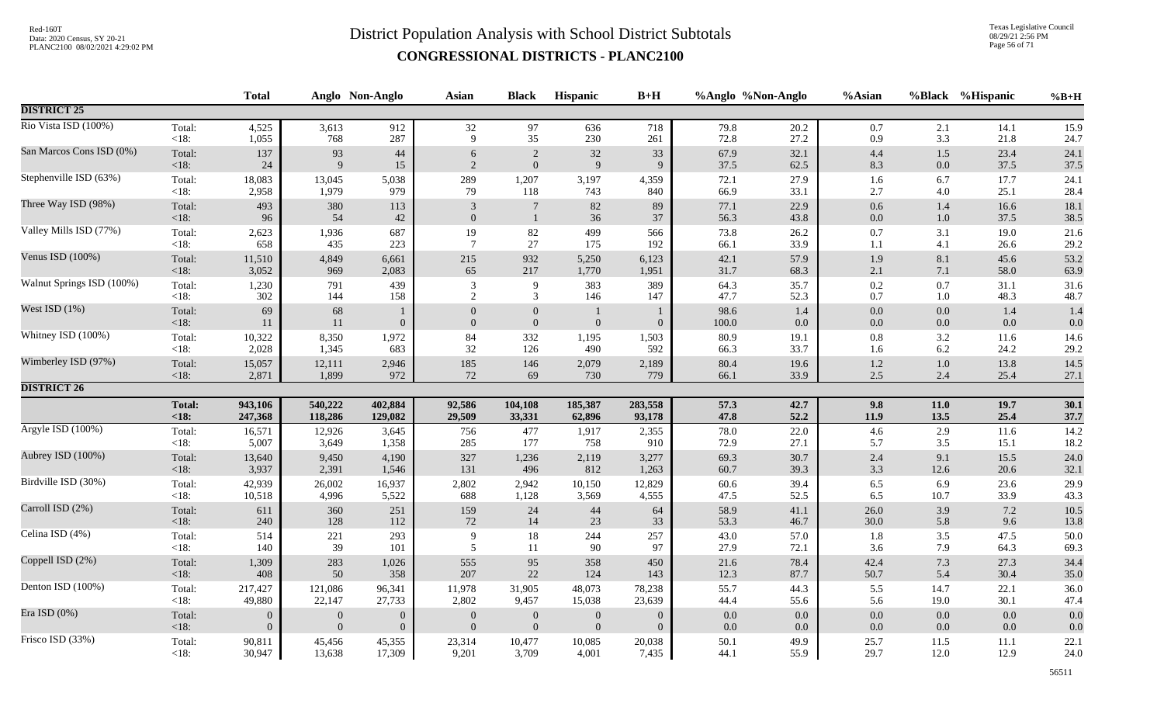Texas Legislative Council 08/29/21 2:56 PM Page 56 of 71

|                           |                | <b>Total</b>   |                | Anglo Non-Anglo                  | Asian                    | <b>Black</b>                         | Hispanic       | $B+H$          | %Anglo %Non-Anglo |                | %Asian             |                | %Black %Hispanic | $\%B+H$    |
|---------------------------|----------------|----------------|----------------|----------------------------------|--------------------------|--------------------------------------|----------------|----------------|-------------------|----------------|--------------------|----------------|------------------|------------|
| <b>DISTRICT 25</b>        |                |                |                |                                  |                          |                                      |                |                |                   |                |                    |                |                  |            |
| Rio Vista ISD (100%)      | Total:         | 4,525          | 3,613          | 912                              | 32                       | 97                                   | 636            | 718            | 79.8              | 20.2           | $0.7\,$            | 2.1            | 14.1             | 15.9       |
|                           | <18:           | 1,055          | 768            | 287                              | 9                        | 35                                   | 230            | 261            | 72.8              | 27.2           | 0.9                | 3.3            | 21.8             | 24.7       |
| San Marcos Cons ISD (0%)  | Total:         | 137            | 93             | $44$                             | 6                        | $\sqrt{2}$                           | $32\,$         | 33             | 67.9              | 32.1           | 4.4                | 1.5            | 23.4             | 24.1       |
|                           | <18:           | 24             | $\overline{9}$ | 15                               | 2                        | $\boldsymbol{0}$                     | 9              | 9              | 37.5              | 62.5           | 8.3                | $0.0\,$        | 37.5             | 37.5       |
| Stephenville ISD (63%)    | Total:         | 18,083         | 13,045         | 5,038                            | 289                      | 1,207                                | 3,197          | 4,359          | 72.1              | 27.9           | 1.6                | 6.7            | 17.7             | 24.1       |
|                           | <18:           | 2,958          | 1,979          | 979                              | 79                       | 118                                  | 743            | 840            | 66.9              | 33.1           | 2.7                | 4.0            | 25.1             | 28.4       |
| Three Way ISD (98%)       | Total:         | 493            | 380            | 113                              | $\mathfrak{Z}$           | $7\phantom{.0}$                      | 82             | 89             | 77.1              | 22.9           | $0.6\,$            | 1.4            | 16.6             | 18.1       |
|                           | <18:           | 96             | 54             | 42                               | $\mathbf{0}$             | $\mathbf{1}$                         | 36             | 37             | 56.3              | 43.8           | $0.0\,$            | $1.0\,$        | 37.5             | 38.5       |
| Valley Mills ISD (77%)    | Total:         | 2,623          | 1,936          | 687                              | 19                       | $82\,$                               | 499            | 566            | 73.8              | 26.2           | 0.7                | 3.1            | 19.0             | 21.6       |
|                           | $<18$ :        | 658            | 435            | 223                              | $\overline{7}$           | 27                                   | 175            | 192            | 66.1              | 33.9           | 1.1                | 4.1            | 26.6             | 29.2       |
| Venus ISD (100%)          | Total:         | 11,510         | 4,849          | 6,661                            | 215                      | 932                                  | 5,250          | 6,123          | 42.1              | 57.9           | 1.9                | 8.1            | 45.6             | 53.2       |
|                           | <18:           | 3,052          | 969            | 2,083                            | 65                       | $217\,$                              | 1,770          | 1,951          | 31.7              | 68.3           | $2.1\,$            | 7.1            | 58.0             | 63.9       |
| Walnut Springs ISD (100%) | Total:         | 1,230          | 791            | 439                              | 3                        | 9                                    | 383            | 389            | 64.3              | 35.7           | 0.2                | 0.7            | 31.1             | 31.6       |
|                           | < 18:          | 302            | 144            | 158                              | $\overline{2}$           | 3                                    | 146            | 147            | 47.7              | 52.3           | 0.7                | 1.0            | 48.3             | 48.7       |
| West ISD $(1%)$           | Total:<br><18: | 69<br>11       | 68<br>11       | $\mathbf{1}$<br>$\boldsymbol{0}$ | $\mathbf{0}$<br>$\Omega$ | $\boldsymbol{0}$<br>$\boldsymbol{0}$ | $\mathbf{0}$   | $\theta$       | 98.6<br>100.0     | 1.4<br>$0.0\,$ | $0.0\,$<br>$0.0\,$ | 0.0<br>$0.0\,$ | 1.4<br>0.0       | 1.4<br>0.0 |
| Whitney ISD (100%)        | Total:         | 10,322         | 8,350          | 1,972                            | 84                       | 332                                  | 1,195          | 1,503          | 80.9              | 19.1           | $0.8\,$            | 3.2            | 11.6             | 14.6       |
|                           | $<18$ :        | 2,028          | 1,345          | 683                              | 32                       | 126                                  | 490            | 592            | 66.3              | 33.7           | 1.6                | 6.2            | 24.2             | 29.2       |
| Wimberley ISD (97%)       | Total:         | 15,057         | 12,111         | 2,946                            | 185                      | 146                                  | 2,079          | 2,189          | 80.4              | 19.6           | 1.2                | $1.0\,$        | 13.8             | 14.5       |
|                           | $<18$ :        | 2,871          | 1,899          | 972                              | 72                       | 69                                   | 730            | 779            | 66.1              | 33.9           | $2.5\,$            | 2.4            | 25.4             | 27.1       |
| <b>DISTRICT 26</b>        |                |                |                |                                  |                          |                                      |                |                |                   |                |                    |                |                  |            |
|                           | <b>Total:</b>  | 943,106        | 540,222        | 402,884                          | 92,586                   | 104,108                              | 185,387        | 283,558        | 57.3              | 42.7           | 9.8                | $11.0$         | 19.7             | 30.1       |
|                           | < 18:          | 247,368        | 118,286        | 129,082                          | 29,509                   | 33,331                               | 62,896         | 93,178         | 47.8              | 52.2           | 11.9               | 13.5           | 25.4             | 37.7       |
| Argyle ISD (100%)         | Total:         | 16,571         | 12,926         | 3,645                            | 756                      | 477                                  | 1,917          | 2,355          | 78.0              | 22.0           | $4.6\,$            | 2.9            | 11.6             | 14.2       |
|                           | <18:           | 5,007          | 3,649          | 1,358                            | 285                      | 177                                  | 758            | 910            | 72.9              | 27.1           | 5.7                | 3.5            | 15.1             | 18.2       |
| Aubrey ISD (100%)         | Total:         | 13,640         | 9,450          | 4,190                            | 327                      | 1,236                                | 2,119          | 3,277          | 69.3              | 30.7           | 2.4                | 9.1            | 15.5             | 24.0       |
|                           | $<18$ :        | 3,937          | 2,391          | 1,546                            | 131                      | 496                                  | 812            | 1,263          | 60.7              | 39.3           | 3.3                | 12.6           | 20.6             | 32.1       |
| Birdville ISD (30%)       | Total:         | 42,939         | 26,002         | 16,937                           | 2,802                    | 2,942                                | 10,150         | 12,829         | $60.6\,$          | 39.4           | 6.5                | 6.9            | 23.6             | 29.9       |
|                           | <18:           | 10,518         | 4,996          | 5,522                            | 688                      | 1,128                                | 3,569          | 4,555          | 47.5              | 52.5           | 6.5                | 10.7           | 33.9             | 43.3       |
| Carroll ISD (2%)          | Total:         | 611            | 360            | 251                              | 159                      | $24\,$                               | 44             | 64             | 58.9              | 41.1           | 26.0               | 3.9            | 7.2              | 10.5       |
|                           | $<18$ :        | 240            | 128            | 112                              | $72\,$                   | 14                                   | 23             | 33             | 53.3              | 46.7           | 30.0               | 5.8            | 9.6              | 13.8       |
| Celina ISD (4%)           | Total:         | 514            | 221            | 293                              | 9                        | 18                                   | 244            | 257            | 43.0              | 57.0           | 1.8                | 3.5            | 47.5             | 50.0       |
|                           | < 18:          | 140            | 39             | 101                              | 5                        | 11                                   | 90             | 97             | 27.9              | 72.1           | 3.6                | 7.9            | 64.3             | 69.3       |
| Coppell ISD (2%)          | Total:         | 1,309          | 283            | 1,026                            | 555                      | 95                                   | 358            | 450            | 21.6              | 78.4           | 42.4               | 7.3            | 27.3             | 34.4       |
|                           | <18:           | 408            | 50             | 358                              | 207                      | 22                                   | 124            | 143            | 12.3              | 87.7           | 50.7               | 5.4            | 30.4             | 35.0       |
| Denton ISD (100%)         | Total:         | 217,427        | 121,086        | 96,341                           | 11,978                   | 31,905                               | 48,073         | 78,238         | 55.7              | 44.3           | 5.5                | 14.7           | 22.1             | 36.0       |
|                           | $<18$ :        | 49,880         | 22,147         | 27,733                           | 2,802                    | 9,457                                | 15,038         | 23,639         | 44.4              | 55.6           | 5.6                | 19.0           | 30.1             | 47.4       |
| Era ISD $(0\%)$           | Total:         | $\overline{0}$ | $\mathbf{0}$   | $\boldsymbol{0}$                 | $\boldsymbol{0}$         | $\boldsymbol{0}$                     | $\overline{0}$ | $\overline{0}$ | $0.0\,$           | 0.0            | $0.0\,$            | 0.0            | 0.0              | 0.0        |
|                           | $<18$ :        | $\overline{0}$ | $\mathbf{0}$   | $\overline{0}$                   | $\mathbf{0}$             | $\mathbf{0}$                         | $\overline{0}$ | $\theta$       | $0.0\,$           | $0.0\,$        | $0.0\,$            | $0.0\,$        | 0.0              | 0.0        |
| Frisco ISD (33%)          | Total:         | 90,811         | 45,456         | 45,355                           | 23,314                   | 10,477                               | 10,085         | 20,038         | 50.1              | 49.9           | 25.7               | 11.5           | 11.1             | 22.1       |
|                           | $<18$ :        | 30,947         | 13,638         | 17,309                           | 9,201                    | 3,709                                | 4,001          | 7,435          | 44.1              | 55.9           | 29.7               | 12.0           | 12.9             | 24.0       |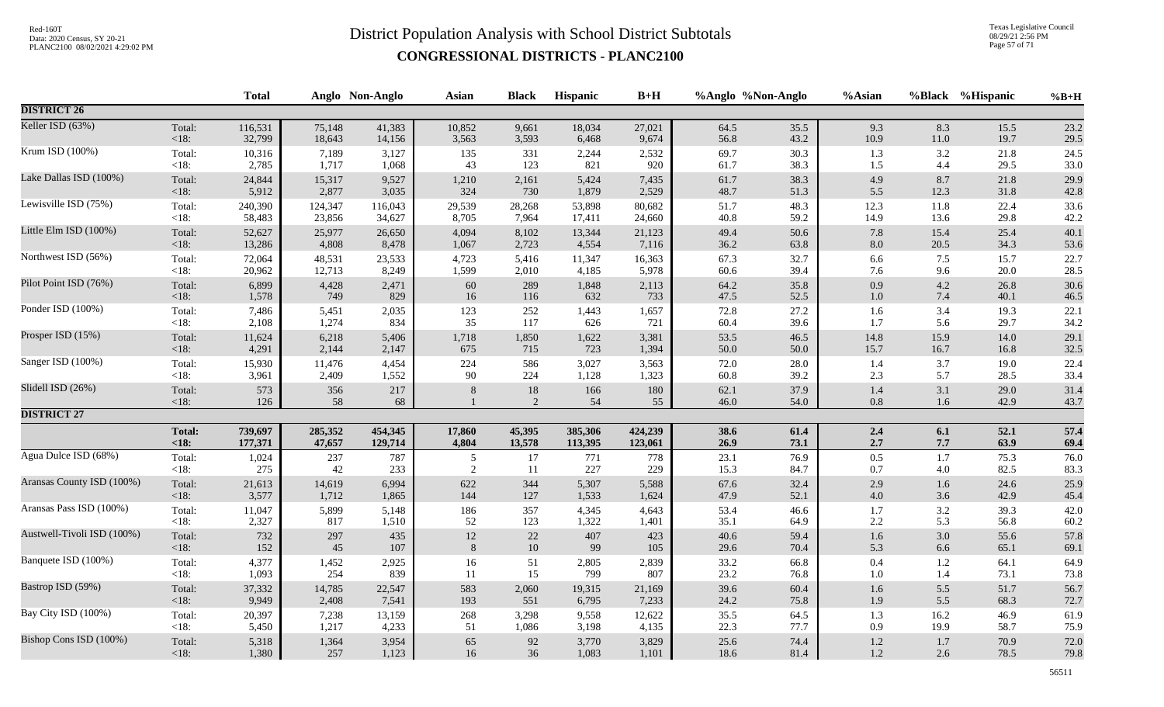Texas Legislative Council 08/29/21 2:56 PM Page 57 of 71

|                            |                   | <b>Total</b> |           | Anglo Non-Anglo | <b>Asian</b> | <b>Black</b> | Hispanic  | $B+H$     |              | %Anglo %Non-Anglo | %Asian         |            | %Black %Hispanic | $%B+H$       |
|----------------------------|-------------------|--------------|-----------|-----------------|--------------|--------------|-----------|-----------|--------------|-------------------|----------------|------------|------------------|--------------|
| <b>DISTRICT 26</b>         |                   |              |           |                 |              |              |           |           |              |                   |                |            |                  |              |
| Keller ISD (63%)           | Total:            | 116,531      | 75,148    | 41,383          | 10,852       | 9,661        | 18,034    | 27,021    | 64.5         | 35.5              | 9.3            | 8.3        | 15.5             | 23.2         |
|                            | <18:              | 32,799       | 18,643    | 14,156          | 3,563        | 3,593        | 6,468     | 9,674     | 56.8         | 43.2              | 10.9           | $11.0\,$   | 19.7             | 29.5         |
| Krum ISD (100%)            | Total:            | 10,316       | 7,189     | 3,127           | 135          | 331          | 2,244     | 2,532     | 69.7         | 30.3              | 1.3            | 3.2        | 21.8             | 24.5         |
|                            | $<18$ :           | 2,785        | 1,717     | 1,068           | 43           | 123          | 821       | 920       | 61.7         | 38.3              | 1.5            | 4.4        | 29.5             | 33.0         |
| Lake Dallas ISD (100%)     | Total:            | 24,844       | 15,317    | 9,527           | 1,210        | 2,161        | 5,424     | 7,435     | 61.7         | 38.3              | 4.9            | 8.7        | 21.8             | 29.9         |
|                            | <18:              | 5,912        | 2,877     | 3,035           | 324          | 730          | 1,879     | 2,529     | 48.7         | 51.3              | 5.5            | 12.3       | 31.8             | 42.8         |
| Lewisville ISD (75%)       | Total:            | 240,390      | 124,347   | 116,043         | 29,539       | 28,268       | 53,898    | 80,682    | 51.7         | 48.3              | 12.3           | 11.8       | 22.4             | 33.6         |
|                            | $<18$ :           | 58,483       | 23,856    | 34,627          | 8,705        | 7,964        | 17,411    | 24,660    | 40.8         | 59.2              | 14.9           | 13.6       | 29.8             | 42.2         |
| Little Elm ISD (100%)      | Total:            | 52,627       | 25,977    | 26,650          | 4,094        | 8,102        | 13,344    | 21,123    | 49.4         | 50.6              | $7.8\,$        | 15.4       | 25.4             | 40.1         |
|                            | <18:              | 13,286       | 4,808     | 8,478           | 1,067        | 2,723        | 4,554     | 7,116     | 36.2         | 63.8              | $8.0\,$        | 20.5       | 34.3             | 53.6         |
| Northwest ISD (56%)        | Total:            | 72,064       | 48,531    | 23,533          | 4,723        | 5,416        | 11,347    | 16,363    | 67.3         | 32.7              | 6.6            | 7.5        | 15.7             | 22.7         |
|                            | <18:              | 20,962       | 12,713    | 8,249           | 1,599        | 2,010        | 4,185     | 5,978     | 60.6         | 39.4              | 7.6            | 9.6        | 20.0             | 28.5         |
| Pilot Point ISD (76%)      | Total:            | 6,899        | 4,428     | 2,471           | $60\,$       | 289          | 1,848     | 2,113     | 64.2         | 35.8              | 0.9            | 4.2        | 26.8             | 30.6         |
|                            | <18:              | 1,578        | 749       | 829             | 16           | 116          | 632       | 733       | 47.5         | 52.5              | $1.0\,$        | 7.4        | 40.1             | 46.5         |
| Ponder ISD (100%)          | Total:            | 7,486        | 5,451     | 2,035           | 123          | 252          | 1,443     | 1,657     | 72.8         | 27.2              | 1.6            | 3.4        | 19.3             | 22.1         |
|                            | <18:              | 2,108        | 1,274     | 834             | 35           | 117          | 626       | 721       | 60.4         | 39.6              | 1.7            | 5.6        | 29.7             | 34.2         |
| Prosper ISD (15%)          | Total:            | 11,624       | 6,218     | 5,406           | 1,718        | 1,850        | 1,622     | 3,381     | 53.5         | 46.5              | 14.8           | 15.9       | 14.0             | 29.1         |
|                            | $<18$ :           | 4,291        | 2,144     | 2,147           | 675          | 715          | 723       | 1,394     | 50.0         | 50.0              | 15.7           | 16.7       | 16.8             | 32.5         |
| Sanger ISD (100%)          | Total:            | 15,930       | 11,476    | 4,454           | 224          | 586          | 3,027     | 3,563     | 72.0         | 28.0              | 1.4            | 3.7        | 19.0             | 22.4         |
|                            | $<18$ :           | 3,961        | 2,409     | 1,552           | 90           | 224          | 1,128     | 1,323     | 60.8         | 39.2              | 2.3            | 5.7        | 28.5             | 33.4         |
| Slidell ISD (26%)          | Total:<br>$<18$ : | 573<br>126   | 356<br>58 | 217<br>68       | 8            | $18\,$<br>2  | 166<br>54 | 180<br>55 | 62.1<br>46.0 | 37.9<br>54.0      | 1.4<br>$0.8\,$ | 3.1<br>1.6 | 29.0<br>42.9     | 31.4<br>43.7 |
| <b>DISTRICT 27</b>         |                   |              |           |                 |              |              |           |           |              |                   |                |            |                  |              |
|                            | <b>Total:</b>     | 739,697      | 285,352   | 454,345         | 17,860       | 45,395       | 385,306   | 424,239   | 38.6         | 61.4              | 2.4            | 6.1        | 52.1             | 57.4         |
|                            | < 18:             | 177,371      | 47,657    | 129,714         | 4,804        | 13,578       | 113,395   | 123,061   | 26.9         | 73.1              | $2.7\,$        | 7.7        | 63.9             | 69.4         |
| Agua Dulce ISD (68%)       | Total:            | 1,024        | 237       | 787             | 5            | 17           | 771       | 778       | 23.1         | 76.9              | $0.5\,$        | $1.7\,$    | 75.3             | 76.0         |
|                            | $<18$ :           | 275          | 42        | 233             | 2            | 11           | 227       | 229       | 15.3         | 84.7              | 0.7            | $4.0\,$    | 82.5             | 83.3         |
| Aransas County ISD (100%)  | Total:            | 21,613       | 14,619    | 6,994           | 622          | 344          | 5,307     | 5,588     | 67.6         | 32.4              | 2.9            | 1.6        | 24.6             | 25.9         |
|                            | <18:              | 3,577        | 1,712     | 1,865           | 144          | 127          | 1,533     | 1,624     | 47.9         | 52.1              | $4.0\,$        | 3.6        | 42.9             | 45.4         |
| Aransas Pass ISD (100%)    | Total:            | 11,047       | 5,899     | 5,148           | 186          | 357          | 4,345     | 4,643     | 53.4         | 46.6              | 1.7            | 3.2        | 39.3             | 42.0         |
|                            | $<18$ :           | 2,327        | 817       | 1,510           | 52           | 123          | 1,322     | 1,401     | 35.1         | 64.9              | 2.2            | 5.3        | 56.8             | 60.2         |
| Austwell-Tivoli ISD (100%) | Total:            | 732          | 297       | 435             | $12\,$       | $22\,$       | 407       | 423       | 40.6         | 59.4              | 1.6            | 3.0        | 55.6             | 57.8         |
|                            | < 18:             | 152          | 45        | 107             | 8            | 10           | 99        | 105       | 29.6         | 70.4              | 5.3            | 6.6        | 65.1             | 69.1         |
| Banquete ISD (100%)        | Total:            | 4,377        | 1,452     | 2,925           | 16           | 51           | 2,805     | 2,839     | 33.2         | 66.8              | 0.4            | 1.2        | 64.1             | 64.9         |
|                            | $<18$ :           | 1,093        | 254       | 839             | 11           | 15           | 799       | 807       | 23.2         | 76.8              | 1.0            | 1.4        | 73.1             | 73.8         |
| Bastrop ISD (59%)          | Total:            | 37,332       | 14,785    | 22,547          | 583          | 2,060        | 19,315    | 21,169    | 39.6         | 60.4              | 1.6            | 5.5        | 51.7             | 56.7         |
|                            | <18:              | 9,949        | 2,408     | 7,541           | 193          | 551          | 6,795     | 7,233     | 24.2         | 75.8              | 1.9            | 5.5        | 68.3             | 72.7         |
| Bay City ISD (100%)        | Total:            | 20,397       | 7,238     | 13,159          | 268          | 3,298        | 9,558     | 12,622    | 35.5         | 64.5              | 1.3            | 16.2       | 46.9             | 61.9         |
|                            | $<18$ :           | 5,450        | 1,217     | 4,233           | 51           | 1,086        | 3,198     | 4,135     | 22.3         | 77.7              | 0.9            | 19.9       | 58.7             | 75.9         |
| Bishop Cons ISD (100%)     | Total:            | 5,318        | 1,364     | 3,954           | 65           | 92           | 3,770     | 3,829     | 25.6         | 74.4              | $1.2\,$        | 1.7        | 70.9             | 72.0         |
|                            | $<18$ :           | 1,380        | 257       | 1,123           | 16           | 36           | 1,083     | 1,101     | 18.6         | 81.4              | $1.2\,$        | 2.6        | 78.5             | 79.8         |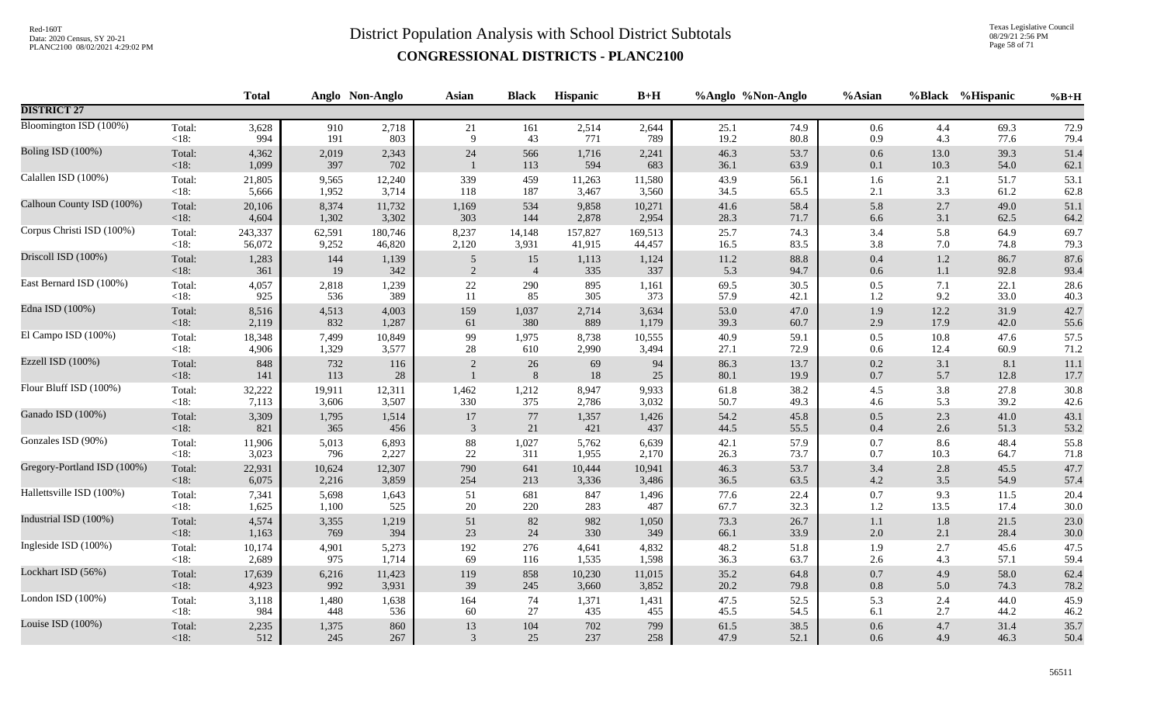Texas Legislative Council 08/29/21 2:56 PM Page 58 of 71

|                             |                   | <b>Total</b>   |              | Anglo Non-Anglo | <b>Asian</b>   | <b>Black</b>   | Hispanic     | $B+H$        |              | %Anglo %Non-Anglo | %Asian         |              | %Black %Hispanic | $%B+H$       |
|-----------------------------|-------------------|----------------|--------------|-----------------|----------------|----------------|--------------|--------------|--------------|-------------------|----------------|--------------|------------------|--------------|
| <b>DISTRICT 27</b>          |                   |                |              |                 |                |                |              |              |              |                   |                |              |                  |              |
| Bloomington ISD (100%)      | Total:            | 3,628          | 910          | 2,718           | 21             | 161            | 2,514        | 2,644        | 25.1         | 74.9              | 0.6            | 4.4          | 69.3             | 72.9         |
|                             | $<18$ :           | 994            | 191          | 803             | 9              | 43             | 771          | 789          | 19.2         | 80.8              | 0.9            | 4.3          | 77.6             | 79.4         |
| Boling ISD (100%)           | Total:<br>$<18$ : | 4,362<br>1,099 | 2,019<br>397 | 2,343<br>702    | 24             | 566<br>113     | 1,716<br>594 | 2,241<br>683 | 46.3<br>36.1 | 53.7<br>63.9      | $0.6\,$<br>0.1 | 13.0<br>10.3 | 39.3<br>54.0     | 51.4<br>62.1 |
| Calallen ISD (100%)         | Total:            | 21,805         | 9,565        | 12,240          | 339            | 459            | 11,263       | 11,580       | 43.9         | 56.1              | 1.6            | 2.1          | 51.7             | 53.1         |
|                             | $<18$ :           | 5,666          | 1,952        | 3,714           | 118            | 187            | 3,467        | 3,560        | 34.5         | 65.5              | 2.1            | 3.3          | 61.2             | 62.8         |
| Calhoun County ISD (100%)   | Total:            | 20,106         | 8,374        | 11,732          | 1,169          | 534            | 9,858        | 10,271       | 41.6         | 58.4              | 5.8            | 2.7          | 49.0             | 51.1         |
|                             | $<18$ :           | 4,604          | 1,302        | 3,302           | 303            | 144            | 2,878        | 2,954        | 28.3         | 71.7              | $6.6\,$        | 3.1          | 62.5             | 64.2         |
| Corpus Christi ISD (100%)   | Total:            | 243,337        | 62,591       | 180,746         | 8,237          | 14,148         | 157,827      | 169,513      | 25.7         | 74.3              | 3.4            | 5.8          | 64.9             | 69.7         |
|                             | $<18$ :           | 56,072         | 9,252        | 46,820          | 2,120          | 3,931          | 41,915       | 44,457       | 16.5         | 83.5              | 3.8            | 7.0          | 74.8             | 79.3         |
| Driscoll ISD (100%)         | Total:            | 1,283          | 144          | 1,139           | $\overline{5}$ | 15             | 1,113        | 1,124        | 11.2         | 88.8              | $0.4\,$        | $1.2\,$      | 86.7             | 87.6         |
|                             | <18:              | 361            | 19           | 342             | $\overline{2}$ | $\overline{4}$ | 335          | 337          | 5.3          | 94.7              | $0.6\,$        | 1.1          | 92.8             | 93.4         |
| East Bernard ISD (100%)     | Total:            | 4,057          | 2,818        | 1,239           | $22\,$         | 290            | 895          | 1,161        | 69.5         | 30.5              | $0.5\,$        | 7.1          | 22.1             | 28.6         |
|                             | < 18:             | 925            | 536          | 389             | 11             | 85             | 305          | 373          | 57.9         | 42.1              | 1.2            | 9.2          | 33.0             | 40.3         |
| Edna ISD (100%)             | Total:            | 8,516          | 4,513        | 4,003           | 159            | 1,037          | 2,714        | 3,634        | 53.0         | 47.0              | 1.9            | 12.2         | 31.9             | 42.7         |
|                             | $<18$ :           | 2,119          | 832          | 1,287           | 61             | 380            | 889          | 1,179        | 39.3         | 60.7              | $2.9\,$        | 17.9         | 42.0             | 55.6         |
| El Campo ISD (100%)         | Total:            | 18,348         | 7,499        | 10,849          | 99             | 1,975          | 8,738        | 10,555       | 40.9         | 59.1              | 0.5            | 10.8         | 47.6             | 57.5         |
|                             | $<18$ :           | 4,906          | 1,329        | 3,577           | 28             | 610            | 2,990        | 3,494        | 27.1         | 72.9              | 0.6            | 12.4         | 60.9             | 71.2         |
| Ezzell ISD (100%)           | Total:<br>$<18$ : | 848<br>141     | 732<br>113   | 116<br>28       | 2              | 26<br>$\, 8$   | 69<br>$18\,$ | 94<br>25     | 86.3<br>80.1 | 13.7<br>19.9      | 0.2<br>$0.7\,$ | 3.1<br>5.7   | 8.1<br>12.8      | 11.1<br>17.7 |
| Flour Bluff ISD (100%)      | Total:            | 32,222         | 19,911       | 12,311          | 1,462          | 1,212          | 8,947        | 9,933        | 61.8         | 38.2              | $4.5\,$        | 3.8          | 27.8             | 30.8         |
|                             | $<18$ :           | 7,113          | 3,606        | 3,507           | 330            | 375            | 2,786        | 3,032        | 50.7         | 49.3              | 4.6            | 5.3          | 39.2             | 42.6         |
| Ganado ISD (100%)           | Total:            | 3,309          | 1,795        | 1,514           | $17\,$         | $77\,$         | 1,357        | 1,426        | 54.2         | 45.8              | $0.5\,$        | 2.3          | 41.0             | 43.1         |
|                             | $<18$ :           | 821            | 365          | 456             | 3              | 21             | 421          | 437          | 44.5         | 55.5              | 0.4            | 2.6          | 51.3             | 53.2         |
| Gonzales ISD (90%)          | Total:            | 11,906         | 5,013        | 6,893           | $88\,$         | 1,027          | 5,762        | 6,639        | 42.1         | 57.9              | $0.7\,$        | 8.6          | 48.4             | 55.8         |
|                             | $<18$ :           | 3,023          | 796          | 2,227           | $22\,$         | 311            | 1,955        | 2,170        | 26.3         | 73.7              | $0.7\,$        | 10.3         | 64.7             | 71.8         |
| Gregory-Portland ISD (100%) | Total:            | 22,931         | 10,624       | 12,307          | 790            | 641            | 10,444       | 10,941       | 46.3         | 53.7              | 3.4            | 2.8          | 45.5             | 47.7         |
|                             | <18:              | 6,075          | 2,216        | 3,859           | 254            | 213            | 3,336        | 3,486        | 36.5         | 63.5              | 4.2            | 3.5          | 54.9             | 57.4         |
| Hallettsville ISD (100%)    | Total:            | 7,341          | 5,698        | 1,643           | 51             | 681            | 847          | 1,496        | 77.6         | 22.4              | $0.7\,$        | 9.3          | 11.5             | 20.4         |
|                             | $<18$ :           | 1,625          | 1,100        | 525             | $20\,$         | 220            | 283          | 487          | 67.7         | 32.3              | 1.2            | 13.5         | 17.4             | $30.0\,$     |
| Industrial ISD (100%)       | Total:            | 4,574          | 3,355        | 1,219           | 51             | 82             | 982          | 1,050        | 73.3         | 26.7              | 1.1            | $1.8\,$      | 21.5             | 23.0         |
|                             | $<18$ :           | 1,163          | 769          | 394             | 23             | 24             | 330          | 349          | 66.1         | 33.9              | 2.0            | 2.1          | 28.4             | 30.0         |
| Ingleside ISD (100%)        | Total:            | 10,174         | 4,901        | 5,273           | 192            | 276            | 4,641        | 4,832        | 48.2         | 51.8              | 1.9            | 2.7          | 45.6             | 47.5         |
|                             | $<18$ :           | 2,689          | 975          | 1,714           | 69             | 116            | 1,535        | 1,598        | 36.3         | 63.7              | 2.6            | 4.3          | 57.1             | 59.4         |
| Lockhart ISD (56%)          | Total:            | 17,639         | 6,216        | 11,423          | 119            | 858            | 10,230       | 11,015       | 35.2         | 64.8              | $0.7\,$        | 4.9          | 58.0             | 62.4         |
|                             | $<18$ :           | 4,923          | 992          | 3,931           | 39             | 245            | 3,660        | 3,852        | 20.2         | 79.8              | 0.8            | 5.0          | 74.3             | 78.2         |
| London ISD (100%)           | Total:            | 3,118          | 1,480        | 1,638           | 164            | 74             | 1,371        | 1,431        | 47.5         | 52.5              | 5.3            | 2.4          | 44.0             | 45.9         |
|                             | $<18$ :           | 984            | 448          | 536             | 60             | $27\,$         | 435          | 455          | 45.5         | 54.5              | 6.1            | 2.7          | 44.2             | 46.2         |
| Louise ISD (100%)           | Total:            | 2,235          | 1,375        | 860             | 13             | 104            | 702          | 799          | 61.5         | 38.5              | $0.6\,$        | 4.7          | 31.4             | 35.7         |
|                             | $<18$ :           | 512            | 245          | 267             | 3              | 25             | 237          | 258          | 47.9         | 52.1              | 0.6            | 4.9          | 46.3             | 50.4         |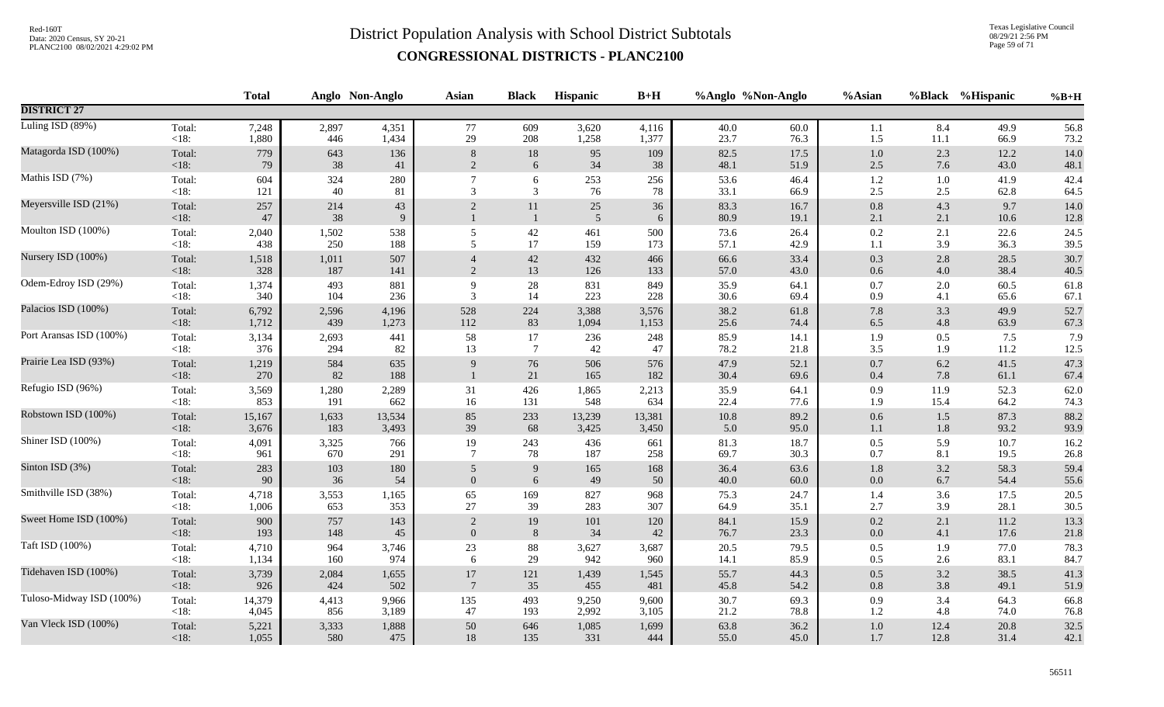Texas Legislative Council 08/29/21 2:56 PM Page 59 of 71

|                          |                   | <b>Total</b> |           | Anglo Non-Anglo | <b>Asian</b>   | <b>Black</b>       | Hispanic                 | $B+H$      | %Anglo %Non-Anglo |              | %Asian             | %Black         | %Hispanic    | $%B+H$       |
|--------------------------|-------------------|--------------|-----------|-----------------|----------------|--------------------|--------------------------|------------|-------------------|--------------|--------------------|----------------|--------------|--------------|
| <b>DISTRICT 27</b>       |                   |              |           |                 |                |                    |                          |            |                   |              |                    |                |              |              |
| Luling ISD (89%)         | Total:            | 7,248        | 2,897     | 4,351           | 77             | 609                | 3,620                    | 4,116      | 40.0              | 60.0         | 1.1                | 8.4            | 49.9         | 56.8         |
|                          | $<18$ :           | 1,880        | 446       | 1,434           | 29             | 208                | 1,258                    | 1,377      | 23.7              | 76.3         | 1.5                | 11.1           | 66.9         | 73.2         |
| Matagorda ISD (100%)     | Total:            | 779          | 643       | 136             | 8              | 18                 | 95                       | 109        | 82.5              | 17.5         | $1.0\,$            | 2.3            | 12.2         | 14.0         |
|                          | < 18:             | 79           | 38        | 41              | 2              | 6                  | 34                       | 38         | 48.1              | 51.9         | $2.5\,$            | 7.6            | 43.0         | 48.1         |
| Mathis ISD (7%)          | Total:<br><18:    | 604<br>121   | 324<br>40 | 280<br>81       | 3              | 6<br>3             | 253<br>76                | 256<br>78  | 53.6<br>33.1      | 46.4<br>66.9 | 1.2<br>$2.5\,$     | $1.0\,$<br>2.5 | 41.9<br>62.8 | 42.4<br>64.5 |
| Meyersville ISD (21%)    | Total:<br>< 18:   | 257<br>47    | 214<br>38 | 43<br>9         | $\overline{2}$ | 11<br>$\mathbf{1}$ | $25\,$<br>$\overline{5}$ | 36<br>6    | 83.3<br>80.9      | 16.7<br>19.1 | 0.8<br>2.1         | 4.3<br>2.1     | 9.7<br>10.6  | 14.0<br>12.8 |
| Moulton ISD (100%)       | Total:            | 2,040        | 1,502     | 538             | 5              | $42\,$             | 461                      | 500        | 73.6              | 26.4         | $0.2\,$            | 2.1            | 22.6         | 24.5         |
|                          | <18:              | 438          | 250       | 188             | 5              | 17                 | 159                      | 173        | 57.1              | 42.9         | $1.1\,$            | 3.9            | 36.3         | 39.5         |
| Nursery ISD (100%)       | Total:            | 1,518        | 1,011     | 507             | $\overline{4}$ | 42                 | 432                      | 466        | 66.6              | 33.4         | 0.3                | 2.8            | 28.5         | 30.7         |
|                          | < 18:             | 328          | 187       | 141             | $\overline{2}$ | 13                 | 126                      | 133        | 57.0              | 43.0         | $0.6\,$            | 4.0            | 38.4         | 40.5         |
| Odem-Edroy ISD (29%)     | Total:            | 1,374        | 493       | 881             | 9              | 28                 | 831                      | 849        | 35.9              | 64.1         | 0.7                | $2.0\,$        | 60.5         | 61.8         |
|                          | <18:              | 340          | 104       | 236             | 3              | 14                 | 223                      | 228        | 30.6              | 69.4         | 0.9                | 4.1            | 65.6         | 67.1         |
| Palacios ISD (100%)      | Total:            | 6,792        | 2,596     | 4,196           | 528            | 224                | 3,388                    | 3,576      | 38.2              | 61.8         | 7.8                | 3.3            | 49.9         | 52.7         |
|                          | $<18$ :           | 1,712        | 439       | 1,273           | 112            | 83                 | 1,094                    | 1,153      | 25.6              | 74.4         | 6.5                | 4.8            | 63.9         | 67.3         |
| Port Aransas ISD (100%)  | Total:            | 3,134        | 2,693     | 441             | 58             | 17                 | 236                      | 248        | 85.9              | 14.1         | 1.9                | 0.5            | 7.5          | 7.9          |
|                          | < 18:             | 376          | 294       | 82              | 13             | $7\phantom{.0}$    | 42                       | 47         | 78.2              | 21.8         | 3.5                | 1.9            | 11.2         | $12.5\,$     |
| Prairie Lea ISD (93%)    | Total:<br>$<18$ : | 1,219<br>270 | 584<br>82 | 635<br>188      | 9              | 76<br>21           | 506<br>165               | 576<br>182 | 47.9<br>30.4      | 52.1<br>69.6 | $0.7\,$<br>$0.4\,$ | $6.2\,$<br>7.8 | 41.5<br>61.1 | 47.3<br>67.4 |
| Refugio ISD (96%)        | Total:            | 3,569        | 1,280     | 2,289           | 31             | 426                | 1,865                    | 2,213      | 35.9              | 64.1         | 0.9                | 11.9           | 52.3         | 62.0         |
|                          | $<18$ :           | 853          | 191       | 662             | 16             | 131                | 548                      | 634        | 22.4              | 77.6         | 1.9                | 15.4           | 64.2         | 74.3         |
| Robstown ISD (100%)      | Total:            | 15,167       | 1,633     | 13,534          | 85             | 233                | 13,239                   | 13,381     | 10.8              | 89.2         | $0.6\,$            | 1.5            | 87.3         | 88.2         |
|                          | $<18$ :           | 3,676        | 183       | 3,493           | 39             | 68                 | 3,425                    | 3,450      | 5.0               | 95.0         | 1.1                | 1.8            | 93.2         | 93.9         |
| Shiner ISD (100%)        | Total:            | 4,091        | 3,325     | 766             | 19             | 243                | 436                      | 661        | 81.3              | 18.7         | $0.5\,$            | 5.9            | 10.7         | 16.2         |
|                          | $<18$ :           | 961          | 670       | 291             | $\overline{7}$ | 78                 | 187                      | 258        | 69.7              | 30.3         | 0.7                | 8.1            | 19.5         | 26.8         |
| Sinton ISD (3%)          | Total:            | 283          | 103       | 180             | 5              | 9                  | 165                      | 168        | 36.4              | 63.6         | 1.8                | 3.2            | 58.3         | 59.4         |
|                          | <18:              | 90           | 36        | 54              | $\overline{0}$ | 6                  | 49                       | 50         | 40.0              | 60.0         | $0.0\,$            | 6.7            | 54.4         | 55.6         |
| Smithville ISD (38%)     | Total:            | 4,718        | 3,553     | 1,165           | 65             | 169                | 827                      | 968        | 75.3              | 24.7         | 1.4                | 3.6            | 17.5         | 20.5         |
|                          | $<18$ :           | 1,006        | 653       | 353             | 27             | 39                 | 283                      | 307        | 64.9              | 35.1         | 2.7                | 3.9            | 28.1         | 30.5         |
| Sweet Home ISD (100%)    | Total:            | 900          | 757       | 143             | $\overline{2}$ | 19                 | 101                      | 120        | 84.1              | 15.9         | 0.2                | 2.1            | 11.2         | 13.3         |
|                          | $<18$ :           | 193          | 148       | 45              | $\overline{0}$ | 8                  | 34                       | 42         | 76.7              | 23.3         | $0.0\,$            | 4.1            | 17.6         | 21.8         |
| Taft ISD (100%)          | Total:            | 4,710        | 964       | 3,746           | 23             | 88                 | 3,627                    | 3,687      | 20.5              | 79.5         | $0.5\,$            | 1.9            | 77.0         | 78.3         |
|                          | $<18$ :           | 1,134        | 160       | 974             | 6              | 29                 | 942                      | 960        | 14.1              | 85.9         | 0.5                | 2.6            | 83.1         | 84.7         |
| Tidehaven ISD (100%)     | Total:            | 3,739        | 2,084     | 1,655           | 17             | 121                | 1,439                    | 1,545      | 55.7              | 44.3         | $0.5\,$            | 3.2            | 38.5         | 41.3         |
|                          | < 18:             | 926          | 424       | 502             | $\overline{7}$ | 35                 | 455                      | 481        | 45.8              | 54.2         | 0.8                | 3.8            | 49.1         | 51.9         |
| Tuloso-Midway ISD (100%) | Total:            | 14,379       | 4,413     | 9,966           | 135            | 493                | 9,250                    | 9,600      | 30.7              | 69.3         | 0.9                | 3.4            | 64.3         | 66.8         |
|                          | $<18$ :           | 4,045        | 856       | 3,189           | 47             | 193                | 2,992                    | 3,105      | 21.2              | 78.8         | $1.2\,$            | 4.8            | 74.0         | 76.8         |
| Van Vleck ISD (100%)     | Total:            | 5,221        | 3,333     | 1,888           | 50             | 646                | 1,085                    | 1,699      | 63.8              | 36.2         | $1.0\,$            | 12.4           | 20.8         | 32.5         |
|                          | $<18$ :           | 1,055        | 580       | 475             | $18\,$         | 135                | 331                      | 444        | 55.0              | 45.0         | $1.7\,$            | 12.8           | 31.4         | 42.1         |
|                          |                   |              |           |                 |                |                    |                          |            |                   |              |                    |                |              |              |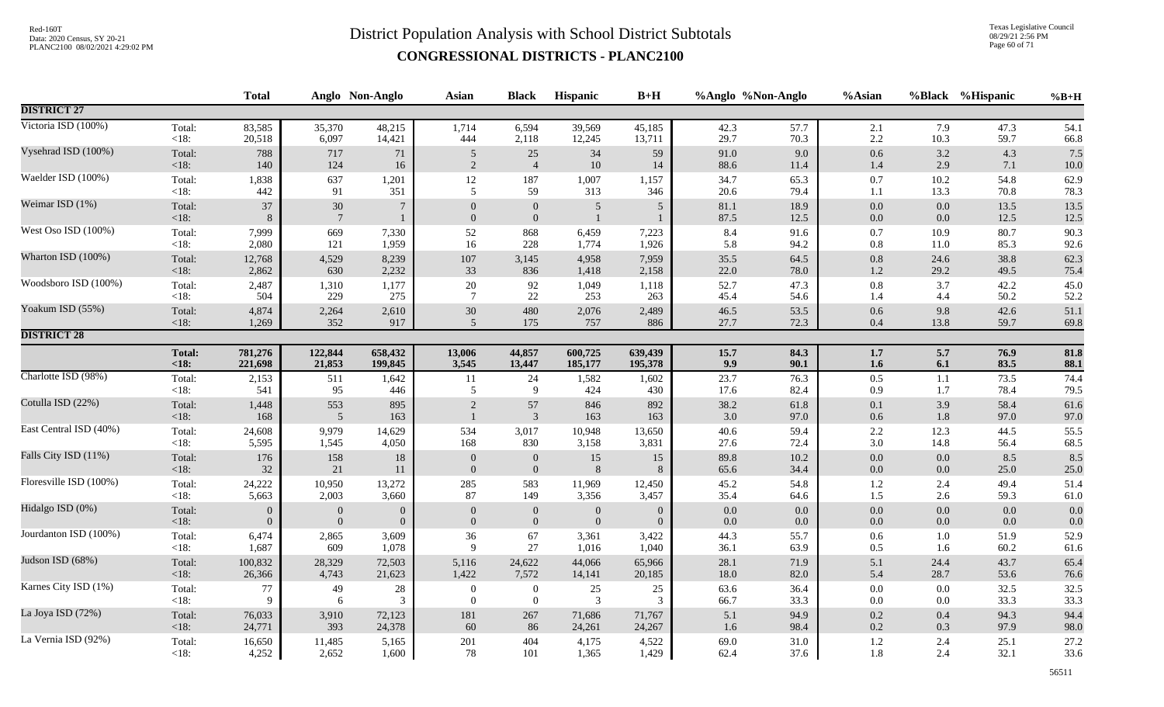Texas Legislative Council 08/29/21 2:56 PM Page 60 of 71

|                        |                 | <b>Total</b>   |                           | Anglo Non-Anglo                 | <b>Asian</b>                       | <b>Black</b>                         | Hispanic                       | $B+H$           | %Anglo %Non-Anglo |              | %Asian         | <b>%Black</b>  | %Hispanic    | $%B+H$       |
|------------------------|-----------------|----------------|---------------------------|---------------------------------|------------------------------------|--------------------------------------|--------------------------------|-----------------|-------------------|--------------|----------------|----------------|--------------|--------------|
| <b>DISTRICT 27</b>     |                 |                |                           |                                 |                                    |                                      |                                |                 |                   |              |                |                |              |              |
| Victoria ISD (100%)    | Total:          | 83,585         | 35,370                    | 48,215                          | 1,714                              | 6,594                                | 39,569                         | 45,185          | 42.3              | 57.7         | 2.1            | 7.9            | 47.3         | 54.1         |
|                        | <18:            | 20,518         | 6,097                     | 14,421                          | 444                                | 2,118                                | 12,245                         | 13,711          | 29.7              | 70.3         | 2.2            | 10.3           | 59.7         | 66.8         |
| Vysehrad ISD (100%)    | Total:          | 788            | 717                       | $71\,$                          | $\overline{5}$                     | 25                                   | $34\,$                         | 59              | 91.0              | 9.0          | 0.6            | 3.2            | 4.3          | 7.5          |
|                        | <18:            | 140            | 124                       | 16                              | 2                                  | $\overline{4}$                       | $10\,$                         | 14              | 88.6              | 11.4         | 1.4            | 2.9            | 7.1          | $10.0$       |
| Waelder ISD (100%)     | Total:          | 1,838          | 637                       | 1,201                           | 12                                 | 187                                  | 1,007                          | 1,157           | 34.7              | 65.3         | 0.7            | 10.2           | 54.8         | 62.9         |
|                        | < 18:           | 442            | 91                        | 351                             | 5                                  | 59                                   | 313                            | 346             | 20.6              | 79.4         | 1.1            | 13.3           | 70.8         | 78.3         |
| Weimar ISD (1%)        | Total:<br>< 18: | 37<br>8        | $30\,$<br>$7\phantom{.0}$ | $7\phantom{.0}$<br>$\mathbf{1}$ | $\boldsymbol{0}$<br>$\overline{0}$ | $\boldsymbol{0}$<br>$\boldsymbol{0}$ | $\overline{5}$<br>$\mathbf{1}$ | $5\phantom{.0}$ | 81.1<br>87.5      | 18.9<br>12.5 | $0.0\,$<br>0.0 | $0.0\,$<br>0.0 | 13.5<br>12.5 | 13.5<br>12.5 |
| West Oso ISD (100%)    | Total:          | 7,999          | 669                       | 7,330                           | 52                                 | 868                                  | 6,459                          | 7,223           | 8.4               | 91.6         | 0.7            | 10.9           | 80.7         | 90.3         |
|                        | $<18$ :         | 2,080          | 121                       | 1,959                           | 16                                 | 228                                  | 1,774                          | 1,926           | 5.8               | 94.2         | $0.8\,$        | 11.0           | 85.3         | 92.6         |
| Wharton ISD (100%)     | Total:          | 12,768         | 4,529                     | 8,239                           | 107                                | 3,145                                | 4,958                          | 7,959           | 35.5              | 64.5         | $0.8\,$        | 24.6           | 38.8         | 62.3         |
|                        | <18:            | 2,862          | 630                       | 2,232                           | 33                                 | 836                                  | 1,418                          | 2,158           | 22.0              | 78.0         | 1.2            | 29.2           | 49.5         | 75.4         |
| Woodsboro ISD (100%)   | Total:          | 2,487          | 1,310                     | 1,177                           | $20\,$                             | 92                                   | 1,049                          | 1,118           | 52.7              | 47.3         | $0.8\,$        | 3.7            | 42.2         | 45.0         |
|                        | <18:            | 504            | 229                       | 275                             | $\overline{7}$                     | 22                                   | 253                            | 263             | 45.4              | 54.6         | 1.4            | 4.4            | 50.2         | 52.2         |
| Yoakum ISD (55%)       | Total:          | 4,874          | 2,264                     | 2,610                           | 30                                 | 480                                  | 2,076                          | 2,489           | 46.5              | 53.5         | 0.6            | 9.8            | 42.6         | 51.1         |
|                        | $<18$ :         | 1,269          | 352                       | 917                             | 5                                  | 175                                  | 757                            | 886             | 27.7              | 72.3         | $0.4\,$        | 13.8           | 59.7         | 69.8         |
| <b>DISTRICT 28</b>     |                 |                |                           |                                 |                                    |                                      |                                |                 |                   |              |                |                |              |              |
|                        | <b>Total:</b>   | 781,276        | 122,844                   | 658,432                         | 13,006                             | 44,857                               | 600,725                        | 639,439         | 15.7              | 84.3         | 1.7            | 5.7            | 76.9         | 81.8         |
|                        | < 18:           | 221,698        | 21,853                    | 199,845                         | 3,545                              | 13,447                               | 185,177                        | 195,378         | 9.9               | 90.1         | 1.6            | 6.1            | 83.5         | 88.1         |
| Charlotte ISD (98%)    | Total:          | 2,153          | 511                       | 1,642                           | 11                                 | 24                                   | 1,582                          | 1,602           | 23.7              | 76.3         | 0.5            | 1.1            | 73.5         | 74.4         |
|                        | <18:            | 541            | 95                        | 446                             | 5                                  | 9                                    | 424                            | 430             | 17.6              | 82.4         | 0.9            | 1.7            | 78.4         | 79.5         |
| Cotulla ISD (22%)      | Total:          | 1,448          | 553                       | 895                             | $\overline{2}$                     | 57                                   | 846                            | 892             | 38.2              | 61.8         | 0.1            | 3.9            | 58.4         | 61.6         |
|                        | < 18:           | 168            | $\sqrt{5}$                | 163                             | $\mathbf{1}$                       | $\mathfrak{Z}$                       | 163                            | 163             | 3.0               | 97.0         | 0.6            | 1.8            | 97.0         | 97.0         |
| East Central ISD (40%) | Total:          | 24,608         | 9,979                     | 14,629                          | 534                                | 3,017                                | 10,948                         | 13,650          | 40.6              | 59.4         | $2.2\,$        | 12.3           | 44.5         | 55.5         |
|                        | $<18$ :         | 5,595          | 1,545                     | 4,050                           | 168                                | 830                                  | 3,158                          | 3,831           | 27.6              | 72.4         | 3.0            | 14.8           | 56.4         | 68.5         |
| Falls City ISD (11%)   | Total:          | 176            | 158                       | 18                              | $\boldsymbol{0}$                   | $\mathbf{0}$                         | $15\,$                         | 15              | 89.8              | 10.2         | $0.0\,$        | 0.0            | 8.5          | 8.5          |
|                        | < 18:           | 32             | 21                        | 11                              | $\mathbf{0}$                       | $\boldsymbol{0}$                     | 8                              | 8               | 65.6              | 34.4         | $0.0\,$        | 0.0            | 25.0         | 25.0         |
| Floresville ISD (100%) | Total:          | 24,222         | 10,950                    | 13,272                          | 285                                | 583                                  | 11,969                         | 12,450          | 45.2              | 54.8         | $1.2\,$        | 2.4            | 49.4         | 51.4         |
|                        | $<18$ :         | 5,663          | 2,003                     | 3,660                           | 87                                 | 149                                  | 3,356                          | 3,457           | 35.4              | 64.6         | 1.5            | 2.6            | 59.3         | 61.0         |
| Hidalgo ISD (0%)       | Total:          | $\overline{0}$ | $\theta$                  | $\overline{0}$                  | $\theta$                           | $\boldsymbol{0}$                     | $\boldsymbol{0}$               | $\overline{0}$  | $0.0\,$           | 0.0          | $0.0\,$        | $0.0\,$        | 0.0          | 0.0          |
|                        | <18:            | $\overline{0}$ | $\Omega$                  | $\overline{0}$                  | $\mathbf{0}$                       | $\mathbf{0}$                         | $\Omega$                       | $\Omega$        | 0.0               | 0.0          | 0.0            | 0.0            | 0.0          | 0.0          |
| Jourdanton ISD (100%)  | Total:          | 6,474          | 2,865                     | 3,609                           | 36                                 | 67                                   | 3,361                          | 3,422           | 44.3              | 55.7         | 0.6            | $1.0\,$        | 51.9         | 52.9         |
|                        | <18:            | 1,687          | 609                       | 1,078                           | 9                                  | 27                                   | 1,016                          | 1,040           | 36.1              | 63.9         | 0.5            | 1.6            | 60.2         | 61.6         |
| Judson ISD (68%)       | Total:          | 100,832        | 28,329                    | 72,503                          | 5,116                              | 24,622                               | 44,066                         | 65,966          | 28.1              | 71.9         | 5.1            | 24.4           | 43.7         | 65.4         |
|                        | <18:            | 26,366         | 4,743                     | 21,623                          | 1,422                              | 7,572                                | 14,141                         | 20,185          | 18.0              | 82.0         | 5.4            | 28.7           | 53.6         | 76.6         |
| Karnes City ISD (1%)   | Total:          | 77             | 49                        | 28                              | $\boldsymbol{0}$                   | $\boldsymbol{0}$                     | $25\,$                         | 25              | 63.6              | 36.4         | $0.0\,$        | 0.0            | 32.5         | 32.5         |
|                        | $<18$ :         | -9             | 6                         | 3                               | $\mathbf{0}$                       | $\mathbf{0}$                         | 3                              | 3               | 66.7              | 33.3         | $0.0\,$        | 0.0            | 33.3         | 33.3         |
| La Joya ISD (72%)      | Total:          | 76,033         | 3,910                     | 72,123                          | 181                                | $267\,$                              | 71,686                         | 71,767          | 5.1               | 94.9         | $0.2\,$        | 0.4            | 94.3         | 94.4         |
|                        | <18:            | 24,771         | 393                       | 24,378                          | 60                                 | 86                                   | 24,261                         | 24,267          | 1.6               | 98.4         | 0.2            | 0.3            | 97.9         | 98.0         |
| La Vernia ISD (92%)    | Total:          | 16,650         | 11,485                    | 5,165                           | 201                                | 404                                  | 4,175                          | 4,522           | 69.0              | 31.0         | 1.2            | 2.4            | 25.1         | 27.2         |
|                        | $<18$ :         | 4,252          | 2,652                     | 1,600                           | 78                                 | 101                                  | 1,365                          | 1,429           | 62.4              | 37.6         | 1.8            | 2.4            | 32.1         | 33.6         |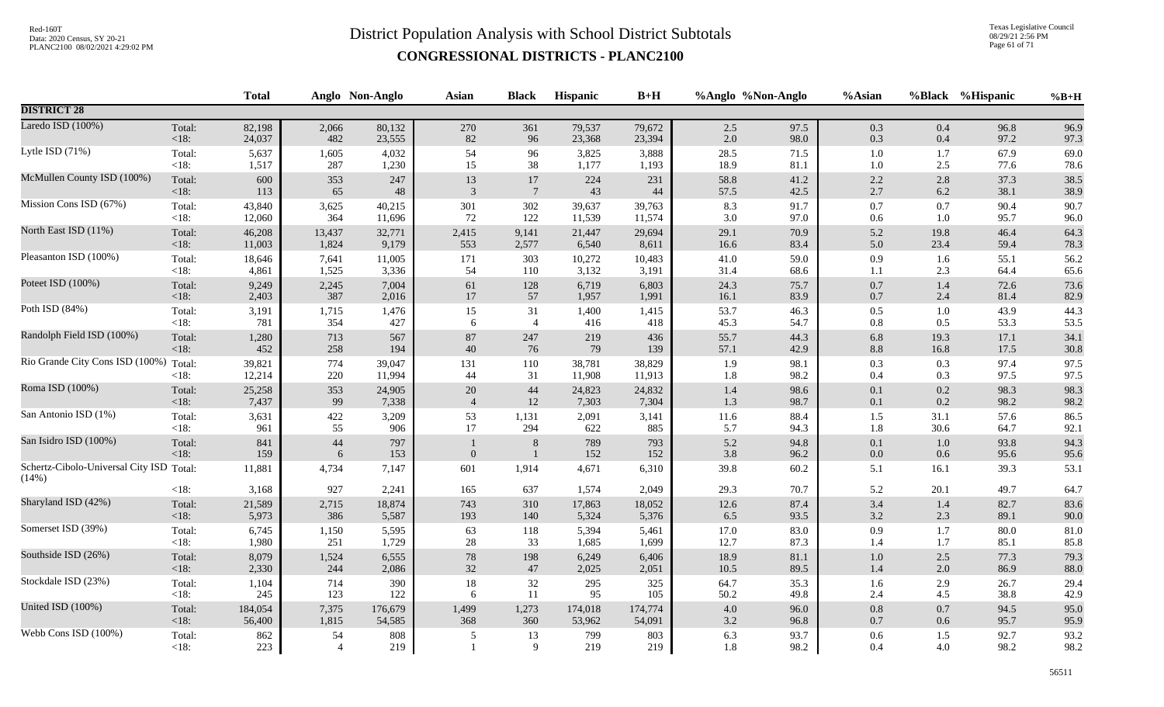Texas Legislative Council 08/29/21 2:56 PM Page 61 of 71

|                                                   |                   | <b>Total</b> |                      | Anglo Non-Anglo | Asian          | <b>Black</b>            | Hispanic   | $B+H$      |            | %Anglo %Non-Anglo | %Asian             |                | %Black %Hispanic | $%B+H$       |
|---------------------------------------------------|-------------------|--------------|----------------------|-----------------|----------------|-------------------------|------------|------------|------------|-------------------|--------------------|----------------|------------------|--------------|
| <b>DISTRICT 28</b>                                |                   |              |                      |                 |                |                         |            |            |            |                   |                    |                |                  |              |
| Laredo ISD (100%)                                 | Total:            | 82,198       | 2,066                | 80,132          | 270            | 361                     | 79,537     | 79,672     | 2.5        | 97.5              | 0.3                | 0.4            | 96.8             | 96.9         |
|                                                   | < 18:             | 24,037       | 482                  | 23,555          | $82\,$         | 96                      | 23,368     | 23,394     | 2.0        | 98.0              | 0.3                | 0.4            | 97.2             | 97.3         |
| Lytle ISD (71%)                                   | Total:            | 5,637        | 1,605                | 4,032           | 54             | 96                      | 3,825      | 3,888      | 28.5       | 71.5              | $1.0\,$            | 1.7            | 67.9             | 69.0         |
|                                                   | <18:              | 1,517        | 287                  | 1,230           | 15             | 38                      | 1,177      | 1,193      | 18.9       | 81.1              | $1.0\,$            | 2.5            | 77.6             | 78.6         |
| McMullen County ISD (100%)                        | Total:            | 600          | 353                  | 247             | 13             | 17                      | 224        | 231        | 58.8       | 41.2              | $2.2\,$            | 2.8            | 37.3             | 38.5         |
|                                                   | $<18$ :           | 113          | 65                   | $\sqrt{48}$     | 3              | $7\phantom{.0}$         | 43         | 44         | 57.5       | 42.5              | $2.7\,$            | 6.2            | 38.1             | 38.9         |
| Mission Cons ISD (67%)                            | Total:            | 43,840       | 3,625                | 40,215          | 301            | 302                     | 39,637     | 39,763     | 8.3        | 91.7              | $0.7\,$            | 0.7            | 90.4             | 90.7         |
|                                                   | $<18$ :           | 12,060       | 364                  | 11,696          | 72             | 122                     | 11,539     | 11,574     | 3.0        | 97.0              | 0.6                | 1.0            | 95.7             | 96.0         |
| North East ISD (11%)                              | Total:            | 46,208       | 13,437               | 32,771          | 2,415          | 9,141                   | 21,447     | 29,694     | 29.1       | 70.9              | 5.2                | 19.8           | 46.4             | 64.3         |
|                                                   | <18:              | 11,003       | 1,824                | 9,179           | 553            | 2,577                   | 6,540      | 8,611      | 16.6       | 83.4              | 5.0                | 23.4           | 59.4             | 78.3         |
| Pleasanton ISD (100%)                             | Total:            | 18,646       | 7,641                | 11,005          | 171            | 303                     | 10,272     | 10,483     | 41.0       | 59.0              | $0.9\,$            | 1.6            | 55.1             | 56.2         |
|                                                   | $<18$ :           | 4,861        | 1,525                | 3,336           | 54             | 110                     | 3,132      | 3,191      | 31.4       | 68.6              | 1.1                | 2.3            | 64.4             | 65.6         |
| Poteet ISD (100%)                                 | Total:            | 9,249        | 2,245                | 7,004           | 61             | 128                     | 6,719      | 6,803      | 24.3       | 75.7              | $0.7\,$            | $1.4\,$        | 72.6             | 73.6         |
|                                                   | <18:              | 2,403        | 387                  | 2,016           | $17\,$         | 57                      | 1,957      | 1,991      | 16.1       | 83.9              | $0.7\,$            | 2.4            | 81.4             | 82.9         |
| Poth ISD (84%)                                    | Total:            | 3,191        | 1,715                | 1,476           | 15             | 31                      | 1,400      | 1,415      | 53.7       | 46.3              | $0.5\,$            | 1.0            | 43.9             | 44.3         |
|                                                   | $<18$ :           | 781          | 354                  | 427             | 6              | $\overline{4}$          | 416        | 418        | 45.3       | 54.7              | $0.8\,$            | 0.5            | 53.3             | 53.5         |
| Randolph Field ISD (100%)                         | Total:            | 1,280        | 713                  | 567             | 87             | 247                     | 219        | 436        | 55.7       | 44.3              | 6.8                | 19.3           | 17.1             | 34.1         |
|                                                   | < 18:             | 452          | 258                  | 194             | 40             | 76                      | 79         | 139        | 57.1       | 42.9              | $8.8\,$            | 16.8           | 17.5             | 30.8         |
| Rio Grande City Cons ISD (100%)                   | Total:            | 39,821       | 774                  | 39,047          | 131            | 110                     | 38,781     | 38,829     | 1.9        | 98.1              | 0.3                | 0.3            | 97.4             | 97.5         |
|                                                   | < 18:             | 12,214       | 220                  | 11,994          | 44             | 31                      | 11,908     | 11,913     | 1.8        | 98.2              | 0.4                | 0.3            | 97.5             | 97.5         |
| Roma ISD (100%)                                   | Total:            | 25,258       | 353                  | 24,905          | 20             | 44                      | 24,823     | 24,832     | 1.4        | 98.6              | $0.1\,$            | 0.2            | 98.3             | 98.3         |
|                                                   | <18:              | 7,437        | 99                   | 7,338           | $\overline{4}$ | $12\,$                  | 7,303      | 7,304      | 1.3        | 98.7              | 0.1                | 0.2            | 98.2             | 98.2         |
| San Antonio ISD (1%)                              | Total:            | 3,631        | 422                  | 3,209           | 53             | 1,131                   | 2,091      | 3,141      | $11.6\,$   | 88.4              | $1.5\,$            | 31.1           | 57.6             | 86.5         |
|                                                   | $<18$ :           | 961          | 55                   | 906             | 17             | 294                     | 622        | 885        | 5.7        | 94.3              | 1.8                | 30.6           | 64.7             | 92.1         |
| San Isidro ISD (100%)                             | Total:<br><18:    | 841<br>159   | $44\,$<br>$\sqrt{6}$ | 797<br>153      | $\mathbf{0}$   | $\,8\,$<br>$\mathbf{1}$ | 789<br>152 | 793<br>152 | 5.2<br>3.8 | 94.8<br>96.2      | $0.1\,$<br>$0.0\,$ | $1.0\,$<br>0.6 | 93.8<br>95.6     | 94.3<br>95.6 |
| Schertz-Cibolo-Universal City ISD Total:<br>(14%) |                   | 11,881       | 4,734                | 7,147           | 601            | 1,914                   | 4,671      | 6,310      | 39.8       | 60.2              | 5.1                | 16.1           | 39.3             | 53.1         |
|                                                   | < 18:             | 3,168        | 927                  | 2,241           | 165            | 637                     | 1,574      | 2,049      | 29.3       | 70.7              | 5.2                | 20.1           | 49.7             | 64.7         |
| Sharyland ISD (42%)                               | Total:            | 21,589       | 2,715                | 18,874          | 743            | 310                     | 17,863     | 18,052     | 12.6       | 87.4              | 3.4                | 1.4            | 82.7             | 83.6         |
|                                                   | <18:              | 5,973        | 386                  | 5,587           | 193            | 140                     | 5,324      | 5,376      | 6.5        | 93.5              | $3.2\,$            | 2.3            | 89.1             | 90.0         |
| Somerset ISD (39%)                                | Total:            | 6,745        | 1,150                | 5,595           | 63             | 118                     | 5,394      | 5,461      | 17.0       | 83.0              | $0.9\,$            | 1.7            | 80.0             | 81.0         |
|                                                   | $<18$ :           | 1,980        | 251                  | 1,729           | 28             | 33                      | 1,685      | 1,699      | 12.7       | 87.3              | 1.4                | $1.7\,$        | 85.1             | 85.8         |
| Southside ISD (26%)                               | Total:            | 8,079        | 1,524                | 6,555           | $78\,$         | 198                     | 6,249      | 6,406      | 18.9       | 81.1              | $1.0\,$            | 2.5            | 77.3             | 79.3         |
|                                                   | $<18$ :           | 2,330        | 244                  | 2,086           | 32             | 47                      | 2,025      | 2,051      | 10.5       | 89.5              | 1.4                | 2.0            | 86.9             | 88.0         |
| Stockdale ISD (23%)                               | Total:            | 1,104        | 714                  | 390             | $18\,$         | $32\,$                  | 295        | 325        | 64.7       | 35.3              | 1.6                | 2.9            | 26.7             | 29.4         |
|                                                   | $<18$ :           | 245          | 123                  | 122             | 6              | $11\,$                  | 95         | 105        | 50.2       | 49.8              | 2.4                | 4.5            | 38.8             | 42.9         |
| United ISD (100%)                                 | Total:            | 184,054      | 7,375                | 176,679         | 1,499          | 1,273                   | 174,018    | 174,774    | 4.0        | 96.0              | $0.8\,$            | 0.7            | 94.5             | 95.0         |
|                                                   | $<18$ :           | 56,400       | 1,815                | 54,585          | 368            | 360                     | 53,962     | 54,091     | $3.2\,$    | 96.8              | $0.7\,$            | 0.6            | 95.7             | 95.9         |
| Webb Cons ISD (100%)                              | Total:<br>$<18$ : | 862<br>223   | 54<br>$\overline{4}$ | 808<br>219      | 5              | 13<br>9                 | 799<br>219 | 803<br>219 | 6.3<br>1.8 | 93.7<br>98.2      | 0.6<br>0.4         | 1.5<br>4.0     | 92.7<br>98.2     | 93.2<br>98.2 |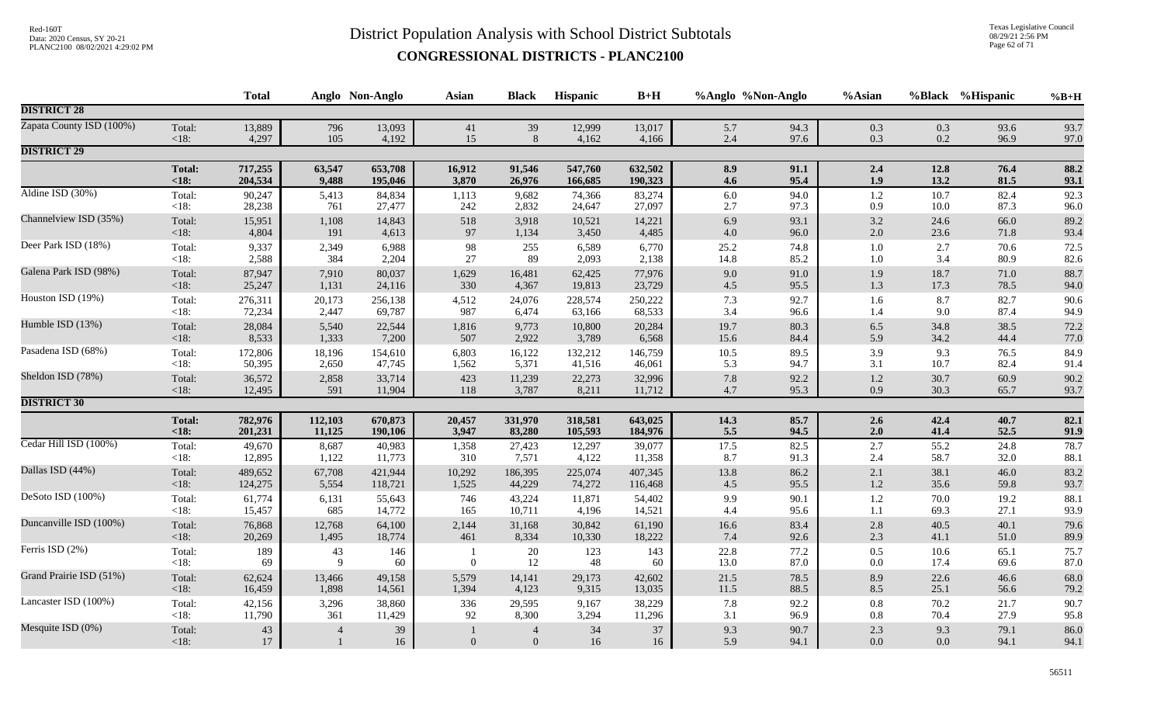Texas Legislative Council 08/29/21 2:56 PM Page 62 of 71

|                          |                   | <b>Total</b>     |                                | Anglo Non-Anglo | <b>Asian</b>   | <b>Black</b>                       | Hispanic  | $B+H$     | %Anglo %Non-Anglo |              | %Asian             |                | %Black %Hispanic | $%B+H$       |
|--------------------------|-------------------|------------------|--------------------------------|-----------------|----------------|------------------------------------|-----------|-----------|-------------------|--------------|--------------------|----------------|------------------|--------------|
| <b>DISTRICT 28</b>       |                   |                  |                                |                 |                |                                    |           |           |                   |              |                    |                |                  |              |
| Zapata County ISD (100%) | Total:            | 13,889           | 796                            | 13,093          | 41             | 39                                 | 12,999    | 13,017    | 5.7               | 94.3         | 0.3                | 0.3            | 93.6             | 93.7         |
|                          | $<18$ :           | 4,297            | 105                            | 4,192           | 15             | 8                                  | 4,162     | 4,166     | $2.4\,$           | 97.6         | 0.3                | 0.2            | 96.9             | 97.0         |
| <b>DISTRICT 29</b>       |                   |                  |                                |                 |                |                                    |           |           |                   |              |                    |                |                  |              |
|                          | <b>Total:</b>     | 717,255          | 63,547                         | 653,708         | 16,912         | 91,546                             | 547,760   | 632,502   | 8.9               | 91.1         | 2.4                | 12.8           | 76.4             | 88.2         |
|                          | $18:$             | 204,534          | 9,488                          | 195,046         | 3,870          | 26,976                             | 166,685   | 190,323   | 4.6               | 95.4         | 1.9                | 13.2           | 81.5             | 93.1         |
| Aldine ISD (30%)         | Total:            | 90,247           | 5,413                          | 84,834          | 1,113          | 9,682                              | 74,366    | 83,274    | 6.0               | 94.0         | 1.2                | 10.7           | 82.4             | 92.3         |
|                          | $<18$ :           | 28,238           | 761                            | 27,477          | 242            | 2,832                              | 24,647    | 27,097    | 2.7               | 97.3         | 0.9                | 10.0           | 87.3             | 96.0         |
| Channelview ISD (35%)    | Total:            | 15,951           | 1,108                          | 14,843          | 518            | 3,918                              | 10,521    | 14,221    | 6.9               | 93.1         | $3.2\,$            | 24.6           | 66.0             | 89.2         |
|                          | <18:              | 4,804            | 191                            | 4,613           | 97             | 1,134                              | 3,450     | 4,485     | $4.0\,$           | 96.0         | $2.0\,$            | 23.6           | 71.8             | 93.4         |
| Deer Park ISD (18%)      | Total:            | 9,337            | 2,349                          | 6,988           | 98             | 255                                | 6,589     | 6,770     | 25.2              | 74.8         | $1.0\,$            | 2.7            | 70.6             | 72.5         |
|                          | <18:              | 2,588            | 384                            | 2,204           | 27             | 89                                 | 2,093     | 2,138     | 14.8              | 85.2         | $1.0\,$            | 3.4            | 80.9             | 82.6         |
| Galena Park ISD (98%)    | Total:            | 87,947           | 7,910                          | 80,037          | 1,629          | 16,481                             | 62,425    | 77,976    | $9.0\,$           | 91.0         | 1.9                | 18.7           | 71.0             | 88.7         |
|                          | <18:              | 25,247           | 1,131                          | 24,116          | 330            | 4,367                              | 19,813    | 23,729    | $4.5\,$           | 95.5         | $1.3$              | 17.3           | 78.5             | 94.0         |
| Houston ISD (19%)        | Total:            | 276,311          | 20,173                         | 256,138         | 4,512          | 24,076                             | 228,574   | 250,222   | 7.3               | 92.7         | 1.6                | 8.7            | 82.7             | 90.6         |
|                          | <18:              | 72,234           | 2,447                          | 69,787          | 987            | 6,474                              | 63,166    | 68,533    | 3.4               | 96.6         | 1.4                | 9.0            | 87.4             | 94.9         |
| Humble ISD (13%)         | Total:            | 28,084           | 5,540                          | 22,544          | 1,816          | 9,773                              | 10,800    | 20,284    | 19.7              | 80.3         | 6.5                | 34.8           | 38.5             | 72.2         |
|                          | < 18:             | 8,533            | 1,333                          | 7,200           | 507            | 2,922                              | 3,789     | 6,568     | 15.6              | 84.4         | 5.9                | 34.2           | 44.4             | 77.0         |
| Pasadena ISD (68%)       | Total:            | 172,806          | 18,196                         | 154,610         | 6,803          | 16,122                             | 132,212   | 146,759   | $10.5\,$          | 89.5         | 3.9                | 9.3            | 76.5             | 84.9         |
|                          | $<18$ :           | 50,395           | 2,650                          | 47,745          | 1,562          | 5,371                              | 41,516    | 46,061    | 5.3               | 94.7         | 3.1                | 10.7           | 82.4             | 91.4         |
| Sheldon ISD (78%)        | Total:            | 36,572           | 2,858                          | 33,714          | 423            | 11,239                             | 22,273    | 32,996    | $7.8\,$           | 92.2         | $1.2\,$            | 30.7           | 60.9             | 90.2         |
|                          | <18:              | 12,495           | 591                            | 11,904          | 118            | 3,787                              | 8,211     | 11,712    | 4.7               | 95.3         | 0.9                | 30.3           | 65.7             | 93.7         |
| <b>DISTRICT 30</b>       |                   |                  |                                |                 |                |                                    |           |           |                   |              |                    |                |                  |              |
|                          | <b>Total:</b>     | 782,976          | 112,103                        | 670,873         | 20,457         | 331,970                            | 318,581   | 643,025   | 14.3              | 85.7         | 2.6                | 42.4           | 40.7             | 82.1         |
|                          | < 18:             | 201,231          | 11,125                         | 190,106         | 3,947          | 83,280                             | 105,593   | 184,976   | 5.5               | 94.5         | 2.0                | 41.4           | 52.5             | 91.9         |
| Cedar Hill ISD (100%)    | Total:            | 49,670           | 8,687                          | 40,983          | 1,358          | 27,423                             | 12,297    | 39,077    | 17.5              | 82.5         | 2.7                | 55.2           | 24.8             | 78.7         |
|                          | <18:              | 12,895           | 1,122                          | 11,773          | 310            | 7,571                              | 4,122     | 11,358    | 8.7               | 91.3         | 2.4                | 58.7           | 32.0             | 88.1         |
| Dallas ISD (44%)         | Total:            | 489,652          | 67,708                         | 421,944         | 10,292         | 186,395                            | 225,074   | 407,345   | 13.8              | 86.2         | 2.1                | 38.1           | 46.0             | 83.2         |
|                          | < 18:             | 124,275          | 5,554                          | 118,721         | 1,525          | 44,229                             | 74,272    | 116,468   | 4.5               | 95.5         | $1.2\,$            | 35.6           | 59.8             | 93.7         |
| DeSoto ISD (100%)        | Total:            | 61,774           | 6,131                          | 55,643          | 746            | 43,224                             | 11,871    | 54,402    | 9.9               | 90.1         | $1.2\,$            | 70.0           | 19.2             | 88.1         |
|                          | <18:              | 15,457           | 685                            | 14,772          | 165            | 10,711                             | 4,196     | 14,521    | 4.4               | 95.6         | 1.1                | 69.3           | 27.1             | 93.9         |
| Duncanville ISD (100%)   | Total:            | 76,868           | 12,768                         | 64,100          | 2,144          | 31,168                             | 30,842    | 61,190    | $16.6\,$          | 83.4         | $2.8\,$            | 40.5           | 40.1             | 79.6         |
|                          | <18:              | 20,269           | 1,495                          | 18,774          | 461            | 8,334                              | 10,330    | 18,222    | 7.4               | 92.6         | 2.3                | 41.1           | 51.0             | 89.9         |
| Ferris ISD (2%)          | Total:<br>< 18:   | 189<br>69        | 43<br>9                        | 146<br>60       | $\overline{0}$ | 20<br>12                           | 123<br>48 | 143<br>60 | 22.8<br>13.0      | 77.2<br>87.0 | 0.5<br>$0.0\,$     | 10.6<br>17.4   | 65.1<br>69.6     | 75.7<br>87.0 |
| Grand Prairie ISD (51%)  | Total:            | 62,624           | 13,466                         | 49,158          | 5,579          | 14,141                             | 29,173    | 42,602    | 21.5              | 78.5         | 8.9                | 22.6           | 46.6             | 68.0         |
|                          | <18:              | 16,459           | 1,898                          | 14,561          | 1,394          | 4,123                              | 9,315     | 13,035    | $11.5\,$          | 88.5         | 8.5                | 25.1           | 56.6             | 79.2         |
| Lancaster ISD (100%)     | Total:            | 42,156           | 3,296                          | 38,860          | 336            | 29,595                             | 9,167     | 38,229    | 7.8               | 92.2         | $0.8\,$            | 70.2           | 21.7             | 90.7         |
|                          | <18:              | 11,790           | 361                            | 11,429          | 92             | 8,300                              | 3,294     | 11,296    | 3.1               | 96.9         | $0.8\,$            | 70.4           | 27.9             | 95.8         |
| Mesquite ISD (0%)        | Total:<br>$<18$ : | $43\,$<br>$17\,$ | $\overline{4}$<br>$\mathbf{1}$ | 39<br>16        | $\mathbf{0}$   | $\overline{4}$<br>$\boldsymbol{0}$ | 34<br>16  | 37<br>16  | 9.3<br>5.9        | 90.7<br>94.1 | $2.3\,$<br>$0.0\,$ | 9.3<br>$0.0\,$ | 79.1<br>94.1     | 86.0<br>94.1 |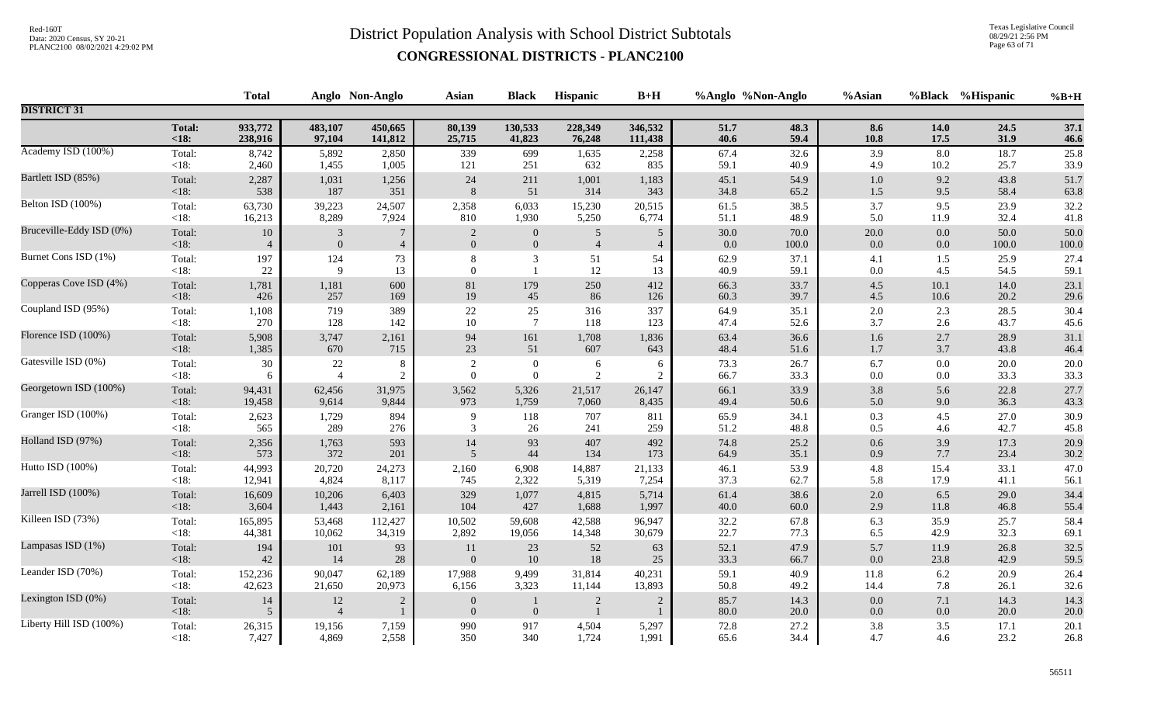Texas Legislative Council 08/29/21 2:56 PM Page 63 of 71

|                          |                   | <b>Total</b>   |                          | Anglo Non-Anglo | <b>Asian</b>                   | <b>Black</b>     | Hispanic       | $B+H$          | %Anglo %Non-Anglo |              | %Asian     |            | %Black %Hispanic | $%B+H$       |
|--------------------------|-------------------|----------------|--------------------------|-----------------|--------------------------------|------------------|----------------|----------------|-------------------|--------------|------------|------------|------------------|--------------|
| <b>DISTRICT 31</b>       |                   |                |                          |                 |                                |                  |                |                |                   |              |            |            |                  |              |
|                          | <b>Total:</b>     | 933,772        | 483,107                  | 450,665         | 80,139                         | 130,533          | 228,349        | 346,532        | 51.7              | 48.3         | 8.6        | 14.0       | 24.5             | 37.1         |
|                          | $18:$             | 238,916        | 97,104                   | 141,812         | 25,715                         | 41,823           | 76,248         | 111,438        | 40.6              | 59.4         | 10.8       | 17.5       | 31.9             | 46.6         |
| Academy ISD (100%)       | Total:            | 8,742          | 5,892                    | 2,850           | 339                            | 699              | 1,635          | 2,258          | 67.4              | 32.6         | 3.9        | 8.0        | 18.7             | 25.8         |
|                          | <18:              | 2,460          | 1,455                    | 1,005           | 121                            | 251              | 632            | 835            | 59.1              | 40.9         | 4.9        | 10.2       | 25.7             | 33.9         |
| Bartlett ISD (85%)       | Total:            | 2,287          | 1,031                    | 1,256           | $24\,$                         | 211              | 1,001          | 1,183          | 45.1              | 54.9         | 1.0        | 9.2        | 43.8             | 51.7         |
|                          | $<18$ :           | 538            | 187                      | 351             | 8                              | 51               | 314            | 343            | 34.8              | 65.2         | $1.5\,$    | 9.5        | 58.4             | 63.8         |
| Belton ISD (100%)        | Total:            | 63,730         | 39,223                   | 24,507          | 2,358                          | 6,033            | 15,230         | 20,515         | 61.5              | 38.5         | 3.7        | 9.5        | 23.9             | 32.2         |
|                          | $<18$ :           | 16,213         | 8,289                    | 7,924           | 810                            | 1,930            | 5,250          | 6,774          | 51.1              | 48.9         | 5.0        | 11.9       | 32.4             | 41.8         |
| Bruceville-Eddy ISD (0%) | Total:            | $10\,$         | $\overline{\mathbf{3}}$  | $\overline{7}$  | $\sqrt{2}$                     | $\boldsymbol{0}$ | 5              | $\sqrt{5}$     | 30.0              | 70.0         | $20.0\,$   | 0.0        | 50.0             | 50.0         |
|                          | $<18$ :           | $\overline{4}$ | $\overline{0}$           | $\overline{4}$  | $\overline{0}$                 | $\mathbf{0}$     | $\overline{4}$ | $\overline{4}$ | 0.0               | 100.0        | 0.0        | 0.0        | 100.0            | 100.0        |
| Burnet Cons ISD (1%)     | Total:            | 197            | 124                      | 73              | 8                              | 3                | 51             | 54             | 62.9              | 37.1         | 4.1        | 1.5        | 25.9             | 27.4         |
|                          | $<18$ :           | $22\,$         | $\mathbf Q$              | 13              | $\Omega$                       | $\mathbf{1}$     | 12             | 13             | 40.9              | 59.1         | $0.0\,$    | 4.5        | 54.5             | 59.1         |
| Copperas Cove ISD (4%)   | Total:            | 1,781          | 1,181                    | 600             | 81                             | 179              | 250            | 412            | 66.3              | 33.7         | $4.5\,$    | 10.1       | 14.0             | 23.1         |
|                          | $<18$ :           | 426            | 257                      | 169             | 19                             | 45               | 86             | 126            | 60.3              | 39.7         | $4.5\,$    | 10.6       | 20.2             | 29.6         |
| Coupland ISD (95%)       | Total:            | 1,108          | 719                      | 389             | $22\,$                         | 25               | 316            | 337            | 64.9              | 35.1         | 2.0        | 2.3        | 28.5             | 30.4         |
|                          | <18:              | 270            | 128                      | 142             | 10                             | $7\phantom{.0}$  | 118            | 123            | 47.4              | 52.6         | 3.7        | 2.6        | 43.7             | 45.6         |
| Florence ISD (100%)      | Total:            | 5,908          | 3,747                    | 2,161           | 94                             | 161              | 1,708          | 1,836          | 63.4              | 36.6         | $1.6\,$    | 2.7        | 28.9             | 31.1         |
|                          | $<18$ :           | 1,385          | 670                      | 715             | 23                             | 51               | 607            | 643            | 48.4              | 51.6         | 1.7        | 3.7        | 43.8             | 46.4         |
| Gatesville ISD (0%)      | Total:            | $30\,$         | $22\,$                   | 8               | $\overline{2}$                 | $\boldsymbol{0}$ | $\sqrt{6}$     | 6              | 73.3              | 26.7         | 6.7        | 0.0        | 20.0             | $20.0\,$     |
|                          | <18:              | 6              | $\overline{4}$           | $\overline{2}$  | $\Omega$                       | $\boldsymbol{0}$ | $\overline{2}$ | $\overline{2}$ | 66.7              | 33.3         | 0.0        | 0.0        | 33.3             | 33.3         |
| Georgetown ISD (100%)    | Total:            | 94,431         | 62,456                   | 31,975          | 3,562                          | 5,326            | 21,517         | 26,147         | 66.1              | 33.9         | 3.8        | 5.6        | 22.8             | 27.7         |
|                          | $<18$ :           | 19,458         | 9,614                    | 9,844           | 973                            | 1,759            | 7,060          | 8,435          | 49.4              | 50.6         | 5.0        | 9.0        | 36.3             | 43.3         |
| Granger ISD (100%)       | Total:            | 2,623          | 1,729                    | 894             | 9                              | 118              | 707            | 811            | 65.9              | 34.1         | 0.3        | 4.5        | 27.0             | 30.9         |
|                          | <18:              | 565            | 289                      | 276             | 3                              | 26               | 241            | 259            | 51.2              | 48.8         | 0.5        | 4.6        | 42.7             | 45.8         |
| Holland ISD (97%)        | Total:            | 2,356          | 1,763                    | 593             | 14                             | 93               | 407            | 492            | 74.8              | 25.2         | 0.6        | 3.9        | 17.3             | 20.9         |
|                          | $<18$ :           | 573            | 372                      | 201             | 5                              | 44               | 134            | 173            | 64.9              | 35.1         | 0.9        | 7.7        | 23.4             | 30.2         |
| Hutto ISD (100%)         | Total:            | 44,993         | 20,720                   | 24,273          | 2,160                          | 6,908            | 14,887         | 21,133         | 46.1              | 53.9         | 4.8        | 15.4       | 33.1             | 47.0         |
|                          | <18:              | 12,941         | 4,824                    | 8,117           | 745                            | 2,322            | 5,319          | 7,254          | 37.3              | 62.7         | 5.8        | 17.9       | 41.1             | 56.1         |
| Jarrell ISD (100%)       | Total:            | 16,609         | 10,206                   | 6,403           | 329                            | 1,077            | 4,815          | 5,714          | 61.4              | 38.6         | $2.0\,$    | 6.5        | 29.0             | 34.4         |
|                          | $<18$ :           | 3,604          | 1,443                    | 2,161           | 104                            | 427              | 1,688          | 1,997          | $40.0\,$          | $60.0\,$     | 2.9        | 11.8       | 46.8             | 55.4         |
| Killeen ISD (73%)        | Total:            | 165,895        | 53,468                   | 112,427         | 10,502                         | 59,608           | 42,588         | 96,947         | 32.2              | 67.8         | 6.3        | 35.9       | 25.7             | 58.4         |
|                          | $<18$ :           | 44,381         | 10,062                   | 34,319          | 2,892                          | 19,056           | 14,348         | 30,679         | 22.7              | 77.3         | 6.5        | 42.9       | 32.3             | 69.1         |
| Lampasas ISD (1%)        | Total:            | 194            | $101\,$                  | 93              | 11                             | 23               | $52\,$         | 63             | 52.1              | 47.9         | 5.7        | 11.9       | 26.8             | 32.5         |
|                          | $<18$ :           | 42             | 14                       | 28              | $\overline{0}$                 | 10               | $18\,$         | 25             | 33.3              | 66.7         | $0.0\,$    | 23.8       | 42.9             | 59.5         |
| Leander ISD (70%)        | Total:            | 152,236        | 90,047                   | 62,189          | 17,988                         | 9,499            | 31,814         | 40,231         | 59.1              | 40.9         | $11.8\,$   | 6.2        | 20.9             | 26.4         |
|                          | <18:              | 42,623         | 21,650                   | 20,973          | 6,156                          | 3,323            | 11,144         | 13,893         | 50.8              | 49.2         | 14.4       | 7.8        | 26.1             | 32.6         |
| Lexington ISD (0%)       | Total:<br>$<18$ : | 14<br>5        | $12\,$<br>$\overline{4}$ | $\sqrt{2}$      | $\mathbf{0}$<br>$\overline{0}$ | $\overline{0}$   | $\overline{2}$ | $\overline{2}$ | 85.7<br>80.0      | 14.3<br>20.0 | 0.0<br>0.0 | 7.1<br>0.0 | 14.3<br>20.0     | 14.3<br>20.0 |
| Liberty Hill ISD (100%)  | Total:            | 26,315         | 19,156                   | 7,159           | 990                            | 917              | 4,504          | 5,297          | 72.8              | 27.2         | 3.8        | 3.5        | 17.1             | 20.1         |
|                          | $<18$ :           | 7,427          | 4,869                    | 2,558           | 350                            | 340              | 1,724          | 1,991          | 65.6              | 34.4         | 4.7        | 4.6        | 23.2             | 26.8         |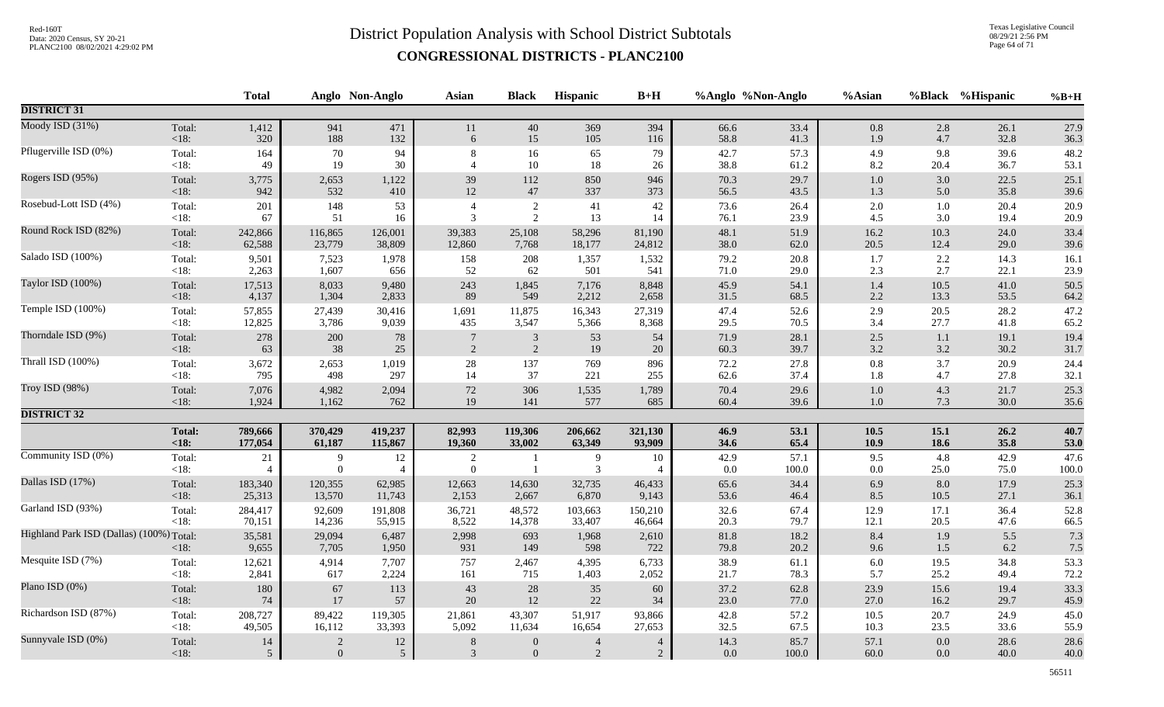Texas Legislative Council 08/29/21 2:56 PM Page 64 of 71

|                                          |                | <b>Total</b>         |                  | Anglo Non-Anglo | <b>Asian</b>        | <b>Black</b>     | Hispanic       | $B+H$                |              | %Anglo %Non-Anglo | %Asian     |             | %Black %Hispanic | $%B+H$            |
|------------------------------------------|----------------|----------------------|------------------|-----------------|---------------------|------------------|----------------|----------------------|--------------|-------------------|------------|-------------|------------------|-------------------|
| <b>DISTRICT 31</b>                       |                |                      |                  |                 |                     |                  |                |                      |              |                   |            |             |                  |                   |
| Moody ISD (31%)                          | Total:         | 1,412                | 941              | 471             | 11                  | 40               | 369            | 394                  | 66.6         | 33.4              | $0.8\,$    | 2.8         | 26.1             | 27.9              |
|                                          | < 18:          | $320$                | 188              | 132             | 6                   | 15               | 105            | 116                  | 58.8         | 41.3              | 1.9        | 4.7         | 32.8             | 36.3              |
| Pflugerville ISD (0%)                    | Total:         | 164                  | 70               | 94              | 8                   | 16               | 65             | 79                   | 42.7         | 57.3              | 4.9        | 9.8         | 39.6             | 48.2              |
|                                          | $< 18$ :       | 49                   | 19               | 30              | $\overline{4}$      | $10\,$           | 18             | 26                   | 38.8         | 61.2              | 8.2        | 20.4        | 36.7             | 53.1              |
| Rogers ISD (95%)                         | Total:         | 3,775                | 2,653            | 1,122           | 39                  | 112              | 850            | 946                  | 70.3         | 29.7              | $1.0\,$    | 3.0         | 22.5             | 25.1              |
|                                          | < 18:          | 942                  | 532              | 410             | $12\,$              | 47               | 337            | 373                  | 56.5         | 43.5              | 1.3        | 5.0         | 35.8             | 39.6              |
| Rosebud-Lott ISD (4%)                    | Total:         | 201                  | 148              | 53              | $\overline{4}$      | $\sqrt{2}$       | 41             | 42                   | 73.6         | 26.4              | $2.0\,$    | 1.0         | 20.4             | 20.9              |
|                                          | <18:           | 67                   | 51               | 16              | 3                   | $\sqrt{2}$       | 13             | 14                   | 76.1         | 23.9              | 4.5        | 3.0         | 19.4             | 20.9              |
| Round Rock ISD (82%)                     | Total:         | 242,866              | 116,865          | 126,001         | 39,383              | 25,108           | 58,296         | 81,190               | 48.1         | 51.9              | 16.2       | 10.3        | 24.0             | 33.4              |
|                                          | $<18$ :        | 62,588               | 23,779           | 38,809          | 12,860              | 7,768            | 18,177         | 24,812               | 38.0         | 62.0              | 20.5       | 12.4        | 29.0             | 39.6              |
| Salado ISD (100%)                        | Total:         | 9,501                | 7,523            | 1,978           | 158                 | 208              | 1,357          | 1,532                | 79.2         | $20.8\,$          | 1.7        | $2.2\,$     | 14.3             | 16.1              |
|                                          | $<18$ :        | 2,263                | 1,607            | 656             | 52                  | 62               | 501            | 541                  | 71.0         | 29.0              | 2.3        | 2.7         | 22.1             | 23.9              |
| Taylor ISD (100%)                        | Total:         | 17,513               | 8,033            | 9,480           | 243                 | 1,845            | 7,176          | 8,848                | 45.9         | 54.1              | 1.4        | 10.5        | 41.0             | 50.5              |
|                                          | < 18:          | 4,137                | 1,304            | 2,833           | 89                  | 549              | 2,212          | 2,658                | 31.5         | 68.5              | 2.2        | 13.3        | 53.5             | 64.2              |
| Temple ISD (100%)                        | Total:         | 57,855               | 27,439           | 30,416          | 1,691               | 11,875           | 16,343         | 27,319               | 47.4         | 52.6              | $2.9\,$    | 20.5        | 28.2             | 47.2              |
|                                          | $< 18$ :       | 12,825               | 3,786            | 9,039           | 435                 | 3,547            | 5,366          | 8,368                | 29.5         | 70.5              | 3.4        | 27.7        | 41.8             | 65.2              |
| Thorndale ISD (9%)                       | Total:         | 278                  | 200              | 78              | $\overline{7}$      | $\mathfrak{Z}$   | 53             | 54                   | 71.9         | 28.1              | $2.5\,$    | 1.1         | 19.1             | 19.4              |
|                                          | < 18:          | 63                   | 38               | 25              | 2                   | 2                | 19             | 20                   | 60.3         | 39.7              | 3.2        | 3.2         | 30.2             | 31.7              |
| Thrall ISD (100%)                        | Total:         | 3,672                | 2,653            | 1,019           | 28                  | 137              | 769            | 896                  | 72.2         | 27.8              | 0.8        | 3.7         | 20.9             | 24.4              |
|                                          | $<18$ :        | 795                  | 498              | 297             | 14                  | 37               | 221            | 255                  | 62.6         | 37.4              | 1.8        | 4.7         | 27.8             | 32.1              |
| Troy ISD (98%)                           | Total:         | 7,076                | 4,982            | 2,094           | $72\,$              | 306              | 1,535          | 1,789                | 70.4         | 29.6              | $1.0\,$    | 4.3         | 21.7             | 25.3              |
|                                          | $<18$ :        | 1,924                | 1,162            | 762             | 19                  | 141              | 577            | 685                  | 60.4         | 39.6              | 1.0        | 7.3         | 30.0             | 35.6              |
| <b>DISTRICT 32</b>                       |                |                      |                  |                 |                     |                  |                |                      |              |                   |            |             |                  |                   |
|                                          | <b>Total:</b>  | 789,666              | 370,429          | 419,237         | 82,993              | 119,306          | 206,662        | 321,130              | 46.9         | 53.1              | 10.5       | 15.1        | 26.2             | 40.7              |
|                                          | <18:           | 177,054              | 61,187           | 115,867         | 19,360              | 33,002           | 63,349         | 93,909               | 34.6         | 65.4              | 10.9       | 18.6        | 35.8             | 53.0              |
| Community ISD (0%)                       | Total:<br><18: | 21<br>$\overline{4}$ | 9<br>$\theta$    | 12<br>4         | 2<br>$\overline{0}$ | $\mathbf{1}$     | 9<br>3         | 10<br>$\overline{4}$ | 42.9<br>0.0  | 57.1<br>100.0     | 9.5<br>0.0 | 4.8<br>25.0 | 42.9<br>75.0     | 47.6<br>$100.0\,$ |
| Dallas ISD (17%)                         | Total:         | 183,340              | 120,355          | 62,985          | 12,663              | 14,630           | 32,735         | 46,433               | 65.6         | 34.4              | 6.9        | 8.0         | 17.9             | 25.3              |
|                                          | $<18$ :        | 25,313               | 13,570           | 11,743          | 2,153               | 2,667            | 6,870          | 9,143                | 53.6         | 46.4              | 8.5        | 10.5        | 27.1             | 36.1              |
| Garland ISD (93%)                        | Total:         | 284,417              | 92,609           | 191,808         | 36,721              | 48,572           | 103,663        | 150,210              | 32.6         | 67.4              | 12.9       | 17.1        | 36.4             | 52.8              |
|                                          | < 18:          | 70,151               | 14,236           | 55,915          | 8,522               | 14,378           | 33,407         | 46,664               | 20.3         | 79.7              | 12.1       | 20.5        | 47.6             | 66.5              |
| Highland Park ISD (Dallas) (100%) Total: | < 18:          | 35,581<br>9,655      | 29,094<br>7,705  | 6,487<br>1,950  | 2,998<br>931        | 693<br>149       | 1,968<br>598   | 2,610<br>722         | 81.8<br>79.8 | 18.2<br>20.2      | 8.4<br>9.6 | 1.9<br>1.5  | 5.5<br>6.2       | 7.3<br>7.5        |
| Mesquite ISD (7%)                        | Total:         | 12,621               | 4,914            | 7,707           | 757                 | 2,467            | 4,395          | 6,733                | 38.9         | 61.1              | $6.0\,$    | 19.5        | 34.8             | 53.3              |
|                                          | $< 18$ :       | 2,841                | 617              | 2,224           | 161                 | 715              | 1,403          | 2,052                | 21.7         | 78.3              | 5.7        | 25.2        | 49.4             | 72.2              |
| Plano ISD (0%)                           | Total:         | 180                  | 67               | 113             | 43                  | $28\,$           | 35             | 60                   | 37.2         | 62.8              | 23.9       | 15.6        | 19.4             | 33.3              |
|                                          | < 18:          | 74                   | 17               | 57              | 20                  | 12               | $22\,$         | 34                   | 23.0         | 77.0              | 27.0       | 16.2        | 29.7             | 45.9              |
| Richardson ISD (87%)                     | Total:         | 208,727              | 89,422           | 119,305         | 21,861              | 43,307           | 51,917         | 93,866               | 42.8         | 57.2              | $10.5\,$   | 20.7        | 24.9             | 45.0              |
|                                          | $<18$ :        | 49,505               | 16,112           | 33,393          | 5,092               | 11,634           | 16,654         | 27,653               | 32.5         | 67.5              | 10.3       | 23.5        | 33.6             | 55.9              |
| Sunnyvale ISD (0%)                       | Total:         | 14                   | $\overline{c}$   | 12              | 8                   | $\mathbf{0}$     | $\overline{4}$ | $\overline{4}$       | 14.3         | 85.7              | 57.1       | 0.0         | 28.6             | 28.6              |
|                                          | < 18:          | 5                    | $\boldsymbol{0}$ | 5 <sup>5</sup>  | $\mathfrak{Z}$      | $\boldsymbol{0}$ | $\sqrt{2}$     | $\overline{2}$       | 0.0          | 100.0             | 60.0       | $0.0\,$     | 40.0             | 40.0              |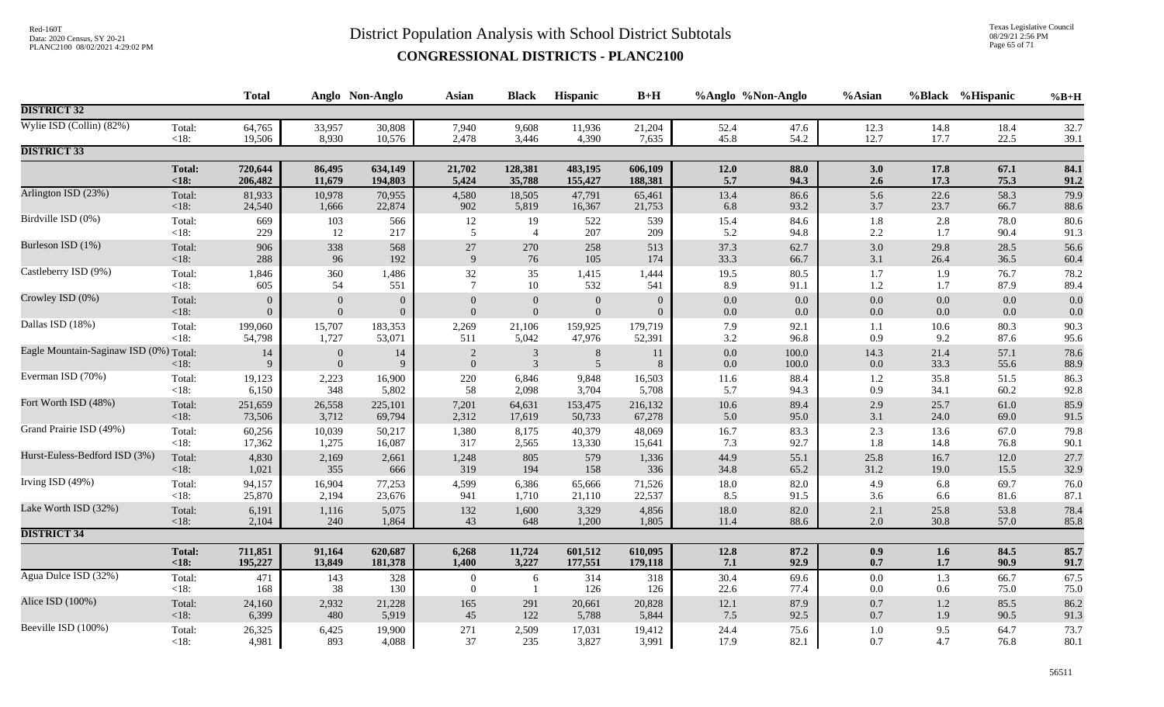Texas Legislative Council 08/29/21 2:56 PM Page 65 of 71

|                                        |               | <b>Total</b>     |                              | Anglo Non-Anglo | <b>Asian</b>                   | <b>Black</b>                     | Hispanic            | $B+H$          | %Anglo %Non-Anglo  |                | %Asian          |              | %Black %Hispanic | $%B+H$       |
|----------------------------------------|---------------|------------------|------------------------------|-----------------|--------------------------------|----------------------------------|---------------------|----------------|--------------------|----------------|-----------------|--------------|------------------|--------------|
| <b>DISTRICT 32</b>                     |               |                  |                              |                 |                                |                                  |                     |                |                    |                |                 |              |                  |              |
| Wylie ISD (Collin) $(82%)$             | Total:        | 64,765           | 33,957                       | 30,808          | 7,940                          | 9,608                            | 11,936              | 21,204         | 52.4               | 47.6           | 12.3            | 14.8         | 18.4             | 32.7         |
|                                        | <18:          | 19,506           | 8,930                        | 10,576          | 2,478                          | 3,446                            | 4,390               | 7,635          | 45.8               | 54.2           | 12.7            | 17.7         | 22.5             | 39.1         |
| <b>DISTRICT 33</b>                     |               |                  |                              |                 |                                |                                  |                     |                |                    |                |                 |              |                  |              |
|                                        | <b>Total:</b> | 720,644          | 86,495                       | 634,149         | 21,702                         | 128,381                          | 483,195             | 606,109        | 12.0               | 88.0           | 3.0             | 17.8         | 67.1             | 84.1         |
|                                        | < 18:         | 206,482          | 11,679                       | 194,803         | 5,424                          | 35,788                           | 155,427             | 188,381        | 5.7                | 94.3           | 2.6             | 17.3         | 75.3             | 91.2         |
| Arlington ISD (23%)                    | Total:        | 81,933           | 10,978                       | 70,955          | 4,580                          | 18,505                           | 47,791              | 65,461         | 13.4               | 86.6           | 5.6             | 22.6         | 58.3             | 79.9         |
|                                        | $<18$ :       | 24,540           | 1,666                        | 22,874          | 902                            | 5,819                            | 16,367              | 21,753         | 6.8                | 93.2           | 3.7             | 23.7         | 66.7             | 88.6         |
| Birdville ISD (0%)                     | Total:        | 669              | 103                          | 566             | 12                             | 19                               | 522                 | 539            | 15.4               | 84.6           | $1.8\,$         | 2.8          | 78.0             | 80.6         |
|                                        | $<18$ :       | 229              | 12                           | 217             | 5                              | $\overline{4}$                   | 207                 | 209            | 5.2                | 94.8           | $2.2\,$         | 1.7          | 90.4             | 91.3         |
| Burleson ISD (1%)                      | Total:        | 906              | 338                          | 568             | $27\,$                         | 270                              | 258                 | 513            | 37.3               | 62.7           | $3.0\,$         | 29.8         | 28.5             | 56.6         |
|                                        | $<18$ :       | 288              | 96                           | 192             | 9                              | 76                               | 105                 | 174            | 33.3               | 66.7           | 3.1             | 26.4         | 36.5             | 60.4         |
| Castleberry ISD (9%)                   | Total:        | 1,846            | 360                          | 1,486           | 32                             | 35                               | 1,415               | 1,444          | 19.5               | 80.5           | 1.7             | 1.9          | 76.7             | 78.2         |
|                                        | <18:          | 605              | 54                           | 551             | $\overline{7}$                 | 10                               | 532                 | 541            | 8.9                | 91.1           | $1.2\,$         | 1.7          | 87.9             | 89.4         |
| Crowley ISD (0%)                       | Total:        | $\mathbf{0}$     | $\overline{0}$               | $\mathbf{0}$    | $\overline{0}$                 | $\boldsymbol{0}$                 | $\mathbf{0}$        | $\overline{0}$ | $0.0\,$            | 0.0            | $0.0\,$         | 0.0          | 0.0              | 0.0          |
|                                        | $<18$ :       | $\boldsymbol{0}$ | $\boldsymbol{0}$             | $\mathbf{0}$    | $\mathbf{0}$                   | $\mathbf{0}$                     | $\mathbf{0}$        | $\overline{0}$ | $0.0\,$            | $0.0\,$        | $0.0\,$         | 0.0          | 0.0              | 0.0          |
| Dallas ISD (18%)                       | Total:        | 199,060          | 15,707                       | 183,353         | 2,269                          | 21,106                           | 159,925             | 179,719        | 7.9                | 92.1           | 1.1             | 10.6         | 80.3             | 90.3         |
|                                        | < 18:         | 54,798           | 1,727                        | 53,071          | 511                            | 5,042                            | 47,976              | 52,391         | 3.2                | 96.8           | 0.9             | 9.2          | 87.6             | 95.6         |
| Eagle Mountain-Saginaw ISD (0%) Total: | < 18:         | $14\,$<br>9      | $\mathbf{0}$<br>$\mathbf{0}$ | 14<br>9         | $\overline{2}$<br>$\mathbf{0}$ | $\mathfrak{Z}$<br>$\overline{3}$ | $8\phantom{1}$<br>5 | 11<br>8        | $0.0\,$<br>$0.0\,$ | 100.0<br>100.0 | 14.3<br>$0.0\,$ | 21.4<br>33.3 | 57.1<br>55.6     | 78.6<br>88.9 |
| Everman ISD (70%)                      | Total:        | 19,123           | 2,223                        | 16,900          | 220                            | 6,846                            | 9,848               | 16,503         | 11.6               | 88.4           | 1.2             | 35.8         | 51.5             | 86.3         |
|                                        | <18:          | 6,150            | 348                          | 5,802           | 58                             | 2,098                            | 3,704               | 5,708          | 5.7                | 94.3           | 0.9             | 34.1         | 60.2             | 92.8         |
| Fort Worth ISD (48%)                   | Total:        | 251,659          | 26,558                       | 225,101         | 7,201                          | 64,631                           | 153,475             | 216,132        | $10.6\,$           | 89.4           | 2.9             | 25.7         | 61.0             | 85.9         |
|                                        | $<18$ :       | 73,506           | 3,712                        | 69,794          | 2,312                          | 17,619                           | 50,733              | 67,278         | 5.0                | 95.0           | 3.1             | 24.0         | 69.0             | 91.5         |
| Grand Prairie ISD (49%)                | Total:        | 60,256           | 10,039                       | 50,217          | 1,380                          | 8,175                            | 40,379              | 48,069         | 16.7               | 83.3           | $2.3\,$         | 13.6         | 67.0             | 79.8         |
|                                        | $<18$ :       | 17,362           | 1,275                        | 16,087          | 317                            | 2,565                            | 13,330              | 15,641         | 7.3                | 92.7           | 1.8             | 14.8         | 76.8             | 90.1         |
| Hurst-Euless-Bedford ISD (3%)          | Total:        | 4,830            | 2,169                        | 2,661           | 1,248                          | 805                              | 579                 | 1,336          | 44.9               | 55.1           | 25.8            | 16.7         | 12.0             | 27.7         |
|                                        | <18:          | 1,021            | 355                          | 666             | 319                            | 194                              | 158                 | 336            | 34.8               | 65.2           | 31.2            | 19.0         | 15.5             | 32.9         |
| Irving ISD (49%)                       | Total:        | 94,157           | 16,904                       | 77,253          | 4,599                          | 6,386                            | 65,666              | 71,526         | $18.0\,$           | 82.0           | 4.9             | 6.8          | 69.7             | 76.0         |
|                                        | <18:          | 25,870           | 2,194                        | 23,676          | 941                            | 1,710                            | 21,110              | 22,537         | 8.5                | 91.5           | 3.6             | 6.6          | 81.6             | 87.1         |
| Lake Worth ISD (32%)                   | Total:        | 6,191            | 1,116                        | 5,075           | 132                            | 1,600                            | 3,329               | 4,856          | $18.0\,$           | 82.0           | $2.1\,$         | 25.8         | 53.8             | 78.4         |
|                                        | <18:          | 2,104            | 240                          | 1,864           | 43                             | 648                              | 1,200               | 1,805          | 11.4               | 88.6           | 2.0             | 30.8         | 57.0             | 85.8         |
| <b>DISTRICT 34</b>                     |               |                  |                              |                 |                                |                                  |                     |                |                    |                |                 |              |                  |              |
|                                        | <b>Total:</b> | 711,851          | 91,164                       | 620,687         | 6,268                          | 11,724                           | 601,512             | 610,095        | 12.8               | 87.2           | 0.9             | 1.6          | 84.5             | 85.7         |
|                                        | < 18:         | 195,227          | 13,849                       | 181,378         | 1,400                          | 3,227                            | 177,551             | 179,118        | 7.1                | 92.9           | 0.7             | 1.7          | 90.9             | 91.7         |
| Agua Dulce ISD (32%)                   | Total:        | 471              | 143                          | 328             | $\boldsymbol{0}$               | 6                                | 314                 | 318            | 30.4               | 69.6           | $0.0\,$         | 1.3          | 66.7             | 67.5         |
|                                        | $<18$ :       | 168              | 38                           | 130             | $\boldsymbol{0}$               | - 1                              | 126                 | 126            | 22.6               | 77.4           | $0.0\,$         | 0.6          | 75.0             | 75.0         |
| Alice ISD (100%)                       | Total:        | 24,160           | 2,932                        | 21,228          | 165                            | 291                              | 20,661              | 20,828         | 12.1               | 87.9           | $0.7\,$         | 1.2          | 85.5             | 86.2         |
|                                        | $<18$ :       | 6,399            | 480                          | 5,919           | 45                             | 122                              | 5,788               | 5,844          | 7.5                | 92.5           | $0.7\,$         | 1.9          | 90.5             | 91.3         |
| Beeville ISD (100%)                    | Total:        | 26,325           | 6,425                        | 19,900          | 271                            | 2,509                            | 17,031              | 19,412         | 24.4               | 75.6           | $1.0\,$         | 9.5          | 64.7             | 73.7         |
|                                        | $<18$ :       | 4,981            | 893                          | 4,088           | 37                             | 235                              | 3,827               | 3,991          | 17.9               | 82.1           | 0.7             | 4.7          | 76.8             | 80.1         |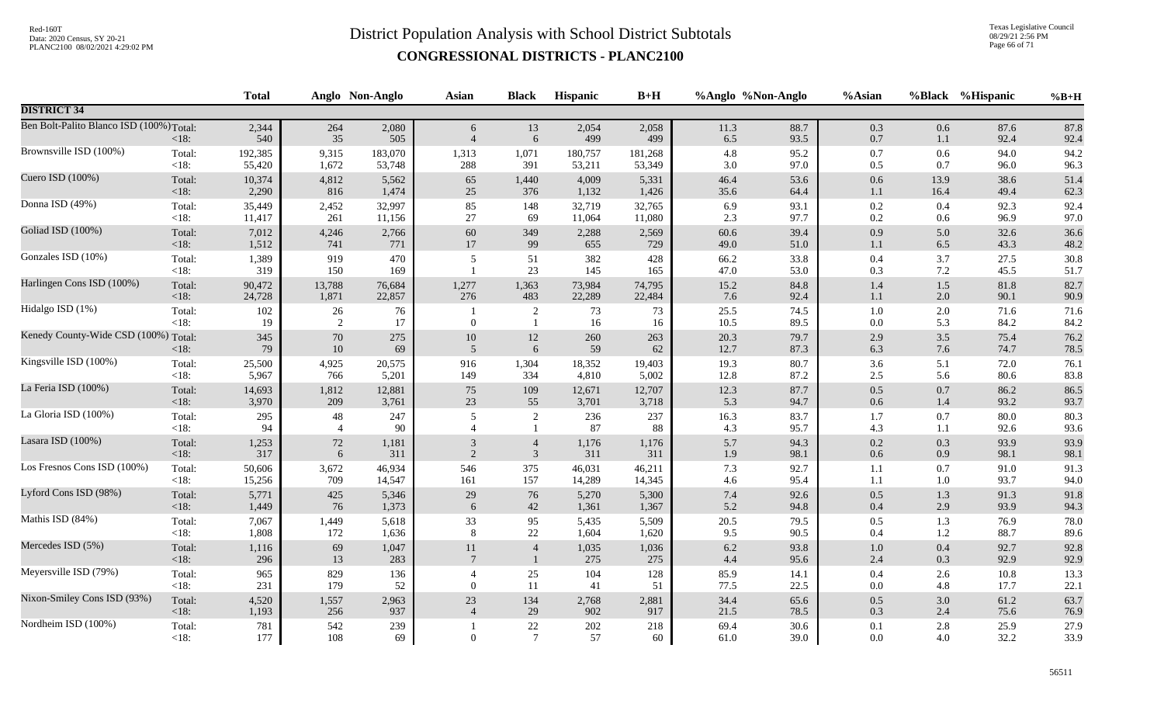Texas Legislative Council 08/29/21 2:56 PM Page 66 of 71

|                                          |                   | <b>Total</b> |                  | Anglo Non-Anglo | Asian                    | <b>Black</b>              | Hispanic     | $B+H$        |              | %Anglo %Non-Anglo | %Asian             |            | %Black %Hispanic | $%B+H$       |
|------------------------------------------|-------------------|--------------|------------------|-----------------|--------------------------|---------------------------|--------------|--------------|--------------|-------------------|--------------------|------------|------------------|--------------|
| <b>DISTRICT 34</b>                       |                   |              |                  |                 |                          |                           |              |              |              |                   |                    |            |                  |              |
| Ben Bolt-Palito Blanco ISD (100%) Total: | <18:              | 2,344<br>540 | 264<br>35        | 2,080<br>505    | 6<br>$\overline{4}$      | 13<br>$\sqrt{6}$          | 2,054<br>499 | 2,058<br>499 | 11.3<br>6.5  | 88.7<br>93.5      | 0.3<br>$0.7\,$     | 0.6<br>1.1 | 87.6<br>92.4     | 87.8<br>92.4 |
| Brownsville ISD (100%)                   | Total:            | 192,385      | 9,315            | 183,070         | 1,313                    | 1,071                     | 180,757      | 181,268      | $4.8\,$      | 95.2              | $0.7\,$            | 0.6        | 94.0             | 94.2         |
|                                          | $<18$ :           | 55,420       | 1,672            | 53,748          | 288                      | 391                       | 53,211       | 53,349       | $3.0\,$      | 97.0              | $0.5\,$            | $0.7\,$    | 96.0             | 96.3         |
| Cuero ISD (100%)                         | Total:            | 10,374       | 4,812            | 5,562           | 65                       | 1,440                     | 4,009        | 5,331        | 46.4         | 53.6              | 0.6                | 13.9       | 38.6             | 51.4         |
|                                          | $<18$ :           | 2,290        | 816              | 1,474           | 25                       | 376                       | 1,132        | 1,426        | 35.6         | 64.4              | $1.1\,$            | 16.4       | 49.4             | 62.3         |
| Donna ISD (49%)                          | Total:            | 35,449       | 2,452            | 32,997          | 85                       | 148                       | 32,719       | 32,765       | 6.9          | 93.1              | 0.2                | 0.4        | 92.3             | 92.4         |
|                                          | <18:              | 11,417       | 261              | 11,156          | $27\,$                   | 69                        | 11,064       | 11,080       | 2.3          | 97.7              | 0.2                | 0.6        | 96.9             | 97.0         |
| Goliad ISD (100%)                        | Total:            | 7,012        | 4,246            | 2,766           | 60                       | 349                       | 2,288        | 2,569        | 60.6         | 39.4              | 0.9                | 5.0        | 32.6             | 36.6         |
|                                          | $<18$ :           | 1,512        | 741              | 771             | 17                       | 99                        | 655          | 729          | 49.0         | 51.0              | $1.1\,$            | $6.5\,$    | 43.3             | 48.2         |
| Gonzales ISD (10%)                       | Total:<br>$<18$ : | 1,389<br>319 | 919<br>150       | 470<br>169      | 5                        | 51<br>23                  | 382<br>145   | 428<br>165   | 66.2<br>47.0 | 33.8<br>53.0      | $0.4\,$<br>0.3     | 3.7<br>7.2 | 27.5<br>45.5     | 30.8<br>51.7 |
| Harlingen Cons ISD (100%)                | Total:            | 90,472       | 13,788           | 76,684          | 1,277                    | 1,363                     | 73,984       | 74,795       | 15.2         | 84.8              | 1.4                | $1.5$      | 81.8             | 82.7         |
|                                          | <18:              | 24,728       | 1,871            | 22,857          | 276                      | 483                       | 22,289       | 22,484       | 7.6          | 92.4              | $1.1\,$            | 2.0        | 90.1             | 90.9         |
| Hidalgo ISD (1%)                         | Total:<br>$<18$ : | 102<br>19    | 26<br>2          | 76<br>17        | $\mathbf{0}$             | 2<br>$\overline{1}$       | 73<br>16     | 73<br>16     | 25.5<br>10.5 | 74.5<br>89.5      | $1.0\,$<br>$0.0\,$ | 2.0<br>5.3 | 71.6<br>84.2     | 71.6<br>84.2 |
| Kenedy County-Wide CSD (100%) Total:     | <18:              | 345<br>79    | $70\,$<br>$10\,$ | 275<br>69       | $10\,$<br>$\overline{5}$ | 12<br>6                   | 260<br>59    | 263<br>62    | 20.3<br>12.7 | 79.7<br>87.3      | 2.9<br>6.3         | 3.5<br>7.6 | 75.4<br>74.7     | 76.2<br>78.5 |
| Kingsville ISD (100%)                    | Total:            | 25,500       | 4,925            | 20,575          | 916                      | 1,304                     | 18,352       | 19,403       | 19.3         | 80.7              | 3.6                | 5.1        | 72.0             | 76.1         |
|                                          | <18:              | 5,967        | 766              | 5,201           | 149                      | 334                       | 4,810        | 5,002        | 12.8         | 87.2              | $2.5\,$            | 5.6        | 80.6             | 83.8         |
| La Feria ISD (100%)                      | Total:            | 14,693       | 1,812            | 12,881          | 75                       | 109                       | 12,671       | 12,707       | 12.3         | 87.7              | $0.5\,$            | $0.7\,$    | 86.2             | 86.5         |
|                                          | <18:              | 3,970        | 209              | 3,761           | 23                       | 55                        | 3,701        | 3,718        | 5.3          | 94.7              | $0.6\,$            | 1.4        | 93.2             | 93.7         |
| La Gloria ISD (100%)                     | Total:            | 295          | 48               | 247             | 5                        | $\sqrt{2}$                | 236          | 237          | 16.3         | 83.7              | 1.7                | 0.7        | 80.0             | 80.3         |
|                                          | <18:              | 94           | $\overline{4}$   | 90              | $\overline{4}$           | $\mathbf{1}$              | 87           | 88           | 4.3          | 95.7              | 4.3                | 1.1        | 92.6             | 93.6         |
| Lasara ISD (100%)                        | Total:            | 1,253        | 72               | 1,181           | 3                        | $\overline{4}$            | 1,176        | 1,176        | 5.7          | 94.3              | $0.2\,$            | 0.3        | 93.9             | 93.9         |
|                                          | <18:              | 317          | $\sqrt{6}$       | 311             | $\overline{2}$           | $\mathfrak{Z}$            | 311          | 311          | 1.9          | 98.1              | $0.6\,$            | 0.9        | 98.1             | 98.1         |
| Los Fresnos Cons ISD (100%)              | Total:            | 50,606       | 3,672            | 46,934          | 546                      | 375                       | 46,031       | 46,211       | 7.3          | 92.7              | 1.1                | 0.7        | 91.0             | 91.3         |
|                                          | $<18$ :           | 15,256       | 709              | 14,547          | 161                      | 157                       | 14,289       | 14,345       | $4.6\,$      | 95.4              | 1.1                | 1.0        | 93.7             | 94.0         |
| Lyford Cons ISD (98%)                    | Total:            | 5,771        | 425              | 5,346           | 29                       | 76                        | 5,270        | 5,300        | $7.4\,$      | 92.6              | $0.5\,$            | 1.3        | 91.3             | 91.8         |
|                                          | <18:              | 1,449        | 76               | 1,373           | 6                        | $42\,$                    | 1,361        | 1,367        | 5.2          | 94.8              | $0.4\,$            | 2.9        | 93.9             | 94.3         |
| Mathis ISD (84%)                         | Total:            | 7,067        | 1,449            | 5,618           | 33                       | 95                        | 5,435        | 5,509        | 20.5         | 79.5              | 0.5                | 1.3        | 76.9             | 78.0         |
|                                          | <18:              | 1,808        | 172              | 1,636           | 8                        | $22\,$                    | 1,604        | 1,620        | 9.5          | 90.5              | 0.4                | $1.2\,$    | 88.7             | 89.6         |
| Mercedes ISD (5%)                        | Total:            | 1,116        | 69               | 1,047           | 11                       | $\overline{4}$            | 1,035        | 1,036        | $6.2\,$      | 93.8              | $1.0\,$            | 0.4        | 92.7             | 92.8         |
|                                          | <18:              | 296          | 13               | 283             | $\overline{7}$           | $\mathbf{1}$              | 275          | 275          | $4.4\,$      | 95.6              | $2.4\,$            | 0.3        | 92.9             | 92.9         |
| Meyersville ISD (79%)                    | Total:            | 965          | 829              | 136             | $\overline{4}$           | 25                        | 104          | 128          | 85.9         | 14.1              | $0.4\,$            | 2.6        | 10.8             | 13.3         |
|                                          | $<18$ :           | 231          | 179              | 52              | $\overline{0}$           | 11                        | 41           | 51           | 77.5         | 22.5              | 0.0                | 4.8        | 17.7             | 22.1         |
| Nixon-Smiley Cons ISD (93%)              | Total:            | 4,520        | 1,557            | 2,963           | $23\,$                   | 134                       | 2,768        | 2,881        | 34.4         | 65.6              | $0.5\,$            | 3.0        | 61.2             | 63.7         |
|                                          | <18:              | 1,193        | 256              | 937             | $\overline{4}$           | 29                        | 902          | 917          | 21.5         | 78.5              | 0.3                | 2.4        | 75.6             | 76.9         |
| Nordheim ISD (100%)                      | Total:<br>$<18$ : | 781<br>177   | 542<br>108       | 239<br>69       | $\overline{0}$           | $22\,$<br>$7\phantom{.0}$ | 202<br>57    | 218<br>60    | 69.4<br>61.0 | 30.6<br>39.0      | 0.1<br>$0.0\,$     | 2.8<br>4.0 | 25.9<br>32.2     | 27.9<br>33.9 |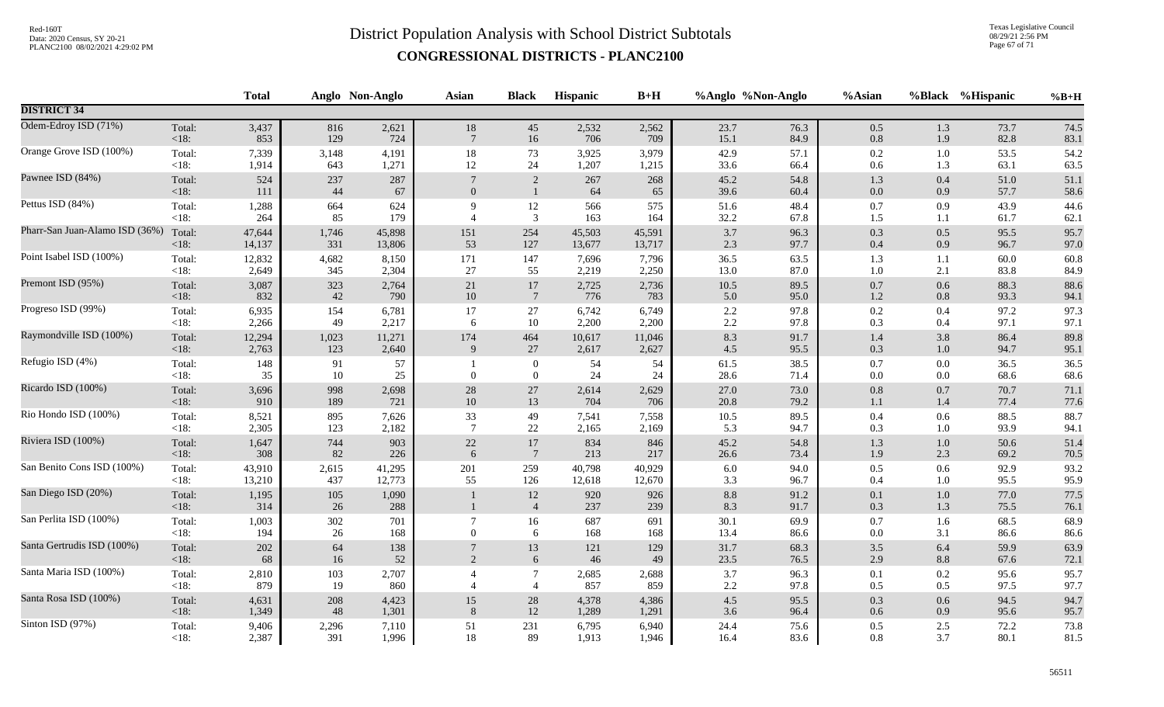Texas Legislative Council 08/29/21 2:56 PM Page 67 of 71

|                                |                   | <b>Total</b> |               | Anglo Non-Anglo | Asian           | <b>Black</b>                 | Hispanic      | $B+H$      |              | %Anglo %Non-Anglo | %Asian         |                    | %Black %Hispanic | $%B+H$       |
|--------------------------------|-------------------|--------------|---------------|-----------------|-----------------|------------------------------|---------------|------------|--------------|-------------------|----------------|--------------------|------------------|--------------|
| <b>DISTRICT 34</b>             |                   |              |               |                 |                 |                              |               |            |              |                   |                |                    |                  |              |
| Odem-Edroy ISD (71%)           | Total:            | 3,437        | 816           | 2,621           | 18              | 45                           | 2,532         | 2,562      | 23.7         | 76.3              | $0.5\,$        | 1.3                | 73.7             | 74.5         |
|                                | < 18:             | 853          | 129           | 724             | $\overline{7}$  | 16                           | 706           | 709        | 15.1         | 84.9              | $0.8\,$        | 1.9                | 82.8             | 83.1         |
| Orange Grove ISD (100%)        | Total:            | 7,339        | 3,148         | 4,191           | $18\,$          | 73                           | 3,925         | 3,979      | 42.9         | 57.1              | $0.2\,$        | 1.0                | 53.5             | 54.2         |
|                                | $<18$ :           | 1,914        | 643           | 1,271           | 12              | 24                           | 1,207         | 1,215      | 33.6         | 66.4              | 0.6            | 1.3                | 63.1             | 63.5         |
| Pawnee ISD (84%)               | Total:<br>$<18$ : | 524<br>111   | 237<br>44     | 287<br>67       | $\overline{0}$  | $\sqrt{2}$<br>$\mathbf{1}$   | 267<br>64     | 268<br>65  | 45.2<br>39.6 | 54.8<br>60.4      | 1.3<br>$0.0\,$ | 0.4<br>0.9         | 51.0<br>57.7     | 51.1<br>58.6 |
| Pettus ISD (84%)               | Total:            | 1,288        | 664           | 624             | $\mathbf{Q}$    | $12\,$                       | 566           | 575        | 51.6         | 48.4              | 0.7            | 0.9                | 43.9             | 44.6         |
|                                | $<18$ :           | 264          | 85            | 179             | $\overline{4}$  | 3                            | 163           | 164        | 32.2         | 67.8              | 1.5            | 1.1                | 61.7             | 62.1         |
| Pharr-San Juan-Alamo ISD (36%) | Total:            | 47,644       | 1,746         | 45,898          | 151             | 254                          | 45,503        | 45,591     | 3.7          | 96.3              | 0.3            | 0.5                | 95.5             | 95.7         |
|                                | $<18$ :           | 14,137       | 331           | 13,806          | 53              | 127                          | 13,677        | 13,717     | 2.3          | 97.7              | $0.4\,$        | 0.9                | 96.7             | 97.0         |
| Point Isabel ISD (100%)        | Total:            | 12,832       | 4,682         | 8,150           | 171             | 147                          | 7,696         | 7,796      | 36.5         | 63.5              | 1.3            | 1.1                | 60.0             | 60.8         |
|                                | $<18$ :           | 2,649        | 345           | 2,304           | 27              | 55                           | 2,219         | 2,250      | 13.0         | 87.0              | $1.0\,$        | 2.1                | 83.8             | 84.9         |
| Premont ISD (95%)              | Total:            | 3,087        | 323           | 2,764           | $21\,$          | $17\,$                       | 2,725         | 2,736      | 10.5         | 89.5              | $0.7\,$        | $0.6\,$            | 88.3             | 88.6         |
|                                | $<18$ :           | 832          | 42            | 790             | $10\,$          | $7\phantom{.0}$              | 776           | 783        | 5.0          | 95.0              | 1.2            | 0.8                | 93.3             | 94.1         |
| Progreso ISD (99%)             | Total:            | 6,935        | 154           | 6,781           | 17              | 27                           | 6,742         | 6,749      | $2.2\,$      | 97.8              | $0.2\,$        | 0.4                | 97.2             | 97.3         |
|                                | $<18$ :           | 2,266        | 49            | 2,217           | 6               | 10                           | 2,200         | 2,200      | 2.2          | 97.8              | 0.3            | 0.4                | 97.1             | 97.1         |
| Raymondville ISD (100%)        | Total:            | 12,294       | 1,023         | 11,271          | 174             | 464                          | 10,617        | 11,046     | 8.3          | 91.7              | $1.4\,$        | 3.8                | 86.4             | 89.8         |
|                                | < 18:             | 2,763        | 123           | 2,640           | 9               | 27                           | 2,617         | 2,627      | 4.5          | 95.5              | 0.3            | $1.0\,$            | 94.7             | 95.1         |
| Refugio ISD (4%)               | Total:<br><18:    | 148<br>35    | 91<br>10      | 57<br>25        | $\overline{0}$  | $\mathbf{0}$<br>$\mathbf{0}$ | 54<br>24      | 54<br>24   | 61.5<br>28.6 | 38.5<br>71.4      | 0.7<br>$0.0\,$ | $0.0\,$<br>$0.0\,$ | 36.5<br>68.6     | 36.5<br>68.6 |
| Ricardo ISD (100%)             | Total:            | 3,696        | 998           | 2,698           | $28\,$          | $27\,$                       | 2,614         | 2,629      | 27.0         | 73.0              | $0.8\,$        | 0.7                | 70.7             | 71.1         |
|                                | $<18$ :           | 910          | 189           | 721             | $10\,$          | 13                           | 704           | 706        | 20.8         | 79.2              | 1.1            | 1.4                | 77.4             | 77.6         |
| Rio Hondo ISD (100%)           | Total:            | 8,521        | 895           | 7,626           | 33              | 49                           | 7,541         | 7,558      | 10.5         | 89.5              | 0.4            | 0.6                | 88.5             | 88.7         |
|                                | <18:              | 2,305        | 123           | 2,182           | $7\phantom{.0}$ | 22                           | 2,165         | 2,169      | 5.3          | 94.7              | 0.3            | 1.0                | 93.9             | 94.1         |
| Riviera ISD (100%)             | Total:            | 1,647        | 744           | 903             | $22\,$          | 17                           | 834           | 846        | 45.2         | 54.8              | 1.3            | $1.0\,$            | 50.6             | 51.4         |
|                                | $<18$ :           | 308          | 82            | 226             | 6               | $7\phantom{.0}$              | 213           | 217        | 26.6         | 73.4              | 1.9            | 2.3                | 69.2             | 70.5         |
| San Benito Cons ISD (100%)     | Total:            | 43,910       | 2,615         | 41,295          | 201             | 259                          | 40,798        | 40,929     | 6.0          | 94.0              | 0.5            | 0.6                | 92.9             | 93.2         |
|                                | <18:              | 13,210       | 437           | 12,773          | 55              | 126                          | 12,618        | 12,670     | 3.3          | 96.7              | 0.4            | 1.0                | 95.5             | 95.9         |
| San Diego ISD (20%)            | Total:<br>< 18:   | 1,195<br>314 | $105\,$<br>26 | 1,090<br>288    |                 | $12\,$<br>$\overline{4}$     | 920<br>237    | 926<br>239 | 8.8<br>8.3   | 91.2<br>91.7      | 0.1<br>0.3     | $1.0\,$<br>1.3     | 77.0<br>75.5     | 77.5<br>76.1 |
| San Perlita ISD (100%)         | Total:            | 1,003        | 302           | 701             | $\overline{7}$  | 16                           | 687           | 691        | 30.1         | 69.9              | 0.7            | 1.6                | 68.5             | 68.9         |
|                                | $<18$ :           | 194          | 26            | 168             | $\overline{0}$  | 6                            | 168           | 168        | 13.4         | 86.6              | 0.0            | 3.1                | 86.6             | 86.6         |
| Santa Gertrudis ISD (100%)     | Total:<br>< 18:   | 202<br>68    | 64<br>16      | 138<br>52       | 2               | 13<br>6                      | 121<br>$46\,$ | 129<br>49  | 31.7<br>23.5 | 68.3<br>76.5      | 3.5<br>$2.9\,$ | 6.4<br>$8.8\,$     | 59.9<br>67.6     | 63.9<br>72.1 |
| Santa Maria ISD (100%)         | Total:            | 2,810        | 103           | 2,707           | $\overline{4}$  | $\boldsymbol{7}$             | 2,685         | 2,688      | 3.7          | 96.3              | $0.1\,$        | 0.2                | 95.6             | 95.7         |
|                                | $< 18$ :          | 879          | 19            | 860             | $\overline{4}$  | $\overline{4}$               | 857           | 859        | 2.2          | 97.8              | 0.5            | 0.5                | 97.5             | 97.7         |
| Santa Rosa ISD (100%)          | Total:            | 4,631        | 208           | 4,423           | 15              | 28                           | 4,378         | 4,386      | 4.5          | 95.5              | 0.3            | 0.6                | 94.5             | 94.7         |
|                                | < 18:             | 1,349        | 48            | 1,301           | 8               | $12\,$                       | 1,289         | 1,291      | 3.6          | 96.4              | 0.6            | 0.9                | 95.6             | 95.7         |
| Sinton ISD (97%)               | Total:            | 9,406        | 2,296         | 7,110           | 51              | 231                          | 6,795         | 6,940      | 24.4         | 75.6              | 0.5            | 2.5                | 72.2             | 73.8         |
|                                | $<18$ :           | 2,387        | 391           | 1,996           | 18              | 89                           | 1,913         | 1,946      | 16.4         | 83.6              | 0.8            | 3.7                | 80.1             | 81.5         |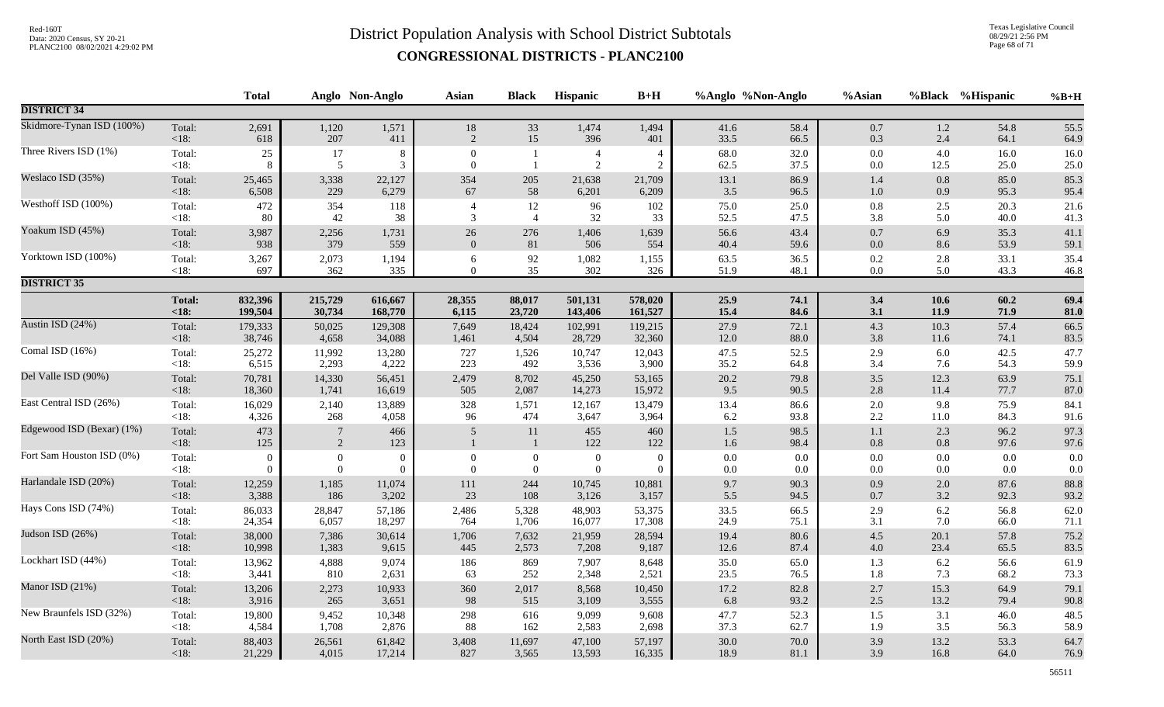Texas Legislative Council 08/29/21 2:56 PM Page 68 of 71

|                           |                | <b>Total</b>   |                     | Anglo Non-Anglo | <b>Asian</b>     | <b>Black</b>             | Hispanic         | $B+H$          |            | %Anglo %Non-Anglo | %Asian             |            | %Black %Hispanic | $%B+H$       |
|---------------------------|----------------|----------------|---------------------|-----------------|------------------|--------------------------|------------------|----------------|------------|-------------------|--------------------|------------|------------------|--------------|
| <b>DISTRICT 34</b>        |                |                |                     |                 |                  |                          |                  |                |            |                   |                    |            |                  |              |
| Skidmore-Tynan ISD (100%) | Total:         | 2,691          | 1,120               | 1,571           | 18               | 33                       | 1,474            | 1,494          | 41.6       | 58.4              | $0.7\,$            | 1.2        | 54.8             | 55.5         |
|                           | $<18$ :        | 618            | 207                 | 411             | $\sqrt{2}$       | 15                       | 396              | 401            | 33.5       | 66.5              | 0.3                | 2.4        | 64.1             | 64.9         |
| Three Rivers ISD (1%)     | Total:         | $25\,$         | 17                  | 8               | $\boldsymbol{0}$ | -1                       | $\overline{4}$   | $\overline{4}$ | 68.0       | 32.0              | $0.0\,$            | 4.0        | 16.0             | 16.0         |
|                           | $<18$ :        | 8              | $\sqrt{5}$          | 3               | $\overline{0}$   | $\overline{1}$           | $\overline{2}$   | 2              | 62.5       | 37.5              | 0.0                | 12.5       | 25.0             | 25.0         |
| Weslaco ISD (35%)         | Total:         | 25,465         | 3,338               | 22,127          | 354              | 205                      | 21,638           | 21,709         | 13.1       | 86.9              | 1.4                | $0.8\,$    | 85.0             | 85.3         |
|                           | <18:           | 6,508          | 229                 | 6,279           | 67               | 58                       | 6,201            | 6,209          | 3.5        | 96.5              | $1.0\,$            | 0.9        | 95.3             | 95.4         |
| Westhoff ISD (100%)       | Total:         | 472            | 354                 | 118             | $\overline{4}$   | 12                       | 96               | 102            | 75.0       | 25.0              | $0.8\,$            | 2.5        | 20.3             | 21.6         |
|                           | $<18$ :        | 80             | 42                  | 38              | 3                | $\overline{4}$           | 32               | 33             | 52.5       | 47.5              | 3.8                | 5.0        | 40.0             | 41.3         |
| Yoakum ISD (45%)          | Total:         | 3,987          | 2,256               | 1,731           | $26\,$           | 276                      | 1,406            | 1,639          | 56.6       | 43.4              | $0.7\,$            | 6.9        | 35.3             | 41.1         |
|                           | $<18$ :        | 938            | 379                 | 559             | $\boldsymbol{0}$ | $81\,$                   | 506              | 554            | 40.4       | 59.6              | $0.0\,$            | 8.6        | 53.9             | 59.1         |
| Yorktown ISD (100%)       | Total:         | 3,267          | 2,073               | 1,194           | 6                | 92                       | 1,082            | 1,155          | 63.5       | 36.5              | 0.2                | 2.8        | 33.1             | 35.4         |
|                           | <18:           | 697            | 362                 | 335             | $\overline{0}$   | 35                       | 302              | 326            | 51.9       | 48.1              | $0.0\,$            | 5.0        | 43.3             | 46.8         |
| <b>DISTRICT 35</b>        |                |                |                     |                 |                  |                          |                  |                |            |                   |                    |            |                  |              |
|                           | <b>Total:</b>  | 832,396        | 215,729             | 616,667         | 28,355           | 88,017                   | 501,131          | 578,020        | 25.9       | 74.1              | 3.4                | 10.6       | 60.2             | 69.4         |
|                           | < 18:          | 199,504        | 30,734              | 168,770         | 6,115            | 23,720                   | 143,406          | 161,527        | 15.4       | 84.6              | 3.1                | 11.9       | 71.9             | 81.0         |
| Austin ISD (24%)          | Total:         | 179,333        | 50,025              | 129,308         | 7,649            | 18,424                   | 102,991          | 119,215        | 27.9       | 72.1              | 4.3                | 10.3       | 57.4             | 66.5         |
|                           | <18:           | 38,746         | 4,658               | 34,088          | 1,461            | 4,504                    | 28,729           | 32,360         | 12.0       | 88.0              | $3.8\,$            | 11.6       | 74.1             | 83.5         |
| Comal ISD (16%)           | Total:         | 25,272         | 11,992              | 13,280          | 727              | 1,526                    | 10,747           | 12,043         | 47.5       | 52.5              | $2.9\,$            | 6.0        | 42.5             | 47.7         |
|                           | $<18$ :        | 6,515          | 2,293               | 4,222           | 223              | 492                      | 3,536            | 3,900          | 35.2       | 64.8              | 3.4                | 7.6        | 54.3             | 59.9         |
| Del Valle ISD (90%)       | Total:         | 70,781         | 14,330              | 56,451          | 2,479            | 8,702                    | 45,250           | 53,165         | 20.2       | 79.8              | $3.5$              | 12.3       | 63.9             | 75.1         |
|                           | <18:           | 18,360         | 1,741               | 16,619          | 505              | 2,087                    | 14,273           | 15,972         | 9.5        | 90.5              | 2.8                | 11.4       | 77.7             | 87.0         |
| East Central ISD (26%)    | Total:         | 16,029         | 2,140               | 13,889          | 328              | 1,571                    | 12,167           | 13,479         | 13.4       | 86.6              | $2.0\,$            | 9.8        | 75.9             | 84.1         |
|                           | $<18$ :        | 4,326          | 268                 | 4,058           | 96               | 474                      | 3,647            | 3,964          | 6.2        | 93.8              | 2.2                | 11.0       | 84.3             | 91.6         |
| Edgewood ISD (Bexar) (1%) | Total:<br><18: | 473<br>125     | $\overline{7}$<br>2 | 466<br>123      | 5                | $11\,$<br>$\overline{1}$ | 455<br>122       | 460<br>122     | 1.5<br>1.6 | 98.5<br>98.4      | $1.1\,$<br>$0.8\,$ | 2.3<br>0.8 | 96.2<br>97.6     | 97.3<br>97.6 |
| Fort Sam Houston ISD (0%) | Total:         | $\overline{0}$ | $\boldsymbol{0}$    | $\overline{0}$  | $\mathbf{0}$     | $\overline{0}$           | $\boldsymbol{0}$ | $\overline{0}$ | 0.0        | $0.0\,$           | $0.0\,$            | 0.0        | 0.0              | 0.0          |
|                           | $<18$ :        | $\overline{0}$ | $\Omega$            | $\Omega$        | $\overline{0}$   | $\overline{0}$           | $\mathbf{0}$     | $\overline{0}$ | 0.0        | 0.0               | 0.0                | 0.0        | 0.0              | 0.0          |
| Harlandale ISD (20%)      | Total:         | 12,259         | 1,185               | 11,074          | 111              | 244                      | 10,745           | 10,881         | 9.7        | 90.3              | $0.9\,$            | 2.0        | 87.6             | 88.8         |
|                           | <18:           | 3,388          | 186                 | 3,202           | 23               | 108                      | 3,126            | 3,157          | 5.5        | 94.5              | $0.7\,$            | 3.2        | 92.3             | 93.2         |
| Hays Cons ISD (74%)       | Total:         | 86,033         | 28,847              | 57,186          | 2,486            | 5,328                    | 48,903           | 53,375         | 33.5       | 66.5              | 2.9                | 6.2        | 56.8             | 62.0         |
|                           | <18:           | 24,354         | 6,057               | 18,297          | 764              | 1,706                    | 16,077           | 17,308         | 24.9       | 75.1              | 3.1                | 7.0        | 66.0             | 71.1         |
| Judson ISD (26%)          | Total:         | 38,000         | 7,386               | 30,614          | 1,706            | 7,632                    | 21,959           | 28,594         | 19.4       | 80.6              | $4.5\,$            | 20.1       | 57.8             | 75.2         |
|                           | $<18$ :        | 10,998         | 1,383               | 9,615           | 445              | 2,573                    | 7,208            | 9,187          | 12.6       | 87.4              | $4.0\,$            | 23.4       | 65.5             | 83.5         |
| Lockhart ISD (44%)        | Total:         | 13,962         | 4,888               | 9,074           | 186              | 869                      | 7,907            | 8,648          | 35.0       | 65.0              | 1.3                | 6.2        | 56.6             | 61.9         |
|                           | $<18$ :        | 3,441          | 810                 | 2,631           | 63               | 252                      | 2,348            | 2,521          | 23.5       | 76.5              | 1.8                | 7.3        | 68.2             | 73.3         |
| Manor ISD (21%)           | Total:         | 13,206         | 2,273               | 10,933          | 360              | 2,017                    | 8,568            | 10,450         | 17.2       | 82.8              | $2.7\,$            | 15.3       | 64.9             | 79.1         |
|                           | <18:           | 3,916          | 265                 | 3,651           | 98               | 515                      | 3,109            | 3,555          | 6.8        | 93.2              | $2.5\,$            | 13.2       | 79.4             | 90.8         |
| New Braunfels ISD (32%)   | Total:         | 19,800         | 9,452               | 10,348          | 298              | 616                      | 9,099            | 9,608          | 47.7       | 52.3              | $1.5\,$            | 3.1        | 46.0             | 48.5         |
|                           | <18:           | 4,584          | 1,708               | 2,876           | 88               | 162                      | 2,583            | 2,698          | 37.3       | 62.7              | 1.9                | 3.5        | 56.3             | 58.9         |
| North East ISD (20%)      | Total:         | 88,403         | 26,561              | 61,842          | 3,408            | 11,697                   | 47,100           | 57,197         | 30.0       | 70.0              | 3.9                | 13.2       | 53.3             | 64.7         |
|                           | $<18$ :        | 21,229         | 4,015               | 17,214          | 827              | 3,565                    | 13,593           | 16,335         | 18.9       | 81.1              | 3.9                | 16.8       | 64.0             | 76.9         |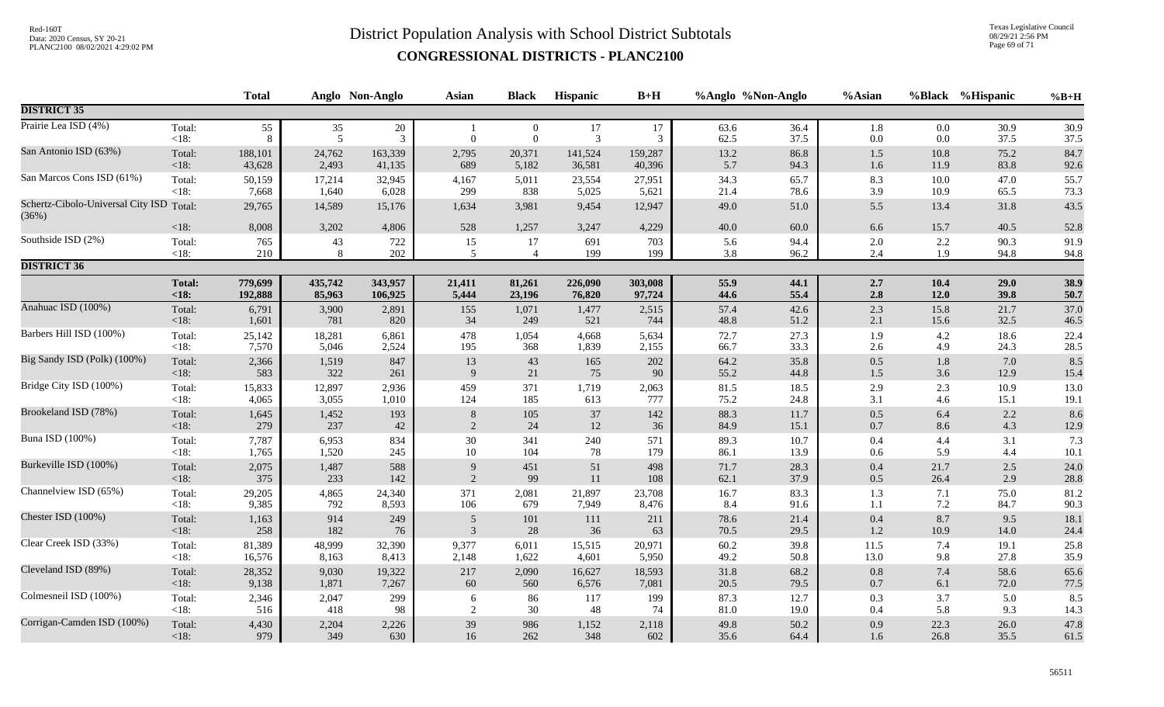Texas Legislative Council 08/29/21 2:56 PM Page 69 of 71

|                                                   |         | <b>Total</b> |         | Anglo Non-Anglo | <b>Asian</b>   | <b>Black</b>   | Hispanic | $B+H$   |      | %Anglo %Non-Anglo | %Asian  |         | %Black %Hispanic | $%B+H$ |
|---------------------------------------------------|---------|--------------|---------|-----------------|----------------|----------------|----------|---------|------|-------------------|---------|---------|------------------|--------|
| <b>DISTRICT 35</b>                                |         |              |         |                 |                |                |          |         |      |                   |         |         |                  |        |
| Prairie Lea ISD (4%)                              | Total:  | 55           | 35      | $20\,$          | $\mathbf{1}$   | $\overline{0}$ | $17\,$   | 17      | 63.6 | 36.4              | 1.8     | 0.0     | 30.9             | 30.9   |
|                                                   | $<18$ : | 8            | 5       | $\overline{3}$  | $\theta$       | $\overline{0}$ | 3        | 3       | 62.5 | 37.5              | $0.0\,$ | 0.0     | 37.5             | 37.5   |
| San Antonio ISD (63%)                             | Total:  | 188,101      | 24,762  | 163,339         | 2,795          | 20,371         | 141,524  | 159,287 | 13.2 | 86.8              | $1.5\,$ | 10.8    | 75.2             | 84.7   |
|                                                   | <18:    | 43,628       | 2,493   | 41,135          | 689            | 5,182          | 36,581   | 40,396  | 5.7  | 94.3              | $1.6\,$ | 11.9    | 83.8             | 92.6   |
| San Marcos Cons ISD (61%)                         | Total:  | 50,159       | 17,214  | 32,945          | 4,167          | 5,011          | 23,554   | 27,951  | 34.3 | 65.7              | 8.3     | 10.0    | 47.0             | 55.7   |
|                                                   | <18:    | 7,668        | 1,640   | 6,028           | 299            | 838            | 5,025    | 5,621   | 21.4 | 78.6              | 3.9     | 10.9    | 65.5             | 73.3   |
| Schertz-Cibolo-Universal City ISD Total:<br>(36%) |         | 29,765       | 14,589  | 15,176          | 1,634          | 3,981          | 9,454    | 12,947  | 49.0 | 51.0              | 5.5     | 13.4    | 31.8             | 43.5   |
|                                                   | $<18$ : | 8,008        | 3,202   | 4,806           | 528            | 1,257          | 3,247    | 4,229   | 40.0 | 60.0              | 6.6     | 15.7    | 40.5             | 52.8   |
| Southside ISD (2%)                                | Total:  | 765          | 43      | 722             | 15             | 17             | 691      | 703     | 5.6  | 94.4              | $2.0\,$ | 2.2     | 90.3             | 91.9   |
|                                                   | $<18$ : | 210          | 8       | 202             | 5              | $\overline{4}$ | 199      | 199     | 3.8  | 96.2              | 2.4     | 1.9     | 94.8             | 94.8   |
| <b>DISTRICT 36</b>                                |         |              |         |                 |                |                |          |         |      |                   |         |         |                  |        |
|                                                   | Total:  | 779,699      | 435,742 | 343,957         | 21,411         | 81,261         | 226,090  | 303,008 | 55.9 | 44.1              | 2.7     | 10.4    | 29.0             | 38.9   |
|                                                   | < 18:   | 192,888      | 85,963  | 106,925         | 5,444          | 23,196         | 76,820   | 97,724  | 44.6 | 55.4              | 2.8     | 12.0    | 39.8             | 50.7   |
| Anahuac ISD (100%)                                | Total:  | 6,791        | 3,900   | 2,891           | 155            | 1,071          | 1,477    | 2,515   | 57.4 | 42.6              | $2.3\,$ | 15.8    | 21.7             | 37.0   |
|                                                   | <18:    | 1,601        | 781     | 820             | 34             | 249            | 521      | 744     | 48.8 | 51.2              | 2.1     | 15.6    | 32.5             | 46.5   |
| Barbers Hill ISD (100%)                           | Total:  | 25,142       | 18,281  | 6,861           | 478            | 1,054          | 4,668    | 5,634   | 72.7 | 27.3              | 1.9     | 4.2     | 18.6             | 22.4   |
|                                                   | $<18$ : | 7,570        | 5,046   | 2,524           | 195            | 368            | 1,839    | 2,155   | 66.7 | 33.3              | $2.6\,$ | 4.9     | 24.3             | 28.5   |
| Big Sandy ISD (Polk) (100%)                       | Total:  | 2,366        | 1,519   | 847             | 13             | $43\,$         | 165      | 202     | 64.2 | 35.8              | $0.5\,$ | $1.8\,$ | 7.0              | 8.5    |
|                                                   | <18:    | 583          | 322     | 261             | 9              | 21             | 75       | 90      | 55.2 | 44.8              | $1.5$   | 3.6     | 12.9             | 15.4   |
| Bridge City ISD (100%)                            | Total:  | 15,833       | 12,897  | 2,936           | 459            | 371            | 1,719    | 2,063   | 81.5 | 18.5              | 2.9     | 2.3     | 10.9             | 13.0   |
|                                                   | $<18$ : | 4,065        | 3,055   | 1,010           | 124            | 185            | 613      | 777     | 75.2 | 24.8              | 3.1     | 4.6     | 15.1             | 19.1   |
| Brookeland ISD (78%)                              | Total:  | 1,645        | 1,452   | 193             | 8              | 105            | 37       | 142     | 88.3 | 11.7              | $0.5\,$ | 6.4     | 2.2              | 8.6    |
|                                                   | $<18$ : | 279          | 237     | 42              | $\overline{2}$ | 24             | 12       | 36      | 84.9 | 15.1              | $0.7\,$ | 8.6     | 4.3              | 12.9   |
| Buna ISD (100%)                                   | Total:  | 7,787        | 6,953   | 834             | $30\,$         | 341            | 240      | 571     | 89.3 | 10.7              | $0.4\,$ | 4.4     | 3.1              | 7.3    |
|                                                   | $<18$ : | 1,765        | 1,520   | 245             | $10\,$         | 104            | 78       | 179     | 86.1 | 13.9              | $0.6\,$ | 5.9     | 4.4              | 10.1   |
| Burkeville ISD (100%)                             | Total:  | 2,075        | 1,487   | 588             | 9              | 451            | 51       | 498     | 71.7 | 28.3              | $0.4\,$ | 21.7    | $2.5$            | 24.0   |
|                                                   | $<18$ : | 375          | 233     | 142             | $\mathfrak{D}$ | 99             | 11       | 108     | 62.1 | 37.9              | 0.5     | 26.4    | 2.9              | 28.8   |
| Channelview ISD (65%)                             | Total:  | 29,205       | 4,865   | 24,340          | 371            | 2,081          | 21,897   | 23,708  | 16.7 | 83.3              | 1.3     | 7.1     | 75.0             | 81.2   |
|                                                   | <18:    | 9,385        | 792     | 8,593           | 106            | 679            | 7,949    | 8,476   | 8.4  | 91.6              | 1.1     | $7.2\,$ | 84.7             | 90.3   |
| Chester ISD (100%)                                | Total:  | 1,163        | 914     | 249             | 5              | 101            | 111      | 211     | 78.6 | 21.4              | $0.4\,$ | 8.7     | 9.5              | 18.1   |
|                                                   | $<18$ : | 258          | 182     | 76              | 3              | $28\,$         | 36       | 63      | 70.5 | 29.5              | $1.2\,$ | 10.9    | 14.0             | 24.4   |
| Clear Creek ISD (33%)                             | Total:  | 81,389       | 48,999  | 32,390          | 9,377          | 6,011          | 15,515   | 20,971  | 60.2 | 39.8              | 11.5    | 7.4     | 19.1             | 25.8   |
|                                                   | $<18$ : | 16,576       | 8,163   | 8,413           | 2,148          | 1,622          | 4,601    | 5,950   | 49.2 | 50.8              | 13.0    | 9.8     | 27.8             | 35.9   |
| Cleveland ISD (89%)                               | Total:  | 28,352       | 9,030   | 19,322          | 217            | 2,090          | 16,627   | 18,593  | 31.8 | 68.2              | $0.8\,$ | 7.4     | 58.6             | 65.6   |
|                                                   | < 18:   | 9,138        | 1,871   | 7,267           | 60             | 560            | 6,576    | 7,081   | 20.5 | 79.5              | $0.7\,$ | 6.1     | 72.0             | 77.5   |
| Colmesneil ISD (100%)                             | Total:  | 2,346        | 2,047   | 299             | 6              | 86             | 117      | 199     | 87.3 | 12.7              | $0.3\,$ | 3.7     | 5.0              | 8.5    |
|                                                   | $<18$ : | 516          | 418     | 98              | $\overline{2}$ | $30\,$         | 48       | 74      | 81.0 | 19.0              | $0.4\,$ | 5.8     | 9.3              | 14.3   |
| Corrigan-Camden ISD (100%)                        | Total:  | 4,430        | 2,204   | 2,226           | 39             | 986            | 1,152    | 2,118   | 49.8 | 50.2              | $0.9\,$ | 22.3    | 26.0             | 47.8   |
|                                                   | $<18$ : | 979          | 349     | 630             | 16             | 262            | 348      | 602     | 35.6 | 64.4              | 1.6     | 26.8    | 35.5             | 61.5   |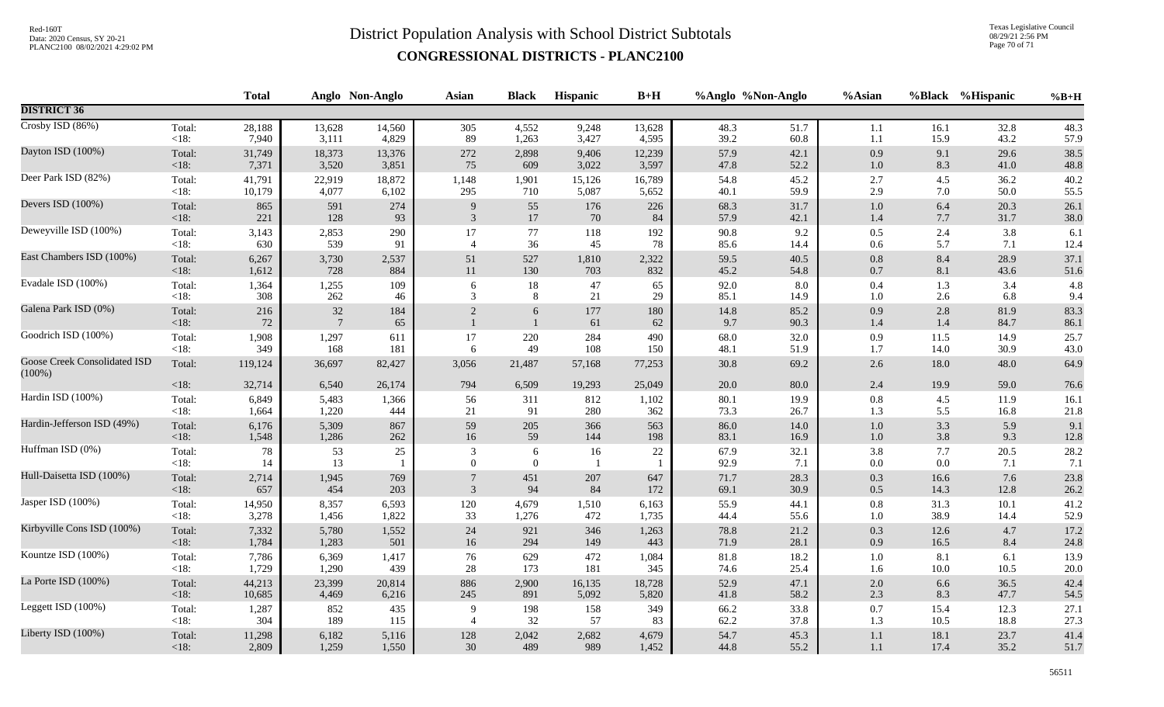Texas Legislative Council 08/29/21 2:56 PM Page 70 of 71

|                                                  |                   | <b>Total</b> |                           | Anglo Non-Anglo | <b>Asian</b>   | <b>Black</b>                 | Hispanic             | $B+H$      |              | %Anglo %Non-Anglo | %Asian             |              | %Black %Hispanic | $%B+H$       |
|--------------------------------------------------|-------------------|--------------|---------------------------|-----------------|----------------|------------------------------|----------------------|------------|--------------|-------------------|--------------------|--------------|------------------|--------------|
| <b>DISTRICT 36</b>                               |                   |              |                           |                 |                |                              |                      |            |              |                   |                    |              |                  |              |
| Crosby ISD (86%)                                 | Total:            | 28,188       | 13,628                    | 14,560          | 305            | 4,552                        | 9,248                | 13,628     | 48.3         | 51.7              | 1.1                | 16.1         | 32.8             | 48.3         |
|                                                  | $<18$ :           | 7,940        | 3,111                     | 4,829           | 89             | 1,263                        | 3,427                | 4,595      | 39.2         | 60.8              | 1.1                | 15.9         | 43.2             | 57.9         |
| Dayton ISD (100%)                                | Total:            | 31,749       | 18,373                    | 13,376          | 272            | 2,898                        | 9,406                | 12,239     | 57.9         | 42.1              | 0.9                | 9.1          | 29.6             | 38.5         |
|                                                  | $<18$ :           | 7,371        | 3,520                     | 3,851           | 75             | 609                          | 3,022                | 3,597      | 47.8         | 52.2              | $1.0\,$            | 8.3          | 41.0             | 48.8         |
| Deer Park ISD (82%)                              | Total:            | 41,791       | 22,919                    | 18,872          | 1,148          | 1,901                        | 15,126               | 16,789     | 54.8         | 45.2              | $2.7\,$            | 4.5          | 36.2             | 40.2         |
|                                                  | <18:              | 10,179       | 4,077                     | 6,102           | 295            | 710                          | 5,087                | 5,652      | 40.1         | 59.9              | 2.9                | 7.0          | 50.0             | 55.5         |
| Devers ISD (100%)                                | Total:            | 865          | 591                       | 274             | 9              | 55                           | 176                  | 226        | 68.3         | 31.7              | $1.0\,$            | 6.4          | 20.3             | 26.1         |
|                                                  | <18:              | 221          | 128                       | 93              | $\mathfrak{Z}$ | $17\,$                       | 70                   | 84         | 57.9         | 42.1              | $1.4\,$            | 7.7          | 31.7             | 38.0         |
| Deweyville ISD (100%)                            | Total:            | 3,143        | 2,853                     | 290             | 17             | $77\,$                       | 118                  | 192        | 90.8         | 9.2               | $0.5\,$            | 2.4          | 3.8              | 6.1          |
|                                                  | <18:              | 630          | 539                       | 91              | $\overline{4}$ | 36                           | 45                   | 78         | 85.6         | 14.4              | 0.6                | 5.7          | 7.1              | 12.4         |
| East Chambers ISD (100%)                         | Total:            | 6,267        | 3,730                     | 2,537           | 51             | 527                          | 1,810                | 2,322      | 59.5         | 40.5              | $0.8\,$            | 8.4          | 28.9             | 37.1         |
|                                                  | <18:              | 1,612        | 728                       | 884             | $11\,$         | 130                          | 703                  | 832        | 45.2         | 54.8              | $0.7\,$            | 8.1          | 43.6             | 51.6         |
| Evadale ISD (100%)                               | Total:            | 1,364        | 1,255                     | 109             | 6              | 18                           | 47                   | 65         | 92.0         | 8.0               | $0.4\,$            | 1.3          | 3.4              | 4.8          |
|                                                  | $<18$ :           | 308          | 262                       | 46              | 3              | 8                            | 21                   | 29         | 85.1         | 14.9              | $1.0\,$            | 2.6          | 6.8              | 9.4          |
| Galena Park ISD (0%)                             | Total:<br><18:    | 216<br>72    | $32\,$<br>$7\phantom{.0}$ | 184<br>65       | $\overline{2}$ | 6                            | $177\,$<br>61        | 180<br>62  | 14.8<br>9.7  | 85.2<br>90.3      | $0.9\,$<br>$1.4\,$ | 2.8<br>1.4   | 81.9<br>84.7     | 83.3<br>86.1 |
| Goodrich ISD (100%)                              | Total:            | 1,908        | 1,297                     | 611             | 17             | 220                          | 284                  | 490        | 68.0         | 32.0              | 0.9                | 11.5         | 14.9             | 25.7         |
|                                                  | $<18$ :           | 349          | 168                       | 181             | 6              | 49                           | 108                  | 150        | 48.1         | 51.9              | 1.7                | 14.0         | 30.9             | 43.0         |
| <b>Goose Creek Consolidated ISD</b><br>$(100\%)$ | Total:            | 119,124      | 36,697                    | 82,427          | 3,056          | 21,487                       | 57,168               | 77,253     | 30.8         | 69.2              | $2.6\,$            | 18.0         | 48.0             | 64.9         |
|                                                  | $<18$ :           | 32,714       | 6,540                     | 26,174          | 794            | 6,509                        | 19,293               | 25,049     | 20.0         | 80.0              | 2.4                | 19.9         | 59.0             | 76.6         |
| Hardin ISD (100%)                                | Total:            | 6,849        | 5,483                     | 1,366           | 56             | 311                          | 812                  | 1,102      | 80.1         | 19.9              | $0.8\,$            | 4.5          | 11.9             | 16.1         |
|                                                  | <18:              | 1,664        | 1,220                     | 444             | 21             | 91                           | 280                  | 362        | 73.3         | 26.7              | 1.3                | 5.5          | 16.8             | 21.8         |
| Hardin-Jefferson ISD (49%)                       | Total:            | 6,176        | 5,309                     | 867             | 59             | 205                          | 366                  | 563        | 86.0         | 14.0              | $1.0\,$            | 3.3          | 5.9              | 9.1          |
|                                                  | $<18$ :           | 1,548        | 1,286                     | 262             | 16             | 59                           | 144                  | 198        | 83.1         | 16.9              | $1.0\,$            | 3.8          | 9.3              | $12.8\,$     |
| Huffman ISD (0%)                                 | Total:<br>$<18$ : | 78<br>14     | 53<br>13                  | 25              | 3<br>$\theta$  | $\sqrt{6}$<br>$\overline{0}$ | 16<br>$\overline{1}$ | 22         | 67.9<br>92.9 | 32.1<br>7.1       | 3.8<br>$0.0\,$     | 7.7<br>0.0   | 20.5<br>7.1      | 28.2<br>7.1  |
| Hull-Daisetta ISD (100%)                         | Total:<br>$<18$ : | 2,714<br>657 | 1,945<br>454              | 769<br>203      | $\overline{3}$ | 451<br>94                    | 207<br>84            | 647<br>172 | 71.7<br>69.1 | 28.3<br>30.9      | 0.3<br>$0.5\,$     | 16.6<br>14.3 | 7.6<br>12.8      | 23.8<br>26.2 |
| Jasper ISD (100%)                                | Total:            | 14,950       | 8,357                     | 6,593           | 120            | 4,679                        | 1,510                | 6,163      | 55.9         | 44.1              | $0.8\,$            | 31.3         | $10.1$           | 41.2         |
|                                                  | $<18$ :           | 3,278        | 1,456                     | 1,822           | 33             | 1,276                        | 472                  | 1,735      | 44.4         | 55.6              | $1.0\,$            | 38.9         | 14.4             | 52.9         |
| Kirbyville Cons ISD (100%)                       | Total:            | 7,332        | 5,780                     | 1,552           | 24             | 921                          | 346                  | 1,263      | 78.8         | 21.2              | $0.3\,$            | 12.6         | 4.7              | 17.2         |
|                                                  | <18:              | 1,784        | 1,283                     | 501             | 16             | 294                          | 149                  | 443        | 71.9         | 28.1              | 0.9                | 16.5         | 8.4              | 24.8         |
| Kountze ISD (100%)                               | Total:            | 7,786        | 6,369                     | 1,417           | 76             | 629                          | 472                  | 1,084      | 81.8         | 18.2              | $1.0\,$            | 8.1          | 6.1              | 13.9         |
|                                                  | $<18$ :           | 1,729        | 1,290                     | 439             | 28             | 173                          | 181                  | 345        | 74.6         | 25.4              | 1.6                | 10.0         | 10.5             | 20.0         |
| La Porte ISD (100%)                              | Total:            | 44,213       | 23,399                    | 20,814          | 886            | 2,900                        | 16,135               | 18,728     | 52.9         | 47.1              | $2.0\,$            | 6.6          | 36.5             | 42.4         |
|                                                  | <18:              | 10,685       | 4,469                     | 6,216           | 245            | 891                          | 5,092                | 5,820      | 41.8         | 58.2              | 2.3                | 8.3          | 47.7             | 54.5         |
| Leggett ISD (100%)                               | Total:            | 1,287        | 852                       | 435             | 9              | 198                          | 158                  | 349        | 66.2         | 33.8              | $0.7\,$            | 15.4         | 12.3             | 27.1         |
|                                                  | <18:              | 304          | 189                       | 115             | $\overline{4}$ | 32                           | 57                   | 83         | 62.2         | 37.8              | 1.3                | 10.5         | 18.8             | 27.3         |
| Liberty ISD (100%)                               | Total:            | 11,298       | 6,182                     | 5,116           | 128            | 2,042                        | 2,682                | 4,679      | 54.7         | 45.3              | $1.1\,$            | 18.1         | 23.7             | 41.4         |
|                                                  | $<18$ :           | 2,809        | 1,259                     | 1,550           | 30             | 489                          | 989                  | 1,452      | 44.8         | 55.2              | 1.1                | 17.4         | 35.2             | 51.7         |